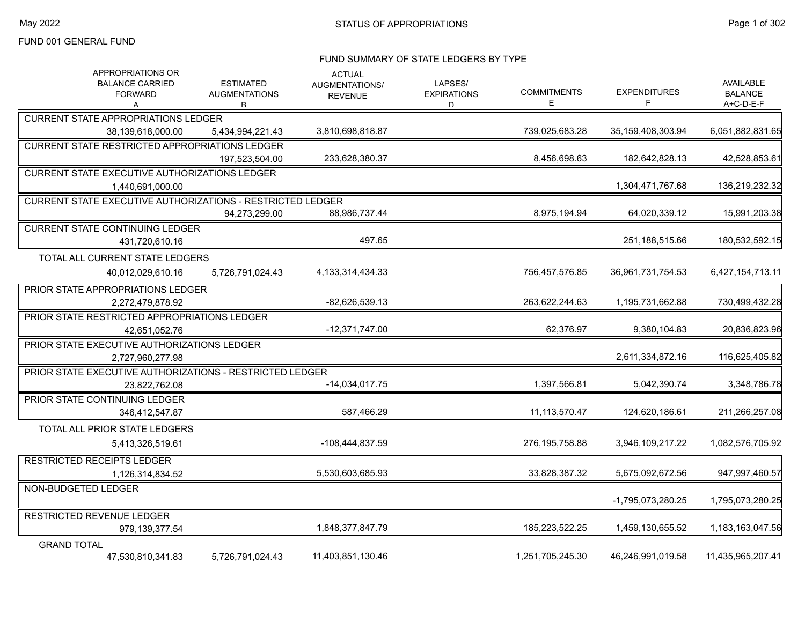#### FUND SUMMARY OF STATE LEDGERS BY TYPE

| APPROPRIATIONS OR<br><b>BALANCE CARRIED</b><br><b>FORWARD</b><br>А | <b>ESTIMATED</b><br><b>AUGMENTATIONS</b><br>R | <b>ACTUAL</b><br>AUGMENTATIONS/<br><b>REVENUE</b> | LAPSES/<br><b>EXPIRATIONS</b><br>D. | <b>COMMITMENTS</b><br>Е | <b>EXPENDITURES</b><br>F | AVAILABLE<br><b>BALANCE</b><br>A+C-D-E-F |
|--------------------------------------------------------------------|-----------------------------------------------|---------------------------------------------------|-------------------------------------|-------------------------|--------------------------|------------------------------------------|
| <b>CURRENT STATE APPROPRIATIONS LEDGER</b>                         |                                               |                                                   |                                     |                         |                          |                                          |
| 38,139,618,000.00                                                  | 5,434,994,221.43                              | 3,810,698,818.87                                  |                                     | 739,025,683.28          | 35,159,408,303.94        | 6,051,882,831.65                         |
| <b>CURRENT STATE RESTRICTED APPROPRIATIONS LEDGER</b>              |                                               |                                                   |                                     |                         |                          |                                          |
|                                                                    | 197.523.504.00                                | 233,628,380.37                                    |                                     | 8.456.698.63            | 182,642,828.13           | 42,528,853.61                            |
| <b>CURRENT STATE EXECUTIVE AUTHORIZATIONS LEDGER</b>               |                                               |                                                   |                                     |                         |                          |                                          |
| 1,440,691,000.00                                                   |                                               |                                                   |                                     |                         | 1,304,471,767.68         | 136,219,232.32                           |
| <b>CURRENT STATE EXECUTIVE AUTHORIZATIONS - RESTRICTED LEDGER</b>  |                                               |                                                   |                                     |                         |                          |                                          |
|                                                                    | 94,273,299.00                                 | 88,986,737.44                                     |                                     | 8,975,194.94            | 64,020,339.12            | 15,991,203.38                            |
| <b>CURRENT STATE CONTINUING LEDGER</b>                             |                                               |                                                   |                                     |                         |                          |                                          |
| 431,720,610.16                                                     |                                               | 497.65                                            |                                     |                         | 251,188,515.66           | 180,532,592.15                           |
| TOTAL ALL CURRENT STATE LEDGERS                                    |                                               |                                                   |                                     |                         |                          |                                          |
| 40,012,029,610.16                                                  | 5,726,791,024.43                              | 4, 133, 314, 434. 33                              |                                     | 756,457,576.85          | 36,961,731,754.53        | 6,427,154,713.11                         |
| PRIOR STATE APPROPRIATIONS LEDGER                                  |                                               |                                                   |                                     |                         |                          |                                          |
| 2,272,479,878.92                                                   |                                               | -82,626,539.13                                    |                                     | 263,622,244.63          | 1,195,731,662.88         | 730,499,432.28                           |
| PRIOR STATE RESTRICTED APPROPRIATIONS LEDGER                       |                                               |                                                   |                                     |                         |                          |                                          |
| 42,651,052.76                                                      |                                               | $-12,371,747.00$                                  |                                     | 62,376.97               | 9,380,104.83             | 20,836,823.96                            |
| PRIOR STATE EXECUTIVE AUTHORIZATIONS LEDGER                        |                                               |                                                   |                                     |                         |                          |                                          |
| 2,727,960,277.98                                                   |                                               |                                                   |                                     |                         | 2,611,334,872.16         | 116,625,405.82                           |
| PRIOR STATE EXECUTIVE AUTHORIZATIONS - RESTRICTED LEDGER           |                                               |                                                   |                                     |                         |                          |                                          |
| 23.822.762.08                                                      |                                               | $-14,034,017.75$                                  |                                     | 1,397,566.81            | 5,042,390.74             | 3,348,786.78                             |
| PRIOR STATE CONTINUING LEDGER                                      |                                               |                                                   |                                     |                         |                          |                                          |
| 346,412,547.87                                                     |                                               | 587,466.29                                        |                                     | 11, 113, 570. 47        | 124,620,186.61           | 211,266,257.08                           |
| TOTAL ALL PRIOR STATE LEDGERS                                      |                                               |                                                   |                                     |                         |                          |                                          |
| 5,413,326,519.61                                                   |                                               | -108,444,837.59                                   |                                     | 276, 195, 758.88        | 3,946,109,217.22         | 1,082,576,705.92                         |
| <b>RESTRICTED RECEIPTS LEDGER</b>                                  |                                               |                                                   |                                     |                         |                          |                                          |
| 1,126,314,834.52                                                   |                                               | 5,530,603,685.93                                  |                                     | 33,828,387.32           | 5,675,092,672.56         | 947,997,460.57                           |
| NON-BUDGETED LEDGER                                                |                                               |                                                   |                                     |                         |                          |                                          |
|                                                                    |                                               |                                                   |                                     |                         | -1.795.073.280.25        | 1,795,073,280.25                         |
| <b>RESTRICTED REVENUE LEDGER</b>                                   |                                               |                                                   |                                     |                         |                          |                                          |
| 979,139,377.54                                                     |                                               | 1,848,377,847.79                                  |                                     | 185,223,522.25          | 1,459,130,655.52         | 1,183,163,047.56                         |
| <b>GRAND TOTAL</b>                                                 |                                               |                                                   |                                     |                         |                          |                                          |
| 47,530,810,341.83                                                  | 5,726,791,024.43                              | 11,403,851,130.46                                 |                                     | 1,251,705,245.30        | 46,246,991,019.58        | 11,435,965,207.41                        |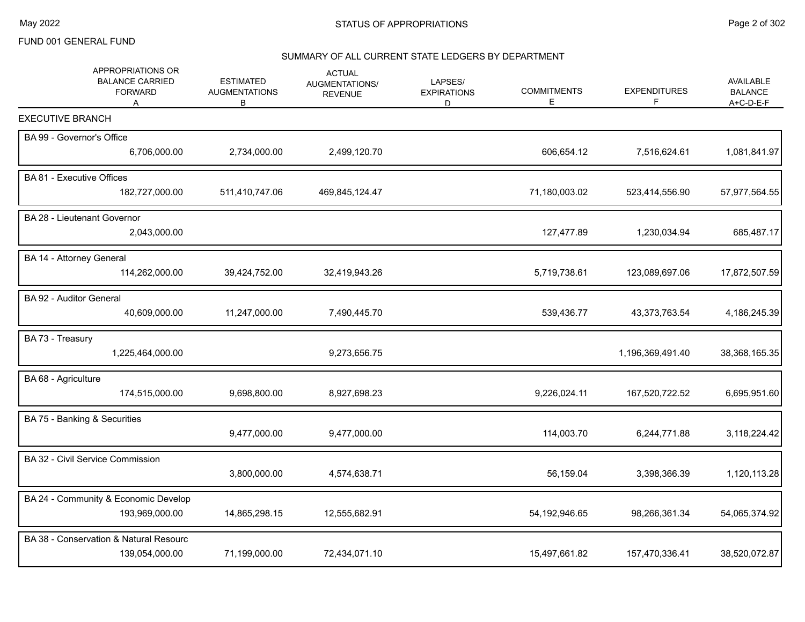# SUMMARY OF ALL CURRENT STATE LEDGERS BY DEPARTMENT

| APPROPRIATIONS OR<br><b>BALANCE CARRIED</b><br><b>FORWARD</b><br>A | <b>ESTIMATED</b><br><b>AUGMENTATIONS</b><br>В | <b>ACTUAL</b><br>AUGMENTATIONS/<br><b>REVENUE</b> | LAPSES/<br><b>EXPIRATIONS</b><br>D | <b>COMMITMENTS</b><br>Е | <b>EXPENDITURES</b><br>F. | <b>AVAILABLE</b><br><b>BALANCE</b><br>A+C-D-E-F |
|--------------------------------------------------------------------|-----------------------------------------------|---------------------------------------------------|------------------------------------|-------------------------|---------------------------|-------------------------------------------------|
| <b>EXECUTIVE BRANCH</b>                                            |                                               |                                                   |                                    |                         |                           |                                                 |
| BA 99 - Governor's Office                                          |                                               |                                                   |                                    |                         |                           |                                                 |
| 6,706,000.00                                                       | 2,734,000.00                                  | 2,499,120.70                                      |                                    | 606,654.12              | 7,516,624.61              | 1,081,841.97                                    |
| BA 81 - Executive Offices                                          |                                               |                                                   |                                    |                         |                           |                                                 |
| 182,727,000.00                                                     | 511,410,747.06                                | 469,845,124.47                                    |                                    | 71,180,003.02           | 523,414,556.90            | 57,977,564.55                                   |
| BA 28 - Lieutenant Governor                                        |                                               |                                                   |                                    |                         |                           |                                                 |
| 2,043,000.00                                                       |                                               |                                                   |                                    | 127,477.89              | 1,230,034.94              | 685,487.17                                      |
| BA 14 - Attorney General                                           |                                               |                                                   |                                    |                         |                           |                                                 |
| 114,262,000.00                                                     | 39,424,752.00                                 | 32,419,943.26                                     |                                    | 5,719,738.61            | 123,089,697.06            | 17,872,507.59                                   |
| BA 92 - Auditor General                                            |                                               |                                                   |                                    |                         |                           |                                                 |
| 40,609,000.00                                                      | 11,247,000.00                                 | 7,490,445.70                                      |                                    | 539,436.77              | 43,373,763.54             | 4,186,245.39                                    |
| BA 73 - Treasury                                                   |                                               |                                                   |                                    |                         |                           |                                                 |
| 1,225,464,000.00                                                   |                                               | 9,273,656.75                                      |                                    |                         | 1,196,369,491.40          | 38,368,165.35                                   |
| BA 68 - Agriculture                                                |                                               |                                                   |                                    |                         |                           |                                                 |
| 174,515,000.00                                                     | 9,698,800.00                                  | 8,927,698.23                                      |                                    | 9,226,024.11            | 167,520,722.52            | 6,695,951.60                                    |
| BA 75 - Banking & Securities                                       |                                               |                                                   |                                    |                         |                           |                                                 |
|                                                                    | 9,477,000.00                                  | 9,477,000.00                                      |                                    | 114,003.70              | 6,244,771.88              | 3,118,224.42                                    |
| BA 32 - Civil Service Commission                                   |                                               |                                                   |                                    |                         |                           |                                                 |
|                                                                    | 3,800,000.00                                  | 4,574,638.71                                      |                                    | 56,159.04               | 3,398,366.39              | 1,120,113.28                                    |
| BA 24 - Community & Economic Develop                               |                                               |                                                   |                                    |                         |                           |                                                 |
| 193,969,000.00                                                     | 14,865,298.15                                 | 12,555,682.91                                     |                                    | 54, 192, 946.65         | 98,266,361.34             | 54,065,374.92                                   |
| BA 38 - Conservation & Natural Resourc                             |                                               |                                                   |                                    |                         |                           |                                                 |
| 139,054,000.00                                                     | 71,199,000.00                                 | 72,434,071.10                                     |                                    | 15,497,661.82           | 157,470,336.41            | 38,520,072.87                                   |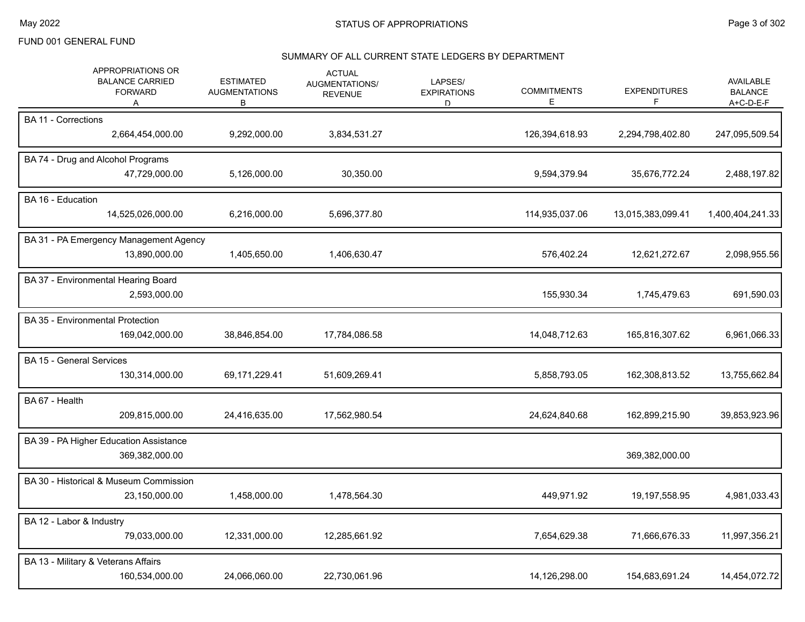#### SUMMARY OF ALL CURRENT STATE LEDGERS BY DEPARTMENT

| APPROPRIATIONS OR<br><b>BALANCE CARRIED</b><br><b>FORWARD</b><br>A | <b>ESTIMATED</b><br><b>AUGMENTATIONS</b><br>В | <b>ACTUAL</b><br><b>AUGMENTATIONS/</b><br><b>REVENUE</b> | LAPSES/<br><b>EXPIRATIONS</b><br>D | <b>COMMITMENTS</b><br>Е | <b>EXPENDITURES</b><br>F | <b>AVAILABLE</b><br><b>BALANCE</b><br>A+C-D-E-F |
|--------------------------------------------------------------------|-----------------------------------------------|----------------------------------------------------------|------------------------------------|-------------------------|--------------------------|-------------------------------------------------|
| <b>BA 11 - Corrections</b><br>2,664,454,000.00                     | 9,292,000.00                                  | 3,834,531.27                                             |                                    | 126,394,618.93          | 2,294,798,402.80         | 247,095,509.54                                  |
| BA 74 - Drug and Alcohol Programs<br>47,729,000.00                 | 5,126,000.00                                  | 30,350.00                                                |                                    | 9,594,379.94            | 35,676,772.24            | 2,488,197.82                                    |
| BA 16 - Education<br>14,525,026,000.00                             | 6,216,000.00                                  | 5,696,377.80                                             |                                    | 114,935,037.06          | 13,015,383,099.41        | 1,400,404,241.33                                |
| BA 31 - PA Emergency Management Agency<br>13,890,000.00            | 1,405,650.00                                  | 1,406,630.47                                             |                                    | 576,402.24              | 12,621,272.67            | 2,098,955.56                                    |
| BA 37 - Environmental Hearing Board<br>2,593,000.00                |                                               |                                                          |                                    | 155,930.34              | 1,745,479.63             | 691,590.03                                      |
| <b>BA 35 - Environmental Protection</b><br>169,042,000.00          | 38,846,854.00                                 | 17,784,086.58                                            |                                    | 14,048,712.63           | 165,816,307.62           | 6,961,066.33                                    |
| <b>BA 15 - General Services</b><br>130,314,000.00                  | 69,171,229.41                                 | 51,609,269.41                                            |                                    | 5,858,793.05            | 162,308,813.52           | 13,755,662.84                                   |
| BA 67 - Health<br>209,815,000.00                                   | 24,416,635.00                                 | 17,562,980.54                                            |                                    | 24,624,840.68           | 162,899,215.90           | 39,853,923.96                                   |
| BA 39 - PA Higher Education Assistance<br>369,382,000.00           |                                               |                                                          |                                    |                         | 369,382,000.00           |                                                 |
| BA 30 - Historical & Museum Commission<br>23,150,000.00            | 1,458,000.00                                  | 1,478,564.30                                             |                                    | 449,971.92              | 19,197,558.95            | 4,981,033.43                                    |
| BA 12 - Labor & Industry<br>79,033,000.00                          | 12,331,000.00                                 | 12,285,661.92                                            |                                    | 7,654,629.38            | 71,666,676.33            | 11,997,356.21                                   |
| BA 13 - Military & Veterans Affairs<br>160,534,000.00              | 24,066,060.00                                 | 22,730,061.96                                            |                                    | 14,126,298.00           | 154,683,691.24           | 14,454,072.72                                   |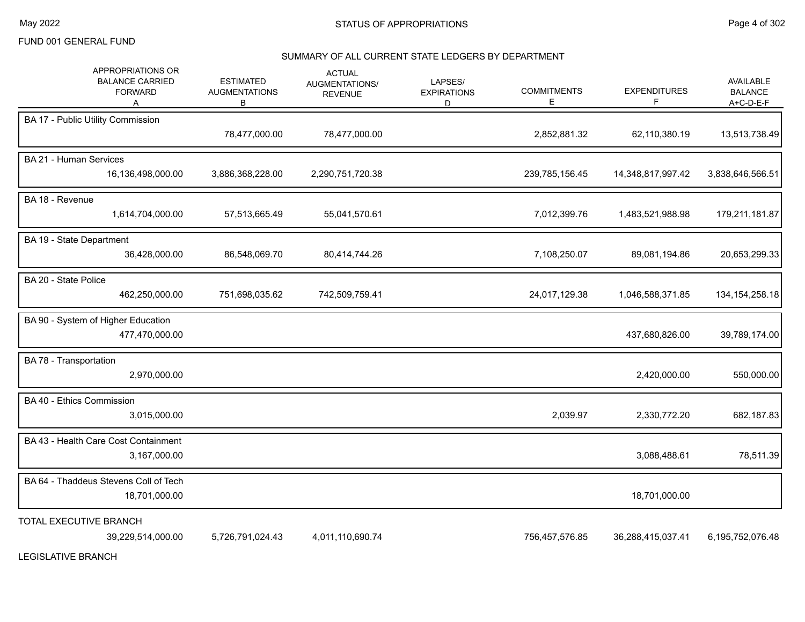#### SUMMARY OF ALL CURRENT STATE LEDGERS BY DEPARTMENT

| APPROPRIATIONS OR<br><b>BALANCE CARRIED</b><br><b>FORWARD</b><br>Α | <b>ESTIMATED</b><br><b>AUGMENTATIONS</b><br>В | <b>ACTUAL</b><br>AUGMENTATIONS/<br><b>REVENUE</b> | LAPSES/<br><b>EXPIRATIONS</b><br>D | <b>COMMITMENTS</b><br>E | <b>EXPENDITURES</b><br>F | AVAILABLE<br><b>BALANCE</b><br>A+C-D-E-F |
|--------------------------------------------------------------------|-----------------------------------------------|---------------------------------------------------|------------------------------------|-------------------------|--------------------------|------------------------------------------|
| BA 17 - Public Utility Commission                                  | 78,477,000.00                                 | 78,477,000.00                                     |                                    | 2,852,881.32            | 62,110,380.19            | 13,513,738.49                            |
|                                                                    |                                               |                                                   |                                    |                         |                          |                                          |
| BA 21 - Human Services                                             |                                               |                                                   |                                    |                         |                          |                                          |
| 16,136,498,000.00                                                  | 3,886,368,228.00                              | 2,290,751,720.38                                  |                                    | 239,785,156.45          | 14,348,817,997.42        | 3,838,646,566.51                         |
| BA 18 - Revenue                                                    |                                               |                                                   |                                    |                         |                          |                                          |
| 1,614,704,000.00                                                   | 57,513,665.49                                 | 55,041,570.61                                     |                                    | 7,012,399.76            | 1,483,521,988.98         | 179,211,181.87                           |
| BA 19 - State Department                                           |                                               |                                                   |                                    |                         |                          |                                          |
| 36,428,000.00                                                      | 86,548,069.70                                 | 80,414,744.26                                     |                                    | 7,108,250.07            | 89,081,194.86            | 20,653,299.33                            |
| BA 20 - State Police                                               |                                               |                                                   |                                    |                         |                          |                                          |
| 462,250,000.00                                                     | 751,698,035.62                                | 742,509,759.41                                    |                                    | 24,017,129.38           | 1,046,588,371.85         | 134, 154, 258. 18                        |
| BA 90 - System of Higher Education                                 |                                               |                                                   |                                    |                         |                          |                                          |
| 477,470,000.00                                                     |                                               |                                                   |                                    |                         | 437,680,826.00           | 39,789,174.00                            |
| BA 78 - Transportation                                             |                                               |                                                   |                                    |                         |                          |                                          |
| 2,970,000.00                                                       |                                               |                                                   |                                    |                         | 2,420,000.00             | 550,000.00                               |
| BA 40 - Ethics Commission                                          |                                               |                                                   |                                    |                         |                          |                                          |
| 3,015,000.00                                                       |                                               |                                                   |                                    | 2,039.97                | 2,330,772.20             | 682,187.83                               |
| BA 43 - Health Care Cost Containment                               |                                               |                                                   |                                    |                         |                          |                                          |
| 3,167,000.00                                                       |                                               |                                                   |                                    |                         | 3,088,488.61             | 78,511.39                                |
| BA 64 - Thaddeus Stevens Coll of Tech                              |                                               |                                                   |                                    |                         |                          |                                          |
| 18,701,000.00                                                      |                                               |                                                   |                                    |                         | 18,701,000.00            |                                          |
| TOTAL EXECUTIVE BRANCH                                             |                                               |                                                   |                                    |                         |                          |                                          |
| 39,229,514,000.00                                                  | 5,726,791,024.43                              | 4,011,110,690.74                                  |                                    | 756,457,576.85          | 36,288,415,037.41        | 6,195,752,076.48                         |
|                                                                    |                                               |                                                   |                                    |                         |                          |                                          |

LEGISLATIVE BRANCH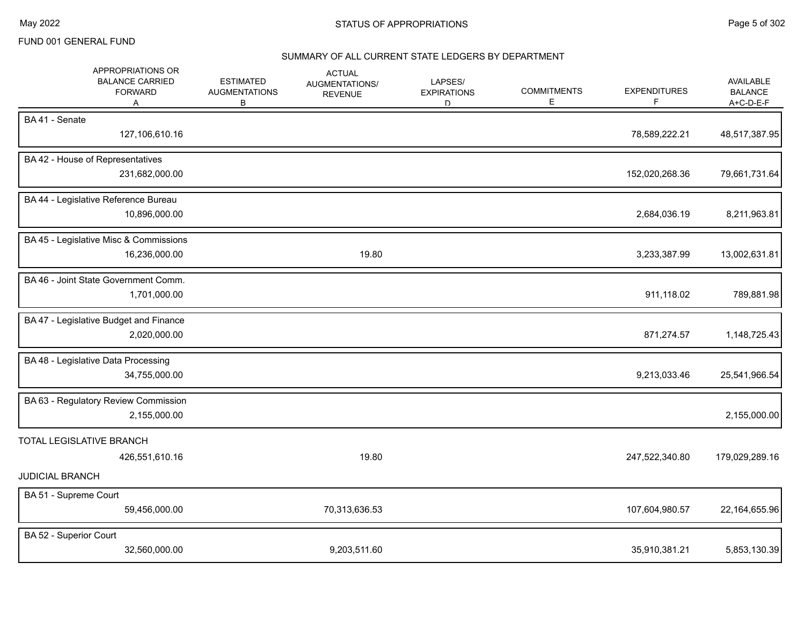#### SUMMARY OF ALL CURRENT STATE LEDGERS BY DEPARTMENT

| APPROPRIATIONS OR<br><b>BALANCE CARRIED</b><br><b>FORWARD</b><br>Α | <b>ESTIMATED</b><br><b>AUGMENTATIONS</b><br>В | <b>ACTUAL</b><br>AUGMENTATIONS/<br><b>REVENUE</b> | LAPSES/<br><b>EXPIRATIONS</b><br>D. | <b>COMMITMENTS</b><br>Е | <b>EXPENDITURES</b><br>F | <b>AVAILABLE</b><br><b>BALANCE</b><br>A+C-D-E-F |
|--------------------------------------------------------------------|-----------------------------------------------|---------------------------------------------------|-------------------------------------|-------------------------|--------------------------|-------------------------------------------------|
| BA41 - Senate<br>127,106,610.16                                    |                                               |                                                   |                                     |                         | 78,589,222.21            | 48,517,387.95                                   |
| BA 42 - House of Representatives<br>231,682,000.00                 |                                               |                                                   |                                     |                         | 152,020,268.36           | 79,661,731.64                                   |
| BA 44 - Legislative Reference Bureau<br>10,896,000.00              |                                               |                                                   |                                     |                         | 2,684,036.19             | 8,211,963.81                                    |
| BA 45 - Legislative Misc & Commissions<br>16,236,000.00            |                                               | 19.80                                             |                                     |                         | 3,233,387.99             | 13,002,631.81                                   |
| BA 46 - Joint State Government Comm.<br>1,701,000.00               |                                               |                                                   |                                     |                         | 911,118.02               | 789,881.98                                      |
| BA 47 - Legislative Budget and Finance<br>2,020,000.00             |                                               |                                                   |                                     |                         | 871,274.57               | 1,148,725.43                                    |
| BA 48 - Legislative Data Processing<br>34,755,000.00               |                                               |                                                   |                                     |                         | 9,213,033.46             | 25,541,966.54                                   |
| BA 63 - Regulatory Review Commission<br>2,155,000.00               |                                               |                                                   |                                     |                         |                          | 2,155,000.00                                    |
| TOTAL LEGISLATIVE BRANCH<br>426,551,610.16                         |                                               | 19.80                                             |                                     |                         | 247,522,340.80           | 179,029,289.16                                  |
| <b>JUDICIAL BRANCH</b><br>BA 51 - Supreme Court<br>59,456,000.00   |                                               | 70,313,636.53                                     |                                     |                         | 107,604,980.57           | 22,164,655.96                                   |
| BA 52 - Superior Court<br>32,560,000.00                            |                                               | 9,203,511.60                                      |                                     |                         | 35,910,381.21            | 5,853,130.39                                    |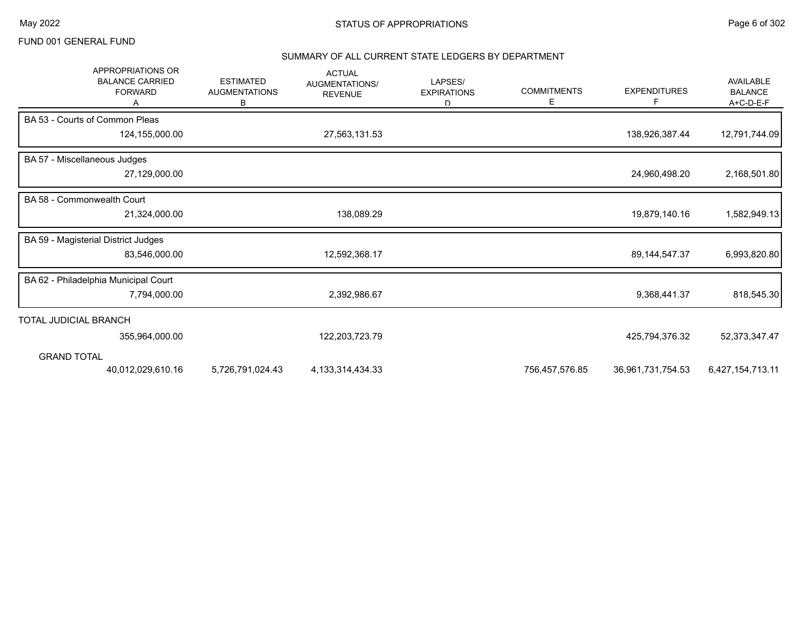#### SUMMARY OF ALL CURRENT STATE LEDGERS BY DEPARTMENT

| APPROPRIATIONS OR<br><b>BALANCE CARRIED</b><br><b>FORWARD</b> | <b>ESTIMATED</b><br><b>AUGMENTATIONS</b><br>В | <b>ACTUAL</b><br>AUGMENTATIONS/<br><b>REVENUE</b> | LAPSES/<br><b>EXPIRATIONS</b><br>D | <b>COMMITMENTS</b><br>Е | <b>EXPENDITURES</b><br>F | AVAILABLE<br><b>BALANCE</b><br>A+C-D-E-F |
|---------------------------------------------------------------|-----------------------------------------------|---------------------------------------------------|------------------------------------|-------------------------|--------------------------|------------------------------------------|
| BA 53 - Courts of Common Pleas                                |                                               |                                                   |                                    |                         |                          |                                          |
| 124,155,000.00                                                |                                               | 27,563,131.53                                     |                                    |                         | 138,926,387.44           | 12,791,744.09                            |
| BA 57 - Miscellaneous Judges                                  |                                               |                                                   |                                    |                         |                          |                                          |
| 27,129,000.00                                                 |                                               |                                                   |                                    |                         | 24,960,498.20            | 2,168,501.80                             |
| BA 58 - Commonwealth Court                                    |                                               |                                                   |                                    |                         |                          |                                          |
| 21,324,000.00                                                 |                                               | 138,089.29                                        |                                    |                         | 19,879,140.16            | 1,582,949.13                             |
| BA 59 - Magisterial District Judges                           |                                               |                                                   |                                    |                         |                          |                                          |
| 83,546,000.00                                                 |                                               | 12,592,368.17                                     |                                    |                         | 89, 144, 547. 37         | 6,993,820.80                             |
| BA 62 - Philadelphia Municipal Court                          |                                               |                                                   |                                    |                         |                          |                                          |
| 7,794,000.00                                                  |                                               | 2,392,986.67                                      |                                    |                         | 9,368,441.37             | 818,545.30                               |
| TOTAL JUDICIAL BRANCH                                         |                                               |                                                   |                                    |                         |                          |                                          |
| 355,964,000.00                                                |                                               | 122,203,723.79                                    |                                    |                         | 425,794,376.32           | 52,373,347.47                            |
| <b>GRAND TOTAL</b>                                            |                                               |                                                   |                                    |                         |                          |                                          |
| 40,012,029,610.16                                             | 5,726,791,024.43                              | 4, 133, 314, 434. 33                              |                                    | 756,457,576.85          | 36,961,731,754.53        | 6,427,154,713.11                         |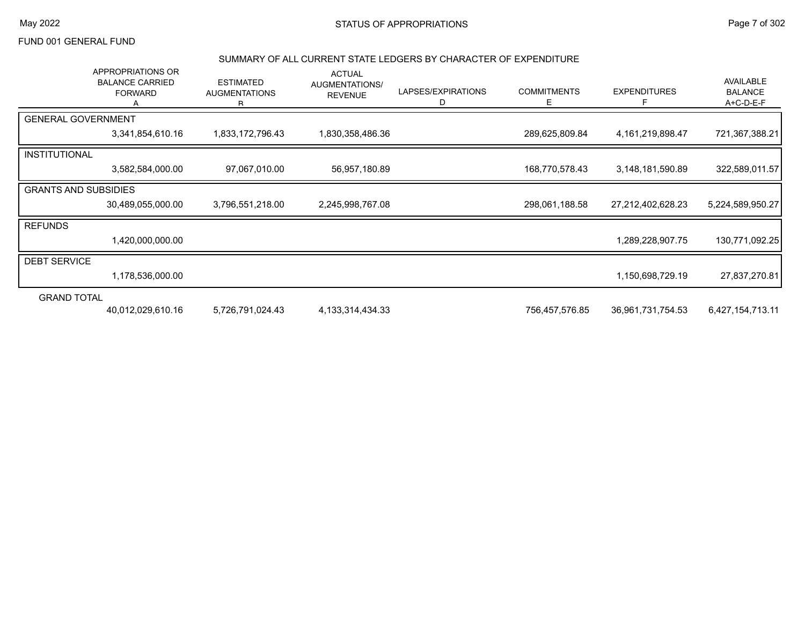#### SUMMARY OF ALL CURRENT STATE LEDGERS BY CHARACTER OF EXPENDITURE

|                             | APPROPRIATIONS OR<br><b>BALANCE CARRIED</b><br><b>FORWARD</b> | <b>ESTIMATED</b><br><b>AUGMENTATIONS</b><br>R. | <b>ACTUAL</b><br>AUGMENTATIONS/<br><b>REVENUE</b> | LAPSES/EXPIRATIONS<br>D | <b>COMMITMENTS</b><br>E | <b>EXPENDITURES</b> | AVAILABLE<br><b>BALANCE</b><br>$A+C-D-E-F$ |
|-----------------------------|---------------------------------------------------------------|------------------------------------------------|---------------------------------------------------|-------------------------|-------------------------|---------------------|--------------------------------------------|
| <b>GENERAL GOVERNMENT</b>   |                                                               |                                                |                                                   |                         |                         |                     |                                            |
|                             | 3,341,854,610.16                                              | 1,833,172,796.43                               | 1,830,358,486.36                                  |                         | 289,625,809.84          | 4,161,219,898.47    | 721,367,388.21                             |
| <b>INSTITUTIONAL</b>        |                                                               |                                                |                                                   |                         |                         |                     |                                            |
|                             | 3,582,584,000.00                                              | 97,067,010.00                                  | 56,957,180.89                                     |                         | 168,770,578.43          | 3,148,181,590.89    | 322,589,011.57                             |
| <b>GRANTS AND SUBSIDIES</b> |                                                               |                                                |                                                   |                         |                         |                     |                                            |
|                             | 30,489,055,000.00                                             | 3,796,551,218.00                               | 2,245,998,767.08                                  |                         | 298,061,188.58          | 27,212,402,628.23   | 5,224,589,950.27                           |
| <b>REFUNDS</b>              |                                                               |                                                |                                                   |                         |                         |                     |                                            |
|                             | 1,420,000,000.00                                              |                                                |                                                   |                         |                         | 1,289,228,907.75    | 130,771,092.25                             |
| <b>DEBT SERVICE</b>         |                                                               |                                                |                                                   |                         |                         |                     |                                            |
|                             | 1,178,536,000.00                                              |                                                |                                                   |                         |                         | 1,150,698,729.19    | 27,837,270.81                              |
| <b>GRAND TOTAL</b>          |                                                               |                                                |                                                   |                         |                         |                     |                                            |
|                             | 40,012,029,610.16                                             | 5,726,791,024.43                               | 4, 133, 314, 434. 33                              |                         | 756,457,576.85          | 36,961,731,754.53   | 6,427,154,713.11                           |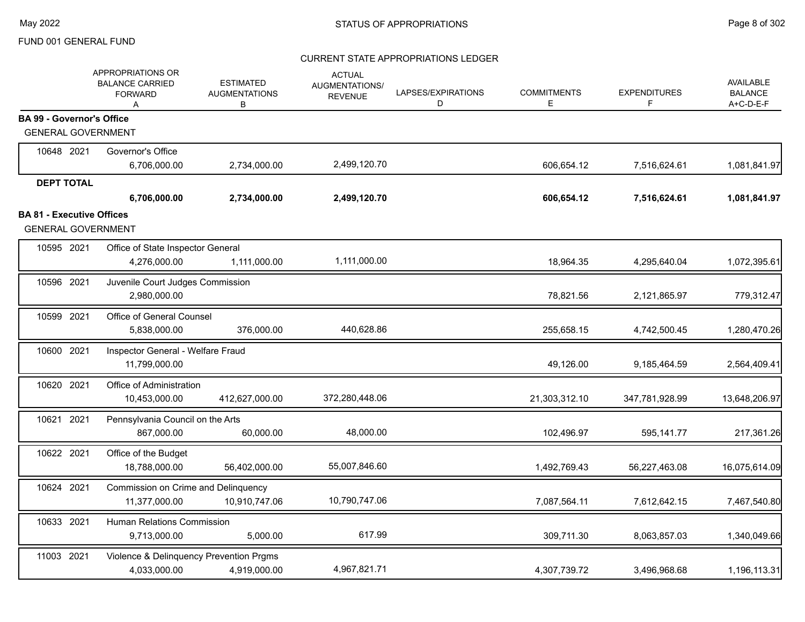|                                  | APPROPRIATIONS OR<br><b>BALANCE CARRIED</b><br><b>FORWARD</b><br>A | <b>ESTIMATED</b><br><b>AUGMENTATIONS</b><br>В | <b>ACTUAL</b><br>AUGMENTATIONS/<br><b>REVENUE</b> | LAPSES/EXPIRATIONS<br>D | <b>COMMITMENTS</b><br>Е | <b>EXPENDITURES</b><br>F | <b>AVAILABLE</b><br><b>BALANCE</b><br>A+C-D-E-F |
|----------------------------------|--------------------------------------------------------------------|-----------------------------------------------|---------------------------------------------------|-------------------------|-------------------------|--------------------------|-------------------------------------------------|
| <b>BA 99 - Governor's Office</b> |                                                                    |                                               |                                                   |                         |                         |                          |                                                 |
| <b>GENERAL GOVERNMENT</b>        |                                                                    |                                               |                                                   |                         |                         |                          |                                                 |
| 10648 2021                       | Governor's Office                                                  |                                               |                                                   |                         |                         |                          |                                                 |
|                                  | 6,706,000.00                                                       | 2,734,000.00                                  | 2,499,120.70                                      |                         | 606,654.12              | 7,516,624.61             | 1,081,841.97                                    |
| <b>DEPT TOTAL</b>                |                                                                    |                                               |                                                   |                         |                         |                          |                                                 |
|                                  | 6,706,000.00                                                       | 2,734,000.00                                  | 2,499,120.70                                      |                         | 606,654.12              | 7,516,624.61             | 1,081,841.97                                    |
| <b>BA 81 - Executive Offices</b> |                                                                    |                                               |                                                   |                         |                         |                          |                                                 |
| <b>GENERAL GOVERNMENT</b>        |                                                                    |                                               |                                                   |                         |                         |                          |                                                 |
| 10595 2021                       | Office of State Inspector General                                  |                                               |                                                   |                         |                         |                          |                                                 |
|                                  | 4,276,000.00                                                       | 1,111,000.00                                  | 1,111,000.00                                      |                         | 18,964.35               | 4,295,640.04             | 1,072,395.61                                    |
| 10596 2021                       | Juvenile Court Judges Commission                                   |                                               |                                                   |                         |                         |                          |                                                 |
|                                  | 2,980,000.00                                                       |                                               |                                                   |                         | 78,821.56               | 2,121,865.97             | 779,312.47                                      |
| 10599 2021                       | Office of General Counsel                                          |                                               |                                                   |                         |                         |                          |                                                 |
|                                  | 5,838,000.00                                                       | 376,000.00                                    | 440,628.86                                        |                         | 255,658.15              | 4,742,500.45             | 1,280,470.26                                    |
| 10600 2021                       | Inspector General - Welfare Fraud                                  |                                               |                                                   |                         |                         |                          |                                                 |
|                                  | 11,799,000.00                                                      |                                               |                                                   |                         | 49,126.00               | 9,185,464.59             | 2,564,409.41                                    |
| 10620 2021                       | Office of Administration                                           |                                               |                                                   |                         |                         |                          |                                                 |
|                                  | 10,453,000.00                                                      | 412,627,000.00                                | 372,280,448.06                                    |                         | 21,303,312.10           | 347,781,928.99           | 13,648,206.97                                   |
| 10621 2021                       | Pennsylvania Council on the Arts                                   |                                               |                                                   |                         |                         |                          |                                                 |
|                                  | 867,000.00                                                         | 60,000.00                                     | 48,000.00                                         |                         | 102,496.97              | 595,141.77               | 217,361.26                                      |
| 10622 2021                       | Office of the Budget                                               |                                               |                                                   |                         |                         |                          |                                                 |
|                                  | 18,788,000.00                                                      | 56,402,000.00                                 | 55,007,846.60                                     |                         | 1,492,769.43            | 56,227,463.08            | 16,075,614.09                                   |
| 10624 2021                       | Commission on Crime and Delinquency                                |                                               |                                                   |                         |                         |                          |                                                 |
|                                  | 11,377,000.00                                                      | 10,910,747.06                                 | 10,790,747.06                                     |                         | 7,087,564.11            | 7,612,642.15             | 7,467,540.80                                    |
| 10633 2021                       | Human Relations Commission                                         |                                               |                                                   |                         |                         |                          |                                                 |
|                                  | 9,713,000.00                                                       | 5,000.00                                      | 617.99                                            |                         | 309,711.30              | 8,063,857.03             | 1,340,049.66                                    |
| 11003 2021                       | Violence & Delinquency Prevention Prgms                            |                                               |                                                   |                         |                         |                          |                                                 |
|                                  | 4,033,000.00                                                       | 4,919,000.00                                  | 4,967,821.71                                      |                         | 4,307,739.72            | 3,496,968.68             | 1,196,113.31                                    |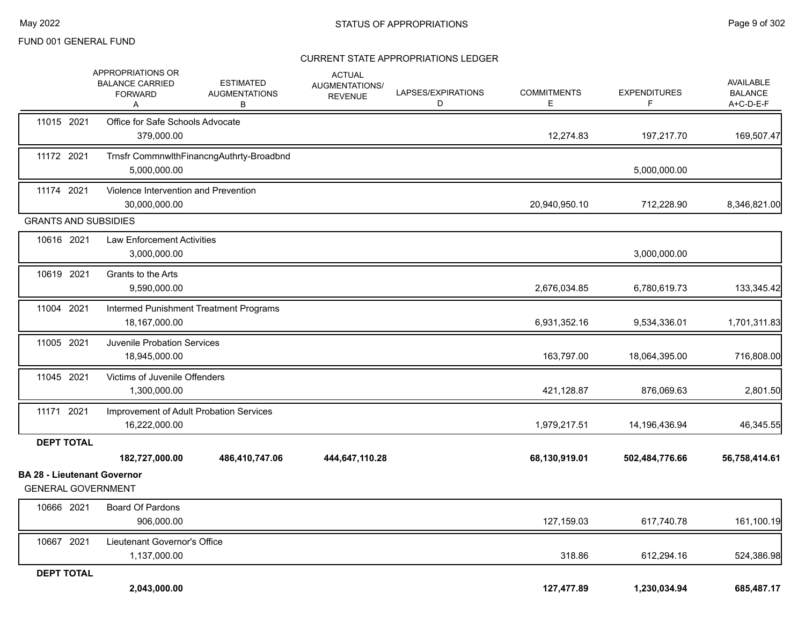|                                                                 | APPROPRIATIONS OR<br><b>BALANCE CARRIED</b><br><b>FORWARD</b><br>A | <b>ESTIMATED</b><br><b>AUGMENTATIONS</b><br>В | <b>ACTUAL</b><br>AUGMENTATIONS/<br><b>REVENUE</b> | LAPSES/EXPIRATIONS<br>D | <b>COMMITMENTS</b><br>E | <b>EXPENDITURES</b><br>F. | AVAILABLE<br><b>BALANCE</b><br>A+C-D-E-F |
|-----------------------------------------------------------------|--------------------------------------------------------------------|-----------------------------------------------|---------------------------------------------------|-------------------------|-------------------------|---------------------------|------------------------------------------|
| 11015 2021                                                      | Office for Safe Schools Advocate<br>379.000.00                     |                                               |                                                   |                         | 12,274.83               | 197,217.70                | 169,507.47                               |
| 11172 2021                                                      | 5,000,000.00                                                       | Trnsfr CommnwlthFinancngAuthrty-Broadbnd      |                                                   |                         |                         | 5,000,000.00              |                                          |
| 11174 2021                                                      | Violence Intervention and Prevention<br>30,000,000.00              |                                               |                                                   |                         | 20,940,950.10           | 712,228.90                | 8,346,821.00                             |
| <b>GRANTS AND SUBSIDIES</b>                                     |                                                                    |                                               |                                                   |                         |                         |                           |                                          |
| 10616 2021                                                      | <b>Law Enforcement Activities</b><br>3,000,000.00                  |                                               |                                                   |                         |                         | 3,000,000.00              |                                          |
| 10619 2021                                                      | Grants to the Arts<br>9,590,000.00                                 |                                               |                                                   |                         | 2,676,034.85            | 6,780,619.73              | 133,345.42                               |
| 11004 2021                                                      | 18,167,000.00                                                      | Intermed Punishment Treatment Programs        |                                                   |                         | 6,931,352.16            | 9,534,336.01              | 1,701,311.83                             |
| 11005 2021                                                      | Juvenile Probation Services<br>18,945,000.00                       |                                               |                                                   |                         | 163,797.00              | 18,064,395.00             | 716,808.00                               |
| 11045 2021                                                      | Victims of Juvenile Offenders<br>1,300,000.00                      |                                               |                                                   |                         | 421,128.87              | 876,069.63                | 2,801.50                                 |
| 11171 2021                                                      | 16,222,000.00                                                      | Improvement of Adult Probation Services       |                                                   |                         | 1,979,217.51            | 14,196,436.94             | 46,345.55                                |
| <b>DEPT TOTAL</b>                                               |                                                                    |                                               |                                                   |                         |                         |                           |                                          |
|                                                                 | 182,727,000.00                                                     | 486,410,747.06                                | 444,647,110.28                                    |                         | 68,130,919.01           | 502,484,776.66            | 56,758,414.61                            |
| <b>BA 28 - Lieutenant Governor</b><br><b>GENERAL GOVERNMENT</b> |                                                                    |                                               |                                                   |                         |                         |                           |                                          |
| 10666 2021                                                      | Board Of Pardons<br>906,000.00                                     |                                               |                                                   |                         | 127,159.03              | 617,740.78                | 161,100.19                               |
| 10667 2021                                                      | Lieutenant Governor's Office<br>1,137,000.00                       |                                               |                                                   |                         | 318.86                  | 612,294.16                | 524,386.98                               |
| <b>DEPT TOTAL</b>                                               |                                                                    |                                               |                                                   |                         |                         |                           |                                          |
|                                                                 | 2,043,000.00                                                       |                                               |                                                   |                         | 127,477.89              | 1,230,034.94              | 685,487.17                               |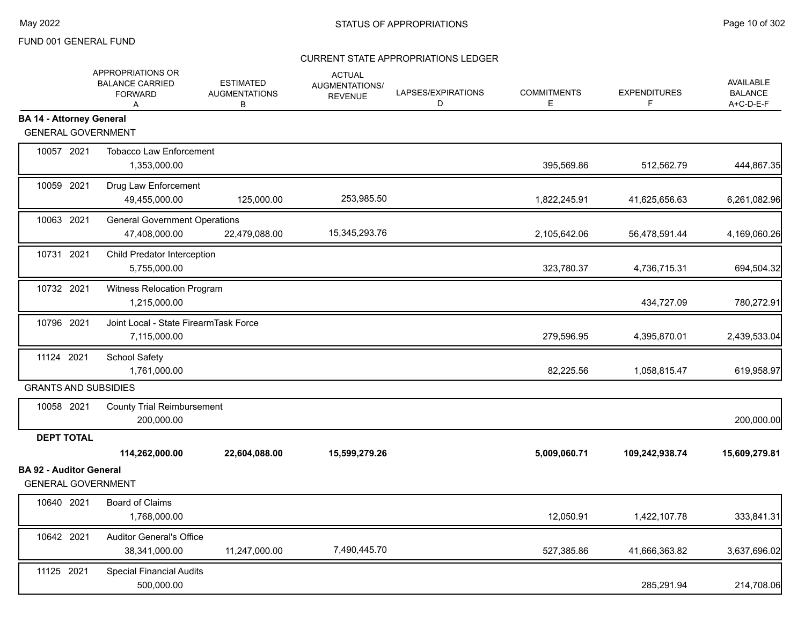|                                                             | APPROPRIATIONS OR<br><b>BALANCE CARRIED</b><br><b>FORWARD</b><br>A | <b>ESTIMATED</b><br><b>AUGMENTATIONS</b><br>B | <b>ACTUAL</b><br>AUGMENTATIONS/<br><b>REVENUE</b> | LAPSES/EXPIRATIONS<br>D | <b>COMMITMENTS</b><br>Е | <b>EXPENDITURES</b><br>F | <b>AVAILABLE</b><br><b>BALANCE</b><br>A+C-D-E-F |
|-------------------------------------------------------------|--------------------------------------------------------------------|-----------------------------------------------|---------------------------------------------------|-------------------------|-------------------------|--------------------------|-------------------------------------------------|
| <b>BA 14 - Attorney General</b>                             |                                                                    |                                               |                                                   |                         |                         |                          |                                                 |
| <b>GENERAL GOVERNMENT</b>                                   |                                                                    |                                               |                                                   |                         |                         |                          |                                                 |
| 10057 2021                                                  | <b>Tobacco Law Enforcement</b><br>1,353,000.00                     |                                               |                                                   |                         | 395,569.86              | 512,562.79               | 444,867.35                                      |
| 10059 2021                                                  | Drug Law Enforcement<br>49,455,000.00                              | 125,000.00                                    | 253,985.50                                        |                         | 1,822,245.91            | 41,625,656.63            | 6,261,082.96                                    |
| 10063 2021                                                  | <b>General Government Operations</b><br>47,408,000.00              | 22,479,088.00                                 | 15,345,293.76                                     |                         | 2,105,642.06            | 56,478,591.44            | 4,169,060.26                                    |
| 10731 2021                                                  | Child Predator Interception<br>5,755,000.00                        |                                               |                                                   |                         | 323,780.37              | 4,736,715.31             | 694,504.32                                      |
| 10732 2021                                                  | Witness Relocation Program<br>1,215,000.00                         |                                               |                                                   |                         |                         | 434,727.09               | 780,272.91                                      |
| 10796 2021                                                  | Joint Local - State FirearmTask Force<br>7,115,000.00              |                                               |                                                   |                         | 279,596.95              | 4,395,870.01             | 2,439,533.04                                    |
| 11124 2021                                                  | School Safety<br>1,761,000.00                                      |                                               |                                                   |                         | 82,225.56               | 1,058,815.47             | 619,958.97                                      |
| <b>GRANTS AND SUBSIDIES</b>                                 |                                                                    |                                               |                                                   |                         |                         |                          |                                                 |
| 10058 2021                                                  | <b>County Trial Reimbursement</b><br>200,000.00                    |                                               |                                                   |                         |                         |                          | 200,000.00                                      |
| <b>DEPT TOTAL</b>                                           |                                                                    |                                               |                                                   |                         |                         |                          |                                                 |
|                                                             | 114,262,000.00                                                     | 22,604,088.00                                 | 15,599,279.26                                     |                         | 5,009,060.71            | 109,242,938.74           | 15,609,279.81                                   |
| <b>BA 92 - Auditor General</b><br><b>GENERAL GOVERNMENT</b> |                                                                    |                                               |                                                   |                         |                         |                          |                                                 |
| 10640 2021                                                  | <b>Board of Claims</b><br>1,768,000.00                             |                                               |                                                   |                         | 12,050.91               | 1,422,107.78             | 333,841.31                                      |
| 10642 2021                                                  | <b>Auditor General's Office</b><br>38,341,000.00                   | 11,247,000.00                                 | 7,490,445.70                                      |                         | 527,385.86              | 41,666,363.82            | 3,637,696.02                                    |
| 11125 2021                                                  | <b>Special Financial Audits</b><br>500,000.00                      |                                               |                                                   |                         |                         | 285,291.94               | 214,708.06                                      |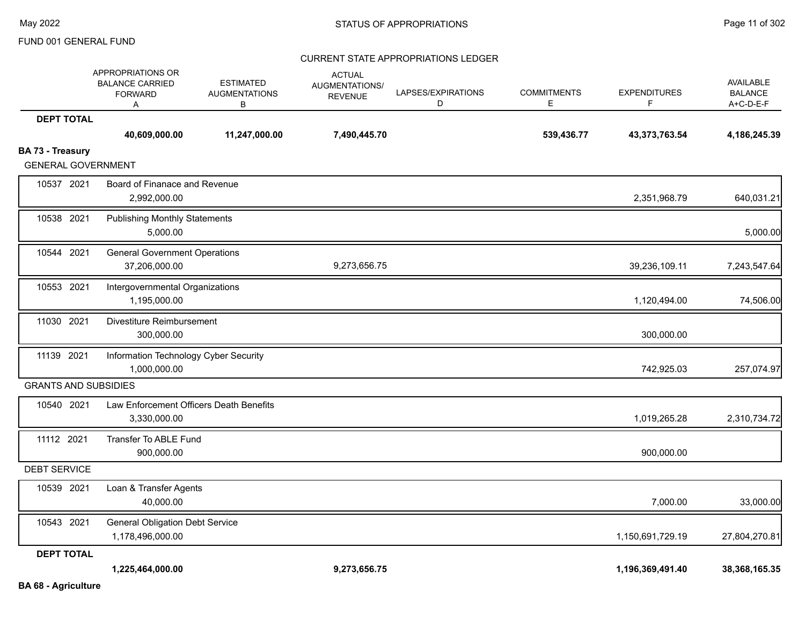|                                               | APPROPRIATIONS OR<br><b>BALANCE CARRIED</b><br><b>FORWARD</b><br>Α | <b>ESTIMATED</b><br><b>AUGMENTATIONS</b><br>в | <b>ACTUAL</b><br>AUGMENTATIONS/<br><b>REVENUE</b> | LAPSES/EXPIRATIONS<br>D | <b>COMMITMENTS</b><br>E | <b>EXPENDITURES</b><br>F | <b>AVAILABLE</b><br><b>BALANCE</b><br>A+C-D-E-F |
|-----------------------------------------------|--------------------------------------------------------------------|-----------------------------------------------|---------------------------------------------------|-------------------------|-------------------------|--------------------------|-------------------------------------------------|
| <b>DEPT TOTAL</b>                             |                                                                    |                                               |                                                   |                         |                         |                          |                                                 |
|                                               | 40,609,000.00                                                      | 11,247,000.00                                 | 7,490,445.70                                      |                         | 539,436.77              | 43,373,763.54            | 4,186,245.39                                    |
| BA 73 - Treasury<br><b>GENERAL GOVERNMENT</b> |                                                                    |                                               |                                                   |                         |                         |                          |                                                 |
|                                               |                                                                    |                                               |                                                   |                         |                         |                          |                                                 |
| 10537 2021                                    | Board of Finanace and Revenue<br>2,992,000.00                      |                                               |                                                   |                         |                         | 2,351,968.79             | 640,031.21                                      |
| 10538 2021                                    | <b>Publishing Monthly Statements</b>                               |                                               |                                                   |                         |                         |                          |                                                 |
|                                               | 5,000.00                                                           |                                               |                                                   |                         |                         |                          | 5,000.00                                        |
| 10544 2021                                    | <b>General Government Operations</b>                               |                                               |                                                   |                         |                         |                          |                                                 |
|                                               | 37,206,000.00                                                      |                                               | 9,273,656.75                                      |                         |                         | 39,236,109.11            | 7,243,547.64                                    |
| 10553 2021                                    | Intergovernmental Organizations                                    |                                               |                                                   |                         |                         |                          |                                                 |
|                                               | 1,195,000.00                                                       |                                               |                                                   |                         |                         | 1,120,494.00             | 74,506.00                                       |
| 11030 2021                                    | Divestiture Reimbursement                                          |                                               |                                                   |                         |                         |                          |                                                 |
|                                               | 300,000.00                                                         |                                               |                                                   |                         |                         | 300,000.00               |                                                 |
| 11139 2021                                    | Information Technology Cyber Security                              |                                               |                                                   |                         |                         |                          |                                                 |
|                                               | 1,000,000.00                                                       |                                               |                                                   |                         |                         | 742,925.03               | 257,074.97                                      |
| <b>GRANTS AND SUBSIDIES</b>                   |                                                                    |                                               |                                                   |                         |                         |                          |                                                 |
| 10540 2021                                    | Law Enforcement Officers Death Benefits                            |                                               |                                                   |                         |                         |                          |                                                 |
|                                               | 3,330,000.00                                                       |                                               |                                                   |                         |                         | 1,019,265.28             | 2,310,734.72                                    |
| 11112 2021                                    | Transfer To ABLE Fund                                              |                                               |                                                   |                         |                         |                          |                                                 |
|                                               | 900,000.00                                                         |                                               |                                                   |                         |                         | 900,000.00               |                                                 |
| <b>DEBT SERVICE</b>                           |                                                                    |                                               |                                                   |                         |                         |                          |                                                 |
| 10539 2021                                    | Loan & Transfer Agents                                             |                                               |                                                   |                         |                         |                          |                                                 |
|                                               | 40,000.00                                                          |                                               |                                                   |                         |                         | 7,000.00                 | 33,000.00                                       |
| 10543 2021                                    | <b>General Obligation Debt Service</b>                             |                                               |                                                   |                         |                         |                          |                                                 |
|                                               | 1,178,496,000.00                                                   |                                               |                                                   |                         |                         | 1,150,691,729.19         | 27,804,270.81                                   |
| <b>DEPT TOTAL</b>                             |                                                                    |                                               |                                                   |                         |                         |                          |                                                 |
|                                               | 1,225,464,000.00                                                   |                                               | 9,273,656.75                                      |                         |                         | 1,196,369,491.40         | 38,368,165.35                                   |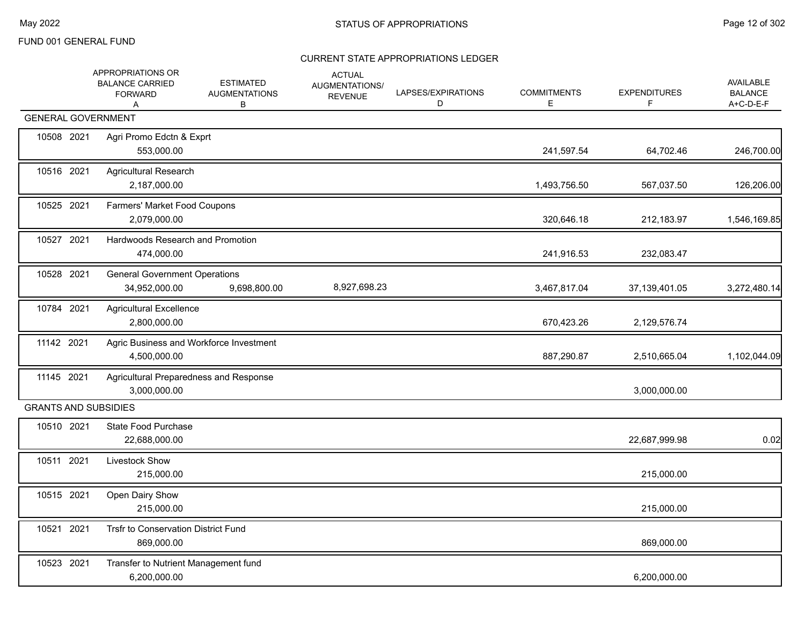|            | APPROPRIATIONS OR<br><b>BALANCE CARRIED</b><br><b>FORWARD</b><br>A | <b>ESTIMATED</b><br><b>AUGMENTATIONS</b><br>В | <b>ACTUAL</b><br>AUGMENTATIONS/<br><b>REVENUE</b> | LAPSES/EXPIRATIONS<br>D | <b>COMMITMENTS</b><br>Е | <b>EXPENDITURES</b><br>F. | <b>AVAILABLE</b><br><b>BALANCE</b><br>A+C-D-E-F |
|------------|--------------------------------------------------------------------|-----------------------------------------------|---------------------------------------------------|-------------------------|-------------------------|---------------------------|-------------------------------------------------|
|            | <b>GENERAL GOVERNMENT</b>                                          |                                               |                                                   |                         |                         |                           |                                                 |
| 10508 2021 | Agri Promo Edctn & Exprt<br>553,000.00                             |                                               |                                                   |                         | 241,597.54              | 64,702.46                 | 246,700.00                                      |
| 10516 2021 | <b>Agricultural Research</b><br>2,187,000.00                       |                                               |                                                   |                         | 1,493,756.50            | 567,037.50                | 126,206.00                                      |
| 10525 2021 | Farmers' Market Food Coupons<br>2,079,000.00                       |                                               |                                                   |                         | 320,646.18              | 212,183.97                | 1,546,169.85                                    |
| 10527 2021 | Hardwoods Research and Promotion<br>474,000.00                     |                                               |                                                   |                         | 241,916.53              | 232,083.47                |                                                 |
| 10528 2021 | <b>General Government Operations</b><br>34,952,000.00              | 9,698,800.00                                  | 8,927,698.23                                      |                         | 3,467,817.04            | 37,139,401.05             | 3,272,480.14                                    |
| 10784 2021 | <b>Agricultural Excellence</b><br>2,800,000.00                     |                                               |                                                   |                         | 670,423.26              | 2,129,576.74              |                                                 |
| 11142 2021 | Agric Business and Workforce Investment<br>4,500,000.00            |                                               |                                                   |                         | 887,290.87              | 2,510,665.04              | 1,102,044.09                                    |
| 11145 2021 | Agricultural Preparedness and Response<br>3,000,000.00             |                                               |                                                   |                         |                         | 3,000,000.00              |                                                 |
|            | <b>GRANTS AND SUBSIDIES</b>                                        |                                               |                                                   |                         |                         |                           |                                                 |
| 10510 2021 | State Food Purchase<br>22,688,000.00                               |                                               |                                                   |                         |                         | 22,687,999.98             | 0.02                                            |
| 10511 2021 | Livestock Show<br>215,000.00                                       |                                               |                                                   |                         |                         | 215,000.00                |                                                 |
| 10515 2021 | Open Dairy Show<br>215,000.00                                      |                                               |                                                   |                         |                         | 215,000.00                |                                                 |
| 10521 2021 | Trsfr to Conservation District Fund<br>869,000.00                  |                                               |                                                   |                         |                         | 869,000.00                |                                                 |
| 10523 2021 | Transfer to Nutrient Management fund<br>6,200,000.00               |                                               |                                                   |                         |                         | 6,200,000.00              |                                                 |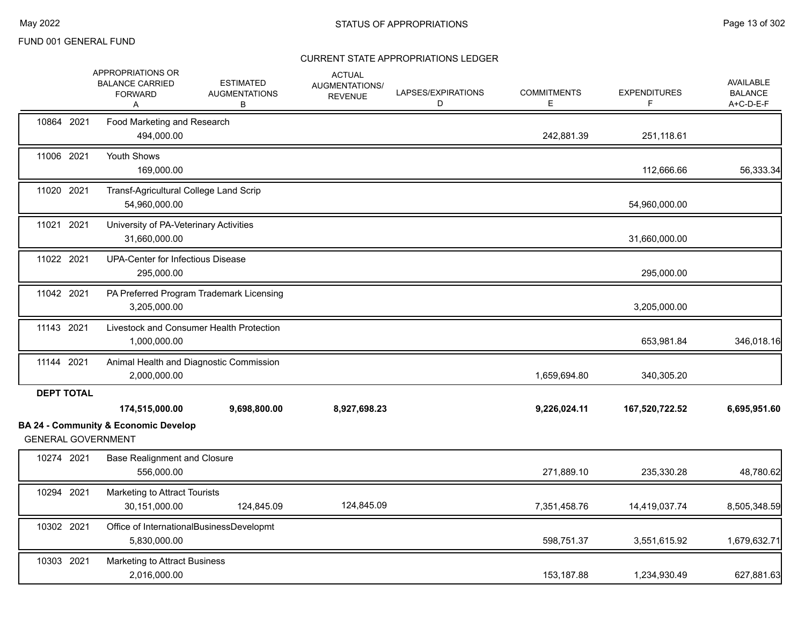|                   | APPROPRIATIONS OR<br><b>BALANCE CARRIED</b><br><b>FORWARD</b><br>Α | <b>ESTIMATED</b><br><b>AUGMENTATIONS</b><br>В | <b>ACTUAL</b><br>AUGMENTATIONS/<br><b>REVENUE</b> | LAPSES/EXPIRATIONS<br>D | <b>COMMITMENTS</b><br>Е | <b>EXPENDITURES</b><br>F. | AVAILABLE<br><b>BALANCE</b><br>A+C-D-E-F |
|-------------------|--------------------------------------------------------------------|-----------------------------------------------|---------------------------------------------------|-------------------------|-------------------------|---------------------------|------------------------------------------|
| 10864 2021        | Food Marketing and Research<br>494,000.00                          |                                               |                                                   |                         | 242,881.39              | 251,118.61                |                                          |
| 11006 2021        | Youth Shows<br>169,000.00                                          |                                               |                                                   |                         |                         | 112,666.66                | 56,333.34                                |
| 11020 2021        | Transf-Agricultural College Land Scrip<br>54,960,000.00            |                                               |                                                   |                         |                         | 54,960,000.00             |                                          |
| 11021 2021        | University of PA-Veterinary Activities<br>31,660,000.00            |                                               |                                                   |                         |                         | 31,660,000.00             |                                          |
| 11022 2021        | <b>UPA-Center for Infectious Disease</b><br>295,000.00             |                                               |                                                   |                         |                         | 295,000.00                |                                          |
| 11042 2021        | 3,205,000.00                                                       | PA Preferred Program Trademark Licensing      |                                                   |                         |                         | 3,205,000.00              |                                          |
| 11143 2021        | 1,000,000.00                                                       | Livestock and Consumer Health Protection      |                                                   |                         |                         | 653,981.84                | 346,018.16                               |
| 11144 2021        | 2,000,000.00                                                       | Animal Health and Diagnostic Commission       |                                                   |                         | 1,659,694.80            | 340,305.20                |                                          |
| <b>DEPT TOTAL</b> | 174,515,000.00<br><b>BA 24 - Community &amp; Economic Develop</b>  | 9,698,800.00                                  | 8,927,698.23                                      |                         | 9,226,024.11            | 167,520,722.52            | 6,695,951.60                             |
|                   | <b>GENERAL GOVERNMENT</b>                                          |                                               |                                                   |                         |                         |                           |                                          |
| 10274 2021        | <b>Base Realignment and Closure</b><br>556,000.00                  |                                               |                                                   |                         | 271,889.10              | 235,330.28                | 48,780.62                                |
| 10294 2021        | Marketing to Attract Tourists<br>30,151,000.00                     | 124,845.09                                    | 124,845.09                                        |                         | 7,351,458.76            | 14,419,037.74             | 8,505,348.59                             |
| 10302 2021        | 5,830,000.00                                                       | Office of InternationalBusinessDevelopmt      |                                                   |                         | 598,751.37              | 3,551,615.92              | 1,679,632.71                             |
| 10303 2021        | Marketing to Attract Business<br>2,016,000.00                      |                                               |                                                   |                         | 153,187.88              | 1,234,930.49              | 627,881.63                               |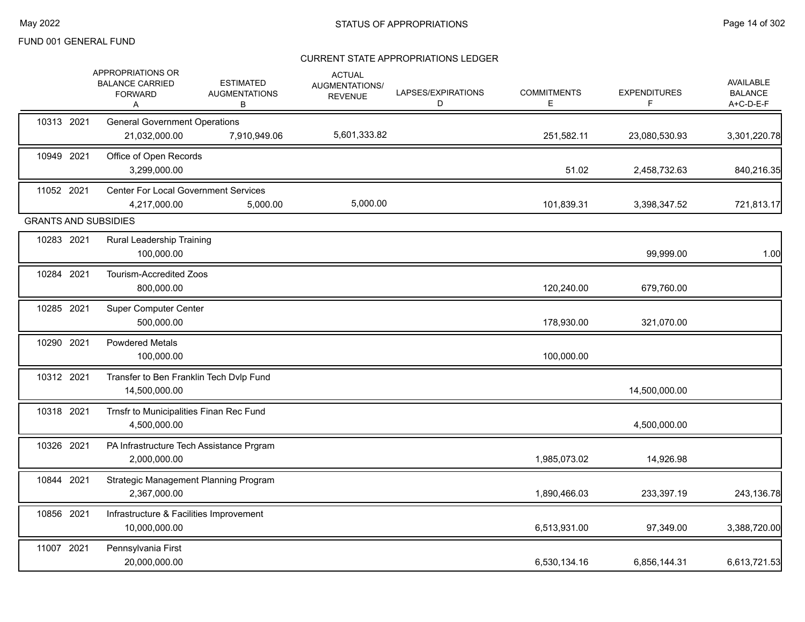|                             | APPROPRIATIONS OR<br><b>BALANCE CARRIED</b><br><b>FORWARD</b><br>A | <b>ESTIMATED</b><br><b>AUGMENTATIONS</b><br>В | <b>ACTUAL</b><br>AUGMENTATIONS/<br><b>REVENUE</b> | LAPSES/EXPIRATIONS<br>D | <b>COMMITMENTS</b><br>Е | <b>EXPENDITURES</b><br>F. | AVAILABLE<br><b>BALANCE</b><br>A+C-D-E-F |
|-----------------------------|--------------------------------------------------------------------|-----------------------------------------------|---------------------------------------------------|-------------------------|-------------------------|---------------------------|------------------------------------------|
| 10313 2021                  | <b>General Government Operations</b><br>21,032,000.00              | 7,910,949.06                                  | 5,601,333.82                                      |                         | 251,582.11              | 23,080,530.93             | 3,301,220.78                             |
| 10949 2021                  | Office of Open Records<br>3,299,000.00                             |                                               |                                                   |                         | 51.02                   | 2,458,732.63              | 840,216.35                               |
| 11052 2021                  | <b>Center For Local Government Services</b><br>4,217,000.00        | 5,000.00                                      | 5,000.00                                          |                         | 101,839.31              | 3,398,347.52              | 721,813.17                               |
| <b>GRANTS AND SUBSIDIES</b> |                                                                    |                                               |                                                   |                         |                         |                           |                                          |
| 10283 2021                  | Rural Leadership Training<br>100,000.00                            |                                               |                                                   |                         |                         | 99,999.00                 | 1.00                                     |
| 10284 2021                  | Tourism-Accredited Zoos<br>800,000.00                              |                                               |                                                   |                         | 120,240.00              | 679,760.00                |                                          |
| 10285 2021                  | <b>Super Computer Center</b><br>500,000.00                         |                                               |                                                   |                         | 178,930.00              | 321,070.00                |                                          |
| 10290 2021                  | <b>Powdered Metals</b><br>100,000.00                               |                                               |                                                   |                         | 100,000.00              |                           |                                          |
| 10312 2021                  | Transfer to Ben Franklin Tech Dvlp Fund<br>14,500,000.00           |                                               |                                                   |                         |                         | 14,500,000.00             |                                          |
| 10318 2021                  | Trnsfr to Municipalities Finan Rec Fund<br>4,500,000.00            |                                               |                                                   |                         |                         | 4,500,000.00              |                                          |
| 10326 2021                  | PA Infrastructure Tech Assistance Prgram<br>2,000,000.00           |                                               |                                                   |                         | 1,985,073.02            | 14,926.98                 |                                          |
| 10844 2021                  | Strategic Management Planning Program<br>2,367,000.00              |                                               |                                                   |                         | 1,890,466.03            | 233,397.19                | 243,136.78                               |
| 10856 2021                  | Infrastructure & Facilities Improvement<br>10,000,000.00           |                                               |                                                   |                         | 6,513,931.00            | 97,349.00                 | 3,388,720.00                             |
| 11007 2021                  | Pennsylvania First<br>20,000,000.00                                |                                               |                                                   |                         | 6,530,134.16            | 6,856,144.31              | 6,613,721.53                             |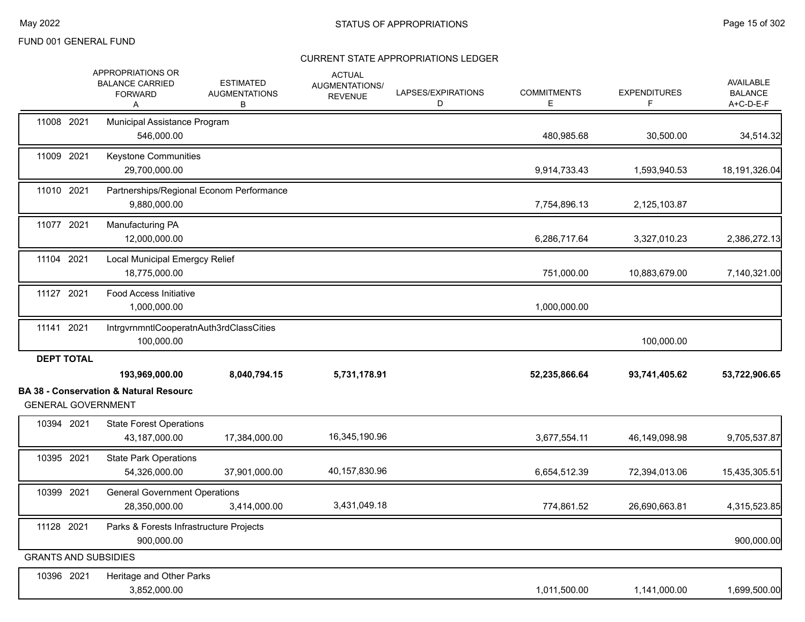|                             | <b>APPROPRIATIONS OR</b><br><b>BALANCE CARRIED</b><br><b>FORWARD</b><br>А                        | <b>ESTIMATED</b><br><b>AUGMENTATIONS</b><br>в | <b>ACTUAL</b><br>AUGMENTATIONS/<br><b>REVENUE</b> | LAPSES/EXPIRATIONS<br>D | <b>COMMITMENTS</b><br>Е | <b>EXPENDITURES</b><br>F | AVAILABLE<br><b>BALANCE</b><br>$A+C-D-E-F$ |
|-----------------------------|--------------------------------------------------------------------------------------------------|-----------------------------------------------|---------------------------------------------------|-------------------------|-------------------------|--------------------------|--------------------------------------------|
| 11008 2021                  | Municipal Assistance Program<br>546,000.00                                                       |                                               |                                                   |                         | 480,985.68              | 30,500.00                | 34,514.32                                  |
| 11009 2021                  | Keystone Communities<br>29,700,000.00                                                            |                                               |                                                   |                         | 9,914,733.43            | 1,593,940.53             | 18,191,326.04                              |
| 11010 2021                  | Partnerships/Regional Econom Performance<br>9,880,000.00                                         |                                               |                                                   |                         | 7,754,896.13            | 2,125,103.87             |                                            |
| 11077 2021                  | Manufacturing PA<br>12,000,000.00                                                                |                                               |                                                   |                         | 6,286,717.64            | 3,327,010.23             | 2,386,272.13                               |
| 11104 2021                  | Local Municipal Emergcy Relief<br>18,775,000.00                                                  |                                               |                                                   |                         | 751,000.00              | 10,883,679.00            | 7,140,321.00                               |
| 11127 2021                  | <b>Food Access Initiative</b><br>1,000,000.00                                                    |                                               |                                                   |                         | 1,000,000.00            |                          |                                            |
| 11141 2021                  | IntrgvrnmntlCooperatnAuth3rdClassCities<br>100,000.00                                            |                                               |                                                   |                         |                         | 100,000.00               |                                            |
| <b>DEPT TOTAL</b>           | 193,969,000.00<br><b>BA 38 - Conservation &amp; Natural Resourc</b><br><b>GENERAL GOVERNMENT</b> | 8,040,794.15                                  | 5,731,178.91                                      |                         | 52,235,866.64           | 93,741,405.62            | 53,722,906.65                              |
| 10394 2021                  | <b>State Forest Operations</b><br>43,187,000.00                                                  | 17,384,000.00                                 | 16,345,190.96                                     |                         | 3,677,554.11            | 46,149,098.98            | 9,705,537.87                               |
| 10395 2021                  | <b>State Park Operations</b><br>54,326,000.00                                                    | 37,901,000.00                                 | 40,157,830.96                                     |                         | 6,654,512.39            | 72,394,013.06            | 15,435,305.51                              |
| 10399 2021                  | <b>General Government Operations</b><br>28,350,000.00                                            | 3,414,000.00                                  | 3,431,049.18                                      |                         | 774,861.52              | 26,690,663.81            | 4,315,523.85                               |
| 11128 2021                  | Parks & Forests Infrastructure Projects<br>900,000.00                                            |                                               |                                                   |                         |                         |                          | 900,000.00                                 |
| <b>GRANTS AND SUBSIDIES</b> |                                                                                                  |                                               |                                                   |                         |                         |                          |                                            |
| 10396 2021                  | Heritage and Other Parks<br>3,852,000.00                                                         |                                               |                                                   |                         | 1,011,500.00            | 1,141,000.00             | 1,699,500.00                               |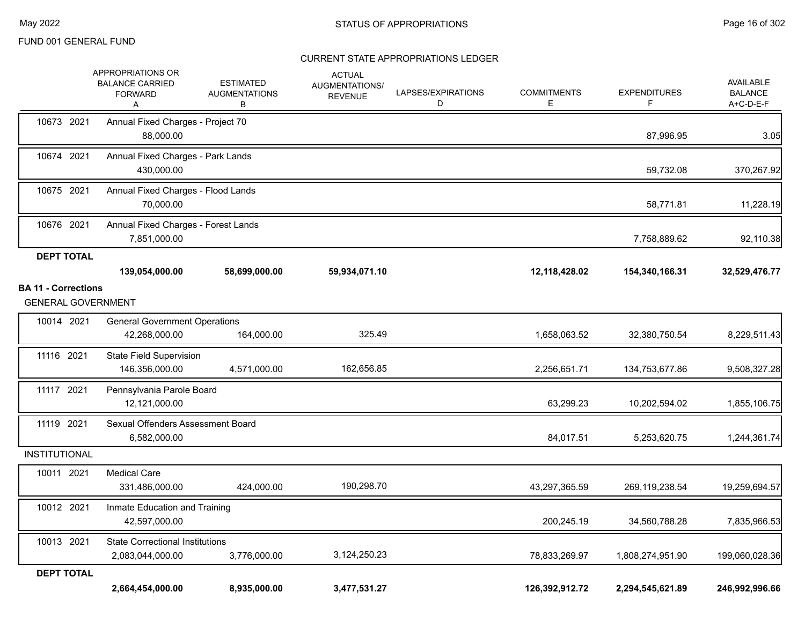|                                                         | <b>APPROPRIATIONS OR</b><br><b>BALANCE CARRIED</b><br><b>FORWARD</b><br>Α | <b>ESTIMATED</b><br><b>AUGMENTATIONS</b><br>В | <b>ACTUAL</b><br>AUGMENTATIONS/<br><b>REVENUE</b> | LAPSES/EXPIRATIONS<br>D | <b>COMMITMENTS</b><br>Е | <b>EXPENDITURES</b><br>F | <b>AVAILABLE</b><br><b>BALANCE</b><br>A+C-D-E-F |
|---------------------------------------------------------|---------------------------------------------------------------------------|-----------------------------------------------|---------------------------------------------------|-------------------------|-------------------------|--------------------------|-------------------------------------------------|
| 10673 2021                                              | Annual Fixed Charges - Project 70<br>88,000.00                            |                                               |                                                   |                         |                         | 87,996.95                | 3.05                                            |
| 10674 2021                                              | Annual Fixed Charges - Park Lands<br>430,000.00                           |                                               |                                                   |                         |                         | 59,732.08                | 370,267.92                                      |
| 10675 2021                                              | Annual Fixed Charges - Flood Lands<br>70,000.00                           |                                               |                                                   |                         |                         | 58,771.81                | 11,228.19                                       |
| 10676 2021                                              | Annual Fixed Charges - Forest Lands<br>7,851,000.00                       |                                               |                                                   |                         |                         | 7,758,889.62             | 92,110.38                                       |
| <b>DEPT TOTAL</b>                                       |                                                                           |                                               |                                                   |                         |                         |                          |                                                 |
|                                                         | 139,054,000.00                                                            | 58,699,000.00                                 | 59,934,071.10                                     |                         | 12,118,428.02           | 154,340,166.31           | 32,529,476.77                                   |
| <b>BA 11 - Corrections</b><br><b>GENERAL GOVERNMENT</b> |                                                                           |                                               |                                                   |                         |                         |                          |                                                 |
| 10014 2021                                              | <b>General Government Operations</b><br>42,268,000.00                     | 164,000.00                                    | 325.49                                            |                         | 1,658,063.52            | 32,380,750.54            | 8,229,511.43                                    |
| 11116 2021                                              | <b>State Field Supervision</b><br>146,356,000.00                          | 4,571,000.00                                  | 162,656.85                                        |                         | 2,256,651.71            | 134,753,677.86           | 9,508,327.28                                    |
| 11117 2021                                              | Pennsylvania Parole Board<br>12,121,000.00                                |                                               |                                                   |                         | 63,299.23               | 10,202,594.02            | 1,855,106.75                                    |
| 11119 2021                                              | Sexual Offenders Assessment Board<br>6,582,000.00                         |                                               |                                                   |                         | 84,017.51               | 5,253,620.75             | 1,244,361.74                                    |
| <b>INSTITUTIONAL</b>                                    |                                                                           |                                               |                                                   |                         |                         |                          |                                                 |
| 10011 2021                                              | <b>Medical Care</b><br>331,486,000.00                                     | 424,000.00                                    | 190,298.70                                        |                         | 43,297,365.59           | 269,119,238.54           | 19,259,694.57                                   |
| 10012 2021                                              | Inmate Education and Training<br>42,597,000.00                            |                                               |                                                   |                         | 200,245.19              | 34,560,788.28            | 7,835,966.53                                    |
| 10013 2021                                              | <b>State Correctional Institutions</b><br>2,083,044,000.00                | 3,776,000.00                                  | 3,124,250.23                                      |                         | 78,833,269.97           | 1,808,274,951.90         | 199,060,028.36                                  |
| <b>DEPT TOTAL</b>                                       | 2,664,454,000.00                                                          | 8,935,000.00                                  | 3,477,531.27                                      |                         | 126,392,912.72          | 2,294,545,621.89         | 246,992,996.66                                  |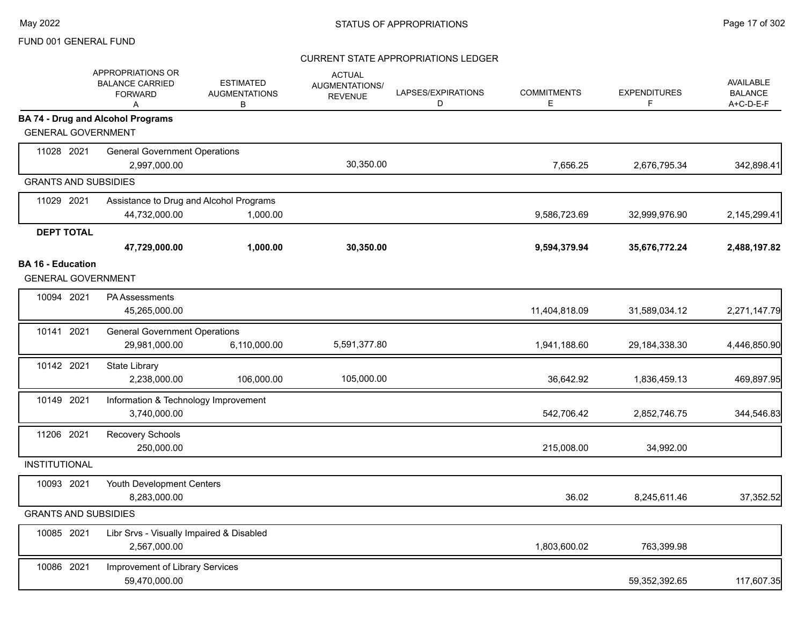|                             | <b>APPROPRIATIONS OR</b><br><b>BALANCE CARRIED</b><br><b>FORWARD</b><br>Α | <b>ESTIMATED</b><br><b>AUGMENTATIONS</b><br>В | <b>ACTUAL</b><br>AUGMENTATIONS/<br><b>REVENUE</b> | LAPSES/EXPIRATIONS<br>D | <b>COMMITMENTS</b><br>Е | <b>EXPENDITURES</b><br>F. | <b>AVAILABLE</b><br><b>BALANCE</b><br>A+C-D-E-F |
|-----------------------------|---------------------------------------------------------------------------|-----------------------------------------------|---------------------------------------------------|-------------------------|-------------------------|---------------------------|-------------------------------------------------|
| <b>GENERAL GOVERNMENT</b>   | <b>BA 74 - Drug and Alcohol Programs</b>                                  |                                               |                                                   |                         |                         |                           |                                                 |
| 11028 2021                  | <b>General Government Operations</b><br>2,997,000.00                      |                                               | 30,350.00                                         |                         | 7,656.25                | 2,676,795.34              | 342,898.41                                      |
| <b>GRANTS AND SUBSIDIES</b> |                                                                           |                                               |                                                   |                         |                         |                           |                                                 |
| 11029 2021                  | Assistance to Drug and Alcohol Programs                                   |                                               |                                                   |                         |                         |                           |                                                 |
|                             | 44,732,000.00                                                             | 1,000.00                                      |                                                   |                         | 9,586,723.69            | 32,999,976.90             | 2,145,299.41                                    |
| <b>DEPT TOTAL</b>           |                                                                           |                                               |                                                   |                         |                         |                           |                                                 |
|                             | 47,729,000.00                                                             | 1,000.00                                      | 30,350.00                                         |                         | 9,594,379.94            | 35,676,772.24             | 2,488,197.82                                    |
| <b>BA 16 - Education</b>    |                                                                           |                                               |                                                   |                         |                         |                           |                                                 |
| <b>GENERAL GOVERNMENT</b>   |                                                                           |                                               |                                                   |                         |                         |                           |                                                 |
| 10094 2021                  | <b>PA Assessments</b><br>45,265,000.00                                    |                                               |                                                   |                         | 11,404,818.09           | 31,589,034.12             | 2,271,147.79                                    |
| 10141 2021                  | <b>General Government Operations</b><br>29,981,000.00                     | 6,110,000.00                                  | 5,591,377.80                                      |                         | 1,941,188.60            | 29,184,338.30             | 4,446,850.90                                    |
| 10142 2021                  | <b>State Library</b><br>2,238,000.00                                      | 106,000.00                                    | 105,000.00                                        |                         | 36,642.92               | 1,836,459.13              | 469,897.95                                      |
| 10149 2021                  | Information & Technology Improvement<br>3,740,000.00                      |                                               |                                                   |                         | 542,706.42              | 2,852,746.75              | 344,546.83                                      |
| 11206 2021                  | Recovery Schools<br>250,000.00                                            |                                               |                                                   |                         | 215,008.00              | 34,992.00                 |                                                 |
| <b>INSTITUTIONAL</b>        |                                                                           |                                               |                                                   |                         |                         |                           |                                                 |
| 10093 2021                  | Youth Development Centers<br>8,283,000.00                                 |                                               |                                                   |                         | 36.02                   | 8,245,611.46              | 37,352.52                                       |
| <b>GRANTS AND SUBSIDIES</b> |                                                                           |                                               |                                                   |                         |                         |                           |                                                 |
| 10085 2021                  | Libr Srvs - Visually Impaired & Disabled<br>2,567,000.00                  |                                               |                                                   |                         | 1,803,600.02            | 763,399.98                |                                                 |
| 10086 2021                  | Improvement of Library Services<br>59,470,000.00                          |                                               |                                                   |                         |                         | 59,352,392.65             | 117,607.35                                      |
|                             |                                                                           |                                               |                                                   |                         |                         |                           |                                                 |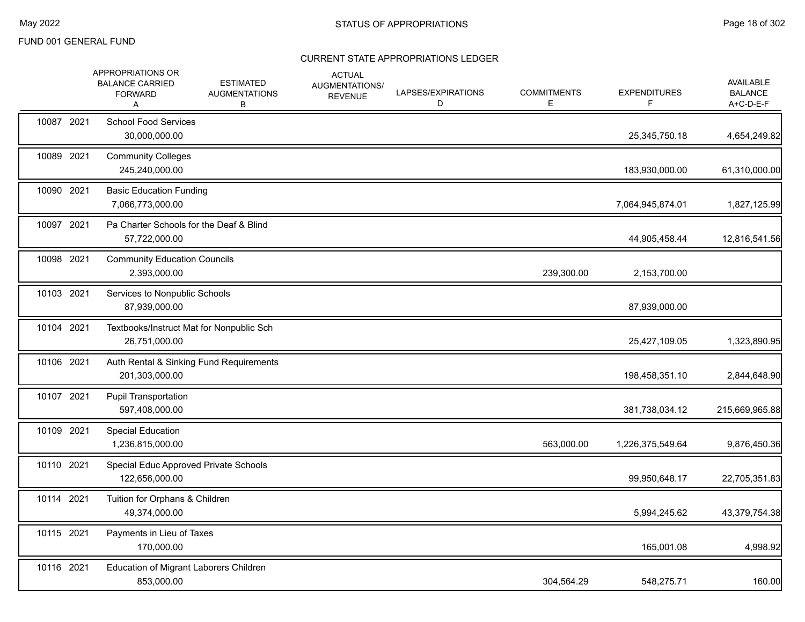|            | APPROPRIATIONS OR<br><b>BALANCE CARRIED</b><br><b>FORWARD</b><br>A | <b>ESTIMATED</b><br><b>AUGMENTATIONS</b><br>В | <b>ACTUAL</b><br>AUGMENTATIONS/<br><b>REVENUE</b> | LAPSES/EXPIRATIONS<br>D | <b>COMMITMENTS</b><br>Е | <b>EXPENDITURES</b><br>F | AVAILABLE<br><b>BALANCE</b><br>A+C-D-E-F |
|------------|--------------------------------------------------------------------|-----------------------------------------------|---------------------------------------------------|-------------------------|-------------------------|--------------------------|------------------------------------------|
| 10087 2021 | <b>School Food Services</b><br>30,000,000.00                       |                                               |                                                   |                         |                         | 25,345,750.18            | 4,654,249.82                             |
| 10089 2021 | <b>Community Colleges</b><br>245,240,000.00                        |                                               |                                                   |                         |                         | 183,930,000.00           | 61,310,000.00                            |
| 10090 2021 | <b>Basic Education Funding</b><br>7,066,773,000.00                 |                                               |                                                   |                         |                         | 7,064,945,874.01         | 1,827,125.99                             |
| 10097 2021 | Pa Charter Schools for the Deaf & Blind<br>57,722,000.00           |                                               |                                                   |                         |                         | 44,905,458.44            | 12,816,541.56                            |
| 10098 2021 | <b>Community Education Councils</b><br>2,393,000.00                |                                               |                                                   |                         | 239,300.00              | 2,153,700.00             |                                          |
| 10103 2021 | Services to Nonpublic Schools<br>87,939,000.00                     |                                               |                                                   |                         |                         | 87,939,000.00            |                                          |
| 10104 2021 | Textbooks/Instruct Mat for Nonpublic Sch<br>26,751,000.00          |                                               |                                                   |                         |                         | 25,427,109.05            | 1,323,890.95                             |
| 10106 2021 | Auth Rental & Sinking Fund Requirements<br>201,303,000.00          |                                               |                                                   |                         |                         | 198,458,351.10           | 2,844,648.90                             |
| 10107 2021 | <b>Pupil Transportation</b><br>597,408,000.00                      |                                               |                                                   |                         |                         | 381,738,034.12           | 215,669,965.88                           |
| 10109 2021 | <b>Special Education</b><br>1,236,815,000.00                       |                                               |                                                   |                         | 563,000.00              | 1,226,375,549.64         | 9,876,450.36                             |
| 10110 2021 | Special Educ Approved Private Schools<br>122,656,000.00            |                                               |                                                   |                         |                         | 99,950,648.17            | 22,705,351.83                            |
| 10114 2021 | Tuition for Orphans & Children<br>49,374,000.00                    |                                               |                                                   |                         |                         | 5,994,245.62             | 43,379,754.38                            |
| 10115 2021 | Payments in Lieu of Taxes<br>170,000.00                            |                                               |                                                   |                         |                         | 165,001.08               | 4,998.92                                 |
| 10116 2021 | Education of Migrant Laborers Children<br>853,000.00               |                                               |                                                   |                         | 304,564.29              | 548,275.71               | 160.00                                   |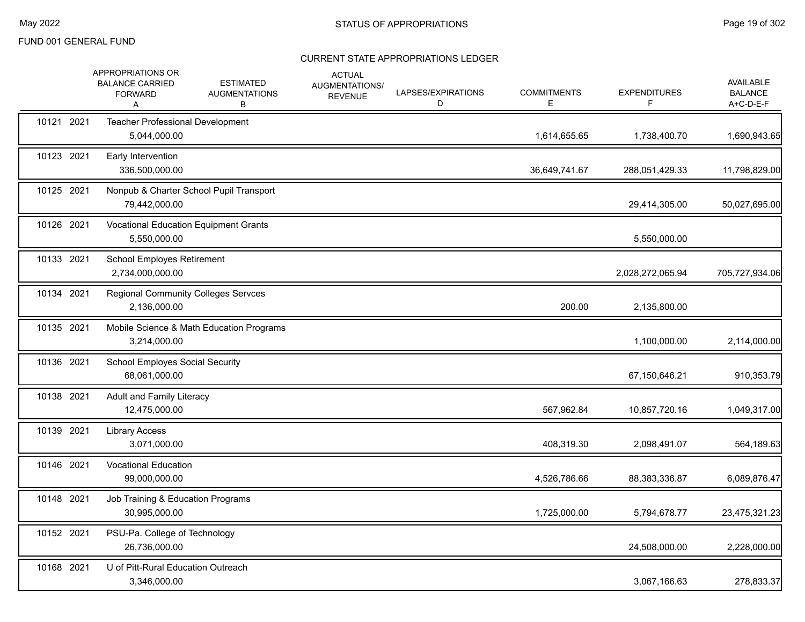|            | APPROPRIATIONS OR<br><b>BALANCE CARRIED</b><br><b>FORWARD</b><br>A | <b>ESTIMATED</b><br><b>AUGMENTATIONS</b><br>В | <b>ACTUAL</b><br>AUGMENTATIONS/<br><b>REVENUE</b> | LAPSES/EXPIRATIONS<br>D | <b>COMMITMENTS</b><br>Е | <b>EXPENDITURES</b><br>F | <b>AVAILABLE</b><br><b>BALANCE</b><br>A+C-D-E-F |
|------------|--------------------------------------------------------------------|-----------------------------------------------|---------------------------------------------------|-------------------------|-------------------------|--------------------------|-------------------------------------------------|
| 10121 2021 | Teacher Professional Development<br>5,044,000.00                   |                                               |                                                   |                         | 1,614,655.65            | 1,738,400.70             | 1,690,943.65                                    |
| 10123 2021 | Early Intervention<br>336,500,000.00                               |                                               |                                                   |                         | 36,649,741.67           | 288,051,429.33           | 11,798,829.00                                   |
| 10125 2021 | 79,442,000.00                                                      | Nonpub & Charter School Pupil Transport       |                                                   |                         |                         | 29,414,305.00            | 50,027,695.00                                   |
| 10126 2021 | 5,550,000.00                                                       | Vocational Education Equipment Grants         |                                                   |                         |                         | 5,550,000.00             |                                                 |
| 10133 2021 | School Employes Retirement<br>2,734,000,000.00                     |                                               |                                                   |                         |                         | 2,028,272,065.94         | 705,727,934.06                                  |
| 10134 2021 | 2,136,000.00                                                       | <b>Regional Community Colleges Servces</b>    |                                                   |                         | 200.00                  | 2,135,800.00             |                                                 |
| 10135 2021 | 3,214,000.00                                                       | Mobile Science & Math Education Programs      |                                                   |                         |                         | 1,100,000.00             | 2,114,000.00                                    |
| 10136 2021 | <b>School Employes Social Security</b><br>68,061,000.00            |                                               |                                                   |                         |                         | 67,150,646.21            | 910,353.79                                      |
| 10138 2021 | Adult and Family Literacy<br>12,475,000.00                         |                                               |                                                   |                         | 567,962.84              | 10,857,720.16            | 1,049,317.00                                    |
| 10139 2021 | <b>Library Access</b><br>3,071,000.00                              |                                               |                                                   |                         | 408,319.30              | 2,098,491.07             | 564,189.63                                      |
| 10146 2021 | <b>Vocational Education</b><br>99,000,000.00                       |                                               |                                                   |                         | 4,526,786.66            | 88,383,336.87            | 6,089,876.47                                    |
| 10148 2021 | Job Training & Education Programs<br>30,995,000.00                 |                                               |                                                   |                         | 1,725,000.00            | 5,794,678.77             | 23,475,321.23                                   |
| 10152 2021 | PSU-Pa. College of Technology<br>26,736,000.00                     |                                               |                                                   |                         |                         | 24,508,000.00            | 2,228,000.00                                    |
| 10168 2021 | U of Pitt-Rural Education Outreach<br>3,346,000.00                 |                                               |                                                   |                         |                         | 3,067,166.63             | 278,833.37                                      |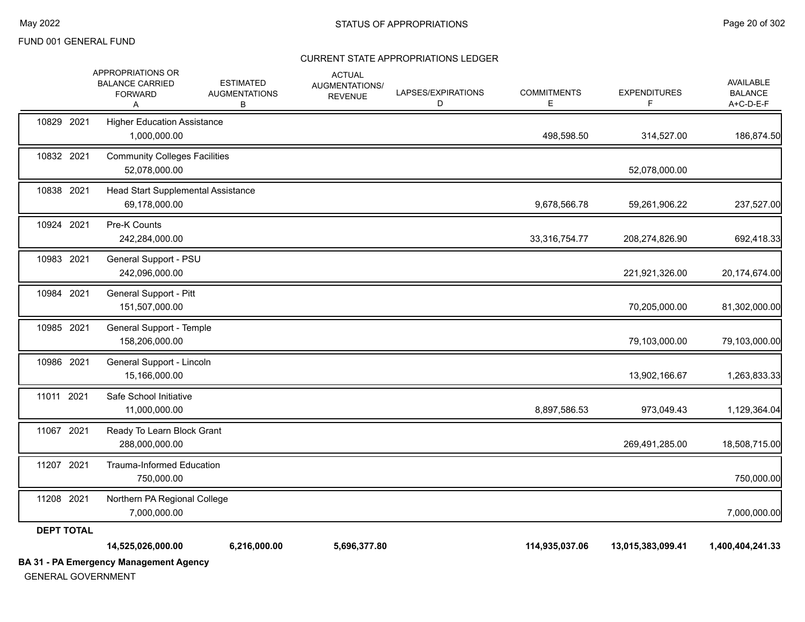|                   | APPROPRIATIONS OR<br><b>BALANCE CARRIED</b><br><b>FORWARD</b> | <b>ESTIMATED</b><br><b>AUGMENTATIONS</b> | <b>ACTUAL</b><br>AUGMENTATIONS/<br><b>REVENUE</b> | LAPSES/EXPIRATIONS<br>D | <b>COMMITMENTS</b><br>E. | <b>EXPENDITURES</b> | AVAILABLE<br><b>BALANCE</b><br>A+C-D-E-F |
|-------------------|---------------------------------------------------------------|------------------------------------------|---------------------------------------------------|-------------------------|--------------------------|---------------------|------------------------------------------|
| 10829 2021        | Α<br><b>Higher Education Assistance</b><br>1,000,000.00       | В                                        |                                                   |                         | 498,598.50               | 314,527.00          | 186,874.50                               |
| 10832 2021        | <b>Community Colleges Facilities</b><br>52,078,000.00         |                                          |                                                   |                         |                          | 52,078,000.00       |                                          |
| 10838 2021        | Head Start Supplemental Assistance<br>69,178,000.00           |                                          |                                                   |                         | 9,678,566.78             | 59,261,906.22       | 237,527.00                               |
| 10924 2021        | Pre-K Counts<br>242,284,000.00                                |                                          |                                                   |                         | 33,316,754.77            | 208,274,826.90      | 692,418.33                               |
| 10983 2021        | General Support - PSU<br>242,096,000.00                       |                                          |                                                   |                         |                          | 221,921,326.00      | 20,174,674.00                            |
| 10984 2021        | General Support - Pitt<br>151,507,000.00                      |                                          |                                                   |                         |                          | 70,205,000.00       | 81,302,000.00                            |
| 10985 2021        | General Support - Temple<br>158,206,000.00                    |                                          |                                                   |                         |                          | 79,103,000.00       | 79,103,000.00                            |
| 10986 2021        | General Support - Lincoln<br>15,166,000.00                    |                                          |                                                   |                         |                          | 13,902,166.67       | 1,263,833.33                             |
| 11011 2021        | Safe School Initiative<br>11,000,000.00                       |                                          |                                                   |                         | 8,897,586.53             | 973,049.43          | 1,129,364.04                             |
| 11067 2021        | Ready To Learn Block Grant<br>288,000,000.00                  |                                          |                                                   |                         |                          | 269,491,285.00      | 18,508,715.00                            |
| 11207 2021        | <b>Trauma-Informed Education</b><br>750,000.00                |                                          |                                                   |                         |                          |                     | 750,000.00                               |
| 11208 2021        | Northern PA Regional College<br>7,000,000.00                  |                                          |                                                   |                         |                          |                     | 7,000,000.00                             |
| <b>DEPT TOTAL</b> |                                                               |                                          |                                                   |                         |                          |                     |                                          |
|                   | 14,525,026,000.00                                             | 6,216,000.00                             | 5,696,377.80                                      |                         | 114,935,037.06           | 13,015,383,099.41   | 1,400,404,241.33                         |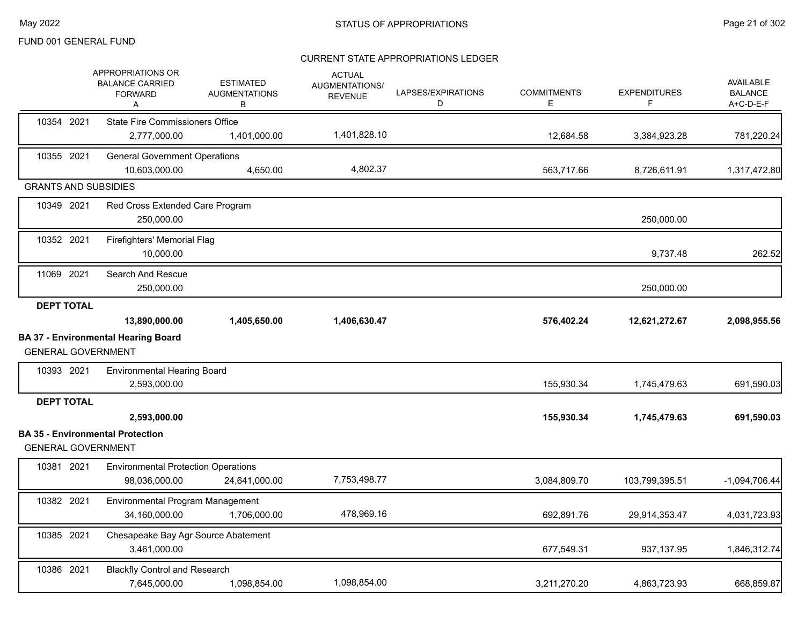|                             | <b>APPROPRIATIONS OR</b><br><b>BALANCE CARRIED</b><br><b>FORWARD</b><br>Α | <b>ESTIMATED</b><br><b>AUGMENTATIONS</b><br>В | <b>ACTUAL</b><br>AUGMENTATIONS/<br><b>REVENUE</b> | LAPSES/EXPIRATIONS<br>D | <b>COMMITMENTS</b><br>E. | <b>EXPENDITURES</b><br>F | <b>AVAILABLE</b><br><b>BALANCE</b><br>A+C-D-E-F |
|-----------------------------|---------------------------------------------------------------------------|-----------------------------------------------|---------------------------------------------------|-------------------------|--------------------------|--------------------------|-------------------------------------------------|
| 10354 2021                  | <b>State Fire Commissioners Office</b>                                    |                                               |                                                   |                         |                          |                          |                                                 |
|                             | 2,777,000.00                                                              | 1,401,000.00                                  | 1,401,828.10                                      |                         | 12,684.58                | 3,384,923.28             | 781,220.24                                      |
| 10355 2021                  | <b>General Government Operations</b><br>10,603,000.00                     | 4,650.00                                      | 4,802.37                                          |                         | 563,717.66               | 8,726,611.91             | 1,317,472.80                                    |
| <b>GRANTS AND SUBSIDIES</b> |                                                                           |                                               |                                                   |                         |                          |                          |                                                 |
| 10349 2021                  | Red Cross Extended Care Program<br>250,000.00                             |                                               |                                                   |                         |                          | 250,000.00               |                                                 |
| 10352 2021                  | Firefighters' Memorial Flag<br>10,000.00                                  |                                               |                                                   |                         |                          | 9,737.48                 | 262.52                                          |
| 11069 2021                  | Search And Rescue<br>250,000.00                                           |                                               |                                                   |                         |                          | 250,000.00               |                                                 |
| <b>DEPT TOTAL</b>           | 13,890,000.00                                                             | 1,405,650.00                                  | 1,406,630.47                                      |                         | 576,402.24               | 12,621,272.67            | 2,098,955.56                                    |
| <b>GENERAL GOVERNMENT</b>   | <b>BA 37 - Environmental Hearing Board</b>                                |                                               |                                                   |                         |                          |                          |                                                 |
| 10393 2021                  | <b>Environmental Hearing Board</b><br>2,593,000.00                        |                                               |                                                   |                         | 155,930.34               | 1,745,479.63             | 691,590.03                                      |
| <b>DEPT TOTAL</b>           |                                                                           |                                               |                                                   |                         |                          |                          |                                                 |
|                             | 2,593,000.00                                                              |                                               |                                                   |                         | 155,930.34               | 1,745,479.63             | 691,590.03                                      |
| <b>GENERAL GOVERNMENT</b>   | <b>BA 35 - Environmental Protection</b>                                   |                                               |                                                   |                         |                          |                          |                                                 |
| 10381 2021                  | <b>Environmental Protection Operations</b><br>98,036,000.00               | 24,641,000.00                                 | 7,753,498.77                                      |                         | 3,084,809.70             | 103,799,395.51           | $-1,094,706.44$                                 |
| 10382 2021                  | Environmental Program Management<br>34,160,000.00                         | 1,706,000.00                                  | 478,969.16                                        |                         | 692,891.76               | 29,914,353.47            | 4,031,723.93                                    |
| 10385 2021                  | Chesapeake Bay Agr Source Abatement<br>3,461,000.00                       |                                               |                                                   |                         | 677,549.31               | 937,137.95               | 1,846,312.74                                    |
| 10386 2021                  | <b>Blackfly Control and Research</b><br>7,645,000.00                      | 1,098,854.00                                  | 1,098,854.00                                      |                         | 3,211,270.20             | 4,863,723.93             | 668,859.87                                      |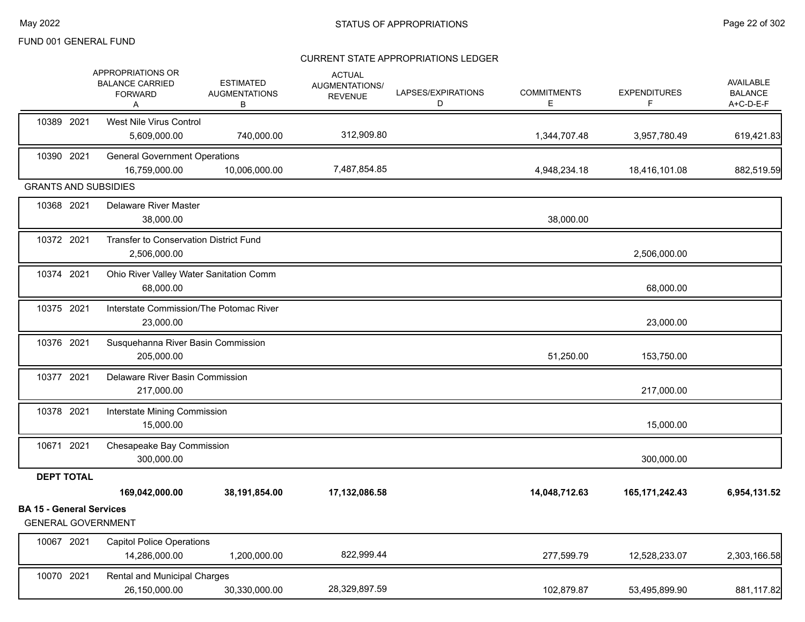|                                                              | APPROPRIATIONS OR<br><b>BALANCE CARRIED</b><br><b>FORWARD</b><br>A | <b>ESTIMATED</b><br><b>AUGMENTATIONS</b><br>В | <b>ACTUAL</b><br>AUGMENTATIONS/<br><b>REVENUE</b> | LAPSES/EXPIRATIONS<br>D | <b>COMMITMENTS</b><br>Е | <b>EXPENDITURES</b><br>F | AVAILABLE<br><b>BALANCE</b><br>A+C-D-E-F |
|--------------------------------------------------------------|--------------------------------------------------------------------|-----------------------------------------------|---------------------------------------------------|-------------------------|-------------------------|--------------------------|------------------------------------------|
| 10389 2021                                                   | West Nile Virus Control<br>5,609,000.00                            | 740,000.00                                    | 312,909.80                                        |                         | 1,344,707.48            | 3,957,780.49             | 619,421.83                               |
| 10390 2021                                                   | <b>General Government Operations</b><br>16,759,000.00              | 10,006,000.00                                 | 7,487,854.85                                      |                         | 4,948,234.18            | 18,416,101.08            | 882,519.59                               |
| <b>GRANTS AND SUBSIDIES</b>                                  |                                                                    |                                               |                                                   |                         |                         |                          |                                          |
| 10368 2021                                                   | <b>Delaware River Master</b><br>38,000.00                          |                                               |                                                   |                         | 38,000.00               |                          |                                          |
| 10372 2021                                                   | Transfer to Conservation District Fund<br>2,506,000.00             |                                               |                                                   |                         |                         | 2,506,000.00             |                                          |
| 10374 2021                                                   | Ohio River Valley Water Sanitation Comm<br>68,000.00               |                                               |                                                   |                         |                         | 68,000.00                |                                          |
| 10375 2021                                                   | Interstate Commission/The Potomac River<br>23,000.00               |                                               |                                                   |                         |                         | 23,000.00                |                                          |
| 10376 2021                                                   | Susquehanna River Basin Commission<br>205,000.00                   |                                               |                                                   |                         | 51,250.00               | 153,750.00               |                                          |
| 10377 2021                                                   | Delaware River Basin Commission<br>217,000.00                      |                                               |                                                   |                         |                         | 217,000.00               |                                          |
| 10378 2021                                                   | Interstate Mining Commission<br>15,000.00                          |                                               |                                                   |                         |                         | 15,000.00                |                                          |
| 10671 2021                                                   | Chesapeake Bay Commission<br>300,000.00                            |                                               |                                                   |                         |                         | 300,000.00               |                                          |
| <b>DEPT TOTAL</b>                                            |                                                                    |                                               |                                                   |                         |                         |                          |                                          |
|                                                              | 169,042,000.00                                                     | 38,191,854.00                                 | 17,132,086.58                                     |                         | 14,048,712.63           | 165, 171, 242. 43        | 6,954,131.52                             |
| <b>BA 15 - General Services</b><br><b>GENERAL GOVERNMENT</b> |                                                                    |                                               |                                                   |                         |                         |                          |                                          |
| 10067 2021                                                   | <b>Capitol Police Operations</b><br>14,286,000.00                  | 1,200,000.00                                  | 822,999.44                                        |                         | 277,599.79              | 12,528,233.07            | 2,303,166.58                             |
| 10070 2021                                                   | <b>Rental and Municipal Charges</b><br>26,150,000.00               | 30,330,000.00                                 | 28,329,897.59                                     |                         | 102,879.87              | 53,495,899.90            | 881,117.82                               |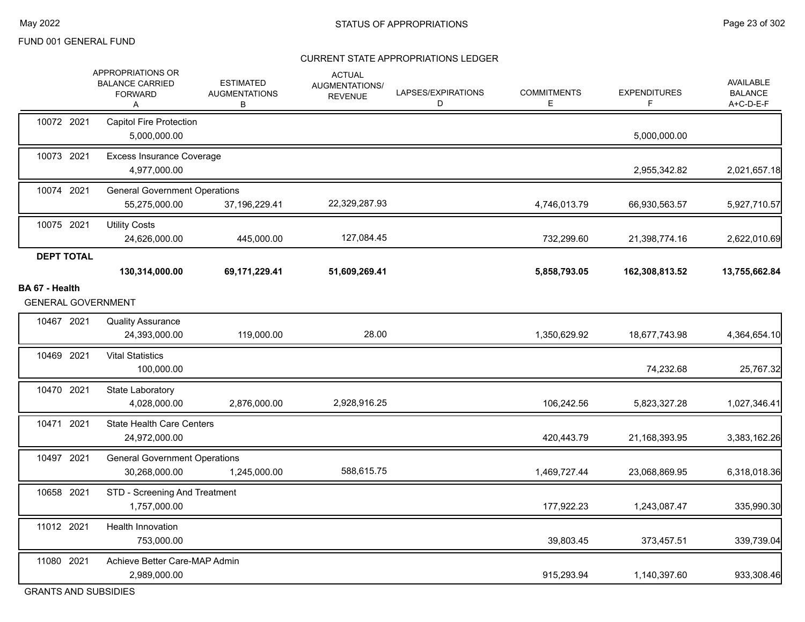#### CURRENT STATE APPROPRIATIONS LEDGER

|                                             | APPROPRIATIONS OR<br><b>BALANCE CARRIED</b><br><b>FORWARD</b><br>Α | <b>ESTIMATED</b><br><b>AUGMENTATIONS</b><br>В | <b>ACTUAL</b><br>AUGMENTATIONS/<br><b>REVENUE</b> | LAPSES/EXPIRATIONS<br>D | <b>COMMITMENTS</b><br>E. | <b>EXPENDITURES</b><br>F. | AVAILABLE<br><b>BALANCE</b><br>A+C-D-E-F |
|---------------------------------------------|--------------------------------------------------------------------|-----------------------------------------------|---------------------------------------------------|-------------------------|--------------------------|---------------------------|------------------------------------------|
| 10072 2021                                  | <b>Capitol Fire Protection</b><br>5,000,000.00                     |                                               |                                                   |                         |                          | 5,000,000.00              |                                          |
| 10073 2021                                  | <b>Excess Insurance Coverage</b><br>4,977,000.00                   |                                               |                                                   |                         |                          | 2,955,342.82              | 2,021,657.18                             |
| 10074 2021                                  | <b>General Government Operations</b><br>55,275,000.00              | 37,196,229.41                                 | 22,329,287.93                                     |                         | 4,746,013.79             | 66,930,563.57             | 5,927,710.57                             |
| 10075 2021                                  | <b>Utility Costs</b><br>24,626,000.00                              | 445,000.00                                    | 127,084.45                                        |                         | 732,299.60               | 21,398,774.16             | 2,622,010.69                             |
| <b>DEPT TOTAL</b>                           | 130,314,000.00                                                     | 69,171,229.41                                 | 51,609,269.41                                     |                         | 5,858,793.05             | 162,308,813.52            | 13,755,662.84                            |
| BA 67 - Health<br><b>GENERAL GOVERNMENT</b> |                                                                    |                                               |                                                   |                         |                          |                           |                                          |
| 10467 2021                                  | <b>Quality Assurance</b><br>24,393,000.00                          | 119,000.00                                    | 28.00                                             |                         | 1,350,629.92             | 18,677,743.98             | 4,364,654.10                             |
| 10469 2021                                  | <b>Vital Statistics</b><br>100,000.00                              |                                               |                                                   |                         |                          | 74,232.68                 | 25,767.32                                |
| 10470 2021                                  | State Laboratory<br>4,028,000.00                                   | 2,876,000.00                                  | 2,928,916.25                                      |                         | 106,242.56               | 5,823,327.28              | 1,027,346.41                             |
| 10471 2021                                  | <b>State Health Care Centers</b><br>24,972,000.00                  |                                               |                                                   |                         | 420,443.79               | 21,168,393.95             | 3,383,162.26                             |
| 10497 2021                                  | <b>General Government Operations</b><br>30,268,000.00              | 1,245,000.00                                  | 588,615.75                                        |                         | 1,469,727.44             | 23,068,869.95             | 6,318,018.36                             |
| 10658 2021                                  | STD - Screening And Treatment<br>1,757,000.00                      |                                               |                                                   |                         | 177,922.23               | 1,243,087.47              | 335,990.30                               |
| 11012 2021                                  | <b>Health Innovation</b><br>753,000.00                             |                                               |                                                   |                         | 39,803.45                | 373,457.51                | 339,739.04                               |
| 11080 2021                                  | Achieve Better Care-MAP Admin<br>2,989,000.00                      |                                               |                                                   |                         | 915,293.94               | 1,140,397.60              | 933,308.46                               |

GRANTS AND SUBSIDIES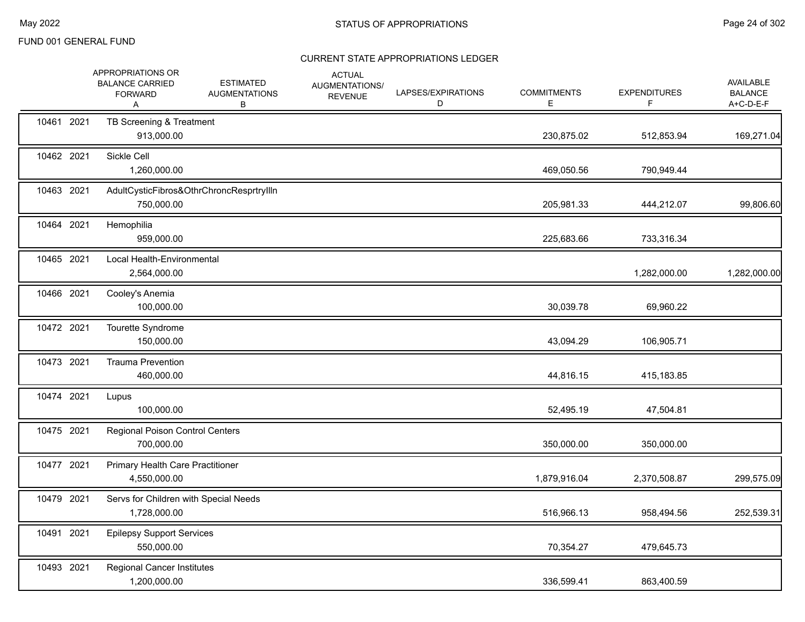|            | APPROPRIATIONS OR<br><b>BALANCE CARRIED</b><br><b>FORWARD</b><br>A | <b>ESTIMATED</b><br><b>AUGMENTATIONS</b><br>В | <b>ACTUAL</b><br>AUGMENTATIONS/<br><b>REVENUE</b> | LAPSES/EXPIRATIONS<br>D | <b>COMMITMENTS</b><br>Е | <b>EXPENDITURES</b><br>F | <b>AVAILABLE</b><br><b>BALANCE</b><br>A+C-D-E-F |
|------------|--------------------------------------------------------------------|-----------------------------------------------|---------------------------------------------------|-------------------------|-------------------------|--------------------------|-------------------------------------------------|
| 10461 2021 | TB Screening & Treatment<br>913,000.00                             |                                               |                                                   |                         | 230,875.02              | 512,853.94               | 169,271.04                                      |
| 10462 2021 | Sickle Cell<br>1,260,000.00                                        |                                               |                                                   |                         | 469,050.56              | 790,949.44               |                                                 |
| 10463 2021 | 750,000.00                                                         | AdultCysticFibros&OthrChroncResprtryIlln      |                                                   |                         | 205,981.33              | 444,212.07               | 99,806.60                                       |
| 10464 2021 | Hemophilia<br>959,000.00                                           |                                               |                                                   |                         | 225,683.66              | 733,316.34               |                                                 |
| 10465 2021 | Local Health-Environmental<br>2,564,000.00                         |                                               |                                                   |                         |                         | 1,282,000.00             | 1,282,000.00                                    |
| 10466 2021 | Cooley's Anemia<br>100,000.00                                      |                                               |                                                   |                         | 30,039.78               | 69,960.22                |                                                 |
| 10472 2021 | Tourette Syndrome<br>150,000.00                                    |                                               |                                                   |                         | 43,094.29               | 106,905.71               |                                                 |
| 10473 2021 | <b>Trauma Prevention</b><br>460,000.00                             |                                               |                                                   |                         | 44,816.15               | 415,183.85               |                                                 |
| 10474 2021 | Lupus<br>100,000.00                                                |                                               |                                                   |                         | 52,495.19               | 47,504.81                |                                                 |
| 10475 2021 | <b>Regional Poison Control Centers</b><br>700,000.00               |                                               |                                                   |                         | 350,000.00              | 350,000.00               |                                                 |
| 10477 2021 | <b>Primary Health Care Practitioner</b><br>4,550,000.00            |                                               |                                                   |                         | 1,879,916.04            | 2,370,508.87             | 299,575.09                                      |
| 10479 2021 | Servs for Children with Special Needs<br>1,728,000.00              |                                               |                                                   |                         | 516,966.13              | 958,494.56               | 252,539.31                                      |
| 10491 2021 | <b>Epilepsy Support Services</b><br>550,000.00                     |                                               |                                                   |                         | 70,354.27               | 479,645.73               |                                                 |
| 10493 2021 | <b>Regional Cancer Institutes</b><br>1,200,000.00                  |                                               |                                                   |                         | 336,599.41              | 863,400.59               |                                                 |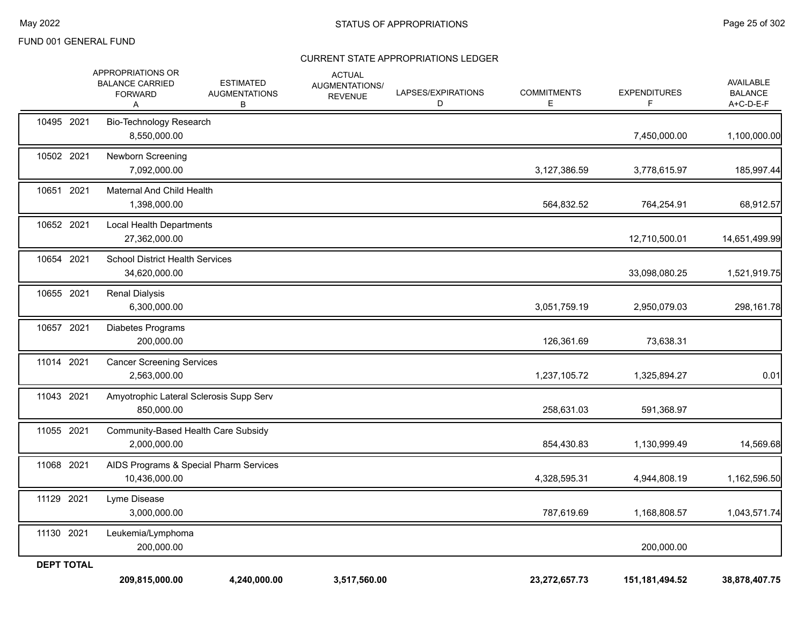| <b>DEPT TOTAL</b> | 209,815,000.00                                                     | 4,240,000.00                                  | 3,517,560.00                                      |                         | 23,272,657.73           | 151, 181, 494. 52         | 38,878,407.75                            |
|-------------------|--------------------------------------------------------------------|-----------------------------------------------|---------------------------------------------------|-------------------------|-------------------------|---------------------------|------------------------------------------|
| 11130 2021        | Leukemia/Lymphoma<br>200,000.00                                    |                                               |                                                   |                         |                         | 200,000.00                |                                          |
| 11129 2021        | Lyme Disease<br>3,000,000.00                                       |                                               |                                                   |                         | 787,619.69              | 1,168,808.57              | 1,043,571.74                             |
| 11068 2021        | 10,436,000.00                                                      | AIDS Programs & Special Pharm Services        |                                                   |                         | 4,328,595.31            | 4,944,808.19              | 1,162,596.50                             |
| 11055 2021        | Community-Based Health Care Subsidy<br>2,000,000.00                |                                               |                                                   |                         | 854,430.83              | 1,130,999.49              | 14,569.68                                |
| 11043 2021        | Amyotrophic Lateral Sclerosis Supp Serv<br>850,000.00              |                                               |                                                   |                         | 258,631.03              | 591,368.97                |                                          |
| 11014 2021        | <b>Cancer Screening Services</b><br>2,563,000.00                   |                                               |                                                   |                         | 1,237,105.72            | 1,325,894.27              | 0.01                                     |
| 10657 2021        | Diabetes Programs<br>200,000.00                                    |                                               |                                                   |                         | 126,361.69              | 73,638.31                 |                                          |
| 10655 2021        | <b>Renal Dialysis</b><br>6,300,000.00                              |                                               |                                                   |                         | 3,051,759.19            | 2,950,079.03              | 298,161.78                               |
| 10654 2021        | <b>School District Health Services</b><br>34,620,000.00            |                                               |                                                   |                         |                         | 33,098,080.25             | 1,521,919.75                             |
| 10652 2021        | Local Health Departments<br>27,362,000.00                          |                                               |                                                   |                         |                         | 12,710,500.01             | 14,651,499.99                            |
| 10651 2021        | Maternal And Child Health<br>1,398,000.00                          |                                               |                                                   |                         | 564,832.52              | 764,254.91                | 68,912.57                                |
| 10502 2021        | Newborn Screening<br>7,092,000.00                                  |                                               |                                                   |                         | 3,127,386.59            | 3,778,615.97              | 185,997.44                               |
| 10495 2021        | Bio-Technology Research<br>8,550,000.00                            |                                               |                                                   |                         |                         | 7,450,000.00              | 1,100,000.00                             |
|                   | APPROPRIATIONS OR<br><b>BALANCE CARRIED</b><br><b>FORWARD</b><br>Α | <b>ESTIMATED</b><br><b>AUGMENTATIONS</b><br>В | <b>ACTUAL</b><br>AUGMENTATIONS/<br><b>REVENUE</b> | LAPSES/EXPIRATIONS<br>D | <b>COMMITMENTS</b><br>Е | <b>EXPENDITURES</b><br>F. | AVAILABLE<br><b>BALANCE</b><br>A+C-D-E-F |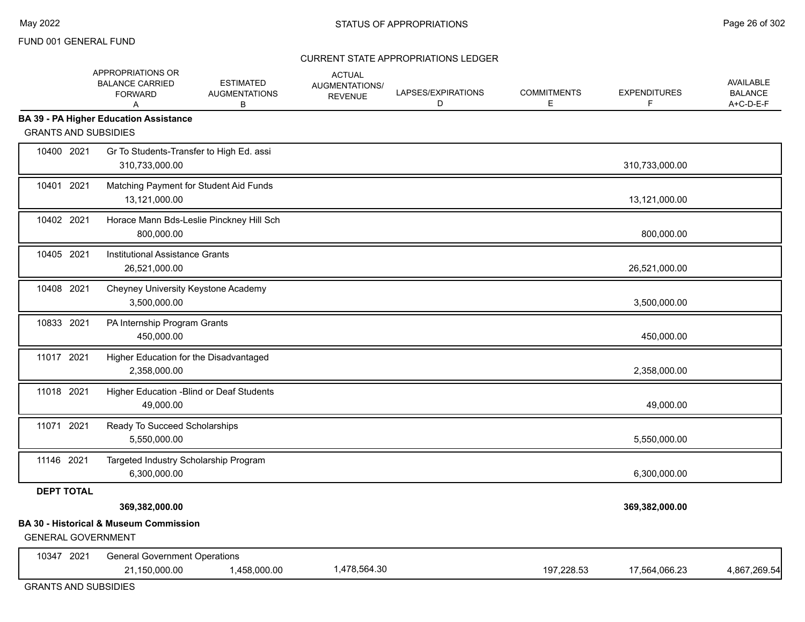#### CURRENT STATE APPROPRIATIONS LEDGER

|                                         | APPROPRIATIONS OR<br><b>BALANCE CARRIED</b><br><b>FORWARD</b><br>A  | <b>ESTIMATED</b><br><b>AUGMENTATIONS</b><br>В | <b>ACTUAL</b><br>AUGMENTATIONS/<br><b>REVENUE</b> | LAPSES/EXPIRATIONS<br>D | <b>COMMITMENTS</b><br>E | <b>EXPENDITURES</b><br>F. | AVAILABLE<br><b>BALANCE</b><br>A+C-D-E-F |
|-----------------------------------------|---------------------------------------------------------------------|-----------------------------------------------|---------------------------------------------------|-------------------------|-------------------------|---------------------------|------------------------------------------|
| <b>GRANTS AND SUBSIDIES</b>             | <b>BA 39 - PA Higher Education Assistance</b>                       |                                               |                                                   |                         |                         |                           |                                          |
| 10400 2021                              | Gr To Students-Transfer to High Ed. assi<br>310,733,000.00          |                                               |                                                   |                         |                         | 310,733,000.00            |                                          |
| 10401 2021                              | Matching Payment for Student Aid Funds<br>13,121,000.00             |                                               |                                                   |                         |                         | 13,121,000.00             |                                          |
| 10402 2021                              | 800,000.00                                                          | Horace Mann Bds-Leslie Pinckney Hill Sch      |                                                   |                         |                         | 800,000.00                |                                          |
| 10405 2021                              | Institutional Assistance Grants<br>26,521,000.00                    |                                               |                                                   |                         |                         | 26,521,000.00             |                                          |
| 10408 2021                              | Cheyney University Keystone Academy<br>3,500,000.00                 |                                               |                                                   |                         |                         | 3,500,000.00              |                                          |
| 10833 2021                              | PA Internship Program Grants<br>450,000.00                          |                                               |                                                   |                         |                         | 450,000.00                |                                          |
| 11017 2021                              | Higher Education for the Disadvantaged<br>2,358,000.00              |                                               |                                                   |                         |                         | 2,358,000.00              |                                          |
| 11018 2021                              | Higher Education - Blind or Deaf Students<br>49,000.00              |                                               |                                                   |                         |                         | 49,000.00                 |                                          |
| 11071 2021                              | Ready To Succeed Scholarships<br>5,550,000.00                       |                                               |                                                   |                         |                         | 5,550,000.00              |                                          |
| 11146 2021                              | Targeted Industry Scholarship Program<br>6,300,000.00               |                                               |                                                   |                         |                         | 6,300,000.00              |                                          |
| <b>DEPT TOTAL</b>                       | 369,382,000.00<br><b>BA 30 - Historical &amp; Museum Commission</b> |                                               |                                                   |                         |                         | 369,382,000.00            |                                          |
| <b>GENERAL GOVERNMENT</b><br>10347 2021 | <b>General Government Operations</b><br>21,150,000.00               | 1,458,000.00                                  | 1,478,564.30                                      |                         | 197,228.53              | 17,564,066.23             | 4,867,269.54                             |

GRANTS AND SUBSIDIES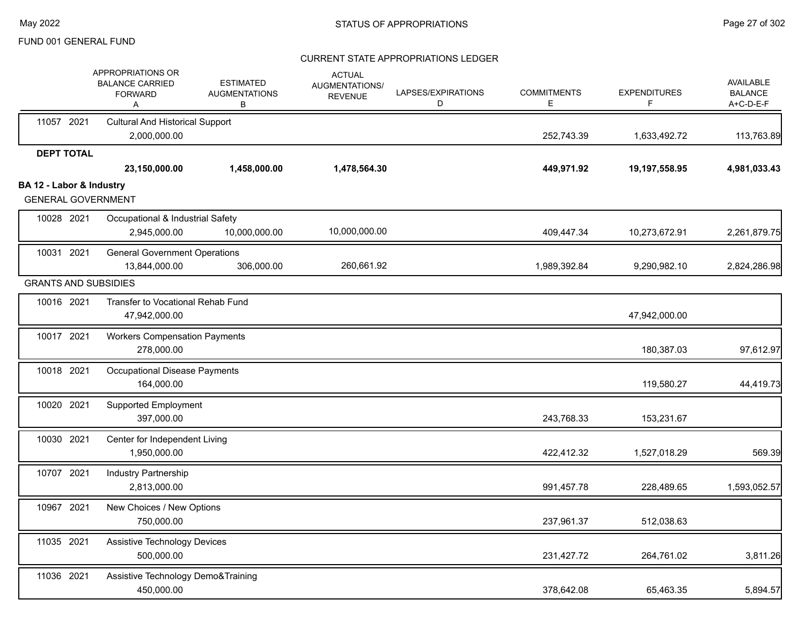|                          | APPROPRIATIONS OR<br><b>BALANCE CARRIED</b><br><b>FORWARD</b><br>Α | <b>ESTIMATED</b><br><b>AUGMENTATIONS</b><br>B | <b>ACTUAL</b><br>AUGMENTATIONS/<br><b>REVENUE</b> | LAPSES/EXPIRATIONS<br>D | <b>COMMITMENTS</b><br>E. | <b>EXPENDITURES</b><br>F | <b>AVAILABLE</b><br><b>BALANCE</b><br>A+C-D-E-F |
|--------------------------|--------------------------------------------------------------------|-----------------------------------------------|---------------------------------------------------|-------------------------|--------------------------|--------------------------|-------------------------------------------------|
| 11057 2021               | <b>Cultural And Historical Support</b><br>2,000,000.00             |                                               |                                                   |                         | 252,743.39               | 1,633,492.72             | 113,763.89                                      |
| <b>DEPT TOTAL</b>        | 23,150,000.00                                                      | 1,458,000.00                                  | 1,478,564.30                                      |                         | 449,971.92               | 19,197,558.95            | 4,981,033.43                                    |
| BA 12 - Labor & Industry | <b>GENERAL GOVERNMENT</b>                                          |                                               |                                                   |                         |                          |                          |                                                 |
| 10028 2021               | Occupational & Industrial Safety<br>2,945,000.00                   | 10,000,000.00                                 | 10,000,000.00                                     |                         | 409,447.34               | 10,273,672.91            | 2,261,879.75                                    |
| 10031 2021               | <b>General Government Operations</b><br>13,844,000.00              | 306,000.00                                    | 260,661.92                                        |                         | 1,989,392.84             | 9,290,982.10             | 2,824,286.98                                    |
|                          | <b>GRANTS AND SUBSIDIES</b>                                        |                                               |                                                   |                         |                          |                          |                                                 |
| 10016 2021               | Transfer to Vocational Rehab Fund<br>47,942,000.00                 |                                               |                                                   |                         |                          | 47,942,000.00            |                                                 |
| 10017 2021               | <b>Workers Compensation Payments</b><br>278,000.00                 |                                               |                                                   |                         |                          | 180,387.03               | 97,612.97                                       |
| 10018 2021               | <b>Occupational Disease Payments</b><br>164,000.00                 |                                               |                                                   |                         |                          | 119,580.27               | 44,419.73                                       |
| 10020 2021               | <b>Supported Employment</b><br>397,000.00                          |                                               |                                                   |                         | 243,768.33               | 153,231.67               |                                                 |
| 10030 2021               | Center for Independent Living<br>1,950,000.00                      |                                               |                                                   |                         | 422,412.32               | 1,527,018.29             | 569.39                                          |
| 10707 2021               | Industry Partnership<br>2,813,000.00                               |                                               |                                                   |                         | 991,457.78               | 228,489.65               | 1,593,052.57                                    |
| 10967 2021               | New Choices / New Options<br>750,000.00                            |                                               |                                                   |                         | 237,961.37               | 512,038.63               |                                                 |
| 11035 2021               | Assistive Technology Devices<br>500,000.00                         |                                               |                                                   |                         | 231,427.72               | 264,761.02               | 3,811.26                                        |
| 11036 2021               | Assistive Technology Demo&Training<br>450,000.00                   |                                               |                                                   |                         | 378,642.08               | 65,463.35                | 5,894.57                                        |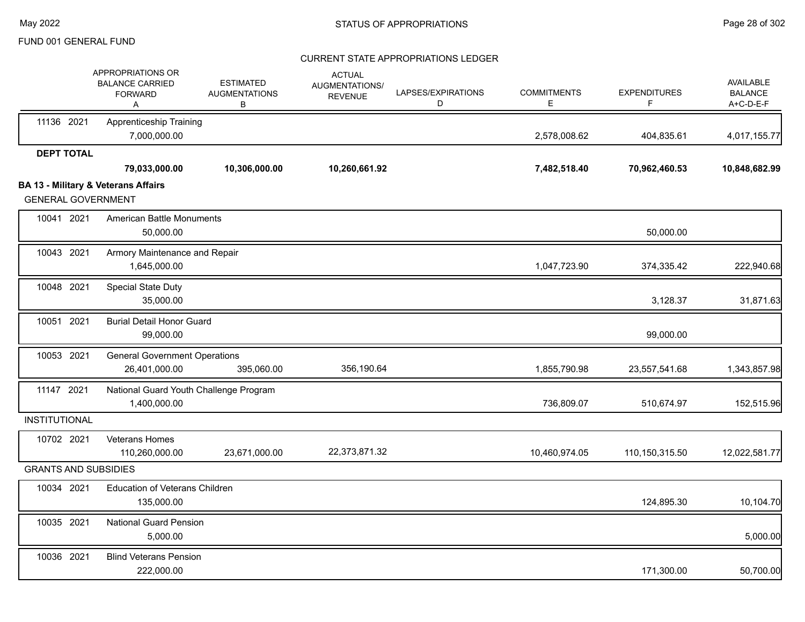|                             | APPROPRIATIONS OR<br><b>BALANCE CARRIED</b><br><b>FORWARD</b><br>Α | <b>ESTIMATED</b><br><b>AUGMENTATIONS</b><br>В | <b>ACTUAL</b><br>AUGMENTATIONS/<br><b>REVENUE</b> | LAPSES/EXPIRATIONS<br>D | <b>COMMITMENTS</b><br>E | <b>EXPENDITURES</b><br>F | <b>AVAILABLE</b><br><b>BALANCE</b><br>A+C-D-E-F |
|-----------------------------|--------------------------------------------------------------------|-----------------------------------------------|---------------------------------------------------|-------------------------|-------------------------|--------------------------|-------------------------------------------------|
| 11136 2021                  | <b>Apprenticeship Training</b><br>7,000,000.00                     |                                               |                                                   |                         | 2,578,008.62            | 404,835.61               | 4,017,155.77                                    |
| <b>DEPT TOTAL</b>           |                                                                    |                                               |                                                   |                         |                         |                          |                                                 |
|                             | 79,033,000.00                                                      | 10,306,000.00                                 | 10,260,661.92                                     |                         | 7,482,518.40            | 70,962,460.53            | 10,848,682.99                                   |
| <b>GENERAL GOVERNMENT</b>   | <b>BA 13 - Military &amp; Veterans Affairs</b>                     |                                               |                                                   |                         |                         |                          |                                                 |
| 10041 2021                  | American Battle Monuments<br>50,000.00                             |                                               |                                                   |                         |                         | 50,000.00                |                                                 |
| 10043 2021                  | Armory Maintenance and Repair<br>1,645,000.00                      |                                               |                                                   |                         | 1,047,723.90            | 374,335.42               | 222,940.68                                      |
| 10048 2021                  | Special State Duty<br>35,000.00                                    |                                               |                                                   |                         |                         | 3,128.37                 | 31,871.63                                       |
| 10051 2021                  | <b>Burial Detail Honor Guard</b><br>99,000.00                      |                                               |                                                   |                         |                         | 99,000.00                |                                                 |
| 10053 2021                  | <b>General Government Operations</b><br>26,401,000.00              | 395,060.00                                    | 356,190.64                                        |                         | 1,855,790.98            | 23,557,541.68            | 1,343,857.98                                    |
| 11147 2021                  | National Guard Youth Challenge Program<br>1,400,000.00             |                                               |                                                   |                         | 736,809.07              | 510,674.97               | 152,515.96                                      |
| <b>INSTITUTIONAL</b>        |                                                                    |                                               |                                                   |                         |                         |                          |                                                 |
| 10702 2021                  | Veterans Homes<br>110,260,000.00                                   | 23,671,000.00                                 | 22,373,871.32                                     |                         | 10,460,974.05           | 110,150,315.50           | 12,022,581.77                                   |
| <b>GRANTS AND SUBSIDIES</b> |                                                                    |                                               |                                                   |                         |                         |                          |                                                 |
| 10034 2021                  | <b>Education of Veterans Children</b><br>135,000.00                |                                               |                                                   |                         |                         | 124,895.30               | 10,104.70                                       |
| 10035 2021                  | <b>National Guard Pension</b><br>5,000.00                          |                                               |                                                   |                         |                         |                          | 5,000.00                                        |
| 10036 2021                  | <b>Blind Veterans Pension</b><br>222,000.00                        |                                               |                                                   |                         |                         | 171,300.00               | 50,700.00                                       |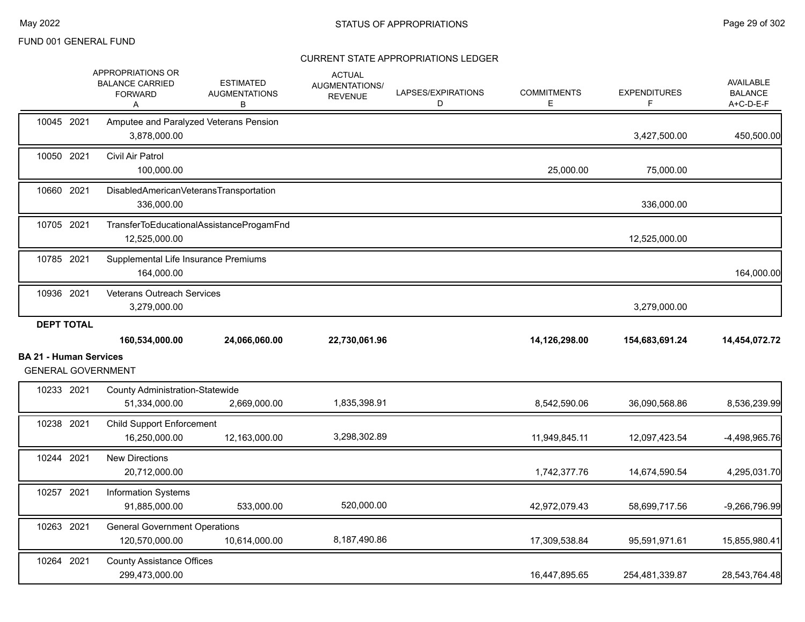|                               |            | APPROPRIATIONS OR<br><b>BALANCE CARRIED</b><br><b>FORWARD</b><br>Α | <b>ESTIMATED</b><br><b>AUGMENTATIONS</b><br>в | <b>ACTUAL</b><br>AUGMENTATIONS/<br><b>REVENUE</b> | LAPSES/EXPIRATIONS<br>D | <b>COMMITMENTS</b><br>Е | <b>EXPENDITURES</b><br>F. | <b>AVAILABLE</b><br><b>BALANCE</b><br>A+C-D-E-F |
|-------------------------------|------------|--------------------------------------------------------------------|-----------------------------------------------|---------------------------------------------------|-------------------------|-------------------------|---------------------------|-------------------------------------------------|
| 10045 2021                    |            | Amputee and Paralyzed Veterans Pension<br>3,878,000.00             |                                               |                                                   |                         |                         | 3,427,500.00              | 450,500.00                                      |
| 10050 2021                    |            | Civil Air Patrol<br>100,000.00                                     |                                               |                                                   |                         | 25,000.00               | 75,000.00                 |                                                 |
| 10660 2021                    |            | DisabledAmericanVeteransTransportation<br>336,000.00               |                                               |                                                   |                         |                         | 336,000.00                |                                                 |
| 10705 2021                    |            | 12,525,000.00                                                      | TransferToEducationalAssistanceProgamFnd      |                                                   |                         |                         | 12,525,000.00             |                                                 |
| 10785 2021                    |            | Supplemental Life Insurance Premiums<br>164,000.00                 |                                               |                                                   |                         |                         |                           | 164,000.00                                      |
| 10936 2021                    |            | <b>Veterans Outreach Services</b><br>3,279,000.00                  |                                               |                                                   |                         |                         | 3,279,000.00              |                                                 |
| <b>DEPT TOTAL</b>             |            |                                                                    |                                               |                                                   |                         |                         |                           |                                                 |
|                               |            | 160,534,000.00                                                     | 24,066,060.00                                 | 22,730,061.96                                     |                         | 14,126,298.00           | 154,683,691.24            | 14,454,072.72                                   |
| <b>BA 21 - Human Services</b> |            |                                                                    |                                               |                                                   |                         |                         |                           |                                                 |
|                               |            | <b>GENERAL GOVERNMENT</b>                                          |                                               |                                                   |                         |                         |                           |                                                 |
|                               | 10233 2021 | <b>County Administration-Statewide</b><br>51,334,000.00            | 2,669,000.00                                  | 1,835,398.91                                      |                         | 8,542,590.06            | 36,090,568.86             | 8,536,239.99                                    |
| 10238 2021                    |            | <b>Child Support Enforcement</b><br>16,250,000.00                  | 12,163,000.00                                 | 3,298,302.89                                      |                         | 11,949,845.11           | 12,097,423.54             | $-4,498,965.76$                                 |
| 10244 2021                    |            | <b>New Directions</b><br>20,712,000.00                             |                                               |                                                   |                         | 1,742,377.76            | 14,674,590.54             | 4,295,031.70                                    |
| 10257 2021                    |            | <b>Information Systems</b><br>91,885,000.00                        | 533,000.00                                    | 520,000.00                                        |                         | 42,972,079.43           | 58,699,717.56             | $-9,266,796.99$                                 |
| 10263 2021                    |            | <b>General Government Operations</b><br>120,570,000.00             | 10,614,000.00                                 | 8,187,490.86                                      |                         | 17,309,538.84           | 95,591,971.61             | 15,855,980.41                                   |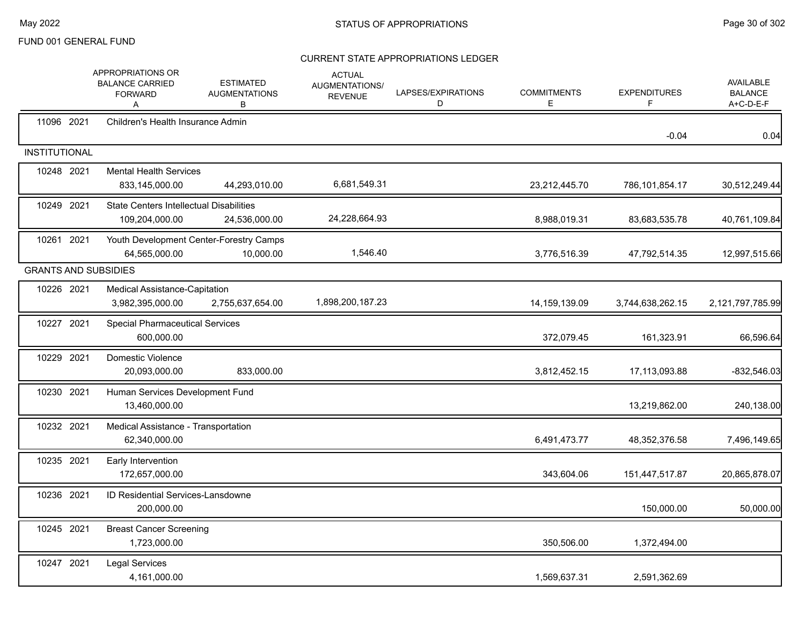|                             | APPROPRIATIONS OR<br><b>BALANCE CARRIED</b><br><b>FORWARD</b><br>Α | <b>ESTIMATED</b><br><b>AUGMENTATIONS</b><br>В        | <b>ACTUAL</b><br>AUGMENTATIONS/<br><b>REVENUE</b> | LAPSES/EXPIRATIONS<br>D | <b>COMMITMENTS</b><br>E | <b>EXPENDITURES</b> | <b>AVAILABLE</b><br><b>BALANCE</b><br>A+C-D-E-F |
|-----------------------------|--------------------------------------------------------------------|------------------------------------------------------|---------------------------------------------------|-------------------------|-------------------------|---------------------|-------------------------------------------------|
| 11096 2021                  | Children's Health Insurance Admin                                  |                                                      |                                                   |                         |                         | $-0.04$             | 0.04                                            |
| <b>INSTITUTIONAL</b>        |                                                                    |                                                      |                                                   |                         |                         |                     |                                                 |
| 10248 2021                  | <b>Mental Health Services</b><br>833,145,000.00                    | 44,293,010.00                                        | 6,681,549.31                                      |                         | 23,212,445.70           | 786,101,854.17      | 30,512,249.44                                   |
| 10249 2021                  | <b>State Centers Intellectual Disabilities</b><br>109,204,000.00   | 24,536,000.00                                        | 24,228,664.93                                     |                         | 8,988,019.31            | 83,683,535.78       | 40,761,109.84                                   |
| 10261 2021                  | 64,565,000.00                                                      | Youth Development Center-Forestry Camps<br>10,000.00 | 1,546.40                                          |                         | 3,776,516.39            | 47,792,514.35       | 12,997,515.66                                   |
| <b>GRANTS AND SUBSIDIES</b> |                                                                    |                                                      |                                                   |                         |                         |                     |                                                 |
| 10226 2021                  | <b>Medical Assistance-Capitation</b><br>3,982,395,000.00           | 2,755,637,654.00                                     | 1,898,200,187.23                                  |                         | 14,159,139.09           | 3,744,638,262.15    | 2,121,797,785.99                                |
| 10227 2021                  | <b>Special Pharmaceutical Services</b><br>600,000.00               |                                                      |                                                   |                         | 372,079.45              | 161,323.91          | 66,596.64                                       |
| 10229 2021                  | Domestic Violence<br>20,093,000.00                                 | 833,000.00                                           |                                                   |                         | 3,812,452.15            | 17,113,093.88       | $-832,546.03$                                   |
| 10230 2021                  | Human Services Development Fund<br>13,460,000.00                   |                                                      |                                                   |                         |                         | 13,219,862.00       | 240,138.00                                      |
| 10232 2021                  | Medical Assistance - Transportation<br>62,340,000.00               |                                                      |                                                   |                         | 6,491,473.77            | 48,352,376.58       | 7,496,149.65                                    |
| 10235 2021                  | Early Intervention<br>172,657,000.00                               |                                                      |                                                   |                         | 343,604.06              | 151,447,517.87      | 20,865,878.07                                   |
| 10236 2021                  | <b>ID Residential Services-Lansdowne</b><br>200,000.00             |                                                      |                                                   |                         |                         | 150,000.00          | 50,000.00                                       |
| 10245 2021                  | <b>Breast Cancer Screening</b><br>1,723,000.00                     |                                                      |                                                   |                         | 350,506.00              | 1,372,494.00        |                                                 |
| 10247 2021                  | <b>Legal Services</b><br>4,161,000.00                              |                                                      |                                                   |                         | 1,569,637.31            | 2,591,362.69        |                                                 |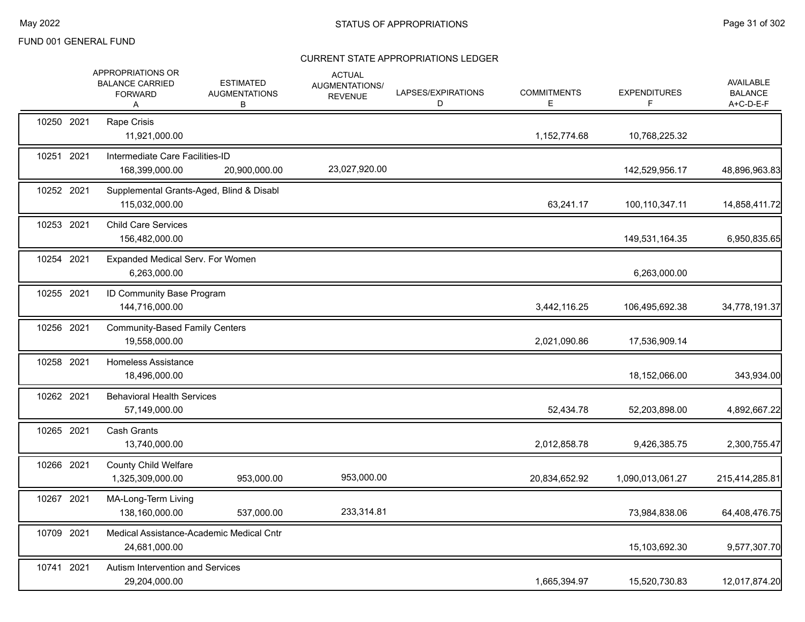|            | APPROPRIATIONS OR<br><b>BALANCE CARRIED</b><br><b>FORWARD</b><br>A | <b>ESTIMATED</b><br><b>AUGMENTATIONS</b><br>В | <b>ACTUAL</b><br>AUGMENTATIONS/<br><b>REVENUE</b> | LAPSES/EXPIRATIONS<br>D | <b>COMMITMENTS</b><br>E. | <b>EXPENDITURES</b><br>F. | <b>AVAILABLE</b><br><b>BALANCE</b><br>A+C-D-E-F |
|------------|--------------------------------------------------------------------|-----------------------------------------------|---------------------------------------------------|-------------------------|--------------------------|---------------------------|-------------------------------------------------|
| 10250 2021 | Rape Crisis<br>11,921,000.00                                       |                                               |                                                   |                         | 1,152,774.68             | 10,768,225.32             |                                                 |
| 10251 2021 | Intermediate Care Facilities-ID<br>168,399,000.00                  | 20,900,000.00                                 | 23,027,920.00                                     |                         |                          | 142,529,956.17            | 48,896,963.83                                   |
| 10252 2021 | Supplemental Grants-Aged, Blind & Disabl<br>115,032,000.00         |                                               |                                                   |                         | 63,241.17                | 100,110,347.11            | 14,858,411.72                                   |
| 10253 2021 | <b>Child Care Services</b><br>156,482,000.00                       |                                               |                                                   |                         |                          | 149,531,164.35            | 6,950,835.65                                    |
| 10254 2021 | Expanded Medical Serv. For Women<br>6,263,000.00                   |                                               |                                                   |                         |                          | 6,263,000.00              |                                                 |
| 10255 2021 | ID Community Base Program<br>144,716,000.00                        |                                               |                                                   |                         | 3,442,116.25             | 106,495,692.38            | 34,778,191.37                                   |
| 10256 2021 | <b>Community-Based Family Centers</b><br>19,558,000.00             |                                               |                                                   |                         | 2,021,090.86             | 17,536,909.14             |                                                 |
| 10258 2021 | Homeless Assistance<br>18,496,000.00                               |                                               |                                                   |                         |                          | 18,152,066.00             | 343,934.00                                      |
| 10262 2021 | <b>Behavioral Health Services</b><br>57,149,000.00                 |                                               |                                                   |                         | 52,434.78                | 52,203,898.00             | 4,892,667.22                                    |
| 10265 2021 | <b>Cash Grants</b><br>13,740,000.00                                |                                               |                                                   |                         | 2,012,858.78             | 9,426,385.75              | 2,300,755.47                                    |
| 10266 2021 | <b>County Child Welfare</b><br>1,325,309,000.00                    | 953,000.00                                    | 953,000.00                                        |                         | 20,834,652.92            | 1,090,013,061.27          | 215,414,285.81                                  |
| 10267 2021 | MA-Long-Term Living<br>138,160,000.00                              | 537,000.00                                    | 233,314.81                                        |                         |                          | 73,984,838.06             | 64,408,476.75                                   |
| 10709 2021 | 24,681,000.00                                                      | Medical Assistance-Academic Medical Cntr      |                                                   |                         |                          | 15,103,692.30             | 9,577,307.70                                    |
| 10741 2021 | Autism Intervention and Services<br>29,204,000.00                  |                                               |                                                   |                         | 1,665,394.97             | 15,520,730.83             | 12,017,874.20                                   |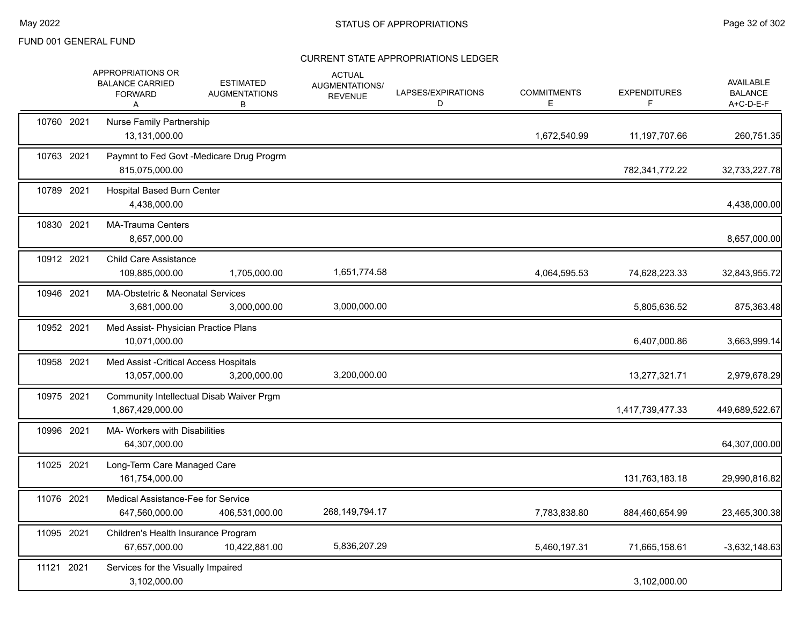|            | APPROPRIATIONS OR<br><b>BALANCE CARRIED</b><br><b>FORWARD</b><br>A | <b>ESTIMATED</b><br><b>AUGMENTATIONS</b><br>В | <b>ACTUAL</b><br>AUGMENTATIONS/<br><b>REVENUE</b> | LAPSES/EXPIRATIONS<br>D | <b>COMMITMENTS</b><br>Е | <b>EXPENDITURES</b> | <b>AVAILABLE</b><br><b>BALANCE</b><br>A+C-D-E-F |
|------------|--------------------------------------------------------------------|-----------------------------------------------|---------------------------------------------------|-------------------------|-------------------------|---------------------|-------------------------------------------------|
| 10760 2021 | <b>Nurse Family Partnership</b><br>13.131.000.00                   |                                               |                                                   |                         | 1,672,540.99            | 11,197,707.66       | 260,751.35                                      |
| 10763 2021 | 815,075,000.00                                                     | Paymnt to Fed Govt -Medicare Drug Progrm      |                                                   |                         |                         | 782,341,772.22      | 32,733,227.78                                   |
| 10789 2021 | <b>Hospital Based Burn Center</b><br>4,438,000.00                  |                                               |                                                   |                         |                         |                     | 4,438,000.00                                    |
| 10830 2021 | <b>MA-Trauma Centers</b><br>8,657,000.00                           |                                               |                                                   |                         |                         |                     | 8,657,000.00                                    |
| 10912 2021 | <b>Child Care Assistance</b><br>109,885,000.00                     | 1,705,000.00                                  | 1,651,774.58                                      |                         | 4,064,595.53            | 74,628,223.33       | 32,843,955.72                                   |
| 10946 2021 | MA-Obstetric & Neonatal Services<br>3,681,000.00                   | 3,000,000.00                                  | 3,000,000.00                                      |                         |                         | 5,805,636.52        | 875,363.48                                      |
| 10952 2021 | Med Assist- Physician Practice Plans<br>10,071,000.00              |                                               |                                                   |                         |                         | 6,407,000.86        | 3,663,999.14                                    |
| 10958 2021 | Med Assist - Critical Access Hospitals<br>13,057,000.00            | 3,200,000.00                                  | 3,200,000.00                                      |                         |                         | 13,277,321.71       | 2,979,678.29                                    |
| 10975 2021 | 1,867,429,000.00                                                   | Community Intellectual Disab Waiver Prgm      |                                                   |                         |                         | 1,417,739,477.33    | 449,689,522.67                                  |
| 10996 2021 | MA- Workers with Disabilities<br>64,307,000.00                     |                                               |                                                   |                         |                         |                     | 64,307,000.00                                   |
| 11025 2021 | Long-Term Care Managed Care<br>161,754,000.00                      |                                               |                                                   |                         |                         | 131,763,183.18      | 29,990,816.82                                   |
| 11076 2021 | Medical Assistance-Fee for Service<br>647,560,000.00               | 406,531,000.00                                | 268, 149, 794. 17                                 |                         | 7,783,838.80            | 884,460,654.99      | 23,465,300.38                                   |
| 11095 2021 | Children's Health Insurance Program<br>67,657,000.00               | 10,422,881.00                                 | 5,836,207.29                                      |                         | 5,460,197.31            | 71,665,158.61       | $-3,632,148.63$                                 |
| 11121 2021 | Services for the Visually Impaired<br>3,102,000.00                 |                                               |                                                   |                         |                         | 3,102,000.00        |                                                 |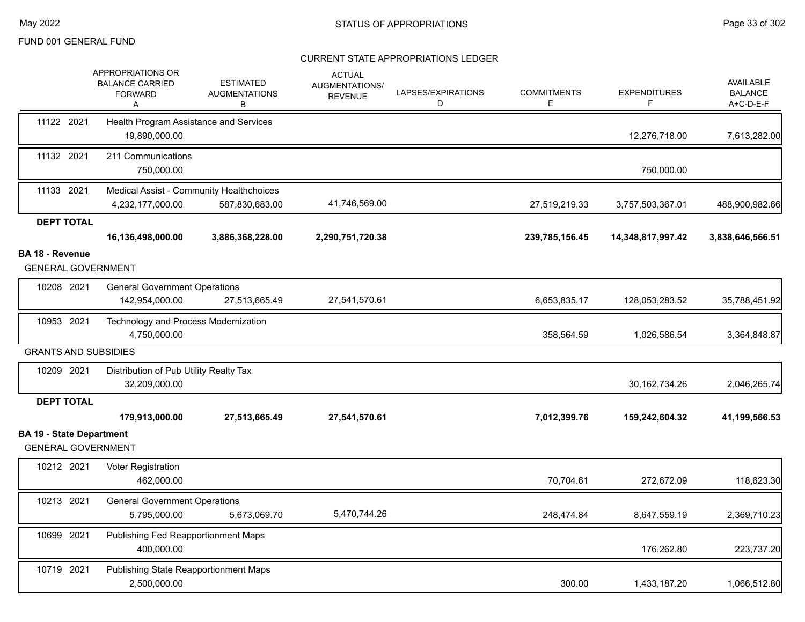|                                                              | APPROPRIATIONS OR<br><b>BALANCE CARRIED</b><br><b>FORWARD</b><br>Α | <b>ESTIMATED</b><br><b>AUGMENTATIONS</b><br>В              | <b>ACTUAL</b><br>AUGMENTATIONS/<br><b>REVENUE</b> | LAPSES/EXPIRATIONS<br>D | <b>COMMITMENTS</b><br>Е. | <b>EXPENDITURES</b><br>F | <b>AVAILABLE</b><br><b>BALANCE</b><br>A+C-D-E-F |
|--------------------------------------------------------------|--------------------------------------------------------------------|------------------------------------------------------------|---------------------------------------------------|-------------------------|--------------------------|--------------------------|-------------------------------------------------|
| 11122 2021                                                   | Health Program Assistance and Services<br>19,890,000.00            |                                                            |                                                   |                         |                          | 12,276,718.00            | 7,613,282.00                                    |
| 11132 2021                                                   | 211 Communications<br>750,000.00                                   |                                                            |                                                   |                         |                          | 750,000.00               |                                                 |
| 11133 2021                                                   | 4,232,177,000.00                                                   | Medical Assist - Community Healthchoices<br>587,830,683.00 | 41,746,569.00                                     |                         | 27,519,219.33            | 3,757,503,367.01         | 488,900,982.66                                  |
| <b>DEPT TOTAL</b>                                            |                                                                    |                                                            |                                                   |                         |                          |                          |                                                 |
|                                                              | 16,136,498,000.00                                                  | 3,886,368,228.00                                           | 2,290,751,720.38                                  |                         | 239,785,156.45           | 14,348,817,997.42        | 3,838,646,566.51                                |
| <b>BA 18 - Revenue</b><br><b>GENERAL GOVERNMENT</b>          |                                                                    |                                                            |                                                   |                         |                          |                          |                                                 |
| 10208 2021                                                   | <b>General Government Operations</b><br>142,954,000.00             | 27,513,665.49                                              | 27,541,570.61                                     |                         | 6,653,835.17             | 128,053,283.52           | 35,788,451.92                                   |
| 10953 2021                                                   | Technology and Process Modernization<br>4,750,000.00               |                                                            |                                                   |                         | 358,564.59               | 1,026,586.54             | 3,364,848.87                                    |
| <b>GRANTS AND SUBSIDIES</b>                                  |                                                                    |                                                            |                                                   |                         |                          |                          |                                                 |
| 10209 2021                                                   | Distribution of Pub Utility Realty Tax<br>32,209,000.00            |                                                            |                                                   |                         |                          | 30, 162, 734. 26         | 2,046,265.74                                    |
| <b>DEPT TOTAL</b>                                            |                                                                    |                                                            |                                                   |                         |                          |                          |                                                 |
|                                                              | 179,913,000.00                                                     | 27,513,665.49                                              | 27,541,570.61                                     |                         | 7,012,399.76             | 159,242,604.32           | 41,199,566.53                                   |
| <b>BA 19 - State Department</b><br><b>GENERAL GOVERNMENT</b> |                                                                    |                                                            |                                                   |                         |                          |                          |                                                 |
| 10212 2021                                                   | Voter Registration<br>462,000.00                                   |                                                            |                                                   |                         | 70,704.61                | 272,672.09               | 118,623.30                                      |
| 10213 2021                                                   | <b>General Government Operations</b><br>5,795,000.00               | 5,673,069.70                                               | 5,470,744.26                                      |                         | 248,474.84               | 8,647,559.19             | 2,369,710.23                                    |
| 10699 2021                                                   | Publishing Fed Reapportionment Maps<br>400,000.00                  |                                                            |                                                   |                         |                          | 176,262.80               | 223,737.20                                      |
| 10719 2021                                                   | Publishing State Reapportionment Maps<br>2,500,000.00              |                                                            |                                                   |                         | 300.00                   | 1,433,187.20             | 1,066,512.80                                    |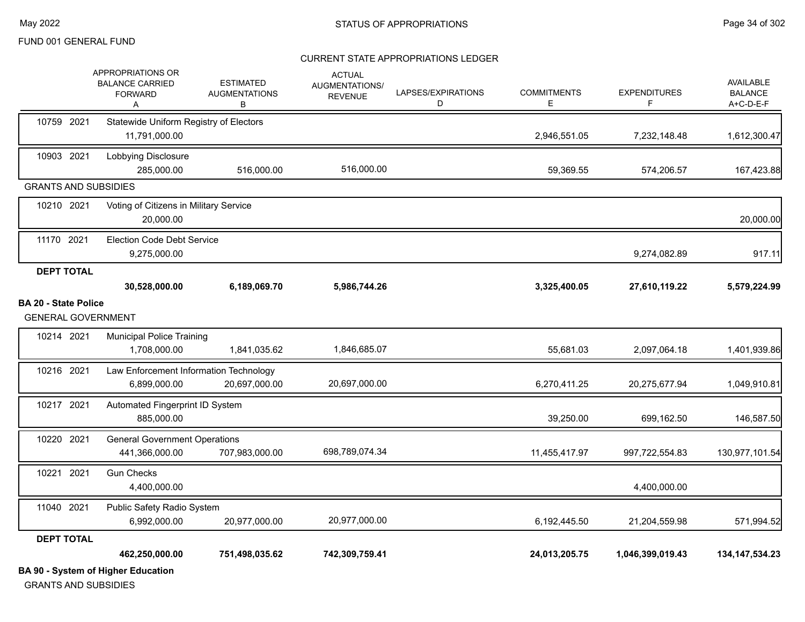#### CURRENT STATE APPROPRIATIONS LEDGER

|                                                          | <b>BA 90 - System of Higher Education</b>                                   |                                               |                                                          |                         |                         |                           |                                                 |
|----------------------------------------------------------|-----------------------------------------------------------------------------|-----------------------------------------------|----------------------------------------------------------|-------------------------|-------------------------|---------------------------|-------------------------------------------------|
|                                                          | 462,250,000.00                                                              | 751,498,035.62                                | 742,309,759.41                                           |                         | 24,013,205.75           | 1,046,399,019.43          | 134, 147, 534. 23                               |
| <b>DEPT TOTAL</b>                                        |                                                                             |                                               |                                                          |                         |                         |                           |                                                 |
|                                                          | Public Safety Radio System<br>6,992,000.00                                  | 20,977,000.00                                 | 20,977,000.00                                            |                         | 6,192,445.50            | 21,204,559.98             | 571,994.52                                      |
| 11040 2021                                               | 4,400,000.00                                                                |                                               |                                                          |                         |                         | 4,400,000.00              |                                                 |
| 10220 2021<br>10221 2021                                 | <b>General Government Operations</b><br>441,366,000.00<br><b>Gun Checks</b> | 707,983,000.00                                | 698,789,074.34                                           |                         | 11,455,417.97           | 997,722,554.83            | 130,977,101.54                                  |
| 10217 2021                                               | Automated Fingerprint ID System<br>885,000.00                               |                                               |                                                          |                         | 39,250.00               | 699,162.50                | 146,587.50                                      |
| 10216 2021                                               | Law Enforcement Information Technology<br>6.899.000.00                      | 20,697,000.00                                 | 20,697,000.00                                            |                         | 6,270,411.25            | 20,275,677.94             | 1,049,910.81                                    |
| 10214 2021                                               | <b>Municipal Police Training</b><br>1,708,000.00                            | 1,841,035.62                                  | 1,846,685.07                                             |                         | 55,681.03               | 2,097,064.18              | 1,401,939.86                                    |
| <b>BA 20 - State Police</b><br><b>GENERAL GOVERNMENT</b> |                                                                             |                                               |                                                          |                         |                         |                           |                                                 |
|                                                          | 30,528,000.00                                                               | 6,189,069.70                                  | 5,986,744.26                                             |                         | 3,325,400.05            | 27,610,119.22             | 5,579,224.99                                    |
| <b>DEPT TOTAL</b>                                        | 9,275,000.00                                                                |                                               |                                                          |                         |                         | 9,274,082.89              | 917.11                                          |
| 11170 2021                                               | <b>Election Code Debt Service</b>                                           |                                               |                                                          |                         |                         |                           |                                                 |
| 10210 2021                                               | Voting of Citizens in Military Service<br>20,000.00                         |                                               |                                                          |                         |                         |                           | 20,000.00                                       |
| <b>GRANTS AND SUBSIDIES</b>                              |                                                                             |                                               |                                                          |                         |                         |                           |                                                 |
| 10903 2021                                               | Lobbying Disclosure<br>285,000.00                                           | 516,000.00                                    | 516,000.00                                               |                         | 59,369.55               | 574,206.57                | 167,423.88                                      |
| 10759 2021                                               | Statewide Uniform Registry of Electors<br>11,791,000.00                     |                                               |                                                          |                         | 2,946,551.05            | 7,232,148.48              | 1,612,300.47                                    |
|                                                          | APPROPRIATIONS OR<br><b>BALANCE CARRIED</b><br><b>FORWARD</b><br>A          | <b>ESTIMATED</b><br><b>AUGMENTATIONS</b><br>В | <b>ACTUAL</b><br><b>AUGMENTATIONS/</b><br><b>REVENUE</b> | LAPSES/EXPIRATIONS<br>D | <b>COMMITMENTS</b><br>Е | <b>EXPENDITURES</b><br>F. | <b>AVAILABLE</b><br><b>BALANCE</b><br>A+C-D-E-F |

GRANTS AND SUBSIDIES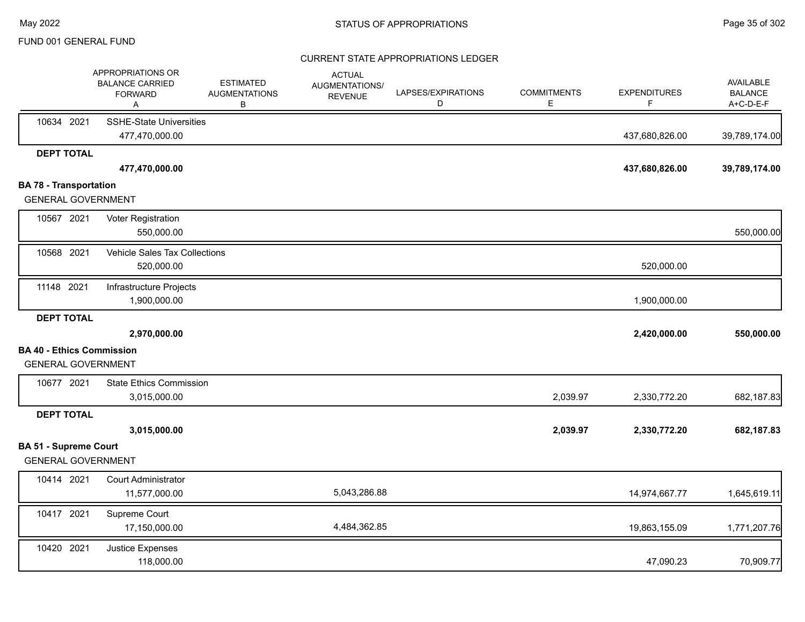|                                                           | APPROPRIATIONS OR<br><b>BALANCE CARRIED</b><br><b>FORWARD</b><br>Α | <b>ESTIMATED</b><br><b>AUGMENTATIONS</b><br>В | <b>ACTUAL</b><br><b>AUGMENTATIONS/</b><br><b>REVENUE</b> | LAPSES/EXPIRATIONS<br>D | <b>COMMITMENTS</b><br>E. | <b>EXPENDITURES</b><br>F | AVAILABLE<br><b>BALANCE</b><br>A+C-D-E-F |
|-----------------------------------------------------------|--------------------------------------------------------------------|-----------------------------------------------|----------------------------------------------------------|-------------------------|--------------------------|--------------------------|------------------------------------------|
| 10634 2021                                                | <b>SSHE-State Universities</b><br>477,470,000.00                   |                                               |                                                          |                         |                          | 437,680,826.00           | 39,789,174.00                            |
| <b>DEPT TOTAL</b>                                         |                                                                    |                                               |                                                          |                         |                          |                          |                                          |
|                                                           | 477,470,000.00                                                     |                                               |                                                          |                         |                          | 437,680,826.00           | 39,789,174.00                            |
| <b>BA 78 - Transportation</b>                             |                                                                    |                                               |                                                          |                         |                          |                          |                                          |
| <b>GENERAL GOVERNMENT</b>                                 |                                                                    |                                               |                                                          |                         |                          |                          |                                          |
| 10567 2021                                                | Voter Registration                                                 |                                               |                                                          |                         |                          |                          |                                          |
|                                                           | 550,000.00                                                         |                                               |                                                          |                         |                          |                          | 550,000.00                               |
| 10568 2021                                                | Vehicle Sales Tax Collections                                      |                                               |                                                          |                         |                          |                          |                                          |
|                                                           | 520,000.00                                                         |                                               |                                                          |                         |                          | 520,000.00               |                                          |
| 11148 2021                                                | Infrastructure Projects                                            |                                               |                                                          |                         |                          |                          |                                          |
|                                                           | 1,900,000.00                                                       |                                               |                                                          |                         |                          | 1,900,000.00             |                                          |
| <b>DEPT TOTAL</b>                                         |                                                                    |                                               |                                                          |                         |                          |                          |                                          |
|                                                           | 2,970,000.00                                                       |                                               |                                                          |                         |                          | 2,420,000.00             | 550,000.00                               |
| <b>BA 40 - Ethics Commission</b>                          |                                                                    |                                               |                                                          |                         |                          |                          |                                          |
| <b>GENERAL GOVERNMENT</b>                                 |                                                                    |                                               |                                                          |                         |                          |                          |                                          |
| 10677 2021                                                | <b>State Ethics Commission</b>                                     |                                               |                                                          |                         |                          |                          |                                          |
|                                                           | 3,015,000.00                                                       |                                               |                                                          |                         | 2,039.97                 | 2,330,772.20             | 682,187.83                               |
| <b>DEPT TOTAL</b>                                         |                                                                    |                                               |                                                          |                         |                          |                          |                                          |
|                                                           | 3,015,000.00                                                       |                                               |                                                          |                         | 2,039.97                 | 2,330,772.20             | 682,187.83                               |
| <b>BA 51 - Supreme Court</b><br><b>GENERAL GOVERNMENT</b> |                                                                    |                                               |                                                          |                         |                          |                          |                                          |
| 10414 2021                                                | Court Administrator                                                |                                               |                                                          |                         |                          |                          |                                          |
|                                                           | 11,577,000.00                                                      |                                               | 5,043,286.88                                             |                         |                          | 14,974,667.77            | 1,645,619.11                             |
| 10417 2021                                                | Supreme Court                                                      |                                               |                                                          |                         |                          |                          |                                          |
|                                                           | 17,150,000.00                                                      |                                               | 4,484,362.85                                             |                         |                          | 19,863,155.09            | 1,771,207.76                             |
| 10420 2021                                                | Justice Expenses<br>118,000.00                                     |                                               |                                                          |                         |                          | 47,090.23                | 70,909.77                                |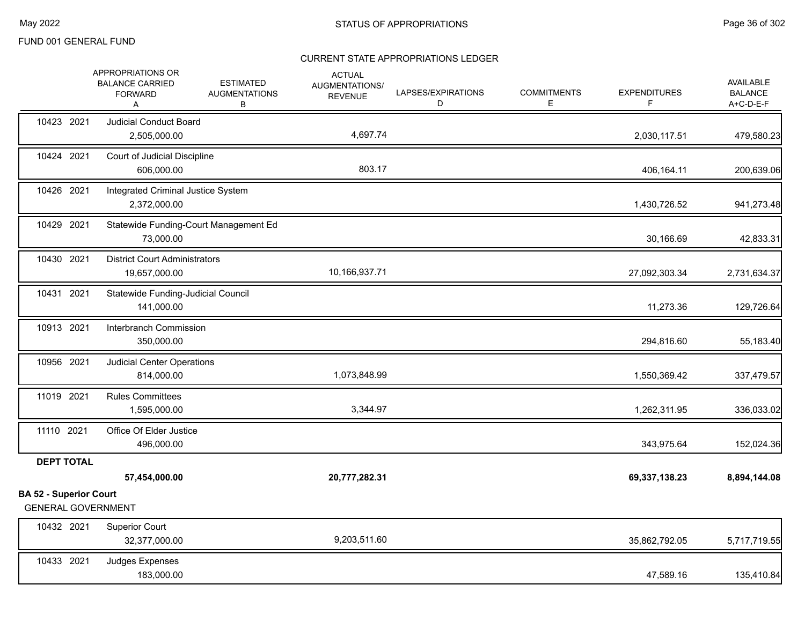|                                                            | APPROPRIATIONS OR<br><b>BALANCE CARRIED</b><br><b>FORWARD</b><br>Α | <b>ESTIMATED</b><br><b>AUGMENTATIONS</b><br>В | <b>ACTUAL</b><br>AUGMENTATIONS/<br><b>REVENUE</b> | LAPSES/EXPIRATIONS<br>D | <b>COMMITMENTS</b><br>E. | <b>EXPENDITURES</b><br>F. | AVAILABLE<br><b>BALANCE</b><br>A+C-D-E-F |
|------------------------------------------------------------|--------------------------------------------------------------------|-----------------------------------------------|---------------------------------------------------|-------------------------|--------------------------|---------------------------|------------------------------------------|
| 10423 2021                                                 | <b>Judicial Conduct Board</b><br>2,505,000.00                      |                                               | 4,697.74                                          |                         |                          | 2,030,117.51              | 479,580.23                               |
| 10424 2021                                                 | Court of Judicial Discipline<br>606,000.00                         |                                               | 803.17                                            |                         |                          | 406,164.11                | 200,639.06                               |
| 10426 2021                                                 | Integrated Criminal Justice System<br>2,372,000.00                 |                                               |                                                   |                         |                          | 1,430,726.52              | 941,273.48                               |
| 10429 2021                                                 | 73,000.00                                                          | Statewide Funding-Court Management Ed         |                                                   |                         |                          | 30,166.69                 | 42,833.31                                |
| 10430 2021                                                 | <b>District Court Administrators</b><br>19,657,000.00              |                                               | 10,166,937.71                                     |                         |                          | 27,092,303.34             | 2,731,634.37                             |
| 10431 2021                                                 | Statewide Funding-Judicial Council<br>141,000.00                   |                                               |                                                   |                         |                          | 11,273.36                 | 129,726.64                               |
| 10913 2021                                                 | Interbranch Commission<br>350,000.00                               |                                               |                                                   |                         |                          | 294,816.60                | 55,183.40                                |
| 10956 2021                                                 | <b>Judicial Center Operations</b><br>814,000.00                    |                                               | 1,073,848.99                                      |                         |                          | 1,550,369.42              | 337,479.57                               |
| 11019 2021                                                 | <b>Rules Committees</b><br>1,595,000.00                            |                                               | 3,344.97                                          |                         |                          | 1,262,311.95              | 336,033.02                               |
| 11110 2021                                                 | Office Of Elder Justice<br>496,000.00                              |                                               |                                                   |                         |                          | 343,975.64                | 152,024.36                               |
| <b>DEPT TOTAL</b>                                          |                                                                    |                                               |                                                   |                         |                          |                           |                                          |
|                                                            | 57,454,000.00                                                      |                                               | 20,777,282.31                                     |                         |                          | 69,337,138.23             | 8,894,144.08                             |
| <b>BA 52 - Superior Court</b><br><b>GENERAL GOVERNMENT</b> |                                                                    |                                               |                                                   |                         |                          |                           |                                          |
| 10432 2021                                                 | <b>Superior Court</b><br>32,377,000.00                             |                                               | 9,203,511.60                                      |                         |                          | 35,862,792.05             | 5,717,719.55                             |
| 10433 2021                                                 | Judges Expenses<br>183,000.00                                      |                                               |                                                   |                         |                          | 47,589.16                 | 135,410.84                               |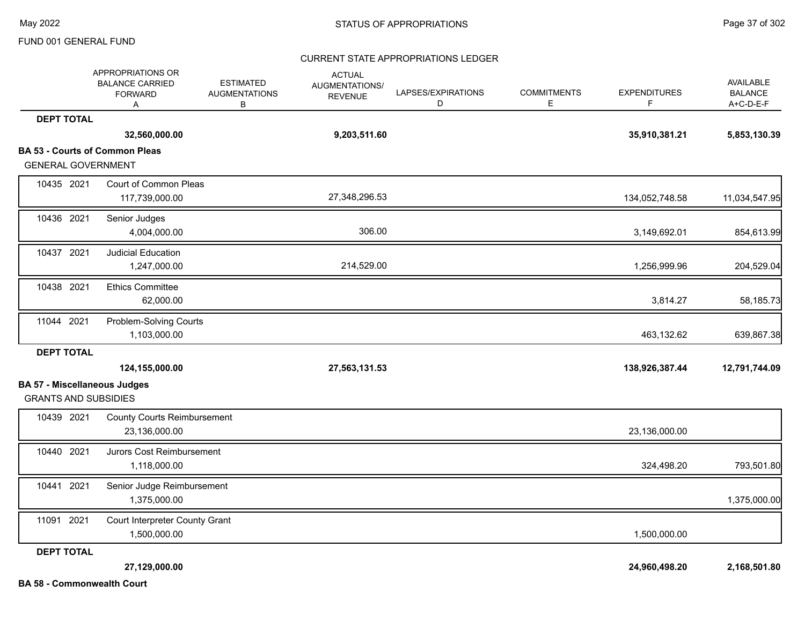### CURRENT STATE APPROPRIATIONS LEDGER

|                                                                    | APPROPRIATIONS OR<br><b>BALANCE CARRIED</b><br><b>FORWARD</b><br>Α | <b>ESTIMATED</b><br><b>AUGMENTATIONS</b><br>В | <b>ACTUAL</b><br>AUGMENTATIONS/<br><b>REVENUE</b> | LAPSES/EXPIRATIONS<br>D | <b>COMMITMENTS</b><br>E. | <b>EXPENDITURES</b><br>F. | AVAILABLE<br><b>BALANCE</b><br>A+C-D-E-F |
|--------------------------------------------------------------------|--------------------------------------------------------------------|-----------------------------------------------|---------------------------------------------------|-------------------------|--------------------------|---------------------------|------------------------------------------|
| <b>DEPT TOTAL</b>                                                  |                                                                    |                                               |                                                   |                         |                          |                           |                                          |
|                                                                    | 32,560,000.00                                                      |                                               | 9,203,511.60                                      |                         |                          | 35,910,381.21             | 5,853,130.39                             |
|                                                                    | <b>BA 53 - Courts of Common Pleas</b>                              |                                               |                                                   |                         |                          |                           |                                          |
| <b>GENERAL GOVERNMENT</b>                                          |                                                                    |                                               |                                                   |                         |                          |                           |                                          |
| 10435 2021                                                         | Court of Common Pleas<br>117,739,000.00                            |                                               | 27,348,296.53                                     |                         |                          | 134,052,748.58            | 11,034,547.95                            |
| 10436 2021                                                         | Senior Judges<br>4,004,000.00                                      |                                               | 306.00                                            |                         |                          | 3,149,692.01              | 854,613.99                               |
| 10437 2021                                                         | <b>Judicial Education</b><br>1,247,000.00                          |                                               | 214,529.00                                        |                         |                          | 1,256,999.96              | 204,529.04                               |
| 10438 2021                                                         | <b>Ethics Committee</b><br>62,000.00                               |                                               |                                                   |                         |                          | 3,814.27                  | 58,185.73                                |
| 11044 2021                                                         | Problem-Solving Courts<br>1,103,000.00                             |                                               |                                                   |                         |                          | 463,132.62                | 639,867.38                               |
| <b>DEPT TOTAL</b>                                                  |                                                                    |                                               |                                                   |                         |                          |                           |                                          |
|                                                                    | 124,155,000.00                                                     |                                               | 27,563,131.53                                     |                         |                          | 138,926,387.44            | 12,791,744.09                            |
| <b>BA 57 - Miscellaneous Judges</b><br><b>GRANTS AND SUBSIDIES</b> |                                                                    |                                               |                                                   |                         |                          |                           |                                          |
| 10439 2021                                                         | <b>County Courts Reimbursement</b><br>23,136,000.00                |                                               |                                                   |                         |                          | 23,136,000.00             |                                          |
| 10440 2021                                                         | Jurors Cost Reimbursement<br>1,118,000.00                          |                                               |                                                   |                         |                          | 324,498.20                | 793,501.80                               |
| 10441 2021                                                         | Senior Judge Reimbursement<br>1,375,000.00                         |                                               |                                                   |                         |                          |                           | 1,375,000.00                             |
| 11091 2021                                                         | Court Interpreter County Grant<br>1,500,000.00                     |                                               |                                                   |                         |                          | 1,500,000.00              |                                          |
| <b>DEPT TOTAL</b>                                                  |                                                                    |                                               |                                                   |                         |                          |                           |                                          |
|                                                                    | 27,129,000.00                                                      |                                               |                                                   |                         |                          | 24,960,498.20             | 2,168,501.80                             |
| <b>BA 58 - Commonwealth Court</b>                                  |                                                                    |                                               |                                                   |                         |                          |                           |                                          |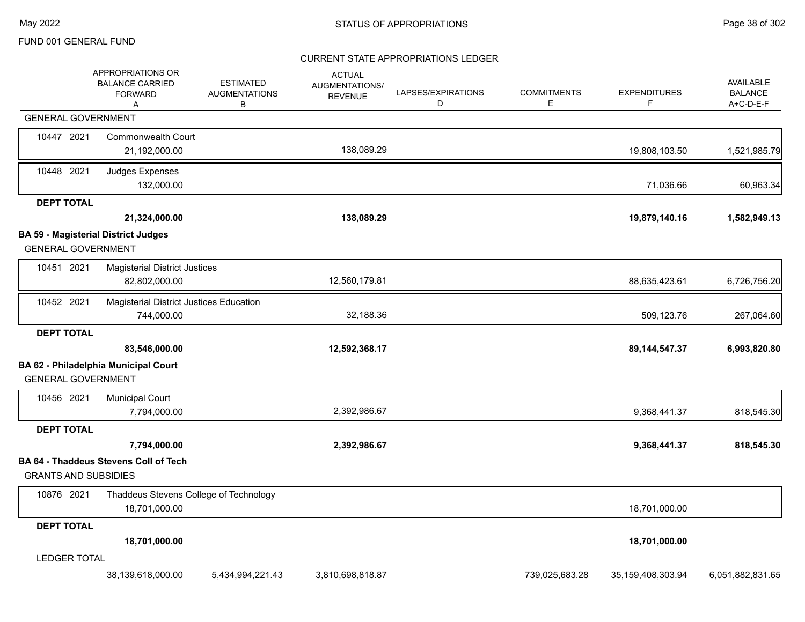### CURRENT STATE APPROPRIATIONS LEDGER

|                             | APPROPRIATIONS OR<br><b>BALANCE CARRIED</b><br><b>FORWARD</b><br>A | <b>ESTIMATED</b><br><b>AUGMENTATIONS</b><br>В | <b>ACTUAL</b><br>AUGMENTATIONS/<br><b>REVENUE</b> | LAPSES/EXPIRATIONS<br>D | <b>COMMITMENTS</b><br>Е | <b>EXPENDITURES</b><br>F. | AVAILABLE<br><b>BALANCE</b><br>A+C-D-E-F |
|-----------------------------|--------------------------------------------------------------------|-----------------------------------------------|---------------------------------------------------|-------------------------|-------------------------|---------------------------|------------------------------------------|
| <b>GENERAL GOVERNMENT</b>   |                                                                    |                                               |                                                   |                         |                         |                           |                                          |
| 10447 2021                  | <b>Commonwealth Court</b><br>21,192,000.00                         |                                               | 138,089.29                                        |                         |                         | 19,808,103.50             | 1,521,985.79                             |
| 10448 2021                  | Judges Expenses<br>132,000.00                                      |                                               |                                                   |                         |                         | 71,036.66                 | 60,963.34                                |
| <b>DEPT TOTAL</b>           |                                                                    |                                               |                                                   |                         |                         |                           |                                          |
|                             | 21,324,000.00                                                      |                                               | 138,089.29                                        |                         |                         | 19,879,140.16             | 1,582,949.13                             |
|                             | <b>BA 59 - Magisterial District Judges</b>                         |                                               |                                                   |                         |                         |                           |                                          |
| <b>GENERAL GOVERNMENT</b>   |                                                                    |                                               |                                                   |                         |                         |                           |                                          |
| 10451 2021                  | <b>Magisterial District Justices</b><br>82,802,000.00              |                                               | 12,560,179.81                                     |                         |                         | 88,635,423.61             | 6,726,756.20                             |
| 10452 2021                  | <b>Magisterial District Justices Education</b>                     |                                               |                                                   |                         |                         |                           |                                          |
|                             | 744,000.00                                                         |                                               | 32,188.36                                         |                         |                         | 509,123.76                | 267,064.60                               |
| <b>DEPT TOTAL</b>           |                                                                    |                                               |                                                   |                         |                         |                           |                                          |
|                             | 83,546,000.00                                                      |                                               | 12,592,368.17                                     |                         |                         | 89, 144, 547. 37          | 6,993,820.80                             |
|                             | BA 62 - Philadelphia Municipal Court                               |                                               |                                                   |                         |                         |                           |                                          |
| <b>GENERAL GOVERNMENT</b>   |                                                                    |                                               |                                                   |                         |                         |                           |                                          |
| 10456 2021                  | <b>Municipal Court</b>                                             |                                               |                                                   |                         |                         |                           |                                          |
|                             | 7,794,000.00                                                       |                                               | 2,392,986.67                                      |                         |                         | 9,368,441.37              | 818,545.30                               |
| <b>DEPT TOTAL</b>           |                                                                    |                                               |                                                   |                         |                         |                           |                                          |
|                             | 7,794,000.00                                                       |                                               | 2,392,986.67                                      |                         |                         | 9,368,441.37              | 818,545.30                               |
| <b>GRANTS AND SUBSIDIES</b> | <b>BA 64 - Thaddeus Stevens Coll of Tech</b>                       |                                               |                                                   |                         |                         |                           |                                          |
|                             |                                                                    |                                               |                                                   |                         |                         |                           |                                          |
| 10876 2021                  | Thaddeus Stevens College of Technology<br>18,701,000.00            |                                               |                                                   |                         |                         | 18,701,000.00             |                                          |
| <b>DEPT TOTAL</b>           |                                                                    |                                               |                                                   |                         |                         |                           |                                          |
|                             | 18,701,000.00                                                      |                                               |                                                   |                         |                         | 18,701,000.00             |                                          |
| <b>LEDGER TOTAL</b>         |                                                                    |                                               |                                                   |                         |                         |                           |                                          |
|                             | 38,139,618,000.00                                                  | 5,434,994,221.43                              | 3,810,698,818.87                                  |                         | 739,025,683.28          | 35,159,408,303.94         | 6,051,882,831.65                         |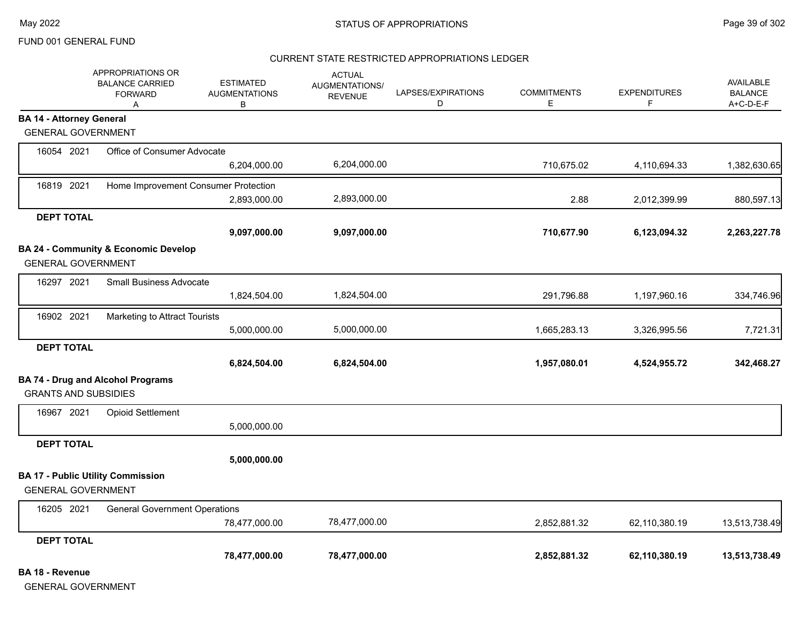#### CURRENT STATE RESTRICTED APPROPRIATIONS LEDGER

|                                 | APPROPRIATIONS OR<br><b>BALANCE CARRIED</b><br><b>FORWARD</b><br>A | <b>ESTIMATED</b><br><b>AUGMENTATIONS</b><br>В | <b>ACTUAL</b><br>AUGMENTATIONS/<br><b>REVENUE</b> | LAPSES/EXPIRATIONS<br>D | <b>COMMITMENTS</b><br>Ε | <b>EXPENDITURES</b><br>F | <b>AVAILABLE</b><br><b>BALANCE</b><br>A+C-D-E-F |
|---------------------------------|--------------------------------------------------------------------|-----------------------------------------------|---------------------------------------------------|-------------------------|-------------------------|--------------------------|-------------------------------------------------|
| <b>BA 14 - Attorney General</b> |                                                                    |                                               |                                                   |                         |                         |                          |                                                 |
| <b>GENERAL GOVERNMENT</b>       |                                                                    |                                               |                                                   |                         |                         |                          |                                                 |
| 16054 2021                      | Office of Consumer Advocate                                        |                                               |                                                   |                         |                         |                          |                                                 |
|                                 |                                                                    | 6,204,000.00                                  | 6,204,000.00                                      |                         | 710,675.02              | 4,110,694.33             | 1,382,630.65                                    |
| 16819 2021                      | Home Improvement Consumer Protection                               |                                               |                                                   |                         |                         |                          |                                                 |
|                                 |                                                                    | 2,893,000.00                                  | 2,893,000.00                                      |                         | 2.88                    | 2,012,399.99             | 880,597.13                                      |
| <b>DEPT TOTAL</b>               |                                                                    |                                               |                                                   |                         |                         |                          |                                                 |
|                                 |                                                                    | 9,097,000.00                                  | 9,097,000.00                                      |                         | 710,677.90              | 6,123,094.32             | 2,263,227.78                                    |
|                                 | BA 24 - Community & Economic Develop                               |                                               |                                                   |                         |                         |                          |                                                 |
| <b>GENERAL GOVERNMENT</b>       |                                                                    |                                               |                                                   |                         |                         |                          |                                                 |
| 16297 2021                      | Small Business Advocate                                            |                                               |                                                   |                         |                         |                          |                                                 |
|                                 |                                                                    | 1,824,504.00                                  | 1,824,504.00                                      |                         | 291,796.88              | 1,197,960.16             | 334,746.96                                      |
| 16902 2021                      | Marketing to Attract Tourists                                      |                                               |                                                   |                         |                         |                          |                                                 |
|                                 |                                                                    | 5,000,000.00                                  | 5,000,000.00                                      |                         | 1,665,283.13            | 3,326,995.56             | 7,721.31                                        |
| <b>DEPT TOTAL</b>               |                                                                    |                                               |                                                   |                         |                         |                          |                                                 |
|                                 |                                                                    | 6,824,504.00                                  | 6,824,504.00                                      |                         | 1,957,080.01            | 4,524,955.72             | 342,468.27                                      |
|                                 | <b>BA 74 - Drug and Alcohol Programs</b>                           |                                               |                                                   |                         |                         |                          |                                                 |
| <b>GRANTS AND SUBSIDIES</b>     |                                                                    |                                               |                                                   |                         |                         |                          |                                                 |
| 16967 2021                      | <b>Opioid Settlement</b>                                           |                                               |                                                   |                         |                         |                          |                                                 |
|                                 |                                                                    | 5,000,000.00                                  |                                                   |                         |                         |                          |                                                 |
| <b>DEPT TOTAL</b>               |                                                                    |                                               |                                                   |                         |                         |                          |                                                 |
|                                 |                                                                    | 5,000,000.00                                  |                                                   |                         |                         |                          |                                                 |
|                                 | <b>BA 17 - Public Utility Commission</b>                           |                                               |                                                   |                         |                         |                          |                                                 |
| <b>GENERAL GOVERNMENT</b>       |                                                                    |                                               |                                                   |                         |                         |                          |                                                 |
| 16205 2021                      | <b>General Government Operations</b>                               |                                               |                                                   |                         |                         |                          |                                                 |
|                                 |                                                                    | 78,477,000.00                                 | 78,477,000.00                                     |                         | 2,852,881.32            | 62,110,380.19            | 13,513,738.49                                   |
| <b>DEPT TOTAL</b>               |                                                                    |                                               |                                                   |                         |                         |                          |                                                 |
|                                 |                                                                    | 78,477,000.00                                 | 78,477,000.00                                     |                         | 2,852,881.32            | 62,110,380.19            | 13,513,738.49                                   |

**BA 18 - Revenue**

GENERAL GOVERNMENT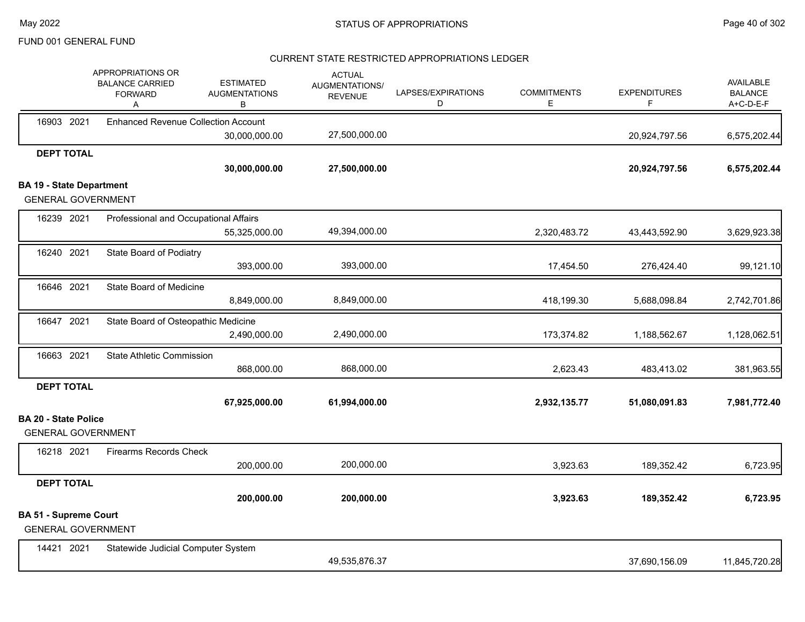### CURRENT STATE RESTRICTED APPROPRIATIONS LEDGER

|                                 |                   | APPROPRIATIONS OR<br><b>BALANCE CARRIED</b><br><b>FORWARD</b><br>Α | <b>ESTIMATED</b><br><b>AUGMENTATIONS</b><br>в | <b>ACTUAL</b><br>AUGMENTATIONS/<br><b>REVENUE</b> | LAPSES/EXPIRATIONS<br>D | <b>COMMITMENTS</b><br>Е | <b>EXPENDITURES</b><br>F | <b>AVAILABLE</b><br><b>BALANCE</b><br>A+C-D-E-F |
|---------------------------------|-------------------|--------------------------------------------------------------------|-----------------------------------------------|---------------------------------------------------|-------------------------|-------------------------|--------------------------|-------------------------------------------------|
|                                 | 16903 2021        | <b>Enhanced Revenue Collection Account</b>                         |                                               |                                                   |                         |                         |                          |                                                 |
|                                 |                   |                                                                    | 30,000,000.00                                 | 27,500,000.00                                     |                         |                         | 20,924,797.56            | 6,575,202.44                                    |
|                                 | <b>DEPT TOTAL</b> |                                                                    | 30,000,000.00                                 | 27,500,000.00                                     |                         |                         | 20,924,797.56            | 6,575,202.44                                    |
| <b>BA 19 - State Department</b> |                   |                                                                    |                                               |                                                   |                         |                         |                          |                                                 |
|                                 |                   | <b>GENERAL GOVERNMENT</b>                                          |                                               |                                                   |                         |                         |                          |                                                 |
|                                 | 16239 2021        | Professional and Occupational Affairs                              |                                               |                                                   |                         |                         |                          |                                                 |
|                                 |                   |                                                                    | 55,325,000.00                                 | 49,394,000.00                                     |                         | 2,320,483.72            | 43,443,592.90            | 3,629,923.38                                    |
|                                 | 16240 2021        | State Board of Podiatry                                            |                                               |                                                   |                         |                         |                          |                                                 |
|                                 |                   |                                                                    | 393,000.00                                    | 393,000.00                                        |                         | 17,454.50               | 276,424.40               | 99,121.10                                       |
|                                 | 16646 2021        | State Board of Medicine                                            |                                               |                                                   |                         |                         |                          |                                                 |
|                                 |                   |                                                                    | 8,849,000.00                                  | 8,849,000.00                                      |                         | 418,199.30              | 5,688,098.84             | 2,742,701.86                                    |
|                                 | 16647 2021        | State Board of Osteopathic Medicine                                |                                               |                                                   |                         |                         |                          |                                                 |
|                                 |                   |                                                                    | 2,490,000.00                                  | 2,490,000.00                                      |                         | 173,374.82              | 1,188,562.67             | 1,128,062.51                                    |
|                                 | 16663 2021        | <b>State Athletic Commission</b>                                   |                                               |                                                   |                         |                         |                          |                                                 |
|                                 |                   |                                                                    | 868,000.00                                    | 868,000.00                                        |                         | 2,623.43                | 483,413.02               | 381,963.55                                      |
|                                 | <b>DEPT TOTAL</b> |                                                                    |                                               |                                                   |                         |                         |                          |                                                 |
|                                 |                   |                                                                    | 67,925,000.00                                 | 61,994,000.00                                     |                         | 2,932,135.77            | 51,080,091.83            | 7,981,772.40                                    |
| <b>BA 20 - State Police</b>     |                   | <b>GENERAL GOVERNMENT</b>                                          |                                               |                                                   |                         |                         |                          |                                                 |
|                                 | 16218 2021        | <b>Firearms Records Check</b>                                      |                                               |                                                   |                         |                         |                          |                                                 |
|                                 |                   |                                                                    | 200,000.00                                    | 200,000.00                                        |                         | 3,923.63                | 189,352.42               | 6,723.95                                        |
|                                 | <b>DEPT TOTAL</b> |                                                                    |                                               |                                                   |                         |                         |                          |                                                 |
|                                 |                   |                                                                    | 200,000.00                                    | 200,000.00                                        |                         | 3,923.63                | 189,352.42               | 6,723.95                                        |
| <b>BA 51 - Supreme Court</b>    |                   | <b>GENERAL GOVERNMENT</b>                                          |                                               |                                                   |                         |                         |                          |                                                 |
|                                 | 14421 2021        | Statewide Judicial Computer System                                 |                                               |                                                   |                         |                         |                          |                                                 |
|                                 |                   |                                                                    |                                               | 49,535,876.37                                     |                         |                         | 37,690,156.09            | 11,845,720.28                                   |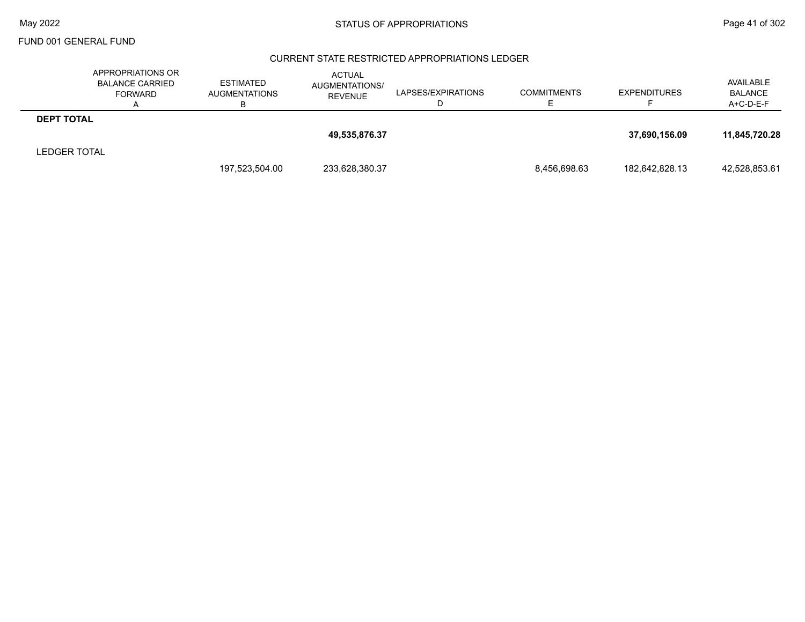### CURRENT STATE RESTRICTED APPROPRIATIONS LEDGER

|                     | APPROPRIATIONS OR<br><b>BALANCE CARRIED</b><br><b>FORWARD</b> | <b>ESTIMATED</b><br>AUGMENTATIONS | ACTUAL<br>AUGMENTATIONS/<br><b>REVENUE</b> | LAPSES/EXPIRATIONS | <b>COMMITMENTS</b> | <b>EXPENDITURES</b> | AVAILABLE<br><b>BALANCE</b><br>A+C-D-E-F |
|---------------------|---------------------------------------------------------------|-----------------------------------|--------------------------------------------|--------------------|--------------------|---------------------|------------------------------------------|
| <b>DEPT TOTAL</b>   |                                                               |                                   |                                            |                    |                    |                     |                                          |
|                     |                                                               |                                   | 49,535,876.37                              |                    |                    | 37,690,156.09       | 11.845.720.28                            |
| <b>LEDGER TOTAL</b> |                                                               |                                   |                                            |                    |                    |                     |                                          |
|                     |                                                               | 197,523,504.00                    | 233,628,380.37                             |                    | 8,456,698.63       | 182,642,828.13      | 42,528,853.61                            |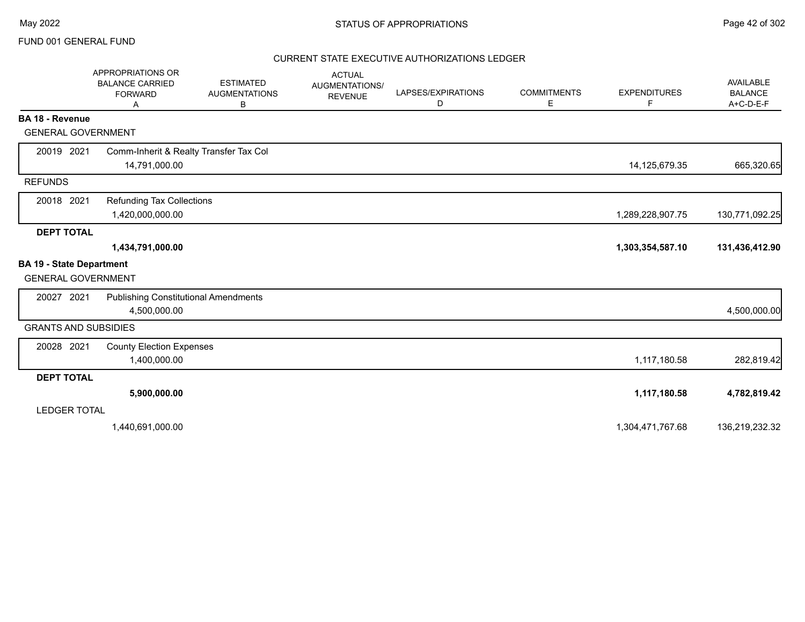### CURRENT STATE EXECUTIVE AUTHORIZATIONS LEDGER

|                                 | <b>APPROPRIATIONS OR</b><br><b>BALANCE CARRIED</b><br><b>FORWARD</b><br>A | <b>ESTIMATED</b><br><b>AUGMENTATIONS</b><br>B | <b>ACTUAL</b><br><b>AUGMENTATIONS/</b><br><b>REVENUE</b> | LAPSES/EXPIRATIONS<br>D | <b>COMMITMENTS</b><br>Ε | <b>EXPENDITURES</b><br>F | AVAILABLE<br><b>BALANCE</b><br>$A+C-D-E-F$ |
|---------------------------------|---------------------------------------------------------------------------|-----------------------------------------------|----------------------------------------------------------|-------------------------|-------------------------|--------------------------|--------------------------------------------|
| <b>BA 18 - Revenue</b>          |                                                                           |                                               |                                                          |                         |                         |                          |                                            |
| <b>GENERAL GOVERNMENT</b>       |                                                                           |                                               |                                                          |                         |                         |                          |                                            |
| 20019 2021                      | Comm-Inherit & Realty Transfer Tax Col                                    |                                               |                                                          |                         |                         |                          |                                            |
|                                 | 14,791,000.00                                                             |                                               |                                                          |                         |                         | 14,125,679.35            | 665,320.65                                 |
| <b>REFUNDS</b>                  |                                                                           |                                               |                                                          |                         |                         |                          |                                            |
| 20018 2021                      | <b>Refunding Tax Collections</b>                                          |                                               |                                                          |                         |                         |                          |                                            |
|                                 | 1,420,000,000.00                                                          |                                               |                                                          |                         |                         | 1,289,228,907.75         | 130,771,092.25                             |
| <b>DEPT TOTAL</b>               |                                                                           |                                               |                                                          |                         |                         |                          |                                            |
|                                 | 1,434,791,000.00                                                          |                                               |                                                          |                         |                         | 1,303,354,587.10         | 131,436,412.90                             |
| <b>BA 19 - State Department</b> |                                                                           |                                               |                                                          |                         |                         |                          |                                            |
| <b>GENERAL GOVERNMENT</b>       |                                                                           |                                               |                                                          |                         |                         |                          |                                            |
| 20027 2021                      | <b>Publishing Constitutional Amendments</b>                               |                                               |                                                          |                         |                         |                          |                                            |
|                                 | 4,500,000.00                                                              |                                               |                                                          |                         |                         |                          | 4,500,000.00                               |
| <b>GRANTS AND SUBSIDIES</b>     |                                                                           |                                               |                                                          |                         |                         |                          |                                            |
| 20028 2021                      | <b>County Election Expenses</b>                                           |                                               |                                                          |                         |                         |                          |                                            |
|                                 | 1,400,000.00                                                              |                                               |                                                          |                         |                         | 1,117,180.58             | 282,819.42                                 |
| <b>DEPT TOTAL</b>               |                                                                           |                                               |                                                          |                         |                         |                          |                                            |
|                                 | 5,900,000.00                                                              |                                               |                                                          |                         |                         | 1,117,180.58             | 4,782,819.42                               |
| <b>LEDGER TOTAL</b>             |                                                                           |                                               |                                                          |                         |                         |                          |                                            |
|                                 | 1,440,691,000.00                                                          |                                               |                                                          |                         |                         | 1,304,471,767.68         | 136,219,232.32                             |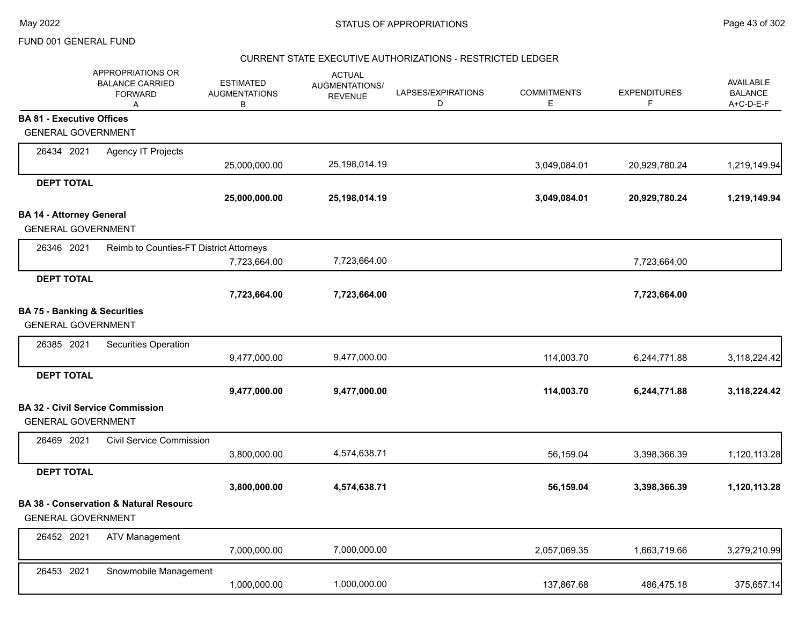### CURRENT STATE EXECUTIVE AUTHORIZATIONS - RESTRICTED LEDGER

|                                  | APPROPRIATIONS OR<br><b>BALANCE CARRIED</b><br><b>FORWARD</b><br>Α | <b>ESTIMATED</b><br><b>AUGMENTATIONS</b><br>в | <b>ACTUAL</b><br>AUGMENTATIONS/<br><b>REVENUE</b> | LAPSES/EXPIRATIONS<br>D | <b>COMMITMENTS</b><br>E | <b>EXPENDITURES</b><br>F | <b>AVAILABLE</b><br><b>BALANCE</b><br>A+C-D-E-F |
|----------------------------------|--------------------------------------------------------------------|-----------------------------------------------|---------------------------------------------------|-------------------------|-------------------------|--------------------------|-------------------------------------------------|
| <b>BA 81 - Executive Offices</b> |                                                                    |                                               |                                                   |                         |                         |                          |                                                 |
|                                  | <b>GENERAL GOVERNMENT</b>                                          |                                               |                                                   |                         |                         |                          |                                                 |
| 26434 2021                       | Agency IT Projects                                                 |                                               |                                                   |                         |                         |                          |                                                 |
|                                  |                                                                    | 25,000,000.00                                 | 25,198,014.19                                     |                         | 3,049,084.01            | 20,929,780.24            | 1,219,149.94                                    |
| <b>DEPT TOTAL</b>                |                                                                    |                                               |                                                   |                         |                         |                          |                                                 |
|                                  |                                                                    | 25,000,000.00                                 | 25,198,014.19                                     |                         | 3,049,084.01            | 20,929,780.24            | 1,219,149.94                                    |
| <b>BA 14 - Attorney General</b>  |                                                                    |                                               |                                                   |                         |                         |                          |                                                 |
|                                  | <b>GENERAL GOVERNMENT</b>                                          |                                               |                                                   |                         |                         |                          |                                                 |
| 26346 2021                       | Reimb to Counties-FT District Attorneys                            |                                               |                                                   |                         |                         |                          |                                                 |
|                                  |                                                                    | 7,723,664.00                                  | 7,723,664.00                                      |                         |                         | 7,723,664.00             |                                                 |
| <b>DEPT TOTAL</b>                |                                                                    |                                               |                                                   |                         |                         |                          |                                                 |
|                                  |                                                                    | 7,723,664.00                                  | 7,723,664.00                                      |                         |                         | 7,723,664.00             |                                                 |
|                                  | <b>BA 75 - Banking &amp; Securities</b>                            |                                               |                                                   |                         |                         |                          |                                                 |
|                                  | <b>GENERAL GOVERNMENT</b>                                          |                                               |                                                   |                         |                         |                          |                                                 |
| 26385 2021                       | Securities Operation                                               |                                               |                                                   |                         |                         |                          |                                                 |
|                                  |                                                                    | 9,477,000.00                                  | 9,477,000.00                                      |                         | 114,003.70              | 6,244,771.88             | 3,118,224.42                                    |
| <b>DEPT TOTAL</b>                |                                                                    |                                               |                                                   |                         |                         |                          |                                                 |
|                                  |                                                                    | 9,477,000.00                                  | 9,477,000.00                                      |                         | 114,003.70              | 6,244,771.88             | 3,118,224.42                                    |
|                                  | <b>BA 32 - Civil Service Commission</b>                            |                                               |                                                   |                         |                         |                          |                                                 |
|                                  | <b>GENERAL GOVERNMENT</b>                                          |                                               |                                                   |                         |                         |                          |                                                 |
| 26469 2021                       | <b>Civil Service Commission</b>                                    |                                               |                                                   |                         |                         |                          |                                                 |
|                                  |                                                                    | 3,800,000.00                                  | 4,574,638.71                                      |                         | 56,159.04               | 3,398,366.39             | 1,120,113.28                                    |
| <b>DEPT TOTAL</b>                |                                                                    |                                               |                                                   |                         |                         |                          |                                                 |
|                                  |                                                                    | 3,800,000.00                                  | 4,574,638.71                                      |                         | 56,159.04               | 3,398,366.39             | 1,120,113.28                                    |
|                                  | <b>BA 38 - Conservation &amp; Natural Resourc</b>                  |                                               |                                                   |                         |                         |                          |                                                 |
|                                  | <b>GENERAL GOVERNMENT</b>                                          |                                               |                                                   |                         |                         |                          |                                                 |
| 26452 2021                       | ATV Management                                                     |                                               |                                                   |                         |                         |                          |                                                 |
|                                  |                                                                    | 7,000,000.00                                  | 7,000,000.00                                      |                         | 2,057,069.35            | 1,663,719.66             | 3,279,210.99                                    |
| 26453 2021                       | Snowmobile Management                                              |                                               |                                                   |                         |                         |                          |                                                 |
|                                  |                                                                    | 1,000,000.00                                  | 1,000,000.00                                      |                         | 137,867.68              | 486,475.18               | 375,657.14                                      |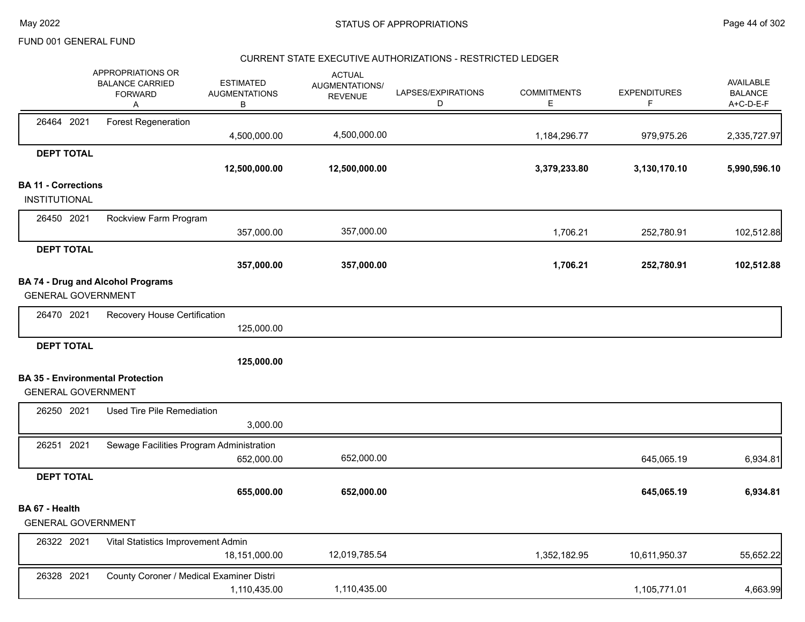#### CURRENT STATE EXECUTIVE AUTHORIZATIONS - RESTRICTED LEDGER

|                            | APPROPRIATIONS OR<br><b>BALANCE CARRIED</b><br><b>FORWARD</b><br>Α | <b>ESTIMATED</b><br><b>AUGMENTATIONS</b><br>В | <b>ACTUAL</b><br>AUGMENTATIONS/<br><b>REVENUE</b> | LAPSES/EXPIRATIONS<br>D | <b>COMMITMENTS</b><br>E | <b>EXPENDITURES</b><br>F | <b>AVAILABLE</b><br><b>BALANCE</b><br>A+C-D-E-F |
|----------------------------|--------------------------------------------------------------------|-----------------------------------------------|---------------------------------------------------|-------------------------|-------------------------|--------------------------|-------------------------------------------------|
| 26464 2021                 | <b>Forest Regeneration</b>                                         |                                               | 4,500,000.00                                      |                         |                         |                          |                                                 |
|                            |                                                                    | 4,500,000.00                                  |                                                   |                         | 1,184,296.77            | 979,975.26               | 2,335,727.97                                    |
| <b>DEPT TOTAL</b>          |                                                                    | 12,500,000.00                                 | 12,500,000.00                                     |                         | 3,379,233.80            | 3,130,170.10             | 5,990,596.10                                    |
| <b>BA 11 - Corrections</b> |                                                                    |                                               |                                                   |                         |                         |                          |                                                 |
| <b>INSTITUTIONAL</b>       |                                                                    |                                               |                                                   |                         |                         |                          |                                                 |
| 26450 2021                 | Rockview Farm Program                                              |                                               |                                                   |                         |                         |                          |                                                 |
|                            |                                                                    | 357,000.00                                    | 357,000.00                                        |                         | 1,706.21                | 252,780.91               | 102,512.88                                      |
| <b>DEPT TOTAL</b>          |                                                                    | 357,000.00                                    | 357,000.00                                        |                         | 1,706.21                | 252,780.91               | 102,512.88                                      |
|                            | <b>BA 74 - Drug and Alcohol Programs</b>                           |                                               |                                                   |                         |                         |                          |                                                 |
| <b>GENERAL GOVERNMENT</b>  |                                                                    |                                               |                                                   |                         |                         |                          |                                                 |
| 26470 2021                 | Recovery House Certification                                       |                                               |                                                   |                         |                         |                          |                                                 |
|                            |                                                                    | 125,000.00                                    |                                                   |                         |                         |                          |                                                 |
| <b>DEPT TOTAL</b>          |                                                                    |                                               |                                                   |                         |                         |                          |                                                 |
|                            |                                                                    | 125,000.00                                    |                                                   |                         |                         |                          |                                                 |
|                            | <b>BA 35 - Environmental Protection</b>                            |                                               |                                                   |                         |                         |                          |                                                 |
| <b>GENERAL GOVERNMENT</b>  |                                                                    |                                               |                                                   |                         |                         |                          |                                                 |
| 26250 2021                 | Used Tire Pile Remediation                                         |                                               |                                                   |                         |                         |                          |                                                 |
|                            |                                                                    | 3,000.00                                      |                                                   |                         |                         |                          |                                                 |
| 26251 2021                 | Sewage Facilities Program Administration                           | 652,000.00                                    | 652,000.00                                        |                         |                         | 645,065.19               | 6,934.81                                        |
| <b>DEPT TOTAL</b>          |                                                                    |                                               |                                                   |                         |                         |                          |                                                 |
|                            |                                                                    | 655,000.00                                    | 652,000.00                                        |                         |                         | 645,065.19               | 6,934.81                                        |
| BA 67 - Health             |                                                                    |                                               |                                                   |                         |                         |                          |                                                 |
| <b>GENERAL GOVERNMENT</b>  |                                                                    |                                               |                                                   |                         |                         |                          |                                                 |
| 26322 2021                 | Vital Statistics Improvement Admin                                 |                                               |                                                   |                         |                         |                          |                                                 |
|                            |                                                                    | 18,151,000.00                                 | 12,019,785.54                                     |                         | 1,352,182.95            | 10,611,950.37            | 55,652.22                                       |
| 26328 2021                 | County Coroner / Medical Examiner Distri                           |                                               |                                                   |                         |                         |                          |                                                 |
|                            |                                                                    | 1,110,435.00                                  | 1,110,435.00                                      |                         |                         | 1,105,771.01             | 4,663.99                                        |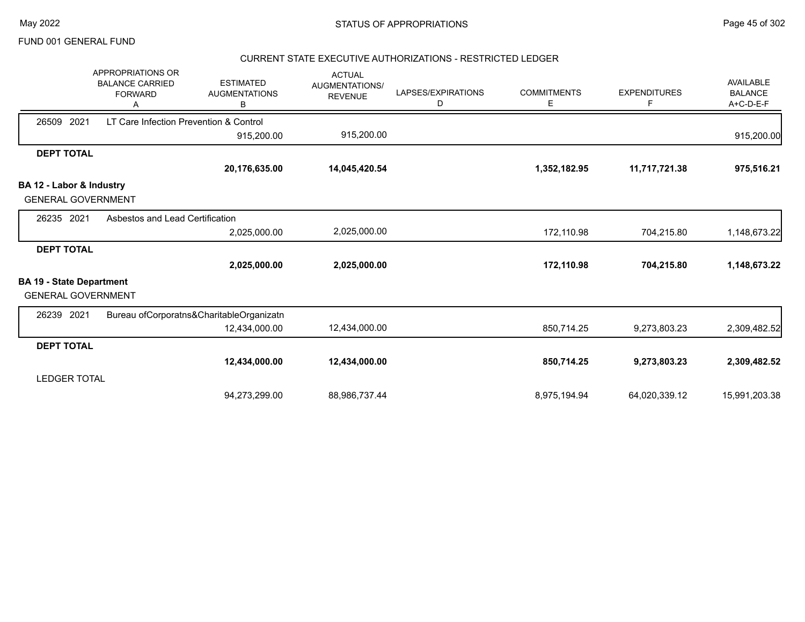#### CURRENT STATE EXECUTIVE AUTHORIZATIONS - RESTRICTED LEDGER

|                                 | APPROPRIATIONS OR<br><b>BALANCE CARRIED</b><br><b>FORWARD</b> | <b>ESTIMATED</b><br><b>AUGMENTATIONS</b><br>B | <b>ACTUAL</b><br><b>AUGMENTATIONS/</b><br><b>REVENUE</b> | LAPSES/EXPIRATIONS<br>D | <b>COMMITMENTS</b><br>E. | <b>EXPENDITURES</b><br>F | <b>AVAILABLE</b><br><b>BALANCE</b><br>A+C-D-E-F |
|---------------------------------|---------------------------------------------------------------|-----------------------------------------------|----------------------------------------------------------|-------------------------|--------------------------|--------------------------|-------------------------------------------------|
| 2021<br>26509                   | LT Care Infection Prevention & Control                        |                                               |                                                          |                         |                          |                          |                                                 |
|                                 |                                                               | 915,200.00                                    | 915,200.00                                               |                         |                          |                          | 915,200.00                                      |
| <b>DEPT TOTAL</b>               |                                                               |                                               |                                                          |                         |                          |                          |                                                 |
|                                 |                                                               | 20,176,635.00                                 | 14,045,420.54                                            |                         | 1,352,182.95             | 11,717,721.38            | 975,516.21                                      |
| BA 12 - Labor & Industry        |                                                               |                                               |                                                          |                         |                          |                          |                                                 |
| <b>GENERAL GOVERNMENT</b>       |                                                               |                                               |                                                          |                         |                          |                          |                                                 |
| 26235 2021                      | Asbestos and Lead Certification                               |                                               |                                                          |                         |                          |                          |                                                 |
|                                 |                                                               | 2,025,000.00                                  | 2,025,000.00                                             |                         | 172,110.98               | 704,215.80               | 1,148,673.22                                    |
| <b>DEPT TOTAL</b>               |                                                               |                                               |                                                          |                         |                          |                          |                                                 |
|                                 |                                                               | 2,025,000.00                                  | 2,025,000.00                                             |                         | 172,110.98               | 704,215.80               | 1,148,673.22                                    |
| <b>BA 19 - State Department</b> |                                                               |                                               |                                                          |                         |                          |                          |                                                 |
| <b>GENERAL GOVERNMENT</b>       |                                                               |                                               |                                                          |                         |                          |                          |                                                 |
| 26239 2021                      |                                                               | Bureau ofCorporatns&CharitableOrganizatn      |                                                          |                         |                          |                          |                                                 |
|                                 |                                                               | 12,434,000.00                                 | 12,434,000.00                                            |                         | 850,714.25               | 9,273,803.23             | 2,309,482.52                                    |
| <b>DEPT TOTAL</b>               |                                                               |                                               |                                                          |                         |                          |                          |                                                 |
|                                 |                                                               | 12,434,000.00                                 | 12,434,000.00                                            |                         | 850,714.25               | 9,273,803.23             | 2,309,482.52                                    |
| <b>LEDGER TOTAL</b>             |                                                               |                                               |                                                          |                         |                          |                          |                                                 |
|                                 |                                                               | 94,273,299.00                                 | 88,986,737.44                                            |                         | 8,975,194.94             | 64,020,339.12            | 15,991,203.38                                   |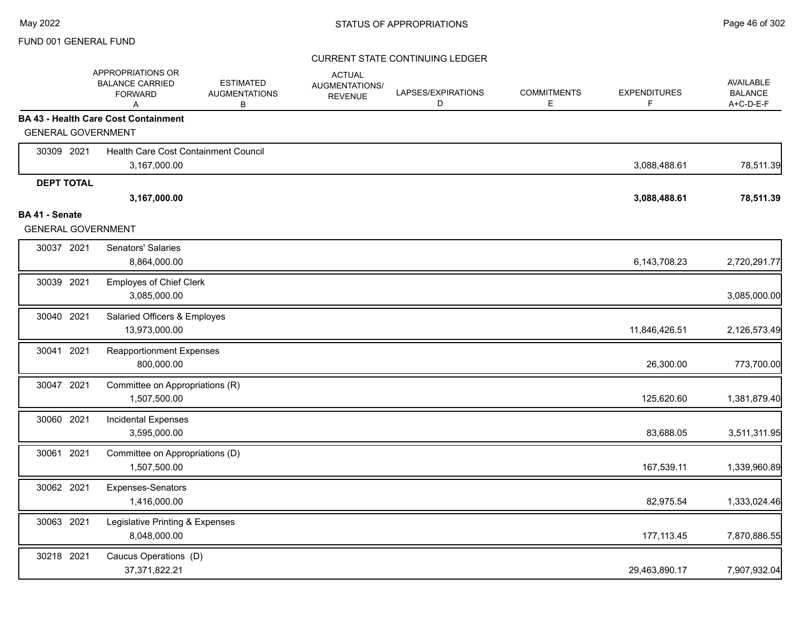|                                             | APPROPRIATIONS OR<br><b>BALANCE CARRIED</b><br><b>FORWARD</b><br>A | <b>ESTIMATED</b><br><b>AUGMENTATIONS</b><br>В | <b>ACTUAL</b><br>AUGMENTATIONS/<br><b>REVENUE</b> | LAPSES/EXPIRATIONS<br>D | <b>COMMITMENTS</b><br>E | <b>EXPENDITURES</b><br>F. | AVAILABLE<br><b>BALANCE</b><br>A+C-D-E-F |
|---------------------------------------------|--------------------------------------------------------------------|-----------------------------------------------|---------------------------------------------------|-------------------------|-------------------------|---------------------------|------------------------------------------|
|                                             | <b>BA 43 - Health Care Cost Containment</b>                        |                                               |                                                   |                         |                         |                           |                                          |
| <b>GENERAL GOVERNMENT</b>                   |                                                                    |                                               |                                                   |                         |                         |                           |                                          |
| 30309 2021                                  | Health Care Cost Containment Council                               |                                               |                                                   |                         |                         |                           |                                          |
|                                             | 3,167,000.00                                                       |                                               |                                                   |                         |                         | 3,088,488.61              | 78,511.39                                |
| <b>DEPT TOTAL</b>                           |                                                                    |                                               |                                                   |                         |                         |                           |                                          |
|                                             | 3,167,000.00                                                       |                                               |                                                   |                         |                         | 3,088,488.61              | 78,511.39                                |
| BA 41 - Senate<br><b>GENERAL GOVERNMENT</b> |                                                                    |                                               |                                                   |                         |                         |                           |                                          |
|                                             |                                                                    |                                               |                                                   |                         |                         |                           |                                          |
| 30037 2021                                  | Senators' Salaries<br>8,864,000.00                                 |                                               |                                                   |                         |                         | 6,143,708.23              | 2,720,291.77                             |
| 30039 2021                                  | <b>Employes of Chief Clerk</b><br>3,085,000.00                     |                                               |                                                   |                         |                         |                           | 3,085,000.00                             |
| 30040 2021                                  | Salaried Officers & Employes<br>13,973,000.00                      |                                               |                                                   |                         |                         | 11,846,426.51             | 2,126,573.49                             |
| 30041 2021                                  | <b>Reapportionment Expenses</b><br>800,000.00                      |                                               |                                                   |                         |                         | 26,300.00                 | 773,700.00                               |
| 30047 2021                                  | Committee on Appropriations (R)<br>1,507,500.00                    |                                               |                                                   |                         |                         | 125,620.60                | 1,381,879.40                             |
| 30060 2021                                  | <b>Incidental Expenses</b><br>3,595,000.00                         |                                               |                                                   |                         |                         | 83,688.05                 | 3,511,311.95                             |
| 30061 2021                                  | Committee on Appropriations (D)<br>1,507,500.00                    |                                               |                                                   |                         |                         | 167,539.11                | 1,339,960.89                             |
| 30062 2021                                  | Expenses-Senators<br>1,416,000.00                                  |                                               |                                                   |                         |                         | 82,975.54                 | 1,333,024.46                             |
| 30063 2021                                  | Legislative Printing & Expenses<br>8,048,000.00                    |                                               |                                                   |                         |                         | 177, 113.45               | 7,870,886.55                             |
| 30218 2021                                  | Caucus Operations (D)<br>37,371,822.21                             |                                               |                                                   |                         |                         | 29,463,890.17             | 7,907,932.04                             |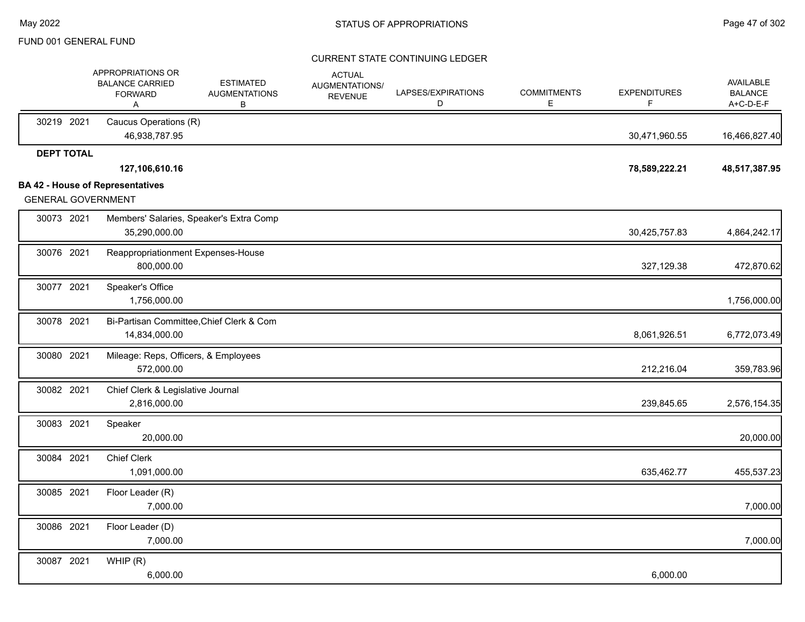|                           | APPROPRIATIONS OR<br><b>BALANCE CARRIED</b><br><b>FORWARD</b><br>Α | <b>ESTIMATED</b><br><b>AUGMENTATIONS</b><br>В | <b>ACTUAL</b><br>AUGMENTATIONS/<br><b>REVENUE</b> | LAPSES/EXPIRATIONS<br>D | <b>COMMITMENTS</b><br>E. | <b>EXPENDITURES</b><br>F | <b>AVAILABLE</b><br><b>BALANCE</b><br>A+C-D-E-F |
|---------------------------|--------------------------------------------------------------------|-----------------------------------------------|---------------------------------------------------|-------------------------|--------------------------|--------------------------|-------------------------------------------------|
| 30219 2021                | Caucus Operations (R)<br>46,938,787.95                             |                                               |                                                   |                         |                          | 30,471,960.55            | 16,466,827.40                                   |
| <b>DEPT TOTAL</b>         |                                                                    |                                               |                                                   |                         |                          |                          |                                                 |
|                           | 127,106,610.16                                                     |                                               |                                                   |                         |                          | 78,589,222.21            | 48,517,387.95                                   |
| <b>GENERAL GOVERNMENT</b> | <b>BA 42 - House of Representatives</b>                            |                                               |                                                   |                         |                          |                          |                                                 |
| 30073 2021                | 35,290,000.00                                                      | Members' Salaries, Speaker's Extra Comp       |                                                   |                         |                          | 30,425,757.83            | 4,864,242.17                                    |
| 30076 2021                | Reappropriationment Expenses-House<br>800,000.00                   |                                               |                                                   |                         |                          | 327,129.38               | 472,870.62                                      |
| 30077 2021                | Speaker's Office<br>1,756,000.00                                   |                                               |                                                   |                         |                          |                          | 1,756,000.00                                    |
| 30078 2021                | 14,834,000.00                                                      | Bi-Partisan Committee, Chief Clerk & Com      |                                                   |                         |                          | 8,061,926.51             | 6,772,073.49                                    |
| 30080 2021                | Mileage: Reps, Officers, & Employees<br>572,000.00                 |                                               |                                                   |                         |                          | 212,216.04               | 359,783.96                                      |
| 30082 2021                | Chief Clerk & Legislative Journal<br>2,816,000.00                  |                                               |                                                   |                         |                          | 239,845.65               | 2,576,154.35                                    |
| 30083 2021                | Speaker<br>20,000.00                                               |                                               |                                                   |                         |                          |                          | 20,000.00                                       |
| 30084 2021                | <b>Chief Clerk</b><br>1,091,000.00                                 |                                               |                                                   |                         |                          | 635,462.77               | 455,537.23                                      |
| 30085 2021                | Floor Leader (R)<br>7,000.00                                       |                                               |                                                   |                         |                          |                          | 7,000.00                                        |
| 30086 2021                | Floor Leader (D)<br>7,000.00                                       |                                               |                                                   |                         |                          |                          | 7,000.00                                        |
| 30087 2021                | WHIP(R)<br>6,000.00                                                |                                               |                                                   |                         |                          | 6,000.00                 |                                                 |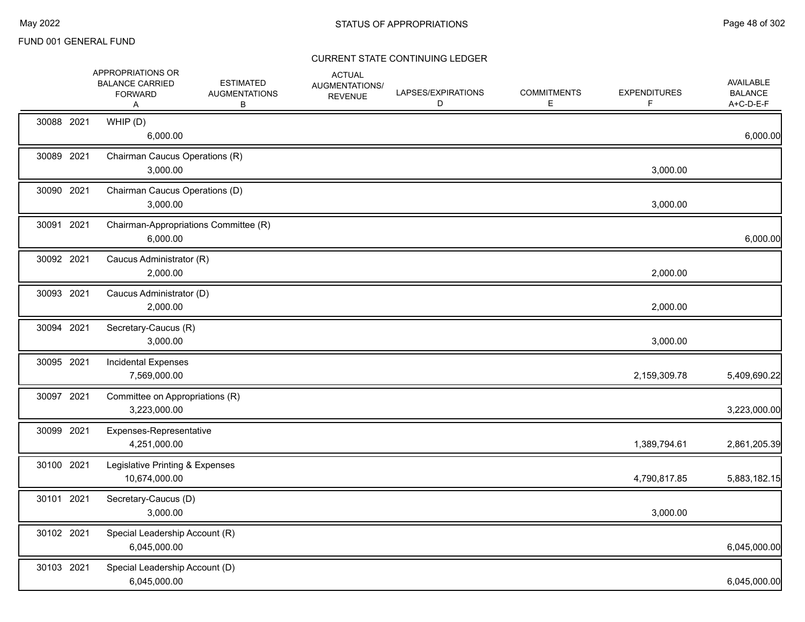|            | APPROPRIATIONS OR<br><b>BALANCE CARRIED</b><br><b>FORWARD</b><br>A | <b>ESTIMATED</b><br><b>AUGMENTATIONS</b><br>В | <b>ACTUAL</b><br>AUGMENTATIONS/<br><b>REVENUE</b> | LAPSES/EXPIRATIONS<br>D | <b>COMMITMENTS</b><br>E. | <b>EXPENDITURES</b><br>F | <b>AVAILABLE</b><br><b>BALANCE</b><br>A+C-D-E-F |
|------------|--------------------------------------------------------------------|-----------------------------------------------|---------------------------------------------------|-------------------------|--------------------------|--------------------------|-------------------------------------------------|
| 30088 2021 | WHIP (D)<br>6,000.00                                               |                                               |                                                   |                         |                          |                          | 6,000.00                                        |
| 30089 2021 | 3,000.00                                                           | Chairman Caucus Operations (R)                |                                                   |                         |                          | 3,000.00                 |                                                 |
| 30090 2021 | 3,000.00                                                           | Chairman Caucus Operations (D)                |                                                   |                         |                          | 3,000.00                 |                                                 |
| 30091 2021 | 6,000.00                                                           | Chairman-Appropriations Committee (R)         |                                                   |                         |                          |                          | 6,000.00                                        |
| 30092 2021 | Caucus Administrator (R)<br>2,000.00                               |                                               |                                                   |                         |                          | 2,000.00                 |                                                 |
| 30093 2021 | Caucus Administrator (D)<br>2,000.00                               |                                               |                                                   |                         |                          | 2,000.00                 |                                                 |
| 30094 2021 | Secretary-Caucus (R)<br>3,000.00                                   |                                               |                                                   |                         |                          | 3,000.00                 |                                                 |
| 30095 2021 | <b>Incidental Expenses</b><br>7,569,000.00                         |                                               |                                                   |                         |                          | 2,159,309.78             | 5,409,690.22                                    |
| 30097 2021 | 3,223,000.00                                                       | Committee on Appropriations (R)               |                                                   |                         |                          |                          | 3,223,000.00                                    |
| 30099 2021 | Expenses-Representative<br>4,251,000.00                            |                                               |                                                   |                         |                          | 1,389,794.61             | 2,861,205.39                                    |
| 30100 2021 | Legislative Printing & Expenses<br>10,674,000.00                   |                                               |                                                   |                         |                          | 4,790,817.85             | 5,883,182.15                                    |
| 30101 2021 | Secretary-Caucus (D)<br>3,000.00                                   |                                               |                                                   |                         |                          | 3,000.00                 |                                                 |
| 30102 2021 | Special Leadership Account (R)<br>6,045,000.00                     |                                               |                                                   |                         |                          |                          | 6,045,000.00                                    |
| 30103 2021 | Special Leadership Account (D)<br>6,045,000.00                     |                                               |                                                   |                         |                          |                          | 6,045,000.00                                    |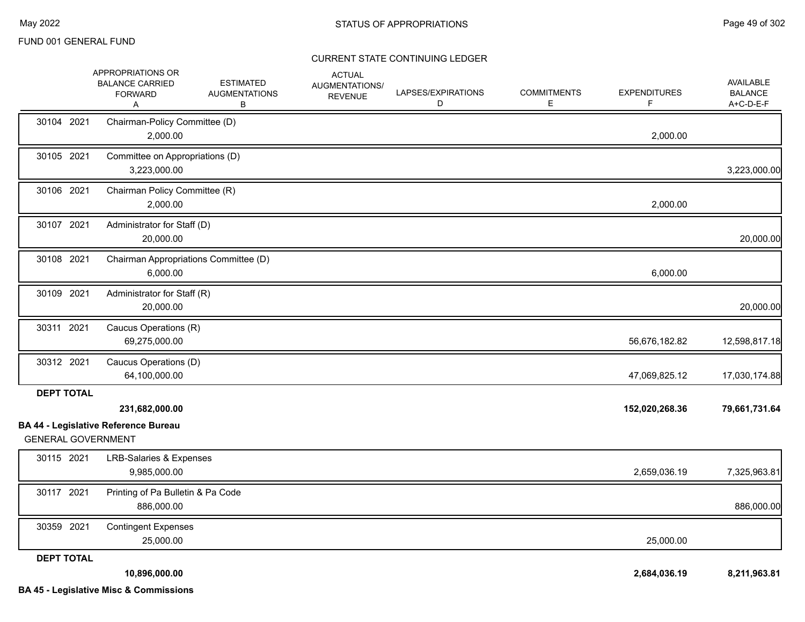|                           | APPROPRIATIONS OR<br><b>BALANCE CARRIED</b><br><b>FORWARD</b><br>Α | <b>ESTIMATED</b><br><b>AUGMENTATIONS</b><br>В | <b>ACTUAL</b><br>AUGMENTATIONS/<br><b>REVENUE</b> | LAPSES/EXPIRATIONS<br>D | <b>COMMITMENTS</b><br>Е | <b>EXPENDITURES</b><br>F. | AVAILABLE<br><b>BALANCE</b><br>A+C-D-E-F |
|---------------------------|--------------------------------------------------------------------|-----------------------------------------------|---------------------------------------------------|-------------------------|-------------------------|---------------------------|------------------------------------------|
| 30104 2021                | Chairman-Policy Committee (D)<br>2,000.00                          |                                               |                                                   |                         |                         | 2,000.00                  |                                          |
| 30105 2021                | Committee on Appropriations (D)<br>3,223,000.00                    |                                               |                                                   |                         |                         |                           | 3,223,000.00                             |
| 30106 2021                | Chairman Policy Committee (R)<br>2,000.00                          |                                               |                                                   |                         |                         | 2,000.00                  |                                          |
| 30107 2021                | Administrator for Staff (D)<br>20,000.00                           |                                               |                                                   |                         |                         |                           | 20,000.00                                |
| 30108 2021                | Chairman Appropriations Committee (D)<br>6,000.00                  |                                               |                                                   |                         |                         | 6,000.00                  |                                          |
| 30109 2021                | Administrator for Staff (R)<br>20,000.00                           |                                               |                                                   |                         |                         |                           | 20,000.00                                |
| 30311 2021                | Caucus Operations (R)<br>69,275,000.00                             |                                               |                                                   |                         |                         | 56,676,182.82             | 12,598,817.18                            |
| 30312 2021                | Caucus Operations (D)<br>64,100,000.00                             |                                               |                                                   |                         |                         | 47,069,825.12             | 17,030,174.88                            |
| <b>DEPT TOTAL</b>         | 231,682,000.00<br><b>BA 44 - Legislative Reference Bureau</b>      |                                               |                                                   |                         |                         | 152,020,268.36            | 79,661,731.64                            |
| <b>GENERAL GOVERNMENT</b> |                                                                    |                                               |                                                   |                         |                         |                           |                                          |
| 30115 2021                | <b>LRB-Salaries &amp; Expenses</b><br>9,985,000.00                 |                                               |                                                   |                         |                         | 2,659,036.19              | 7,325,963.81                             |
| 30117 2021                | Printing of Pa Bulletin & Pa Code<br>886,000.00                    |                                               |                                                   |                         |                         |                           | 886,000.00                               |
| 30359 2021                | <b>Contingent Expenses</b><br>25,000.00                            |                                               |                                                   |                         |                         | 25,000.00                 |                                          |
| <b>DEPT TOTAL</b>         | 10,896,000.00                                                      |                                               |                                                   |                         |                         | 2,684,036.19              | 8,211,963.81                             |
|                           | <b>BA 45 - Legislative Misc &amp; Commissions</b>                  |                                               |                                                   |                         |                         |                           |                                          |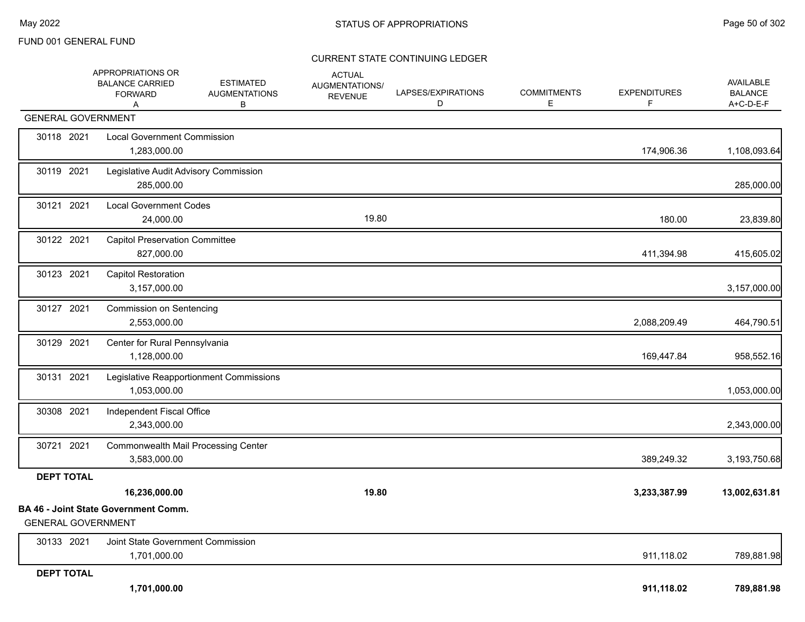|                           | APPROPRIATIONS OR<br><b>BALANCE CARRIED</b><br><b>FORWARD</b><br>Α | <b>ESTIMATED</b><br><b>AUGMENTATIONS</b><br>В | <b>ACTUAL</b><br>AUGMENTATIONS/<br><b>REVENUE</b> | LAPSES/EXPIRATIONS<br>D | <b>COMMITMENTS</b><br>Е | <b>EXPENDITURES</b><br>F | AVAILABLE<br><b>BALANCE</b><br>A+C-D-E-F |
|---------------------------|--------------------------------------------------------------------|-----------------------------------------------|---------------------------------------------------|-------------------------|-------------------------|--------------------------|------------------------------------------|
| <b>GENERAL GOVERNMENT</b> |                                                                    |                                               |                                                   |                         |                         |                          |                                          |
| 30118 2021                | <b>Local Government Commission</b><br>1,283,000.00                 |                                               |                                                   |                         |                         | 174,906.36               | 1,108,093.64                             |
| 30119 2021                | Legislative Audit Advisory Commission<br>285,000.00                |                                               |                                                   |                         |                         |                          | 285,000.00                               |
| 30121 2021                | <b>Local Government Codes</b><br>24,000.00                         |                                               | 19.80                                             |                         |                         | 180.00                   | 23,839.80                                |
| 30122 2021                | <b>Capitol Preservation Committee</b><br>827,000.00                |                                               |                                                   |                         |                         | 411,394.98               | 415,605.02                               |
| 30123 2021                | <b>Capitol Restoration</b><br>3,157,000.00                         |                                               |                                                   |                         |                         |                          | 3,157,000.00                             |
| 30127 2021                | <b>Commission on Sentencing</b><br>2,553,000.00                    |                                               |                                                   |                         |                         | 2,088,209.49             | 464,790.51                               |
| 30129 2021                | Center for Rural Pennsylvania<br>1,128,000.00                      |                                               |                                                   |                         |                         | 169,447.84               | 958,552.16                               |
| 30131 2021                | 1,053,000.00                                                       | Legislative Reapportionment Commissions       |                                                   |                         |                         |                          | 1,053,000.00                             |
| 30308 2021                | Independent Fiscal Office<br>2,343,000.00                          |                                               |                                                   |                         |                         |                          | 2,343,000.00                             |
| 30721 2021                | <b>Commonwealth Mail Processing Center</b><br>3,583,000.00         |                                               |                                                   |                         |                         | 389,249.32               | 3,193,750.68                             |
| <b>DEPT TOTAL</b>         |                                                                    |                                               |                                                   |                         |                         |                          |                                          |
|                           | 16,236,000.00                                                      |                                               | 19.80                                             |                         |                         | 3,233,387.99             | 13,002,631.81                            |
| <b>GENERAL GOVERNMENT</b> | <b>BA 46 - Joint State Government Comm.</b>                        |                                               |                                                   |                         |                         |                          |                                          |
| 30133 2021                | Joint State Government Commission<br>1,701,000.00                  |                                               |                                                   |                         |                         | 911,118.02               | 789,881.98                               |
| <b>DEPT TOTAL</b>         | 1,701,000.00                                                       |                                               |                                                   |                         |                         | 911,118.02               | 789,881.98                               |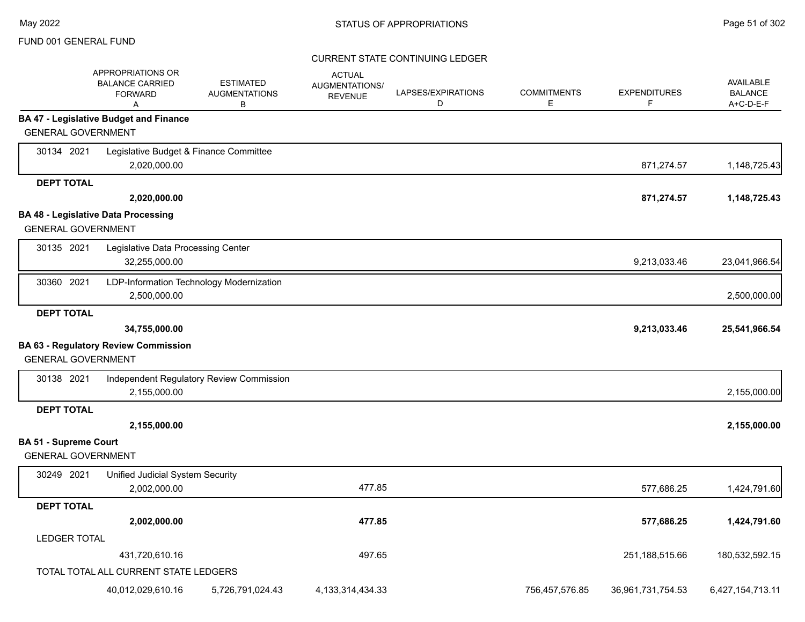|                              | APPROPRIATIONS OR<br><b>BALANCE CARRIED</b><br><b>FORWARD</b><br>Α | <b>ESTIMATED</b><br><b>AUGMENTATIONS</b><br>B | <b>ACTUAL</b><br><b>AUGMENTATIONS/</b><br><b>REVENUE</b> | LAPSES/EXPIRATIONS<br>D | <b>COMMITMENTS</b><br>Е | <b>EXPENDITURES</b><br>F | <b>AVAILABLE</b><br><b>BALANCE</b><br>A+C-D-E-F |
|------------------------------|--------------------------------------------------------------------|-----------------------------------------------|----------------------------------------------------------|-------------------------|-------------------------|--------------------------|-------------------------------------------------|
|                              | <b>BA 47 - Legislative Budget and Finance</b>                      |                                               |                                                          |                         |                         |                          |                                                 |
| <b>GENERAL GOVERNMENT</b>    |                                                                    |                                               |                                                          |                         |                         |                          |                                                 |
| 30134 2021                   | Legislative Budget & Finance Committee                             |                                               |                                                          |                         |                         |                          |                                                 |
|                              | 2,020,000.00                                                       |                                               |                                                          |                         |                         | 871,274.57               | 1,148,725.43                                    |
| <b>DEPT TOTAL</b>            |                                                                    |                                               |                                                          |                         |                         |                          |                                                 |
|                              | 2,020,000.00                                                       |                                               |                                                          |                         |                         | 871,274.57               | 1,148,725.43                                    |
|                              | <b>BA 48 - Legislative Data Processing</b>                         |                                               |                                                          |                         |                         |                          |                                                 |
| <b>GENERAL GOVERNMENT</b>    |                                                                    |                                               |                                                          |                         |                         |                          |                                                 |
| 30135 2021                   | Legislative Data Processing Center                                 |                                               |                                                          |                         |                         |                          |                                                 |
|                              | 32,255,000.00                                                      |                                               |                                                          |                         |                         | 9,213,033.46             | 23,041,966.54                                   |
| 30360 2021                   |                                                                    | LDP-Information Technology Modernization      |                                                          |                         |                         |                          |                                                 |
|                              | 2,500,000.00                                                       |                                               |                                                          |                         |                         |                          | 2,500,000.00                                    |
| <b>DEPT TOTAL</b>            |                                                                    |                                               |                                                          |                         |                         |                          |                                                 |
|                              | 34,755,000.00                                                      |                                               |                                                          |                         |                         | 9,213,033.46             | 25,541,966.54                                   |
| <b>GENERAL GOVERNMENT</b>    | <b>BA 63 - Regulatory Review Commission</b>                        |                                               |                                                          |                         |                         |                          |                                                 |
| 30138 2021                   |                                                                    | Independent Regulatory Review Commission      |                                                          |                         |                         |                          |                                                 |
|                              | 2,155,000.00                                                       |                                               |                                                          |                         |                         |                          | 2,155,000.00                                    |
| <b>DEPT TOTAL</b>            |                                                                    |                                               |                                                          |                         |                         |                          |                                                 |
|                              | 2,155,000.00                                                       |                                               |                                                          |                         |                         |                          | 2,155,000.00                                    |
| <b>BA 51 - Supreme Court</b> |                                                                    |                                               |                                                          |                         |                         |                          |                                                 |
| <b>GENERAL GOVERNMENT</b>    |                                                                    |                                               |                                                          |                         |                         |                          |                                                 |
| 30249 2021                   | <b>Unified Judicial System Security</b>                            |                                               |                                                          |                         |                         |                          |                                                 |
|                              | 2,002,000.00                                                       |                                               | 477.85                                                   |                         |                         | 577,686.25               | 1,424,791.60                                    |
| <b>DEPT TOTAL</b>            |                                                                    |                                               |                                                          |                         |                         |                          |                                                 |
|                              | 2,002,000.00                                                       |                                               | 477.85                                                   |                         |                         | 577,686.25               | 1,424,791.60                                    |
| <b>LEDGER TOTAL</b>          |                                                                    |                                               |                                                          |                         |                         |                          |                                                 |
|                              | 431,720,610.16                                                     |                                               | 497.65                                                   |                         |                         | 251,188,515.66           | 180,532,592.15                                  |
|                              | TOTAL TOTAL ALL CURRENT STATE LEDGERS                              |                                               |                                                          |                         |                         |                          |                                                 |
|                              | 40,012,029,610.16                                                  | 5,726,791,024.43                              | 4, 133, 314, 434. 33                                     |                         | 756,457,576.85          | 36,961,731,754.53        | 6,427,154,713.11                                |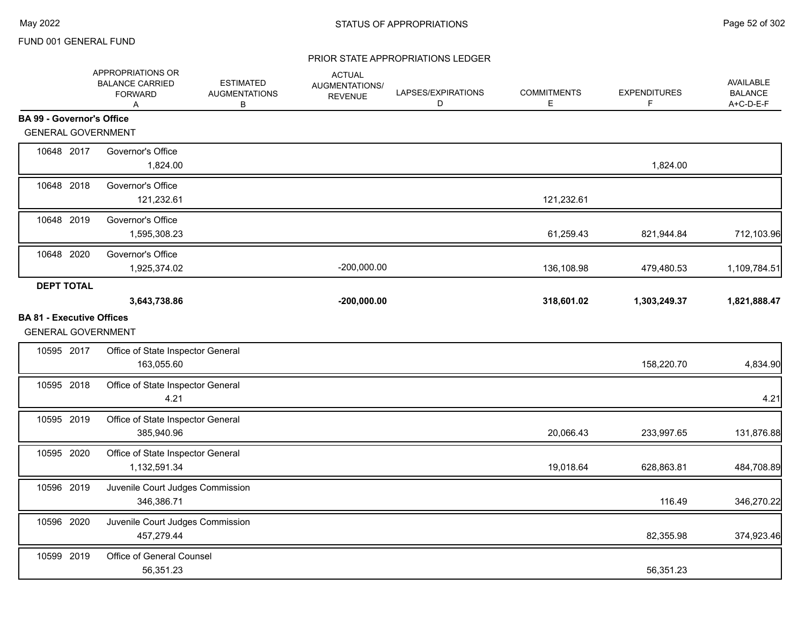|                                                               | APPROPRIATIONS OR<br><b>BALANCE CARRIED</b><br><b>FORWARD</b><br>Α | <b>ESTIMATED</b><br><b>AUGMENTATIONS</b><br>В | <b>ACTUAL</b><br><b>AUGMENTATIONS/</b><br><b>REVENUE</b> | LAPSES/EXPIRATIONS<br>D | <b>COMMITMENTS</b><br>Е | <b>EXPENDITURES</b><br>F | AVAILABLE<br><b>BALANCE</b><br>A+C-D-E-F |
|---------------------------------------------------------------|--------------------------------------------------------------------|-----------------------------------------------|----------------------------------------------------------|-------------------------|-------------------------|--------------------------|------------------------------------------|
| <b>BA 99 - Governor's Office</b>                              |                                                                    |                                               |                                                          |                         |                         |                          |                                          |
| <b>GENERAL GOVERNMENT</b>                                     |                                                                    |                                               |                                                          |                         |                         |                          |                                          |
| 10648 2017                                                    | Governor's Office<br>1,824.00                                      |                                               |                                                          |                         |                         | 1,824.00                 |                                          |
| 10648 2018                                                    | Governor's Office<br>121,232.61                                    |                                               |                                                          |                         | 121,232.61              |                          |                                          |
| 10648 2019                                                    | Governor's Office<br>1,595,308.23                                  |                                               |                                                          |                         | 61,259.43               | 821,944.84               | 712,103.96                               |
| 10648 2020                                                    | Governor's Office<br>1,925,374.02                                  |                                               | $-200,000.00$                                            |                         | 136,108.98              | 479,480.53               | 1,109,784.51                             |
| <b>DEPT TOTAL</b>                                             | 3,643,738.86                                                       |                                               | $-200,000.00$                                            |                         | 318,601.02              | 1,303,249.37             | 1,821,888.47                             |
| <b>BA 81 - Executive Offices</b><br><b>GENERAL GOVERNMENT</b> |                                                                    |                                               |                                                          |                         |                         |                          |                                          |
| 10595 2017                                                    | Office of State Inspector General<br>163,055.60                    |                                               |                                                          |                         |                         | 158,220.70               | 4,834.90                                 |
| 10595 2018                                                    | Office of State Inspector General<br>4.21                          |                                               |                                                          |                         |                         |                          | 4.21                                     |
| 10595 2019                                                    | Office of State Inspector General<br>385,940.96                    |                                               |                                                          |                         | 20,066.43               | 233,997.65               | 131,876.88                               |
| 10595 2020                                                    | Office of State Inspector General<br>1,132,591.34                  |                                               |                                                          |                         | 19,018.64               | 628,863.81               | 484,708.89                               |
| 10596 2019                                                    | Juvenile Court Judges Commission<br>346,386.71                     |                                               |                                                          |                         |                         | 116.49                   | 346,270.22                               |
| 10596 2020                                                    | Juvenile Court Judges Commission<br>457,279.44                     |                                               |                                                          |                         |                         | 82,355.98                | 374,923.46                               |
| 10599 2019                                                    | Office of General Counsel<br>56,351.23                             |                                               |                                                          |                         |                         | 56,351.23                |                                          |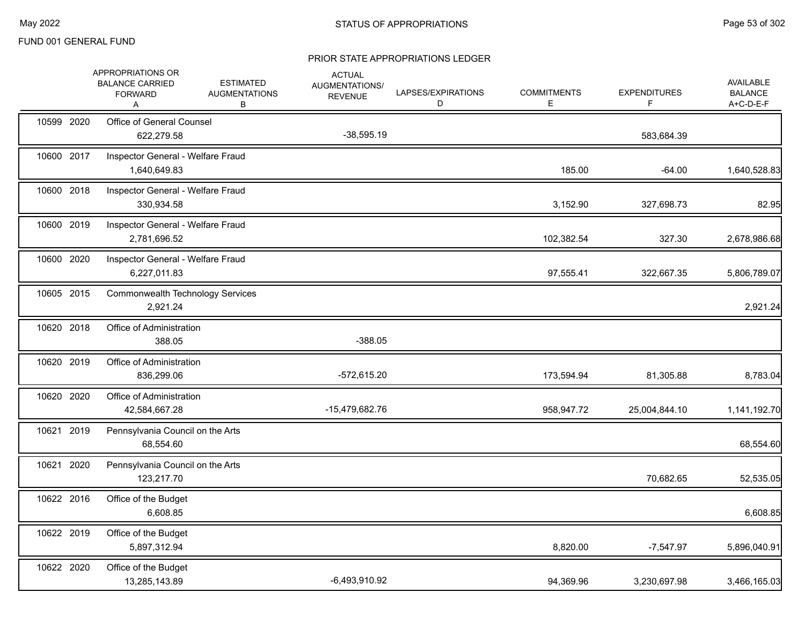|            | APPROPRIATIONS OR<br><b>BALANCE CARRIED</b><br><b>FORWARD</b><br>Α | <b>ESTIMATED</b><br><b>AUGMENTATIONS</b><br>В | <b>ACTUAL</b><br>AUGMENTATIONS/<br><b>REVENUE</b> | LAPSES/EXPIRATIONS<br>D | <b>COMMITMENTS</b><br>Е | <b>EXPENDITURES</b><br>F | AVAILABLE<br><b>BALANCE</b><br>$A+C-D-E-F$ |
|------------|--------------------------------------------------------------------|-----------------------------------------------|---------------------------------------------------|-------------------------|-------------------------|--------------------------|--------------------------------------------|
| 10599 2020 | Office of General Counsel<br>622,279.58                            |                                               | $-38,595.19$                                      |                         |                         | 583,684.39               |                                            |
| 10600 2017 | Inspector General - Welfare Fraud<br>1,640,649.83                  |                                               |                                                   |                         | 185.00                  | $-64.00$                 | 1,640,528.83                               |
| 10600 2018 | Inspector General - Welfare Fraud<br>330,934.58                    |                                               |                                                   |                         | 3,152.90                | 327,698.73               | 82.95                                      |
| 10600 2019 | Inspector General - Welfare Fraud<br>2,781,696.52                  |                                               |                                                   |                         | 102,382.54              | 327.30                   | 2,678,986.68                               |
| 10600 2020 | Inspector General - Welfare Fraud<br>6,227,011.83                  |                                               |                                                   |                         | 97,555.41               | 322,667.35               | 5,806,789.07                               |
| 10605 2015 | Commonwealth Technology Services<br>2,921.24                       |                                               |                                                   |                         |                         |                          | 2,921.24                                   |
| 10620 2018 | Office of Administration<br>388.05                                 |                                               | $-388.05$                                         |                         |                         |                          |                                            |
| 10620 2019 | Office of Administration<br>836,299.06                             |                                               | $-572,615.20$                                     |                         | 173,594.94              | 81,305.88                | 8,783.04                                   |
| 10620 2020 | Office of Administration<br>42,584,667.28                          |                                               | -15,479,682.76                                    |                         | 958,947.72              | 25,004,844.10            | 1,141,192.70                               |
| 10621 2019 | Pennsylvania Council on the Arts<br>68,554.60                      |                                               |                                                   |                         |                         |                          | 68,554.60                                  |
| 10621 2020 | Pennsylvania Council on the Arts<br>123,217.70                     |                                               |                                                   |                         |                         | 70,682.65                | 52,535.05                                  |
| 10622 2016 | Office of the Budget<br>6,608.85                                   |                                               |                                                   |                         |                         |                          | 6,608.85                                   |
| 10622 2019 | Office of the Budget<br>5,897,312.94                               |                                               |                                                   |                         | 8,820.00                | $-7,547.97$              | 5,896,040.91                               |
| 10622 2020 | Office of the Budget<br>13,285,143.89                              |                                               | -6,493,910.92                                     |                         | 94,369.96               | 3,230,697.98             | 3,466,165.03                               |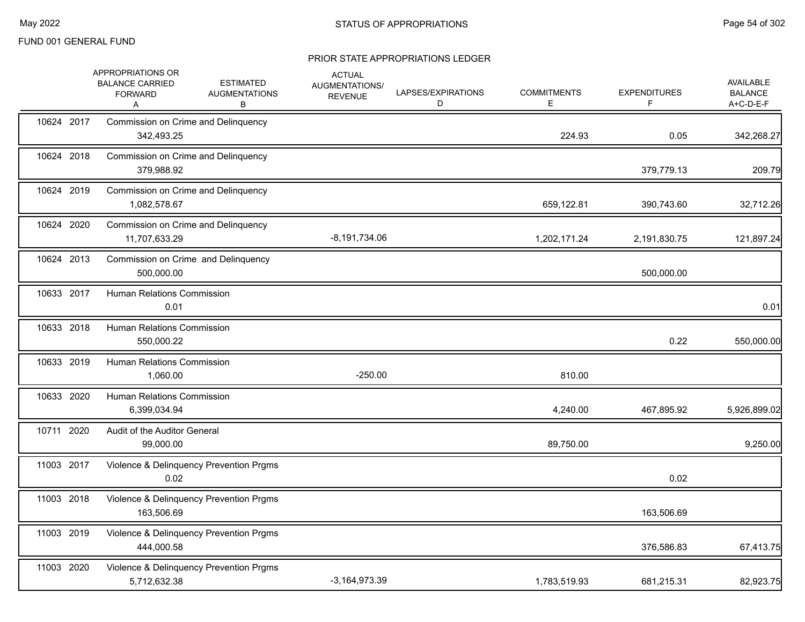|            | APPROPRIATIONS OR<br><b>BALANCE CARRIED</b><br><b>FORWARD</b><br>Α | <b>ACTUAL</b><br><b>ESTIMATED</b><br>AUGMENTATIONS/<br><b>AUGMENTATIONS</b><br><b>REVENUE</b><br>В | LAPSES/EXPIRATIONS<br>D | <b>COMMITMENTS</b><br>Е | <b>EXPENDITURES</b><br>F | AVAILABLE<br><b>BALANCE</b><br>A+C-D-E-F |
|------------|--------------------------------------------------------------------|----------------------------------------------------------------------------------------------------|-------------------------|-------------------------|--------------------------|------------------------------------------|
| 10624 2017 | Commission on Crime and Delinquency<br>342,493.25                  |                                                                                                    |                         | 224.93                  | 0.05                     | 342,268.27                               |
| 10624 2018 | Commission on Crime and Delinquency<br>379,988.92                  |                                                                                                    |                         |                         | 379,779.13               | 209.79                                   |
| 10624 2019 | Commission on Crime and Delinquency<br>1,082,578.67                |                                                                                                    |                         | 659,122.81              | 390,743.60               | 32,712.26                                |
| 10624 2020 | Commission on Crime and Delinquency<br>11,707,633.29               | $-8,191,734.06$                                                                                    |                         | 1,202,171.24            | 2,191,830.75             | 121,897.24                               |
| 10624 2013 | Commission on Crime and Delinquency<br>500,000.00                  |                                                                                                    |                         |                         | 500,000.00               |                                          |
| 10633 2017 | <b>Human Relations Commission</b><br>0.01                          |                                                                                                    |                         |                         |                          | 0.01                                     |
| 10633 2018 | Human Relations Commission<br>550,000.22                           |                                                                                                    |                         |                         | 0.22                     | 550,000.00                               |
| 10633 2019 | <b>Human Relations Commission</b><br>1,060.00                      | $-250.00$                                                                                          |                         | 810.00                  |                          |                                          |
| 10633 2020 | Human Relations Commission<br>6,399,034.94                         |                                                                                                    |                         | 4,240.00                | 467,895.92               | 5,926,899.02                             |
| 10711 2020 | Audit of the Auditor General<br>99,000.00                          |                                                                                                    |                         | 89,750.00               |                          | 9,250.00                                 |
| 11003 2017 | Violence & Delinquency Prevention Prgms<br>0.02                    |                                                                                                    |                         |                         | 0.02                     |                                          |
| 11003 2018 | Violence & Delinquency Prevention Prgms<br>163,506.69              |                                                                                                    |                         |                         | 163,506.69               |                                          |
| 11003 2019 | Violence & Delinquency Prevention Prgms<br>444.000.58              |                                                                                                    |                         |                         | 376,586.83               | 67,413.75                                |
| 11003 2020 | Violence & Delinquency Prevention Prgms<br>5,712,632.38            | $-3,164,973.39$                                                                                    |                         | 1,783,519.93            | 681,215.31               | 82,923.75                                |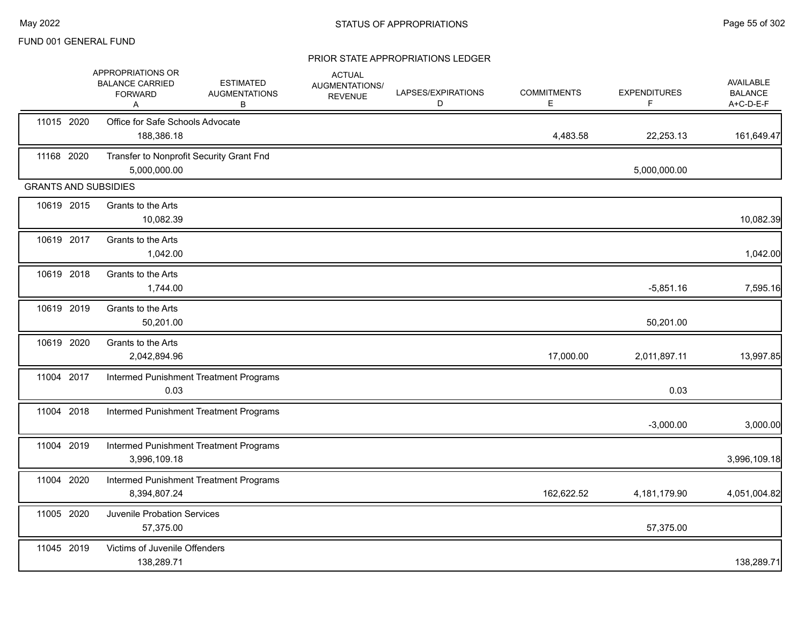|            | APPROPRIATIONS OR<br><b>BALANCE CARRIED</b><br><b>FORWARD</b><br>A | <b>ESTIMATED</b><br><b>AUGMENTATIONS</b><br>В | <b>ACTUAL</b><br>AUGMENTATIONS/<br><b>REVENUE</b> | LAPSES/EXPIRATIONS<br>D | <b>COMMITMENTS</b><br>E | <b>EXPENDITURES</b><br>F. | AVAILABLE<br><b>BALANCE</b><br>A+C-D-E-F |
|------------|--------------------------------------------------------------------|-----------------------------------------------|---------------------------------------------------|-------------------------|-------------------------|---------------------------|------------------------------------------|
| 11015 2020 | Office for Safe Schools Advocate<br>188,386.18                     |                                               |                                                   |                         | 4,483.58                | 22,253.13                 | 161,649.47                               |
| 11168 2020 | Transfer to Nonprofit Security Grant Fnd<br>5,000,000.00           |                                               |                                                   |                         |                         | 5,000,000.00              |                                          |
|            | <b>GRANTS AND SUBSIDIES</b>                                        |                                               |                                                   |                         |                         |                           |                                          |
| 10619 2015 | Grants to the Arts<br>10,082.39                                    |                                               |                                                   |                         |                         |                           | 10,082.39                                |
| 10619 2017 | Grants to the Arts<br>1,042.00                                     |                                               |                                                   |                         |                         |                           | 1,042.00                                 |
| 10619 2018 | Grants to the Arts<br>1,744.00                                     |                                               |                                                   |                         |                         | $-5,851.16$               | 7,595.16                                 |
| 10619 2019 | Grants to the Arts<br>50,201.00                                    |                                               |                                                   |                         |                         | 50,201.00                 |                                          |
| 10619 2020 | Grants to the Arts<br>2,042,894.96                                 |                                               |                                                   |                         | 17,000.00               | 2,011,897.11              | 13,997.85                                |
| 11004 2017 | 0.03                                                               | Intermed Punishment Treatment Programs        |                                                   |                         |                         | 0.03                      |                                          |
| 11004 2018 |                                                                    | Intermed Punishment Treatment Programs        |                                                   |                         |                         | $-3,000.00$               | 3,000.00                                 |
| 11004 2019 | 3,996,109.18                                                       | Intermed Punishment Treatment Programs        |                                                   |                         |                         |                           | 3,996,109.18                             |
| 11004 2020 | 8,394,807.24                                                       | Intermed Punishment Treatment Programs        |                                                   |                         | 162,622.52              | 4,181,179.90              | 4,051,004.82                             |
| 11005 2020 | Juvenile Probation Services<br>57,375.00                           |                                               |                                                   |                         |                         | 57,375.00                 |                                          |
| 11045 2019 | Victims of Juvenile Offenders<br>138,289.71                        |                                               |                                                   |                         |                         |                           | 138,289.71                               |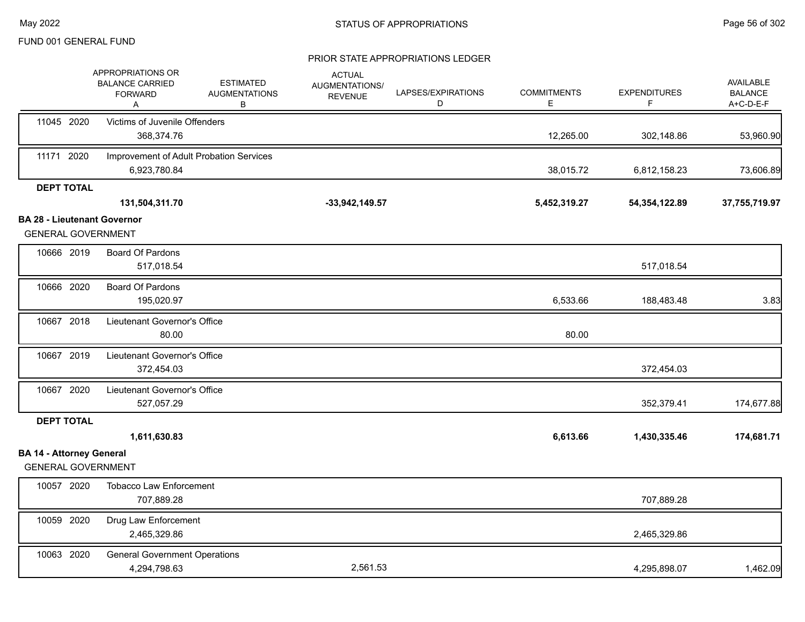|                                                                 | APPROPRIATIONS OR<br><b>BALANCE CARRIED</b><br><b>FORWARD</b><br>Α | <b>ESTIMATED</b><br><b>AUGMENTATIONS</b><br>В | <b>ACTUAL</b><br>AUGMENTATIONS/<br><b>REVENUE</b> | LAPSES/EXPIRATIONS<br>D | <b>COMMITMENTS</b><br>Е | <b>EXPENDITURES</b><br>F. | AVAILABLE<br><b>BALANCE</b><br>A+C-D-E-F |
|-----------------------------------------------------------------|--------------------------------------------------------------------|-----------------------------------------------|---------------------------------------------------|-------------------------|-------------------------|---------------------------|------------------------------------------|
| 11045 2020                                                      | Victims of Juvenile Offenders<br>368,374.76                        |                                               |                                                   |                         | 12,265.00               | 302,148.86                | 53,960.90                                |
| 11171 2020                                                      | Improvement of Adult Probation Services<br>6,923,780.84            |                                               |                                                   |                         | 38,015.72               | 6,812,158.23              | 73,606.89                                |
| <b>DEPT TOTAL</b>                                               | 131,504,311.70                                                     |                                               | $-33,942,149.57$                                  |                         | 5,452,319.27            | 54, 354, 122.89           | 37,755,719.97                            |
| <b>BA 28 - Lieutenant Governor</b><br><b>GENERAL GOVERNMENT</b> |                                                                    |                                               |                                                   |                         |                         |                           |                                          |
| 10666 2019                                                      | Board Of Pardons<br>517,018.54                                     |                                               |                                                   |                         |                         | 517,018.54                |                                          |
| 10666 2020                                                      | <b>Board Of Pardons</b><br>195,020.97                              |                                               |                                                   |                         | 6,533.66                | 188,483.48                | 3.83                                     |
| 10667 2018                                                      | Lieutenant Governor's Office<br>80.00                              |                                               |                                                   |                         | 80.00                   |                           |                                          |
| 10667 2019                                                      | Lieutenant Governor's Office<br>372,454.03                         |                                               |                                                   |                         |                         | 372,454.03                |                                          |
| 10667 2020                                                      | Lieutenant Governor's Office<br>527,057.29                         |                                               |                                                   |                         |                         | 352,379.41                | 174,677.88                               |
| <b>DEPT TOTAL</b>                                               |                                                                    |                                               |                                                   |                         |                         |                           |                                          |
|                                                                 | 1,611,630.83                                                       |                                               |                                                   |                         | 6,613.66                | 1,430,335.46              | 174,681.71                               |
| <b>BA 14 - Attorney General</b><br><b>GENERAL GOVERNMENT</b>    |                                                                    |                                               |                                                   |                         |                         |                           |                                          |
| 10057 2020                                                      | <b>Tobacco Law Enforcement</b><br>707,889.28                       |                                               |                                                   |                         |                         | 707,889.28                |                                          |
| 10059 2020                                                      | Drug Law Enforcement<br>2,465,329.86                               |                                               |                                                   |                         |                         | 2,465,329.86              |                                          |
| 10063 2020                                                      | <b>General Government Operations</b><br>4,294,798.63               |                                               | 2,561.53                                          |                         |                         | 4,295,898.07              | 1,462.09                                 |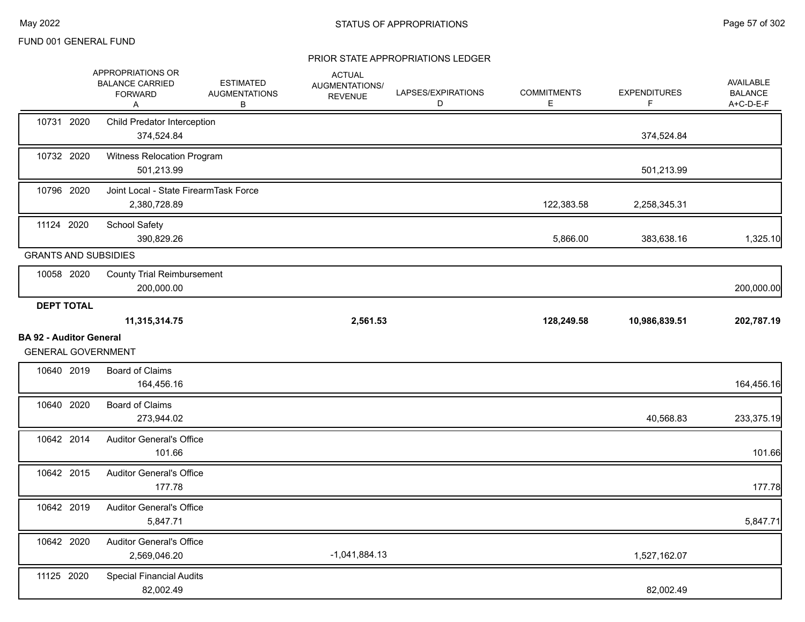|                                                             | APPROPRIATIONS OR<br><b>BALANCE CARRIED</b><br><b>FORWARD</b><br>A | <b>ESTIMATED</b><br><b>AUGMENTATIONS</b><br>B | <b>ACTUAL</b><br>AUGMENTATIONS/<br><b>REVENUE</b> | LAPSES/EXPIRATIONS<br>D | <b>COMMITMENTS</b><br>Ε | <b>EXPENDITURES</b><br>F | AVAILABLE<br><b>BALANCE</b><br>A+C-D-E-F |
|-------------------------------------------------------------|--------------------------------------------------------------------|-----------------------------------------------|---------------------------------------------------|-------------------------|-------------------------|--------------------------|------------------------------------------|
| 10731 2020                                                  | <b>Child Predator Interception</b><br>374,524.84                   |                                               |                                                   |                         |                         | 374,524.84               |                                          |
| 10732 2020                                                  | Witness Relocation Program<br>501,213.99                           |                                               |                                                   |                         |                         | 501,213.99               |                                          |
| 10796 2020                                                  | Joint Local - State FirearmTask Force<br>2,380,728.89              |                                               |                                                   |                         | 122,383.58              | 2,258,345.31             |                                          |
| 11124 2020                                                  | <b>School Safety</b><br>390,829.26                                 |                                               |                                                   |                         | 5,866.00                | 383,638.16               | 1,325.10                                 |
| <b>GRANTS AND SUBSIDIES</b>                                 |                                                                    |                                               |                                                   |                         |                         |                          |                                          |
| 10058 2020                                                  | <b>County Trial Reimbursement</b><br>200,000.00                    |                                               |                                                   |                         |                         |                          | 200,000.00                               |
| <b>DEPT TOTAL</b>                                           | 11,315,314.75                                                      |                                               | 2,561.53                                          |                         | 128,249.58              | 10,986,839.51            | 202,787.19                               |
| <b>BA 92 - Auditor General</b><br><b>GENERAL GOVERNMENT</b> |                                                                    |                                               |                                                   |                         |                         |                          |                                          |
| 10640 2019                                                  | <b>Board of Claims</b><br>164,456.16                               |                                               |                                                   |                         |                         |                          | 164,456.16                               |
| 10640 2020                                                  | <b>Board of Claims</b><br>273,944.02                               |                                               |                                                   |                         |                         | 40,568.83                | 233,375.19                               |
| 10642 2014                                                  | <b>Auditor General's Office</b><br>101.66                          |                                               |                                                   |                         |                         |                          | 101.66                                   |
| 10642 2015                                                  | <b>Auditor General's Office</b><br>177.78                          |                                               |                                                   |                         |                         |                          | 177.78                                   |
| 10642 2019                                                  | <b>Auditor General's Office</b><br>5,847.71                        |                                               |                                                   |                         |                         |                          | 5,847.71                                 |
| 10642 2020                                                  | <b>Auditor General's Office</b><br>2,569,046.20                    |                                               | $-1,041,884.13$                                   |                         |                         | 1,527,162.07             |                                          |
| 11125 2020                                                  | <b>Special Financial Audits</b><br>82,002.49                       |                                               |                                                   |                         |                         | 82,002.49                |                                          |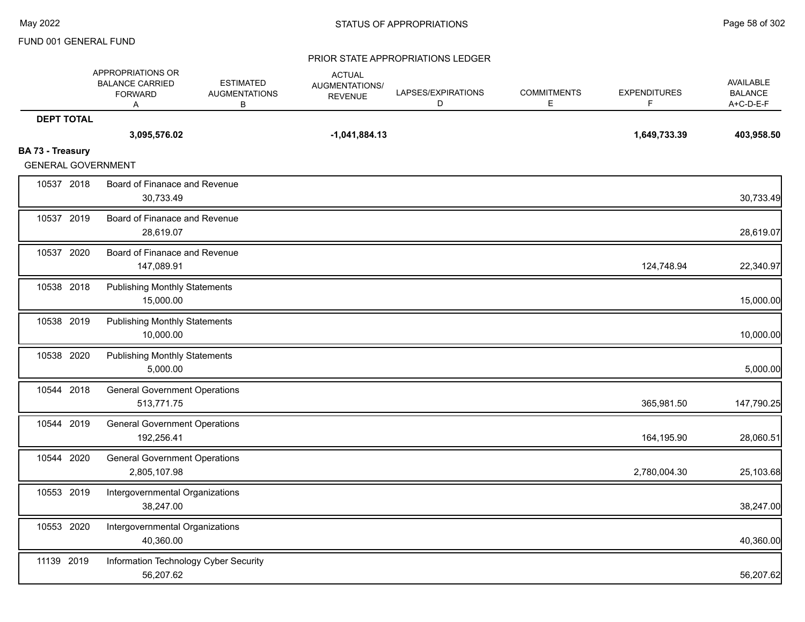|                   | APPROPRIATIONS OR<br><b>BALANCE CARRIED</b><br><b>FORWARD</b><br>Α | <b>ESTIMATED</b><br><b>AUGMENTATIONS</b><br>в | <b>ACTUAL</b><br><b>AUGMENTATIONS/</b><br><b>REVENUE</b> | LAPSES/EXPIRATIONS<br>D | <b>COMMITMENTS</b><br>E. | <b>EXPENDITURES</b><br>F. | <b>AVAILABLE</b><br><b>BALANCE</b><br>A+C-D-E-F |
|-------------------|--------------------------------------------------------------------|-----------------------------------------------|----------------------------------------------------------|-------------------------|--------------------------|---------------------------|-------------------------------------------------|
| <b>DEPT TOTAL</b> |                                                                    |                                               |                                                          |                         |                          |                           |                                                 |
|                   | 3,095,576.02                                                       |                                               | $-1,041,884.13$                                          |                         |                          | 1,649,733.39              | 403,958.50                                      |
| BA 73 - Treasury  | <b>GENERAL GOVERNMENT</b>                                          |                                               |                                                          |                         |                          |                           |                                                 |
| 10537 2018        |                                                                    | Board of Finanace and Revenue                 |                                                          |                         |                          |                           |                                                 |
|                   | 30.733.49                                                          |                                               |                                                          |                         |                          |                           | 30,733.49                                       |
| 10537 2019        |                                                                    | Board of Finanace and Revenue                 |                                                          |                         |                          |                           |                                                 |
|                   | 28,619.07                                                          |                                               |                                                          |                         |                          |                           | 28,619.07                                       |
| 10537 2020        |                                                                    | Board of Finanace and Revenue                 |                                                          |                         |                          |                           |                                                 |
|                   | 147,089.91                                                         |                                               |                                                          |                         |                          | 124,748.94                | 22,340.97                                       |
| 10538 2018        | <b>Publishing Monthly Statements</b>                               |                                               |                                                          |                         |                          |                           |                                                 |
|                   | 15,000.00                                                          |                                               |                                                          |                         |                          |                           | 15,000.00                                       |
| 10538 2019        | <b>Publishing Monthly Statements</b>                               |                                               |                                                          |                         |                          |                           |                                                 |
|                   | 10,000.00                                                          |                                               |                                                          |                         |                          |                           | 10,000.00                                       |
| 10538 2020        | <b>Publishing Monthly Statements</b>                               |                                               |                                                          |                         |                          |                           |                                                 |
|                   | 5,000.00                                                           |                                               |                                                          |                         |                          |                           | 5,000.00                                        |
| 10544 2018        |                                                                    | <b>General Government Operations</b>          |                                                          |                         |                          |                           |                                                 |
|                   | 513,771.75                                                         |                                               |                                                          |                         |                          | 365,981.50                | 147,790.25                                      |
| 10544 2019        |                                                                    | <b>General Government Operations</b>          |                                                          |                         |                          |                           |                                                 |
|                   | 192,256.41                                                         |                                               |                                                          |                         |                          | 164,195.90                | 28,060.51                                       |
| 10544 2020        |                                                                    | <b>General Government Operations</b>          |                                                          |                         |                          |                           |                                                 |
|                   | 2,805,107.98                                                       |                                               |                                                          |                         |                          | 2,780,004.30              | 25,103.68                                       |
| 10553 2019        |                                                                    | Intergovernmental Organizations               |                                                          |                         |                          |                           |                                                 |
|                   | 38,247.00                                                          |                                               |                                                          |                         |                          |                           | 38,247.00                                       |
| 10553 2020        |                                                                    | Intergovernmental Organizations               |                                                          |                         |                          |                           |                                                 |
|                   | 40,360.00                                                          |                                               |                                                          |                         |                          |                           | 40,360.00                                       |
| 11139 2019        |                                                                    | Information Technology Cyber Security         |                                                          |                         |                          |                           |                                                 |
|                   | 56,207.62                                                          |                                               |                                                          |                         |                          |                           | 56,207.62                                       |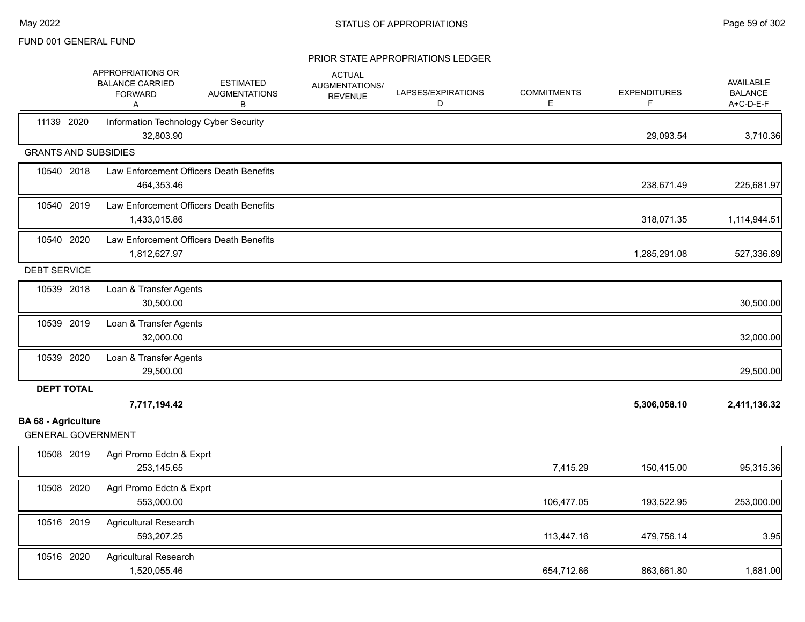|                                                         | APPROPRIATIONS OR<br><b>BALANCE CARRIED</b><br><b>FORWARD</b><br>Α | <b>ESTIMATED</b><br><b>AUGMENTATIONS</b><br>В | <b>ACTUAL</b><br>AUGMENTATIONS/<br><b>REVENUE</b> | LAPSES/EXPIRATIONS<br>D | <b>COMMITMENTS</b><br>E. | <b>EXPENDITURES</b><br>F. | <b>AVAILABLE</b><br><b>BALANCE</b><br>A+C-D-E-F |
|---------------------------------------------------------|--------------------------------------------------------------------|-----------------------------------------------|---------------------------------------------------|-------------------------|--------------------------|---------------------------|-------------------------------------------------|
| 11139 2020                                              | Information Technology Cyber Security<br>32,803.90                 |                                               |                                                   |                         |                          | 29,093.54                 | 3,710.36                                        |
| <b>GRANTS AND SUBSIDIES</b>                             |                                                                    |                                               |                                                   |                         |                          |                           |                                                 |
| 10540 2018                                              | 464,353.46                                                         | Law Enforcement Officers Death Benefits       |                                                   |                         |                          | 238,671.49                | 225,681.97                                      |
| 10540 2019                                              | 1,433,015.86                                                       | Law Enforcement Officers Death Benefits       |                                                   |                         |                          | 318,071.35                | 1,114,944.51                                    |
| 10540 2020                                              | 1,812,627.97                                                       | Law Enforcement Officers Death Benefits       |                                                   |                         |                          | 1,285,291.08              | 527,336.89                                      |
| <b>DEBT SERVICE</b>                                     |                                                                    |                                               |                                                   |                         |                          |                           |                                                 |
| 10539 2018                                              | Loan & Transfer Agents<br>30,500.00                                |                                               |                                                   |                         |                          |                           | 30,500.00                                       |
| 10539 2019                                              | Loan & Transfer Agents<br>32,000.00                                |                                               |                                                   |                         |                          |                           | 32,000.00                                       |
| 10539 2020                                              | Loan & Transfer Agents<br>29,500.00                                |                                               |                                                   |                         |                          |                           | 29,500.00                                       |
| <b>DEPT TOTAL</b>                                       | 7,717,194.42                                                       |                                               |                                                   |                         |                          | 5,306,058.10              | 2,411,136.32                                    |
| <b>BA 68 - Agriculture</b><br><b>GENERAL GOVERNMENT</b> |                                                                    |                                               |                                                   |                         |                          |                           |                                                 |
| 10508 2019                                              | Agri Promo Edctn & Exprt<br>253,145.65                             |                                               |                                                   |                         | 7,415.29                 | 150,415.00                | 95,315.36                                       |
| 10508 2020                                              | Agri Promo Edctn & Exprt<br>553,000.00                             |                                               |                                                   |                         | 106,477.05               | 193,522.95                | 253,000.00                                      |
| 10516 2019                                              | Agricultural Research<br>593,207.25                                |                                               |                                                   |                         | 113,447.16               | 479,756.14                | 3.95                                            |
| 10516 2020                                              | <b>Agricultural Research</b><br>1,520,055.46                       |                                               |                                                   |                         | 654,712.66               | 863,661.80                | 1,681.00                                        |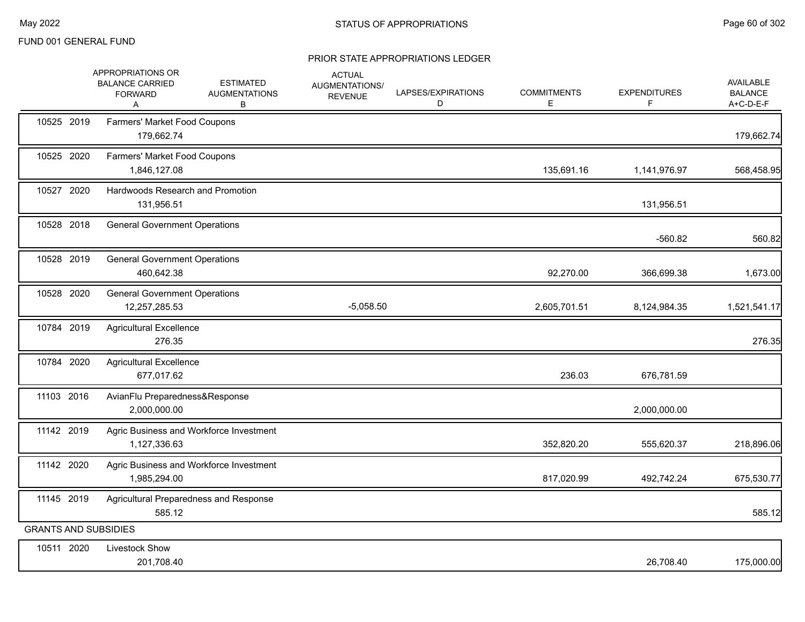|                             | APPROPRIATIONS OR<br><b>BALANCE CARRIED</b><br><b>FORWARD</b><br>A | <b>ESTIMATED</b><br><b>AUGMENTATIONS</b><br>в | <b>ACTUAL</b><br>AUGMENTATIONS/<br><b>REVENUE</b> | LAPSES/EXPIRATIONS<br>D | <b>COMMITMENTS</b><br>Е | <b>EXPENDITURES</b><br>F | <b>AVAILABLE</b><br><b>BALANCE</b><br>A+C-D-E-F |
|-----------------------------|--------------------------------------------------------------------|-----------------------------------------------|---------------------------------------------------|-------------------------|-------------------------|--------------------------|-------------------------------------------------|
| 10525 2019                  | Farmers' Market Food Coupons<br>179,662.74                         |                                               |                                                   |                         |                         |                          | 179,662.74                                      |
| 10525 2020                  | Farmers' Market Food Coupons<br>1,846,127.08                       |                                               |                                                   |                         | 135,691.16              | 1,141,976.97             | 568,458.95                                      |
| 10527 2020                  | Hardwoods Research and Promotion<br>131,956.51                     |                                               |                                                   |                         |                         | 131,956.51               |                                                 |
| 10528 2018                  | <b>General Government Operations</b>                               |                                               |                                                   |                         |                         | $-560.82$                | 560.82                                          |
| 10528 2019                  | <b>General Government Operations</b><br>460,642.38                 |                                               |                                                   |                         | 92,270.00               | 366,699.38               | 1,673.00                                        |
| 10528 2020                  | <b>General Government Operations</b><br>12,257,285.53              |                                               | $-5,058.50$                                       |                         | 2,605,701.51            | 8,124,984.35             | 1,521,541.17                                    |
| 10784 2019                  | <b>Agricultural Excellence</b><br>276.35                           |                                               |                                                   |                         |                         |                          | 276.35                                          |
| 10784 2020                  | <b>Agricultural Excellence</b><br>677,017.62                       |                                               |                                                   |                         | 236.03                  | 676,781.59               |                                                 |
| 11103 2016                  | AvianFlu Preparedness&Response<br>2,000,000.00                     |                                               |                                                   |                         |                         | 2,000,000.00             |                                                 |
| 11142 2019                  | Agric Business and Workforce Investment<br>1,127,336.63            |                                               |                                                   |                         | 352,820.20              | 555,620.37               | 218,896.06                                      |
| 11142 2020                  | Agric Business and Workforce Investment<br>1,985,294.00            |                                               |                                                   |                         | 817,020.99              | 492,742.24               | 675,530.77                                      |
| 11145 2019                  | Agricultural Preparedness and Response<br>585.12                   |                                               |                                                   |                         |                         |                          | 585.12                                          |
| <b>GRANTS AND SUBSIDIES</b> |                                                                    |                                               |                                                   |                         |                         |                          |                                                 |
| 10511 2020                  | Livestock Show<br>201,708.40                                       |                                               |                                                   |                         |                         | 26,708.40                | 175,000.00                                      |
|                             |                                                                    |                                               |                                                   |                         |                         |                          |                                                 |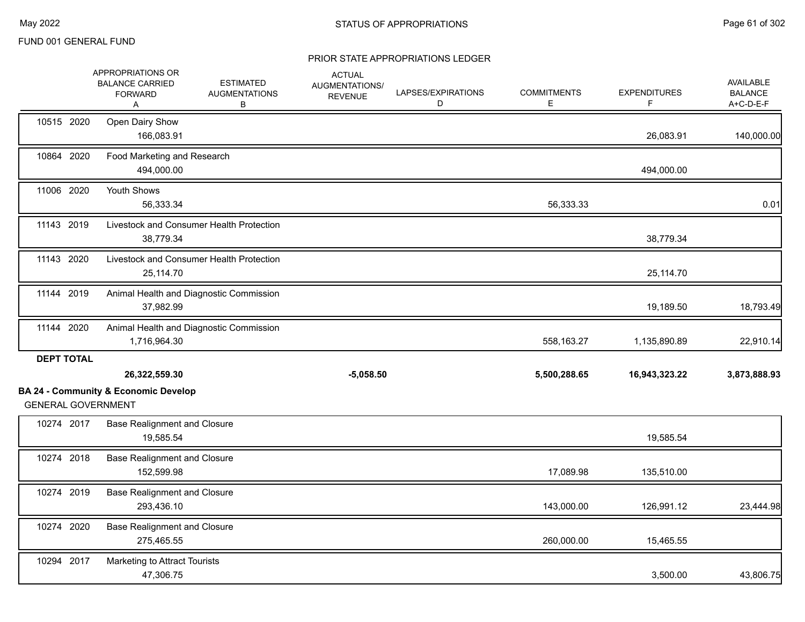|                   | APPROPRIATIONS OR<br><b>BALANCE CARRIED</b><br><b>FORWARD</b><br>Α           | <b>ESTIMATED</b><br><b>AUGMENTATIONS</b><br>В | <b>ACTUAL</b><br>AUGMENTATIONS/<br><b>REVENUE</b> | LAPSES/EXPIRATIONS<br>D | <b>COMMITMENTS</b><br>Е | <b>EXPENDITURES</b><br>F | <b>AVAILABLE</b><br><b>BALANCE</b><br>A+C-D-E-F |
|-------------------|------------------------------------------------------------------------------|-----------------------------------------------|---------------------------------------------------|-------------------------|-------------------------|--------------------------|-------------------------------------------------|
| 10515 2020        | Open Dairy Show<br>166,083.91                                                |                                               |                                                   |                         |                         | 26,083.91                | 140,000.00                                      |
| 10864 2020        | Food Marketing and Research<br>494,000.00                                    |                                               |                                                   |                         |                         | 494,000.00               |                                                 |
| 11006 2020        | Youth Shows<br>56,333.34                                                     |                                               |                                                   |                         | 56,333.33               |                          | 0.01                                            |
| 11143 2019        | 38,779.34                                                                    | Livestock and Consumer Health Protection      |                                                   |                         |                         | 38,779.34                |                                                 |
| 11143 2020        | 25,114.70                                                                    | Livestock and Consumer Health Protection      |                                                   |                         |                         | 25,114.70                |                                                 |
| 11144 2019        | 37,982.99                                                                    | Animal Health and Diagnostic Commission       |                                                   |                         |                         | 19,189.50                | 18,793.49                                       |
| 11144 2020        | 1,716,964.30                                                                 | Animal Health and Diagnostic Commission       |                                                   |                         | 558,163.27              | 1,135,890.89             | 22,910.14                                       |
| <b>DEPT TOTAL</b> | 26,322,559.30                                                                |                                               | $-5,058.50$                                       |                         | 5,500,288.65            | 16,943,323.22            | 3,873,888.93                                    |
|                   | <b>BA 24 - Community &amp; Economic Develop</b><br><b>GENERAL GOVERNMENT</b> |                                               |                                                   |                         |                         |                          |                                                 |
| 10274 2017        | <b>Base Realignment and Closure</b><br>19,585.54                             |                                               |                                                   |                         |                         | 19,585.54                |                                                 |
| 10274 2018        | <b>Base Realignment and Closure</b><br>152,599.98                            |                                               |                                                   |                         | 17,089.98               | 135,510.00               |                                                 |
| 10274 2019        | <b>Base Realignment and Closure</b><br>293,436.10                            |                                               |                                                   |                         | 143,000.00              | 126,991.12               | 23,444.98                                       |
| 10274 2020        | <b>Base Realignment and Closure</b><br>275,465.55                            |                                               |                                                   |                         | 260,000.00              | 15,465.55                |                                                 |
| 10294 2017        | Marketing to Attract Tourists<br>47,306.75                                   |                                               |                                                   |                         |                         | 3,500.00                 | 43,806.75                                       |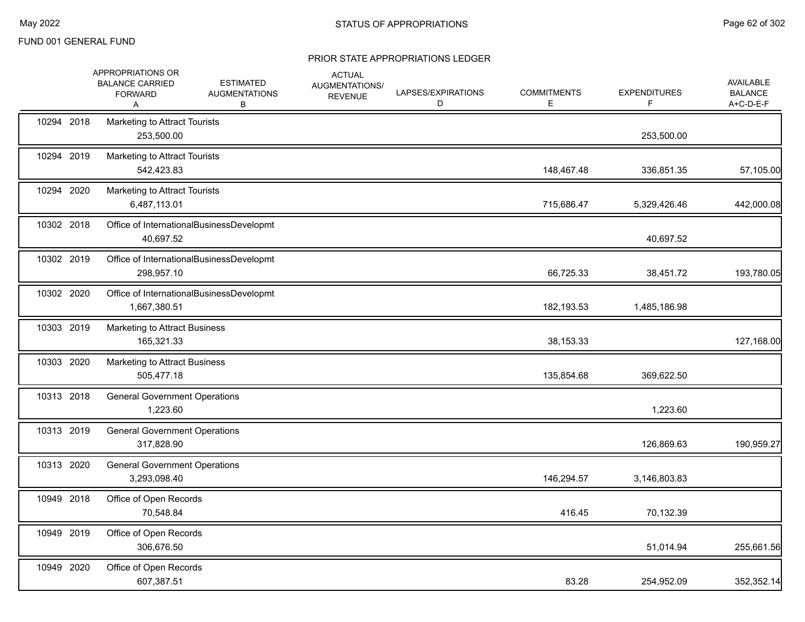|            | APPROPRIATIONS OR<br><b>BALANCE CARRIED</b><br><b>FORWARD</b><br>Α | <b>ESTIMATED</b><br><b>AUGMENTATIONS</b><br>В | <b>ACTUAL</b><br>AUGMENTATIONS/<br><b>REVENUE</b> | LAPSES/EXPIRATIONS<br>D | <b>COMMITMENTS</b><br>Е | <b>EXPENDITURES</b><br>F. | <b>AVAILABLE</b><br><b>BALANCE</b><br>A+C-D-E-F |
|------------|--------------------------------------------------------------------|-----------------------------------------------|---------------------------------------------------|-------------------------|-------------------------|---------------------------|-------------------------------------------------|
| 10294 2018 | Marketing to Attract Tourists<br>253,500.00                        |                                               |                                                   |                         |                         | 253,500.00                |                                                 |
| 10294 2019 | Marketing to Attract Tourists<br>542,423.83                        |                                               |                                                   |                         | 148,467.48              | 336,851.35                | 57,105.00                                       |
| 10294 2020 | <b>Marketing to Attract Tourists</b><br>6,487,113.01               |                                               |                                                   |                         | 715,686.47              | 5,329,426.46              | 442,000.08                                      |
| 10302 2018 | 40,697.52                                                          | Office of InternationalBusinessDevelopmt      |                                                   |                         |                         | 40,697.52                 |                                                 |
| 10302 2019 | 298,957.10                                                         | Office of InternationalBusinessDevelopmt      |                                                   |                         | 66,725.33               | 38,451.72                 | 193,780.05                                      |
| 10302 2020 | 1,667,380.51                                                       | Office of InternationalBusinessDevelopmt      |                                                   |                         | 182,193.53              | 1,485,186.98              |                                                 |
| 10303 2019 | Marketing to Attract Business<br>165,321.33                        |                                               |                                                   |                         | 38,153.33               |                           | 127,168.00                                      |
| 10303 2020 | <b>Marketing to Attract Business</b><br>505,477.18                 |                                               |                                                   |                         | 135,854.68              | 369,622.50                |                                                 |
| 10313 2018 | <b>General Government Operations</b><br>1,223.60                   |                                               |                                                   |                         |                         | 1,223.60                  |                                                 |
| 10313 2019 | <b>General Government Operations</b><br>317,828.90                 |                                               |                                                   |                         |                         | 126,869.63                | 190,959.27                                      |
| 10313 2020 | <b>General Government Operations</b><br>3,293,098.40               |                                               |                                                   |                         | 146,294.57              | 3,146,803.83              |                                                 |
| 10949 2018 | Office of Open Records<br>70,548.84                                |                                               |                                                   |                         | 416.45                  | 70,132.39                 |                                                 |
| 10949 2019 | Office of Open Records<br>306,676.50                               |                                               |                                                   |                         |                         | 51,014.94                 | 255,661.56                                      |
| 10949 2020 | Office of Open Records<br>607,387.51                               |                                               |                                                   |                         | 83.28                   | 254,952.09                | 352,352.14                                      |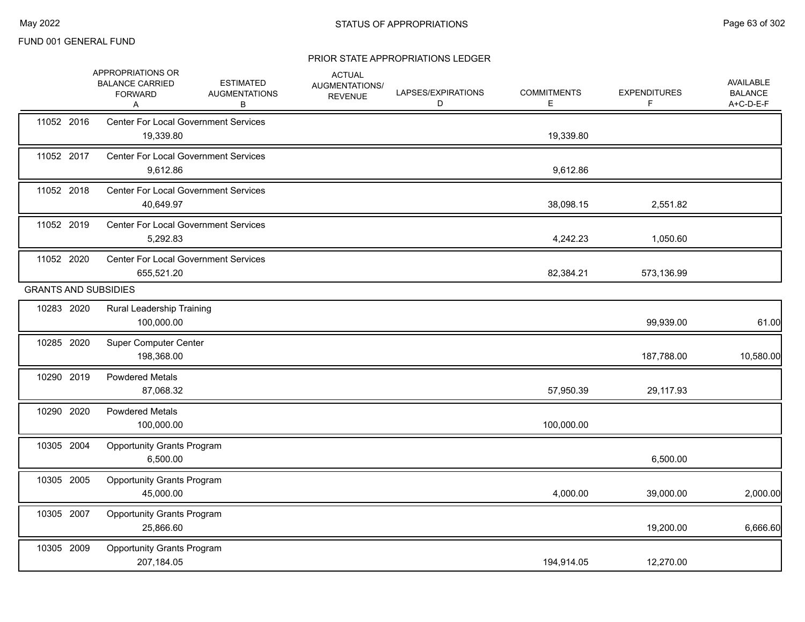|            | APPROPRIATIONS OR<br><b>BALANCE CARRIED</b><br><b>FORWARD</b><br>Α | <b>ESTIMATED</b><br><b>AUGMENTATIONS</b><br>В | <b>ACTUAL</b><br>AUGMENTATIONS/<br><b>REVENUE</b> | LAPSES/EXPIRATIONS<br>D | <b>COMMITMENTS</b><br>Е | <b>EXPENDITURES</b><br>F | AVAILABLE<br><b>BALANCE</b><br>A+C-D-E-F |
|------------|--------------------------------------------------------------------|-----------------------------------------------|---------------------------------------------------|-------------------------|-------------------------|--------------------------|------------------------------------------|
| 11052 2016 | 19,339.80                                                          | <b>Center For Local Government Services</b>   |                                                   |                         | 19,339.80               |                          |                                          |
| 11052 2017 | 9,612.86                                                           | <b>Center For Local Government Services</b>   |                                                   |                         | 9,612.86                |                          |                                          |
| 11052 2018 | 40,649.97                                                          | <b>Center For Local Government Services</b>   |                                                   |                         | 38,098.15               | 2,551.82                 |                                          |
| 11052 2019 | 5,292.83                                                           | <b>Center For Local Government Services</b>   |                                                   |                         | 4,242.23                | 1,050.60                 |                                          |
| 11052 2020 | 655,521.20                                                         | <b>Center For Local Government Services</b>   |                                                   |                         | 82,384.21               | 573,136.99               |                                          |
|            | <b>GRANTS AND SUBSIDIES</b>                                        |                                               |                                                   |                         |                         |                          |                                          |
| 10283 2020 | Rural Leadership Training<br>100,000.00                            |                                               |                                                   |                         |                         | 99,939.00                | 61.00                                    |
| 10285 2020 | <b>Super Computer Center</b><br>198,368.00                         |                                               |                                                   |                         |                         | 187,788.00               | 10,580.00                                |
| 10290 2019 | <b>Powdered Metals</b><br>87,068.32                                |                                               |                                                   |                         | 57,950.39               | 29,117.93                |                                          |
| 10290 2020 | <b>Powdered Metals</b><br>100,000.00                               |                                               |                                                   |                         | 100,000.00              |                          |                                          |
| 10305 2004 | <b>Opportunity Grants Program</b><br>6,500.00                      |                                               |                                                   |                         |                         | 6,500.00                 |                                          |
| 10305 2005 | <b>Opportunity Grants Program</b><br>45,000.00                     |                                               |                                                   |                         | 4,000.00                | 39,000.00                | 2,000.00                                 |
| 10305 2007 | <b>Opportunity Grants Program</b><br>25,866.60                     |                                               |                                                   |                         |                         | 19,200.00                | 6,666.60                                 |
| 10305 2009 | <b>Opportunity Grants Program</b><br>207,184.05                    |                                               |                                                   |                         | 194,914.05              | 12,270.00                |                                          |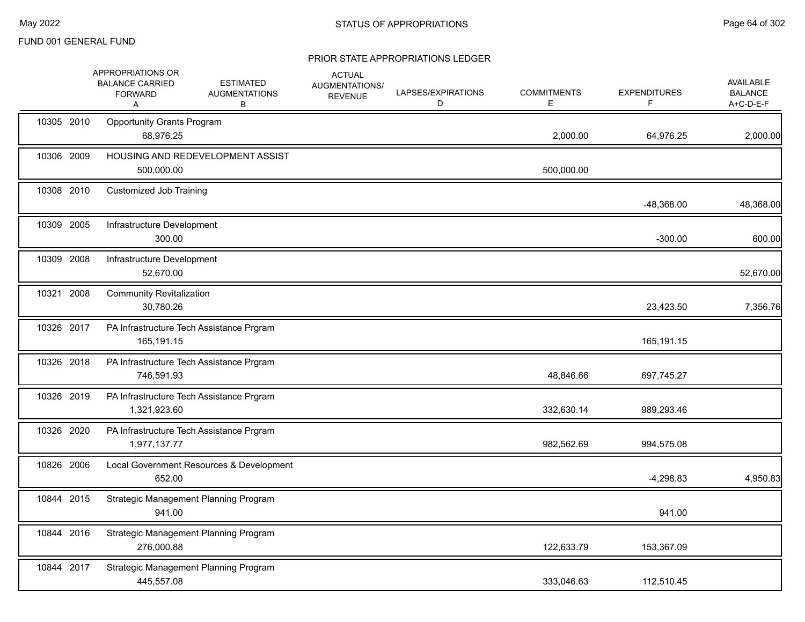|            | <b>APPROPRIATIONS OR</b><br><b>BALANCE CARRIED</b><br><b>FORWARD</b><br>Α | <b>ESTIMATED</b><br><b>AUGMENTATIONS</b><br>В | <b>ACTUAL</b><br>AUGMENTATIONS/<br><b>REVENUE</b> | LAPSES/EXPIRATIONS<br>D | <b>COMMITMENTS</b><br>Е. | <b>EXPENDITURES</b> | <b>AVAILABLE</b><br><b>BALANCE</b><br>A+C-D-E-F |
|------------|---------------------------------------------------------------------------|-----------------------------------------------|---------------------------------------------------|-------------------------|--------------------------|---------------------|-------------------------------------------------|
| 10305 2010 | <b>Opportunity Grants Program</b><br>68,976.25                            |                                               |                                                   |                         | 2,000.00                 | 64,976.25           | 2,000.00                                        |
| 10306 2009 | 500,000.00                                                                | HOUSING AND REDEVELOPMENT ASSIST              |                                                   |                         | 500,000.00               |                     |                                                 |
| 10308 2010 | <b>Customized Job Training</b>                                            |                                               |                                                   |                         |                          | $-48,368.00$        | 48,368.00                                       |
| 10309 2005 | Infrastructure Development<br>300.00                                      |                                               |                                                   |                         |                          | $-300.00$           | 600.00                                          |
| 10309 2008 | Infrastructure Development<br>52,670.00                                   |                                               |                                                   |                         |                          |                     | 52,670.00                                       |
| 10321 2008 | <b>Community Revitalization</b><br>30,780.26                              |                                               |                                                   |                         |                          | 23,423.50           | 7,356.76                                        |
| 10326 2017 | 165,191.15                                                                | PA Infrastructure Tech Assistance Prgram      |                                                   |                         |                          | 165,191.15          |                                                 |
| 10326 2018 | 746,591.93                                                                | PA Infrastructure Tech Assistance Prgram      |                                                   |                         | 48,846.66                | 697,745.27          |                                                 |
| 10326 2019 | 1,321,923.60                                                              | PA Infrastructure Tech Assistance Prgram      |                                                   |                         | 332,630.14               | 989,293.46          |                                                 |
| 10326 2020 | 1,977,137.77                                                              | PA Infrastructure Tech Assistance Prgram      |                                                   |                         | 982,562.69               | 994,575.08          |                                                 |
| 10826 2006 | 652.00                                                                    | Local Government Resources & Development      |                                                   |                         |                          | $-4,298.83$         | 4,950.83                                        |
| 10844 2015 | 941.00                                                                    | Strategic Management Planning Program         |                                                   |                         |                          | 941.00              |                                                 |
| 10844 2016 | 276.000.88                                                                | Strategic Management Planning Program         |                                                   |                         | 122,633.79               | 153,367.09          |                                                 |
| 10844 2017 | 445,557.08                                                                | Strategic Management Planning Program         |                                                   |                         | 333,046.63               | 112,510.45          |                                                 |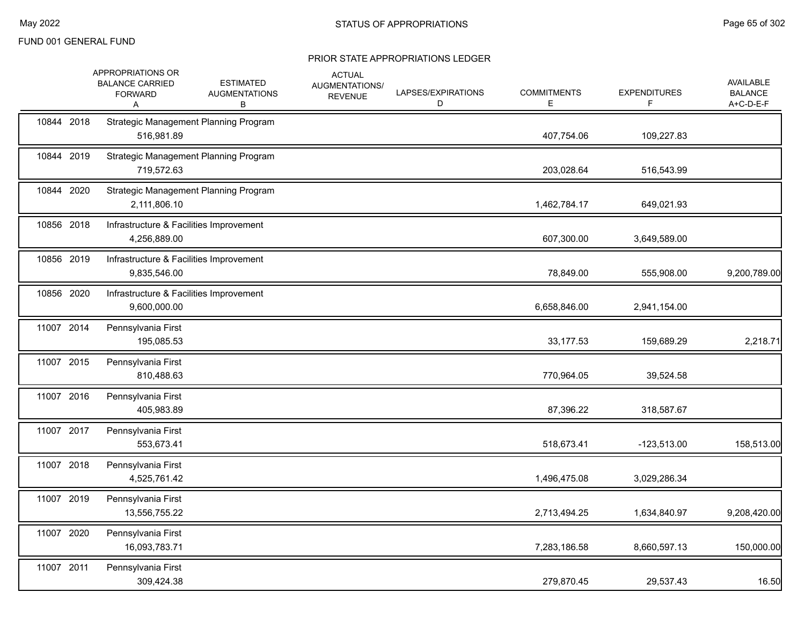|            | APPROPRIATIONS OR<br><b>BALANCE CARRIED</b><br><b>FORWARD</b><br>A | <b>ESTIMATED</b><br><b>AUGMENTATIONS</b><br>в | <b>ACTUAL</b><br>AUGMENTATIONS/<br><b>REVENUE</b> | LAPSES/EXPIRATIONS<br>D | <b>COMMITMENTS</b><br>Е | <b>EXPENDITURES</b><br>F | <b>AVAILABLE</b><br><b>BALANCE</b><br>A+C-D-E-F |
|------------|--------------------------------------------------------------------|-----------------------------------------------|---------------------------------------------------|-------------------------|-------------------------|--------------------------|-------------------------------------------------|
| 10844 2018 | 516,981.89                                                         | <b>Strategic Management Planning Program</b>  |                                                   |                         | 407,754.06              | 109,227.83               |                                                 |
| 10844 2019 | 719,572.63                                                         | Strategic Management Planning Program         |                                                   |                         | 203,028.64              | 516,543.99               |                                                 |
| 10844 2020 | 2,111,806.10                                                       | Strategic Management Planning Program         |                                                   |                         | 1,462,784.17            | 649,021.93               |                                                 |
| 10856 2018 | Infrastructure & Facilities Improvement<br>4,256,889.00            |                                               |                                                   |                         | 607,300.00              | 3,649,589.00             |                                                 |
| 10856 2019 | Infrastructure & Facilities Improvement<br>9,835,546.00            |                                               |                                                   |                         | 78,849.00               | 555,908.00               | 9,200,789.00                                    |
| 10856 2020 | Infrastructure & Facilities Improvement<br>9,600,000.00            |                                               |                                                   |                         | 6,658,846.00            | 2,941,154.00             |                                                 |
| 11007 2014 | Pennsylvania First<br>195,085.53                                   |                                               |                                                   |                         | 33,177.53               | 159,689.29               | 2,218.71                                        |
| 11007 2015 | Pennsylvania First<br>810,488.63                                   |                                               |                                                   |                         | 770,964.05              | 39,524.58                |                                                 |
| 11007 2016 | Pennsylvania First<br>405,983.89                                   |                                               |                                                   |                         | 87,396.22               | 318,587.67               |                                                 |
| 11007 2017 | Pennsylvania First<br>553,673.41                                   |                                               |                                                   |                         | 518,673.41              | $-123,513.00$            | 158,513.00                                      |
| 11007 2018 | Pennsylvania First<br>4,525,761.42                                 |                                               |                                                   |                         | 1,496,475.08            | 3,029,286.34             |                                                 |
| 11007 2019 | Pennsylvania First<br>13,556,755.22                                |                                               |                                                   |                         | 2,713,494.25            | 1,634,840.97             | 9,208,420.00                                    |
| 11007 2020 | Pennsylvania First<br>16,093,783.71                                |                                               |                                                   |                         | 7,283,186.58            | 8,660,597.13             | 150,000.00                                      |
| 11007 2011 | Pennsylvania First<br>309,424.38                                   |                                               |                                                   |                         | 279,870.45              | 29,537.43                | 16.50                                           |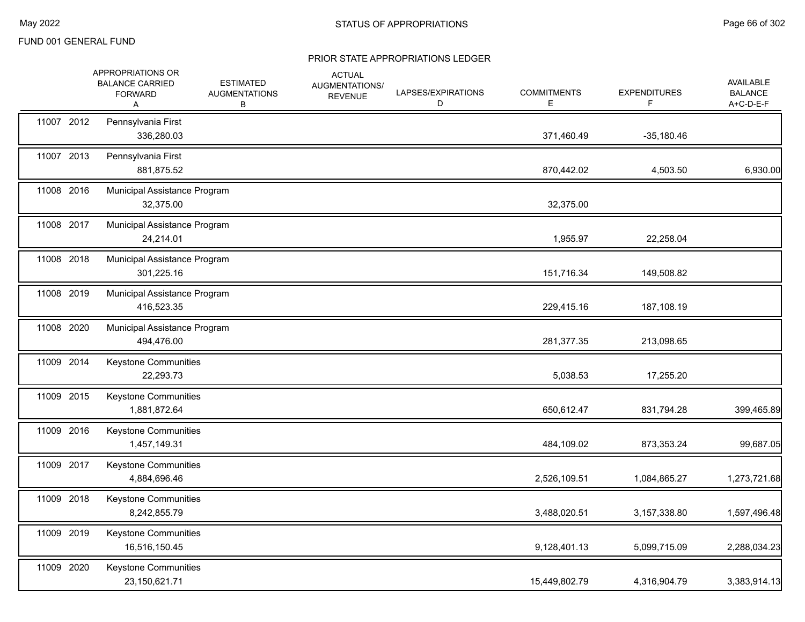|            | APPROPRIATIONS OR<br><b>BALANCE CARRIED</b><br><b>FORWARD</b><br>A | <b>ESTIMATED</b><br><b>AUGMENTATIONS</b><br>В | <b>ACTUAL</b><br>AUGMENTATIONS/<br><b>REVENUE</b> | LAPSES/EXPIRATIONS<br>D | <b>COMMITMENTS</b><br>Е | <b>EXPENDITURES</b><br>F | <b>AVAILABLE</b><br><b>BALANCE</b><br>$A+C-D-E-F$ |
|------------|--------------------------------------------------------------------|-----------------------------------------------|---------------------------------------------------|-------------------------|-------------------------|--------------------------|---------------------------------------------------|
| 11007 2012 | Pennsylvania First<br>336,280.03                                   |                                               |                                                   |                         | 371,460.49              | $-35,180.46$             |                                                   |
| 11007 2013 | Pennsylvania First<br>881,875.52                                   |                                               |                                                   |                         | 870,442.02              | 4,503.50                 | 6,930.00                                          |
| 11008 2016 | Municipal Assistance Program<br>32,375.00                          |                                               |                                                   |                         | 32,375.00               |                          |                                                   |
| 11008 2017 | Municipal Assistance Program<br>24,214.01                          |                                               |                                                   |                         | 1,955.97                | 22,258.04                |                                                   |
| 11008 2018 | Municipal Assistance Program<br>301,225.16                         |                                               |                                                   |                         | 151,716.34              | 149,508.82               |                                                   |
| 11008 2019 | Municipal Assistance Program<br>416,523.35                         |                                               |                                                   |                         | 229,415.16              | 187,108.19               |                                                   |
| 11008 2020 | Municipal Assistance Program<br>494,476.00                         |                                               |                                                   |                         | 281,377.35              | 213,098.65               |                                                   |
| 11009 2014 | <b>Keystone Communities</b><br>22,293.73                           |                                               |                                                   |                         | 5,038.53                | 17,255.20                |                                                   |
| 11009 2015 | Keystone Communities<br>1,881,872.64                               |                                               |                                                   |                         | 650,612.47              | 831,794.28               | 399,465.89                                        |
| 11009 2016 | Keystone Communities<br>1,457,149.31                               |                                               |                                                   |                         | 484,109.02              | 873,353.24               | 99,687.05                                         |
| 11009 2017 | Keystone Communities<br>4,884,696.46                               |                                               |                                                   |                         | 2,526,109.51            | 1,084,865.27             | 1,273,721.68                                      |
| 11009 2018 | Keystone Communities<br>8,242,855.79                               |                                               |                                                   |                         | 3,488,020.51            | 3,157,338.80             | 1,597,496.48                                      |
| 11009 2019 | <b>Keystone Communities</b><br>16,516,150.45                       |                                               |                                                   |                         | 9,128,401.13            | 5,099,715.09             | 2,288,034.23                                      |
| 11009 2020 | Keystone Communities<br>23,150,621.71                              |                                               |                                                   |                         | 15,449,802.79           | 4,316,904.79             | 3,383,914.13                                      |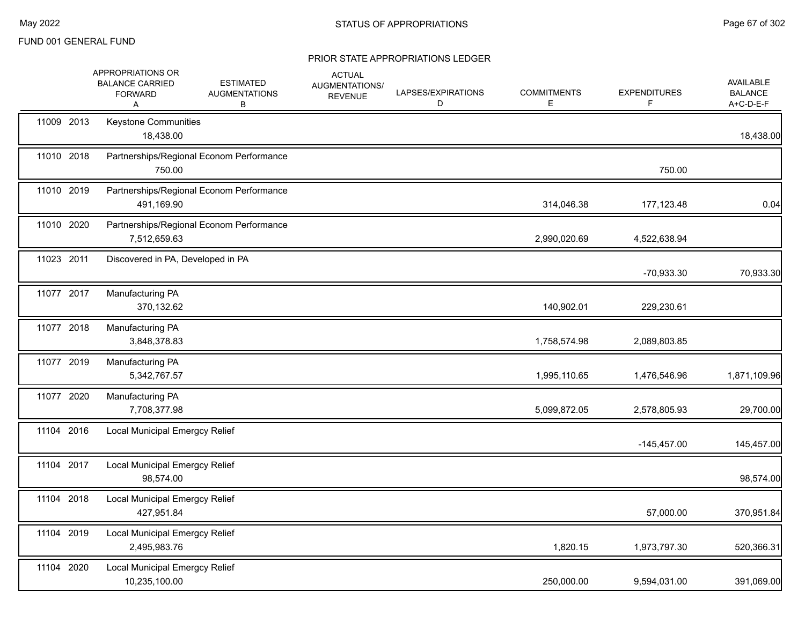|            | APPROPRIATIONS OR<br><b>BALANCE CARRIED</b><br><b>FORWARD</b><br>A | <b>ESTIMATED</b><br><b>AUGMENTATIONS</b><br>В | <b>ACTUAL</b><br>AUGMENTATIONS/<br><b>REVENUE</b> | LAPSES/EXPIRATIONS<br>D | <b>COMMITMENTS</b><br>Е | <b>EXPENDITURES</b><br>F | AVAILABLE<br><b>BALANCE</b><br>A+C-D-E-F |
|------------|--------------------------------------------------------------------|-----------------------------------------------|---------------------------------------------------|-------------------------|-------------------------|--------------------------|------------------------------------------|
| 11009 2013 | Keystone Communities<br>18,438.00                                  |                                               |                                                   |                         |                         |                          | 18,438.00                                |
| 11010 2018 | 750.00                                                             | Partnerships/Regional Econom Performance      |                                                   |                         |                         | 750.00                   |                                          |
| 11010 2019 | 491,169.90                                                         | Partnerships/Regional Econom Performance      |                                                   |                         | 314,046.38              | 177,123.48               | 0.04                                     |
| 11010 2020 | 7,512,659.63                                                       | Partnerships/Regional Econom Performance      |                                                   |                         | 2,990,020.69            | 4,522,638.94             |                                          |
| 11023 2011 | Discovered in PA, Developed in PA                                  |                                               |                                                   |                         |                         | -70,933.30               | 70,933.30                                |
| 11077 2017 | Manufacturing PA<br>370,132.62                                     |                                               |                                                   |                         | 140,902.01              | 229,230.61               |                                          |
| 11077 2018 | Manufacturing PA<br>3,848,378.83                                   |                                               |                                                   |                         | 1,758,574.98            | 2,089,803.85             |                                          |
| 11077 2019 | Manufacturing PA<br>5,342,767.57                                   |                                               |                                                   |                         | 1,995,110.65            | 1,476,546.96             | 1,871,109.96                             |
| 11077 2020 | Manufacturing PA<br>7,708,377.98                                   |                                               |                                                   |                         | 5,099,872.05            | 2,578,805.93             | 29,700.00                                |
| 11104 2016 | Local Municipal Emergcy Relief                                     |                                               |                                                   |                         |                         | $-145,457.00$            | 145,457.00                               |
| 11104 2017 | <b>Local Municipal Emergcy Relief</b><br>98,574.00                 |                                               |                                                   |                         |                         |                          | 98,574.00                                |
| 11104 2018 | <b>Local Municipal Emergcy Relief</b><br>427,951.84                |                                               |                                                   |                         |                         | 57,000.00                | 370,951.84                               |
| 11104 2019 | Local Municipal Emergcy Relief<br>2,495,983.76                     |                                               |                                                   |                         | 1,820.15                | 1,973,797.30             | 520,366.31                               |
| 11104 2020 | Local Municipal Emergcy Relief<br>10,235,100.00                    |                                               |                                                   |                         | 250,000.00              | 9,594,031.00             | 391,069.00                               |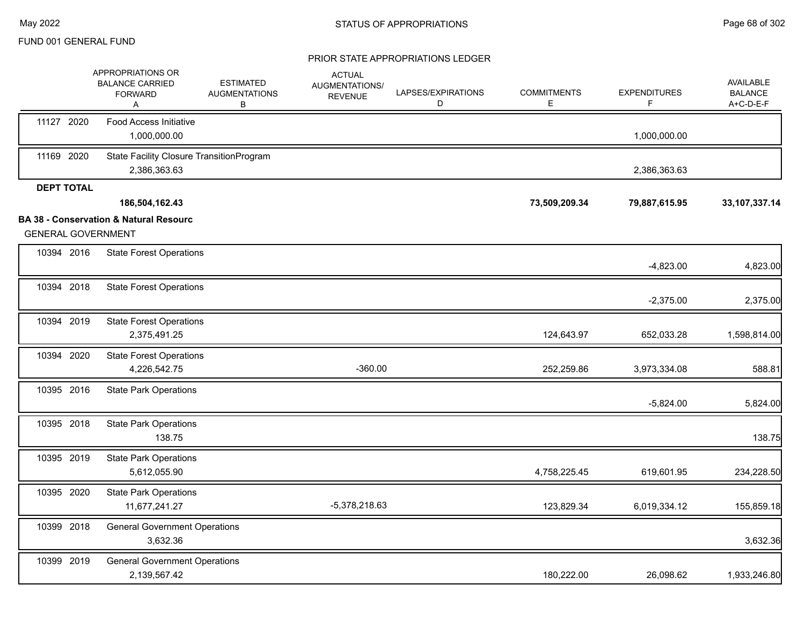|                   | APPROPRIATIONS OR<br><b>BALANCE CARRIED</b><br><b>FORWARD</b><br>Α             | <b>ESTIMATED</b><br><b>AUGMENTATIONS</b><br>В | <b>ACTUAL</b><br>AUGMENTATIONS/<br><b>REVENUE</b> | LAPSES/EXPIRATIONS<br>D | <b>COMMITMENTS</b><br>E | <b>EXPENDITURES</b><br>F. | AVAILABLE<br><b>BALANCE</b><br>A+C-D-E-F |
|-------------------|--------------------------------------------------------------------------------|-----------------------------------------------|---------------------------------------------------|-------------------------|-------------------------|---------------------------|------------------------------------------|
| 11127 2020        | <b>Food Access Initiative</b><br>1,000,000.00                                  |                                               |                                                   |                         |                         | 1,000,000.00              |                                          |
| 11169 2020        | State Facility Closure TransitionProgram<br>2,386,363.63                       |                                               |                                                   |                         |                         | 2,386,363.63              |                                          |
| <b>DEPT TOTAL</b> |                                                                                |                                               |                                                   |                         |                         |                           |                                          |
|                   | 186,504,162.43                                                                 |                                               |                                                   |                         | 73,509,209.34           | 79,887,615.95             | 33, 107, 337. 14                         |
|                   | <b>BA 38 - Conservation &amp; Natural Resourc</b><br><b>GENERAL GOVERNMENT</b> |                                               |                                                   |                         |                         |                           |                                          |
| 10394 2016        | <b>State Forest Operations</b>                                                 |                                               |                                                   |                         |                         | $-4,823.00$               | 4,823.00                                 |
| 10394 2018        | <b>State Forest Operations</b>                                                 |                                               |                                                   |                         |                         | $-2,375.00$               | 2,375.00                                 |
| 10394 2019        | <b>State Forest Operations</b><br>2,375,491.25                                 |                                               |                                                   |                         | 124,643.97              | 652,033.28                | 1,598,814.00                             |
| 10394 2020        | <b>State Forest Operations</b><br>4,226,542.75                                 |                                               | $-360.00$                                         |                         | 252,259.86              | 3,973,334.08              | 588.81                                   |
| 10395 2016        | <b>State Park Operations</b>                                                   |                                               |                                                   |                         |                         | $-5,824.00$               | 5,824.00                                 |
| 10395 2018        | <b>State Park Operations</b><br>138.75                                         |                                               |                                                   |                         |                         |                           | 138.75                                   |
| 10395 2019        | <b>State Park Operations</b><br>5,612,055.90                                   |                                               |                                                   |                         | 4,758,225.45            | 619,601.95                | 234,228.50                               |
| 10395 2020        | <b>State Park Operations</b><br>11,677,241.27                                  |                                               | -5,378,218.63                                     |                         | 123,829.34              | 6,019,334.12              | 155,859.18                               |
| 10399 2018        | <b>General Government Operations</b><br>3,632.36                               |                                               |                                                   |                         |                         |                           | 3,632.36                                 |
| 10399 2019        | <b>General Government Operations</b><br>2,139,567.42                           |                                               |                                                   |                         | 180,222.00              | 26,098.62                 | 1,933,246.80                             |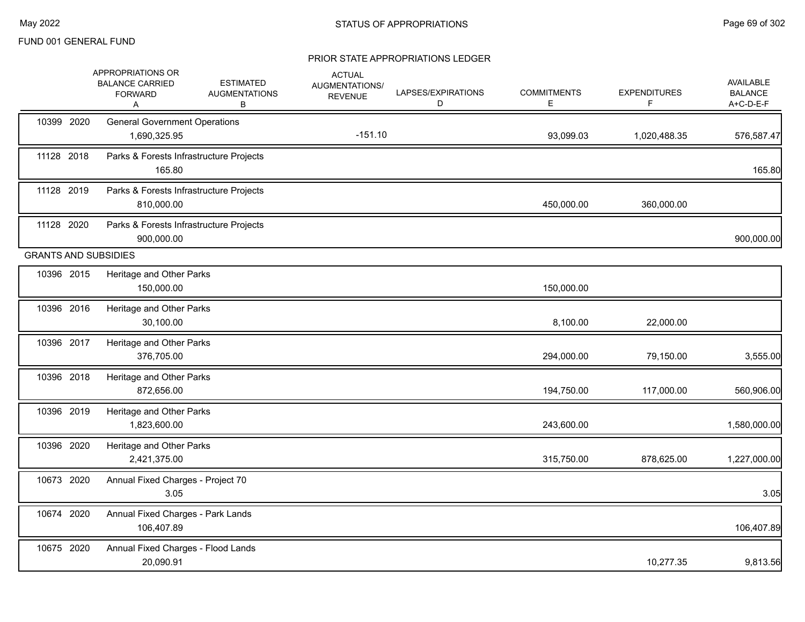| 10399 2020<br>11128 2018    | <b>General Government Operations</b><br>1,690,325.95  |           | Е          | F            | <b>BALANCE</b><br>A+C-D-E-F |
|-----------------------------|-------------------------------------------------------|-----------|------------|--------------|-----------------------------|
|                             |                                                       | $-151.10$ | 93,099.03  | 1,020,488.35 | 576,587.47                  |
|                             | Parks & Forests Infrastructure Projects<br>165.80     |           |            |              | 165.80                      |
| 11128 2019                  | Parks & Forests Infrastructure Projects<br>810,000.00 |           | 450,000.00 | 360,000.00   |                             |
| 11128 2020                  | Parks & Forests Infrastructure Projects<br>900,000.00 |           |            |              | 900,000.00                  |
| <b>GRANTS AND SUBSIDIES</b> |                                                       |           |            |              |                             |
| 10396 2015                  | Heritage and Other Parks<br>150,000.00                |           | 150,000.00 |              |                             |
| 10396 2016                  | Heritage and Other Parks<br>30,100.00                 |           | 8,100.00   | 22,000.00    |                             |
| 10396 2017                  | Heritage and Other Parks<br>376,705.00                |           | 294,000.00 | 79,150.00    | 3,555.00                    |
| 10396 2018                  | Heritage and Other Parks<br>872,656.00                |           | 194,750.00 | 117,000.00   | 560,906.00                  |
| 10396 2019                  | Heritage and Other Parks<br>1,823,600.00              |           | 243,600.00 |              | 1,580,000.00                |
| 10396 2020                  | Heritage and Other Parks<br>2,421,375.00              |           | 315,750.00 | 878,625.00   | 1,227,000.00                |
| 10673 2020                  | Annual Fixed Charges - Project 70<br>3.05             |           |            |              | 3.05                        |
| 10674 2020                  | Annual Fixed Charges - Park Lands<br>106,407.89       |           |            |              | 106,407.89                  |
| 10675 2020                  | Annual Fixed Charges - Flood Lands<br>20,090.91       |           |            | 10,277.35    | 9,813.56                    |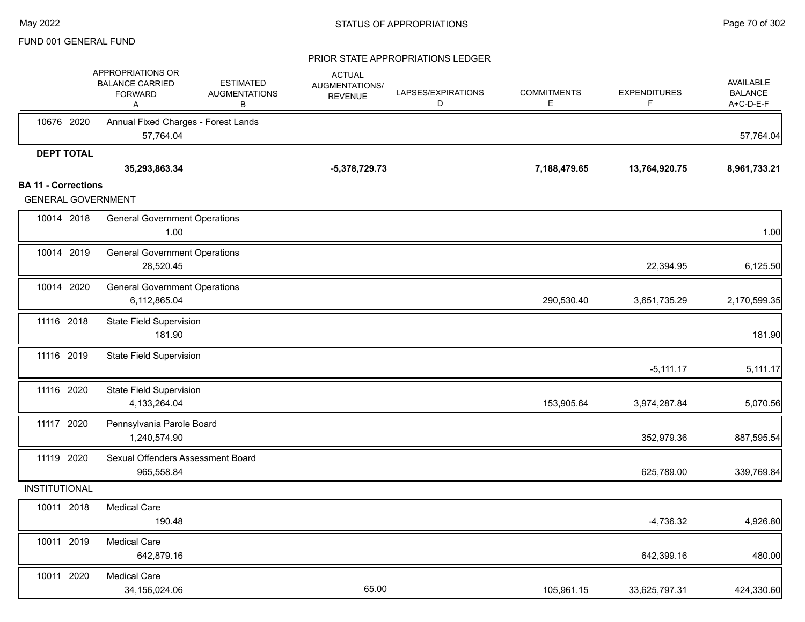|                                                         | APPROPRIATIONS OR<br><b>BALANCE CARRIED</b><br><b>FORWARD</b><br>A | <b>ESTIMATED</b><br><b>AUGMENTATIONS</b><br>В | <b>ACTUAL</b><br>AUGMENTATIONS/<br><b>REVENUE</b> | LAPSES/EXPIRATIONS<br>D | <b>COMMITMENTS</b><br>E. | <b>EXPENDITURES</b><br>F | AVAILABLE<br><b>BALANCE</b><br>A+C-D-E-F |
|---------------------------------------------------------|--------------------------------------------------------------------|-----------------------------------------------|---------------------------------------------------|-------------------------|--------------------------|--------------------------|------------------------------------------|
| 10676 2020                                              | Annual Fixed Charges - Forest Lands<br>57,764.04                   |                                               |                                                   |                         |                          |                          | 57,764.04                                |
| <b>DEPT TOTAL</b>                                       | 35,293,863.34                                                      |                                               | $-5,378,729.73$                                   |                         | 7,188,479.65             | 13,764,920.75            | 8,961,733.21                             |
| <b>BA 11 - Corrections</b><br><b>GENERAL GOVERNMENT</b> |                                                                    |                                               |                                                   |                         |                          |                          |                                          |
| 10014 2018                                              | <b>General Government Operations</b><br>1.00                       |                                               |                                                   |                         |                          |                          | 1.00                                     |
| 10014 2019                                              | <b>General Government Operations</b><br>28,520.45                  |                                               |                                                   |                         |                          | 22,394.95                | 6,125.50                                 |
| 10014 2020                                              | <b>General Government Operations</b><br>6,112,865.04               |                                               |                                                   |                         | 290,530.40               | 3,651,735.29             | 2,170,599.35                             |
| 11116 2018                                              | <b>State Field Supervision</b><br>181.90                           |                                               |                                                   |                         |                          |                          | 181.90                                   |
| 11116 2019                                              | <b>State Field Supervision</b>                                     |                                               |                                                   |                         |                          | $-5,111.17$              | 5,111.17                                 |
| 11116 2020                                              | <b>State Field Supervision</b><br>4,133,264.04                     |                                               |                                                   |                         | 153,905.64               | 3,974,287.84             | 5,070.56                                 |
| 11117 2020                                              | Pennsylvania Parole Board<br>1,240,574.90                          |                                               |                                                   |                         |                          | 352,979.36               | 887,595.54                               |
| 11119 2020                                              | Sexual Offenders Assessment Board<br>965,558.84                    |                                               |                                                   |                         |                          | 625,789.00               | 339,769.84                               |
| INSTITUTIONAL                                           |                                                                    |                                               |                                                   |                         |                          |                          |                                          |
| 10011 2018                                              | <b>Medical Care</b><br>190.48                                      |                                               |                                                   |                         |                          | $-4,736.32$              | 4,926.80                                 |
| 10011 2019                                              | <b>Medical Care</b><br>642,879.16                                  |                                               |                                                   |                         |                          | 642,399.16               | 480.00                                   |
| 10011 2020                                              | <b>Medical Care</b><br>34,156,024.06                               |                                               | 65.00                                             |                         | 105,961.15               | 33,625,797.31            | 424,330.60                               |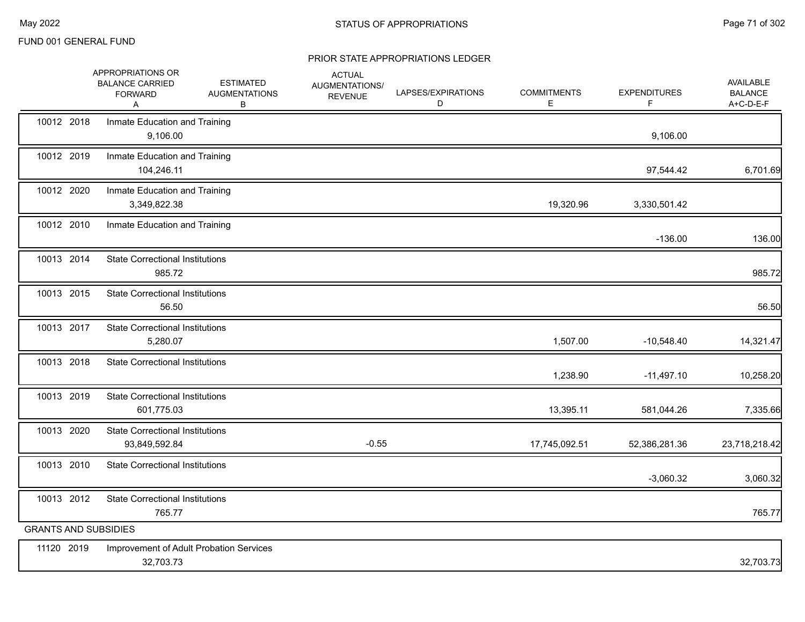|                             | APPROPRIATIONS OR<br><b>BALANCE CARRIED</b><br><b>FORWARD</b><br>Α | <b>ESTIMATED</b><br><b>AUGMENTATIONS</b><br>В | <b>ACTUAL</b><br>AUGMENTATIONS/<br><b>REVENUE</b> | LAPSES/EXPIRATIONS<br>D | <b>COMMITMENTS</b><br>E. | <b>EXPENDITURES</b><br>F. | AVAILABLE<br><b>BALANCE</b><br>A+C-D-E-F |
|-----------------------------|--------------------------------------------------------------------|-----------------------------------------------|---------------------------------------------------|-------------------------|--------------------------|---------------------------|------------------------------------------|
| 10012 2018                  | Inmate Education and Training<br>9,106.00                          |                                               |                                                   |                         |                          | 9,106.00                  |                                          |
| 10012 2019                  | Inmate Education and Training<br>104,246.11                        |                                               |                                                   |                         |                          | 97,544.42                 | 6,701.69                                 |
| 10012 2020                  | Inmate Education and Training<br>3,349,822.38                      |                                               |                                                   |                         | 19,320.96                | 3,330,501.42              |                                          |
| 10012 2010                  | Inmate Education and Training                                      |                                               |                                                   |                         |                          | $-136.00$                 | 136.00                                   |
| 10013 2014                  | <b>State Correctional Institutions</b><br>985.72                   |                                               |                                                   |                         |                          |                           | 985.72                                   |
| 10013 2015                  | <b>State Correctional Institutions</b><br>56.50                    |                                               |                                                   |                         |                          |                           | 56.50                                    |
| 10013 2017                  | <b>State Correctional Institutions</b><br>5,280.07                 |                                               |                                                   |                         | 1,507.00                 | $-10,548.40$              | 14,321.47                                |
| 10013 2018                  | <b>State Correctional Institutions</b>                             |                                               |                                                   |                         | 1,238.90                 | $-11,497.10$              | 10,258.20                                |
| 10013 2019                  | <b>State Correctional Institutions</b><br>601,775.03               |                                               |                                                   |                         | 13,395.11                | 581,044.26                | 7,335.66                                 |
| 10013 2020                  | <b>State Correctional Institutions</b><br>93,849,592.84            |                                               | $-0.55$                                           |                         | 17,745,092.51            | 52,386,281.36             | 23,718,218.42                            |
| 10013 2010                  | <b>State Correctional Institutions</b>                             |                                               |                                                   |                         |                          | $-3,060.32$               | 3,060.32                                 |
| 10013 2012                  | <b>State Correctional Institutions</b><br>765.77                   |                                               |                                                   |                         |                          |                           | 765.77                                   |
| <b>GRANTS AND SUBSIDIES</b> |                                                                    |                                               |                                                   |                         |                          |                           |                                          |
| 11120 2019                  | 32,703.73                                                          | Improvement of Adult Probation Services       |                                                   |                         |                          |                           | 32,703.73                                |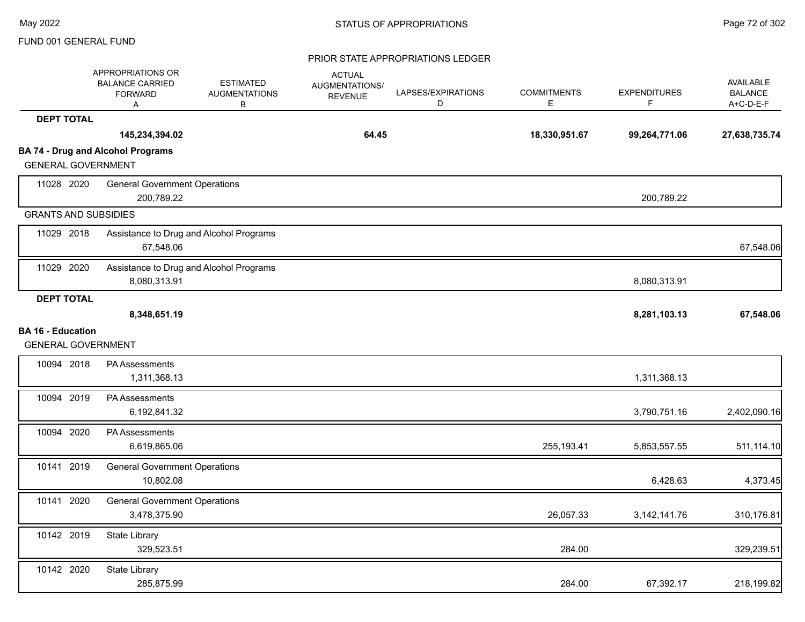|                                                       | APPROPRIATIONS OR<br><b>BALANCE CARRIED</b><br><b>FORWARD</b><br>Α | <b>ESTIMATED</b><br><b>AUGMENTATIONS</b><br>В | <b>ACTUAL</b><br>AUGMENTATIONS/<br><b>REVENUE</b> | LAPSES/EXPIRATIONS<br>D | <b>COMMITMENTS</b><br>E | <b>EXPENDITURES</b><br>F. | AVAILABLE<br><b>BALANCE</b><br>A+C-D-E-F |
|-------------------------------------------------------|--------------------------------------------------------------------|-----------------------------------------------|---------------------------------------------------|-------------------------|-------------------------|---------------------------|------------------------------------------|
| <b>DEPT TOTAL</b>                                     |                                                                    |                                               |                                                   |                         |                         |                           |                                          |
|                                                       | 145,234,394.02                                                     |                                               | 64.45                                             |                         | 18,330,951.67           | 99,264,771.06             | 27,638,735.74                            |
| <b>GENERAL GOVERNMENT</b>                             | <b>BA 74 - Drug and Alcohol Programs</b>                           |                                               |                                                   |                         |                         |                           |                                          |
| 11028 2020                                            | <b>General Government Operations</b><br>200,789.22                 |                                               |                                                   |                         |                         | 200,789.22                |                                          |
| <b>GRANTS AND SUBSIDIES</b>                           |                                                                    |                                               |                                                   |                         |                         |                           |                                          |
| 11029 2018                                            | 67,548.06                                                          | Assistance to Drug and Alcohol Programs       |                                                   |                         |                         |                           | 67,548.06                                |
| 11029 2020                                            | 8,080,313.91                                                       | Assistance to Drug and Alcohol Programs       |                                                   |                         |                         | 8,080,313.91              |                                          |
| <b>DEPT TOTAL</b>                                     |                                                                    |                                               |                                                   |                         |                         |                           |                                          |
|                                                       | 8,348,651.19                                                       |                                               |                                                   |                         |                         | 8,281,103.13              | 67,548.06                                |
| <b>BA 16 - Education</b><br><b>GENERAL GOVERNMENT</b> |                                                                    |                                               |                                                   |                         |                         |                           |                                          |
| 10094 2018                                            | <b>PA Assessments</b><br>1,311,368.13                              |                                               |                                                   |                         |                         | 1,311,368.13              |                                          |
| 10094 2019                                            | PA Assessments<br>6,192,841.32                                     |                                               |                                                   |                         |                         | 3,790,751.16              | 2,402,090.16                             |
| 10094 2020                                            | <b>PA Assessments</b><br>6,619,865.06                              |                                               |                                                   |                         | 255,193.41              | 5,853,557.55              | 511,114.10                               |
| 10141 2019                                            | <b>General Government Operations</b><br>10,802.08                  |                                               |                                                   |                         |                         | 6,428.63                  | 4,373.45                                 |
| 10141 2020                                            | <b>General Government Operations</b><br>3,478,375.90               |                                               |                                                   |                         | 26,057.33               | 3, 142, 141. 76           | 310,176.81                               |
| 10142 2019                                            | State Library<br>329,523.51                                        |                                               |                                                   |                         | 284.00                  |                           | 329,239.51                               |
| 10142 2020                                            | State Library<br>285,875.99                                        |                                               |                                                   |                         | 284.00                  | 67,392.17                 | 218,199.82                               |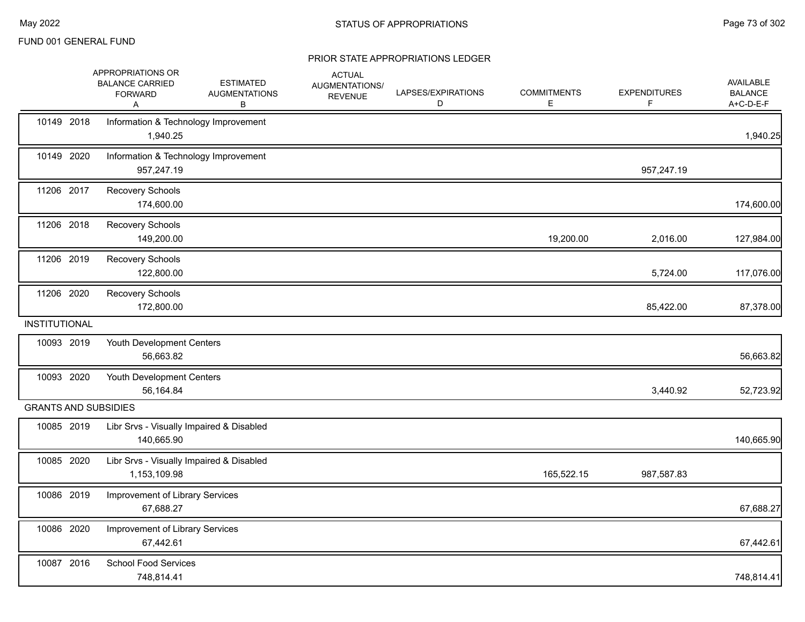|                      | APPROPRIATIONS OR<br><b>BALANCE CARRIED</b><br><b>FORWARD</b><br>Α | <b>ESTIMATED</b><br><b>AUGMENTATIONS</b><br>В | <b>ACTUAL</b><br>AUGMENTATIONS/<br><b>REVENUE</b> | LAPSES/EXPIRATIONS<br>D | <b>COMMITMENTS</b><br>E. | <b>EXPENDITURES</b><br>F. | <b>AVAILABLE</b><br><b>BALANCE</b><br>A+C-D-E-F |
|----------------------|--------------------------------------------------------------------|-----------------------------------------------|---------------------------------------------------|-------------------------|--------------------------|---------------------------|-------------------------------------------------|
| 10149 2018           | Information & Technology Improvement<br>1,940.25                   |                                               |                                                   |                         |                          |                           | 1,940.25                                        |
| 10149 2020           | Information & Technology Improvement<br>957,247.19                 |                                               |                                                   |                         |                          | 957,247.19                |                                                 |
| 11206 2017           | Recovery Schools<br>174,600.00                                     |                                               |                                                   |                         |                          |                           | 174,600.00                                      |
| 11206 2018           | Recovery Schools<br>149,200.00                                     |                                               |                                                   |                         | 19,200.00                | 2,016.00                  | 127,984.00                                      |
| 11206 2019           | Recovery Schools<br>122,800.00                                     |                                               |                                                   |                         |                          | 5,724.00                  | 117,076.00                                      |
| 11206 2020           | Recovery Schools<br>172,800.00                                     |                                               |                                                   |                         |                          | 85,422.00                 | 87,378.00                                       |
| <b>INSTITUTIONAL</b> |                                                                    |                                               |                                                   |                         |                          |                           |                                                 |
| 10093 2019           | Youth Development Centers<br>56,663.82                             |                                               |                                                   |                         |                          |                           | 56,663.82                                       |
| 10093 2020           | Youth Development Centers<br>56,164.84                             |                                               |                                                   |                         |                          | 3,440.92                  | 52,723.92                                       |
|                      | <b>GRANTS AND SUBSIDIES</b>                                        |                                               |                                                   |                         |                          |                           |                                                 |
| 10085 2019           | Libr Srvs - Visually Impaired & Disabled<br>140,665.90             |                                               |                                                   |                         |                          |                           | 140,665.90                                      |
| 10085 2020           | Libr Srvs - Visually Impaired & Disabled<br>1,153,109.98           |                                               |                                                   |                         | 165,522.15               | 987,587.83                |                                                 |
| 10086 2019           | Improvement of Library Services<br>67,688.27                       |                                               |                                                   |                         |                          |                           | 67,688.27                                       |
| 10086 2020           | Improvement of Library Services<br>67,442.61                       |                                               |                                                   |                         |                          |                           | 67,442.61                                       |
| 10087 2016           | School Food Services<br>748,814.41                                 |                                               |                                                   |                         |                          |                           | 748,814.41                                      |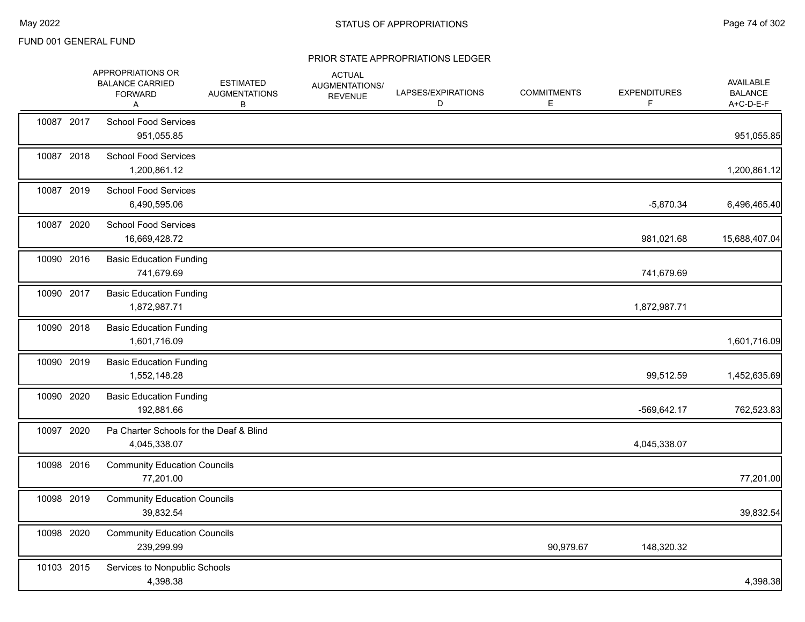|            | APPROPRIATIONS OR<br><b>BALANCE CARRIED</b><br><b>FORWARD</b><br>A | <b>ESTIMATED</b><br><b>AUGMENTATIONS</b><br>В | <b>ACTUAL</b><br>AUGMENTATIONS/<br><b>REVENUE</b> | LAPSES/EXPIRATIONS<br>D | <b>COMMITMENTS</b><br>Е | <b>EXPENDITURES</b> | AVAILABLE<br><b>BALANCE</b><br>A+C-D-E-F |
|------------|--------------------------------------------------------------------|-----------------------------------------------|---------------------------------------------------|-------------------------|-------------------------|---------------------|------------------------------------------|
| 10087 2017 | <b>School Food Services</b><br>951,055.85                          |                                               |                                                   |                         |                         |                     | 951,055.85                               |
| 10087 2018 | <b>School Food Services</b><br>1,200,861.12                        |                                               |                                                   |                         |                         |                     | 1,200,861.12                             |
| 10087 2019 | <b>School Food Services</b><br>6,490,595.06                        |                                               |                                                   |                         |                         | $-5,870.34$         | 6,496,465.40                             |
| 10087 2020 | <b>School Food Services</b><br>16,669,428.72                       |                                               |                                                   |                         |                         | 981,021.68          | 15,688,407.04                            |
| 10090 2016 | <b>Basic Education Funding</b><br>741,679.69                       |                                               |                                                   |                         |                         | 741,679.69          |                                          |
| 10090 2017 | <b>Basic Education Funding</b><br>1,872,987.71                     |                                               |                                                   |                         |                         | 1,872,987.71        |                                          |
| 10090 2018 | <b>Basic Education Funding</b><br>1,601,716.09                     |                                               |                                                   |                         |                         |                     | 1,601,716.09                             |
| 10090 2019 | <b>Basic Education Funding</b><br>1,552,148.28                     |                                               |                                                   |                         |                         | 99,512.59           | 1,452,635.69                             |
| 10090 2020 | <b>Basic Education Funding</b><br>192,881.66                       |                                               |                                                   |                         |                         | -569,642.17         | 762,523.83                               |
| 10097 2020 | Pa Charter Schools for the Deaf & Blind<br>4,045,338.07            |                                               |                                                   |                         |                         | 4,045,338.07        |                                          |
| 10098 2016 | <b>Community Education Councils</b><br>77,201.00                   |                                               |                                                   |                         |                         |                     | 77,201.00                                |
| 10098 2019 | <b>Community Education Councils</b><br>39,832.54                   |                                               |                                                   |                         |                         |                     | 39,832.54                                |
| 10098 2020 | <b>Community Education Councils</b><br>239,299.99                  |                                               |                                                   |                         | 90,979.67               | 148,320.32          |                                          |
| 10103 2015 | Services to Nonpublic Schools<br>4,398.38                          |                                               |                                                   |                         |                         |                     | 4,398.38                                 |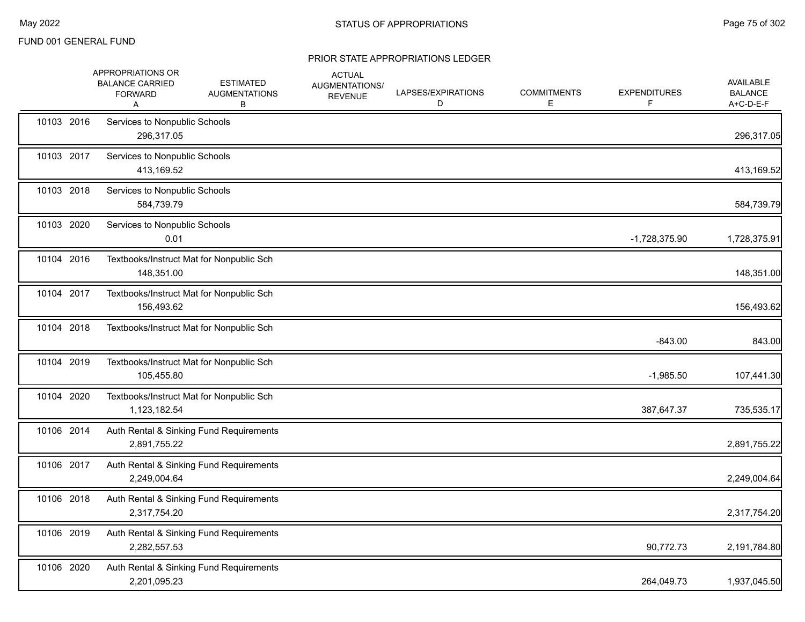|            | APPROPRIATIONS OR<br><b>BALANCE CARRIED</b><br><b>FORWARD</b><br>Α | <b>ESTIMATED</b><br><b>AUGMENTATIONS</b><br>В | <b>ACTUAL</b><br>AUGMENTATIONS/<br><b>REVENUE</b> | LAPSES/EXPIRATIONS<br>D | <b>COMMITMENTS</b><br>E. | <b>EXPENDITURES</b> | <b>AVAILABLE</b><br><b>BALANCE</b><br>A+C-D-E-F |
|------------|--------------------------------------------------------------------|-----------------------------------------------|---------------------------------------------------|-------------------------|--------------------------|---------------------|-------------------------------------------------|
| 10103 2016 | Services to Nonpublic Schools<br>296,317.05                        |                                               |                                                   |                         |                          |                     | 296,317.05                                      |
| 10103 2017 | Services to Nonpublic Schools<br>413,169.52                        |                                               |                                                   |                         |                          |                     | 413,169.52                                      |
| 10103 2018 | Services to Nonpublic Schools<br>584,739.79                        |                                               |                                                   |                         |                          |                     | 584,739.79                                      |
| 10103 2020 | Services to Nonpublic Schools<br>0.01                              |                                               |                                                   |                         |                          | $-1,728,375.90$     | 1,728,375.91                                    |
| 10104 2016 | Textbooks/Instruct Mat for Nonpublic Sch<br>148,351.00             |                                               |                                                   |                         |                          |                     | 148,351.00                                      |
| 10104 2017 | Textbooks/Instruct Mat for Nonpublic Sch<br>156,493.62             |                                               |                                                   |                         |                          |                     | 156,493.62                                      |
| 10104 2018 | Textbooks/Instruct Mat for Nonpublic Sch                           |                                               |                                                   |                         |                          | $-843.00$           | 843.00                                          |
| 10104 2019 | Textbooks/Instruct Mat for Nonpublic Sch<br>105,455.80             |                                               |                                                   |                         |                          | $-1,985.50$         | 107,441.30                                      |
| 10104 2020 | Textbooks/Instruct Mat for Nonpublic Sch<br>1,123,182.54           |                                               |                                                   |                         |                          | 387,647.37          | 735,535.17                                      |
| 10106 2014 | 2,891,755.22                                                       | Auth Rental & Sinking Fund Requirements       |                                                   |                         |                          |                     | 2,891,755.22                                    |
| 10106 2017 | 2,249,004.64                                                       | Auth Rental & Sinking Fund Requirements       |                                                   |                         |                          |                     | 2,249,004.64                                    |
| 10106 2018 | 2,317,754.20                                                       | Auth Rental & Sinking Fund Requirements       |                                                   |                         |                          |                     | 2,317,754.20                                    |
| 10106 2019 | 2,282,557.53                                                       | Auth Rental & Sinking Fund Requirements       |                                                   |                         |                          | 90,772.73           | 2,191,784.80                                    |
| 10106 2020 | 2,201,095.23                                                       | Auth Rental & Sinking Fund Requirements       |                                                   |                         |                          | 264,049.73          | 1,937,045.50                                    |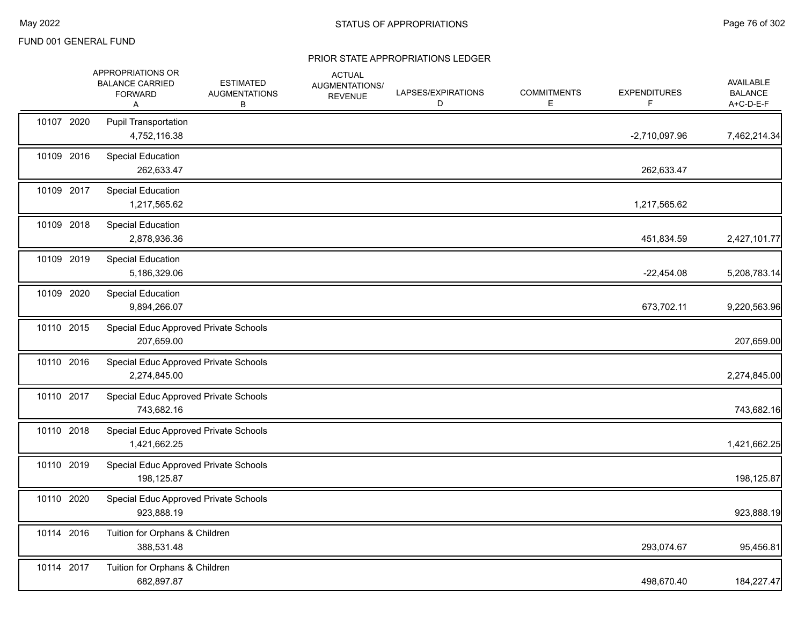|            | APPROPRIATIONS OR<br><b>BALANCE CARRIED</b><br><b>FORWARD</b><br>A | <b>ESTIMATED</b><br><b>AUGMENTATIONS</b><br>В | <b>ACTUAL</b><br>AUGMENTATIONS/<br><b>REVENUE</b> | LAPSES/EXPIRATIONS<br>D | <b>COMMITMENTS</b><br>E. | <b>EXPENDITURES</b><br>F. | AVAILABLE<br><b>BALANCE</b><br>A+C-D-E-F |
|------------|--------------------------------------------------------------------|-----------------------------------------------|---------------------------------------------------|-------------------------|--------------------------|---------------------------|------------------------------------------|
| 10107 2020 | <b>Pupil Transportation</b><br>4,752,116.38                        |                                               |                                                   |                         |                          | $-2,710,097.96$           | 7,462,214.34                             |
| 10109 2016 | <b>Special Education</b><br>262,633.47                             |                                               |                                                   |                         |                          | 262,633.47                |                                          |
| 10109 2017 | <b>Special Education</b><br>1,217,565.62                           |                                               |                                                   |                         |                          | 1,217,565.62              |                                          |
| 10109 2018 | <b>Special Education</b><br>2,878,936.36                           |                                               |                                                   |                         |                          | 451,834.59                | 2,427,101.77                             |
| 10109 2019 | <b>Special Education</b><br>5,186,329.06                           |                                               |                                                   |                         |                          | $-22,454.08$              | 5,208,783.14                             |
| 10109 2020 | <b>Special Education</b><br>9,894,266.07                           |                                               |                                                   |                         |                          | 673,702.11                | 9,220,563.96                             |
| 10110 2015 | 207,659.00                                                         | Special Educ Approved Private Schools         |                                                   |                         |                          |                           | 207,659.00                               |
| 10110 2016 | 2,274,845.00                                                       | Special Educ Approved Private Schools         |                                                   |                         |                          |                           | 2,274,845.00                             |
| 10110 2017 | 743,682.16                                                         | Special Educ Approved Private Schools         |                                                   |                         |                          |                           | 743,682.16                               |
| 10110 2018 | 1,421,662.25                                                       | Special Educ Approved Private Schools         |                                                   |                         |                          |                           | 1,421,662.25                             |
| 10110 2019 | 198,125.87                                                         | Special Educ Approved Private Schools         |                                                   |                         |                          |                           | 198,125.87                               |
| 10110 2020 | 923,888.19                                                         | Special Educ Approved Private Schools         |                                                   |                         |                          |                           | 923,888.19                               |
| 10114 2016 | Tuition for Orphans & Children<br>388,531.48                       |                                               |                                                   |                         |                          | 293,074.67                | 95,456.81                                |
| 10114 2017 | Tuition for Orphans & Children<br>682,897.87                       |                                               |                                                   |                         |                          | 498,670.40                | 184,227.47                               |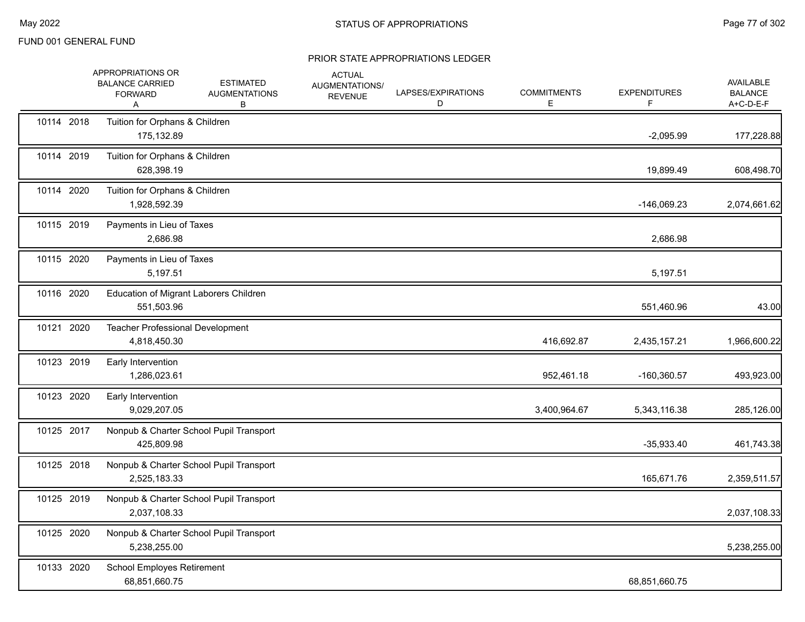|            | APPROPRIATIONS OR<br><b>BALANCE CARRIED</b><br><b>FORWARD</b><br>A | <b>ESTIMATED</b><br><b>AUGMENTATIONS</b><br>В | <b>ACTUAL</b><br>AUGMENTATIONS/<br><b>REVENUE</b> | LAPSES/EXPIRATIONS<br>D | <b>COMMITMENTS</b><br>Е | <b>EXPENDITURES</b><br>F. | AVAILABLE<br><b>BALANCE</b><br>A+C-D-E-F |
|------------|--------------------------------------------------------------------|-----------------------------------------------|---------------------------------------------------|-------------------------|-------------------------|---------------------------|------------------------------------------|
| 10114 2018 | Tuition for Orphans & Children<br>175,132.89                       |                                               |                                                   |                         |                         | $-2,095.99$               | 177,228.88                               |
| 10114 2019 | Tuition for Orphans & Children<br>628,398.19                       |                                               |                                                   |                         |                         | 19,899.49                 | 608,498.70                               |
| 10114 2020 | Tuition for Orphans & Children<br>1,928,592.39                     |                                               |                                                   |                         |                         | -146,069.23               | 2,074,661.62                             |
| 10115 2019 | Payments in Lieu of Taxes<br>2,686.98                              |                                               |                                                   |                         |                         | 2,686.98                  |                                          |
| 10115 2020 | Payments in Lieu of Taxes<br>5,197.51                              |                                               |                                                   |                         |                         | 5,197.51                  |                                          |
| 10116 2020 | 551,503.96                                                         | Education of Migrant Laborers Children        |                                                   |                         |                         | 551,460.96                | 43.00                                    |
| 10121 2020 | 4,818,450.30                                                       | <b>Teacher Professional Development</b>       |                                                   |                         | 416,692.87              | 2,435,157.21              | 1,966,600.22                             |
| 10123 2019 | Early Intervention<br>1,286,023.61                                 |                                               |                                                   |                         | 952,461.18              | $-160,360.57$             | 493,923.00                               |
| 10123 2020 | Early Intervention<br>9,029,207.05                                 |                                               |                                                   |                         | 3,400,964.67            | 5,343,116.38              | 285,126.00                               |
| 10125 2017 | 425,809.98                                                         | Nonpub & Charter School Pupil Transport       |                                                   |                         |                         | $-35,933.40$              | 461,743.38                               |
| 10125 2018 | 2,525,183.33                                                       | Nonpub & Charter School Pupil Transport       |                                                   |                         |                         | 165,671.76                | 2,359,511.57                             |
| 10125 2019 | 2,037,108.33                                                       | Nonpub & Charter School Pupil Transport       |                                                   |                         |                         |                           | 2,037,108.33                             |
| 10125 2020 | 5,238,255.00                                                       | Nonpub & Charter School Pupil Transport       |                                                   |                         |                         |                           | 5,238,255.00                             |
| 10133 2020 | <b>School Employes Retirement</b><br>68,851,660.75                 |                                               |                                                   |                         |                         | 68,851,660.75             |                                          |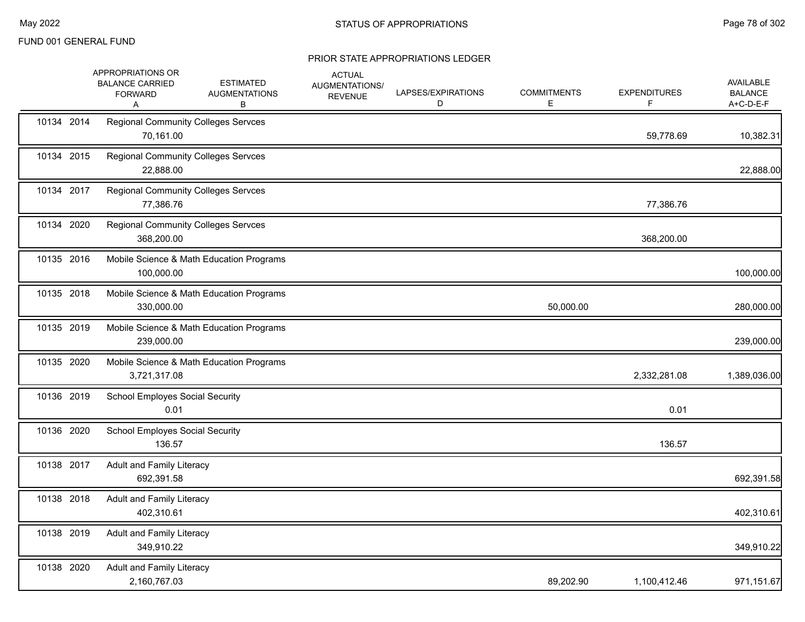|            | APPROPRIATIONS OR<br><b>BALANCE CARRIED</b><br><b>FORWARD</b><br>Α | <b>ESTIMATED</b><br><b>AUGMENTATIONS</b><br>в | <b>ACTUAL</b><br>AUGMENTATIONS/<br><b>REVENUE</b> | LAPSES/EXPIRATIONS<br>D | <b>COMMITMENTS</b><br>E | <b>EXPENDITURES</b><br>F. | <b>AVAILABLE</b><br><b>BALANCE</b><br>A+C-D-E-F |
|------------|--------------------------------------------------------------------|-----------------------------------------------|---------------------------------------------------|-------------------------|-------------------------|---------------------------|-------------------------------------------------|
| 10134 2014 | <b>Regional Community Colleges Servces</b><br>70,161.00            |                                               |                                                   |                         |                         | 59,778.69                 | 10,382.31                                       |
| 10134 2015 | <b>Regional Community Colleges Servces</b><br>22,888.00            |                                               |                                                   |                         |                         |                           | 22,888.00                                       |
| 10134 2017 | <b>Regional Community Colleges Servces</b><br>77,386.76            |                                               |                                                   |                         |                         | 77,386.76                 |                                                 |
| 10134 2020 | <b>Regional Community Colleges Servces</b><br>368,200.00           |                                               |                                                   |                         |                         | 368,200.00                |                                                 |
| 10135 2016 | 100,000.00                                                         | Mobile Science & Math Education Programs      |                                                   |                         |                         |                           | 100,000.00                                      |
| 10135 2018 | 330,000.00                                                         | Mobile Science & Math Education Programs      |                                                   |                         | 50,000.00               |                           | 280,000.00                                      |
| 10135 2019 | 239,000.00                                                         | Mobile Science & Math Education Programs      |                                                   |                         |                         |                           | 239,000.00                                      |
| 10135 2020 | 3,721,317.08                                                       | Mobile Science & Math Education Programs      |                                                   |                         |                         | 2,332,281.08              | 1,389,036.00                                    |
| 10136 2019 | <b>School Employes Social Security</b><br>0.01                     |                                               |                                                   |                         |                         | 0.01                      |                                                 |
| 10136 2020 | <b>School Employes Social Security</b><br>136.57                   |                                               |                                                   |                         |                         | 136.57                    |                                                 |
| 10138 2017 | <b>Adult and Family Literacy</b><br>692,391.58                     |                                               |                                                   |                         |                         |                           | 692,391.58                                      |
| 10138 2018 | <b>Adult and Family Literacy</b><br>402,310.61                     |                                               |                                                   |                         |                         |                           | 402,310.61                                      |
| 10138 2019 | Adult and Family Literacy<br>349,910.22                            |                                               |                                                   |                         |                         |                           | 349,910.22                                      |
| 10138 2020 | Adult and Family Literacy<br>2,160,767.03                          |                                               |                                                   |                         | 89,202.90               | 1,100,412.46              | 971,151.67                                      |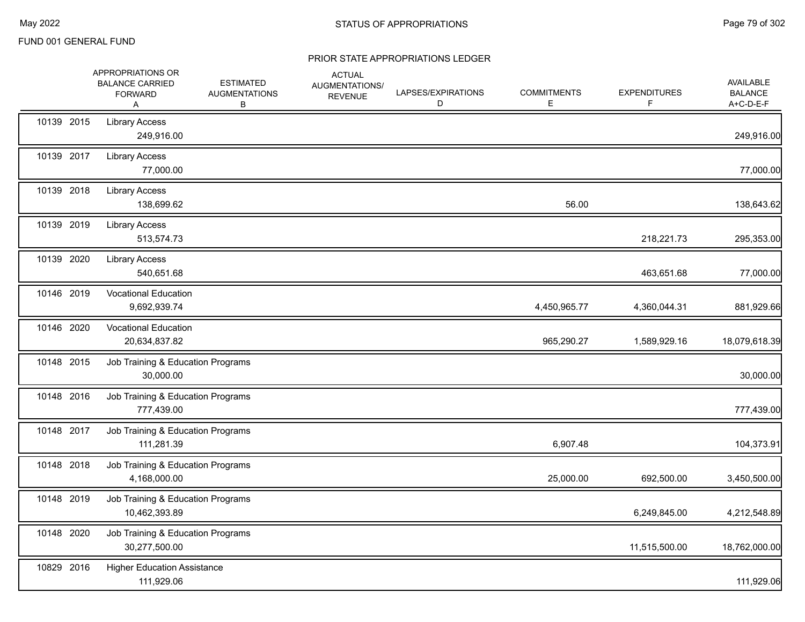|            | APPROPRIATIONS OR<br><b>BALANCE CARRIED</b><br><b>FORWARD</b><br>A | ESTIMATED<br><b>AUGMENTATIONS</b><br>В | <b>ACTUAL</b><br>AUGMENTATIONS/<br><b>REVENUE</b> | LAPSES/EXPIRATIONS<br>D | <b>COMMITMENTS</b><br>E. | <b>EXPENDITURES</b><br>F | <b>AVAILABLE</b><br><b>BALANCE</b><br>A+C-D-E-F |
|------------|--------------------------------------------------------------------|----------------------------------------|---------------------------------------------------|-------------------------|--------------------------|--------------------------|-------------------------------------------------|
| 10139 2015 | <b>Library Access</b><br>249,916.00                                |                                        |                                                   |                         |                          |                          | 249,916.00                                      |
| 10139 2017 | <b>Library Access</b><br>77,000.00                                 |                                        |                                                   |                         |                          |                          | 77,000.00                                       |
| 10139 2018 | <b>Library Access</b><br>138,699.62                                |                                        |                                                   |                         | 56.00                    |                          | 138,643.62                                      |
| 10139 2019 | <b>Library Access</b><br>513,574.73                                |                                        |                                                   |                         |                          | 218,221.73               | 295,353.00                                      |
| 10139 2020 | <b>Library Access</b><br>540,651.68                                |                                        |                                                   |                         |                          | 463,651.68               | 77,000.00                                       |
| 10146 2019 | <b>Vocational Education</b><br>9,692,939.74                        |                                        |                                                   |                         | 4,450,965.77             | 4,360,044.31             | 881,929.66                                      |
| 10146 2020 | <b>Vocational Education</b><br>20,634,837.82                       |                                        |                                                   |                         | 965,290.27               | 1,589,929.16             | 18,079,618.39                                   |
| 10148 2015 | Job Training & Education Programs<br>30,000.00                     |                                        |                                                   |                         |                          |                          | 30,000.00                                       |
| 10148 2016 | Job Training & Education Programs<br>777,439.00                    |                                        |                                                   |                         |                          |                          | 777,439.00                                      |
| 10148 2017 | Job Training & Education Programs<br>111,281.39                    |                                        |                                                   |                         | 6,907.48                 |                          | 104,373.91                                      |
| 10148 2018 | Job Training & Education Programs<br>4,168,000.00                  |                                        |                                                   |                         | 25,000.00                | 692,500.00               | 3,450,500.00                                    |
| 10148 2019 | Job Training & Education Programs<br>10,462,393.89                 |                                        |                                                   |                         |                          | 6,249,845.00             | 4,212,548.89                                    |
| 10148 2020 | Job Training & Education Programs<br>30,277,500.00                 |                                        |                                                   |                         |                          | 11,515,500.00            | 18,762,000.00                                   |
| 10829 2016 | <b>Higher Education Assistance</b><br>111,929.06                   |                                        |                                                   |                         |                          |                          | 111,929.06                                      |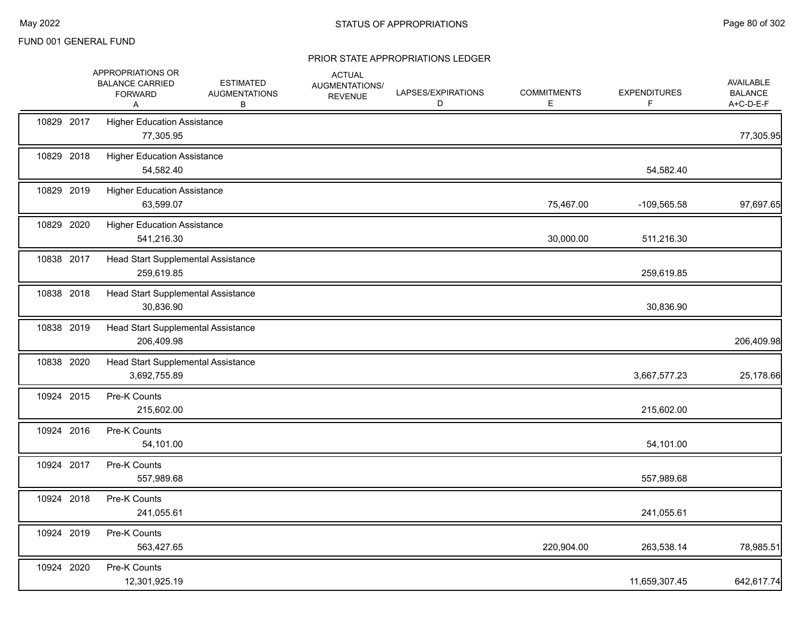|            | APPROPRIATIONS OR<br><b>BALANCE CARRIED</b><br><b>FORWARD</b><br>Α | <b>ESTIMATED</b><br><b>AUGMENTATIONS</b><br>В | <b>ACTUAL</b><br>AUGMENTATIONS/<br><b>REVENUE</b> | LAPSES/EXPIRATIONS<br>D | <b>COMMITMENTS</b><br>Е | <b>EXPENDITURES</b><br>F | <b>AVAILABLE</b><br><b>BALANCE</b><br>A+C-D-E-F |
|------------|--------------------------------------------------------------------|-----------------------------------------------|---------------------------------------------------|-------------------------|-------------------------|--------------------------|-------------------------------------------------|
| 10829 2017 | <b>Higher Education Assistance</b><br>77,305.95                    |                                               |                                                   |                         |                         |                          | 77,305.95                                       |
| 10829 2018 | <b>Higher Education Assistance</b><br>54,582.40                    |                                               |                                                   |                         |                         | 54,582.40                |                                                 |
| 10829 2019 | <b>Higher Education Assistance</b><br>63,599.07                    |                                               |                                                   |                         | 75,467.00               | -109,565.58              | 97,697.65                                       |
| 10829 2020 | <b>Higher Education Assistance</b><br>541,216.30                   |                                               |                                                   |                         | 30,000.00               | 511,216.30               |                                                 |
| 10838 2017 | Head Start Supplemental Assistance<br>259,619.85                   |                                               |                                                   |                         |                         | 259,619.85               |                                                 |
| 10838 2018 | Head Start Supplemental Assistance<br>30,836.90                    |                                               |                                                   |                         |                         | 30,836.90                |                                                 |
| 10838 2019 | Head Start Supplemental Assistance<br>206,409.98                   |                                               |                                                   |                         |                         |                          | 206,409.98                                      |
| 10838 2020 | Head Start Supplemental Assistance<br>3,692,755.89                 |                                               |                                                   |                         |                         | 3,667,577.23             | 25,178.66                                       |
| 10924 2015 | Pre-K Counts<br>215,602.00                                         |                                               |                                                   |                         |                         | 215,602.00               |                                                 |
| 10924 2016 | Pre-K Counts<br>54,101.00                                          |                                               |                                                   |                         |                         | 54,101.00                |                                                 |
| 10924 2017 | Pre-K Counts<br>557,989.68                                         |                                               |                                                   |                         |                         | 557,989.68               |                                                 |
| 10924 2018 | Pre-K Counts<br>241,055.61                                         |                                               |                                                   |                         |                         | 241,055.61               |                                                 |
| 10924 2019 | Pre-K Counts<br>563,427.65                                         |                                               |                                                   |                         | 220,904.00              | 263,538.14               | 78,985.51                                       |
| 10924 2020 | Pre-K Counts<br>12,301,925.19                                      |                                               |                                                   |                         |                         | 11,659,307.45            | 642,617.74                                      |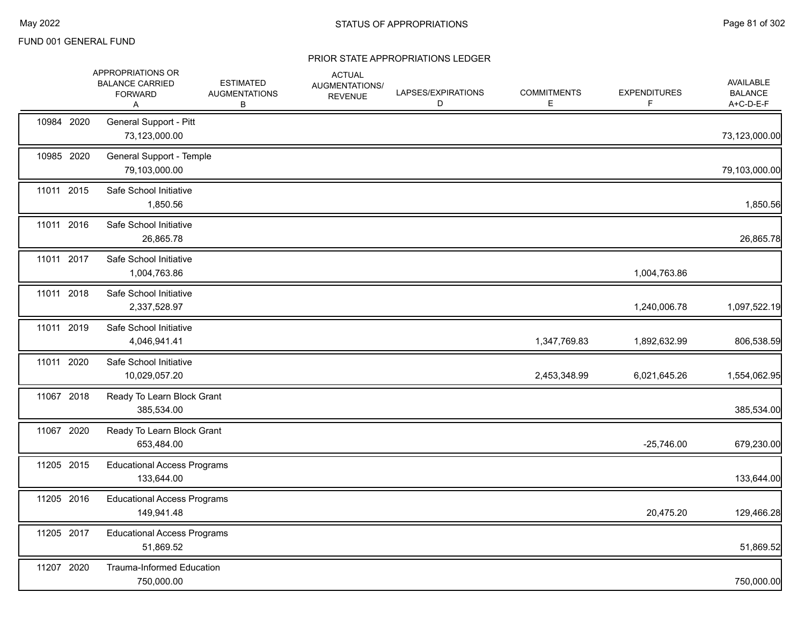|            | APPROPRIATIONS OR<br><b>BALANCE CARRIED</b><br><b>FORWARD</b><br>Α | <b>ESTIMATED</b><br><b>AUGMENTATIONS</b><br>В | <b>ACTUAL</b><br>AUGMENTATIONS/<br><b>REVENUE</b> | LAPSES/EXPIRATIONS<br>D | <b>COMMITMENTS</b><br>E | <b>EXPENDITURES</b><br>F | AVAILABLE<br><b>BALANCE</b><br>A+C-D-E-F |
|------------|--------------------------------------------------------------------|-----------------------------------------------|---------------------------------------------------|-------------------------|-------------------------|--------------------------|------------------------------------------|
| 10984 2020 | General Support - Pitt<br>73,123,000.00                            |                                               |                                                   |                         |                         |                          | 73,123,000.00                            |
| 10985 2020 | General Support - Temple<br>79,103,000.00                          |                                               |                                                   |                         |                         |                          | 79,103,000.00                            |
| 11011 2015 | Safe School Initiative<br>1,850.56                                 |                                               |                                                   |                         |                         |                          | 1,850.56                                 |
| 11011 2016 | Safe School Initiative<br>26,865.78                                |                                               |                                                   |                         |                         |                          | 26,865.78                                |
| 11011 2017 | Safe School Initiative<br>1,004,763.86                             |                                               |                                                   |                         |                         | 1,004,763.86             |                                          |
| 11011 2018 | Safe School Initiative<br>2,337,528.97                             |                                               |                                                   |                         |                         | 1,240,006.78             | 1,097,522.19                             |
| 11011 2019 | Safe School Initiative<br>4,046,941.41                             |                                               |                                                   |                         | 1,347,769.83            | 1,892,632.99             | 806,538.59                               |
| 11011 2020 | Safe School Initiative<br>10,029,057.20                            |                                               |                                                   |                         | 2,453,348.99            | 6,021,645.26             | 1,554,062.95                             |
| 11067 2018 | Ready To Learn Block Grant<br>385,534.00                           |                                               |                                                   |                         |                         |                          | 385,534.00                               |
| 11067 2020 | Ready To Learn Block Grant<br>653,484.00                           |                                               |                                                   |                         |                         | $-25,746.00$             | 679,230.00                               |
| 11205 2015 | <b>Educational Access Programs</b><br>133,644.00                   |                                               |                                                   |                         |                         |                          | 133,644.00                               |
| 11205 2016 | <b>Educational Access Programs</b><br>149,941.48                   |                                               |                                                   |                         |                         | 20,475.20                | 129,466.28                               |
| 11205 2017 | <b>Educational Access Programs</b><br>51,869.52                    |                                               |                                                   |                         |                         |                          | 51,869.52                                |
| 11207 2020 | <b>Trauma-Informed Education</b><br>750,000.00                     |                                               |                                                   |                         |                         |                          | 750,000.00                               |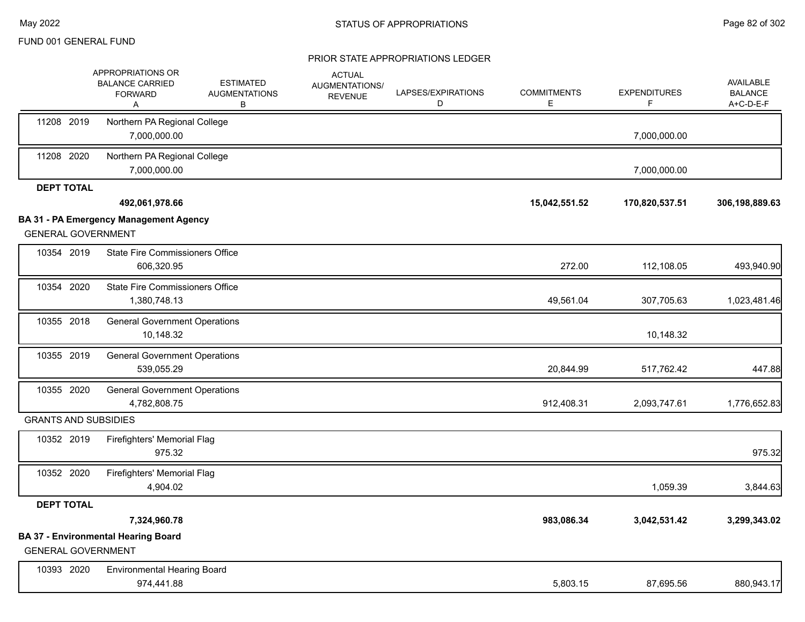|                             | APPROPRIATIONS OR<br><b>BALANCE CARRIED</b><br><b>FORWARD</b><br>Α | <b>ESTIMATED</b><br><b>AUGMENTATIONS</b><br>В | <b>ACTUAL</b><br>AUGMENTATIONS/<br><b>REVENUE</b> | LAPSES/EXPIRATIONS<br>D | <b>COMMITMENTS</b><br>E | <b>EXPENDITURES</b><br>F. | <b>AVAILABLE</b><br><b>BALANCE</b><br>A+C-D-E-F |
|-----------------------------|--------------------------------------------------------------------|-----------------------------------------------|---------------------------------------------------|-------------------------|-------------------------|---------------------------|-------------------------------------------------|
| 11208 2019                  | Northern PA Regional College<br>7,000,000.00                       |                                               |                                                   |                         |                         | 7,000,000.00              |                                                 |
| 11208 2020                  | Northern PA Regional College<br>7,000,000.00                       |                                               |                                                   |                         |                         | 7,000,000.00              |                                                 |
| <b>DEPT TOTAL</b>           |                                                                    |                                               |                                                   |                         |                         |                           |                                                 |
|                             | 492,061,978.66                                                     |                                               |                                                   |                         | 15,042,551.52           | 170,820,537.51            | 306,198,889.63                                  |
| <b>GENERAL GOVERNMENT</b>   | <b>BA 31 - PA Emergency Management Agency</b>                      |                                               |                                                   |                         |                         |                           |                                                 |
| 10354 2019                  | <b>State Fire Commissioners Office</b><br>606,320.95               |                                               |                                                   |                         | 272.00                  | 112,108.05                | 493,940.90                                      |
| 10354 2020                  | <b>State Fire Commissioners Office</b><br>1,380,748.13             |                                               |                                                   |                         | 49,561.04               | 307,705.63                | 1,023,481.46                                    |
| 10355 2018                  | <b>General Government Operations</b><br>10,148.32                  |                                               |                                                   |                         |                         | 10,148.32                 |                                                 |
| 10355 2019                  | <b>General Government Operations</b><br>539,055.29                 |                                               |                                                   |                         | 20,844.99               | 517,762.42                | 447.88                                          |
| 10355 2020                  | <b>General Government Operations</b><br>4,782,808.75               |                                               |                                                   |                         | 912,408.31              | 2,093,747.61              | 1,776,652.83                                    |
| <b>GRANTS AND SUBSIDIES</b> |                                                                    |                                               |                                                   |                         |                         |                           |                                                 |
| 10352 2019                  | Firefighters' Memorial Flag<br>975.32                              |                                               |                                                   |                         |                         |                           | 975.32                                          |
| 10352 2020                  | Firefighters' Memorial Flag<br>4,904.02                            |                                               |                                                   |                         |                         | 1,059.39                  | 3,844.63                                        |
| <b>DEPT TOTAL</b>           |                                                                    |                                               |                                                   |                         |                         |                           |                                                 |
|                             | 7,324,960.78                                                       |                                               |                                                   |                         | 983,086.34              | 3,042,531.42              | 3,299,343.02                                    |
| <b>GENERAL GOVERNMENT</b>   | <b>BA 37 - Environmental Hearing Board</b>                         |                                               |                                                   |                         |                         |                           |                                                 |
| 10393 2020                  | <b>Environmental Hearing Board</b>                                 |                                               |                                                   |                         |                         |                           |                                                 |
|                             | 974,441.88                                                         |                                               |                                                   |                         | 5,803.15                | 87,695.56                 | 880,943.17                                      |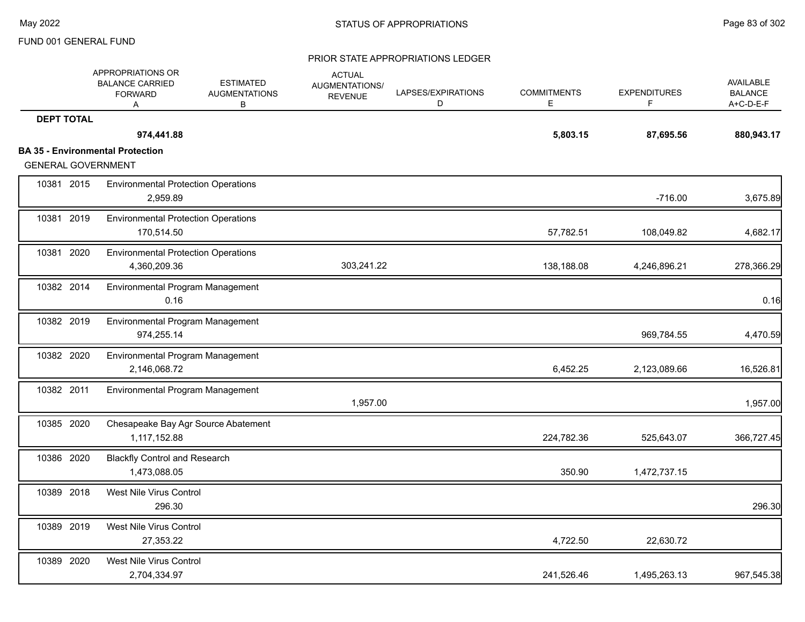|                           | APPROPRIATIONS OR<br><b>BALANCE CARRIED</b><br><b>FORWARD</b><br>A | <b>ESTIMATED</b><br><b>AUGMENTATIONS</b><br>В | <b>ACTUAL</b><br><b>AUGMENTATIONS/</b><br><b>REVENUE</b> | LAPSES/EXPIRATIONS<br>D | <b>COMMITMENTS</b><br>Е | <b>EXPENDITURES</b><br>F. | <b>AVAILABLE</b><br><b>BALANCE</b><br>A+C-D-E-F |
|---------------------------|--------------------------------------------------------------------|-----------------------------------------------|----------------------------------------------------------|-------------------------|-------------------------|---------------------------|-------------------------------------------------|
| <b>DEPT TOTAL</b>         |                                                                    |                                               |                                                          |                         |                         |                           |                                                 |
|                           | 974,441.88                                                         |                                               |                                                          |                         | 5,803.15                | 87,695.56                 | 880,943.17                                      |
|                           | <b>BA 35 - Environmental Protection</b>                            |                                               |                                                          |                         |                         |                           |                                                 |
| <b>GENERAL GOVERNMENT</b> |                                                                    |                                               |                                                          |                         |                         |                           |                                                 |
| 10381 2015                | <b>Environmental Protection Operations</b><br>2,959.89             |                                               |                                                          |                         |                         | $-716.00$                 | 3,675.89                                        |
| 10381 2019                | <b>Environmental Protection Operations</b><br>170,514.50           |                                               |                                                          |                         | 57,782.51               | 108,049.82                | 4,682.17                                        |
| 10381 2020                | <b>Environmental Protection Operations</b><br>4,360,209.36         |                                               | 303,241.22                                               |                         | 138,188.08              | 4,246,896.21              | 278,366.29                                      |
| 10382 2014                | Environmental Program Management<br>0.16                           |                                               |                                                          |                         |                         |                           | 0.16                                            |
| 10382 2019                | Environmental Program Management<br>974,255.14                     |                                               |                                                          |                         |                         | 969,784.55                | 4,470.59                                        |
| 10382 2020                | Environmental Program Management<br>2,146,068.72                   |                                               |                                                          |                         | 6,452.25                | 2,123,089.66              | 16,526.81                                       |
| 10382 2011                | Environmental Program Management                                   |                                               | 1,957.00                                                 |                         |                         |                           | 1,957.00                                        |
| 10385 2020                | 1,117,152.88                                                       | Chesapeake Bay Agr Source Abatement           |                                                          |                         | 224,782.36              | 525,643.07                | 366,727.45                                      |
| 10386 2020                | <b>Blackfly Control and Research</b><br>1,473,088.05               |                                               |                                                          |                         | 350.90                  | 1,472,737.15              |                                                 |
| 10389 2018                | West Nile Virus Control<br>296.30                                  |                                               |                                                          |                         |                         |                           | 296.30                                          |
| 10389 2019                | West Nile Virus Control<br>27,353.22                               |                                               |                                                          |                         | 4,722.50                | 22,630.72                 |                                                 |
| 10389 2020                | West Nile Virus Control<br>2,704,334.97                            |                                               |                                                          |                         | 241,526.46              | 1,495,263.13              | 967,545.38                                      |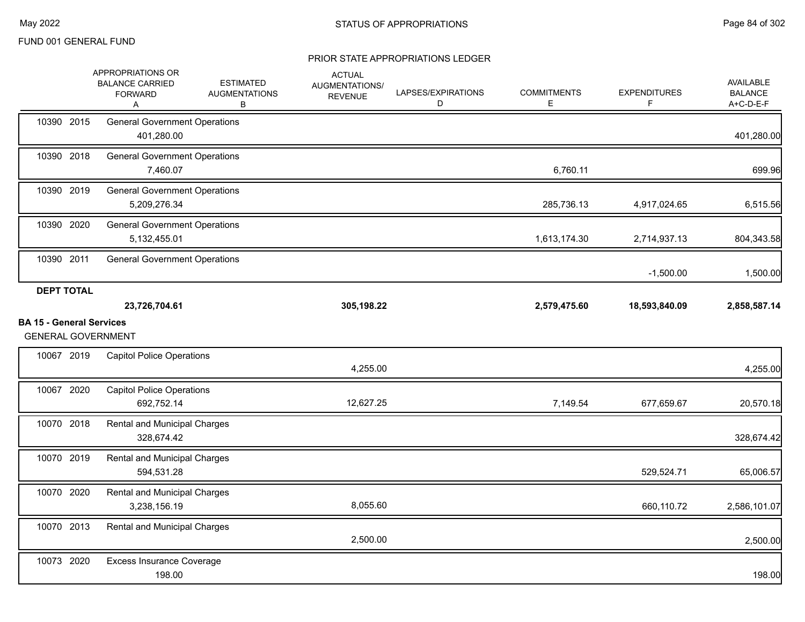|                                 | APPROPRIATIONS OR<br><b>BALANCE CARRIED</b><br><b>FORWARD</b><br>Α | <b>ESTIMATED</b><br><b>AUGMENTATIONS</b><br>В | <b>ACTUAL</b><br>AUGMENTATIONS/<br><b>REVENUE</b> | LAPSES/EXPIRATIONS<br>D | <b>COMMITMENTS</b><br>Е | <b>EXPENDITURES</b><br>F | AVAILABLE<br><b>BALANCE</b><br>$A+C-D-E-F$ |
|---------------------------------|--------------------------------------------------------------------|-----------------------------------------------|---------------------------------------------------|-------------------------|-------------------------|--------------------------|--------------------------------------------|
| 10390 2015                      | <b>General Government Operations</b><br>401,280.00                 |                                               |                                                   |                         |                         |                          | 401,280.00                                 |
| 10390 2018                      | <b>General Government Operations</b><br>7,460.07                   |                                               |                                                   |                         | 6,760.11                |                          | 699.96                                     |
| 10390 2019                      | <b>General Government Operations</b><br>5,209,276.34               |                                               |                                                   |                         | 285,736.13              | 4,917,024.65             | 6,515.56                                   |
| 10390 2020                      | <b>General Government Operations</b><br>5,132,455.01               |                                               |                                                   |                         | 1,613,174.30            | 2,714,937.13             | 804,343.58                                 |
| 10390 2011                      | <b>General Government Operations</b>                               |                                               |                                                   |                         |                         | $-1,500.00$              | 1,500.00                                   |
| <b>DEPT TOTAL</b>               |                                                                    |                                               |                                                   |                         |                         |                          |                                            |
|                                 | 23,726,704.61                                                      |                                               | 305,198.22                                        |                         | 2,579,475.60            | 18,593,840.09            | 2,858,587.14                               |
| <b>BA 15 - General Services</b> | <b>GENERAL GOVERNMENT</b>                                          |                                               |                                                   |                         |                         |                          |                                            |
| 10067 2019                      | <b>Capitol Police Operations</b>                                   |                                               | 4,255.00                                          |                         |                         |                          | 4,255.00                                   |
| 10067 2020                      | <b>Capitol Police Operations</b><br>692,752.14                     |                                               | 12,627.25                                         |                         | 7,149.54                | 677,659.67               | 20,570.18                                  |
| 10070 2018                      | <b>Rental and Municipal Charges</b><br>328,674.42                  |                                               |                                                   |                         |                         |                          | 328,674.42                                 |
| 10070 2019                      | Rental and Municipal Charges<br>594,531.28                         |                                               |                                                   |                         |                         | 529,524.71               | 65,006.57                                  |
| 10070 2020                      | <b>Rental and Municipal Charges</b><br>3,238,156.19                |                                               | 8,055.60                                          |                         |                         | 660,110.72               | 2,586,101.07                               |
| 10070 2013                      | Rental and Municipal Charges                                       |                                               | 2,500.00                                          |                         |                         |                          | 2,500.00                                   |
| 10073 2020                      | <b>Excess Insurance Coverage</b><br>198.00                         |                                               |                                                   |                         |                         |                          | 198.00                                     |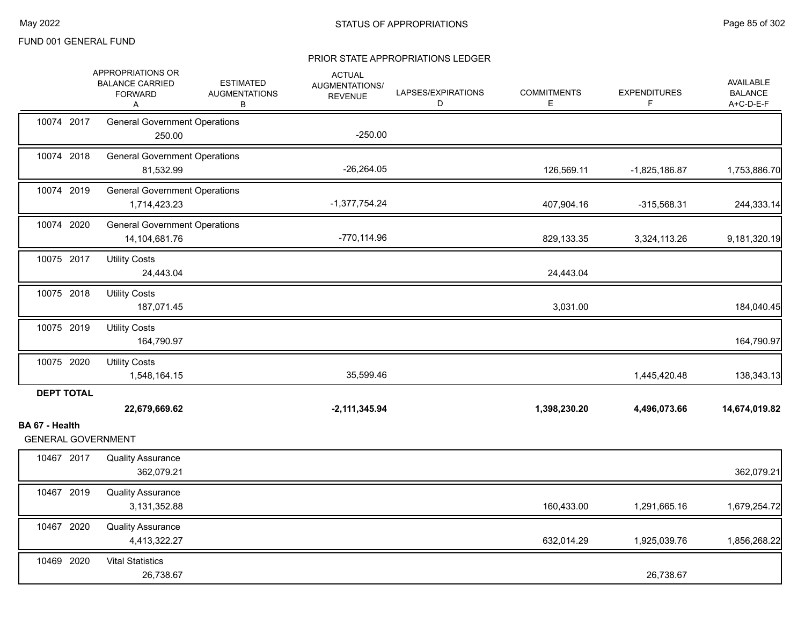|                                             | APPROPRIATIONS OR<br><b>BALANCE CARRIED</b><br><b>FORWARD</b><br>Α | <b>ESTIMATED</b><br><b>AUGMENTATIONS</b><br>В | <b>ACTUAL</b><br>AUGMENTATIONS/<br><b>REVENUE</b> | LAPSES/EXPIRATIONS<br>D | <b>COMMITMENTS</b><br>E | <b>EXPENDITURES</b><br>F | <b>AVAILABLE</b><br><b>BALANCE</b><br>A+C-D-E-F |
|---------------------------------------------|--------------------------------------------------------------------|-----------------------------------------------|---------------------------------------------------|-------------------------|-------------------------|--------------------------|-------------------------------------------------|
| 10074 2017                                  | <b>General Government Operations</b><br>250.00                     |                                               | $-250.00$                                         |                         |                         |                          |                                                 |
| 10074 2018                                  | <b>General Government Operations</b><br>81,532.99                  |                                               | $-26,264.05$                                      |                         | 126,569.11              | $-1,825,186.87$          | 1,753,886.70                                    |
| 10074 2019                                  | <b>General Government Operations</b><br>1,714,423.23               |                                               | $-1,377,754.24$                                   |                         | 407,904.16              | $-315,568.31$            | 244,333.14                                      |
| 10074 2020                                  | <b>General Government Operations</b><br>14,104,681.76              |                                               | $-770, 114.96$                                    |                         | 829,133.35              | 3,324,113.26             | 9,181,320.19                                    |
| 10075 2017                                  | <b>Utility Costs</b><br>24,443.04                                  |                                               |                                                   |                         | 24,443.04               |                          |                                                 |
| 10075 2018                                  | <b>Utility Costs</b><br>187,071.45                                 |                                               |                                                   |                         | 3,031.00                |                          | 184,040.45                                      |
| 10075 2019                                  | <b>Utility Costs</b><br>164,790.97                                 |                                               |                                                   |                         |                         |                          | 164,790.97                                      |
| 10075 2020                                  | <b>Utility Costs</b><br>1,548,164.15                               |                                               | 35,599.46                                         |                         |                         | 1,445,420.48             | 138,343.13                                      |
| <b>DEPT TOTAL</b>                           | 22,679,669.62                                                      |                                               | $-2,111,345.94$                                   |                         | 1,398,230.20            | 4,496,073.66             | 14,674,019.82                                   |
| BA 67 - Health<br><b>GENERAL GOVERNMENT</b> |                                                                    |                                               |                                                   |                         |                         |                          |                                                 |
| 10467 2017                                  | <b>Quality Assurance</b><br>362,079.21                             |                                               |                                                   |                         |                         |                          | 362,079.21                                      |
| 10467 2019                                  | <b>Quality Assurance</b><br>3,131,352.88                           |                                               |                                                   |                         | 160,433.00              | 1,291,665.16             | 1,679,254.72                                    |
| 10467 2020                                  | <b>Quality Assurance</b><br>4,413,322.27                           |                                               |                                                   |                         | 632,014.29              | 1,925,039.76             | 1,856,268.22                                    |
| 10469 2020                                  | <b>Vital Statistics</b><br>26,738.67                               |                                               |                                                   |                         |                         | 26,738.67                |                                                 |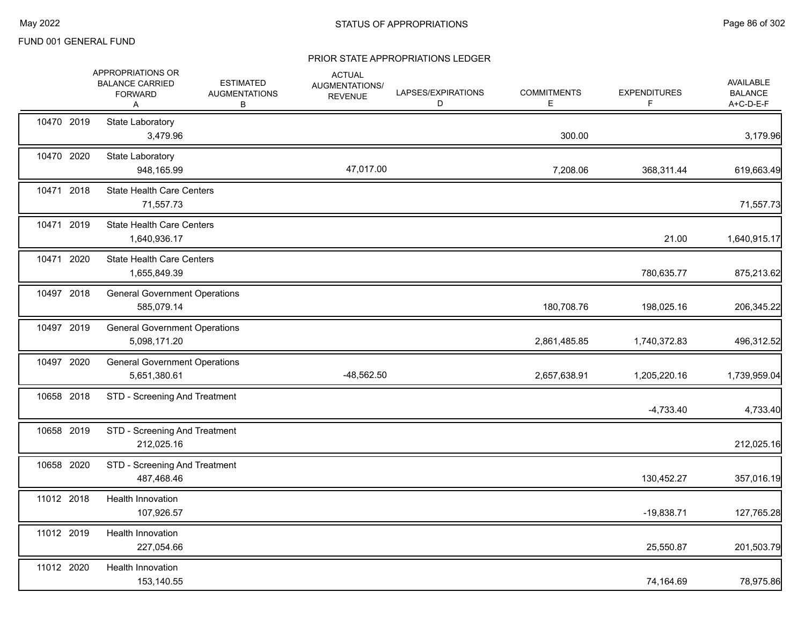|            | APPROPRIATIONS OR<br><b>BALANCE CARRIED</b><br><b>FORWARD</b><br>A | <b>ESTIMATED</b><br><b>AUGMENTATIONS</b><br>В | <b>ACTUAL</b><br>AUGMENTATIONS/<br><b>REVENUE</b> | LAPSES/EXPIRATIONS<br>D | <b>COMMITMENTS</b><br>Е | <b>EXPENDITURES</b><br>F | <b>AVAILABLE</b><br><b>BALANCE</b><br>$A+C-D-E-F$ |
|------------|--------------------------------------------------------------------|-----------------------------------------------|---------------------------------------------------|-------------------------|-------------------------|--------------------------|---------------------------------------------------|
| 10470 2019 | State Laboratory<br>3,479.96                                       |                                               |                                                   |                         | 300.00                  |                          | 3,179.96                                          |
| 10470 2020 | State Laboratory<br>948,165.99                                     |                                               | 47,017.00                                         |                         | 7,208.06                | 368,311.44               | 619,663.49                                        |
| 10471 2018 | <b>State Health Care Centers</b><br>71,557.73                      |                                               |                                                   |                         |                         |                          | 71,557.73                                         |
| 10471 2019 | <b>State Health Care Centers</b><br>1,640,936.17                   |                                               |                                                   |                         |                         | 21.00                    | 1,640,915.17                                      |
| 10471 2020 | <b>State Health Care Centers</b><br>1,655,849.39                   |                                               |                                                   |                         |                         | 780,635.77               | 875,213.62                                        |
| 10497 2018 | <b>General Government Operations</b><br>585,079.14                 |                                               |                                                   |                         | 180,708.76              | 198,025.16               | 206,345.22                                        |
| 10497 2019 | <b>General Government Operations</b><br>5,098,171.20               |                                               |                                                   |                         | 2,861,485.85            | 1,740,372.83             | 496,312.52                                        |
| 10497 2020 | <b>General Government Operations</b><br>5,651,380.61               |                                               | -48,562.50                                        |                         | 2,657,638.91            | 1,205,220.16             | 1,739,959.04                                      |
| 10658 2018 | STD - Screening And Treatment                                      |                                               |                                                   |                         |                         | $-4,733.40$              | 4,733.40                                          |
| 10658 2019 | STD - Screening And Treatment<br>212,025.16                        |                                               |                                                   |                         |                         |                          | 212,025.16                                        |
| 10658 2020 | STD - Screening And Treatment<br>487,468.46                        |                                               |                                                   |                         |                         | 130,452.27               | 357,016.19                                        |
| 11012 2018 | Health Innovation<br>107,926.57                                    |                                               |                                                   |                         |                         | $-19,838.71$             | 127,765.28                                        |
| 11012 2019 | Health Innovation<br>227,054.66                                    |                                               |                                                   |                         |                         | 25,550.87                | 201,503.79                                        |
| 11012 2020 | Health Innovation<br>153,140.55                                    |                                               |                                                   |                         |                         | 74,164.69                | 78,975.86                                         |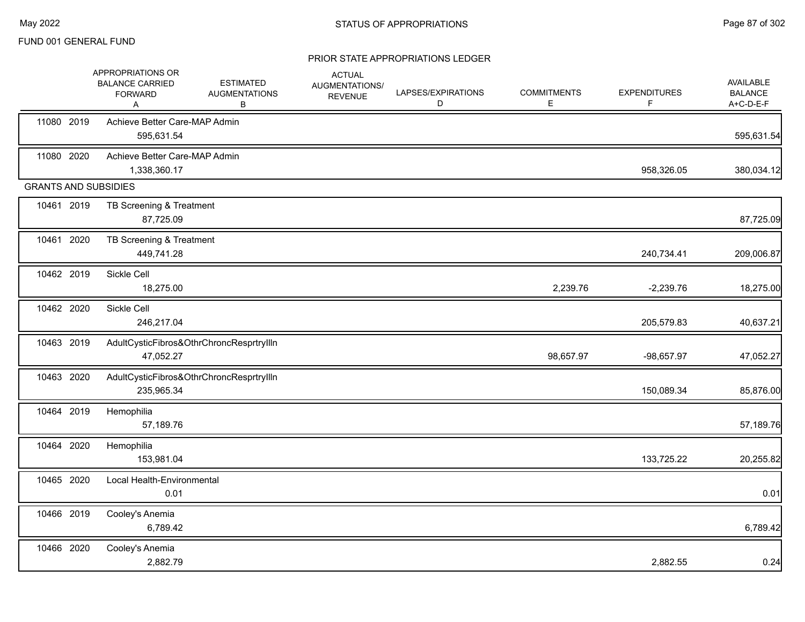|            | APPROPRIATIONS OR<br><b>BALANCE CARRIED</b><br><b>FORWARD</b><br>A | <b>ESTIMATED</b><br><b>AUGMENTATIONS</b><br>В | <b>ACTUAL</b><br>AUGMENTATIONS/<br><b>REVENUE</b> | LAPSES/EXPIRATIONS<br>D | <b>COMMITMENTS</b><br>Е | <b>EXPENDITURES</b><br>F | AVAILABLE<br><b>BALANCE</b><br>A+C-D-E-F |
|------------|--------------------------------------------------------------------|-----------------------------------------------|---------------------------------------------------|-------------------------|-------------------------|--------------------------|------------------------------------------|
| 11080 2019 | Achieve Better Care-MAP Admin<br>595,631.54                        |                                               |                                                   |                         |                         |                          | 595,631.54                               |
| 11080 2020 | Achieve Better Care-MAP Admin<br>1,338,360.17                      |                                               |                                                   |                         |                         | 958,326.05               | 380,034.12                               |
|            | <b>GRANTS AND SUBSIDIES</b>                                        |                                               |                                                   |                         |                         |                          |                                          |
| 10461 2019 | TB Screening & Treatment<br>87,725.09                              |                                               |                                                   |                         |                         |                          | 87,725.09                                |
| 10461 2020 | TB Screening & Treatment<br>449,741.28                             |                                               |                                                   |                         |                         | 240,734.41               | 209,006.87                               |
| 10462 2019 | Sickle Cell<br>18,275.00                                           |                                               |                                                   |                         | 2,239.76                | $-2,239.76$              | 18,275.00                                |
| 10462 2020 | Sickle Cell<br>246,217.04                                          |                                               |                                                   |                         |                         | 205,579.83               | 40,637.21                                |
| 10463 2019 | 47,052.27                                                          | AdultCysticFibros&OthrChroncResprtryllIn      |                                                   |                         | 98,657.97               | -98,657.97               | 47,052.27                                |
| 10463 2020 | 235,965.34                                                         | AdultCysticFibros&OthrChroncResprtryllIn      |                                                   |                         |                         | 150,089.34               | 85,876.00                                |
| 10464 2019 | Hemophilia<br>57,189.76                                            |                                               |                                                   |                         |                         |                          | 57,189.76                                |
| 10464 2020 | Hemophilia<br>153,981.04                                           |                                               |                                                   |                         |                         | 133,725.22               | 20,255.82                                |
| 10465 2020 | Local Health-Environmental<br>0.01                                 |                                               |                                                   |                         |                         |                          | 0.01                                     |
| 10466 2019 | Cooley's Anemia<br>6,789.42                                        |                                               |                                                   |                         |                         |                          | 6,789.42                                 |
| 10466 2020 | Cooley's Anemia<br>2,882.79                                        |                                               |                                                   |                         |                         | 2,882.55                 | 0.24                                     |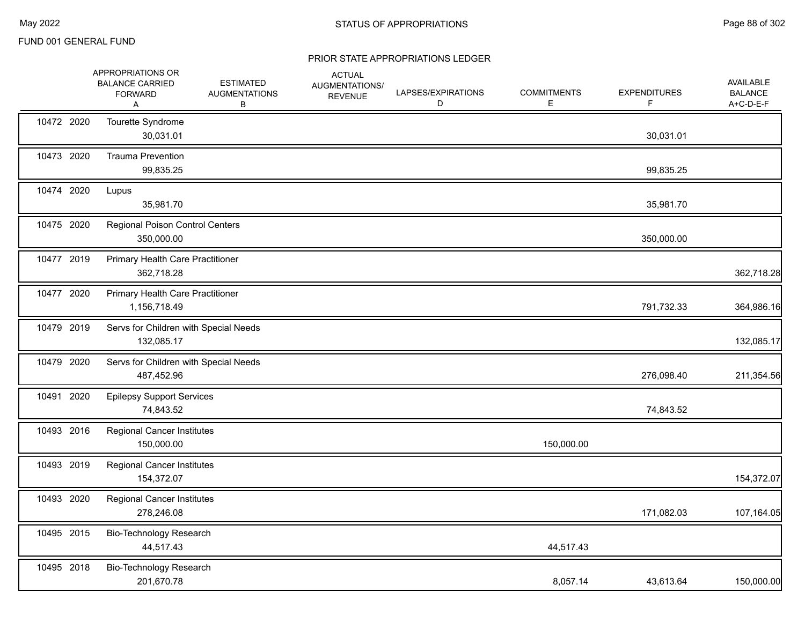|            | APPROPRIATIONS OR<br><b>BALANCE CARRIED</b><br><b>FORWARD</b><br>Α | <b>ESTIMATED</b><br><b>AUGMENTATIONS</b><br>В | <b>ACTUAL</b><br>AUGMENTATIONS/<br><b>REVENUE</b> | LAPSES/EXPIRATIONS<br>D | <b>COMMITMENTS</b><br>Е | <b>EXPENDITURES</b><br>F | <b>AVAILABLE</b><br><b>BALANCE</b><br>A+C-D-E-F |
|------------|--------------------------------------------------------------------|-----------------------------------------------|---------------------------------------------------|-------------------------|-------------------------|--------------------------|-------------------------------------------------|
| 10472 2020 | Tourette Syndrome<br>30,031.01                                     |                                               |                                                   |                         |                         | 30,031.01                |                                                 |
| 10473 2020 | <b>Trauma Prevention</b><br>99,835.25                              |                                               |                                                   |                         |                         | 99,835.25                |                                                 |
| 10474 2020 | Lupus<br>35,981.70                                                 |                                               |                                                   |                         |                         | 35,981.70                |                                                 |
| 10475 2020 | <b>Regional Poison Control Centers</b><br>350,000.00               |                                               |                                                   |                         |                         | 350,000.00               |                                                 |
| 10477 2019 | Primary Health Care Practitioner<br>362,718.28                     |                                               |                                                   |                         |                         |                          | 362,718.28                                      |
| 10477 2020 | Primary Health Care Practitioner<br>1,156,718.49                   |                                               |                                                   |                         |                         | 791,732.33               | 364,986.16                                      |
| 10479 2019 | Servs for Children with Special Needs<br>132,085.17                |                                               |                                                   |                         |                         |                          | 132,085.17                                      |
| 10479 2020 | Servs for Children with Special Needs<br>487,452.96                |                                               |                                                   |                         |                         | 276,098.40               | 211,354.56                                      |
| 10491 2020 | <b>Epilepsy Support Services</b><br>74,843.52                      |                                               |                                                   |                         |                         | 74,843.52                |                                                 |
| 10493 2016 | <b>Regional Cancer Institutes</b><br>150,000.00                    |                                               |                                                   |                         | 150,000.00              |                          |                                                 |
| 10493 2019 | <b>Regional Cancer Institutes</b><br>154,372.07                    |                                               |                                                   |                         |                         |                          | 154,372.07                                      |
| 10493 2020 | <b>Regional Cancer Institutes</b><br>278,246.08                    |                                               |                                                   |                         |                         | 171,082.03               | 107,164.05                                      |
| 10495 2015 | Bio-Technology Research<br>44,517.43                               |                                               |                                                   |                         | 44,517.43               |                          |                                                 |
| 10495 2018 | Bio-Technology Research<br>201,670.78                              |                                               |                                                   |                         | 8,057.14                | 43,613.64                | 150,000.00                                      |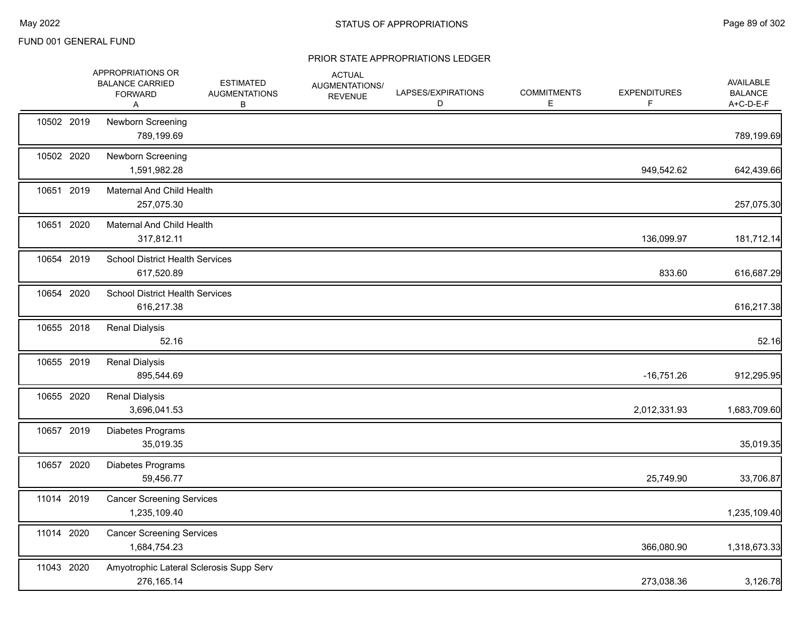|            | APPROPRIATIONS OR<br><b>BALANCE CARRIED</b><br><b>FORWARD</b><br>Α | <b>ESTIMATED</b><br><b>AUGMENTATIONS</b><br>В | <b>ACTUAL</b><br>AUGMENTATIONS/<br><b>REVENUE</b> | LAPSES/EXPIRATIONS<br>D | <b>COMMITMENTS</b><br>E | <b>EXPENDITURES</b><br>F. | <b>AVAILABLE</b><br><b>BALANCE</b><br>A+C-D-E-F |
|------------|--------------------------------------------------------------------|-----------------------------------------------|---------------------------------------------------|-------------------------|-------------------------|---------------------------|-------------------------------------------------|
| 10502 2019 | Newborn Screening<br>789,199.69                                    |                                               |                                                   |                         |                         |                           | 789,199.69                                      |
| 10502 2020 | Newborn Screening<br>1,591,982.28                                  |                                               |                                                   |                         |                         | 949,542.62                | 642,439.66                                      |
| 10651 2019 | Maternal And Child Health<br>257,075.30                            |                                               |                                                   |                         |                         |                           | 257,075.30                                      |
| 10651 2020 | <b>Maternal And Child Health</b><br>317,812.11                     |                                               |                                                   |                         |                         | 136,099.97                | 181,712.14                                      |
| 10654 2019 | <b>School District Health Services</b><br>617,520.89               |                                               |                                                   |                         |                         | 833.60                    | 616,687.29                                      |
| 10654 2020 | <b>School District Health Services</b><br>616,217.38               |                                               |                                                   |                         |                         |                           | 616,217.38                                      |
| 10655 2018 | <b>Renal Dialysis</b><br>52.16                                     |                                               |                                                   |                         |                         |                           | 52.16                                           |
| 10655 2019 | <b>Renal Dialysis</b><br>895,544.69                                |                                               |                                                   |                         |                         | $-16,751.26$              | 912,295.95                                      |
| 10655 2020 | <b>Renal Dialysis</b><br>3,696,041.53                              |                                               |                                                   |                         |                         | 2,012,331.93              | 1,683,709.60                                    |
| 10657 2019 | Diabetes Programs<br>35,019.35                                     |                                               |                                                   |                         |                         |                           | 35,019.35                                       |
| 10657 2020 | Diabetes Programs<br>59,456.77                                     |                                               |                                                   |                         |                         | 25,749.90                 | 33,706.87                                       |
| 11014 2019 | <b>Cancer Screening Services</b><br>1,235,109.40                   |                                               |                                                   |                         |                         |                           | 1,235,109.40                                    |
| 11014 2020 | <b>Cancer Screening Services</b><br>1,684,754.23                   |                                               |                                                   |                         |                         | 366,080.90                | 1,318,673.33                                    |
| 11043 2020 | Amyotrophic Lateral Sclerosis Supp Serv<br>276, 165. 14            |                                               |                                                   |                         |                         | 273,038.36                | 3,126.78                                        |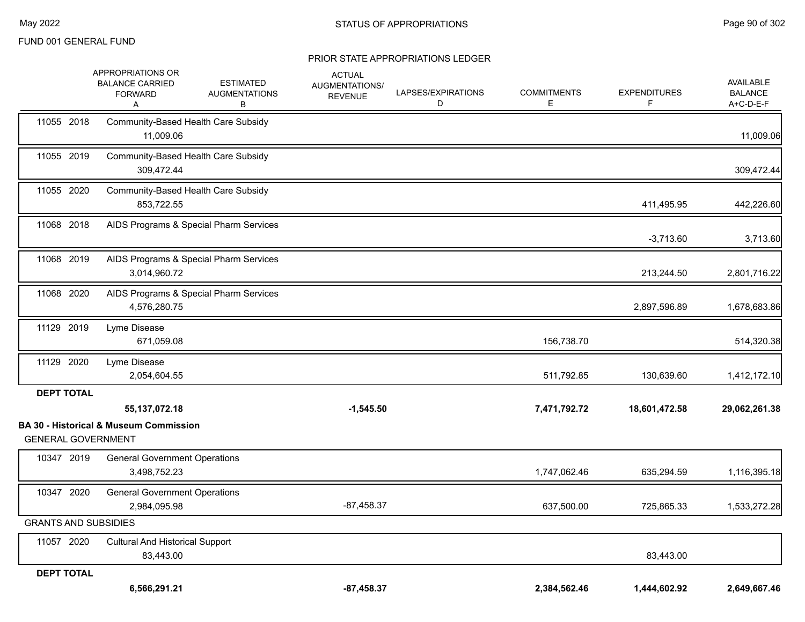|                             | APPROPRIATIONS OR<br><b>BALANCE CARRIED</b><br><b>FORWARD</b><br>Α | <b>ESTIMATED</b><br><b>AUGMENTATIONS</b><br>В | <b>ACTUAL</b><br>AUGMENTATIONS/<br><b>REVENUE</b> | LAPSES/EXPIRATIONS<br>D | <b>COMMITMENTS</b><br>E | <b>EXPENDITURES</b><br>F. | AVAILABLE<br><b>BALANCE</b><br>A+C-D-E-F |
|-----------------------------|--------------------------------------------------------------------|-----------------------------------------------|---------------------------------------------------|-------------------------|-------------------------|---------------------------|------------------------------------------|
| 11055 2018                  | 11,009.06                                                          | Community-Based Health Care Subsidy           |                                                   |                         |                         |                           | 11,009.06                                |
| 11055 2019                  | 309.472.44                                                         | Community-Based Health Care Subsidy           |                                                   |                         |                         |                           | 309,472.44                               |
| 11055 2020                  | 853,722.55                                                         | Community-Based Health Care Subsidy           |                                                   |                         |                         | 411,495.95                | 442,226.60                               |
| 11068 2018                  |                                                                    | AIDS Programs & Special Pharm Services        |                                                   |                         |                         | $-3,713.60$               | 3,713.60                                 |
| 11068 2019                  | 3,014,960.72                                                       | AIDS Programs & Special Pharm Services        |                                                   |                         |                         | 213,244.50                | 2,801,716.22                             |
| 11068 2020                  | 4,576,280.75                                                       | AIDS Programs & Special Pharm Services        |                                                   |                         |                         | 2,897,596.89              | 1,678,683.86                             |
| 11129 2019                  | Lyme Disease<br>671,059.08                                         |                                               |                                                   |                         | 156,738.70              |                           | 514,320.38                               |
| 11129 2020                  | Lyme Disease<br>2,054,604.55                                       |                                               |                                                   |                         | 511,792.85              | 130,639.60                | 1,412,172.10                             |
| <b>DEPT TOTAL</b>           | 55, 137, 072. 18                                                   |                                               | $-1,545.50$                                       |                         | 7,471,792.72            | 18,601,472.58             | 29,062,261.38                            |
| <b>GENERAL GOVERNMENT</b>   | <b>BA 30 - Historical &amp; Museum Commission</b>                  |                                               |                                                   |                         |                         |                           |                                          |
| 10347 2019                  | <b>General Government Operations</b><br>3,498,752.23               |                                               |                                                   |                         | 1,747,062.46            | 635,294.59                | 1,116,395.18                             |
| 10347 2020                  | <b>General Government Operations</b><br>2,984,095.98               |                                               | $-87,458.37$                                      |                         | 637,500.00              | 725,865.33                | 1,533,272.28                             |
| <b>GRANTS AND SUBSIDIES</b> |                                                                    |                                               |                                                   |                         |                         |                           |                                          |
| 11057 2020                  | <b>Cultural And Historical Support</b><br>83,443.00                |                                               |                                                   |                         |                         | 83,443.00                 |                                          |
| <b>DEPT TOTAL</b>           | 6,566,291.21                                                       |                                               | $-87.458.37$                                      |                         | 2,384,562.46            | 1,444,602.92              | 2,649,667.46                             |
|                             |                                                                    |                                               |                                                   |                         |                         |                           |                                          |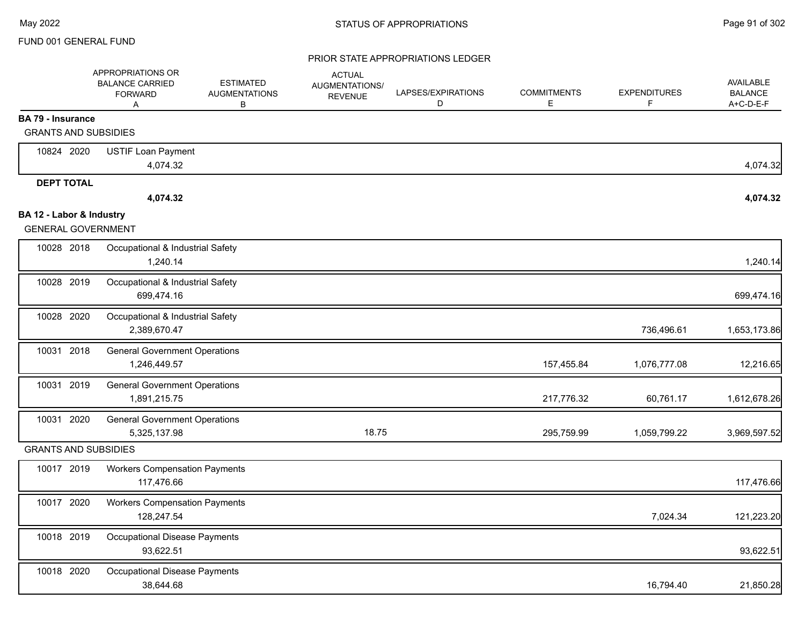|                                                         | APPROPRIATIONS OR<br><b>BALANCE CARRIED</b><br><b>FORWARD</b><br>A | <b>ESTIMATED</b><br><b>AUGMENTATIONS</b><br>В | <b>ACTUAL</b><br>AUGMENTATIONS/<br><b>REVENUE</b> | LAPSES/EXPIRATIONS<br>D | <b>COMMITMENTS</b><br>Е | <b>EXPENDITURES</b><br>F. | <b>AVAILABLE</b><br><b>BALANCE</b><br>A+C-D-E-F |
|---------------------------------------------------------|--------------------------------------------------------------------|-----------------------------------------------|---------------------------------------------------|-------------------------|-------------------------|---------------------------|-------------------------------------------------|
| <b>BA 79 - Insurance</b><br><b>GRANTS AND SUBSIDIES</b> |                                                                    |                                               |                                                   |                         |                         |                           |                                                 |
|                                                         |                                                                    |                                               |                                                   |                         |                         |                           |                                                 |
| 10824 2020                                              | <b>USTIF Loan Payment</b><br>4,074.32                              |                                               |                                                   |                         |                         |                           | 4,074.32                                        |
| <b>DEPT TOTAL</b>                                       |                                                                    |                                               |                                                   |                         |                         |                           |                                                 |
|                                                         | 4,074.32                                                           |                                               |                                                   |                         |                         |                           | 4,074.32                                        |
| BA 12 - Labor & Industry<br><b>GENERAL GOVERNMENT</b>   |                                                                    |                                               |                                                   |                         |                         |                           |                                                 |
| 10028 2018                                              | Occupational & Industrial Safety<br>1,240.14                       |                                               |                                                   |                         |                         |                           | 1,240.14                                        |
| 10028 2019                                              | Occupational & Industrial Safety<br>699,474.16                     |                                               |                                                   |                         |                         |                           | 699,474.16                                      |
| 10028 2020                                              | Occupational & Industrial Safety<br>2,389,670.47                   |                                               |                                                   |                         |                         | 736,496.61                | 1,653,173.86                                    |
| 10031 2018                                              | <b>General Government Operations</b><br>1,246,449.57               |                                               |                                                   |                         | 157,455.84              | 1,076,777.08              | 12,216.65                                       |
| 10031 2019                                              | <b>General Government Operations</b><br>1,891,215.75               |                                               |                                                   |                         | 217,776.32              | 60,761.17                 | 1,612,678.26                                    |
| 10031 2020                                              | <b>General Government Operations</b><br>5,325,137.98               |                                               | 18.75                                             |                         | 295,759.99              | 1,059,799.22              | 3,969,597.52                                    |
| <b>GRANTS AND SUBSIDIES</b>                             |                                                                    |                                               |                                                   |                         |                         |                           |                                                 |
| 10017 2019                                              | <b>Workers Compensation Payments</b><br>117,476.66                 |                                               |                                                   |                         |                         |                           | 117,476.66                                      |
| 10017 2020                                              | <b>Workers Compensation Payments</b><br>128,247.54                 |                                               |                                                   |                         |                         | 7,024.34                  | 121,223.20                                      |
| 10018 2019                                              | Occupational Disease Payments<br>93,622.51                         |                                               |                                                   |                         |                         |                           | 93,622.51                                       |
| 10018 2020                                              | Occupational Disease Payments<br>38,644.68                         |                                               |                                                   |                         |                         | 16,794.40                 | 21,850.28                                       |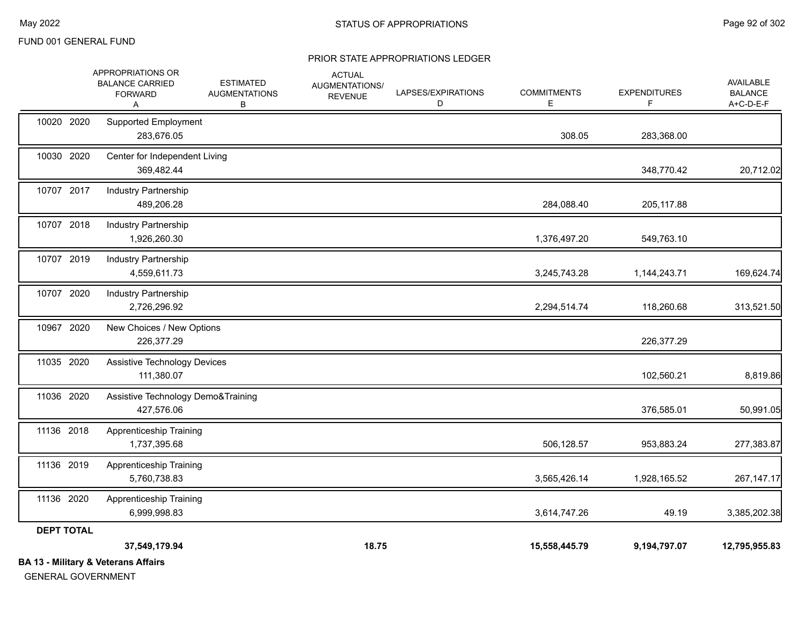#### PRIOR STATE APPROPRIATIONS LEDGER

|                   | <b>BA 13 - Military &amp; Veterans Affairs</b>                            |                                               |                                                   |                         |                         |                          |                                                 |
|-------------------|---------------------------------------------------------------------------|-----------------------------------------------|---------------------------------------------------|-------------------------|-------------------------|--------------------------|-------------------------------------------------|
|                   | 37,549,179.94                                                             |                                               | 18.75                                             |                         | 15,558,445.79           | 9,194,797.07             | 12,795,955.83                                   |
| <b>DEPT TOTAL</b> |                                                                           |                                               |                                                   |                         |                         |                          |                                                 |
| 11136 2020        | Apprenticeship Training<br>6,999,998.83                                   |                                               |                                                   |                         | 3,614,747.26            | 49.19                    | 3,385,202.38                                    |
| 11136 2019        | Apprenticeship Training<br>5,760,738.83                                   |                                               |                                                   |                         | 3,565,426.14            | 1,928,165.52             | 267, 147. 17                                    |
| 11136 2018        | <b>Apprenticeship Training</b><br>1,737,395.68                            |                                               |                                                   |                         | 506,128.57              | 953,883.24               | 277,383.87                                      |
| 11036 2020        | Assistive Technology Demo&Training<br>427,576.06                          |                                               |                                                   |                         |                         | 376,585.01               | 50,991.05                                       |
| 11035 2020        | <b>Assistive Technology Devices</b><br>111,380.07                         |                                               |                                                   |                         |                         | 102,560.21               | 8,819.86                                        |
| 10967 2020        | New Choices / New Options<br>226,377.29                                   |                                               |                                                   |                         |                         | 226,377.29               |                                                 |
| 10707 2020        | <b>Industry Partnership</b><br>2,726,296.92                               |                                               |                                                   |                         | 2,294,514.74            | 118,260.68               | 313,521.50                                      |
| 10707 2019        | Industry Partnership<br>4,559,611.73                                      |                                               |                                                   |                         | 3,245,743.28            | 1,144,243.71             | 169,624.74                                      |
| 10707 2018        | Industry Partnership<br>1,926,260.30                                      |                                               |                                                   |                         | 1,376,497.20            | 549,763.10               |                                                 |
| 10707 2017        | Industry Partnership<br>489,206.28                                        |                                               |                                                   |                         | 284,088.40              | 205,117.88               |                                                 |
| 10030 2020        | Center for Independent Living<br>369,482.44                               |                                               |                                                   |                         |                         | 348,770.42               | 20,712.02                                       |
| 10020 2020        | <b>Supported Employment</b><br>283,676.05                                 |                                               |                                                   |                         | 308.05                  | 283,368.00               |                                                 |
|                   | <b>APPROPRIATIONS OR</b><br><b>BALANCE CARRIED</b><br><b>FORWARD</b><br>A | <b>ESTIMATED</b><br><b>AUGMENTATIONS</b><br>В | <b>ACTUAL</b><br>AUGMENTATIONS/<br><b>REVENUE</b> | LAPSES/EXPIRATIONS<br>D | <b>COMMITMENTS</b><br>Е | <b>EXPENDITURES</b><br>F | <b>AVAILABLE</b><br><b>BALANCE</b><br>A+C-D-E-F |

GENERAL GOVERNMENT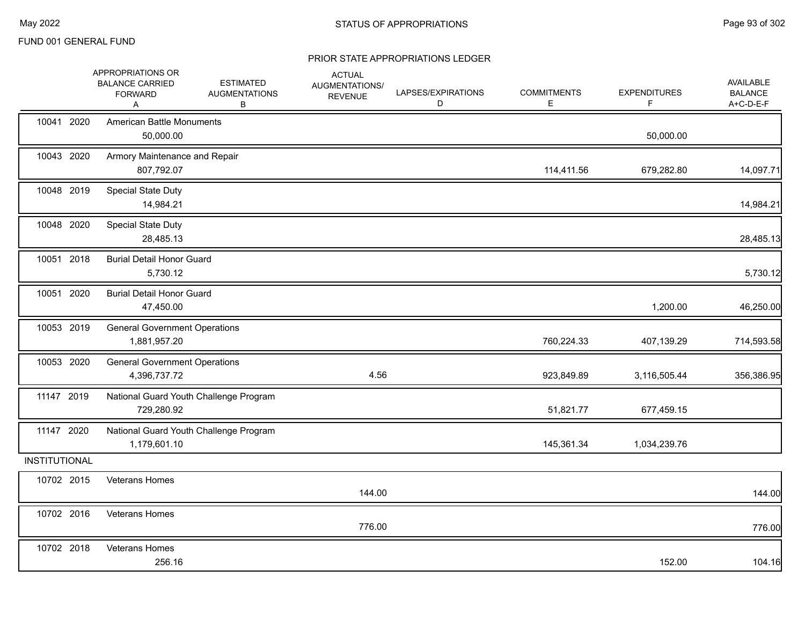|                      | APPROPRIATIONS OR<br><b>BALANCE CARRIED</b><br><b>FORWARD</b><br>A | <b>ESTIMATED</b><br><b>AUGMENTATIONS</b><br>В | <b>ACTUAL</b><br>AUGMENTATIONS/<br><b>REVENUE</b> | LAPSES/EXPIRATIONS<br>D | <b>COMMITMENTS</b><br>Е | <b>EXPENDITURES</b><br>F | AVAILABLE<br><b>BALANCE</b><br>A+C-D-E-F |
|----------------------|--------------------------------------------------------------------|-----------------------------------------------|---------------------------------------------------|-------------------------|-------------------------|--------------------------|------------------------------------------|
| 10041 2020           | <b>American Battle Monuments</b><br>50,000.00                      |                                               |                                                   |                         |                         | 50,000.00                |                                          |
| 10043 2020           | Armory Maintenance and Repair<br>807,792.07                        |                                               |                                                   |                         | 114,411.56              | 679,282.80               | 14,097.71                                |
| 10048 2019           | Special State Duty<br>14,984.21                                    |                                               |                                                   |                         |                         |                          | 14,984.21                                |
| 10048 2020           | Special State Duty<br>28,485.13                                    |                                               |                                                   |                         |                         |                          | 28,485.13                                |
| 10051 2018           | <b>Burial Detail Honor Guard</b><br>5,730.12                       |                                               |                                                   |                         |                         |                          | 5,730.12                                 |
| 10051 2020           | <b>Burial Detail Honor Guard</b><br>47,450.00                      |                                               |                                                   |                         |                         | 1,200.00                 | 46,250.00                                |
| 10053 2019           | <b>General Government Operations</b><br>1,881,957.20               |                                               |                                                   |                         | 760,224.33              | 407,139.29               | 714,593.58                               |
| 10053 2020           | <b>General Government Operations</b><br>4,396,737.72               |                                               | 4.56                                              |                         | 923,849.89              | 3,116,505.44             | 356,386.95                               |
| 11147 2019           | 729,280.92                                                         | National Guard Youth Challenge Program        |                                                   |                         | 51,821.77               | 677,459.15               |                                          |
| 11147 2020           | 1,179,601.10                                                       | National Guard Youth Challenge Program        |                                                   |                         | 145,361.34              | 1,034,239.76             |                                          |
| <b>INSTITUTIONAL</b> |                                                                    |                                               |                                                   |                         |                         |                          |                                          |
| 10702 2015           | Veterans Homes                                                     |                                               | 144.00                                            |                         |                         |                          | 144.00                                   |
| 10702 2016           | Veterans Homes                                                     |                                               | 776.00                                            |                         |                         |                          | 776.00                                   |
| 10702 2018           | Veterans Homes<br>256.16                                           |                                               |                                                   |                         |                         | 152.00                   | 104.16                                   |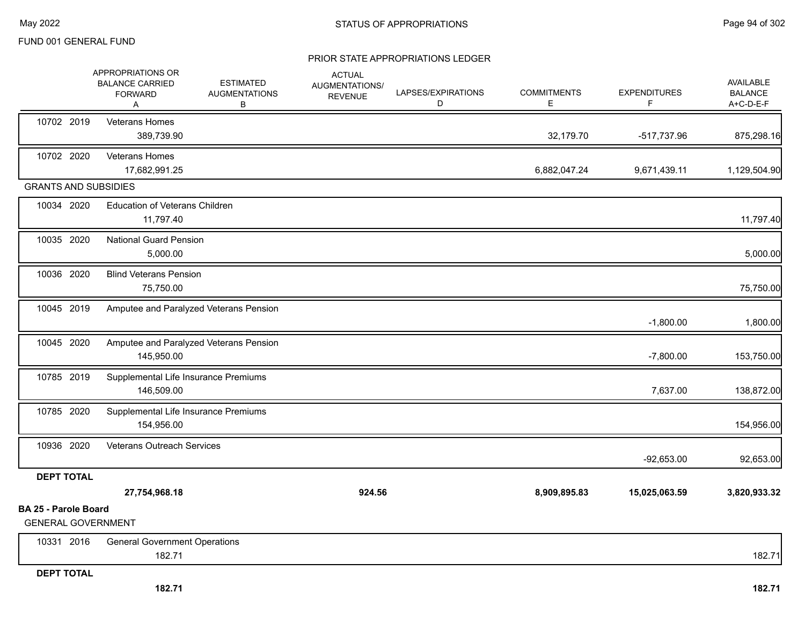#### PRIOR STATE APPROPRIATIONS LEDGER

|                                                          | APPROPRIATIONS OR<br><b>BALANCE CARRIED</b><br><b>FORWARD</b><br>A | <b>ESTIMATED</b><br><b>AUGMENTATIONS</b><br>В | <b>ACTUAL</b><br>AUGMENTATIONS/<br><b>REVENUE</b> | LAPSES/EXPIRATIONS<br>D | <b>COMMITMENTS</b><br>Е | <b>EXPENDITURES</b><br>F | AVAILABLE<br><b>BALANCE</b><br>A+C-D-E-F |
|----------------------------------------------------------|--------------------------------------------------------------------|-----------------------------------------------|---------------------------------------------------|-------------------------|-------------------------|--------------------------|------------------------------------------|
| 10702 2019                                               | Veterans Homes<br>389,739.90                                       |                                               |                                                   |                         | 32,179.70               | -517,737.96              | 875,298.16                               |
| 10702 2020                                               | Veterans Homes<br>17,682,991.25                                    |                                               |                                                   |                         | 6,882,047.24            | 9,671,439.11             | 1,129,504.90                             |
| <b>GRANTS AND SUBSIDIES</b>                              |                                                                    |                                               |                                                   |                         |                         |                          |                                          |
| 10034 2020                                               | <b>Education of Veterans Children</b><br>11,797.40                 |                                               |                                                   |                         |                         |                          | 11,797.40                                |
| 10035 2020                                               | <b>National Guard Pension</b><br>5,000.00                          |                                               |                                                   |                         |                         |                          | 5,000.00                                 |
| 10036 2020                                               | <b>Blind Veterans Pension</b><br>75,750.00                         |                                               |                                                   |                         |                         |                          | 75,750.00                                |
| 10045 2019                                               | Amputee and Paralyzed Veterans Pension                             |                                               |                                                   |                         |                         | $-1,800.00$              | 1,800.00                                 |
| 10045 2020                                               | Amputee and Paralyzed Veterans Pension<br>145,950.00               |                                               |                                                   |                         |                         | $-7,800.00$              | 153,750.00                               |
| 10785 2019                                               | Supplemental Life Insurance Premiums<br>146,509.00                 |                                               |                                                   |                         |                         | 7,637.00                 | 138,872.00                               |
| 10785 2020                                               | Supplemental Life Insurance Premiums<br>154,956.00                 |                                               |                                                   |                         |                         |                          | 154,956.00                               |
| 10936 2020                                               | Veterans Outreach Services                                         |                                               |                                                   |                         |                         | $-92,653.00$             | 92,653.00                                |
| <b>DEPT TOTAL</b>                                        |                                                                    |                                               |                                                   |                         |                         |                          |                                          |
|                                                          | 27,754,968.18                                                      |                                               | 924.56                                            |                         | 8,909,895.83            | 15,025,063.59            | 3,820,933.32                             |
| <b>BA 25 - Parole Board</b><br><b>GENERAL GOVERNMENT</b> |                                                                    |                                               |                                                   |                         |                         |                          |                                          |
| 10331 2016                                               | <b>General Government Operations</b><br>182.71                     |                                               |                                                   |                         |                         |                          | 182.71                                   |

#### **DEPT TOTAL**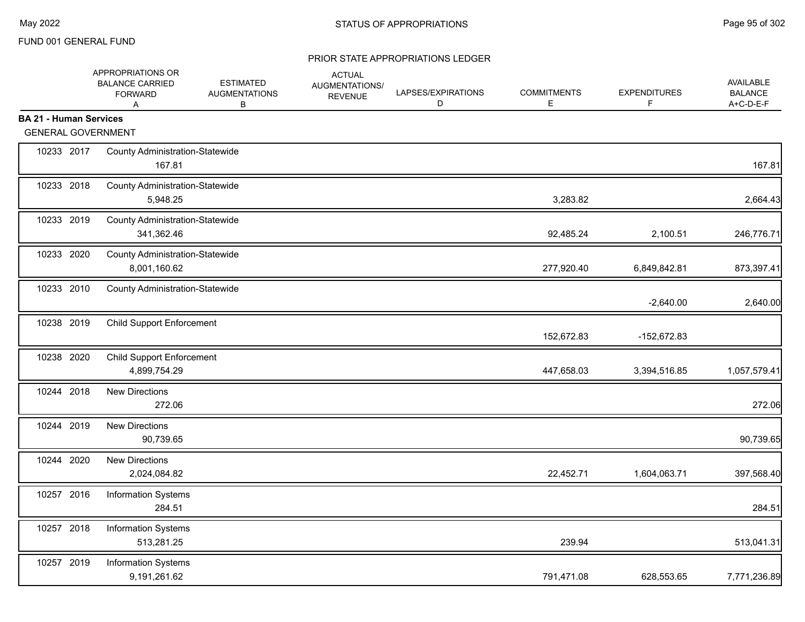|                               | APPROPRIATIONS OR<br><b>BALANCE CARRIED</b><br><b>FORWARD</b><br>A | <b>ESTIMATED</b><br><b>AUGMENTATIONS</b><br>В | <b>ACTUAL</b><br>AUGMENTATIONS/<br><b>REVENUE</b> | LAPSES/EXPIRATIONS<br>D | <b>COMMITMENTS</b><br>Ε | <b>EXPENDITURES</b><br>F | <b>AVAILABLE</b><br><b>BALANCE</b><br>A+C-D-E-F |
|-------------------------------|--------------------------------------------------------------------|-----------------------------------------------|---------------------------------------------------|-------------------------|-------------------------|--------------------------|-------------------------------------------------|
| <b>BA 21 - Human Services</b> |                                                                    |                                               |                                                   |                         |                         |                          |                                                 |
| <b>GENERAL GOVERNMENT</b>     |                                                                    |                                               |                                                   |                         |                         |                          |                                                 |
| 10233 2017                    | <b>County Administration-Statewide</b><br>167.81                   |                                               |                                                   |                         |                         |                          | 167.81                                          |
| 10233 2018                    | <b>County Administration-Statewide</b><br>5,948.25                 |                                               |                                                   |                         | 3,283.82                |                          | 2,664.43                                        |
| 10233 2019                    | <b>County Administration-Statewide</b><br>341,362.46               |                                               |                                                   |                         | 92,485.24               | 2,100.51                 | 246,776.71                                      |
| 10233 2020                    | <b>County Administration-Statewide</b><br>8,001,160.62             |                                               |                                                   |                         | 277,920.40              | 6,849,842.81             | 873,397.41                                      |
| 10233 2010                    | <b>County Administration-Statewide</b>                             |                                               |                                                   |                         |                         | $-2,640.00$              | 2,640.00                                        |
| 10238 2019                    | <b>Child Support Enforcement</b>                                   |                                               |                                                   |                         | 152,672.83              | -152,672.83              |                                                 |
| 10238 2020                    | <b>Child Support Enforcement</b><br>4,899,754.29                   |                                               |                                                   |                         | 447,658.03              | 3,394,516.85             | 1,057,579.41                                    |
| 10244 2018                    | <b>New Directions</b><br>272.06                                    |                                               |                                                   |                         |                         |                          | 272.06                                          |
| 10244 2019                    | <b>New Directions</b><br>90,739.65                                 |                                               |                                                   |                         |                         |                          | 90,739.65                                       |
| 10244 2020                    | <b>New Directions</b><br>2,024,084.82                              |                                               |                                                   |                         | 22,452.71               | 1,604,063.71             | 397,568.40                                      |
| 10257 2016                    | <b>Information Systems</b><br>284.51                               |                                               |                                                   |                         |                         |                          | 284.51                                          |
| 10257 2018                    | <b>Information Systems</b><br>513,281.25                           |                                               |                                                   |                         | 239.94                  |                          | 513,041.31                                      |
| 10257 2019                    | Information Systems<br>9,191,261.62                                |                                               |                                                   |                         | 791,471.08              | 628,553.65               | 7,771,236.89                                    |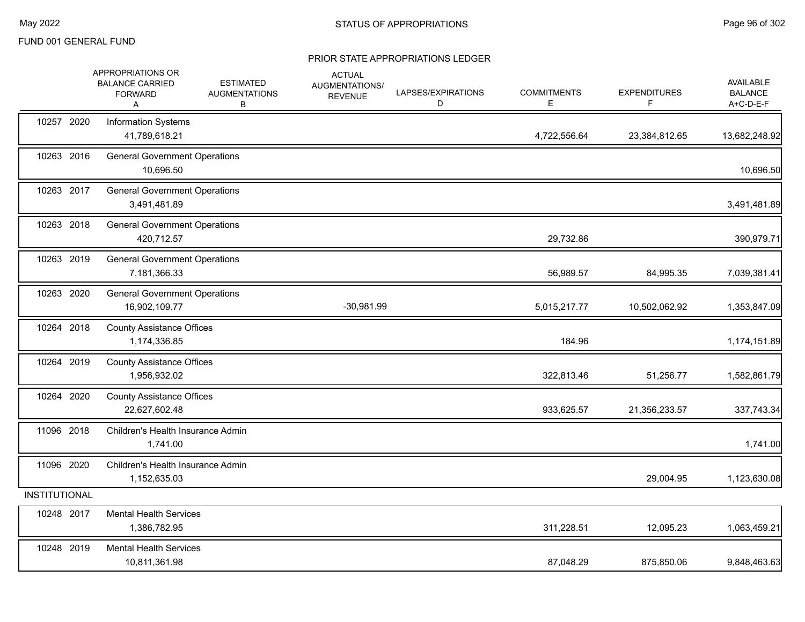|                      | APPROPRIATIONS OR<br><b>BALANCE CARRIED</b><br><b>FORWARD</b><br>Α | <b>ESTIMATED</b><br><b>AUGMENTATIONS</b><br>В | <b>ACTUAL</b><br>AUGMENTATIONS/<br><b>REVENUE</b> | LAPSES/EXPIRATIONS<br>D | <b>COMMITMENTS</b><br>E | <b>EXPENDITURES</b><br>F. | AVAILABLE<br><b>BALANCE</b><br>A+C-D-E-F |
|----------------------|--------------------------------------------------------------------|-----------------------------------------------|---------------------------------------------------|-------------------------|-------------------------|---------------------------|------------------------------------------|
| 10257 2020           | Information Systems<br>41,789,618.21                               |                                               |                                                   |                         | 4,722,556.64            | 23,384,812.65             | 13,682,248.92                            |
| 10263 2016           | <b>General Government Operations</b><br>10,696.50                  |                                               |                                                   |                         |                         |                           | 10,696.50                                |
| 10263 2017           | <b>General Government Operations</b><br>3,491,481.89               |                                               |                                                   |                         |                         |                           | 3,491,481.89                             |
| 10263 2018           | <b>General Government Operations</b><br>420,712.57                 |                                               |                                                   |                         | 29,732.86               |                           | 390,979.71                               |
| 10263 2019           | <b>General Government Operations</b><br>7,181,366.33               |                                               |                                                   |                         | 56,989.57               | 84,995.35                 | 7,039,381.41                             |
| 10263 2020           | <b>General Government Operations</b><br>16,902,109.77              |                                               | $-30,981.99$                                      |                         | 5,015,217.77            | 10,502,062.92             | 1,353,847.09                             |
| 10264 2018           | <b>County Assistance Offices</b><br>1,174,336.85                   |                                               |                                                   |                         | 184.96                  |                           | 1,174,151.89                             |
| 10264 2019           | <b>County Assistance Offices</b><br>1,956,932.02                   |                                               |                                                   |                         | 322,813.46              | 51,256.77                 | 1,582,861.79                             |
| 10264 2020           | <b>County Assistance Offices</b><br>22,627,602.48                  |                                               |                                                   |                         | 933,625.57              | 21,356,233.57             | 337,743.34                               |
| 11096 2018           | Children's Health Insurance Admin<br>1,741.00                      |                                               |                                                   |                         |                         |                           | 1,741.00                                 |
| 11096 2020           | Children's Health Insurance Admin<br>1,152,635.03                  |                                               |                                                   |                         |                         | 29,004.95                 | 1,123,630.08                             |
| <b>INSTITUTIONAL</b> |                                                                    |                                               |                                                   |                         |                         |                           |                                          |
| 10248 2017           | <b>Mental Health Services</b><br>1,386,782.95                      |                                               |                                                   |                         | 311,228.51              | 12,095.23                 | 1,063,459.21                             |
| 10248 2019           | <b>Mental Health Services</b><br>10,811,361.98                     |                                               |                                                   |                         | 87,048.29               | 875,850.06                | 9,848,463.63                             |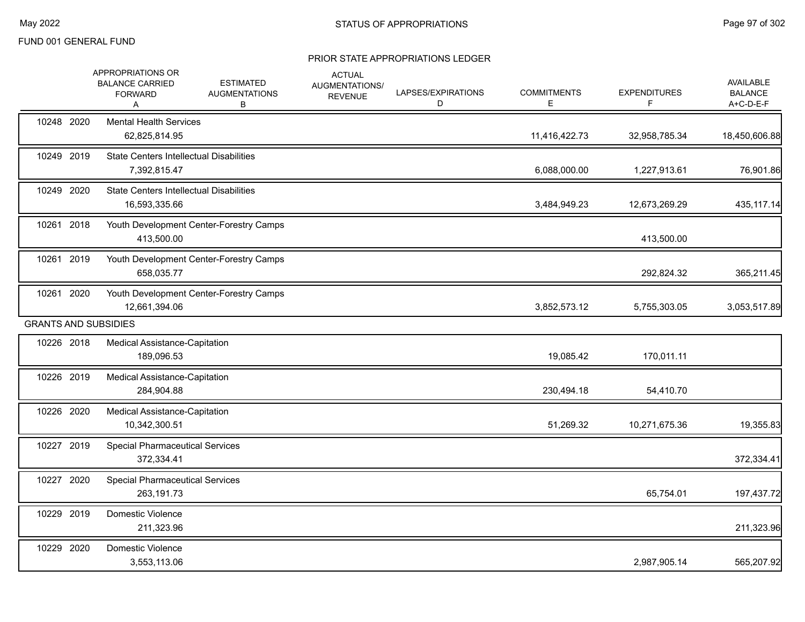|            | APPROPRIATIONS OR<br><b>BALANCE CARRIED</b><br><b>FORWARD</b><br>A | <b>ESTIMATED</b><br><b>AUGMENTATIONS</b><br>В | <b>ACTUAL</b><br>AUGMENTATIONS/<br><b>REVENUE</b> | LAPSES/EXPIRATIONS<br>D | <b>COMMITMENTS</b><br>Е | <b>EXPENDITURES</b><br>F | AVAILABLE<br><b>BALANCE</b><br>A+C-D-E-F |
|------------|--------------------------------------------------------------------|-----------------------------------------------|---------------------------------------------------|-------------------------|-------------------------|--------------------------|------------------------------------------|
| 10248 2020 | <b>Mental Health Services</b><br>62,825,814.95                     |                                               |                                                   |                         | 11,416,422.73           | 32,958,785.34            | 18,450,606.88                            |
| 10249 2019 | <b>State Centers Intellectual Disabilities</b><br>7,392,815.47     |                                               |                                                   |                         | 6,088,000.00            | 1,227,913.61             | 76,901.86                                |
| 10249 2020 | <b>State Centers Intellectual Disabilities</b><br>16,593,335.66    |                                               |                                                   |                         | 3,484,949.23            | 12,673,269.29            | 435,117.14                               |
| 10261 2018 | 413,500.00                                                         | Youth Development Center-Forestry Camps       |                                                   |                         |                         | 413,500.00               |                                          |
| 10261 2019 | 658,035.77                                                         | Youth Development Center-Forestry Camps       |                                                   |                         |                         | 292,824.32               | 365,211.45                               |
| 10261 2020 | 12,661,394.06                                                      | Youth Development Center-Forestry Camps       |                                                   |                         | 3,852,573.12            | 5,755,303.05             | 3,053,517.89                             |
|            | <b>GRANTS AND SUBSIDIES</b>                                        |                                               |                                                   |                         |                         |                          |                                          |
| 10226 2018 | Medical Assistance-Capitation<br>189,096.53                        |                                               |                                                   |                         | 19,085.42               | 170,011.11               |                                          |
| 10226 2019 | Medical Assistance-Capitation<br>284,904.88                        |                                               |                                                   |                         | 230,494.18              | 54,410.70                |                                          |
| 10226 2020 | <b>Medical Assistance-Capitation</b><br>10,342,300.51              |                                               |                                                   |                         | 51,269.32               | 10,271,675.36            | 19,355.83                                |
| 10227 2019 | <b>Special Pharmaceutical Services</b><br>372,334.41               |                                               |                                                   |                         |                         |                          | 372,334.41                               |
| 10227 2020 | <b>Special Pharmaceutical Services</b><br>263,191.73               |                                               |                                                   |                         |                         | 65,754.01                | 197,437.72                               |
| 10229 2019 | Domestic Violence<br>211,323.96                                    |                                               |                                                   |                         |                         |                          | 211,323.96                               |
| 10229 2020 | Domestic Violence<br>3,553,113.06                                  |                                               |                                                   |                         |                         | 2,987,905.14             | 565,207.92                               |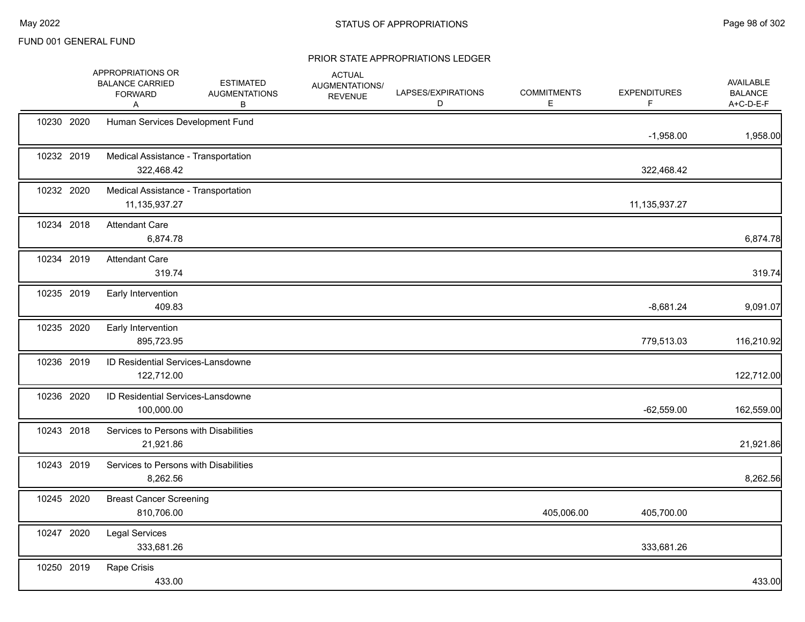|            | APPROPRIATIONS OR<br><b>BALANCE CARRIED</b><br><b>FORWARD</b><br>Α | <b>ESTIMATED</b><br><b>AUGMENTATIONS</b><br>В | <b>ACTUAL</b><br>AUGMENTATIONS/<br><b>REVENUE</b> | LAPSES/EXPIRATIONS<br>D | <b>COMMITMENTS</b><br>Е | <b>EXPENDITURES</b><br>F | AVAILABLE<br><b>BALANCE</b><br>A+C-D-E-F |
|------------|--------------------------------------------------------------------|-----------------------------------------------|---------------------------------------------------|-------------------------|-------------------------|--------------------------|------------------------------------------|
| 10230 2020 | Human Services Development Fund                                    |                                               |                                                   |                         |                         | $-1,958.00$              | 1,958.00                                 |
| 10232 2019 | Medical Assistance - Transportation<br>322,468.42                  |                                               |                                                   |                         |                         | 322,468.42               |                                          |
| 10232 2020 | Medical Assistance - Transportation<br>11, 135, 937. 27            |                                               |                                                   |                         |                         | 11,135,937.27            |                                          |
| 10234 2018 | <b>Attendant Care</b><br>6,874.78                                  |                                               |                                                   |                         |                         |                          | 6,874.78                                 |
| 10234 2019 | <b>Attendant Care</b><br>319.74                                    |                                               |                                                   |                         |                         |                          | 319.74                                   |
| 10235 2019 | Early Intervention<br>409.83                                       |                                               |                                                   |                         |                         | $-8,681.24$              | 9,091.07                                 |
| 10235 2020 | Early Intervention<br>895,723.95                                   |                                               |                                                   |                         |                         | 779,513.03               | 116,210.92                               |
| 10236 2019 | <b>ID Residential Services-Lansdowne</b><br>122,712.00             |                                               |                                                   |                         |                         |                          | 122,712.00                               |
| 10236 2020 | ID Residential Services-Lansdowne<br>100,000.00                    |                                               |                                                   |                         |                         | $-62,559.00$             | 162,559.00                               |
| 10243 2018 | Services to Persons with Disabilities<br>21,921.86                 |                                               |                                                   |                         |                         |                          | 21,921.86                                |
| 10243 2019 | Services to Persons with Disabilities<br>8,262.56                  |                                               |                                                   |                         |                         |                          | 8,262.56                                 |
| 10245 2020 | <b>Breast Cancer Screening</b><br>810,706.00                       |                                               |                                                   |                         | 405,006.00              | 405,700.00               |                                          |
| 10247 2020 | <b>Legal Services</b><br>333,681.26                                |                                               |                                                   |                         |                         | 333,681.26               |                                          |
| 10250 2019 | Rape Crisis<br>433.00                                              |                                               |                                                   |                         |                         |                          | 433.00                                   |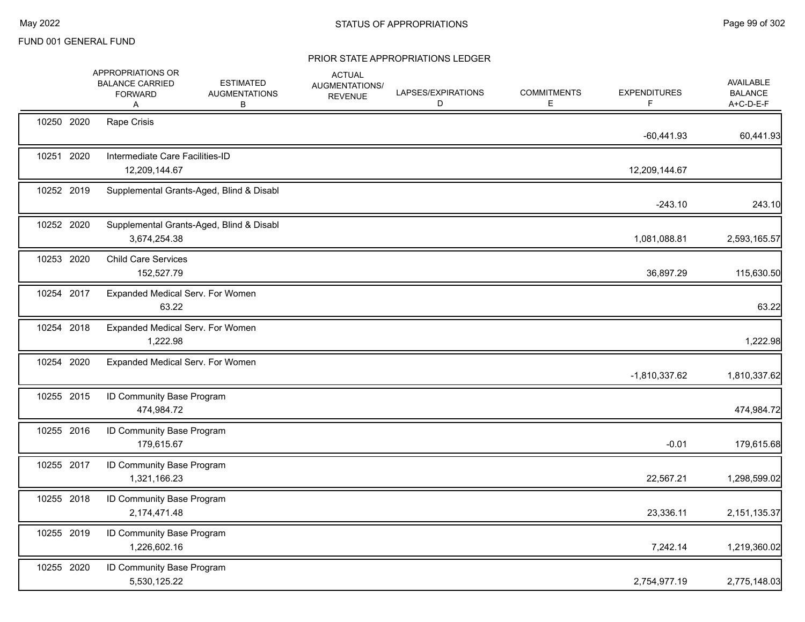|            | APPROPRIATIONS OR<br><b>BALANCE CARRIED</b><br><b>FORWARD</b><br>Α | <b>ESTIMATED</b><br><b>AUGMENTATIONS</b><br>В | <b>ACTUAL</b><br>AUGMENTATIONS/<br><b>REVENUE</b> | LAPSES/EXPIRATIONS<br>D | <b>COMMITMENTS</b><br>Е | <b>EXPENDITURES</b><br>F | AVAILABLE<br><b>BALANCE</b><br>A+C-D-E-F |
|------------|--------------------------------------------------------------------|-----------------------------------------------|---------------------------------------------------|-------------------------|-------------------------|--------------------------|------------------------------------------|
| 10250 2020 | Rape Crisis                                                        |                                               |                                                   |                         |                         | $-60,441.93$             | 60,441.93                                |
| 10251 2020 | Intermediate Care Facilities-ID<br>12,209,144.67                   |                                               |                                                   |                         |                         | 12,209,144.67            |                                          |
| 10252 2019 |                                                                    | Supplemental Grants-Aged, Blind & Disabl      |                                                   |                         |                         | $-243.10$                | 243.10                                   |
| 10252 2020 | 3,674,254.38                                                       | Supplemental Grants-Aged, Blind & Disabl      |                                                   |                         |                         | 1,081,088.81             | 2,593,165.57                             |
| 10253 2020 | <b>Child Care Services</b><br>152,527.79                           |                                               |                                                   |                         |                         | 36,897.29                | 115,630.50                               |
| 10254 2017 | Expanded Medical Serv. For Women<br>63.22                          |                                               |                                                   |                         |                         |                          | 63.22                                    |
| 10254 2018 | Expanded Medical Serv. For Women<br>1,222.98                       |                                               |                                                   |                         |                         |                          | 1,222.98                                 |
| 10254 2020 | Expanded Medical Serv. For Women                                   |                                               |                                                   |                         |                         | $-1,810,337.62$          | 1,810,337.62                             |
| 10255 2015 | ID Community Base Program<br>474,984.72                            |                                               |                                                   |                         |                         |                          | 474,984.72                               |
| 10255 2016 | ID Community Base Program<br>179,615.67                            |                                               |                                                   |                         |                         | $-0.01$                  | 179,615.68                               |
| 10255 2017 | ID Community Base Program<br>1,321,166.23                          |                                               |                                                   |                         |                         | 22,567.21                | 1,298,599.02                             |
| 10255 2018 | ID Community Base Program<br>2,174,471.48                          |                                               |                                                   |                         |                         | 23,336.11                | 2,151,135.37                             |
| 10255 2019 | ID Community Base Program<br>1,226,602.16                          |                                               |                                                   |                         |                         | 7,242.14                 | 1,219,360.02                             |
| 10255 2020 | ID Community Base Program<br>5,530,125.22                          |                                               |                                                   |                         |                         | 2,754,977.19             | 2,775,148.03                             |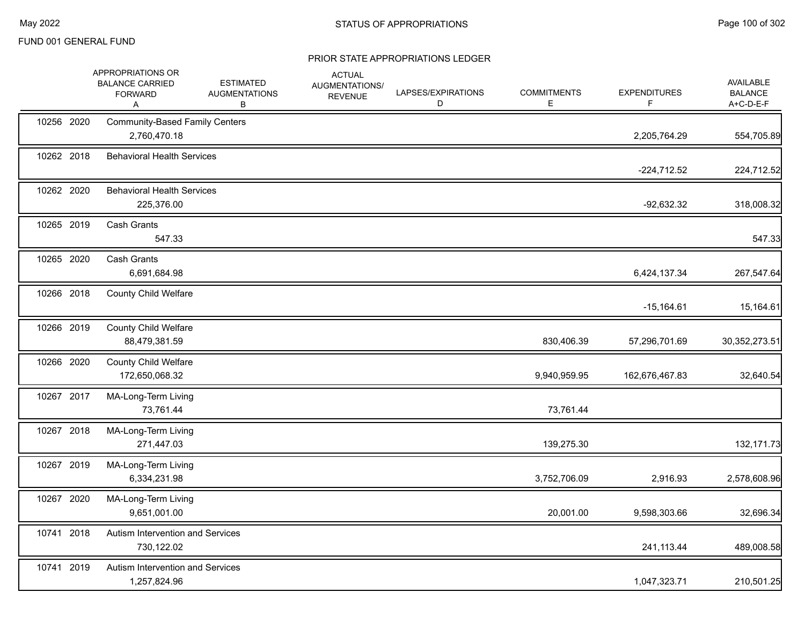|            | APPROPRIATIONS OR<br><b>BALANCE CARRIED</b><br><b>FORWARD</b><br>Α | <b>ESTIMATED</b><br><b>AUGMENTATIONS</b><br>В | <b>ACTUAL</b><br>AUGMENTATIONS/<br><b>REVENUE</b> | LAPSES/EXPIRATIONS<br>D | <b>COMMITMENTS</b><br>Е | <b>EXPENDITURES</b><br>F | AVAILABLE<br><b>BALANCE</b><br>A+C-D-E-F |
|------------|--------------------------------------------------------------------|-----------------------------------------------|---------------------------------------------------|-------------------------|-------------------------|--------------------------|------------------------------------------|
| 10256 2020 | <b>Community-Based Family Centers</b><br>2,760,470.18              |                                               |                                                   |                         |                         | 2,205,764.29             | 554,705.89                               |
| 10262 2018 | <b>Behavioral Health Services</b>                                  |                                               |                                                   |                         |                         | $-224,712.52$            | 224,712.52                               |
| 10262 2020 | <b>Behavioral Health Services</b><br>225,376.00                    |                                               |                                                   |                         |                         | $-92,632.32$             | 318,008.32                               |
| 10265 2019 | <b>Cash Grants</b><br>547.33                                       |                                               |                                                   |                         |                         |                          | 547.33                                   |
| 10265 2020 | Cash Grants<br>6,691,684.98                                        |                                               |                                                   |                         |                         | 6,424,137.34             | 267,547.64                               |
| 10266 2018 | <b>County Child Welfare</b>                                        |                                               |                                                   |                         |                         | $-15,164.61$             | 15,164.61                                |
| 10266 2019 | <b>County Child Welfare</b><br>88,479,381.59                       |                                               |                                                   |                         | 830,406.39              | 57,296,701.69            | 30, 352, 273.51                          |
| 10266 2020 | <b>County Child Welfare</b><br>172,650,068.32                      |                                               |                                                   |                         | 9,940,959.95            | 162,676,467.83           | 32,640.54                                |
| 10267 2017 | MA-Long-Term Living<br>73,761.44                                   |                                               |                                                   |                         | 73,761.44               |                          |                                          |
| 10267 2018 | MA-Long-Term Living<br>271,447.03                                  |                                               |                                                   |                         | 139,275.30              |                          | 132, 171.73                              |
| 10267 2019 | MA-Long-Term Living<br>6,334,231.98                                |                                               |                                                   |                         | 3,752,706.09            | 2,916.93                 | 2,578,608.96                             |
| 10267 2020 | MA-Long-Term Living<br>9,651,001.00                                |                                               |                                                   |                         | 20,001.00               | 9,598,303.66             | 32,696.34                                |
| 10741 2018 | Autism Intervention and Services<br>730,122.02                     |                                               |                                                   |                         |                         | 241,113.44               | 489,008.58                               |
| 10741 2019 | Autism Intervention and Services<br>1,257,824.96                   |                                               |                                                   |                         |                         | 1,047,323.71             | 210,501.25                               |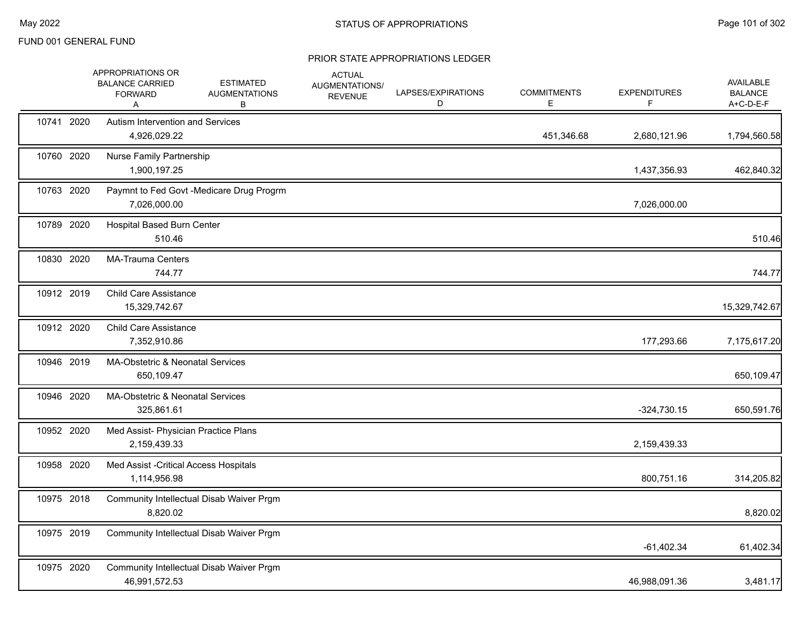|            | APPROPRIATIONS OR<br><b>BALANCE CARRIED</b><br><b>FORWARD</b><br>A | <b>ESTIMATED</b><br><b>AUGMENTATIONS</b><br>В | <b>ACTUAL</b><br>AUGMENTATIONS/<br><b>REVENUE</b> | LAPSES/EXPIRATIONS<br>D | <b>COMMITMENTS</b><br>E. | <b>EXPENDITURES</b><br>F. | <b>AVAILABLE</b><br><b>BALANCE</b><br>A+C-D-E-F |
|------------|--------------------------------------------------------------------|-----------------------------------------------|---------------------------------------------------|-------------------------|--------------------------|---------------------------|-------------------------------------------------|
| 10741 2020 | <b>Autism Intervention and Services</b><br>4,926,029.22            |                                               |                                                   |                         | 451,346.68               | 2,680,121.96              | 1,794,560.58                                    |
| 10760 2020 | Nurse Family Partnership<br>1,900,197.25                           |                                               |                                                   |                         |                          | 1,437,356.93              | 462,840.32                                      |
| 10763 2020 | 7,026,000.00                                                       | Paymnt to Fed Govt -Medicare Drug Progrm      |                                                   |                         |                          | 7,026,000.00              |                                                 |
| 10789 2020 | <b>Hospital Based Burn Center</b><br>510.46                        |                                               |                                                   |                         |                          |                           | 510.46                                          |
| 10830 2020 | <b>MA-Trauma Centers</b><br>744.77                                 |                                               |                                                   |                         |                          |                           | 744.77                                          |
| 10912 2019 | <b>Child Care Assistance</b><br>15,329,742.67                      |                                               |                                                   |                         |                          |                           | 15,329,742.67                                   |
| 10912 2020 | <b>Child Care Assistance</b><br>7,352,910.86                       |                                               |                                                   |                         |                          | 177,293.66                | 7,175,617.20                                    |
| 10946 2019 | MA-Obstetric & Neonatal Services<br>650,109.47                     |                                               |                                                   |                         |                          |                           | 650,109.47                                      |
| 10946 2020 | <b>MA-Obstetric &amp; Neonatal Services</b><br>325,861.61          |                                               |                                                   |                         |                          | $-324,730.15$             | 650,591.76                                      |
| 10952 2020 | Med Assist- Physician Practice Plans<br>2,159,439.33               |                                               |                                                   |                         |                          | 2,159,439.33              |                                                 |
| 10958 2020 | Med Assist - Critical Access Hospitals<br>1,114,956.98             |                                               |                                                   |                         |                          | 800,751.16                | 314,205.82                                      |
| 10975 2018 | 8,820.02                                                           | Community Intellectual Disab Waiver Prgm      |                                                   |                         |                          |                           | 8,820.02                                        |
| 10975 2019 |                                                                    | Community Intellectual Disab Waiver Prgm      |                                                   |                         |                          | $-61,402.34$              | 61,402.34                                       |
| 10975 2020 | 46,991,572.53                                                      | Community Intellectual Disab Waiver Prgm      |                                                   |                         |                          | 46,988,091.36             | 3,481.17                                        |
|            |                                                                    |                                               |                                                   |                         |                          |                           |                                                 |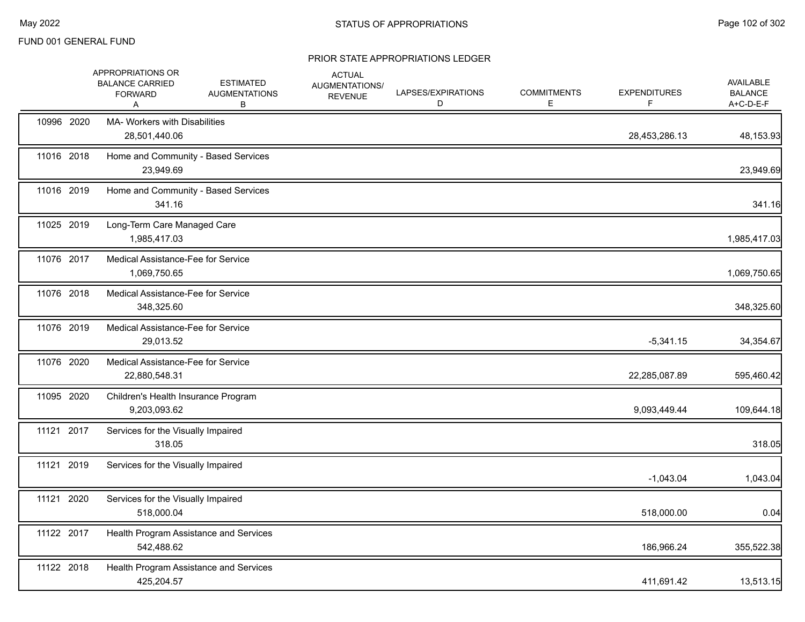|            | APPROPRIATIONS OR<br><b>BALANCE CARRIED</b><br><b>FORWARD</b><br>Α | <b>ESTIMATED</b><br><b>AUGMENTATIONS</b><br>В | <b>ACTUAL</b><br>AUGMENTATIONS/<br><b>REVENUE</b> | LAPSES/EXPIRATIONS<br>D | <b>COMMITMENTS</b><br>Е | <b>EXPENDITURES</b><br>F | AVAILABLE<br><b>BALANCE</b><br>A+C-D-E-F |
|------------|--------------------------------------------------------------------|-----------------------------------------------|---------------------------------------------------|-------------------------|-------------------------|--------------------------|------------------------------------------|
| 10996 2020 | MA- Workers with Disabilities<br>28,501,440.06                     |                                               |                                                   |                         |                         | 28,453,286.13            | 48,153.93                                |
| 11016 2018 | Home and Community - Based Services<br>23,949.69                   |                                               |                                                   |                         |                         |                          | 23,949.69                                |
| 11016 2019 | Home and Community - Based Services<br>341.16                      |                                               |                                                   |                         |                         |                          | 341.16                                   |
| 11025 2019 | Long-Term Care Managed Care<br>1,985,417.03                        |                                               |                                                   |                         |                         |                          | 1,985,417.03                             |
| 11076 2017 | Medical Assistance-Fee for Service<br>1,069,750.65                 |                                               |                                                   |                         |                         |                          | 1,069,750.65                             |
| 11076 2018 | Medical Assistance-Fee for Service<br>348,325.60                   |                                               |                                                   |                         |                         |                          | 348,325.60                               |
| 11076 2019 | Medical Assistance-Fee for Service<br>29,013.52                    |                                               |                                                   |                         |                         | $-5,341.15$              | 34,354.67                                |
| 11076 2020 | Medical Assistance-Fee for Service<br>22,880,548.31                |                                               |                                                   |                         |                         | 22,285,087.89            | 595,460.42                               |
| 11095 2020 | Children's Health Insurance Program<br>9,203,093.62                |                                               |                                                   |                         |                         | 9,093,449.44             | 109,644.18                               |
| 11121 2017 | Services for the Visually Impaired<br>318.05                       |                                               |                                                   |                         |                         |                          | 318.05                                   |
| 11121 2019 | Services for the Visually Impaired                                 |                                               |                                                   |                         |                         | $-1,043.04$              | 1,043.04                                 |
| 11121 2020 | Services for the Visually Impaired<br>518,000.04                   |                                               |                                                   |                         |                         | 518,000.00               | 0.04                                     |
| 11122 2017 | 542.488.62                                                         | Health Program Assistance and Services        |                                                   |                         |                         | 186,966.24               | 355,522.38                               |
| 11122 2018 | 425,204.57                                                         | Health Program Assistance and Services        |                                                   |                         |                         | 411,691.42               | 13,513.15                                |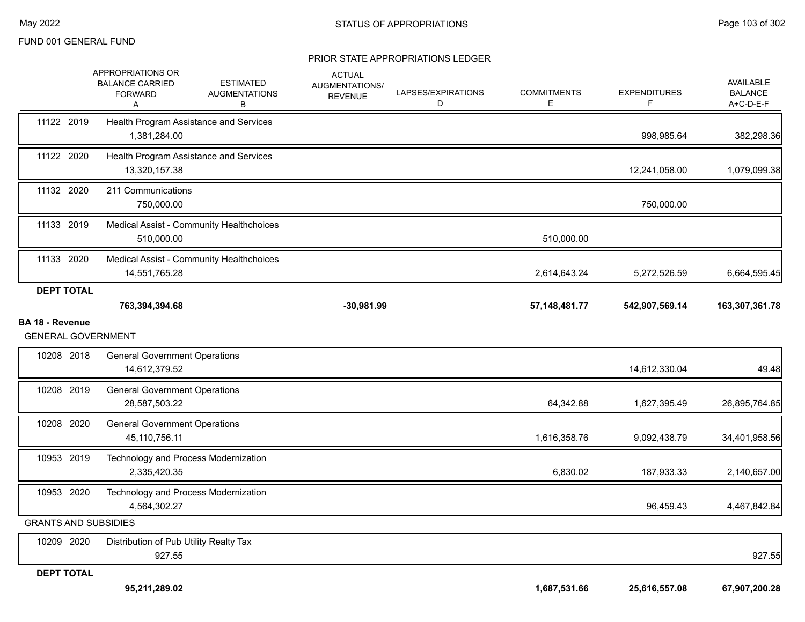|                                                     | <b>BALANCE CARRIED</b><br><b>FORWARD</b><br>A           | <b>ESTIMATED</b><br><b>AUGMENTATIONS</b><br>В | AUGMENTATIONS/<br><b>REVENUE</b> | LAPSES/EXPIRATIONS<br>D | <b>COMMITMENTS</b><br>E. | <b>EXPENDITURES</b><br>F | AVAILABLE<br><b>BALANCE</b><br>A+C-D-E-F |
|-----------------------------------------------------|---------------------------------------------------------|-----------------------------------------------|----------------------------------|-------------------------|--------------------------|--------------------------|------------------------------------------|
| 11122 2019                                          | Health Program Assistance and Services<br>1,381,284.00  |                                               |                                  |                         |                          | 998,985.64               | 382,298.36                               |
| 11122 2020                                          | Health Program Assistance and Services<br>13,320,157.38 |                                               |                                  |                         |                          | 12,241,058.00            | 1,079,099.38                             |
| 11132 2020                                          | 211 Communications<br>750,000.00                        |                                               |                                  |                         |                          | 750,000.00               |                                          |
| 11133 2019                                          | 510,000.00                                              | Medical Assist - Community Healthchoices      |                                  |                         | 510,000.00               |                          |                                          |
| 11133 2020                                          | 14,551,765.28                                           | Medical Assist - Community Healthchoices      |                                  |                         | 2,614,643.24             | 5,272,526.59             | 6,664,595.45                             |
| <b>DEPT TOTAL</b>                                   | 763,394,394.68                                          |                                               | $-30,981.99$                     |                         | 57, 148, 481. 77         | 542,907,569.14           | 163,307,361.78                           |
| <b>BA 18 - Revenue</b><br><b>GENERAL GOVERNMENT</b> |                                                         |                                               |                                  |                         |                          |                          |                                          |
| 10208 2018                                          | <b>General Government Operations</b><br>14,612,379.52   |                                               |                                  |                         |                          | 14,612,330.04            | 49.48                                    |
| 10208 2019                                          | <b>General Government Operations</b><br>28,587,503.22   |                                               |                                  |                         | 64,342.88                | 1,627,395.49             | 26,895,764.85                            |
| 10208 2020                                          | <b>General Government Operations</b><br>45,110,756.11   |                                               |                                  |                         | 1,616,358.76             | 9,092,438.79             | 34,401,958.56                            |
| 10953 2019                                          | Technology and Process Modernization<br>2,335,420.35    |                                               |                                  |                         | 6,830.02                 | 187,933.33               | 2,140,657.00                             |
| 10953 2020                                          | Technology and Process Modernization<br>4,564,302.27    |                                               |                                  |                         |                          | 96,459.43                | 4,467,842.84                             |
| <b>GRANTS AND SUBSIDIES</b>                         |                                                         |                                               |                                  |                         |                          |                          |                                          |
| 10209 2020                                          | Distribution of Pub Utility Realty Tax<br>927.55        |                                               |                                  |                         |                          |                          | 927.55                                   |
| <b>DEPT TOTAL</b>                                   |                                                         |                                               |                                  |                         |                          |                          |                                          |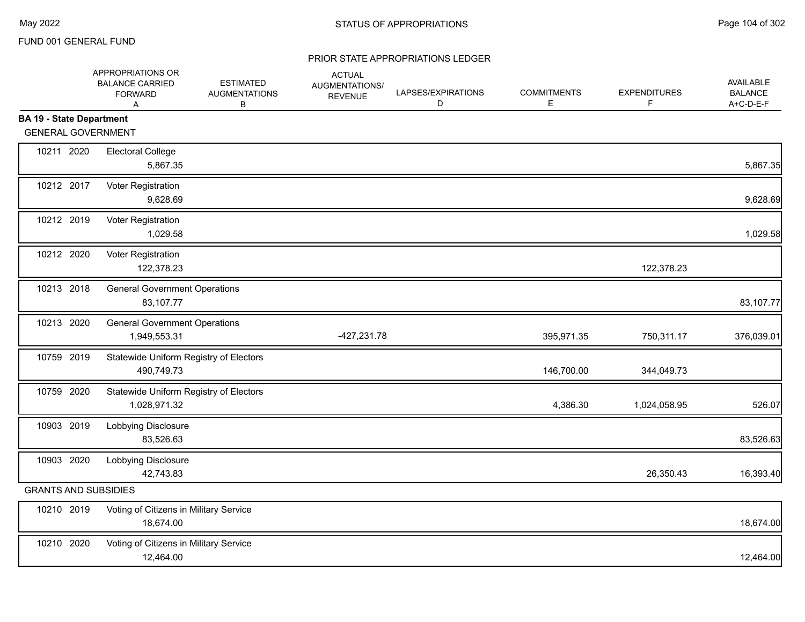|                                 | APPROPRIATIONS OR<br><b>BALANCE CARRIED</b><br><b>FORWARD</b><br>Α | <b>ESTIMATED</b><br><b>AUGMENTATIONS</b><br>В | <b>ACTUAL</b><br>AUGMENTATIONS/<br><b>REVENUE</b> | LAPSES/EXPIRATIONS<br>D | <b>COMMITMENTS</b><br>Е | <b>EXPENDITURES</b><br>F | <b>AVAILABLE</b><br><b>BALANCE</b><br>A+C-D-E-F |
|---------------------------------|--------------------------------------------------------------------|-----------------------------------------------|---------------------------------------------------|-------------------------|-------------------------|--------------------------|-------------------------------------------------|
| <b>BA 19 - State Department</b> |                                                                    |                                               |                                                   |                         |                         |                          |                                                 |
|                                 | <b>GENERAL GOVERNMENT</b>                                          |                                               |                                                   |                         |                         |                          |                                                 |
| 10211 2020                      | <b>Electoral College</b><br>5,867.35                               |                                               |                                                   |                         |                         |                          | 5,867.35                                        |
| 10212 2017                      | Voter Registration<br>9,628.69                                     |                                               |                                                   |                         |                         |                          | 9,628.69                                        |
| 10212 2019                      | Voter Registration<br>1,029.58                                     |                                               |                                                   |                         |                         |                          | 1,029.58                                        |
| 10212 2020                      | Voter Registration<br>122,378.23                                   |                                               |                                                   |                         |                         | 122,378.23               |                                                 |
| 10213 2018                      | <b>General Government Operations</b><br>83,107.77                  |                                               |                                                   |                         |                         |                          | 83,107.77                                       |
| 10213 2020                      | <b>General Government Operations</b><br>1,949,553.31               |                                               | -427,231.78                                       |                         | 395,971.35              | 750,311.17               | 376,039.01                                      |
| 10759 2019                      | 490,749.73                                                         | Statewide Uniform Registry of Electors        |                                                   |                         | 146,700.00              | 344,049.73               |                                                 |
| 10759 2020                      | 1,028,971.32                                                       | Statewide Uniform Registry of Electors        |                                                   |                         | 4,386.30                | 1,024,058.95             | 526.07                                          |
| 10903 2019                      | Lobbying Disclosure<br>83,526.63                                   |                                               |                                                   |                         |                         |                          | 83,526.63                                       |
| 10903 2020                      | Lobbying Disclosure<br>42,743.83                                   |                                               |                                                   |                         |                         | 26,350.43                | 16,393.40                                       |
|                                 | <b>GRANTS AND SUBSIDIES</b>                                        |                                               |                                                   |                         |                         |                          |                                                 |
| 10210 2019                      | 18,674.00                                                          | Voting of Citizens in Military Service        |                                                   |                         |                         |                          | 18,674.00                                       |
| 10210 2020                      | 12,464.00                                                          | Voting of Citizens in Military Service        |                                                   |                         |                         |                          | 12,464.00                                       |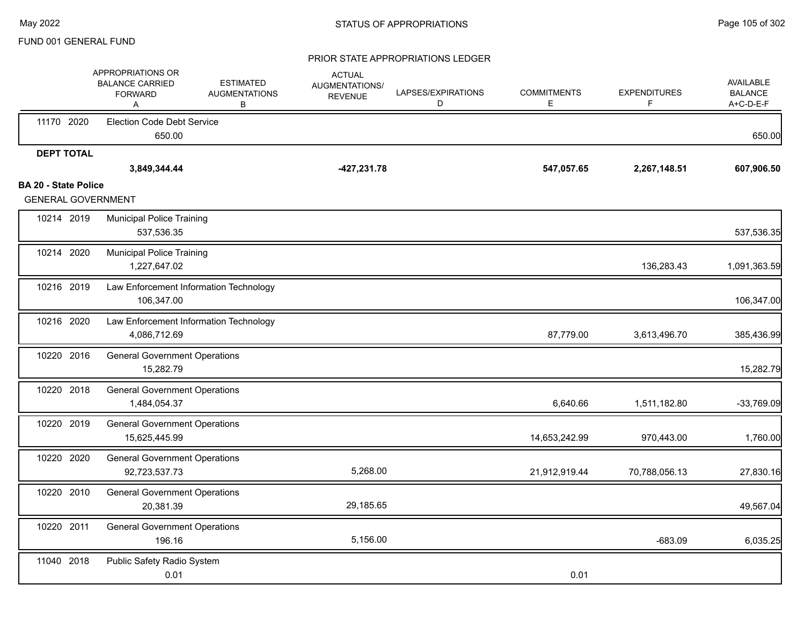|                                                          | APPROPRIATIONS OR<br><b>BALANCE CARRIED</b><br><b>FORWARD</b><br>Α | <b>ESTIMATED</b><br><b>AUGMENTATIONS</b><br>В | <b>ACTUAL</b><br>AUGMENTATIONS/<br><b>REVENUE</b> | LAPSES/EXPIRATIONS<br>D | <b>COMMITMENTS</b><br>Е | <b>EXPENDITURES</b><br>F | <b>AVAILABLE</b><br><b>BALANCE</b><br>A+C-D-E-F |
|----------------------------------------------------------|--------------------------------------------------------------------|-----------------------------------------------|---------------------------------------------------|-------------------------|-------------------------|--------------------------|-------------------------------------------------|
| 11170 2020                                               | <b>Election Code Debt Service</b><br>650.00                        |                                               |                                                   |                         |                         |                          | 650.00                                          |
| <b>DEPT TOTAL</b>                                        |                                                                    |                                               |                                                   |                         |                         |                          |                                                 |
|                                                          | 3,849,344.44                                                       |                                               | -427,231.78                                       |                         | 547,057.65              | 2,267,148.51             | 607,906.50                                      |
| <b>BA 20 - State Police</b><br><b>GENERAL GOVERNMENT</b> |                                                                    |                                               |                                                   |                         |                         |                          |                                                 |
| 10214 2019                                               | <b>Municipal Police Training</b><br>537,536.35                     |                                               |                                                   |                         |                         |                          | 537,536.35                                      |
| 10214 2020                                               | <b>Municipal Police Training</b><br>1,227,647.02                   |                                               |                                                   |                         |                         | 136,283.43               | 1,091,363.59                                    |
| 10216 2019                                               | Law Enforcement Information Technology<br>106,347.00               |                                               |                                                   |                         |                         |                          | 106,347.00                                      |
| 10216 2020                                               | Law Enforcement Information Technology<br>4,086,712.69             |                                               |                                                   |                         | 87,779.00               | 3,613,496.70             | 385,436.99                                      |
| 10220 2016                                               | <b>General Government Operations</b><br>15,282.79                  |                                               |                                                   |                         |                         |                          | 15,282.79                                       |
| 10220 2018                                               | <b>General Government Operations</b><br>1,484,054.37               |                                               |                                                   |                         | 6,640.66                | 1,511,182.80             | -33,769.09                                      |
| 10220 2019                                               | <b>General Government Operations</b><br>15,625,445.99              |                                               |                                                   |                         | 14,653,242.99           | 970,443.00               | 1,760.00                                        |
| 10220 2020                                               | <b>General Government Operations</b><br>92,723,537.73              |                                               | 5,268.00                                          |                         | 21,912,919.44           | 70,788,056.13            | 27,830.16                                       |
| 10220 2010                                               | <b>General Government Operations</b><br>20,381.39                  |                                               | 29,185.65                                         |                         |                         |                          | 49,567.04                                       |
| 10220 2011                                               | <b>General Government Operations</b><br>196.16                     |                                               | 5,156.00                                          |                         |                         | $-683.09$                | 6,035.25                                        |
| 11040 2018                                               | Public Safety Radio System<br>0.01                                 |                                               |                                                   |                         | 0.01                    |                          |                                                 |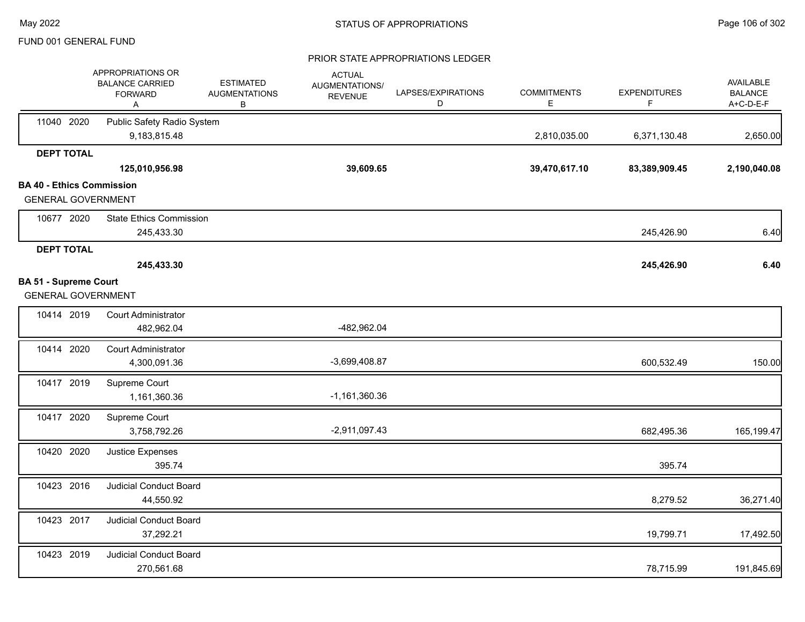|                                  | APPROPRIATIONS OR<br><b>BALANCE CARRIED</b><br><b>FORWARD</b><br>Α | <b>ESTIMATED</b><br><b>AUGMENTATIONS</b><br>В | <b>ACTUAL</b><br>AUGMENTATIONS/<br><b>REVENUE</b> | LAPSES/EXPIRATIONS<br>D | <b>COMMITMENTS</b><br>E. | <b>EXPENDITURES</b><br>F | AVAILABLE<br><b>BALANCE</b><br>A+C-D-E-F |
|----------------------------------|--------------------------------------------------------------------|-----------------------------------------------|---------------------------------------------------|-------------------------|--------------------------|--------------------------|------------------------------------------|
| 11040 2020                       | Public Safety Radio System<br>9,183,815.48                         |                                               |                                                   |                         | 2,810,035.00             | 6,371,130.48             | 2,650.00                                 |
| <b>DEPT TOTAL</b>                |                                                                    |                                               |                                                   |                         |                          |                          |                                          |
|                                  | 125,010,956.98                                                     |                                               | 39,609.65                                         |                         | 39,470,617.10            | 83,389,909.45            | 2,190,040.08                             |
| <b>BA 40 - Ethics Commission</b> | <b>GENERAL GOVERNMENT</b>                                          |                                               |                                                   |                         |                          |                          |                                          |
| 10677 2020                       | <b>State Ethics Commission</b><br>245,433.30                       |                                               |                                                   |                         |                          | 245,426.90               | 6.40                                     |
| <b>DEPT TOTAL</b>                |                                                                    |                                               |                                                   |                         |                          |                          |                                          |
|                                  | 245,433.30                                                         |                                               |                                                   |                         |                          | 245,426.90               | 6.40                                     |
| <b>BA 51 - Supreme Court</b>     | <b>GENERAL GOVERNMENT</b>                                          |                                               |                                                   |                         |                          |                          |                                          |
| 10414 2019                       | Court Administrator<br>482,962.04                                  |                                               | -482,962.04                                       |                         |                          |                          |                                          |
| 10414 2020                       | <b>Court Administrator</b><br>4,300,091.36                         |                                               | $-3,699,408.87$                                   |                         |                          | 600,532.49               | 150.00                                   |
| 10417 2019                       | Supreme Court<br>1,161,360.36                                      |                                               | $-1,161,360.36$                                   |                         |                          |                          |                                          |
| 10417 2020                       | Supreme Court<br>3,758,792.26                                      |                                               | $-2,911,097.43$                                   |                         |                          | 682,495.36               | 165,199.47                               |
| 10420 2020                       | Justice Expenses<br>395.74                                         |                                               |                                                   |                         |                          | 395.74                   |                                          |
| 10423 2016                       | <b>Judicial Conduct Board</b><br>44,550.92                         |                                               |                                                   |                         |                          | 8,279.52                 | 36,271.40                                |
| 10423 2017                       | Judicial Conduct Board<br>37,292.21                                |                                               |                                                   |                         |                          | 19,799.71                | 17,492.50                                |
| 10423 2019                       | Judicial Conduct Board<br>270,561.68                               |                                               |                                                   |                         |                          | 78,715.99                | 191,845.69                               |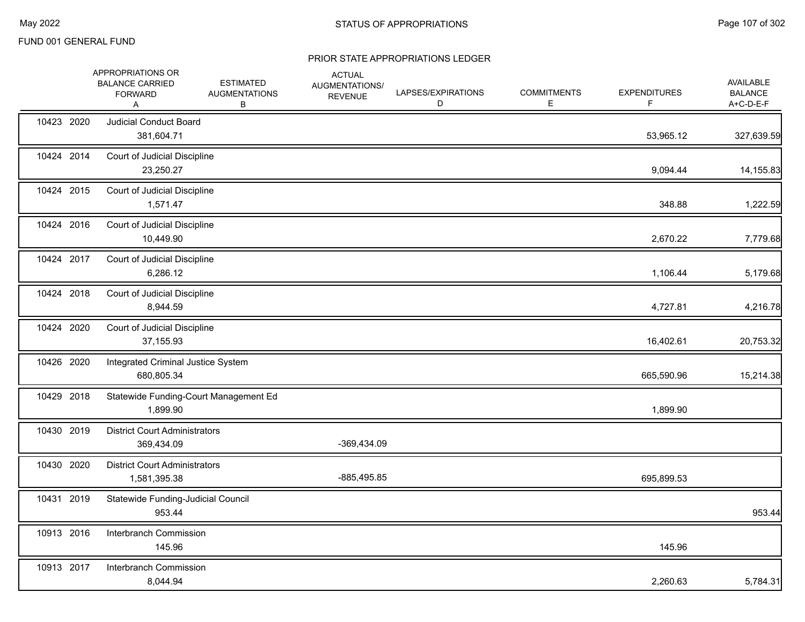|            | APPROPRIATIONS OR<br><b>BALANCE CARRIED</b><br><b>FORWARD</b><br>Α | <b>ESTIMATED</b><br><b>AUGMENTATIONS</b><br>B | <b>ACTUAL</b><br>AUGMENTATIONS/<br><b>REVENUE</b> | LAPSES/EXPIRATIONS<br>D | <b>COMMITMENTS</b><br>Е | <b>EXPENDITURES</b><br>F | AVAILABLE<br><b>BALANCE</b><br>A+C-D-E-F |
|------------|--------------------------------------------------------------------|-----------------------------------------------|---------------------------------------------------|-------------------------|-------------------------|--------------------------|------------------------------------------|
| 10423 2020 | <b>Judicial Conduct Board</b><br>381,604.71                        |                                               |                                                   |                         |                         | 53,965.12                | 327,639.59                               |
| 10424 2014 | Court of Judicial Discipline<br>23,250.27                          |                                               |                                                   |                         |                         | 9,094.44                 | 14,155.83                                |
| 10424 2015 | Court of Judicial Discipline<br>1,571.47                           |                                               |                                                   |                         |                         | 348.88                   | 1,222.59                                 |
| 10424 2016 | Court of Judicial Discipline<br>10,449.90                          |                                               |                                                   |                         |                         | 2,670.22                 | 7,779.68                                 |
| 10424 2017 | Court of Judicial Discipline<br>6,286.12                           |                                               |                                                   |                         |                         | 1,106.44                 | 5,179.68                                 |
| 10424 2018 | Court of Judicial Discipline<br>8,944.59                           |                                               |                                                   |                         |                         | 4,727.81                 | 4,216.78                                 |
| 10424 2020 | Court of Judicial Discipline<br>37,155.93                          |                                               |                                                   |                         |                         | 16,402.61                | 20,753.32                                |
| 10426 2020 | Integrated Criminal Justice System<br>680,805.34                   |                                               |                                                   |                         |                         | 665,590.96               | 15,214.38                                |
| 10429 2018 | Statewide Funding-Court Management Ed<br>1,899.90                  |                                               |                                                   |                         |                         | 1,899.90                 |                                          |
| 10430 2019 | <b>District Court Administrators</b><br>369,434.09                 |                                               | -369,434.09                                       |                         |                         |                          |                                          |
| 10430 2020 | <b>District Court Administrators</b><br>1,581,395.38               |                                               | -885,495.85                                       |                         |                         | 695,899.53               |                                          |
| 10431 2019 | Statewide Funding-Judicial Council<br>953.44                       |                                               |                                                   |                         |                         |                          | 953.44                                   |
| 10913 2016 | Interbranch Commission<br>145.96                                   |                                               |                                                   |                         |                         | 145.96                   |                                          |
| 10913 2017 | Interbranch Commission<br>8,044.94                                 |                                               |                                                   |                         |                         | 2,260.63                 | 5,784.31                                 |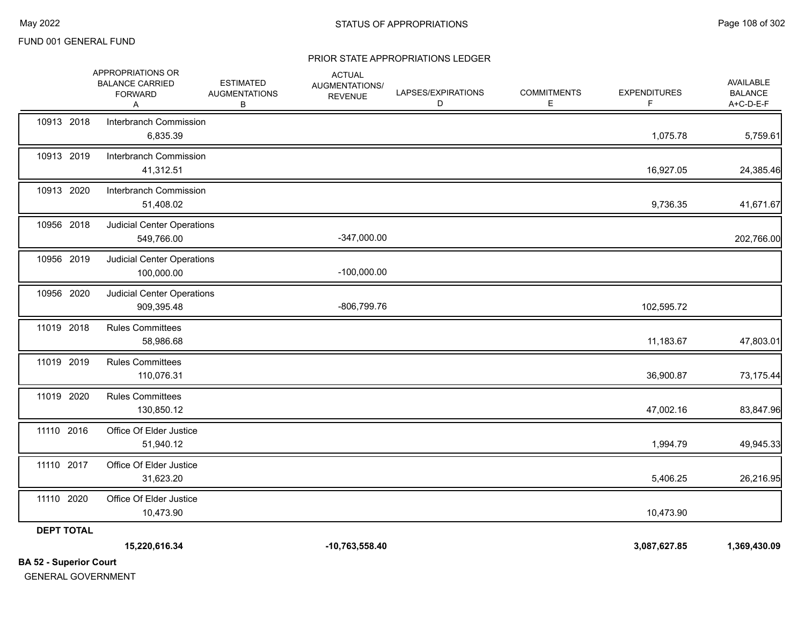#### PRIOR STATE APPROPRIATIONS LEDGER

| <b>BA 52 - Superior Court</b> |                                                                    |                                               |                                                   |                         |                         |                          |                                          |
|-------------------------------|--------------------------------------------------------------------|-----------------------------------------------|---------------------------------------------------|-------------------------|-------------------------|--------------------------|------------------------------------------|
|                               | 15,220,616.34                                                      |                                               | $-10,763,558.40$                                  |                         |                         | 3,087,627.85             | 1,369,430.09                             |
| <b>DEPT TOTAL</b>             |                                                                    |                                               |                                                   |                         |                         |                          |                                          |
| 11110 2020                    | Office Of Elder Justice<br>10,473.90                               |                                               |                                                   |                         |                         | 10,473.90                |                                          |
| 11110 2017                    | Office Of Elder Justice<br>31,623.20                               |                                               |                                                   |                         |                         | 5,406.25                 | 26,216.95                                |
| 11110 2016                    | Office Of Elder Justice<br>51,940.12                               |                                               |                                                   |                         |                         | 1,994.79                 | 49,945.33                                |
| 11019 2020                    | <b>Rules Committees</b><br>130,850.12                              |                                               |                                                   |                         |                         | 47,002.16                | 83,847.96                                |
| 11019 2019                    | <b>Rules Committees</b><br>110,076.31                              |                                               |                                                   |                         |                         | 36,900.87                | 73,175.44                                |
| 11019 2018                    | <b>Rules Committees</b><br>58,986.68                               |                                               |                                                   |                         |                         | 11,183.67                | 47,803.01                                |
| 10956 2020                    | <b>Judicial Center Operations</b><br>909,395.48                    |                                               | -806,799.76                                       |                         |                         | 102,595.72               |                                          |
| 10956 2019                    | <b>Judicial Center Operations</b><br>100,000.00                    |                                               | $-100,000.00$                                     |                         |                         |                          |                                          |
| 10956 2018                    | Judicial Center Operations<br>549,766.00                           |                                               | -347,000.00                                       |                         |                         |                          | 202,766.00                               |
| 10913 2020                    | Interbranch Commission<br>51,408.02                                |                                               |                                                   |                         |                         | 9,736.35                 | 41,671.67                                |
| 10913 2019                    | Interbranch Commission<br>41,312.51                                |                                               |                                                   |                         |                         | 16,927.05                | 24,385.46                                |
| 10913 2018                    | Interbranch Commission<br>6,835.39                                 |                                               |                                                   |                         |                         | 1,075.78                 | 5,759.61                                 |
|                               | APPROPRIATIONS OR<br><b>BALANCE CARRIED</b><br><b>FORWARD</b><br>Α | <b>ESTIMATED</b><br><b>AUGMENTATIONS</b><br>В | <b>ACTUAL</b><br>AUGMENTATIONS/<br><b>REVENUE</b> | LAPSES/EXPIRATIONS<br>D | <b>COMMITMENTS</b><br>Е | <b>EXPENDITURES</b><br>F | AVAILABLE<br><b>BALANCE</b><br>A+C-D-E-F |

GENERAL GOVERNMENT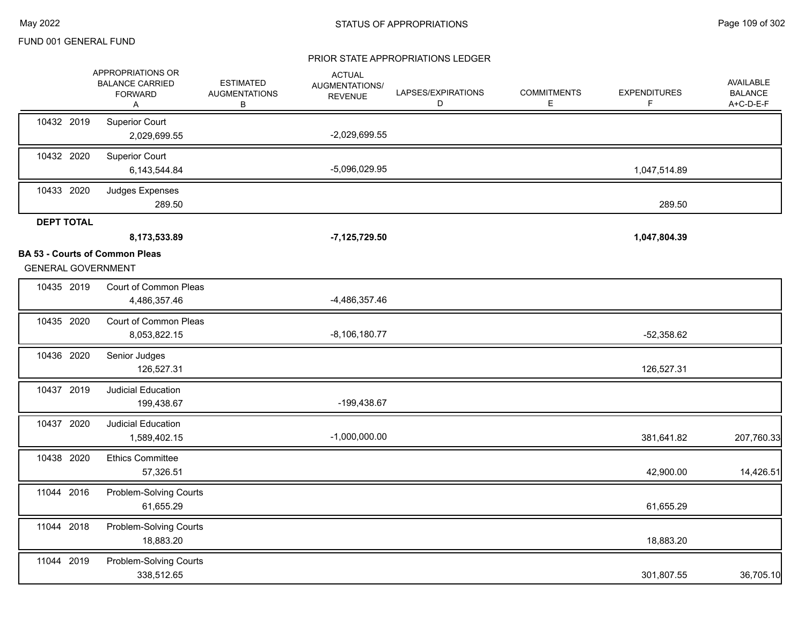### PRIOR STATE APPROPRIATIONS LEDGER

|                   | APPROPRIATIONS OR<br><b>BALANCE CARRIED</b><br><b>FORWARD</b><br>Α | <b>ESTIMATED</b><br><b>AUGMENTATIONS</b><br>В | <b>ACTUAL</b><br>AUGMENTATIONS/<br><b>REVENUE</b> | LAPSES/EXPIRATIONS<br>D | <b>COMMITMENTS</b><br>E. | <b>EXPENDITURES</b><br>F. | AVAILABLE<br><b>BALANCE</b><br>A+C-D-E-F |
|-------------------|--------------------------------------------------------------------|-----------------------------------------------|---------------------------------------------------|-------------------------|--------------------------|---------------------------|------------------------------------------|
| 10432 2019        | <b>Superior Court</b><br>2,029,699.55                              |                                               | $-2,029,699.55$                                   |                         |                          |                           |                                          |
| 10432 2020        | <b>Superior Court</b><br>6,143,544.84                              |                                               | -5,096,029.95                                     |                         |                          | 1,047,514.89              |                                          |
| 10433 2020        | Judges Expenses<br>289.50                                          |                                               |                                                   |                         |                          | 289.50                    |                                          |
| <b>DEPT TOTAL</b> |                                                                    |                                               |                                                   |                         |                          |                           |                                          |
|                   | 8,173,533.89                                                       |                                               | $-7, 125, 729.50$                                 |                         |                          | 1,047,804.39              |                                          |
|                   | <b>BA 53 - Courts of Common Pleas</b><br><b>GENERAL GOVERNMENT</b> |                                               |                                                   |                         |                          |                           |                                          |
| 10435 2019        | Court of Common Pleas<br>4,486,357.46                              |                                               | -4,486,357.46                                     |                         |                          |                           |                                          |
| 10435 2020        | Court of Common Pleas<br>8,053,822.15                              |                                               | $-8,106,180.77$                                   |                         |                          | $-52,358.62$              |                                          |
| 10436 2020        | Senior Judges<br>126,527.31                                        |                                               |                                                   |                         |                          | 126,527.31                |                                          |
| 10437 2019        | <b>Judicial Education</b><br>199,438.67                            |                                               | -199,438.67                                       |                         |                          |                           |                                          |
| 10437 2020        | <b>Judicial Education</b><br>1,589,402.15                          |                                               | $-1,000,000.00$                                   |                         |                          | 381,641.82                | 207,760.33                               |
| 10438 2020        | <b>Ethics Committee</b><br>57,326.51                               |                                               |                                                   |                         |                          | 42,900.00                 | 14,426.51                                |
| 11044 2016        | Problem-Solving Courts<br>61,655.29                                |                                               |                                                   |                         |                          | 61,655.29                 |                                          |
| 11044 2018        | Problem-Solving Courts<br>18,883.20                                |                                               |                                                   |                         |                          | 18,883.20                 |                                          |
| 11044 2019        | Problem-Solving Courts<br>338,512.65                               |                                               |                                                   |                         |                          | 301,807.55                | 36,705.10                                |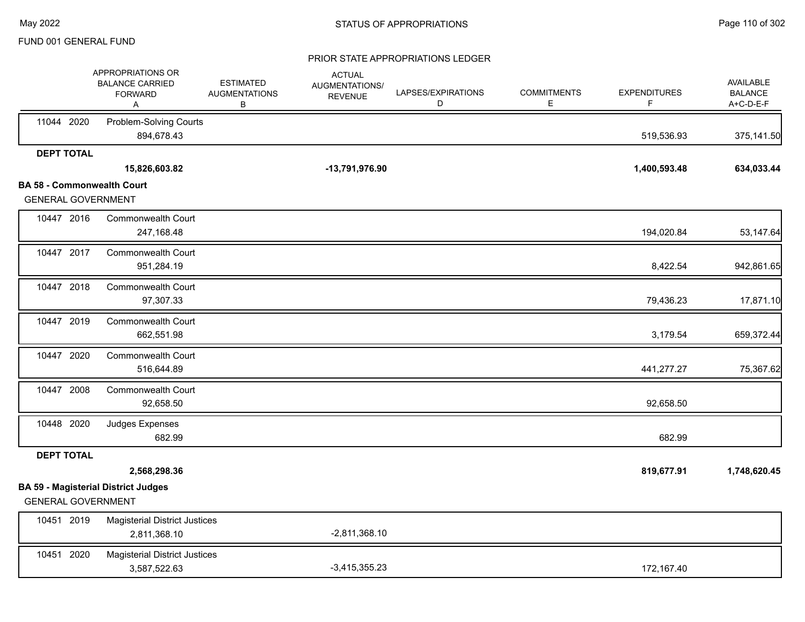#### PRIOR STATE APPROPRIATIONS LEDGER

|                   | APPROPRIATIONS OR<br><b>BALANCE CARRIED</b><br><b>FORWARD</b><br>A | <b>ESTIMATED</b><br><b>AUGMENTATIONS</b><br>В | <b>ACTUAL</b><br>AUGMENTATIONS/<br><b>REVENUE</b> | LAPSES/EXPIRATIONS<br>D | <b>COMMITMENTS</b><br>Е | <b>EXPENDITURES</b><br>F | <b>AVAILABLE</b><br><b>BALANCE</b><br>A+C-D-E-F |
|-------------------|--------------------------------------------------------------------|-----------------------------------------------|---------------------------------------------------|-------------------------|-------------------------|--------------------------|-------------------------------------------------|
| 11044 2020        | Problem-Solving Courts<br>894,678.43                               |                                               |                                                   |                         |                         | 519,536.93               | 375,141.50                                      |
| <b>DEPT TOTAL</b> |                                                                    |                                               |                                                   |                         |                         |                          |                                                 |
|                   | 15,826,603.82                                                      |                                               | -13,791,976.90                                    |                         |                         | 1,400,593.48             | 634,033.44                                      |
|                   | <b>BA 58 - Commonwealth Court</b><br><b>GENERAL GOVERNMENT</b>     |                                               |                                                   |                         |                         |                          |                                                 |
| 10447 2016        | <b>Commonwealth Court</b><br>247,168.48                            |                                               |                                                   |                         |                         | 194,020.84               | 53,147.64                                       |
| 10447 2017        | <b>Commonwealth Court</b><br>951,284.19                            |                                               |                                                   |                         |                         | 8,422.54                 | 942,861.65                                      |
| 10447 2018        | <b>Commonwealth Court</b><br>97,307.33                             |                                               |                                                   |                         |                         | 79,436.23                | 17,871.10                                       |
| 10447 2019        | <b>Commonwealth Court</b><br>662,551.98                            |                                               |                                                   |                         |                         | 3,179.54                 | 659,372.44                                      |
| 10447 2020        | Commonwealth Court<br>516,644.89                                   |                                               |                                                   |                         |                         | 441,277.27               | 75,367.62                                       |
| 10447 2008        | <b>Commonwealth Court</b><br>92,658.50                             |                                               |                                                   |                         |                         | 92,658.50                |                                                 |
| 10448 2020        | Judges Expenses<br>682.99                                          |                                               |                                                   |                         |                         | 682.99                   |                                                 |
| <b>DEPT TOTAL</b> |                                                                    |                                               |                                                   |                         |                         |                          |                                                 |
|                   | 2,568,298.36                                                       |                                               |                                                   |                         |                         | 819,677.91               | 1,748,620.45                                    |
|                   | <b>BA 59 - Magisterial District Judges</b>                         |                                               |                                                   |                         |                         |                          |                                                 |
|                   | <b>GENERAL GOVERNMENT</b>                                          |                                               |                                                   |                         |                         |                          |                                                 |
| 10451 2019        | <b>Magisterial District Justices</b><br>2,811,368.10               |                                               | $-2,811,368.10$                                   |                         |                         |                          |                                                 |
| 10451 2020        | <b>Magisterial District Justices</b><br>3,587,522.63               |                                               | $-3,415,355.23$                                   |                         |                         | 172,167.40               |                                                 |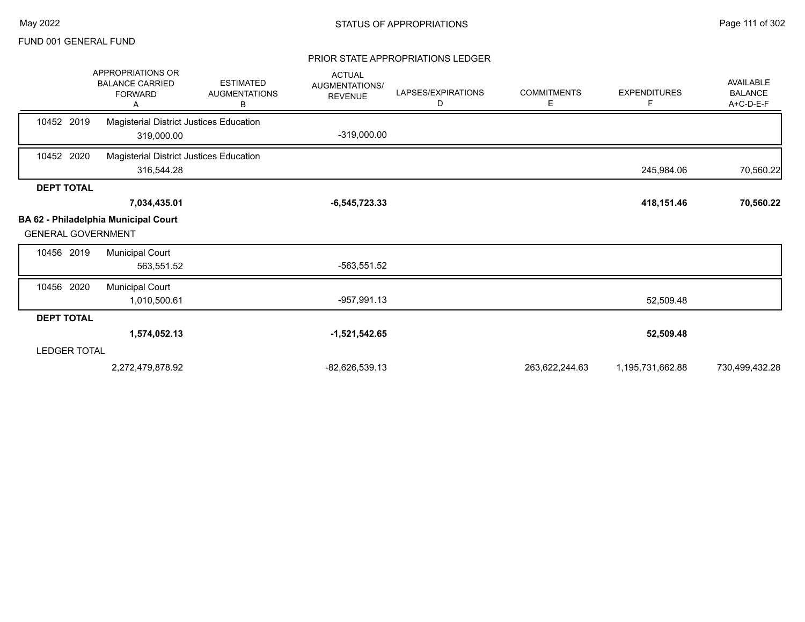#### PRIOR STATE APPROPRIATIONS LEDGER

|                           | <b>APPROPRIATIONS OR</b><br><b>BALANCE CARRIED</b><br><b>FORWARD</b><br>А | <b>ESTIMATED</b><br><b>AUGMENTATIONS</b><br>В | <b>ACTUAL</b><br><b>AUGMENTATIONS/</b><br><b>REVENUE</b> | LAPSES/EXPIRATIONS<br>D | <b>COMMITMENTS</b><br>Е | <b>EXPENDITURES</b><br>F. | <b>AVAILABLE</b><br><b>BALANCE</b><br>A+C-D-E-F |
|---------------------------|---------------------------------------------------------------------------|-----------------------------------------------|----------------------------------------------------------|-------------------------|-------------------------|---------------------------|-------------------------------------------------|
| 10452 2019                | Magisterial District Justices Education<br>319,000.00                     |                                               | $-319,000.00$                                            |                         |                         |                           |                                                 |
| 10452 2020                | Magisterial District Justices Education<br>316,544.28                     |                                               |                                                          |                         |                         | 245,984.06                | 70,560.22                                       |
| <b>DEPT TOTAL</b>         |                                                                           |                                               |                                                          |                         |                         |                           |                                                 |
|                           | 7,034,435.01                                                              |                                               | $-6,545,723.33$                                          |                         |                         | 418,151.46                | 70,560.22                                       |
| <b>GENERAL GOVERNMENT</b> | <b>BA 62 - Philadelphia Municipal Court</b>                               |                                               |                                                          |                         |                         |                           |                                                 |
| 10456 2019                | <b>Municipal Court</b><br>563,551.52                                      |                                               | -563,551.52                                              |                         |                         |                           |                                                 |
| 10456 2020                | <b>Municipal Court</b><br>1,010,500.61                                    |                                               | -957,991.13                                              |                         |                         | 52,509.48                 |                                                 |
| <b>DEPT TOTAL</b>         |                                                                           |                                               |                                                          |                         |                         |                           |                                                 |
|                           | 1,574,052.13                                                              |                                               | $-1,521,542.65$                                          |                         |                         | 52,509.48                 |                                                 |
| <b>LEDGER TOTAL</b>       |                                                                           |                                               |                                                          |                         |                         |                           |                                                 |
|                           | 2,272,479,878.92                                                          |                                               | -82,626,539.13                                           |                         | 263,622,244.63          | 1,195,731,662.88          | 730,499,432.28                                  |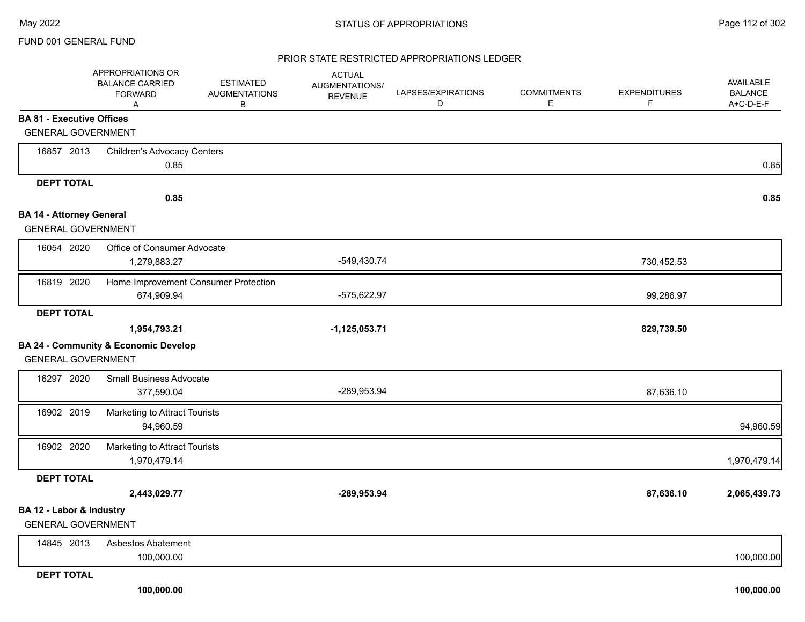#### PRIOR STATE RESTRICTED APPROPRIATIONS LEDGER

|                                  | APPROPRIATIONS OR<br><b>BALANCE CARRIED</b><br><b>FORWARD</b><br>Α | <b>ESTIMATED</b><br><b>AUGMENTATIONS</b><br>В | <b>ACTUAL</b><br>AUGMENTATIONS/<br><b>REVENUE</b> | LAPSES/EXPIRATIONS<br>D | <b>COMMITMENTS</b><br>E | <b>EXPENDITURES</b><br>F. | AVAILABLE<br><b>BALANCE</b><br>A+C-D-E-F |
|----------------------------------|--------------------------------------------------------------------|-----------------------------------------------|---------------------------------------------------|-------------------------|-------------------------|---------------------------|------------------------------------------|
| <b>BA 81 - Executive Offices</b> |                                                                    |                                               |                                                   |                         |                         |                           |                                          |
| <b>GENERAL GOVERNMENT</b>        |                                                                    |                                               |                                                   |                         |                         |                           |                                          |
| 16857 2013                       | <b>Children's Advocacy Centers</b>                                 |                                               |                                                   |                         |                         |                           |                                          |
|                                  | 0.85                                                               |                                               |                                                   |                         |                         |                           | 0.85                                     |
| <b>DEPT TOTAL</b>                |                                                                    |                                               |                                                   |                         |                         |                           |                                          |
|                                  | 0.85                                                               |                                               |                                                   |                         |                         |                           | 0.85                                     |
| <b>BA 14 - Attorney General</b>  |                                                                    |                                               |                                                   |                         |                         |                           |                                          |
| <b>GENERAL GOVERNMENT</b>        |                                                                    |                                               |                                                   |                         |                         |                           |                                          |
| 16054 2020                       | Office of Consumer Advocate                                        |                                               |                                                   |                         |                         |                           |                                          |
|                                  | 1,279,883.27                                                       |                                               | -549,430.74                                       |                         |                         | 730,452.53                |                                          |
| 16819 2020                       | Home Improvement Consumer Protection                               |                                               |                                                   |                         |                         |                           |                                          |
|                                  | 674,909.94                                                         |                                               | -575,622.97                                       |                         |                         | 99,286.97                 |                                          |
| <b>DEPT TOTAL</b>                |                                                                    |                                               |                                                   |                         |                         |                           |                                          |
|                                  | 1,954,793.21                                                       |                                               | $-1,125,053.71$                                   |                         |                         | 829,739.50                |                                          |
|                                  | <b>BA 24 - Community &amp; Economic Develop</b>                    |                                               |                                                   |                         |                         |                           |                                          |
| <b>GENERAL GOVERNMENT</b>        |                                                                    |                                               |                                                   |                         |                         |                           |                                          |
| 16297 2020                       | <b>Small Business Advocate</b>                                     |                                               |                                                   |                         |                         |                           |                                          |
|                                  | 377,590.04                                                         |                                               | -289,953.94                                       |                         |                         | 87,636.10                 |                                          |
| 16902 2019                       | Marketing to Attract Tourists                                      |                                               |                                                   |                         |                         |                           |                                          |
|                                  | 94,960.59                                                          |                                               |                                                   |                         |                         |                           | 94,960.59                                |
| 16902 2020                       | Marketing to Attract Tourists                                      |                                               |                                                   |                         |                         |                           |                                          |
|                                  | 1,970,479.14                                                       |                                               |                                                   |                         |                         |                           | 1,970,479.14                             |
| <b>DEPT TOTAL</b>                |                                                                    |                                               |                                                   |                         |                         |                           |                                          |
|                                  | 2,443,029.77                                                       |                                               | -289,953.94                                       |                         |                         | 87,636.10                 | 2,065,439.73                             |
| BA 12 - Labor & Industry         |                                                                    |                                               |                                                   |                         |                         |                           |                                          |
| <b>GENERAL GOVERNMENT</b>        |                                                                    |                                               |                                                   |                         |                         |                           |                                          |
| 14845 2013                       | Asbestos Abatement                                                 |                                               |                                                   |                         |                         |                           |                                          |
|                                  | 100,000.00                                                         |                                               |                                                   |                         |                         |                           | 100,000.00                               |
| <b>DEPT TOTAL</b>                |                                                                    |                                               |                                                   |                         |                         |                           |                                          |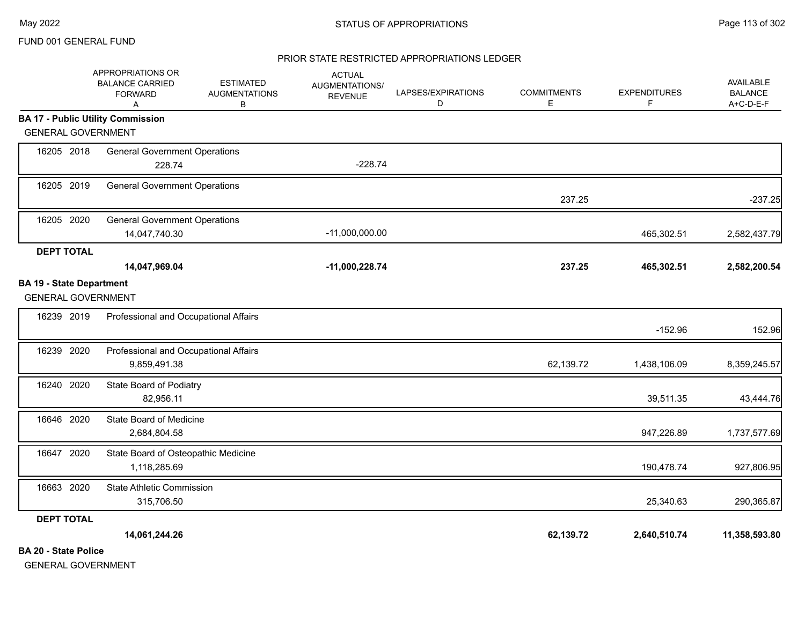#### PRIOR STATE RESTRICTED APPROPRIATIONS LEDGER

|                                                              | APPROPRIATIONS OR<br><b>BALANCE CARRIED</b><br><b>FORWARD</b><br>Α | <b>ESTIMATED</b><br><b>AUGMENTATIONS</b><br>В | <b>ACTUAL</b><br>AUGMENTATIONS/<br><b>REVENUE</b> | LAPSES/EXPIRATIONS<br>D | <b>COMMITMENTS</b><br>E | <b>EXPENDITURES</b><br>F. | AVAILABLE<br><b>BALANCE</b><br>A+C-D-E-F |
|--------------------------------------------------------------|--------------------------------------------------------------------|-----------------------------------------------|---------------------------------------------------|-------------------------|-------------------------|---------------------------|------------------------------------------|
|                                                              | <b>BA 17 - Public Utility Commission</b>                           |                                               |                                                   |                         |                         |                           |                                          |
| <b>GENERAL GOVERNMENT</b>                                    |                                                                    |                                               |                                                   |                         |                         |                           |                                          |
| 16205 2018                                                   | <b>General Government Operations</b><br>228.74                     |                                               | $-228.74$                                         |                         |                         |                           |                                          |
| 16205 2019                                                   | <b>General Government Operations</b>                               |                                               |                                                   |                         | 237.25                  |                           | $-237.25$                                |
| 16205 2020                                                   | <b>General Government Operations</b><br>14,047,740.30              |                                               | $-11,000,000.00$                                  |                         |                         | 465,302.51                | 2,582,437.79                             |
| <b>DEPT TOTAL</b>                                            | 14,047,969.04                                                      |                                               | $-11,000,228.74$                                  |                         | 237.25                  | 465,302.51                | 2,582,200.54                             |
| <b>BA 19 - State Department</b><br><b>GENERAL GOVERNMENT</b> |                                                                    |                                               |                                                   |                         |                         |                           |                                          |
| 16239 2019                                                   | Professional and Occupational Affairs                              |                                               |                                                   |                         |                         | $-152.96$                 | 152.96                                   |
| 16239 2020                                                   | Professional and Occupational Affairs<br>9,859,491.38              |                                               |                                                   |                         | 62,139.72               | 1,438,106.09              | 8,359,245.57                             |
| 16240 2020                                                   | State Board of Podiatry<br>82,956.11                               |                                               |                                                   |                         |                         | 39,511.35                 | 43,444.76                                |
| 16646 2020                                                   | State Board of Medicine<br>2,684,804.58                            |                                               |                                                   |                         |                         | 947,226.89                | 1,737,577.69                             |
| 16647 2020                                                   | State Board of Osteopathic Medicine<br>1,118,285.69                |                                               |                                                   |                         |                         | 190,478.74                | 927,806.95                               |
| 16663 2020                                                   | <b>State Athletic Commission</b><br>315,706.50                     |                                               |                                                   |                         |                         | 25,340.63                 | 290,365.87                               |
| <b>DEPT TOTAL</b>                                            |                                                                    |                                               |                                                   |                         |                         |                           |                                          |
| <b>BA 20 - State Police</b>                                  | 14,061,244.26                                                      |                                               |                                                   |                         | 62,139.72               | 2,640,510.74              | 11,358,593.80                            |

GENERAL GOVERNMENT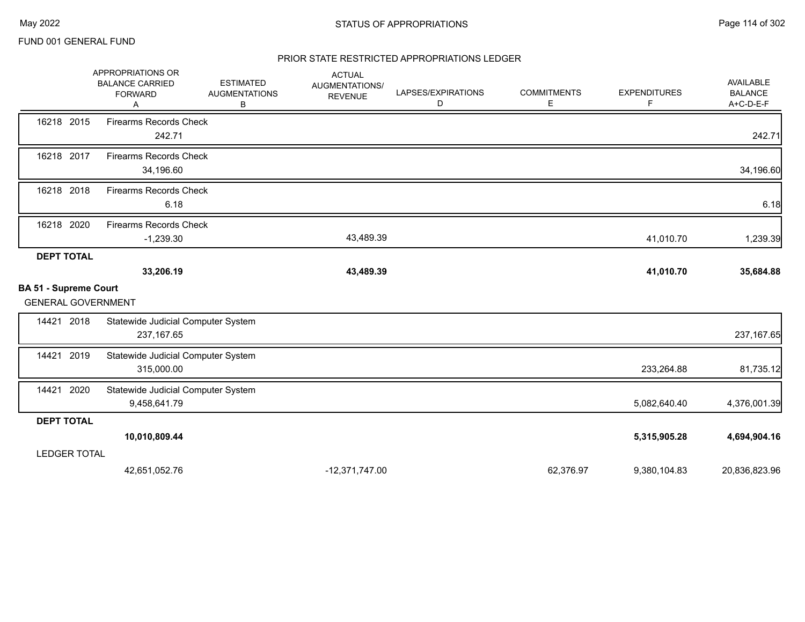#### PRIOR STATE RESTRICTED APPROPRIATIONS LEDGER

|                              | APPROPRIATIONS OR<br><b>BALANCE CARRIED</b><br><b>FORWARD</b><br>Α | <b>ESTIMATED</b><br><b>AUGMENTATIONS</b><br>в | <b>ACTUAL</b><br>AUGMENTATIONS/<br><b>REVENUE</b> | LAPSES/EXPIRATIONS<br>D | <b>COMMITMENTS</b><br>E, | <b>EXPENDITURES</b><br>F | AVAILABLE<br><b>BALANCE</b><br>A+C-D-E-F |
|------------------------------|--------------------------------------------------------------------|-----------------------------------------------|---------------------------------------------------|-------------------------|--------------------------|--------------------------|------------------------------------------|
| 16218 2015                   | <b>Firearms Records Check</b><br>242.71                            |                                               |                                                   |                         |                          |                          | 242.71                                   |
| 16218 2017                   | <b>Firearms Records Check</b><br>34,196.60                         |                                               |                                                   |                         |                          |                          | 34,196.60                                |
| 16218 2018                   | <b>Firearms Records Check</b><br>6.18                              |                                               |                                                   |                         |                          |                          | 6.18                                     |
| 16218 2020                   | <b>Firearms Records Check</b><br>$-1,239.30$                       |                                               | 43,489.39                                         |                         |                          | 41,010.70                | 1,239.39                                 |
| <b>DEPT TOTAL</b>            |                                                                    |                                               |                                                   |                         |                          |                          |                                          |
|                              | 33,206.19                                                          |                                               | 43,489.39                                         |                         |                          | 41,010.70                | 35,684.88                                |
| <b>BA 51 - Supreme Court</b> |                                                                    |                                               |                                                   |                         |                          |                          |                                          |
| <b>GENERAL GOVERNMENT</b>    |                                                                    |                                               |                                                   |                         |                          |                          |                                          |
| 14421 2018                   | Statewide Judicial Computer System                                 |                                               |                                                   |                         |                          |                          |                                          |
|                              | 237, 167.65                                                        |                                               |                                                   |                         |                          |                          | 237, 167.65                              |
| 2019<br>14421                | Statewide Judicial Computer System                                 |                                               |                                                   |                         |                          |                          |                                          |
|                              | 315,000.00                                                         |                                               |                                                   |                         |                          | 233,264.88               | 81,735.12                                |
| 14421<br>2020                | Statewide Judicial Computer System                                 |                                               |                                                   |                         |                          |                          |                                          |
|                              | 9,458,641.79                                                       |                                               |                                                   |                         |                          | 5,082,640.40             | 4,376,001.39                             |
| <b>DEPT TOTAL</b>            |                                                                    |                                               |                                                   |                         |                          |                          |                                          |
|                              | 10,010,809.44                                                      |                                               |                                                   |                         |                          | 5,315,905.28             | 4,694,904.16                             |
| <b>LEDGER TOTAL</b>          |                                                                    |                                               |                                                   |                         |                          |                          |                                          |
|                              | 42,651,052.76                                                      |                                               | $-12,371,747.00$                                  |                         | 62,376.97                | 9,380,104.83             | 20,836,823.96                            |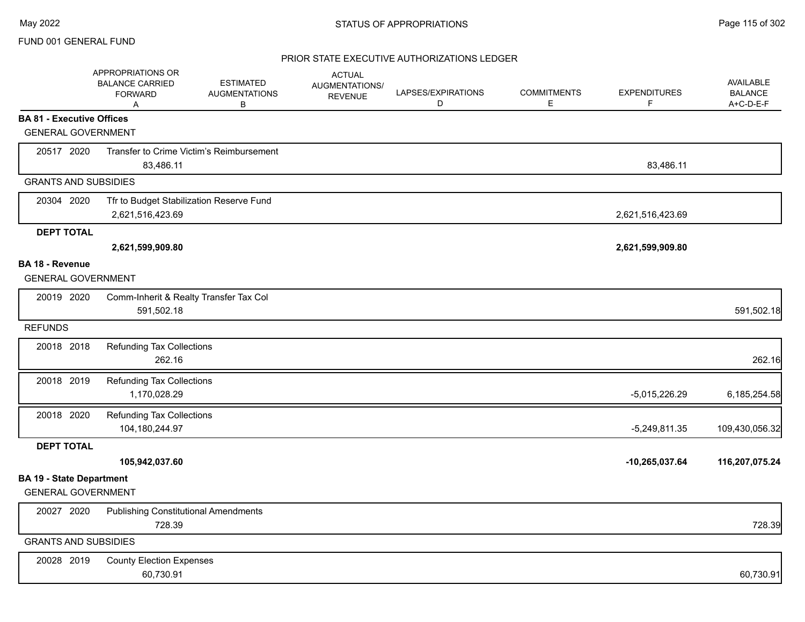### PRIOR STATE EXECUTIVE AUTHORIZATIONS LEDGER

|                                  | APPROPRIATIONS OR<br><b>BALANCE CARRIED</b><br><b>FORWARD</b><br>Α | <b>ESTIMATED</b><br><b>AUGMENTATIONS</b><br>в | <b>ACTUAL</b><br>AUGMENTATIONS/<br><b>REVENUE</b> | LAPSES/EXPIRATIONS<br>D | <b>COMMITMENTS</b><br>E. | <b>EXPENDITURES</b><br>F | <b>AVAILABLE</b><br><b>BALANCE</b><br>A+C-D-E-F |
|----------------------------------|--------------------------------------------------------------------|-----------------------------------------------|---------------------------------------------------|-------------------------|--------------------------|--------------------------|-------------------------------------------------|
| <b>BA 81 - Executive Offices</b> |                                                                    |                                               |                                                   |                         |                          |                          |                                                 |
| <b>GENERAL GOVERNMENT</b>        |                                                                    |                                               |                                                   |                         |                          |                          |                                                 |
| 20517 2020                       |                                                                    | Transfer to Crime Victim's Reimbursement      |                                                   |                         |                          |                          |                                                 |
|                                  | 83,486.11                                                          |                                               |                                                   |                         |                          | 83,486.11                |                                                 |
| <b>GRANTS AND SUBSIDIES</b>      |                                                                    |                                               |                                                   |                         |                          |                          |                                                 |
| 20304 2020                       | Tfr to Budget Stabilization Reserve Fund                           |                                               |                                                   |                         |                          |                          |                                                 |
|                                  | 2,621,516,423.69                                                   |                                               |                                                   |                         |                          | 2,621,516,423.69         |                                                 |
| <b>DEPT TOTAL</b>                |                                                                    |                                               |                                                   |                         |                          |                          |                                                 |
|                                  | 2,621,599,909.80                                                   |                                               |                                                   |                         |                          | 2,621,599,909.80         |                                                 |
| BA 18 - Revenue                  |                                                                    |                                               |                                                   |                         |                          |                          |                                                 |
| <b>GENERAL GOVERNMENT</b>        |                                                                    |                                               |                                                   |                         |                          |                          |                                                 |
| 20019 2020                       | Comm-Inherit & Realty Transfer Tax Col                             |                                               |                                                   |                         |                          |                          |                                                 |
|                                  | 591,502.18                                                         |                                               |                                                   |                         |                          |                          | 591,502.18                                      |
| <b>REFUNDS</b>                   |                                                                    |                                               |                                                   |                         |                          |                          |                                                 |
| 20018 2018                       | <b>Refunding Tax Collections</b>                                   |                                               |                                                   |                         |                          |                          |                                                 |
|                                  | 262.16                                                             |                                               |                                                   |                         |                          |                          | 262.16                                          |
| 20018 2019                       | <b>Refunding Tax Collections</b>                                   |                                               |                                                   |                         |                          |                          |                                                 |
|                                  | 1,170,028.29                                                       |                                               |                                                   |                         |                          | $-5,015,226.29$          | 6,185,254.58                                    |
| 20018 2020                       | <b>Refunding Tax Collections</b>                                   |                                               |                                                   |                         |                          |                          |                                                 |
|                                  | 104,180,244.97                                                     |                                               |                                                   |                         |                          | $-5,249,811.35$          | 109,430,056.32                                  |
| <b>DEPT TOTAL</b>                |                                                                    |                                               |                                                   |                         |                          |                          |                                                 |
|                                  | 105,942,037.60                                                     |                                               |                                                   |                         |                          | $-10,265,037.64$         | 116,207,075.24                                  |
| <b>BA 19 - State Department</b>  |                                                                    |                                               |                                                   |                         |                          |                          |                                                 |
| <b>GENERAL GOVERNMENT</b>        |                                                                    |                                               |                                                   |                         |                          |                          |                                                 |
| 20027 2020                       | <b>Publishing Constitutional Amendments</b>                        |                                               |                                                   |                         |                          |                          |                                                 |
|                                  | 728.39                                                             |                                               |                                                   |                         |                          |                          | 728.39                                          |
| <b>GRANTS AND SUBSIDIES</b>      |                                                                    |                                               |                                                   |                         |                          |                          |                                                 |
| 20028 2019                       | <b>County Election Expenses</b>                                    |                                               |                                                   |                         |                          |                          |                                                 |
|                                  | 60,730.91                                                          |                                               |                                                   |                         |                          |                          | 60,730.91                                       |
|                                  |                                                                    |                                               |                                                   |                         |                          |                          |                                                 |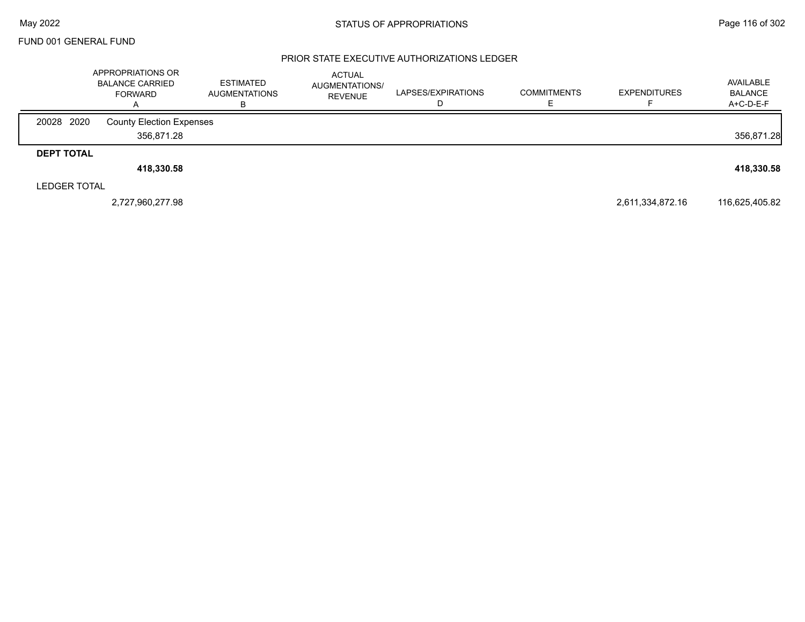#### PRIOR STATE EXECUTIVE AUTHORIZATIONS LEDGER

|                     | APPROPRIATIONS OR<br><b>BALANCE CARRIED</b><br><b>FORWARD</b> | <b>ESTIMATED</b><br><b>AUGMENTATIONS</b> | <b>ACTUAL</b><br>AUGMENTATIONS/<br><b>REVENUE</b> | LAPSES/EXPIRATIONS | <b>COMMITMENTS</b> | <b>EXPENDITURES</b> | AVAILABLE<br><b>BALANCE</b><br>A+C-D-E-F |
|---------------------|---------------------------------------------------------------|------------------------------------------|---------------------------------------------------|--------------------|--------------------|---------------------|------------------------------------------|
| 20028 2020          | <b>County Election Expenses</b>                               |                                          |                                                   |                    |                    |                     |                                          |
|                     | 356,871.28                                                    |                                          |                                                   |                    |                    |                     | 356,871.28                               |
| <b>DEPT TOTAL</b>   |                                                               |                                          |                                                   |                    |                    |                     |                                          |
|                     | 418,330.58                                                    |                                          |                                                   |                    |                    |                     | 418,330.58                               |
| <b>LEDGER TOTAL</b> |                                                               |                                          |                                                   |                    |                    |                     |                                          |
|                     | 2,727,960,277.98                                              |                                          |                                                   |                    |                    | 2,611,334,872.16    | 116,625,405.82                           |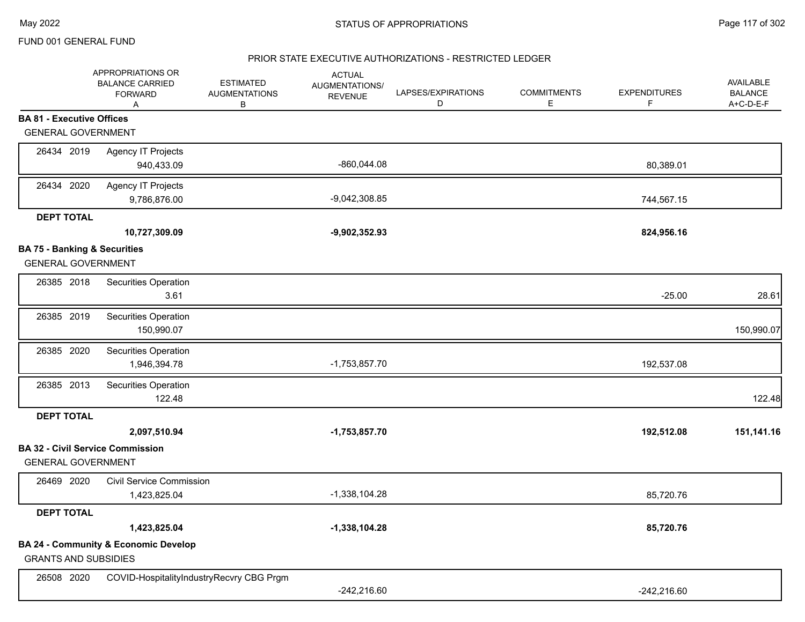### PRIOR STATE EXECUTIVE AUTHORIZATIONS - RESTRICTED LEDGER

|                                         | APPROPRIATIONS OR<br><b>BALANCE CARRIED</b><br><b>FORWARD</b><br>Α | <b>ESTIMATED</b><br><b>AUGMENTATIONS</b><br>В | <b>ACTUAL</b><br>AUGMENTATIONS/<br><b>REVENUE</b> | LAPSES/EXPIRATIONS<br>D | <b>COMMITMENTS</b><br>E. | <b>EXPENDITURES</b><br>F | AVAILABLE<br><b>BALANCE</b><br>A+C-D-E-F |
|-----------------------------------------|--------------------------------------------------------------------|-----------------------------------------------|---------------------------------------------------|-------------------------|--------------------------|--------------------------|------------------------------------------|
| <b>BA 81 - Executive Offices</b>        |                                                                    |                                               |                                                   |                         |                          |                          |                                          |
| <b>GENERAL GOVERNMENT</b>               |                                                                    |                                               |                                                   |                         |                          |                          |                                          |
| 26434 2019                              | <b>Agency IT Projects</b><br>940,433.09                            |                                               | -860,044.08                                       |                         |                          | 80,389.01                |                                          |
| 26434 2020                              | <b>Agency IT Projects</b><br>9,786,876.00                          |                                               | $-9,042,308.85$                                   |                         |                          | 744,567.15               |                                          |
| <b>DEPT TOTAL</b>                       |                                                                    |                                               |                                                   |                         |                          |                          |                                          |
|                                         | 10,727,309.09                                                      |                                               | $-9,902,352.93$                                   |                         |                          | 824,956.16               |                                          |
| <b>BA 75 - Banking &amp; Securities</b> |                                                                    |                                               |                                                   |                         |                          |                          |                                          |
| <b>GENERAL GOVERNMENT</b>               |                                                                    |                                               |                                                   |                         |                          |                          |                                          |
| 26385 2018                              | Securities Operation<br>3.61                                       |                                               |                                                   |                         |                          | $-25.00$                 | 28.61                                    |
| 26385 2019                              | Securities Operation<br>150,990.07                                 |                                               |                                                   |                         |                          |                          | 150,990.07                               |
| 26385 2020                              | Securities Operation<br>1,946,394.78                               |                                               | $-1,753,857.70$                                   |                         |                          | 192,537.08               |                                          |
| 26385 2013                              | Securities Operation<br>122.48                                     |                                               |                                                   |                         |                          |                          | 122.48                                   |
| <b>DEPT TOTAL</b>                       |                                                                    |                                               |                                                   |                         |                          |                          |                                          |
|                                         | 2,097,510.94                                                       |                                               | $-1,753,857.70$                                   |                         |                          | 192,512.08               | 151,141.16                               |
| <b>GENERAL GOVERNMENT</b>               | <b>BA 32 - Civil Service Commission</b>                            |                                               |                                                   |                         |                          |                          |                                          |
| 26469 2020                              | <b>Civil Service Commission</b><br>1,423,825.04                    |                                               | $-1,338,104.28$                                   |                         |                          | 85,720.76                |                                          |
| <b>DEPT TOTAL</b>                       |                                                                    |                                               |                                                   |                         |                          |                          |                                          |
|                                         | 1,423,825.04                                                       |                                               | $-1,338,104.28$                                   |                         |                          | 85,720.76                |                                          |
| <b>GRANTS AND SUBSIDIES</b>             | <b>BA 24 - Community &amp; Economic Develop</b>                    |                                               |                                                   |                         |                          |                          |                                          |
| 26508 2020                              | COVID-HospitalityIndustryRecvry CBG Prgm                           |                                               | $-242,216.60$                                     |                         |                          | $-242,216.60$            |                                          |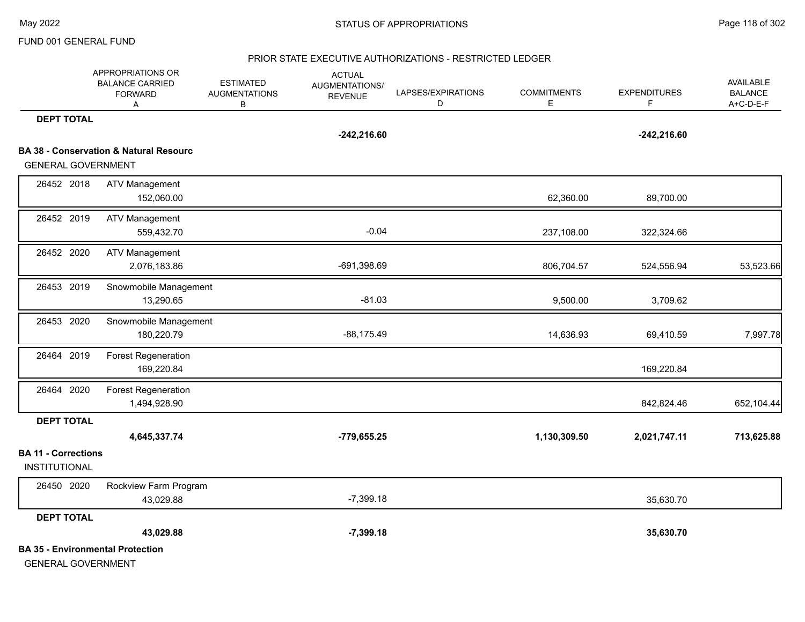#### PRIOR STATE EXECUTIVE AUTHORIZATIONS - RESTRICTED LEDGER

|                                                    | APPROPRIATIONS OR<br><b>BALANCE CARRIED</b><br><b>FORWARD</b><br>Α | <b>ESTIMATED</b><br><b>AUGMENTATIONS</b><br>В | <b>ACTUAL</b><br>AUGMENTATIONS/<br><b>REVENUE</b> | LAPSES/EXPIRATIONS<br>D | <b>COMMITMENTS</b><br>E. | <b>EXPENDITURES</b><br>F. | AVAILABLE<br><b>BALANCE</b><br>A+C-D-E-F |
|----------------------------------------------------|--------------------------------------------------------------------|-----------------------------------------------|---------------------------------------------------|-------------------------|--------------------------|---------------------------|------------------------------------------|
| <b>DEPT TOTAL</b>                                  |                                                                    |                                               | $-242,216.60$                                     |                         |                          | $-242,216.60$             |                                          |
|                                                    | <b>BA 38 - Conservation &amp; Natural Resourc</b>                  |                                               |                                                   |                         |                          |                           |                                          |
| <b>GENERAL GOVERNMENT</b>                          |                                                                    |                                               |                                                   |                         |                          |                           |                                          |
| 26452 2018                                         | <b>ATV Management</b><br>152,060.00                                |                                               |                                                   |                         | 62,360.00                | 89,700.00                 |                                          |
| 26452 2019                                         | <b>ATV Management</b><br>559,432.70                                |                                               | $-0.04$                                           |                         | 237,108.00               | 322,324.66                |                                          |
| 26452 2020                                         | <b>ATV Management</b><br>2,076,183.86                              |                                               | -691,398.69                                       |                         | 806,704.57               | 524,556.94                | 53,523.66                                |
| 26453 2019                                         | Snowmobile Management<br>13,290.65                                 |                                               | $-81.03$                                          |                         | 9,500.00                 | 3,709.62                  |                                          |
| 26453 2020                                         | Snowmobile Management<br>180,220.79                                |                                               | $-88,175.49$                                      |                         | 14,636.93                | 69,410.59                 | 7,997.78                                 |
| 26464 2019                                         | <b>Forest Regeneration</b><br>169,220.84                           |                                               |                                                   |                         |                          | 169,220.84                |                                          |
| 26464 2020                                         | Forest Regeneration<br>1,494,928.90                                |                                               |                                                   |                         |                          | 842,824.46                | 652,104.44                               |
| <b>DEPT TOTAL</b>                                  | 4,645,337.74                                                       |                                               | $-779,655.25$                                     |                         | 1,130,309.50             | 2,021,747.11              | 713,625.88                               |
| <b>BA 11 - Corrections</b><br><b>INSTITUTIONAL</b> |                                                                    |                                               |                                                   |                         |                          |                           |                                          |
| 26450 2020                                         | Rockview Farm Program<br>43,029.88                                 |                                               | $-7,399.18$                                       |                         |                          | 35,630.70                 |                                          |
| <b>DEPT TOTAL</b>                                  |                                                                    |                                               |                                                   |                         |                          |                           |                                          |
|                                                    | 43,029.88                                                          |                                               | $-7,399.18$                                       |                         |                          | 35,630.70                 |                                          |
| <b>GENERAL GOVERNMENT</b>                          | <b>BA 35 - Environmental Protection</b>                            |                                               |                                                   |                         |                          |                           |                                          |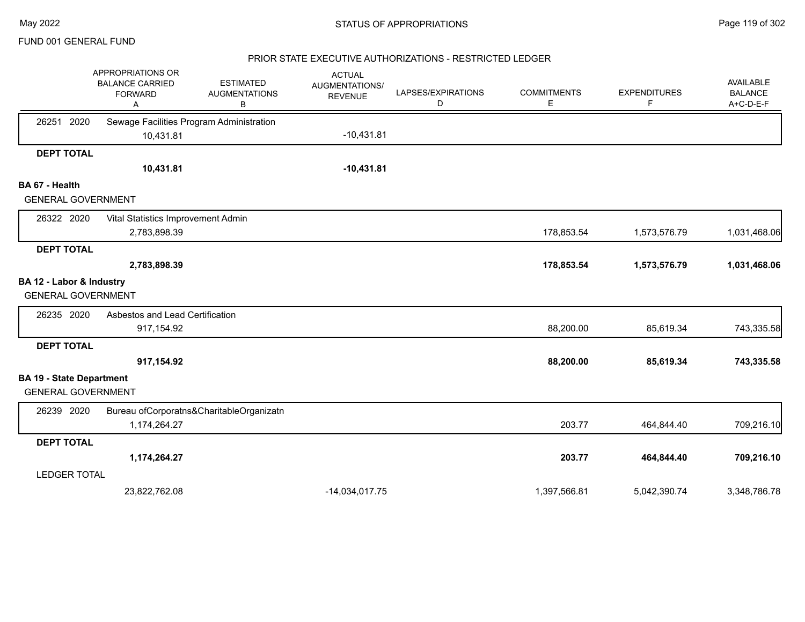### PRIOR STATE EXECUTIVE AUTHORIZATIONS - RESTRICTED LEDGER

|                                 | APPROPRIATIONS OR<br><b>BALANCE CARRIED</b><br><b>FORWARD</b><br>Α | <b>ESTIMATED</b><br><b>AUGMENTATIONS</b><br>в | <b>ACTUAL</b><br>AUGMENTATIONS/<br><b>REVENUE</b> | LAPSES/EXPIRATIONS<br>D | <b>COMMITMENTS</b><br>E | <b>EXPENDITURES</b><br>F | AVAILABLE<br><b>BALANCE</b><br>A+C-D-E-F |
|---------------------------------|--------------------------------------------------------------------|-----------------------------------------------|---------------------------------------------------|-------------------------|-------------------------|--------------------------|------------------------------------------|
| 26251 2020                      | Sewage Facilities Program Administration                           |                                               |                                                   |                         |                         |                          |                                          |
|                                 | 10,431.81                                                          |                                               | $-10,431.81$                                      |                         |                         |                          |                                          |
| <b>DEPT TOTAL</b>               |                                                                    |                                               |                                                   |                         |                         |                          |                                          |
|                                 | 10,431.81                                                          |                                               | $-10,431.81$                                      |                         |                         |                          |                                          |
| BA 67 - Health                  |                                                                    |                                               |                                                   |                         |                         |                          |                                          |
| <b>GENERAL GOVERNMENT</b>       |                                                                    |                                               |                                                   |                         |                         |                          |                                          |
| 26322 2020                      | Vital Statistics Improvement Admin                                 |                                               |                                                   |                         |                         |                          |                                          |
|                                 | 2,783,898.39                                                       |                                               |                                                   |                         | 178,853.54              | 1,573,576.79             | 1,031,468.06                             |
| <b>DEPT TOTAL</b>               |                                                                    |                                               |                                                   |                         |                         |                          |                                          |
|                                 | 2,783,898.39                                                       |                                               |                                                   |                         | 178,853.54              | 1,573,576.79             | 1,031,468.06                             |
| BA 12 - Labor & Industry        |                                                                    |                                               |                                                   |                         |                         |                          |                                          |
| <b>GENERAL GOVERNMENT</b>       |                                                                    |                                               |                                                   |                         |                         |                          |                                          |
| 26235 2020                      | Asbestos and Lead Certification                                    |                                               |                                                   |                         |                         |                          |                                          |
|                                 | 917,154.92                                                         |                                               |                                                   |                         | 88,200.00               | 85,619.34                | 743,335.58                               |
| <b>DEPT TOTAL</b>               |                                                                    |                                               |                                                   |                         |                         |                          |                                          |
|                                 | 917,154.92                                                         |                                               |                                                   |                         | 88,200.00               | 85,619.34                | 743,335.58                               |
| <b>BA 19 - State Department</b> |                                                                    |                                               |                                                   |                         |                         |                          |                                          |
| <b>GENERAL GOVERNMENT</b>       |                                                                    |                                               |                                                   |                         |                         |                          |                                          |
| 26239 2020                      |                                                                    | Bureau ofCorporatns&CharitableOrganizatn      |                                                   |                         |                         |                          |                                          |
|                                 | 1,174,264.27                                                       |                                               |                                                   |                         | 203.77                  | 464,844.40               | 709,216.10                               |
| <b>DEPT TOTAL</b>               |                                                                    |                                               |                                                   |                         |                         |                          |                                          |
|                                 | 1,174,264.27                                                       |                                               |                                                   |                         | 203.77                  | 464,844.40               | 709,216.10                               |
| <b>LEDGER TOTAL</b>             |                                                                    |                                               |                                                   |                         |                         |                          |                                          |
|                                 | 23,822,762.08                                                      |                                               | $-14,034,017.75$                                  |                         | 1,397,566.81            | 5,042,390.74             | 3,348,786.78                             |
|                                 |                                                                    |                                               |                                                   |                         |                         |                          |                                          |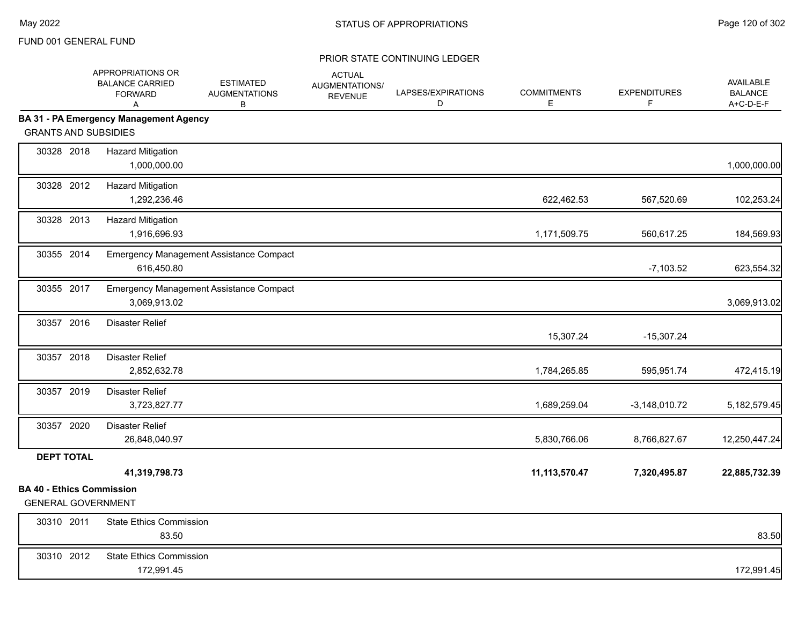|                                                               | APPROPRIATIONS OR<br><b>BALANCE CARRIED</b><br><b>FORWARD</b><br>Α | <b>ESTIMATED</b><br><b>AUGMENTATIONS</b><br>В | <b>ACTUAL</b><br>AUGMENTATIONS/<br><b>REVENUE</b> | LAPSES/EXPIRATIONS<br>D | <b>COMMITMENTS</b><br>Е | <b>EXPENDITURES</b><br>F | AVAILABLE<br><b>BALANCE</b><br>A+C-D-E-F |
|---------------------------------------------------------------|--------------------------------------------------------------------|-----------------------------------------------|---------------------------------------------------|-------------------------|-------------------------|--------------------------|------------------------------------------|
|                                                               | <b>BA 31 - PA Emergency Management Agency</b>                      |                                               |                                                   |                         |                         |                          |                                          |
| <b>GRANTS AND SUBSIDIES</b>                                   |                                                                    |                                               |                                                   |                         |                         |                          |                                          |
| 30328 2018                                                    | <b>Hazard Mitigation</b><br>1,000,000.00                           |                                               |                                                   |                         |                         |                          | 1,000,000.00                             |
| 30328 2012                                                    | <b>Hazard Mitigation</b><br>1,292,236.46                           |                                               |                                                   |                         | 622,462.53              | 567,520.69               | 102,253.24                               |
| 30328 2013                                                    | <b>Hazard Mitigation</b><br>1,916,696.93                           |                                               |                                                   |                         | 1,171,509.75            | 560,617.25               | 184,569.93                               |
| 30355 2014                                                    | 616,450.80                                                         | Emergency Management Assistance Compact       |                                                   |                         |                         | $-7,103.52$              | 623,554.32                               |
| 30355 2017                                                    | 3,069,913.02                                                       | Emergency Management Assistance Compact       |                                                   |                         |                         |                          | 3,069,913.02                             |
| 30357 2016                                                    | <b>Disaster Relief</b>                                             |                                               |                                                   |                         | 15,307.24               | $-15,307.24$             |                                          |
| 30357 2018                                                    | <b>Disaster Relief</b><br>2,852,632.78                             |                                               |                                                   |                         | 1,784,265.85            | 595,951.74               | 472,415.19                               |
| 30357 2019                                                    | <b>Disaster Relief</b><br>3,723,827.77                             |                                               |                                                   |                         | 1,689,259.04            | $-3,148,010.72$          | 5,182,579.45                             |
| 30357 2020                                                    | <b>Disaster Relief</b><br>26,848,040.97                            |                                               |                                                   |                         | 5,830,766.06            | 8,766,827.67             | 12,250,447.24                            |
| <b>DEPT TOTAL</b>                                             |                                                                    |                                               |                                                   |                         |                         |                          |                                          |
|                                                               | 41,319,798.73                                                      |                                               |                                                   |                         | 11,113,570.47           | 7,320,495.87             | 22,885,732.39                            |
| <b>BA 40 - Ethics Commission</b><br><b>GENERAL GOVERNMENT</b> |                                                                    |                                               |                                                   |                         |                         |                          |                                          |
| 30310 2011                                                    | <b>State Ethics Commission</b><br>83.50                            |                                               |                                                   |                         |                         |                          | 83.50                                    |
| 30310 2012                                                    | <b>State Ethics Commission</b><br>172,991.45                       |                                               |                                                   |                         |                         |                          | 172,991.45                               |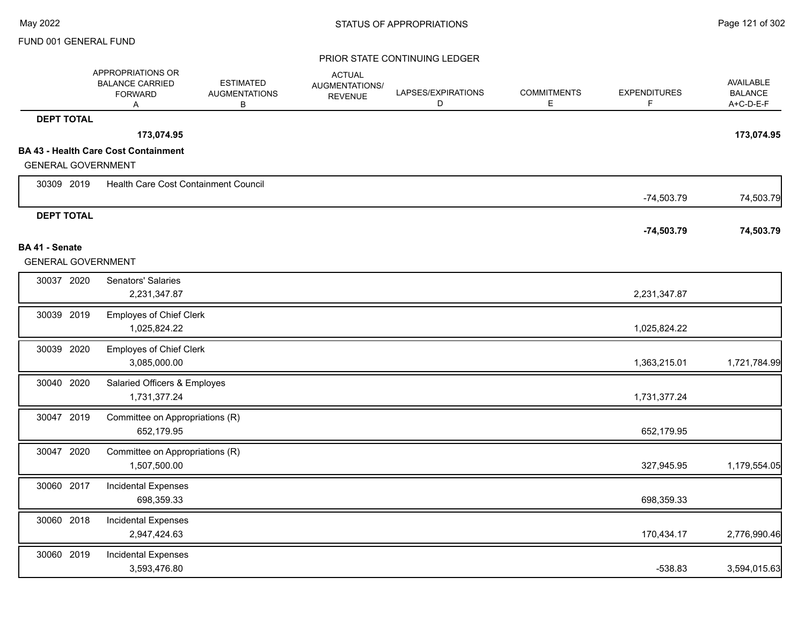|                           | APPROPRIATIONS OR<br><b>BALANCE CARRIED</b><br><b>FORWARD</b><br>Α | <b>ESTIMATED</b><br><b>AUGMENTATIONS</b><br>В | <b>ACTUAL</b><br>AUGMENTATIONS/<br><b>REVENUE</b> | LAPSES/EXPIRATIONS<br>D | <b>COMMITMENTS</b><br>Е | <b>EXPENDITURES</b><br>F | <b>AVAILABLE</b><br><b>BALANCE</b><br>A+C-D-E-F |
|---------------------------|--------------------------------------------------------------------|-----------------------------------------------|---------------------------------------------------|-------------------------|-------------------------|--------------------------|-------------------------------------------------|
| <b>DEPT TOTAL</b>         |                                                                    |                                               |                                                   |                         |                         |                          |                                                 |
|                           | 173,074.95                                                         |                                               |                                                   |                         |                         |                          | 173,074.95                                      |
| <b>GENERAL GOVERNMENT</b> | <b>BA 43 - Health Care Cost Containment</b>                        |                                               |                                                   |                         |                         |                          |                                                 |
|                           |                                                                    |                                               |                                                   |                         |                         |                          |                                                 |
| 30309 2019                | Health Care Cost Containment Council                               |                                               |                                                   |                         |                         | $-74,503.79$             | 74,503.79                                       |
| <b>DEPT TOTAL</b>         |                                                                    |                                               |                                                   |                         |                         |                          |                                                 |
|                           |                                                                    |                                               |                                                   |                         |                         | $-74,503.79$             | 74,503.79                                       |
| BA 41 - Senate            |                                                                    |                                               |                                                   |                         |                         |                          |                                                 |
| <b>GENERAL GOVERNMENT</b> |                                                                    |                                               |                                                   |                         |                         |                          |                                                 |
| 30037 2020                | Senators' Salaries                                                 |                                               |                                                   |                         |                         |                          |                                                 |
|                           | 2,231,347.87                                                       |                                               |                                                   |                         |                         | 2,231,347.87             |                                                 |
| 30039 2019                | <b>Employes of Chief Clerk</b>                                     |                                               |                                                   |                         |                         |                          |                                                 |
|                           | 1,025,824.22                                                       |                                               |                                                   |                         |                         | 1,025,824.22             |                                                 |
| 30039 2020                | <b>Employes of Chief Clerk</b>                                     |                                               |                                                   |                         |                         |                          |                                                 |
|                           | 3,085,000.00                                                       |                                               |                                                   |                         |                         | 1,363,215.01             | 1,721,784.99                                    |
| 30040 2020                | Salaried Officers & Employes                                       |                                               |                                                   |                         |                         |                          |                                                 |
|                           | 1,731,377.24                                                       |                                               |                                                   |                         |                         | 1,731,377.24             |                                                 |
| 30047 2019                | Committee on Appropriations (R)                                    |                                               |                                                   |                         |                         |                          |                                                 |
|                           | 652,179.95                                                         |                                               |                                                   |                         |                         | 652,179.95               |                                                 |
| 30047 2020                | Committee on Appropriations (R)                                    |                                               |                                                   |                         |                         |                          |                                                 |
|                           | 1,507,500.00                                                       |                                               |                                                   |                         |                         | 327,945.95               | 1,179,554.05                                    |
| 30060 2017                | <b>Incidental Expenses</b>                                         |                                               |                                                   |                         |                         |                          |                                                 |
|                           | 698,359.33                                                         |                                               |                                                   |                         |                         | 698,359.33               |                                                 |
| 30060 2018                | <b>Incidental Expenses</b>                                         |                                               |                                                   |                         |                         |                          |                                                 |
|                           | 2,947,424.63                                                       |                                               |                                                   |                         |                         | 170,434.17               | 2,776,990.46                                    |
| 30060 2019                | <b>Incidental Expenses</b>                                         |                                               |                                                   |                         |                         |                          |                                                 |
|                           | 3,593,476.80                                                       |                                               |                                                   |                         |                         | $-538.83$                | 3,594,015.63                                    |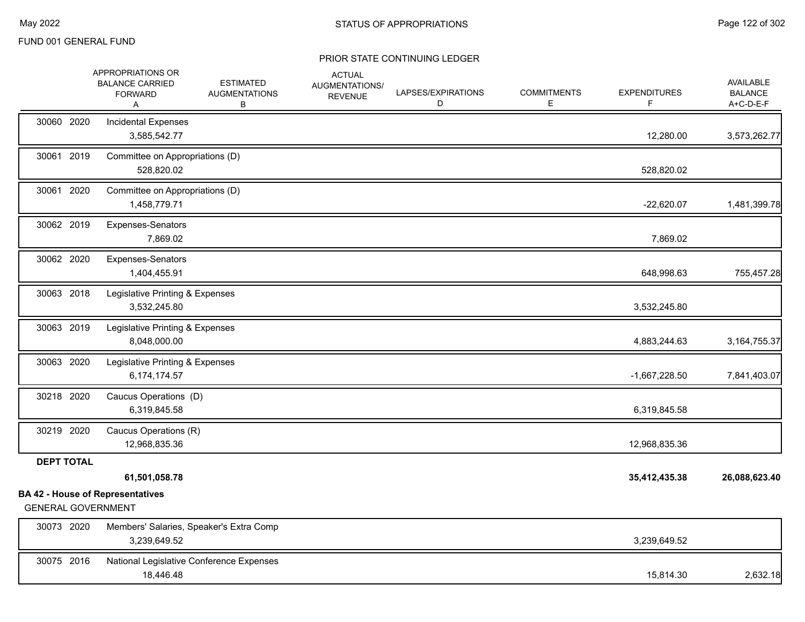|                           | APPROPRIATIONS OR<br><b>BALANCE CARRIED</b><br><b>FORWARD</b><br>A | <b>ESTIMATED</b><br><b>AUGMENTATIONS</b><br>В | <b>ACTUAL</b><br>AUGMENTATIONS/<br><b>REVENUE</b> | LAPSES/EXPIRATIONS<br>D | <b>COMMITMENTS</b><br>Е | <b>EXPENDITURES</b><br>F. | AVAILABLE<br><b>BALANCE</b><br>A+C-D-E-F |
|---------------------------|--------------------------------------------------------------------|-----------------------------------------------|---------------------------------------------------|-------------------------|-------------------------|---------------------------|------------------------------------------|
| 30060 2020                | <b>Incidental Expenses</b><br>3,585,542.77                         |                                               |                                                   |                         |                         | 12,280.00                 | 3,573,262.77                             |
| 30061 2019                | Committee on Appropriations (D)<br>528,820.02                      |                                               |                                                   |                         |                         | 528,820.02                |                                          |
| 30061 2020                | Committee on Appropriations (D)<br>1,458,779.71                    |                                               |                                                   |                         |                         | $-22,620.07$              | 1,481,399.78                             |
| 30062 2019                | <b>Expenses-Senators</b><br>7,869.02                               |                                               |                                                   |                         |                         | 7,869.02                  |                                          |
| 30062 2020                | Expenses-Senators<br>1,404,455.91                                  |                                               |                                                   |                         |                         | 648,998.63                | 755,457.28                               |
| 30063 2018                | Legislative Printing & Expenses<br>3,532,245.80                    |                                               |                                                   |                         |                         | 3,532,245.80              |                                          |
| 30063 2019                | Legislative Printing & Expenses<br>8,048,000.00                    |                                               |                                                   |                         |                         | 4,883,244.63              | 3, 164, 755. 37                          |
| 30063 2020                | Legislative Printing & Expenses<br>6,174,174.57                    |                                               |                                                   |                         |                         | $-1,667,228.50$           | 7,841,403.07                             |
| 30218 2020                | Caucus Operations (D)<br>6,319,845.58                              |                                               |                                                   |                         |                         | 6,319,845.58              |                                          |
| 30219 2020                | Caucus Operations (R)<br>12,968,835.36                             |                                               |                                                   |                         |                         | 12,968,835.36             |                                          |
| <b>DEPT TOTAL</b>         | 61,501,058.78                                                      |                                               |                                                   |                         |                         | 35,412,435.38             | 26,088,623.40                            |
| <b>GENERAL GOVERNMENT</b> | <b>BA 42 - House of Representatives</b>                            |                                               |                                                   |                         |                         |                           |                                          |
| 30073 2020                | 3,239,649.52                                                       | Members' Salaries, Speaker's Extra Comp       |                                                   |                         |                         | 3,239,649.52              |                                          |
| 30075 2016                | 18,446.48                                                          | National Legislative Conference Expenses      |                                                   |                         |                         | 15,814.30                 | 2,632.18                                 |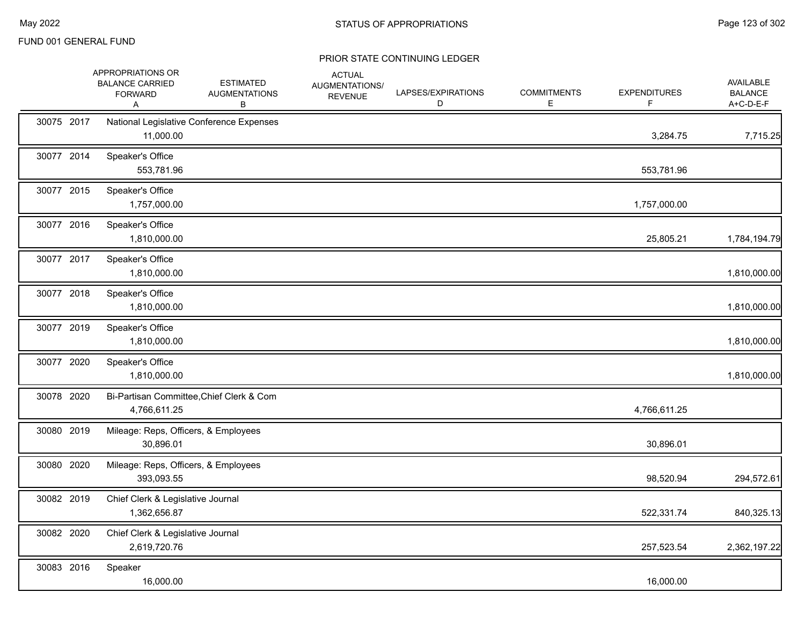|            | APPROPRIATIONS OR<br><b>BALANCE CARRIED</b><br><b>FORWARD</b><br>A | <b>ESTIMATED</b><br><b>AUGMENTATIONS</b><br>В | <b>ACTUAL</b><br>AUGMENTATIONS/<br><b>REVENUE</b> | LAPSES/EXPIRATIONS<br>D | <b>COMMITMENTS</b><br>E | <b>EXPENDITURES</b><br>F. | AVAILABLE<br><b>BALANCE</b><br>A+C-D-E-F |
|------------|--------------------------------------------------------------------|-----------------------------------------------|---------------------------------------------------|-------------------------|-------------------------|---------------------------|------------------------------------------|
| 30075 2017 | 11,000.00                                                          | National Legislative Conference Expenses      |                                                   |                         |                         | 3,284.75                  | 7,715.25                                 |
| 30077 2014 | Speaker's Office<br>553,781.96                                     |                                               |                                                   |                         |                         | 553,781.96                |                                          |
| 30077 2015 | Speaker's Office<br>1,757,000.00                                   |                                               |                                                   |                         |                         | 1,757,000.00              |                                          |
| 30077 2016 | Speaker's Office<br>1,810,000.00                                   |                                               |                                                   |                         |                         | 25,805.21                 | 1,784,194.79                             |
| 30077 2017 | Speaker's Office<br>1,810,000.00                                   |                                               |                                                   |                         |                         |                           | 1,810,000.00                             |
| 30077 2018 | Speaker's Office<br>1,810,000.00                                   |                                               |                                                   |                         |                         |                           | 1,810,000.00                             |
| 30077 2019 | Speaker's Office<br>1,810,000.00                                   |                                               |                                                   |                         |                         |                           | 1,810,000.00                             |
| 30077 2020 | Speaker's Office<br>1,810,000.00                                   |                                               |                                                   |                         |                         |                           | 1,810,000.00                             |
| 30078 2020 | 4,766,611.25                                                       | Bi-Partisan Committee, Chief Clerk & Com      |                                                   |                         |                         | 4,766,611.25              |                                          |
| 30080 2019 | Mileage: Reps, Officers, & Employees<br>30,896.01                  |                                               |                                                   |                         |                         | 30,896.01                 |                                          |
| 30080 2020 | Mileage: Reps, Officers, & Employees<br>393,093.55                 |                                               |                                                   |                         |                         | 98,520.94                 | 294,572.61                               |
| 30082 2019 | Chief Clerk & Legislative Journal<br>1,362,656.87                  |                                               |                                                   |                         |                         | 522,331.74                | 840,325.13                               |
| 30082 2020 | Chief Clerk & Legislative Journal<br>2,619,720.76                  |                                               |                                                   |                         |                         | 257,523.54                | 2,362,197.22                             |
| 30083 2016 | Speaker<br>16,000.00                                               |                                               |                                                   |                         |                         | 16,000.00                 |                                          |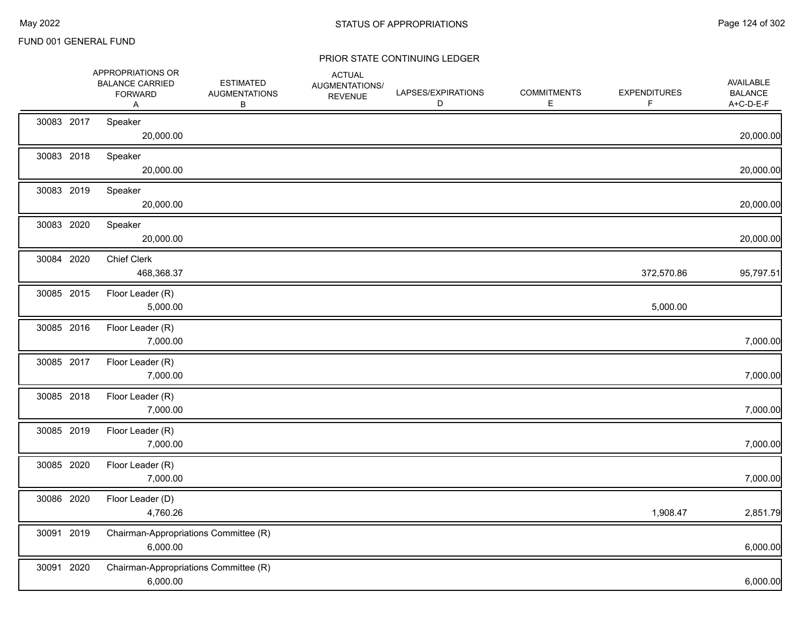|            | APPROPRIATIONS OR<br><b>BALANCE CARRIED</b><br><b>FORWARD</b><br>Α | <b>ESTIMATED</b><br><b>AUGMENTATIONS</b><br>В | <b>ACTUAL</b><br>AUGMENTATIONS/<br><b>REVENUE</b> | LAPSES/EXPIRATIONS<br>D | <b>COMMITMENTS</b><br>Е | <b>EXPENDITURES</b> | AVAILABLE<br><b>BALANCE</b><br>A+C-D-E-F |
|------------|--------------------------------------------------------------------|-----------------------------------------------|---------------------------------------------------|-------------------------|-------------------------|---------------------|------------------------------------------|
| 30083 2017 | Speaker<br>20,000.00                                               |                                               |                                                   |                         |                         |                     | 20,000.00                                |
| 30083 2018 | Speaker<br>20,000.00                                               |                                               |                                                   |                         |                         |                     | 20,000.00                                |
| 30083 2019 | Speaker<br>20,000.00                                               |                                               |                                                   |                         |                         |                     | 20,000.00                                |
| 30083 2020 | Speaker<br>20,000.00                                               |                                               |                                                   |                         |                         |                     | 20,000.00                                |
| 30084 2020 | <b>Chief Clerk</b><br>468,368.37                                   |                                               |                                                   |                         |                         | 372,570.86          | 95,797.51                                |
| 30085 2015 | Floor Leader (R)<br>5,000.00                                       |                                               |                                                   |                         |                         | 5,000.00            |                                          |
| 30085 2016 | Floor Leader (R)<br>7,000.00                                       |                                               |                                                   |                         |                         |                     | 7,000.00                                 |
| 30085 2017 | Floor Leader (R)<br>7,000.00                                       |                                               |                                                   |                         |                         |                     | 7,000.00                                 |
| 30085 2018 | Floor Leader (R)<br>7,000.00                                       |                                               |                                                   |                         |                         |                     | 7,000.00                                 |
| 30085 2019 | Floor Leader (R)<br>7,000.00                                       |                                               |                                                   |                         |                         |                     | 7,000.00                                 |
| 30085 2020 | Floor Leader (R)<br>7,000.00                                       |                                               |                                                   |                         |                         |                     | 7,000.00                                 |
| 30086 2020 | Floor Leader (D)<br>4,760.26                                       |                                               |                                                   |                         |                         | 1,908.47            | 2,851.79                                 |
| 30091 2019 | Chairman-Appropriations Committee (R)<br>6,000.00                  |                                               |                                                   |                         |                         |                     | 6,000.00                                 |
| 30091 2020 | Chairman-Appropriations Committee (R)<br>6,000.00                  |                                               |                                                   |                         |                         |                     | 6,000.00                                 |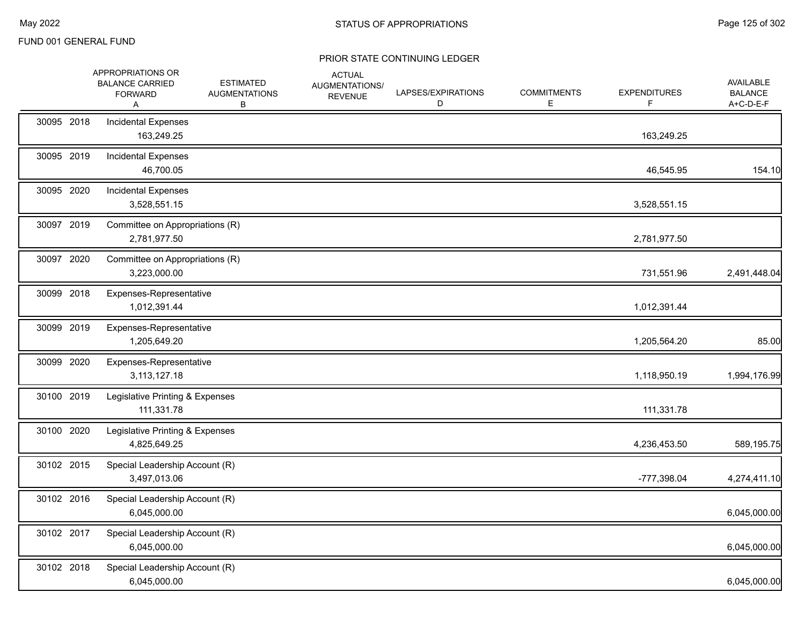|            | APPROPRIATIONS OR<br><b>BALANCE CARRIED</b><br><b>FORWARD</b><br>Α | <b>ESTIMATED</b><br><b>AUGMENTATIONS</b><br>В | <b>ACTUAL</b><br>AUGMENTATIONS/<br><b>REVENUE</b> | LAPSES/EXPIRATIONS<br>D | <b>COMMITMENTS</b><br>Е | <b>EXPENDITURES</b><br>F | AVAILABLE<br><b>BALANCE</b><br>A+C-D-E-F |
|------------|--------------------------------------------------------------------|-----------------------------------------------|---------------------------------------------------|-------------------------|-------------------------|--------------------------|------------------------------------------|
| 30095 2018 | <b>Incidental Expenses</b><br>163,249.25                           |                                               |                                                   |                         |                         | 163,249.25               |                                          |
| 30095 2019 | Incidental Expenses<br>46,700.05                                   |                                               |                                                   |                         |                         | 46,545.95                | 154.10                                   |
| 30095 2020 | <b>Incidental Expenses</b><br>3,528,551.15                         |                                               |                                                   |                         |                         | 3,528,551.15             |                                          |
| 30097 2019 | Committee on Appropriations (R)<br>2,781,977.50                    |                                               |                                                   |                         |                         | 2,781,977.50             |                                          |
| 30097 2020 | Committee on Appropriations (R)<br>3,223,000.00                    |                                               |                                                   |                         |                         | 731,551.96               | 2,491,448.04                             |
| 30099 2018 | Expenses-Representative<br>1,012,391.44                            |                                               |                                                   |                         |                         | 1,012,391.44             |                                          |
| 30099 2019 | Expenses-Representative<br>1,205,649.20                            |                                               |                                                   |                         |                         | 1,205,564.20             | 85.00                                    |
| 30099 2020 | Expenses-Representative<br>3,113,127.18                            |                                               |                                                   |                         |                         | 1,118,950.19             | 1,994,176.99                             |
| 30100 2019 | Legislative Printing & Expenses<br>111,331.78                      |                                               |                                                   |                         |                         | 111,331.78               |                                          |
| 30100 2020 | Legislative Printing & Expenses<br>4,825,649.25                    |                                               |                                                   |                         |                         | 4,236,453.50             | 589,195.75                               |
| 30102 2015 | Special Leadership Account (R)<br>3,497,013.06                     |                                               |                                                   |                         |                         | -777,398.04              | 4,274,411.10                             |
| 30102 2016 | Special Leadership Account (R)<br>6,045,000.00                     |                                               |                                                   |                         |                         |                          | 6,045,000.00                             |
| 30102 2017 | Special Leadership Account (R)<br>6,045,000.00                     |                                               |                                                   |                         |                         |                          | 6,045,000.00                             |
| 30102 2018 | Special Leadership Account (R)<br>6,045,000.00                     |                                               |                                                   |                         |                         |                          | 6,045,000.00                             |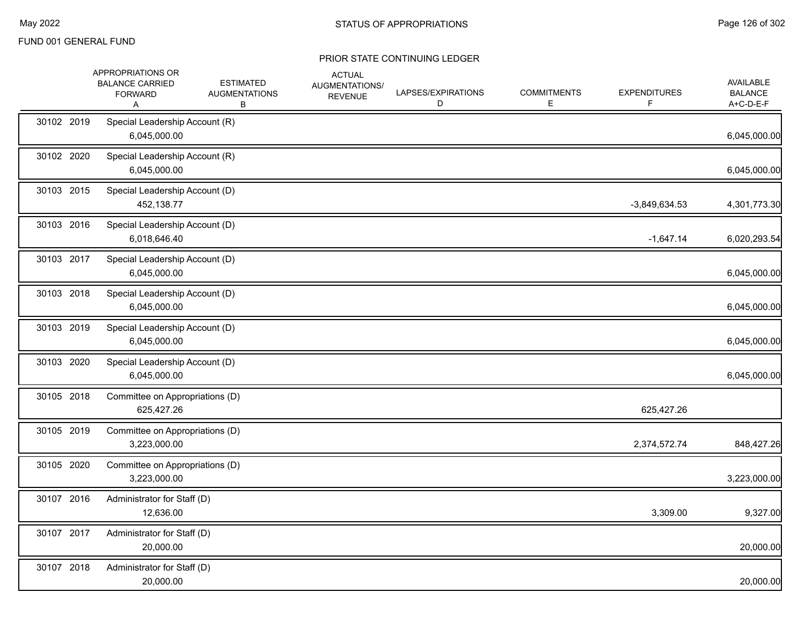|            | APPROPRIATIONS OR<br><b>BALANCE CARRIED</b><br><b>FORWARD</b><br>A | <b>ESTIMATED</b><br><b>AUGMENTATIONS</b><br>В | <b>ACTUAL</b><br>AUGMENTATIONS/<br><b>REVENUE</b> | LAPSES/EXPIRATIONS<br>D | <b>COMMITMENTS</b><br>E | <b>EXPENDITURES</b><br>F | <b>AVAILABLE</b><br><b>BALANCE</b><br>A+C-D-E-F |
|------------|--------------------------------------------------------------------|-----------------------------------------------|---------------------------------------------------|-------------------------|-------------------------|--------------------------|-------------------------------------------------|
| 30102 2019 | Special Leadership Account (R)<br>6,045,000.00                     |                                               |                                                   |                         |                         |                          | 6,045,000.00                                    |
| 30102 2020 | Special Leadership Account (R)<br>6,045,000.00                     |                                               |                                                   |                         |                         |                          | 6,045,000.00                                    |
| 30103 2015 | Special Leadership Account (D)<br>452,138.77                       |                                               |                                                   |                         |                         | $-3,849,634.53$          | 4,301,773.30                                    |
| 30103 2016 | Special Leadership Account (D)<br>6,018,646.40                     |                                               |                                                   |                         |                         | $-1,647.14$              | 6,020,293.54                                    |
| 30103 2017 | Special Leadership Account (D)<br>6,045,000.00                     |                                               |                                                   |                         |                         |                          | 6,045,000.00                                    |
| 30103 2018 | Special Leadership Account (D)<br>6,045,000.00                     |                                               |                                                   |                         |                         |                          | 6,045,000.00                                    |
| 30103 2019 | Special Leadership Account (D)<br>6,045,000.00                     |                                               |                                                   |                         |                         |                          | 6,045,000.00                                    |
| 30103 2020 | Special Leadership Account (D)<br>6,045,000.00                     |                                               |                                                   |                         |                         |                          | 6,045,000.00                                    |
| 30105 2018 | Committee on Appropriations (D)<br>625,427.26                      |                                               |                                                   |                         |                         | 625,427.26               |                                                 |
| 30105 2019 | Committee on Appropriations (D)<br>3,223,000.00                    |                                               |                                                   |                         |                         | 2,374,572.74             | 848,427.26                                      |
| 30105 2020 | Committee on Appropriations (D)<br>3,223,000.00                    |                                               |                                                   |                         |                         |                          | 3,223,000.00                                    |
| 30107 2016 | Administrator for Staff (D)<br>12,636.00                           |                                               |                                                   |                         |                         | 3,309.00                 | 9,327.00                                        |
| 30107 2017 | Administrator for Staff (D)<br>20,000.00                           |                                               |                                                   |                         |                         |                          | 20,000.00                                       |
| 30107 2018 | Administrator for Staff (D)<br>20,000.00                           |                                               |                                                   |                         |                         |                          | 20,000.00                                       |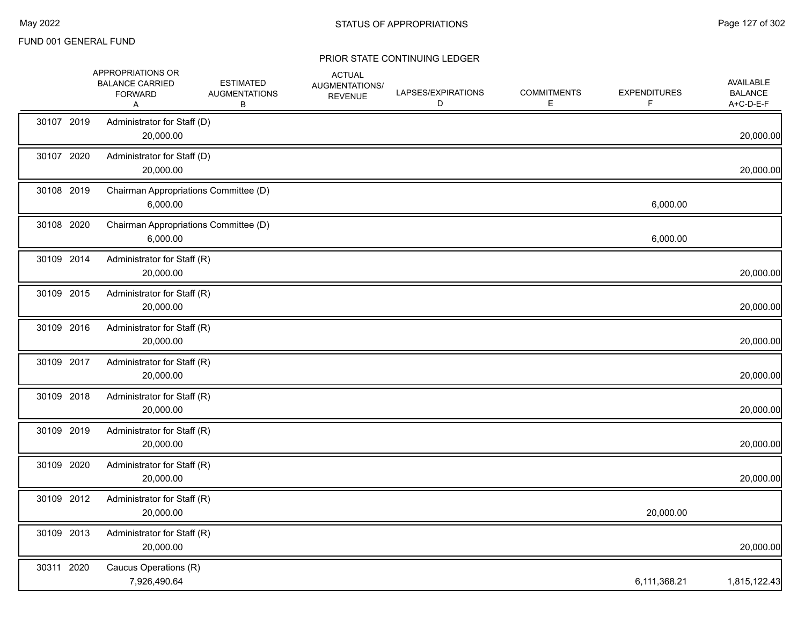|            | APPROPRIATIONS OR<br><b>BALANCE CARRIED</b><br><b>FORWARD</b><br>A | <b>ESTIMATED</b><br><b>AUGMENTATIONS</b><br>В | <b>ACTUAL</b><br><b>AUGMENTATIONS/</b><br><b>REVENUE</b> | LAPSES/EXPIRATIONS<br>D | <b>COMMITMENTS</b><br>E. | <b>EXPENDITURES</b><br>F. | <b>AVAILABLE</b><br><b>BALANCE</b><br>A+C-D-E-F |
|------------|--------------------------------------------------------------------|-----------------------------------------------|----------------------------------------------------------|-------------------------|--------------------------|---------------------------|-------------------------------------------------|
| 30107 2019 | Administrator for Staff (D)<br>20,000.00                           |                                               |                                                          |                         |                          |                           | 20,000.00                                       |
| 30107 2020 | Administrator for Staff (D)<br>20,000.00                           |                                               |                                                          |                         |                          |                           | 20,000.00                                       |
| 30108 2019 | Chairman Appropriations Committee (D)<br>6,000.00                  |                                               |                                                          |                         |                          | 6,000.00                  |                                                 |
| 30108 2020 | Chairman Appropriations Committee (D)<br>6,000.00                  |                                               |                                                          |                         |                          | 6,000.00                  |                                                 |
| 30109 2014 | Administrator for Staff (R)<br>20,000.00                           |                                               |                                                          |                         |                          |                           | 20,000.00                                       |
| 30109 2015 | Administrator for Staff (R)<br>20,000.00                           |                                               |                                                          |                         |                          |                           | 20,000.00                                       |
| 30109 2016 | Administrator for Staff (R)<br>20,000.00                           |                                               |                                                          |                         |                          |                           | 20,000.00                                       |
| 30109 2017 | Administrator for Staff (R)<br>20,000.00                           |                                               |                                                          |                         |                          |                           | 20,000.00                                       |
| 30109 2018 | Administrator for Staff (R)<br>20,000.00                           |                                               |                                                          |                         |                          |                           | 20,000.00                                       |
| 30109 2019 | Administrator for Staff (R)<br>20,000.00                           |                                               |                                                          |                         |                          |                           | 20,000.00                                       |
| 30109 2020 | Administrator for Staff (R)<br>20,000.00                           |                                               |                                                          |                         |                          |                           | 20,000.00                                       |
| 30109 2012 | Administrator for Staff (R)<br>20,000.00                           |                                               |                                                          |                         |                          | 20,000.00                 |                                                 |
| 30109 2013 | Administrator for Staff (R)<br>20,000.00                           |                                               |                                                          |                         |                          |                           | 20,000.00                                       |
| 30311 2020 | Caucus Operations (R)<br>7,926,490.64                              |                                               |                                                          |                         |                          | 6,111,368.21              | 1,815,122.43                                    |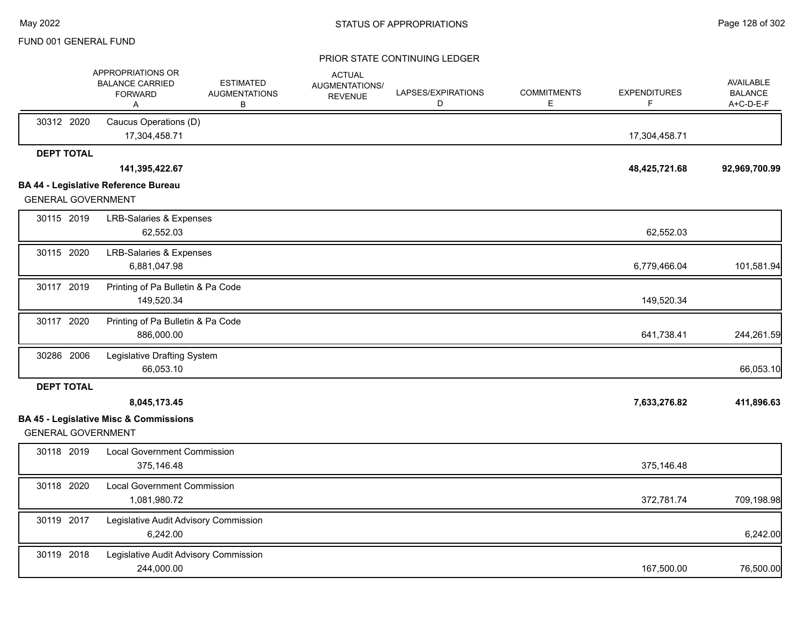|                           | APPROPRIATIONS OR<br><b>BALANCE CARRIED</b><br><b>FORWARD</b><br>Α | <b>ESTIMATED</b><br><b>AUGMENTATIONS</b><br>В | <b>ACTUAL</b><br>AUGMENTATIONS/<br><b>REVENUE</b> | LAPSES/EXPIRATIONS<br>D | <b>COMMITMENTS</b><br>E. | <b>EXPENDITURES</b><br>F | <b>AVAILABLE</b><br><b>BALANCE</b><br>A+C-D-E-F |
|---------------------------|--------------------------------------------------------------------|-----------------------------------------------|---------------------------------------------------|-------------------------|--------------------------|--------------------------|-------------------------------------------------|
| 30312 2020                | Caucus Operations (D)<br>17,304,458.71                             |                                               |                                                   |                         |                          | 17,304,458.71            |                                                 |
| <b>DEPT TOTAL</b>         |                                                                    |                                               |                                                   |                         |                          |                          |                                                 |
|                           | 141,395,422.67                                                     |                                               |                                                   |                         |                          | 48,425,721.68            | 92,969,700.99                                   |
| <b>GENERAL GOVERNMENT</b> | <b>BA 44 - Legislative Reference Bureau</b>                        |                                               |                                                   |                         |                          |                          |                                                 |
| 30115 2019                | <b>LRB-Salaries &amp; Expenses</b><br>62,552.03                    |                                               |                                                   |                         |                          | 62,552.03                |                                                 |
| 30115 2020                | <b>LRB-Salaries &amp; Expenses</b><br>6,881,047.98                 |                                               |                                                   |                         |                          | 6,779,466.04             | 101,581.94                                      |
| 30117 2019                | Printing of Pa Bulletin & Pa Code<br>149,520.34                    |                                               |                                                   |                         |                          | 149,520.34               |                                                 |
| 30117 2020                | Printing of Pa Bulletin & Pa Code<br>886,000.00                    |                                               |                                                   |                         |                          | 641,738.41               | 244,261.59                                      |
| 30286 2006                | Legislative Drafting System<br>66,053.10                           |                                               |                                                   |                         |                          |                          | 66,053.10                                       |
| <b>DEPT TOTAL</b>         |                                                                    |                                               |                                                   |                         |                          |                          |                                                 |
|                           | 8,045,173.45                                                       |                                               |                                                   |                         |                          | 7,633,276.82             | 411,896.63                                      |
| <b>GENERAL GOVERNMENT</b> | <b>BA 45 - Legislative Misc &amp; Commissions</b>                  |                                               |                                                   |                         |                          |                          |                                                 |
| 30118 2019                | <b>Local Government Commission</b><br>375,146.48                   |                                               |                                                   |                         |                          | 375,146.48               |                                                 |
| 30118 2020                | <b>Local Government Commission</b><br>1,081,980.72                 |                                               |                                                   |                         |                          | 372,781.74               | 709,198.98                                      |
| 30119 2017                | Legislative Audit Advisory Commission<br>6,242.00                  |                                               |                                                   |                         |                          |                          | 6,242.00                                        |
| 30119 2018                | Legislative Audit Advisory Commission<br>244,000.00                |                                               |                                                   |                         |                          | 167,500.00               | 76,500.00                                       |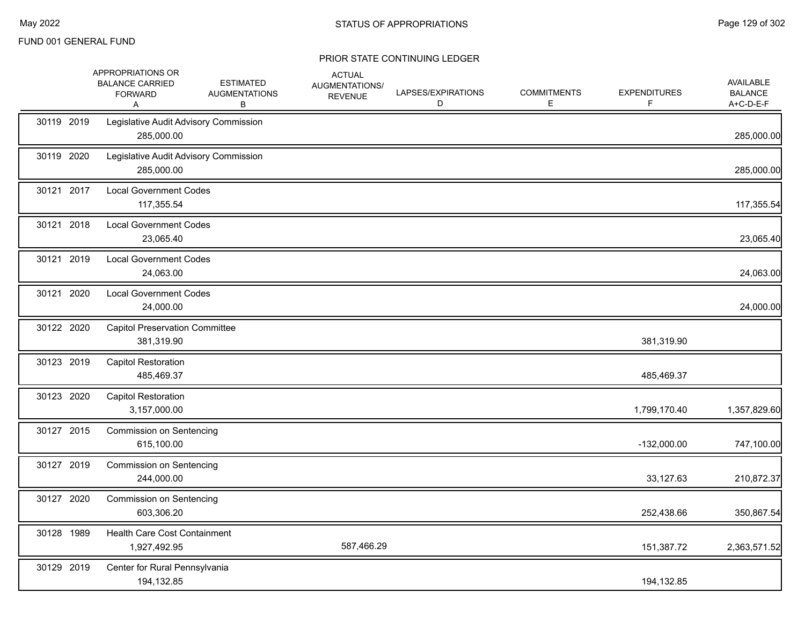|            | APPROPRIATIONS OR<br><b>BALANCE CARRIED</b><br><b>FORWARD</b><br>Α | <b>ESTIMATED</b><br><b>AUGMENTATIONS</b><br>В | <b>ACTUAL</b><br>AUGMENTATIONS/<br><b>REVENUE</b> | LAPSES/EXPIRATIONS<br>D | <b>COMMITMENTS</b><br>E | <b>EXPENDITURES</b> | <b>AVAILABLE</b><br><b>BALANCE</b><br>A+C-D-E-F |
|------------|--------------------------------------------------------------------|-----------------------------------------------|---------------------------------------------------|-------------------------|-------------------------|---------------------|-------------------------------------------------|
| 30119 2019 | Legislative Audit Advisory Commission<br>285,000.00                |                                               |                                                   |                         |                         |                     | 285,000.00                                      |
| 30119 2020 | Legislative Audit Advisory Commission<br>285,000.00                |                                               |                                                   |                         |                         |                     | 285,000.00                                      |
| 30121 2017 | <b>Local Government Codes</b><br>117,355.54                        |                                               |                                                   |                         |                         |                     | 117,355.54                                      |
| 30121 2018 | <b>Local Government Codes</b><br>23,065.40                         |                                               |                                                   |                         |                         |                     | 23,065.40                                       |
| 30121 2019 | <b>Local Government Codes</b><br>24,063.00                         |                                               |                                                   |                         |                         |                     | 24,063.00                                       |
| 30121 2020 | <b>Local Government Codes</b><br>24,000.00                         |                                               |                                                   |                         |                         |                     | 24,000.00                                       |
| 30122 2020 | <b>Capitol Preservation Committee</b><br>381,319.90                |                                               |                                                   |                         |                         | 381,319.90          |                                                 |
| 30123 2019 | <b>Capitol Restoration</b><br>485,469.37                           |                                               |                                                   |                         |                         | 485,469.37          |                                                 |
| 30123 2020 | <b>Capitol Restoration</b><br>3,157,000.00                         |                                               |                                                   |                         |                         | 1,799,170.40        | 1,357,829.60                                    |
| 30127 2015 | <b>Commission on Sentencing</b><br>615,100.00                      |                                               |                                                   |                         |                         | $-132,000.00$       | 747,100.00                                      |
| 30127 2019 | <b>Commission on Sentencing</b><br>244,000.00                      |                                               |                                                   |                         |                         | 33,127.63           | 210,872.37                                      |
| 30127 2020 | <b>Commission on Sentencing</b><br>603,306.20                      |                                               |                                                   |                         |                         | 252,438.66          | 350,867.54                                      |
| 30128 1989 | Health Care Cost Containment<br>1,927,492.95                       |                                               | 587,466.29                                        |                         |                         | 151,387.72          | 2,363,571.52                                    |
| 30129 2019 | Center for Rural Pennsylvania<br>194,132.85                        |                                               |                                                   |                         |                         | 194,132.85          |                                                 |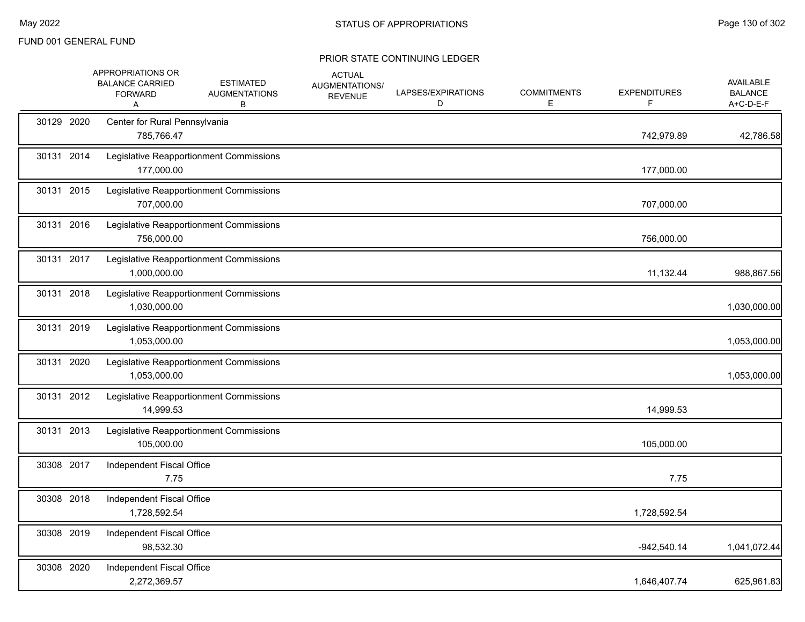|            | <b>APPROPRIATIONS OR</b><br><b>BALANCE CARRIED</b><br><b>FORWARD</b><br>Α | <b>ESTIMATED</b><br><b>AUGMENTATIONS</b><br>В | <b>ACTUAL</b><br>AUGMENTATIONS/<br><b>REVENUE</b> | LAPSES/EXPIRATIONS<br>D | <b>COMMITMENTS</b><br>E | <b>EXPENDITURES</b><br>F. | AVAILABLE<br><b>BALANCE</b><br>A+C-D-E-F |
|------------|---------------------------------------------------------------------------|-----------------------------------------------|---------------------------------------------------|-------------------------|-------------------------|---------------------------|------------------------------------------|
| 30129 2020 | Center for Rural Pennsylvania<br>785,766.47                               |                                               |                                                   |                         |                         | 742,979.89                | 42,786.58                                |
| 30131 2014 | 177,000.00                                                                | Legislative Reapportionment Commissions       |                                                   |                         |                         | 177,000.00                |                                          |
| 30131 2015 | 707,000.00                                                                | Legislative Reapportionment Commissions       |                                                   |                         |                         | 707,000.00                |                                          |
| 30131 2016 | 756,000.00                                                                | Legislative Reapportionment Commissions       |                                                   |                         |                         | 756,000.00                |                                          |
| 30131 2017 | 1,000,000.00                                                              | Legislative Reapportionment Commissions       |                                                   |                         |                         | 11,132.44                 | 988,867.56                               |
| 30131 2018 | 1,030,000.00                                                              | Legislative Reapportionment Commissions       |                                                   |                         |                         |                           | 1,030,000.00                             |
| 30131 2019 | 1,053,000.00                                                              | Legislative Reapportionment Commissions       |                                                   |                         |                         |                           | 1,053,000.00                             |
| 30131 2020 | 1,053,000.00                                                              | Legislative Reapportionment Commissions       |                                                   |                         |                         |                           | 1,053,000.00                             |
| 30131 2012 | 14,999.53                                                                 | Legislative Reapportionment Commissions       |                                                   |                         |                         | 14,999.53                 |                                          |
| 30131 2013 | 105,000.00                                                                | Legislative Reapportionment Commissions       |                                                   |                         |                         | 105,000.00                |                                          |
| 30308 2017 | Independent Fiscal Office<br>7.75                                         |                                               |                                                   |                         |                         | 7.75                      |                                          |
| 30308 2018 | Independent Fiscal Office<br>1,728,592.54                                 |                                               |                                                   |                         |                         | 1,728,592.54              |                                          |
| 30308 2019 | Independent Fiscal Office<br>98,532.30                                    |                                               |                                                   |                         |                         | $-942,540.14$             | 1,041,072.44                             |
| 30308 2020 | Independent Fiscal Office<br>2,272,369.57                                 |                                               |                                                   |                         |                         | 1,646,407.74              | 625,961.83                               |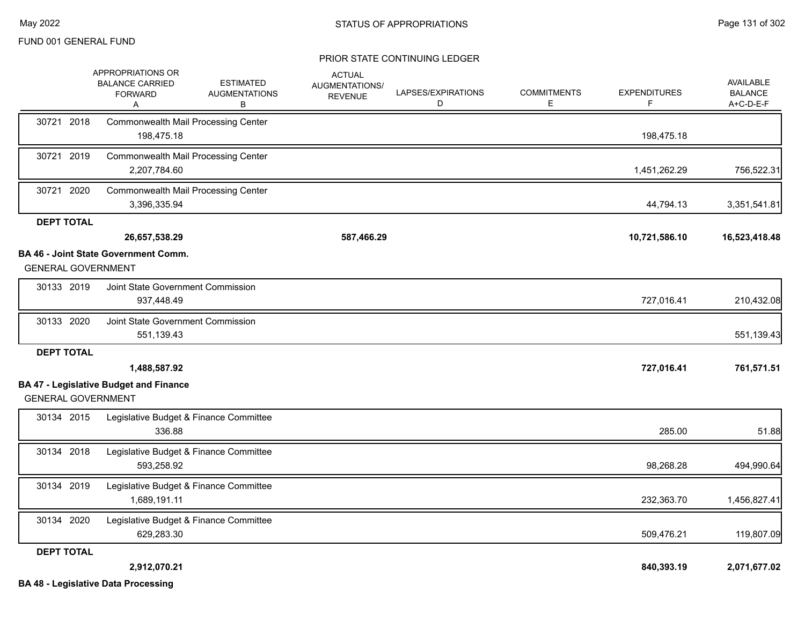|                           | APPROPRIATIONS OR<br><b>BALANCE CARRIED</b><br><b>FORWARD</b><br>A | <b>ESTIMATED</b><br><b>AUGMENTATIONS</b><br>В | <b>ACTUAL</b><br><b>AUGMENTATIONS/</b><br><b>REVENUE</b> | LAPSES/EXPIRATIONS<br>D | <b>COMMITMENTS</b><br>E. | <b>EXPENDITURES</b> | <b>AVAILABLE</b><br><b>BALANCE</b><br>A+C-D-E-F |
|---------------------------|--------------------------------------------------------------------|-----------------------------------------------|----------------------------------------------------------|-------------------------|--------------------------|---------------------|-------------------------------------------------|
| 30721 2018                | <b>Commonwealth Mail Processing Center</b><br>198,475.18           |                                               |                                                          |                         |                          | 198,475.18          |                                                 |
| 30721 2019                | <b>Commonwealth Mail Processing Center</b><br>2,207,784.60         |                                               |                                                          |                         |                          | 1,451,262.29        | 756,522.31                                      |
| 30721 2020                | Commonwealth Mail Processing Center<br>3,396,335.94                |                                               |                                                          |                         |                          | 44,794.13           | 3,351,541.81                                    |
| <b>DEPT TOTAL</b>         |                                                                    |                                               |                                                          |                         |                          |                     |                                                 |
|                           | 26,657,538.29                                                      |                                               | 587,466.29                                               |                         |                          | 10,721,586.10       | 16,523,418.48                                   |
| <b>GENERAL GOVERNMENT</b> | <b>BA 46 - Joint State Government Comm.</b>                        |                                               |                                                          |                         |                          |                     |                                                 |
| 30133 2019                | Joint State Government Commission<br>937,448.49                    |                                               |                                                          |                         |                          | 727,016.41          | 210,432.08                                      |
| 30133 2020                | Joint State Government Commission<br>551,139.43                    |                                               |                                                          |                         |                          |                     | 551,139.43                                      |
| <b>DEPT TOTAL</b>         |                                                                    |                                               |                                                          |                         |                          |                     |                                                 |
|                           | 1,488,587.92                                                       |                                               |                                                          |                         |                          | 727,016.41          | 761,571.51                                      |
| <b>GENERAL GOVERNMENT</b> | <b>BA 47 - Legislative Budget and Finance</b>                      |                                               |                                                          |                         |                          |                     |                                                 |
| 30134 2015                | 336.88                                                             | Legislative Budget & Finance Committee        |                                                          |                         |                          | 285.00              | 51.88                                           |
| 30134 2018                | 593,258.92                                                         | Legislative Budget & Finance Committee        |                                                          |                         |                          | 98,268.28           | 494,990.64                                      |
| 30134 2019                | 1,689,191.11                                                       | Legislative Budget & Finance Committee        |                                                          |                         |                          | 232,363.70          | 1,456,827.41                                    |
| 30134 2020                | 629,283.30                                                         | Legislative Budget & Finance Committee        |                                                          |                         |                          | 509,476.21          | 119,807.09                                      |
| <b>DEPT TOTAL</b>         |                                                                    |                                               |                                                          |                         |                          |                     |                                                 |
|                           | 2,912,070.21<br><b>BA 48 - Legislative Data Processing</b>         |                                               |                                                          |                         |                          | 840,393.19          | 2,071,677.02                                    |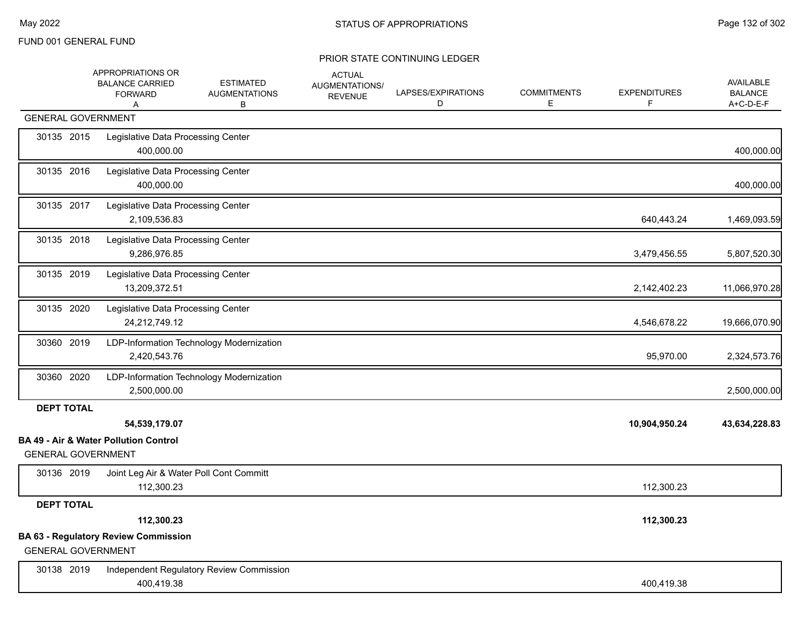|                   | APPROPRIATIONS OR<br><b>BALANCE CARRIED</b><br><b>FORWARD</b><br>Α            | ESTIMATED<br><b>AUGMENTATIONS</b><br>В   | <b>ACTUAL</b><br>AUGMENTATIONS/<br><b>REVENUE</b> | LAPSES/EXPIRATIONS<br>D | <b>COMMITMENTS</b><br>Е | <b>EXPENDITURES</b><br>F. | AVAILABLE<br><b>BALANCE</b><br>A+C-D-E-F |
|-------------------|-------------------------------------------------------------------------------|------------------------------------------|---------------------------------------------------|-------------------------|-------------------------|---------------------------|------------------------------------------|
|                   | <b>GENERAL GOVERNMENT</b>                                                     |                                          |                                                   |                         |                         |                           |                                          |
| 30135 2015        | Legislative Data Processing Center<br>400,000.00                              |                                          |                                                   |                         |                         |                           | 400,000.00                               |
| 30135 2016        | Legislative Data Processing Center<br>400,000.00                              |                                          |                                                   |                         |                         |                           | 400,000.00                               |
| 30135 2017        | Legislative Data Processing Center<br>2,109,536.83                            |                                          |                                                   |                         |                         | 640,443.24                | 1,469,093.59                             |
| 30135 2018        | Legislative Data Processing Center<br>9,286,976.85                            |                                          |                                                   |                         |                         | 3,479,456.55              | 5,807,520.30                             |
| 30135 2019        | Legislative Data Processing Center<br>13,209,372.51                           |                                          |                                                   |                         |                         | 2,142,402.23              | 11,066,970.28                            |
| 30135 2020        | Legislative Data Processing Center<br>24,212,749.12                           |                                          |                                                   |                         |                         | 4,546,678.22              | 19,666,070.90                            |
| 30360 2019        | 2,420,543.76                                                                  | LDP-Information Technology Modernization |                                                   |                         |                         | 95,970.00                 | 2,324,573.76                             |
| 30360 2020        | 2,500,000.00                                                                  | LDP-Information Technology Modernization |                                                   |                         |                         |                           | 2,500,000.00                             |
| <b>DEPT TOTAL</b> |                                                                               |                                          |                                                   |                         |                         |                           |                                          |
|                   | 54,539,179.07                                                                 |                                          |                                                   |                         |                         | 10,904,950.24             | 43,634,228.83                            |
|                   | <b>BA 49 - Air &amp; Water Pollution Control</b><br><b>GENERAL GOVERNMENT</b> |                                          |                                                   |                         |                         |                           |                                          |
| 30136 2019        | 112,300.23                                                                    | Joint Leg Air & Water Poll Cont Committ  |                                                   |                         |                         | 112,300.23                |                                          |
| <b>DEPT TOTAL</b> |                                                                               |                                          |                                                   |                         |                         |                           |                                          |
|                   | 112,300.23                                                                    |                                          |                                                   |                         |                         | 112,300.23                |                                          |
|                   | <b>BA 63 - Regulatory Review Commission</b><br><b>GENERAL GOVERNMENT</b>      |                                          |                                                   |                         |                         |                           |                                          |
| 30138 2019        | 400,419.38                                                                    | Independent Regulatory Review Commission |                                                   |                         |                         | 400,419.38                |                                          |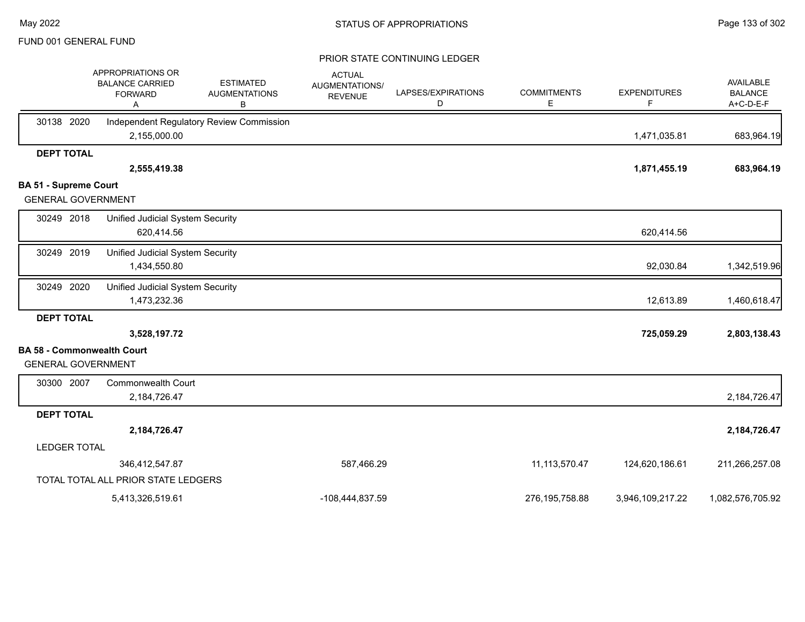|                                   | APPROPRIATIONS OR<br><b>BALANCE CARRIED</b><br><b>FORWARD</b><br>Α | <b>ESTIMATED</b><br><b>AUGMENTATIONS</b><br>В | <b>ACTUAL</b><br>AUGMENTATIONS/<br><b>REVENUE</b> | LAPSES/EXPIRATIONS<br>D | <b>COMMITMENTS</b><br>Е | <b>EXPENDITURES</b><br>F | <b>AVAILABLE</b><br><b>BALANCE</b><br>A+C-D-E-F |
|-----------------------------------|--------------------------------------------------------------------|-----------------------------------------------|---------------------------------------------------|-------------------------|-------------------------|--------------------------|-------------------------------------------------|
| 30138 2020                        | 2,155,000.00                                                       | Independent Regulatory Review Commission      |                                                   |                         |                         | 1,471,035.81             | 683,964.19                                      |
| <b>DEPT TOTAL</b>                 |                                                                    |                                               |                                                   |                         |                         |                          |                                                 |
|                                   | 2,555,419.38                                                       |                                               |                                                   |                         |                         | 1,871,455.19             | 683,964.19                                      |
| <b>BA 51 - Supreme Court</b>      |                                                                    |                                               |                                                   |                         |                         |                          |                                                 |
| <b>GENERAL GOVERNMENT</b>         |                                                                    |                                               |                                                   |                         |                         |                          |                                                 |
| 30249 2018                        | Unified Judicial System Security<br>620,414.56                     |                                               |                                                   |                         |                         | 620,414.56               |                                                 |
| 30249 2019                        | <b>Unified Judicial System Security</b><br>1,434,550.80            |                                               |                                                   |                         |                         | 92,030.84                | 1,342,519.96                                    |
| 30249 2020                        | Unified Judicial System Security<br>1,473,232.36                   |                                               |                                                   |                         |                         | 12,613.89                | 1,460,618.47                                    |
| <b>DEPT TOTAL</b>                 |                                                                    |                                               |                                                   |                         |                         |                          |                                                 |
|                                   | 3,528,197.72                                                       |                                               |                                                   |                         |                         | 725,059.29               | 2,803,138.43                                    |
| <b>BA 58 - Commonwealth Court</b> |                                                                    |                                               |                                                   |                         |                         |                          |                                                 |
| <b>GENERAL GOVERNMENT</b>         |                                                                    |                                               |                                                   |                         |                         |                          |                                                 |
| 30300 2007                        | <b>Commonwealth Court</b><br>2,184,726.47                          |                                               |                                                   |                         |                         |                          | 2,184,726.47                                    |
| <b>DEPT TOTAL</b>                 |                                                                    |                                               |                                                   |                         |                         |                          |                                                 |
|                                   | 2,184,726.47                                                       |                                               |                                                   |                         |                         |                          | 2,184,726.47                                    |
| <b>LEDGER TOTAL</b>               |                                                                    |                                               |                                                   |                         |                         |                          |                                                 |
|                                   | 346,412,547.87                                                     |                                               | 587,466.29                                        |                         | 11, 113, 570. 47        | 124,620,186.61           | 211,266,257.08                                  |
|                                   | TOTAL TOTAL ALL PRIOR STATE LEDGERS                                |                                               |                                                   |                         |                         |                          |                                                 |
|                                   | 5,413,326,519.61                                                   |                                               | -108,444,837.59                                   |                         | 276, 195, 758.88        | 3,946,109,217.22         | 1,082,576,705.92                                |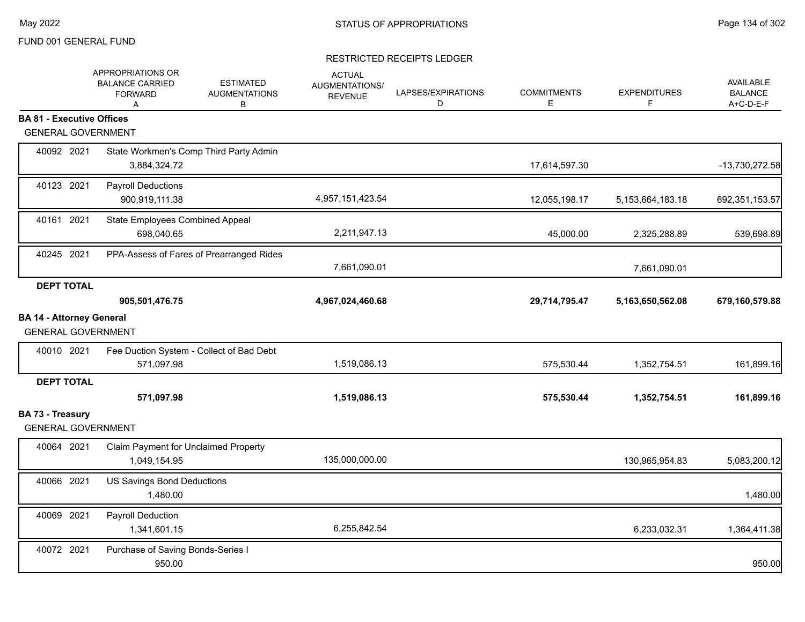|                                                              | APPROPRIATIONS OR<br><b>BALANCE CARRIED</b><br><b>FORWARD</b><br>A | <b>ESTIMATED</b><br><b>AUGMENTATIONS</b><br>В | <b>ACTUAL</b><br>AUGMENTATIONS/<br><b>REVENUE</b> | LAPSES/EXPIRATIONS<br>D | <b>COMMITMENTS</b><br>E | <b>EXPENDITURES</b><br>F | <b>AVAILABLE</b><br><b>BALANCE</b><br>A+C-D-E-F |
|--------------------------------------------------------------|--------------------------------------------------------------------|-----------------------------------------------|---------------------------------------------------|-------------------------|-------------------------|--------------------------|-------------------------------------------------|
| <b>BA 81 - Executive Offices</b>                             |                                                                    |                                               |                                                   |                         |                         |                          |                                                 |
| <b>GENERAL GOVERNMENT</b>                                    |                                                                    |                                               |                                                   |                         |                         |                          |                                                 |
| 40092 2021                                                   | State Workmen's Comp Third Party Admin<br>3,884,324.72             |                                               |                                                   |                         | 17,614,597.30           |                          | -13,730,272.58                                  |
| 40123 2021                                                   | <b>Payroll Deductions</b><br>900,919,111.38                        |                                               | 4,957,151,423.54                                  |                         | 12,055,198.17           | 5,153,664,183.18         | 692,351,153.57                                  |
| 40161 2021                                                   | State Employees Combined Appeal<br>698,040.65                      |                                               | 2,211,947.13                                      |                         | 45,000.00               | 2,325,288.89             | 539,698.89                                      |
| 40245 2021                                                   | PPA-Assess of Fares of Prearranged Rides                           |                                               | 7,661,090.01                                      |                         |                         | 7,661,090.01             |                                                 |
| <b>DEPT TOTAL</b>                                            |                                                                    |                                               |                                                   |                         |                         |                          |                                                 |
|                                                              | 905,501,476.75                                                     |                                               | 4,967,024,460.68                                  |                         | 29,714,795.47           | 5,163,650,562.08         | 679,160,579.88                                  |
| <b>BA 14 - Attorney General</b><br><b>GENERAL GOVERNMENT</b> |                                                                    |                                               |                                                   |                         |                         |                          |                                                 |
| 40010 2021                                                   | Fee Duction System - Collect of Bad Debt<br>571,097.98             |                                               | 1,519,086.13                                      |                         | 575,530.44              | 1,352,754.51             | 161,899.16                                      |
| <b>DEPT TOTAL</b>                                            | 571,097.98                                                         |                                               | 1,519,086.13                                      |                         | 575,530.44              | 1,352,754.51             | 161,899.16                                      |
| <b>BA 73 - Treasury</b><br><b>GENERAL GOVERNMENT</b>         |                                                                    |                                               |                                                   |                         |                         |                          |                                                 |
| 40064 2021                                                   | Claim Payment for Unclaimed Property<br>1,049,154.95               |                                               | 135,000,000.00                                    |                         |                         | 130,965,954.83           | 5,083,200.12                                    |
| 40066 2021                                                   | US Savings Bond Deductions<br>1,480.00                             |                                               |                                                   |                         |                         |                          | 1,480.00                                        |
| 40069 2021                                                   | Payroll Deduction<br>1,341,601.15                                  |                                               | 6,255,842.54                                      |                         |                         | 6,233,032.31             | 1,364,411.38                                    |
| 40072 2021                                                   | Purchase of Saving Bonds-Series I<br>950.00                        |                                               |                                                   |                         |                         |                          | 950.00                                          |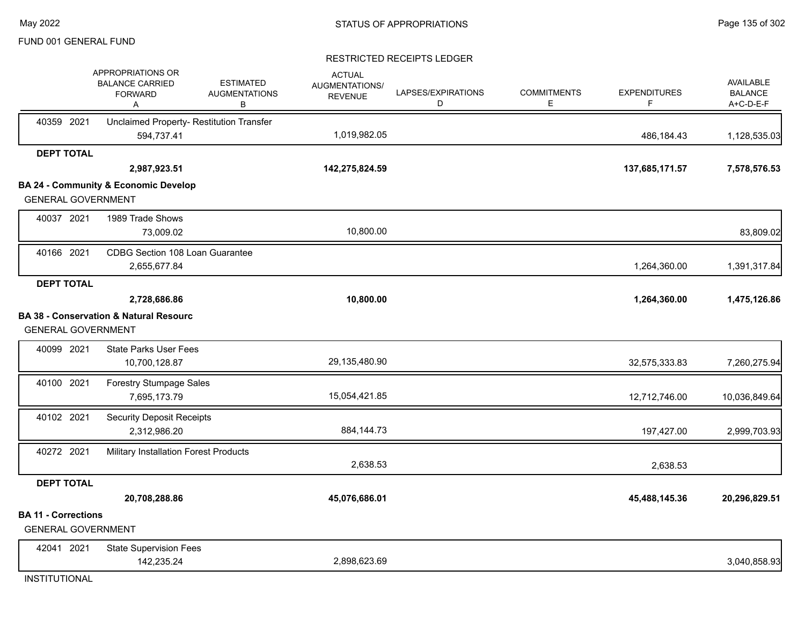#### RESTRICTED RECEIPTS LEDGER

|                                                         | APPROPRIATIONS OR<br><b>BALANCE CARRIED</b><br><b>FORWARD</b><br>Α | <b>ESTIMATED</b><br><b>AUGMENTATIONS</b><br>в | <b>ACTUAL</b><br><b>AUGMENTATIONS/</b><br><b>REVENUE</b> | LAPSES/EXPIRATIONS<br>D | <b>COMMITMENTS</b><br>Е | <b>EXPENDITURES</b><br>F | <b>AVAILABLE</b><br><b>BALANCE</b><br>A+C-D-E-F |
|---------------------------------------------------------|--------------------------------------------------------------------|-----------------------------------------------|----------------------------------------------------------|-------------------------|-------------------------|--------------------------|-------------------------------------------------|
| 40359 2021                                              | Unclaimed Property- Restitution Transfer<br>594,737.41             |                                               | 1,019,982.05                                             |                         |                         | 486,184.43               | 1,128,535.03                                    |
| <b>DEPT TOTAL</b>                                       |                                                                    |                                               |                                                          |                         |                         |                          |                                                 |
|                                                         | 2,987,923.51                                                       |                                               | 142,275,824.59                                           |                         |                         | 137,685,171.57           | 7,578,576.53                                    |
|                                                         | <b>BA 24 - Community &amp; Economic Develop</b>                    |                                               |                                                          |                         |                         |                          |                                                 |
| <b>GENERAL GOVERNMENT</b>                               |                                                                    |                                               |                                                          |                         |                         |                          |                                                 |
| 40037 2021                                              | 1989 Trade Shows                                                   |                                               |                                                          |                         |                         |                          |                                                 |
|                                                         | 73,009.02                                                          |                                               | 10,800.00                                                |                         |                         |                          | 83,809.02                                       |
| 40166 2021                                              | CDBG Section 108 Loan Guarantee<br>2,655,677.84                    |                                               |                                                          |                         |                         | 1,264,360.00             | 1,391,317.84                                    |
| <b>DEPT TOTAL</b>                                       |                                                                    |                                               |                                                          |                         |                         |                          |                                                 |
|                                                         | 2,728,686.86                                                       |                                               | 10,800.00                                                |                         |                         | 1,264,360.00             | 1,475,126.86                                    |
|                                                         | <b>BA 38 - Conservation &amp; Natural Resourc</b>                  |                                               |                                                          |                         |                         |                          |                                                 |
| <b>GENERAL GOVERNMENT</b>                               |                                                                    |                                               |                                                          |                         |                         |                          |                                                 |
| 40099 2021                                              | <b>State Parks User Fees</b>                                       |                                               |                                                          |                         |                         |                          |                                                 |
|                                                         | 10,700,128.87                                                      |                                               | 29,135,480.90                                            |                         |                         | 32,575,333.83            | 7,260,275.94                                    |
| 40100 2021                                              | <b>Forestry Stumpage Sales</b>                                     |                                               |                                                          |                         |                         |                          |                                                 |
|                                                         | 7,695,173.79                                                       |                                               | 15,054,421.85                                            |                         |                         | 12,712,746.00            | 10,036,849.64                                   |
| 40102 2021                                              | <b>Security Deposit Receipts</b>                                   |                                               |                                                          |                         |                         |                          |                                                 |
|                                                         | 2,312,986.20                                                       |                                               | 884, 144. 73                                             |                         |                         | 197,427.00               | 2,999,703.93                                    |
| 40272 2021                                              | Military Installation Forest Products                              |                                               |                                                          |                         |                         |                          |                                                 |
|                                                         |                                                                    |                                               | 2,638.53                                                 |                         |                         | 2,638.53                 |                                                 |
| <b>DEPT TOTAL</b>                                       |                                                                    |                                               |                                                          |                         |                         |                          |                                                 |
|                                                         | 20,708,288.86                                                      |                                               | 45,076,686.01                                            |                         |                         | 45,488,145.36            | 20,296,829.51                                   |
| <b>BA 11 - Corrections</b><br><b>GENERAL GOVERNMENT</b> |                                                                    |                                               |                                                          |                         |                         |                          |                                                 |
| 42041 2021                                              | <b>State Supervision Fees</b>                                      |                                               |                                                          |                         |                         |                          |                                                 |
|                                                         | 142,235.24                                                         |                                               | 2,898,623.69                                             |                         |                         |                          | 3,040,858.93                                    |

INSTITUTIONAL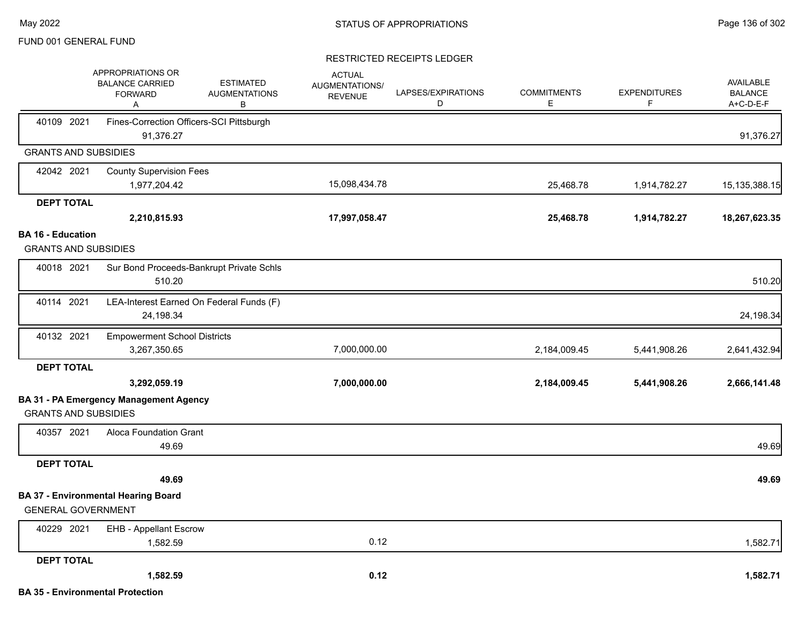|                                                         | APPROPRIATIONS OR<br><b>BALANCE CARRIED</b><br><b>FORWARD</b><br>A | <b>ESTIMATED</b><br><b>AUGMENTATIONS</b><br>B | <b>ACTUAL</b><br>AUGMENTATIONS/<br><b>REVENUE</b> | LAPSES/EXPIRATIONS<br>D | <b>COMMITMENTS</b><br>E. | <b>EXPENDITURES</b><br>F | AVAILABLE<br><b>BALANCE</b><br>A+C-D-E-F |
|---------------------------------------------------------|--------------------------------------------------------------------|-----------------------------------------------|---------------------------------------------------|-------------------------|--------------------------|--------------------------|------------------------------------------|
| 40109 2021                                              | 91,376.27                                                          | Fines-Correction Officers-SCI Pittsburgh      |                                                   |                         |                          |                          | 91,376.27                                |
| <b>GRANTS AND SUBSIDIES</b>                             |                                                                    |                                               |                                                   |                         |                          |                          |                                          |
| 42042 2021                                              | <b>County Supervision Fees</b>                                     |                                               |                                                   |                         |                          |                          |                                          |
|                                                         | 1,977,204.42                                                       |                                               | 15,098,434.78                                     |                         | 25,468.78                | 1,914,782.27             | 15, 135, 388. 15                         |
| <b>DEPT TOTAL</b>                                       |                                                                    |                                               |                                                   |                         |                          |                          |                                          |
|                                                         | 2,210,815.93                                                       |                                               | 17,997,058.47                                     |                         | 25,468.78                | 1,914,782.27             | 18,267,623.35                            |
| <b>BA 16 - Education</b><br><b>GRANTS AND SUBSIDIES</b> |                                                                    |                                               |                                                   |                         |                          |                          |                                          |
|                                                         |                                                                    |                                               |                                                   |                         |                          |                          |                                          |
| 40018 2021                                              | 510.20                                                             | Sur Bond Proceeds-Bankrupt Private Schls      |                                                   |                         |                          |                          | 510.20                                   |
| 40114 2021                                              | 24,198.34                                                          | LEA-Interest Earned On Federal Funds (F)      |                                                   |                         |                          |                          | 24,198.34                                |
| 40132 2021                                              | <b>Empowerment School Districts</b><br>3,267,350.65                |                                               | 7,000,000.00                                      |                         | 2,184,009.45             | 5,441,908.26             | 2,641,432.94                             |
| <b>DEPT TOTAL</b>                                       |                                                                    |                                               |                                                   |                         |                          |                          |                                          |
|                                                         | 3,292,059.19                                                       |                                               | 7,000,000.00                                      |                         | 2,184,009.45             | 5,441,908.26             | 2,666,141.48                             |
| <b>GRANTS AND SUBSIDIES</b>                             | <b>BA 31 - PA Emergency Management Agency</b>                      |                                               |                                                   |                         |                          |                          |                                          |
| 40357 2021                                              | Aloca Foundation Grant<br>49.69                                    |                                               |                                                   |                         |                          |                          | 49.69                                    |
| <b>DEPT TOTAL</b>                                       |                                                                    |                                               |                                                   |                         |                          |                          |                                          |
|                                                         | 49.69                                                              |                                               |                                                   |                         |                          |                          | 49.69                                    |
| <b>GENERAL GOVERNMENT</b>                               | <b>BA 37 - Environmental Hearing Board</b>                         |                                               |                                                   |                         |                          |                          |                                          |
| 40229 2021                                              | <b>EHB - Appellant Escrow</b>                                      |                                               |                                                   |                         |                          |                          |                                          |
|                                                         | 1,582.59                                                           |                                               | 0.12                                              |                         |                          |                          | 1,582.71                                 |
| <b>DEPT TOTAL</b>                                       |                                                                    |                                               |                                                   |                         |                          |                          |                                          |
|                                                         | 1,582.59                                                           |                                               | 0.12                                              |                         |                          |                          | 1,582.71                                 |
|                                                         | <b>BA 35 - Environmental Protection</b>                            |                                               |                                                   |                         |                          |                          |                                          |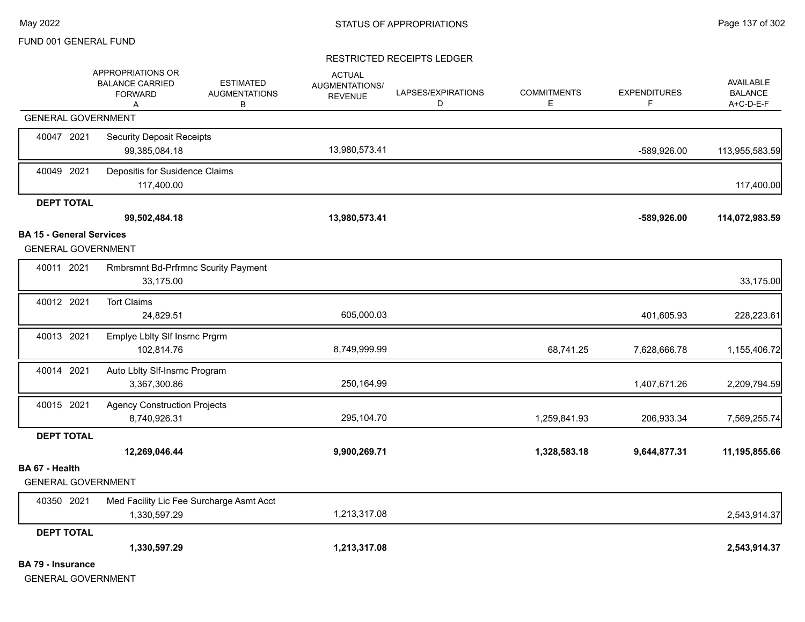|                                 | APPROPRIATIONS OR<br><b>BALANCE CARRIED</b><br><b>FORWARD</b><br>Α | <b>ESTIMATED</b><br><b>AUGMENTATIONS</b><br>В | <b>ACTUAL</b><br>AUGMENTATIONS/<br><b>REVENUE</b> | LAPSES/EXPIRATIONS<br>D | <b>COMMITMENTS</b><br>E. | <b>EXPENDITURES</b><br>F. | <b>AVAILABLE</b><br><b>BALANCE</b><br>A+C-D-E-F |
|---------------------------------|--------------------------------------------------------------------|-----------------------------------------------|---------------------------------------------------|-------------------------|--------------------------|---------------------------|-------------------------------------------------|
|                                 | <b>GENERAL GOVERNMENT</b>                                          |                                               |                                                   |                         |                          |                           |                                                 |
| 40047 2021                      | <b>Security Deposit Receipts</b><br>99,385,084.18                  |                                               | 13,980,573.41                                     |                         |                          | -589,926.00               | 113,955,583.59                                  |
| 40049 2021                      | Depositis for Susidence Claims<br>117,400.00                       |                                               |                                                   |                         |                          |                           | 117,400.00                                      |
| <b>DEPT TOTAL</b>               |                                                                    |                                               |                                                   |                         |                          |                           |                                                 |
|                                 | 99,502,484.18                                                      |                                               | 13,980,573.41                                     |                         |                          | -589,926.00               | 114,072,983.59                                  |
| <b>BA 15 - General Services</b> |                                                                    |                                               |                                                   |                         |                          |                           |                                                 |
|                                 | <b>GENERAL GOVERNMENT</b>                                          |                                               |                                                   |                         |                          |                           |                                                 |
| 40011 2021                      | Rmbrsmnt Bd-Prfrmnc Scurity Payment<br>33,175.00                   |                                               |                                                   |                         |                          |                           | 33,175.00                                       |
| 40012 2021                      | <b>Tort Claims</b><br>24,829.51                                    |                                               | 605,000.03                                        |                         |                          | 401,605.93                | 228,223.61                                      |
| 40013 2021                      | Emplye Lblty SIf Insrnc Prgrm<br>102,814.76                        |                                               | 8,749,999.99                                      |                         | 68,741.25                | 7,628,666.78              | 1,155,406.72                                    |
| 40014 2021                      | Auto Lblty Slf-Insrnc Program<br>3,367,300.86                      |                                               | 250,164.99                                        |                         |                          | 1,407,671.26              | 2,209,794.59                                    |
| 40015 2021                      | <b>Agency Construction Projects</b><br>8,740,926.31                |                                               | 295,104.70                                        |                         | 1,259,841.93             | 206,933.34                | 7,569,255.74                                    |
| <b>DEPT TOTAL</b>               |                                                                    |                                               |                                                   |                         |                          |                           |                                                 |
|                                 | 12,269,046.44                                                      |                                               | 9,900,269.71                                      |                         | 1,328,583.18             | 9,644,877.31              | 11,195,855.66                                   |
| BA 67 - Health                  | <b>GENERAL GOVERNMENT</b>                                          |                                               |                                                   |                         |                          |                           |                                                 |
| 40350 2021                      | Med Facility Lic Fee Surcharge Asmt Acct<br>1,330,597.29           |                                               | 1,213,317.08                                      |                         |                          |                           | 2,543,914.37                                    |
| <b>DEPT TOTAL</b>               |                                                                    |                                               |                                                   |                         |                          |                           |                                                 |
|                                 | 1,330,597.29                                                       |                                               | 1,213,317.08                                      |                         |                          |                           | 2,543,914.37                                    |
| <b>BA 79 - Insurance</b>        | <b>GENERAL GOVERNMENT</b>                                          |                                               |                                                   |                         |                          |                           |                                                 |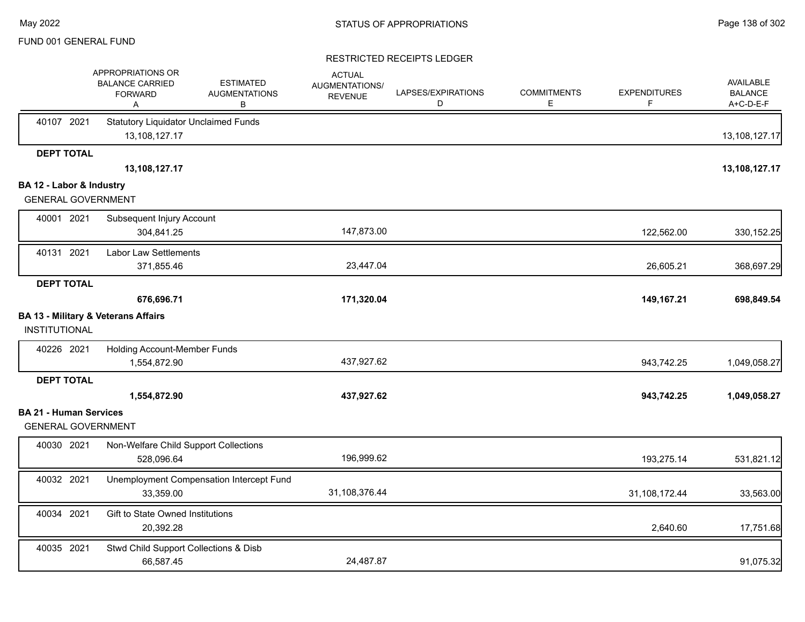|                                                       | APPROPRIATIONS OR<br><b>BALANCE CARRIED</b><br><b>FORWARD</b><br>Α | <b>ESTIMATED</b><br><b>AUGMENTATIONS</b><br>В | <b>ACTUAL</b><br>AUGMENTATIONS/<br><b>REVENUE</b> | LAPSES/EXPIRATIONS<br>D | <b>COMMITMENTS</b><br>E. | <b>EXPENDITURES</b><br>F. | AVAILABLE<br><b>BALANCE</b><br>A+C-D-E-F |
|-------------------------------------------------------|--------------------------------------------------------------------|-----------------------------------------------|---------------------------------------------------|-------------------------|--------------------------|---------------------------|------------------------------------------|
| 40107 2021                                            | <b>Statutory Liquidator Unclaimed Funds</b><br>13,108,127.17       |                                               |                                                   |                         |                          |                           | 13,108,127.17                            |
| <b>DEPT TOTAL</b>                                     |                                                                    |                                               |                                                   |                         |                          |                           |                                          |
|                                                       | 13,108,127.17                                                      |                                               |                                                   |                         |                          |                           | 13,108,127.17                            |
| BA 12 - Labor & Industry<br><b>GENERAL GOVERNMENT</b> |                                                                    |                                               |                                                   |                         |                          |                           |                                          |
| 40001 2021                                            | Subsequent Injury Account                                          |                                               |                                                   |                         |                          |                           |                                          |
|                                                       | 304,841.25                                                         |                                               | 147,873.00                                        |                         |                          | 122,562.00                | 330, 152.25                              |
| 40131 2021                                            | <b>Labor Law Settlements</b>                                       |                                               |                                                   |                         |                          |                           |                                          |
|                                                       | 371,855.46                                                         |                                               | 23,447.04                                         |                         |                          | 26,605.21                 | 368,697.29                               |
| <b>DEPT TOTAL</b>                                     |                                                                    |                                               |                                                   |                         |                          |                           |                                          |
|                                                       | 676,696.71                                                         |                                               | 171,320.04                                        |                         |                          | 149,167.21                | 698,849.54                               |
|                                                       | <b>BA 13 - Military &amp; Veterans Affairs</b>                     |                                               |                                                   |                         |                          |                           |                                          |
| <b>INSTITUTIONAL</b>                                  |                                                                    |                                               |                                                   |                         |                          |                           |                                          |
| 40226 2021                                            | Holding Account-Member Funds                                       |                                               |                                                   |                         |                          |                           |                                          |
|                                                       | 1,554,872.90                                                       |                                               | 437,927.62                                        |                         |                          | 943,742.25                | 1,049,058.27                             |
| <b>DEPT TOTAL</b>                                     |                                                                    |                                               |                                                   |                         |                          |                           |                                          |
|                                                       | 1,554,872.90                                                       |                                               | 437,927.62                                        |                         |                          | 943,742.25                | 1,049,058.27                             |
| <b>BA 21 - Human Services</b>                         |                                                                    |                                               |                                                   |                         |                          |                           |                                          |
| <b>GENERAL GOVERNMENT</b>                             |                                                                    |                                               |                                                   |                         |                          |                           |                                          |
| 40030 2021                                            | Non-Welfare Child Support Collections                              |                                               |                                                   |                         |                          |                           |                                          |
|                                                       | 528,096.64                                                         |                                               | 196,999.62                                        |                         |                          | 193,275.14                | 531,821.12                               |
| 40032 2021                                            |                                                                    | Unemployment Compensation Intercept Fund      |                                                   |                         |                          |                           |                                          |
|                                                       | 33,359.00                                                          |                                               | 31,108,376.44                                     |                         |                          | 31,108,172.44             | 33,563.00                                |
| 40034 2021                                            | Gift to State Owned Institutions                                   |                                               |                                                   |                         |                          |                           |                                          |
|                                                       | 20,392.28                                                          |                                               |                                                   |                         |                          | 2,640.60                  | 17,751.68                                |
| 40035 2021                                            | Stwd Child Support Collections & Disb                              |                                               |                                                   |                         |                          |                           |                                          |
|                                                       | 66,587.45                                                          |                                               | 24,487.87                                         |                         |                          |                           | 91,075.32                                |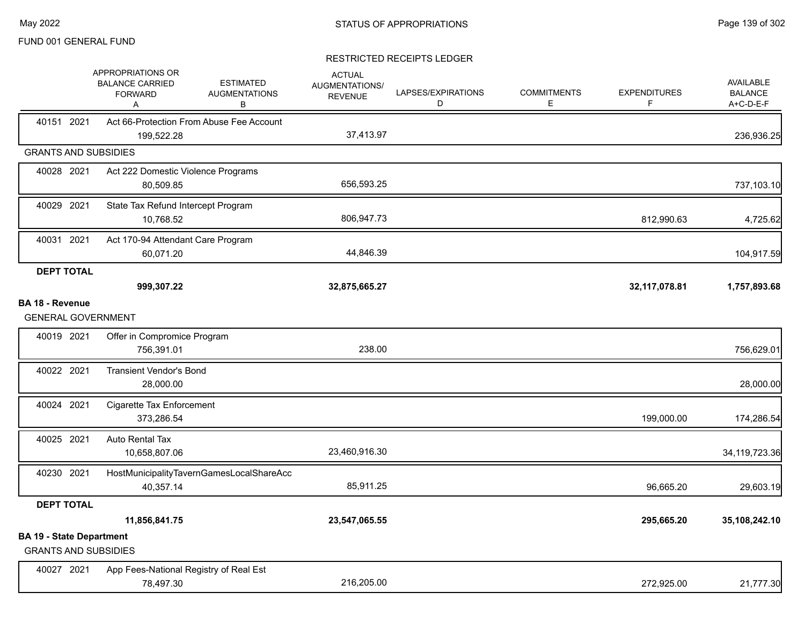|                                                                | APPROPRIATIONS OR<br><b>BALANCE CARRIED</b><br><b>FORWARD</b><br>Α | <b>ESTIMATED</b><br><b>AUGMENTATIONS</b><br>В | <b>ACTUAL</b><br><b>AUGMENTATIONS/</b><br><b>REVENUE</b> | LAPSES/EXPIRATIONS<br>D | <b>COMMITMENTS</b><br>Е. | <b>EXPENDITURES</b><br>F | <b>AVAILABLE</b><br><b>BALANCE</b><br>A+C-D-E-F |
|----------------------------------------------------------------|--------------------------------------------------------------------|-----------------------------------------------|----------------------------------------------------------|-------------------------|--------------------------|--------------------------|-------------------------------------------------|
| 40151 2021                                                     | 199,522.28                                                         | Act 66-Protection From Abuse Fee Account      | 37,413.97                                                |                         |                          |                          | 236,936.25                                      |
| <b>GRANTS AND SUBSIDIES</b>                                    |                                                                    |                                               |                                                          |                         |                          |                          |                                                 |
| 40028 2021                                                     | Act 222 Domestic Violence Programs<br>80,509.85                    |                                               | 656,593.25                                               |                         |                          |                          | 737,103.10                                      |
| 40029 2021                                                     | State Tax Refund Intercept Program<br>10,768.52                    |                                               | 806,947.73                                               |                         |                          | 812,990.63               | 4,725.62                                        |
| 40031 2021                                                     | Act 170-94 Attendant Care Program<br>60,071.20                     |                                               | 44,846.39                                                |                         |                          |                          | 104,917.59                                      |
| <b>DEPT TOTAL</b>                                              | 999,307.22                                                         |                                               | 32,875,665.27                                            |                         |                          | 32,117,078.81            | 1,757,893.68                                    |
| <b>BA 18 - Revenue</b><br><b>GENERAL GOVERNMENT</b>            |                                                                    |                                               |                                                          |                         |                          |                          |                                                 |
| 40019 2021                                                     | Offer in Compromice Program<br>756,391.01                          |                                               | 238.00                                                   |                         |                          |                          | 756,629.01                                      |
| 40022 2021                                                     | <b>Transient Vendor's Bond</b><br>28,000.00                        |                                               |                                                          |                         |                          |                          | 28,000.00                                       |
| 40024 2021                                                     | Cigarette Tax Enforcement<br>373,286.54                            |                                               |                                                          |                         |                          | 199,000.00               | 174,286.54                                      |
| 40025 2021                                                     | Auto Rental Tax<br>10,658,807.06                                   |                                               | 23,460,916.30                                            |                         |                          |                          | 34, 119, 723. 36                                |
| 40230 2021                                                     | 40,357.14                                                          | HostMunicipalityTavernGamesLocalShareAcc      | 85,911.25                                                |                         |                          | 96,665.20                | 29,603.19                                       |
| <b>DEPT TOTAL</b>                                              |                                                                    |                                               |                                                          |                         |                          |                          |                                                 |
|                                                                | 11,856,841.75                                                      |                                               | 23,547,065.55                                            |                         |                          | 295,665.20               | 35,108,242.10                                   |
| <b>BA 19 - State Department</b><br><b>GRANTS AND SUBSIDIES</b> |                                                                    |                                               |                                                          |                         |                          |                          |                                                 |
| 40027 2021                                                     | App Fees-National Registry of Real Est<br>78,497.30                |                                               | 216,205.00                                               |                         |                          | 272,925.00               | 21,777.30                                       |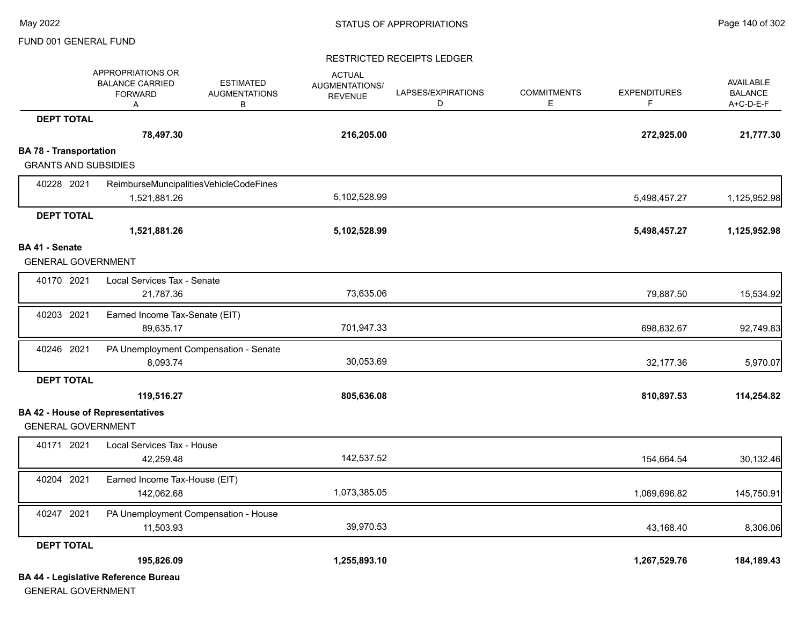#### RESTRICTED RECEIPTS LEDGER

|                               | APPROPRIATIONS OR<br><b>BALANCE CARRIED</b><br><b>FORWARD</b><br>Α | <b>ESTIMATED</b><br><b>AUGMENTATIONS</b><br>В | <b>ACTUAL</b><br>AUGMENTATIONS/<br><b>REVENUE</b> | LAPSES/EXPIRATIONS<br>D | <b>COMMITMENTS</b><br>Е | <b>EXPENDITURES</b><br>F. | AVAILABLE<br><b>BALANCE</b><br>A+C-D-E-F |
|-------------------------------|--------------------------------------------------------------------|-----------------------------------------------|---------------------------------------------------|-------------------------|-------------------------|---------------------------|------------------------------------------|
| <b>DEPT TOTAL</b>             |                                                                    |                                               |                                                   |                         |                         |                           |                                          |
|                               | 78,497.30                                                          |                                               | 216,205.00                                        |                         |                         | 272,925.00                | 21,777.30                                |
| <b>BA 78 - Transportation</b> |                                                                    |                                               |                                                   |                         |                         |                           |                                          |
| <b>GRANTS AND SUBSIDIES</b>   |                                                                    |                                               |                                                   |                         |                         |                           |                                          |
| 40228 2021                    | ReimburseMuncipalitiesVehicleCodeFines<br>1,521,881.26             |                                               | 5,102,528.99                                      |                         |                         | 5,498,457.27              | 1,125,952.98                             |
| <b>DEPT TOTAL</b>             |                                                                    |                                               |                                                   |                         |                         |                           |                                          |
|                               | 1,521,881.26                                                       |                                               | 5,102,528.99                                      |                         |                         | 5,498,457.27              | 1,125,952.98                             |
| BA 41 - Senate                |                                                                    |                                               |                                                   |                         |                         |                           |                                          |
| <b>GENERAL GOVERNMENT</b>     |                                                                    |                                               |                                                   |                         |                         |                           |                                          |
| 40170 2021                    | Local Services Tax - Senate<br>21,787.36                           |                                               | 73,635.06                                         |                         |                         | 79,887.50                 | 15,534.92                                |
| 40203 2021                    | Earned Income Tax-Senate (EIT)<br>89,635.17                        |                                               | 701,947.33                                        |                         |                         | 698,832.67                | 92,749.83                                |
| 40246 2021                    | PA Unemployment Compensation - Senate<br>8,093.74                  |                                               | 30,053.69                                         |                         |                         | 32,177.36                 | 5,970.07                                 |
| <b>DEPT TOTAL</b>             |                                                                    |                                               |                                                   |                         |                         |                           |                                          |
|                               | 119,516.27                                                         |                                               | 805,636.08                                        |                         |                         | 810,897.53                | 114,254.82                               |
|                               | <b>BA 42 - House of Representatives</b>                            |                                               |                                                   |                         |                         |                           |                                          |
| <b>GENERAL GOVERNMENT</b>     |                                                                    |                                               |                                                   |                         |                         |                           |                                          |
| 40171 2021                    | Local Services Tax - House<br>42,259.48                            |                                               | 142,537.52                                        |                         |                         | 154,664.54                | 30,132.46                                |
| 40204 2021                    | Earned Income Tax-House (EIT)<br>142,062.68                        |                                               | 1,073,385.05                                      |                         |                         | 1,069,696.82              | 145,750.91                               |
| 40247 2021                    | PA Unemployment Compensation - House<br>11,503.93                  |                                               | 39,970.53                                         |                         |                         | 43,168.40                 | 8,306.06                                 |
| <b>DEPT TOTAL</b>             |                                                                    |                                               |                                                   |                         |                         |                           |                                          |
|                               | 195,826.09                                                         |                                               | 1,255,893.10                                      |                         |                         | 1,267,529.76              | 184,189.43                               |
|                               | <b>BA 44 - Legislative Reference Bureau</b>                        |                                               |                                                   |                         |                         |                           |                                          |

GENERAL GOVERNMENT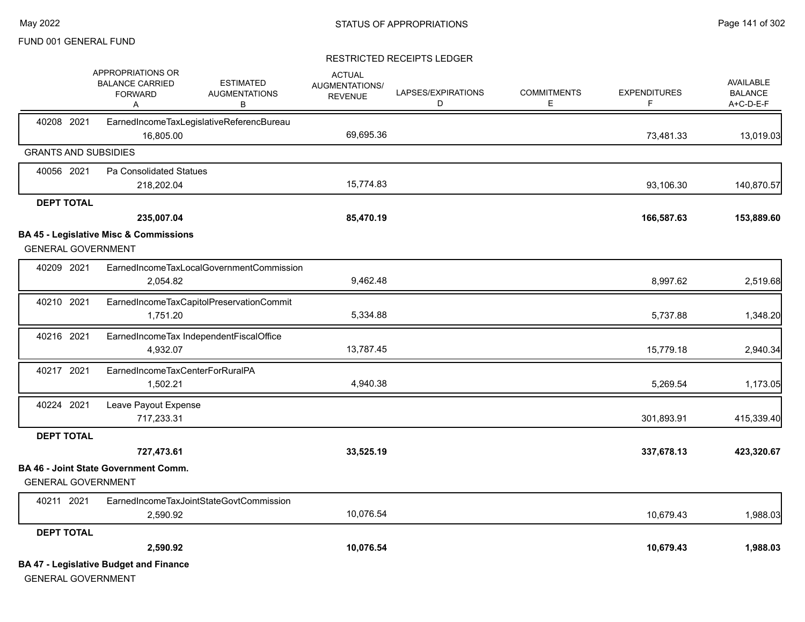|                   | APPROPRIATIONS OR<br><b>BALANCE CARRIED</b><br><b>FORWARD</b><br>Α             | <b>ESTIMATED</b><br><b>AUGMENTATIONS</b><br>в | <b>ACTUAL</b><br>AUGMENTATIONS/<br><b>REVENUE</b> | LAPSES/EXPIRATIONS<br>D | <b>COMMITMENTS</b><br>Е | <b>EXPENDITURES</b><br>F | <b>AVAILABLE</b><br><b>BALANCE</b><br>A+C-D-E-F |
|-------------------|--------------------------------------------------------------------------------|-----------------------------------------------|---------------------------------------------------|-------------------------|-------------------------|--------------------------|-------------------------------------------------|
| 40208 2021        | 16.805.00                                                                      | EarnedIncomeTaxLegislativeReferencBureau      | 69,695.36                                         |                         |                         | 73,481.33                | 13,019.03                                       |
|                   | <b>GRANTS AND SUBSIDIES</b>                                                    |                                               |                                                   |                         |                         |                          |                                                 |
| 40056 2021        | Pa Consolidated Statues                                                        |                                               |                                                   |                         |                         |                          |                                                 |
|                   | 218,202.04                                                                     |                                               | 15,774.83                                         |                         |                         | 93,106.30                | 140,870.57                                      |
| <b>DEPT TOTAL</b> |                                                                                |                                               |                                                   |                         |                         |                          |                                                 |
|                   | 235,007.04                                                                     |                                               | 85,470.19                                         |                         |                         | 166,587.63               | 153,889.60                                      |
|                   | <b>BA 45 - Legislative Misc &amp; Commissions</b><br><b>GENERAL GOVERNMENT</b> |                                               |                                                   |                         |                         |                          |                                                 |
|                   |                                                                                |                                               |                                                   |                         |                         |                          |                                                 |
| 40209 2021        | 2,054.82                                                                       | EarnedIncomeTaxLocalGovernmentCommission      | 9,462.48                                          |                         |                         | 8,997.62                 | 2,519.68                                        |
| 40210 2021        |                                                                                | EarnedIncomeTaxCapitolPreservationCommit      |                                                   |                         |                         |                          |                                                 |
|                   | 1,751.20                                                                       |                                               | 5,334.88                                          |                         |                         | 5,737.88                 | 1,348.20                                        |
| 40216 2021        | 4,932.07                                                                       | EarnedIncomeTax IndependentFiscalOffice       | 13,787.45                                         |                         |                         | 15,779.18                | 2,940.34                                        |
| 40217 2021        | EarnedIncomeTaxCenterForRuralPA<br>1,502.21                                    |                                               | 4,940.38                                          |                         |                         | 5,269.54                 | 1,173.05                                        |
| 40224 2021        | Leave Payout Expense<br>717,233.31                                             |                                               |                                                   |                         |                         | 301,893.91               | 415,339.40                                      |
| <b>DEPT TOTAL</b> |                                                                                |                                               |                                                   |                         |                         |                          |                                                 |
|                   | 727,473.61                                                                     |                                               | 33,525.19                                         |                         |                         | 337,678.13               | 423,320.67                                      |
|                   | <b>BA 46 - Joint State Government Comm.</b><br><b>GENERAL GOVERNMENT</b>       |                                               |                                                   |                         |                         |                          |                                                 |
| 40211 2021        | 2,590.92                                                                       | EarnedIncomeTaxJointStateGovtCommission       | 10,076.54                                         |                         |                         | 10,679.43                | 1,988.03                                        |
| <b>DEPT TOTAL</b> |                                                                                |                                               |                                                   |                         |                         |                          |                                                 |
|                   | 2,590.92                                                                       |                                               | 10,076.54                                         |                         |                         | 10,679.43                | 1,988.03                                        |
|                   | <b>BA 47 - Legislative Budget and Finance</b><br><b>GENERAL GOVERNMENT</b>     |                                               |                                                   |                         |                         |                          |                                                 |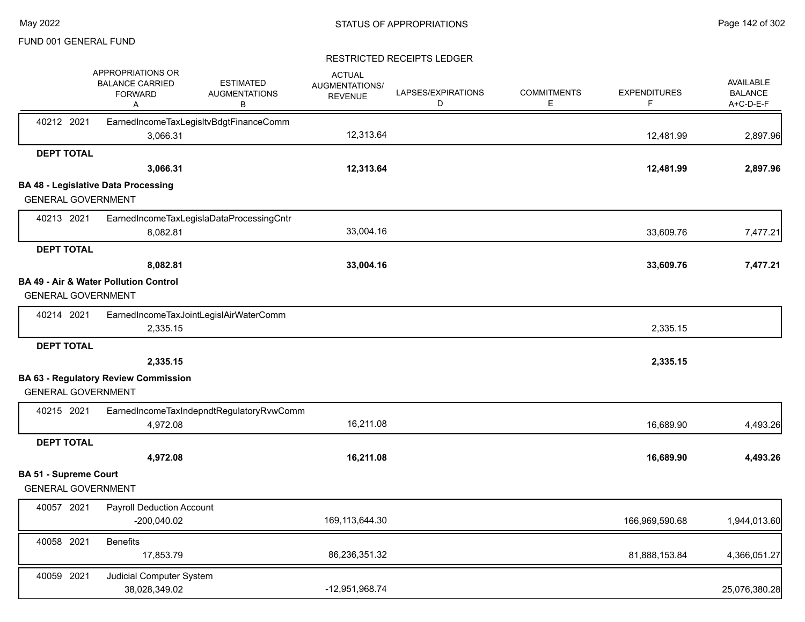|                                                           | APPROPRIATIONS OR<br><b>BALANCE CARRIED</b><br><b>FORWARD</b><br>Α | <b>ESTIMATED</b><br><b>AUGMENTATIONS</b><br>В | <b>ACTUAL</b><br><b>AUGMENTATIONS/</b><br><b>REVENUE</b> | LAPSES/EXPIRATIONS<br>D | <b>COMMITMENTS</b><br>Е | <b>EXPENDITURES</b><br>F | <b>AVAILABLE</b><br><b>BALANCE</b><br>A+C-D-E-F |
|-----------------------------------------------------------|--------------------------------------------------------------------|-----------------------------------------------|----------------------------------------------------------|-------------------------|-------------------------|--------------------------|-------------------------------------------------|
| 40212 2021                                                | 3,066.31                                                           | EarnedIncomeTaxLegisItvBdgtFinanceComm        | 12,313.64                                                |                         |                         | 12,481.99                | 2,897.96                                        |
| <b>DEPT TOTAL</b>                                         |                                                                    |                                               |                                                          |                         |                         |                          |                                                 |
|                                                           | 3,066.31                                                           |                                               | 12,313.64                                                |                         |                         | 12,481.99                | 2,897.96                                        |
|                                                           | <b>BA 48 - Legislative Data Processing</b>                         |                                               |                                                          |                         |                         |                          |                                                 |
| <b>GENERAL GOVERNMENT</b>                                 |                                                                    |                                               |                                                          |                         |                         |                          |                                                 |
| 40213 2021                                                |                                                                    | EarnedIncomeTaxLegislaDataProcessingCntr      |                                                          |                         |                         |                          |                                                 |
|                                                           | 8,082.81                                                           |                                               | 33,004.16                                                |                         |                         | 33,609.76                | 7,477.21                                        |
| <b>DEPT TOTAL</b>                                         |                                                                    |                                               |                                                          |                         |                         |                          |                                                 |
|                                                           | 8,082.81                                                           |                                               | 33,004.16                                                |                         |                         | 33,609.76                | 7,477.21                                        |
| <b>GENERAL GOVERNMENT</b>                                 | <b>BA 49 - Air &amp; Water Pollution Control</b>                   |                                               |                                                          |                         |                         |                          |                                                 |
| 40214 2021                                                | 2,335.15                                                           | EarnedIncomeTaxJointLegislAirWaterComm        |                                                          |                         |                         | 2,335.15                 |                                                 |
| <b>DEPT TOTAL</b>                                         |                                                                    |                                               |                                                          |                         |                         |                          |                                                 |
|                                                           | 2,335.15                                                           |                                               |                                                          |                         |                         | 2,335.15                 |                                                 |
|                                                           | <b>BA 63 - Regulatory Review Commission</b>                        |                                               |                                                          |                         |                         |                          |                                                 |
| <b>GENERAL GOVERNMENT</b>                                 |                                                                    |                                               |                                                          |                         |                         |                          |                                                 |
| 40215 2021                                                |                                                                    | EarnedIncomeTaxIndepndtRegulatoryRvwComm      |                                                          |                         |                         |                          |                                                 |
|                                                           | 4,972.08                                                           |                                               | 16,211.08                                                |                         |                         | 16,689.90                | 4,493.26                                        |
| <b>DEPT TOTAL</b>                                         |                                                                    |                                               |                                                          |                         |                         |                          |                                                 |
|                                                           | 4,972.08                                                           |                                               | 16,211.08                                                |                         |                         | 16,689.90                | 4,493.26                                        |
| <b>BA 51 - Supreme Court</b><br><b>GENERAL GOVERNMENT</b> |                                                                    |                                               |                                                          |                         |                         |                          |                                                 |
| 40057 2021                                                | <b>Payroll Deduction Account</b><br>$-200,040.02$                  |                                               | 169,113,644.30                                           |                         |                         | 166,969,590.68           | 1,944,013.60                                    |
| 40058 2021                                                | <b>Benefits</b>                                                    |                                               |                                                          |                         |                         |                          |                                                 |
|                                                           | 17,853.79                                                          |                                               | 86,236,351.32                                            |                         |                         | 81,888,153.84            | 4,366,051.27                                    |
| 40059 2021                                                | Judicial Computer System<br>38,028,349.02                          |                                               | -12,951,968.74                                           |                         |                         |                          | 25,076,380.28                                   |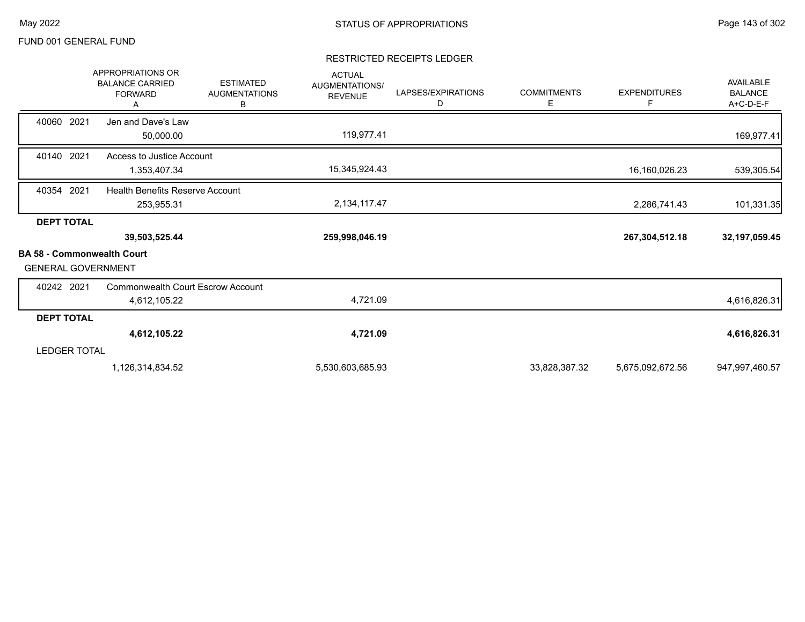|                                                        | <b>APPROPRIATIONS OR</b><br><b>BALANCE CARRIED</b><br><b>FORWARD</b><br>A | <b>ESTIMATED</b><br><b>AUGMENTATIONS</b><br>B | <b>ACTUAL</b><br><b>AUGMENTATIONS/</b><br><b>REVENUE</b> | LAPSES/EXPIRATIONS<br>D | <b>COMMITMENTS</b><br>Е | <b>EXPENDITURES</b><br>F | AVAILABLE<br><b>BALANCE</b><br>A+C-D-E-F |
|--------------------------------------------------------|---------------------------------------------------------------------------|-----------------------------------------------|----------------------------------------------------------|-------------------------|-------------------------|--------------------------|------------------------------------------|
| 40060 2021                                             | Jen and Dave's Law<br>50,000.00                                           |                                               | 119,977.41                                               |                         |                         |                          | 169,977.41                               |
| 40140 2021                                             | Access to Justice Account<br>1,353,407.34                                 |                                               | 15,345,924.43                                            |                         |                         | 16,160,026.23            | 539,305.54                               |
| 40354 2021                                             | Health Benefits Reserve Account<br>253,955.31                             |                                               | 2,134,117.47                                             |                         |                         | 2,286,741.43             | 101,331.35                               |
| <b>DEPT TOTAL</b><br><b>BA 58 - Commonwealth Court</b> | 39,503,525.44                                                             |                                               | 259,998,046.19                                           |                         |                         | 267,304,512.18           | 32, 197, 059.45                          |
| <b>GENERAL GOVERNMENT</b>                              |                                                                           |                                               |                                                          |                         |                         |                          |                                          |
| 40242 2021                                             | Commonwealth Court Escrow Account<br>4,612,105.22                         |                                               | 4,721.09                                                 |                         |                         |                          | 4,616,826.31                             |
| <b>DEPT TOTAL</b>                                      |                                                                           |                                               |                                                          |                         |                         |                          |                                          |
|                                                        | 4,612,105.22                                                              |                                               | 4,721.09                                                 |                         |                         |                          | 4,616,826.31                             |
| <b>LEDGER TOTAL</b>                                    |                                                                           |                                               |                                                          |                         |                         |                          |                                          |
|                                                        | 1,126,314,834.52                                                          |                                               | 5,530,603,685.93                                         |                         | 33,828,387.32           | 5,675,092,672.56         | 947,997,460.57                           |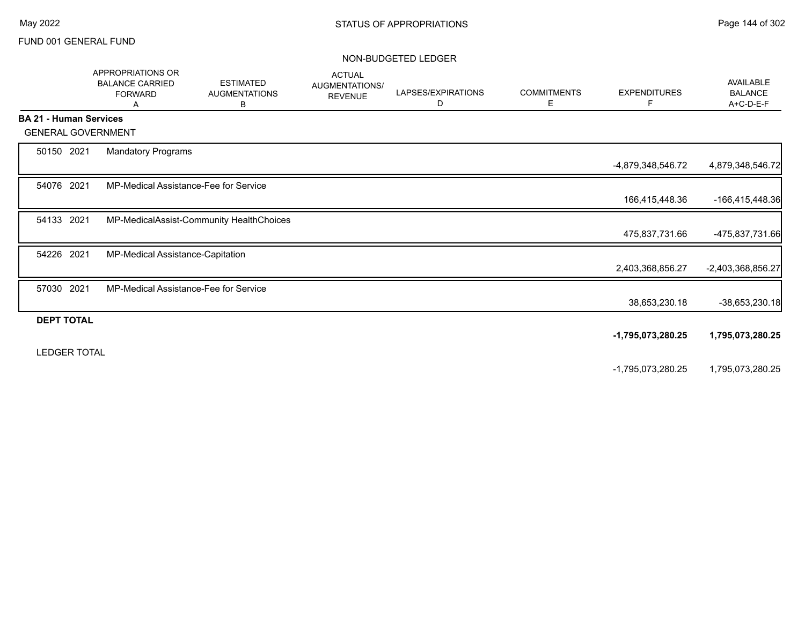#### NON-BUDGETED LEDGER

|                               | APPROPRIATIONS OR<br><b>BALANCE CARRIED</b><br><b>FORWARD</b><br>A | <b>ESTIMATED</b><br><b>AUGMENTATIONS</b><br>в | <b>ACTUAL</b><br>AUGMENTATIONS/<br><b>REVENUE</b> | LAPSES/EXPIRATIONS<br>D | <b>COMMITMENTS</b><br>Е | <b>EXPENDITURES</b><br>F. | <b>AVAILABLE</b><br><b>BALANCE</b><br>A+C-D-E-F |
|-------------------------------|--------------------------------------------------------------------|-----------------------------------------------|---------------------------------------------------|-------------------------|-------------------------|---------------------------|-------------------------------------------------|
| <b>BA 21 - Human Services</b> |                                                                    |                                               |                                                   |                         |                         |                           |                                                 |
| <b>GENERAL GOVERNMENT</b>     |                                                                    |                                               |                                                   |                         |                         |                           |                                                 |
| 50150 2021                    | <b>Mandatory Programs</b>                                          |                                               |                                                   |                         |                         | -4,879,348,546.72         | 4,879,348,546.72                                |
| 54076 2021                    | MP-Medical Assistance-Fee for Service                              |                                               |                                                   |                         |                         | 166,415,448.36            | -166,415,448.36                                 |
| 54133 2021                    |                                                                    | MP-MedicalAssist-Community HealthChoices      |                                                   |                         |                         | 475,837,731.66            | -475,837,731.66                                 |
| 54226 2021                    | MP-Medical Assistance-Capitation                                   |                                               |                                                   |                         |                         | 2,403,368,856.27          | -2,403,368,856.27                               |
| 57030 2021                    | MP-Medical Assistance-Fee for Service                              |                                               |                                                   |                         |                         | 38,653,230.18             | -38,653,230.18                                  |
| <b>DEPT TOTAL</b>             |                                                                    |                                               |                                                   |                         |                         | -1,795,073,280.25         | 1,795,073,280.25                                |
| <b>LEDGER TOTAL</b>           |                                                                    |                                               |                                                   |                         |                         | -1,795,073,280.25         | 1,795,073,280.25                                |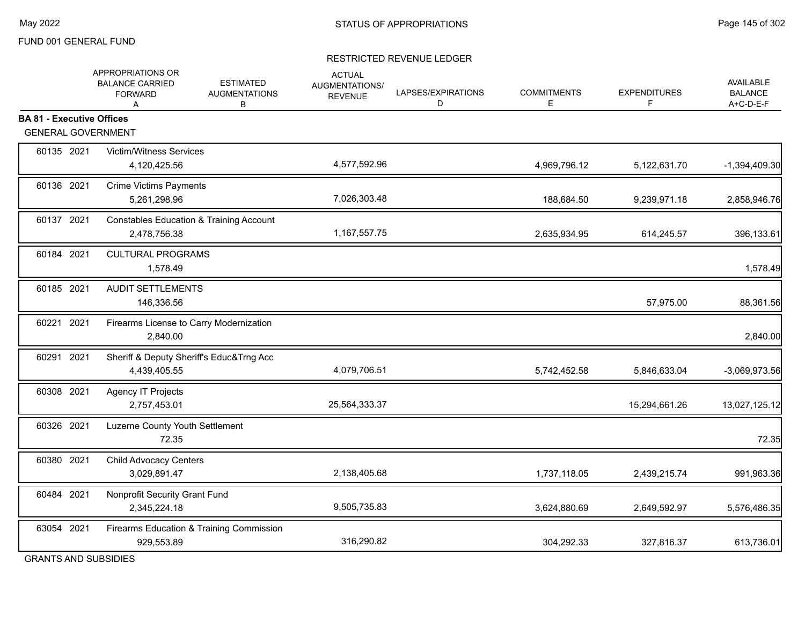### RESTRICTED REVENUE LEDGER

|                                  | APPROPRIATIONS OR<br><b>BALANCE CARRIED</b><br><b>FORWARD</b><br>A | <b>ESTIMATED</b><br><b>AUGMENTATIONS</b><br>В | <b>ACTUAL</b><br>AUGMENTATIONS/<br><b>REVENUE</b> | LAPSES/EXPIRATIONS<br>D | <b>COMMITMENTS</b><br>Е | <b>EXPENDITURES</b><br>F | <b>AVAILABLE</b><br><b>BALANCE</b><br>A+C-D-E-F |
|----------------------------------|--------------------------------------------------------------------|-----------------------------------------------|---------------------------------------------------|-------------------------|-------------------------|--------------------------|-------------------------------------------------|
| <b>BA 81 - Executive Offices</b> |                                                                    |                                               |                                                   |                         |                         |                          |                                                 |
| <b>GENERAL GOVERNMENT</b>        |                                                                    |                                               |                                                   |                         |                         |                          |                                                 |
| 60135 2021                       | <b>Victim/Witness Services</b><br>4,120,425.56                     |                                               | 4,577,592.96                                      |                         | 4,969,796.12            | 5,122,631.70             | -1,394,409.30                                   |
| 60136 2021                       | <b>Crime Victims Payments</b><br>5,261,298.96                      |                                               | 7,026,303.48                                      |                         | 188,684.50              | 9,239,971.18             | 2,858,946.76                                    |
| 60137 2021                       | <b>Constables Education &amp; Training Account</b><br>2,478,756.38 |                                               | 1, 167, 557. 75                                   |                         | 2,635,934.95            | 614,245.57               | 396,133.61                                      |
| 60184 2021                       | <b>CULTURAL PROGRAMS</b><br>1,578.49                               |                                               |                                                   |                         |                         |                          | 1,578.49                                        |
| 60185 2021                       | <b>AUDIT SETTLEMENTS</b><br>146,336.56                             |                                               |                                                   |                         |                         | 57,975.00                | 88,361.56                                       |
| 60221 2021                       | Firearms License to Carry Modernization<br>2,840.00                |                                               |                                                   |                         |                         |                          | 2,840.00                                        |
| 60291 2021                       | Sheriff & Deputy Sheriff's Educ&Trng Acc<br>4,439,405.55           |                                               | 4,079,706.51                                      |                         | 5,742,452.58            | 5,846,633.04             | -3,069,973.56                                   |
| 60308 2021                       | Agency IT Projects<br>2,757,453.01                                 |                                               | 25,564,333.37                                     |                         |                         | 15,294,661.26            | 13,027,125.12                                   |
| 60326 2021                       | Luzerne County Youth Settlement<br>72.35                           |                                               |                                                   |                         |                         |                          | 72.35                                           |
| 60380 2021                       | <b>Child Advocacy Centers</b><br>3,029,891.47                      |                                               | 2,138,405.68                                      |                         | 1,737,118.05            | 2,439,215.74             | 991,963.36                                      |
| 60484 2021                       | Nonprofit Security Grant Fund<br>2,345,224.18                      |                                               | 9,505,735.83                                      |                         | 3,624,880.69            | 2,649,592.97             | 5,576,486.35                                    |
| 63054 2021                       | Firearms Education & Training Commission<br>929,553.89             |                                               | 316,290.82                                        |                         | 304,292.33              | 327,816.37               | 613,736.01                                      |
|                                  |                                                                    |                                               |                                                   |                         |                         |                          |                                                 |

GRANTS AND SUBSIDIES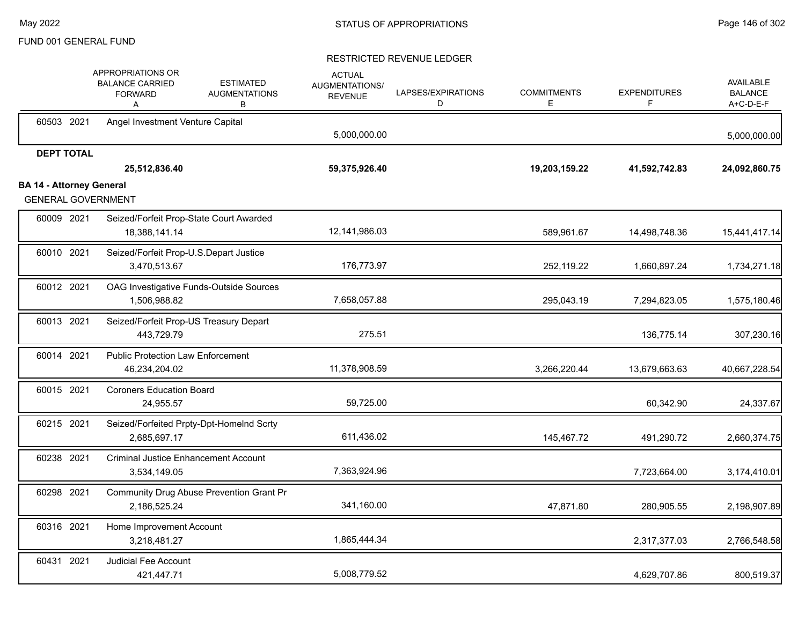|                                 | APPROPRIATIONS OR<br><b>BALANCE CARRIED</b><br><b>FORWARD</b><br>A | <b>ESTIMATED</b><br><b>AUGMENTATIONS</b><br>в | <b>ACTUAL</b><br>AUGMENTATIONS/<br><b>REVENUE</b> | LAPSES/EXPIRATIONS<br>D | <b>COMMITMENTS</b><br>Е | <b>EXPENDITURES</b><br>F. | <b>AVAILABLE</b><br><b>BALANCE</b><br>A+C-D-E-F |
|---------------------------------|--------------------------------------------------------------------|-----------------------------------------------|---------------------------------------------------|-------------------------|-------------------------|---------------------------|-------------------------------------------------|
| 60503 2021                      | Angel Investment Venture Capital                                   |                                               | 5,000,000.00                                      |                         |                         |                           | 5,000,000.00                                    |
| <b>DEPT TOTAL</b>               |                                                                    |                                               |                                                   |                         |                         |                           |                                                 |
|                                 | 25,512,836.40                                                      |                                               | 59,375,926.40                                     |                         | 19,203,159.22           | 41,592,742.83             | 24,092,860.75                                   |
| <b>BA 14 - Attorney General</b> | <b>GENERAL GOVERNMENT</b>                                          |                                               |                                                   |                         |                         |                           |                                                 |
| 60009 2021                      | Seized/Forfeit Prop-State Court Awarded<br>18,388,141.14           |                                               | 12,141,986.03                                     |                         | 589,961.67              | 14,498,748.36             | 15,441,417.14                                   |
| 60010 2021                      | Seized/Forfeit Prop-U.S.Depart Justice<br>3,470,513.67             |                                               | 176,773.97                                        |                         | 252,119.22              | 1,660,897.24              | 1,734,271.18                                    |
| 60012 2021                      | OAG Investigative Funds-Outside Sources<br>1,506,988.82            |                                               | 7,658,057.88                                      |                         | 295,043.19              | 7,294,823.05              | 1,575,180.46                                    |
| 60013 2021                      | Seized/Forfeit Prop-US Treasury Depart<br>443,729.79               |                                               | 275.51                                            |                         |                         | 136,775.14                | 307,230.16                                      |
| 60014 2021                      | <b>Public Protection Law Enforcement</b><br>46,234,204.02          |                                               | 11,378,908.59                                     |                         | 3,266,220.44            | 13,679,663.63             | 40,667,228.54                                   |
| 60015 2021                      | <b>Coroners Education Board</b><br>24,955.57                       |                                               | 59,725.00                                         |                         |                         | 60,342.90                 | 24,337.67                                       |
| 60215 2021                      | Seized/Forfeited Prpty-Dpt-HomeInd Scrty<br>2,685,697.17           |                                               | 611,436.02                                        |                         | 145,467.72              | 491,290.72                | 2,660,374.75                                    |
| 60238 2021                      | <b>Criminal Justice Enhancement Account</b><br>3,534,149.05        |                                               | 7,363,924.96                                      |                         |                         | 7,723,664.00              | 3,174,410.01                                    |
| 60298 2021                      | Community Drug Abuse Prevention Grant Pr<br>2,186,525.24           |                                               | 341,160.00                                        |                         | 47,871.80               | 280,905.55                | 2,198,907.89                                    |
| 60316 2021                      | Home Improvement Account<br>3,218,481.27                           |                                               | 1,865,444.34                                      |                         |                         | 2,317,377.03              | 2,766,548.58                                    |
| 60431 2021                      | Judicial Fee Account<br>421,447.71                                 |                                               | 5,008,779.52                                      |                         |                         | 4,629,707.86              | 800,519.37                                      |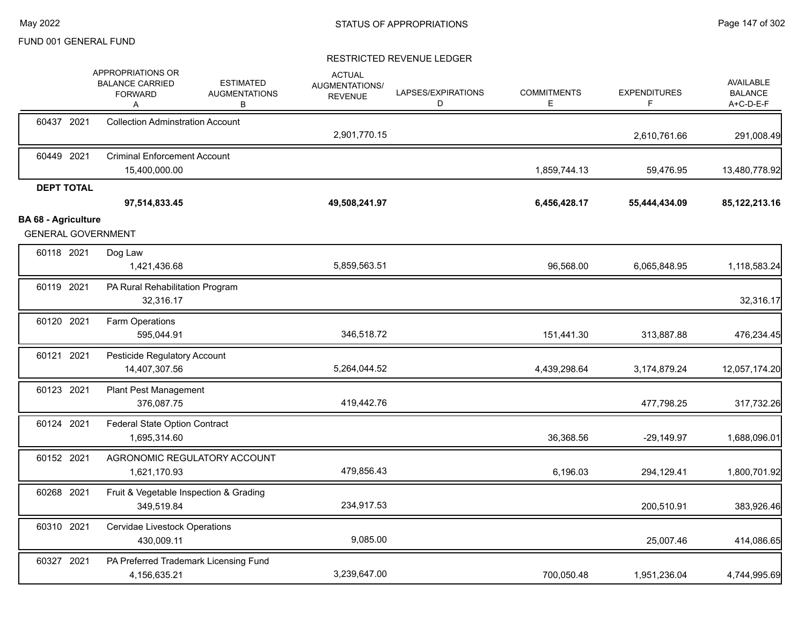|                            |                   | APPROPRIATIONS OR<br><b>BALANCE CARRIED</b><br><b>FORWARD</b><br>Α | <b>ESTIMATED</b><br><b>AUGMENTATIONS</b><br>в | <b>ACTUAL</b><br>AUGMENTATIONS/<br><b>REVENUE</b> | LAPSES/EXPIRATIONS<br>D | <b>COMMITMENTS</b><br>E | <b>EXPENDITURES</b><br>F | <b>AVAILABLE</b><br><b>BALANCE</b><br>A+C-D-E-F |
|----------------------------|-------------------|--------------------------------------------------------------------|-----------------------------------------------|---------------------------------------------------|-------------------------|-------------------------|--------------------------|-------------------------------------------------|
|                            | 60437 2021        | <b>Collection Adminstration Account</b>                            |                                               | 2,901,770.15                                      |                         |                         | 2,610,761.66             | 291,008.49                                      |
|                            | 60449 2021        | <b>Criminal Enforcement Account</b><br>15,400,000.00               |                                               |                                                   |                         | 1,859,744.13            | 59,476.95                | 13,480,778.92                                   |
|                            | <b>DEPT TOTAL</b> | 97,514,833.45                                                      |                                               | 49,508,241.97                                     |                         | 6,456,428.17            | 55,444,434.09            | 85,122,213.16                                   |
| <b>BA 68 - Agriculture</b> |                   | <b>GENERAL GOVERNMENT</b>                                          |                                               |                                                   |                         |                         |                          |                                                 |
|                            | 60118 2021        | Dog Law<br>1,421,436.68                                            |                                               | 5,859,563.51                                      |                         | 96,568.00               | 6,065,848.95             | 1,118,583.24                                    |
|                            | 60119 2021        | PA Rural Rehabilitation Program<br>32,316.17                       |                                               |                                                   |                         |                         |                          | 32,316.17                                       |
|                            | 60120 2021        | Farm Operations<br>595,044.91                                      |                                               | 346,518.72                                        |                         | 151,441.30              | 313,887.88               | 476,234.45                                      |
|                            | 60121 2021        | Pesticide Regulatory Account<br>14,407,307.56                      |                                               | 5,264,044.52                                      |                         | 4,439,298.64            | 3,174,879.24             | 12,057,174.20                                   |
|                            | 60123 2021        | Plant Pest Management<br>376,087.75                                |                                               | 419,442.76                                        |                         |                         | 477,798.25               | 317,732.26                                      |
|                            | 60124 2021        | <b>Federal State Option Contract</b><br>1,695,314.60               |                                               |                                                   |                         | 36,368.56               | $-29,149.97$             | 1,688,096.01                                    |
|                            | 60152 2021        | AGRONOMIC REGULATORY ACCOUNT<br>1,621,170.93                       |                                               | 479,856.43                                        |                         | 6,196.03                | 294,129.41               | 1,800,701.92                                    |
|                            | 60268 2021        | Fruit & Vegetable Inspection & Grading<br>349,519.84               |                                               | 234,917.53                                        |                         |                         | 200,510.91               | 383,926.46                                      |
|                            | 60310 2021        | Cervidae Livestock Operations<br>430,009.11                        |                                               | 9,085.00                                          |                         |                         | 25,007.46                | 414,086.65                                      |
|                            | 60327 2021        | PA Preferred Trademark Licensing Fund<br>4,156,635.21              |                                               | 3,239,647.00                                      |                         | 700,050.48              | 1,951,236.04             | 4,744,995.69                                    |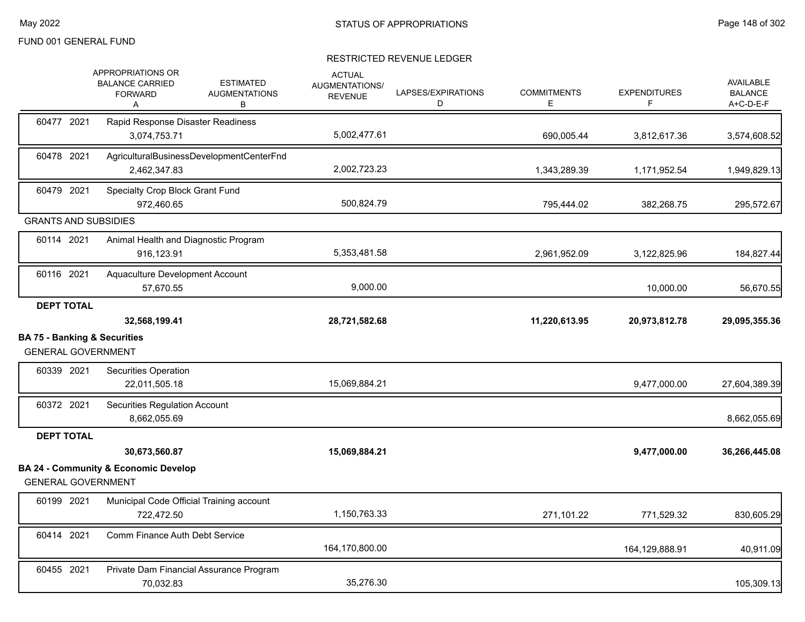|                                                                      | APPROPRIATIONS OR<br><b>ESTIMATED</b><br><b>BALANCE CARRIED</b><br><b>AUGMENTATIONS</b><br><b>FORWARD</b><br>В<br>Α | <b>ACTUAL</b><br>AUGMENTATIONS/<br><b>REVENUE</b> | LAPSES/EXPIRATIONS<br>D | <b>COMMITMENTS</b><br>E | <b>EXPENDITURES</b><br>F | <b>AVAILABLE</b><br><b>BALANCE</b><br>A+C-D-E-F |
|----------------------------------------------------------------------|---------------------------------------------------------------------------------------------------------------------|---------------------------------------------------|-------------------------|-------------------------|--------------------------|-------------------------------------------------|
| 60477 2021                                                           | Rapid Response Disaster Readiness<br>3,074,753.71                                                                   | 5,002,477.61                                      |                         | 690,005.44              | 3,812,617.36             | 3,574,608.52                                    |
| 60478 2021                                                           | AgriculturalBusinessDevelopmentCenterFnd<br>2,462,347.83                                                            | 2,002,723.23                                      |                         | 1,343,289.39            | 1,171,952.54             | 1,949,829.13                                    |
| 60479 2021                                                           | Specialty Crop Block Grant Fund<br>972,460.65                                                                       | 500,824.79                                        |                         | 795,444.02              | 382,268.75               | 295,572.67                                      |
| <b>GRANTS AND SUBSIDIES</b>                                          |                                                                                                                     |                                                   |                         |                         |                          |                                                 |
| 60114 2021                                                           | Animal Health and Diagnostic Program<br>916,123.91                                                                  | 5,353,481.58                                      |                         | 2,961,952.09            | 3,122,825.96             | 184,827.44                                      |
| 60116 2021                                                           | Aquaculture Development Account<br>57,670.55                                                                        | 9,000.00                                          |                         |                         | 10,000.00                | 56,670.55                                       |
| <b>DEPT TOTAL</b>                                                    | 32,568,199.41                                                                                                       | 28,721,582.68                                     |                         | 11,220,613.95           | 20,973,812.78            | 29,095,355.36                                   |
| <b>BA 75 - Banking &amp; Securities</b><br><b>GENERAL GOVERNMENT</b> |                                                                                                                     |                                                   |                         |                         |                          |                                                 |
| 60339 2021                                                           | Securities Operation<br>22,011,505.18                                                                               | 15,069,884.21                                     |                         |                         | 9,477,000.00             | 27,604,389.39                                   |
| 60372 2021                                                           | <b>Securities Regulation Account</b><br>8,662,055.69                                                                |                                                   |                         |                         |                          | 8,662,055.69                                    |
| <b>DEPT TOTAL</b>                                                    |                                                                                                                     |                                                   |                         |                         |                          |                                                 |
|                                                                      | 30,673,560.87                                                                                                       | 15,069,884.21                                     |                         |                         | 9,477,000.00             | 36,266,445.08                                   |
| <b>GENERAL GOVERNMENT</b>                                            | <b>BA 24 - Community &amp; Economic Develop</b>                                                                     |                                                   |                         |                         |                          |                                                 |
| 60199 2021                                                           | Municipal Code Official Training account<br>722,472.50                                                              | 1,150,763.33                                      |                         | 271,101.22              | 771,529.32               | 830,605.29                                      |
| 60414 2021                                                           | Comm Finance Auth Debt Service                                                                                      | 164,170,800.00                                    |                         |                         | 164,129,888.91           | 40,911.09                                       |
| 60455 2021                                                           | Private Dam Financial Assurance Program<br>70,032.83                                                                | 35,276.30                                         |                         |                         |                          | 105,309.13                                      |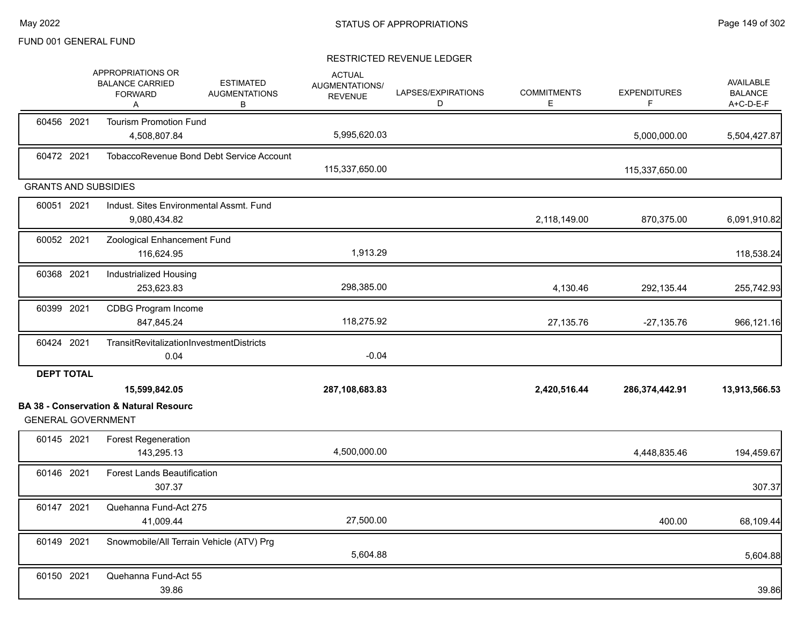|                             | APPROPRIATIONS OR<br><b>BALANCE CARRIED</b><br><b>FORWARD</b><br>Α | <b>ESTIMATED</b><br><b>AUGMENTATIONS</b><br>В | <b>ACTUAL</b><br>AUGMENTATIONS/<br><b>REVENUE</b> | LAPSES/EXPIRATIONS<br>D | <b>COMMITMENTS</b><br>E. | <b>EXPENDITURES</b><br>F | <b>AVAILABLE</b><br><b>BALANCE</b><br>A+C-D-E-F |
|-----------------------------|--------------------------------------------------------------------|-----------------------------------------------|---------------------------------------------------|-------------------------|--------------------------|--------------------------|-------------------------------------------------|
| 60456 2021                  | <b>Tourism Promotion Fund</b><br>4,508,807.84                      |                                               | 5,995,620.03                                      |                         |                          | 5,000,000.00             | 5,504,427.87                                    |
| 60472 2021                  |                                                                    | TobaccoRevenue Bond Debt Service Account      | 115,337,650.00                                    |                         |                          | 115,337,650.00           |                                                 |
| <b>GRANTS AND SUBSIDIES</b> |                                                                    |                                               |                                                   |                         |                          |                          |                                                 |
| 60051 2021                  | Indust. Sites Environmental Assmt. Fund<br>9,080,434.82            |                                               |                                                   |                         | 2,118,149.00             | 870,375.00               | 6,091,910.82                                    |
| 60052 2021                  | Zoological Enhancement Fund<br>116,624.95                          |                                               | 1,913.29                                          |                         |                          |                          | 118,538.24                                      |
| 60368 2021                  | Industrialized Housing<br>253,623.83                               |                                               | 298,385.00                                        |                         | 4,130.46                 | 292,135.44               | 255,742.93                                      |
| 60399 2021                  | <b>CDBG Program Income</b><br>847,845.24                           |                                               | 118,275.92                                        |                         | 27,135.76                | $-27,135.76$             | 966,121.16                                      |
| 60424 2021                  | TransitRevitalizationInvestmentDistricts<br>0.04                   |                                               | $-0.04$                                           |                         |                          |                          |                                                 |
| <b>DEPT TOTAL</b>           | 15,599,842.05                                                      |                                               | 287,108,683.83                                    |                         | 2,420,516.44             | 286,374,442.91           | 13,913,566.53                                   |
| <b>GENERAL GOVERNMENT</b>   | <b>BA 38 - Conservation &amp; Natural Resourc</b>                  |                                               |                                                   |                         |                          |                          |                                                 |
| 60145 2021                  | <b>Forest Regeneration</b><br>143,295.13                           |                                               | 4,500,000.00                                      |                         |                          | 4,448,835.46             | 194,459.67                                      |
| 60146 2021                  | <b>Forest Lands Beautification</b><br>307.37                       |                                               |                                                   |                         |                          |                          | 307.37                                          |
| 60147 2021                  | Quehanna Fund-Act 275<br>41,009.44                                 |                                               | 27,500.00                                         |                         |                          | 400.00                   | 68,109.44                                       |
| 60149 2021                  | Snowmobile/All Terrain Vehicle (ATV) Prg                           |                                               | 5,604.88                                          |                         |                          |                          | 5,604.88                                        |
| 60150 2021                  | Quehanna Fund-Act 55<br>39.86                                      |                                               |                                                   |                         |                          |                          | 39.86                                           |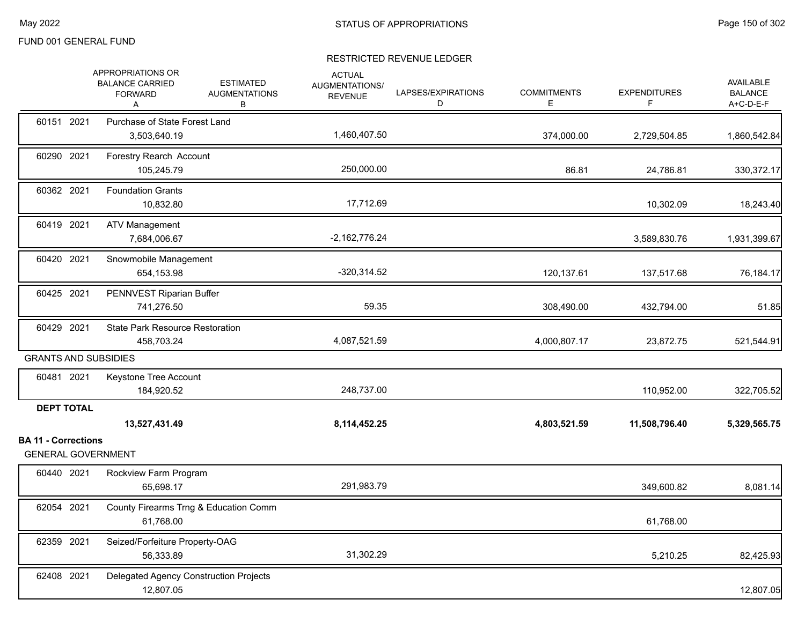|                                                         | APPROPRIATIONS OR<br><b>BALANCE CARRIED</b><br><b>FORWARD</b><br>A | <b>ESTIMATED</b><br><b>AUGMENTATIONS</b><br>B | <b>ACTUAL</b><br>AUGMENTATIONS/<br><b>REVENUE</b> | LAPSES/EXPIRATIONS<br>D | <b>COMMITMENTS</b><br>Е | <b>EXPENDITURES</b><br>F. | <b>AVAILABLE</b><br><b>BALANCE</b><br>A+C-D-E-F |
|---------------------------------------------------------|--------------------------------------------------------------------|-----------------------------------------------|---------------------------------------------------|-------------------------|-------------------------|---------------------------|-------------------------------------------------|
| 60151 2021                                              | Purchase of State Forest Land<br>3,503,640.19                      |                                               | 1,460,407.50                                      |                         | 374,000.00              | 2,729,504.85              | 1,860,542.84                                    |
| 60290 2021                                              | Forestry Rearch Account<br>105,245.79                              |                                               | 250,000.00                                        |                         | 86.81                   | 24,786.81                 | 330, 372.17                                     |
| 60362 2021                                              | <b>Foundation Grants</b><br>10,832.80                              |                                               | 17,712.69                                         |                         |                         | 10,302.09                 | 18,243.40                                       |
| 60419 2021                                              | <b>ATV Management</b><br>7,684,006.67                              |                                               | $-2,162,776.24$                                   |                         |                         | 3,589,830.76              | 1,931,399.67                                    |
| 60420 2021                                              | Snowmobile Management<br>654,153.98                                |                                               | $-320,314.52$                                     |                         | 120,137.61              | 137,517.68                | 76,184.17                                       |
| 60425 2021                                              | PENNVEST Riparian Buffer<br>741,276.50                             |                                               | 59.35                                             |                         | 308,490.00              | 432,794.00                | 51.85                                           |
| 60429 2021                                              | State Park Resource Restoration<br>458,703.24                      |                                               | 4,087,521.59                                      |                         | 4,000,807.17            | 23,872.75                 | 521,544.91                                      |
| <b>GRANTS AND SUBSIDIES</b>                             |                                                                    |                                               |                                                   |                         |                         |                           |                                                 |
| 60481 2021                                              | Keystone Tree Account<br>184,920.52                                |                                               | 248,737.00                                        |                         |                         | 110,952.00                | 322,705.52                                      |
| <b>DEPT TOTAL</b>                                       | 13,527,431.49                                                      |                                               | 8,114,452.25                                      |                         | 4,803,521.59            | 11,508,796.40             | 5,329,565.75                                    |
| <b>BA 11 - Corrections</b><br><b>GENERAL GOVERNMENT</b> |                                                                    |                                               |                                                   |                         |                         |                           |                                                 |
| 60440 2021                                              | Rockview Farm Program<br>65,698.17                                 |                                               | 291,983.79                                        |                         |                         | 349,600.82                | 8,081.14                                        |
| 62054 2021                                              | County Firearms Trng & Education Comm<br>61,768.00                 |                                               |                                                   |                         |                         | 61,768.00                 |                                                 |
| 62359 2021                                              | Seized/Forfeiture Property-OAG<br>56,333.89                        |                                               | 31,302.29                                         |                         |                         | 5,210.25                  | 82,425.93                                       |
| 62408 2021                                              | Delegated Agency Construction Projects<br>12,807.05                |                                               |                                                   |                         |                         |                           | 12,807.05                                       |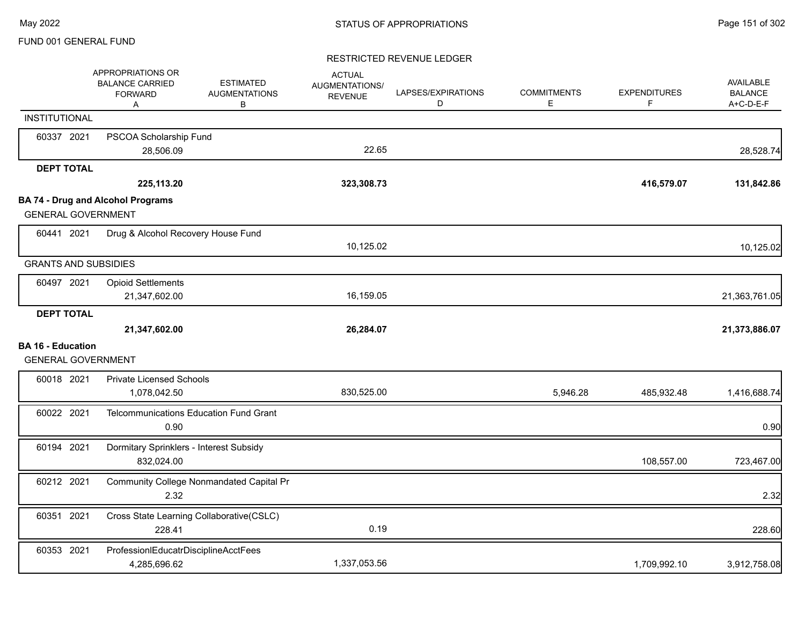|                                                       | APPROPRIATIONS OR<br><b>BALANCE CARRIED</b><br><b>FORWARD</b><br>Α | <b>ESTIMATED</b><br><b>AUGMENTATIONS</b><br>B | <b>ACTUAL</b><br><b>AUGMENTATIONS/</b><br><b>REVENUE</b> | LAPSES/EXPIRATIONS<br>D | <b>COMMITMENTS</b><br>Е | <b>EXPENDITURES</b><br>F | <b>AVAILABLE</b><br><b>BALANCE</b><br>A+C-D-E-F |
|-------------------------------------------------------|--------------------------------------------------------------------|-----------------------------------------------|----------------------------------------------------------|-------------------------|-------------------------|--------------------------|-------------------------------------------------|
| <b>INSTITUTIONAL</b>                                  |                                                                    |                                               |                                                          |                         |                         |                          |                                                 |
| 60337 2021                                            | PSCOA Scholarship Fund<br>28,506.09                                |                                               | 22.65                                                    |                         |                         |                          | 28,528.74                                       |
| <b>DEPT TOTAL</b>                                     |                                                                    |                                               |                                                          |                         |                         |                          |                                                 |
|                                                       | 225,113.20                                                         |                                               | 323,308.73                                               |                         |                         | 416,579.07               | 131,842.86                                      |
|                                                       | <b>BA 74 - Drug and Alcohol Programs</b>                           |                                               |                                                          |                         |                         |                          |                                                 |
| <b>GENERAL GOVERNMENT</b>                             |                                                                    |                                               |                                                          |                         |                         |                          |                                                 |
| 60441 2021                                            | Drug & Alcohol Recovery House Fund                                 |                                               |                                                          |                         |                         |                          |                                                 |
|                                                       |                                                                    |                                               | 10,125.02                                                |                         |                         |                          | 10,125.02                                       |
| <b>GRANTS AND SUBSIDIES</b>                           |                                                                    |                                               |                                                          |                         |                         |                          |                                                 |
| 60497 2021                                            | <b>Opioid Settlements</b>                                          |                                               |                                                          |                         |                         |                          |                                                 |
|                                                       | 21,347,602.00                                                      |                                               | 16,159.05                                                |                         |                         |                          | 21,363,761.05                                   |
| <b>DEPT TOTAL</b>                                     |                                                                    |                                               |                                                          |                         |                         |                          |                                                 |
|                                                       | 21,347,602.00                                                      |                                               | 26,284.07                                                |                         |                         |                          | 21,373,886.07                                   |
| <b>BA 16 - Education</b><br><b>GENERAL GOVERNMENT</b> |                                                                    |                                               |                                                          |                         |                         |                          |                                                 |
| 60018 2021                                            | <b>Private Licensed Schools</b>                                    |                                               |                                                          |                         |                         |                          |                                                 |
|                                                       | 1,078,042.50                                                       |                                               | 830,525.00                                               |                         | 5,946.28                | 485,932.48               | 1,416,688.74                                    |
| 60022 2021                                            | <b>Telcommunications Education Fund Grant</b><br>0.90              |                                               |                                                          |                         |                         |                          | 0.90                                            |
| 60194 2021                                            | Dormitary Sprinklers - Interest Subsidy<br>832,024.00              |                                               |                                                          |                         |                         | 108,557.00               | 723,467.00                                      |
| 60212 2021                                            | <b>Community College Nonmandated Capital Pr</b><br>2.32            |                                               |                                                          |                         |                         |                          | 2.32                                            |
| 60351 2021                                            | Cross State Learning Collaborative(CSLC)<br>228.41                 |                                               | 0.19                                                     |                         |                         |                          | 228.60                                          |
| 60353 2021                                            | ProfessionIEducatrDisciplineAcctFees<br>4,285,696.62               |                                               | 1,337,053.56                                             |                         |                         | 1,709,992.10             | 3,912,758.08                                    |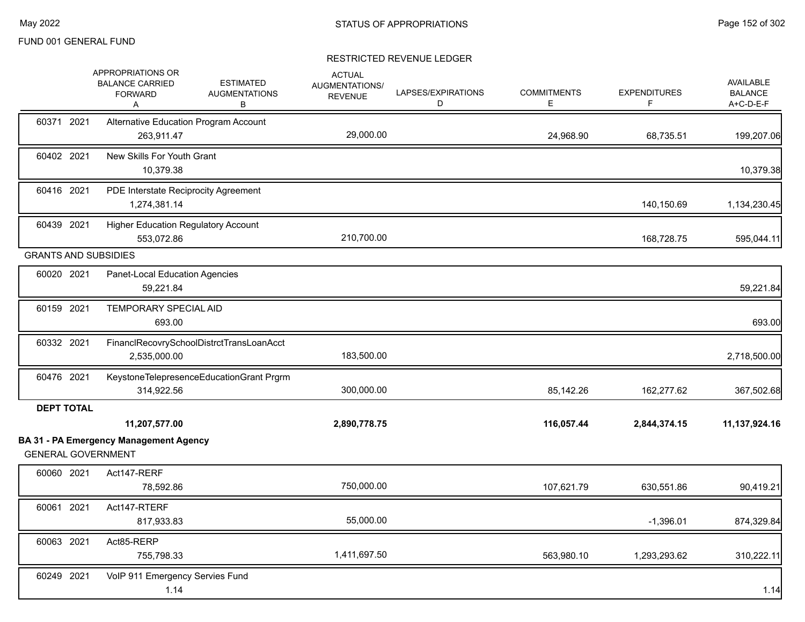|                             | APPROPRIATIONS OR<br><b>BALANCE CARRIED</b><br><b>ESTIMATED</b><br><b>AUGMENTATIONS</b><br><b>FORWARD</b><br>в<br>Α | <b>ACTUAL</b><br>AUGMENTATIONS/<br><b>REVENUE</b> | LAPSES/EXPIRATIONS<br>D | <b>COMMITMENTS</b><br>Е | <b>EXPENDITURES</b><br>F | AVAILABLE<br><b>BALANCE</b><br>A+C-D-E-F |
|-----------------------------|---------------------------------------------------------------------------------------------------------------------|---------------------------------------------------|-------------------------|-------------------------|--------------------------|------------------------------------------|
| 60371 2021                  | Alternative Education Program Account<br>263,911.47                                                                 | 29,000.00                                         |                         | 24,968.90               | 68,735.51                | 199,207.06                               |
| 60402 2021                  | New Skills For Youth Grant<br>10,379.38                                                                             |                                                   |                         |                         |                          | 10,379.38                                |
| 60416 2021                  | PDE Interstate Reciprocity Agreement<br>1,274,381.14                                                                |                                                   |                         |                         | 140,150.69               | 1,134,230.45                             |
| 60439 2021                  | <b>Higher Education Regulatory Account</b><br>553,072.86                                                            | 210,700.00                                        |                         |                         | 168,728.75               | 595,044.11                               |
| <b>GRANTS AND SUBSIDIES</b> |                                                                                                                     |                                                   |                         |                         |                          |                                          |
| 60020 2021                  | Panet-Local Education Agencies<br>59,221.84                                                                         |                                                   |                         |                         |                          | 59,221.84                                |
| 60159 2021                  | <b>TEMPORARY SPECIAL AID</b><br>693.00                                                                              |                                                   |                         |                         |                          | 693.00                                   |
| 60332 2021                  | FinanclRecovrySchoolDistrctTransLoanAcct<br>2,535,000.00                                                            | 183,500.00                                        |                         |                         |                          | 2,718,500.00                             |
| 60476 2021                  | KeystoneTelepresenceEducationGrant Prgrm<br>314,922.56                                                              | 300,000.00                                        |                         | 85,142.26               | 162,277.62               | 367,502.68                               |
| <b>DEPT TOTAL</b>           |                                                                                                                     |                                                   |                         |                         |                          |                                          |
|                             | 11,207,577.00                                                                                                       | 2,890,778.75                                      |                         | 116,057.44              | 2,844,374.15             | 11,137,924.16                            |
| <b>GENERAL GOVERNMENT</b>   | <b>BA 31 - PA Emergency Management Agency</b>                                                                       |                                                   |                         |                         |                          |                                          |
| 60060 2021                  | Act147-RERF<br>78,592.86                                                                                            | 750,000.00                                        |                         | 107,621.79              | 630,551.86               | 90,419.21                                |
| 60061 2021                  | Act147-RTERF<br>817,933.83                                                                                          | 55,000.00                                         |                         |                         | $-1,396.01$              | 874,329.84                               |
| 60063 2021                  | Act85-RERP<br>755,798.33                                                                                            | 1,411,697.50                                      |                         | 563,980.10              | 1,293,293.62             | 310,222.11                               |
| 60249 2021                  | VoIP 911 Emergency Servies Fund<br>1.14                                                                             |                                                   |                         |                         |                          | 1.14                                     |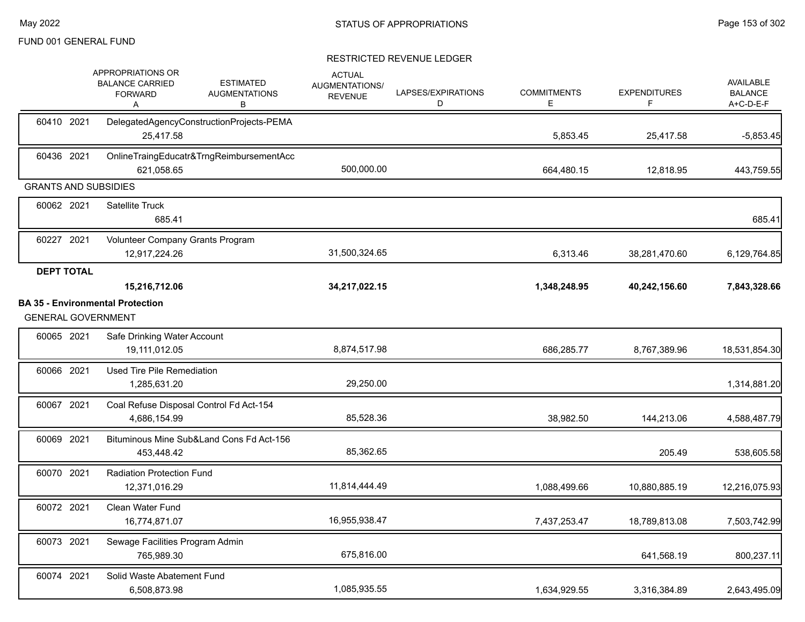|                             | <b>APPROPRIATIONS OR</b><br><b>BALANCE CARRIED</b><br><b>FORWARD</b><br>Α | <b>ESTIMATED</b><br><b>AUGMENTATIONS</b><br>В | <b>ACTUAL</b><br>AUGMENTATIONS/<br><b>REVENUE</b> | LAPSES/EXPIRATIONS<br>D | <b>COMMITMENTS</b><br>Е | <b>EXPENDITURES</b><br>F | <b>AVAILABLE</b><br><b>BALANCE</b><br>A+C-D-E-F |
|-----------------------------|---------------------------------------------------------------------------|-----------------------------------------------|---------------------------------------------------|-------------------------|-------------------------|--------------------------|-------------------------------------------------|
| 60410 2021                  | 25.417.58                                                                 | DelegatedAgencyConstructionProjects-PEMA      |                                                   |                         | 5,853.45                | 25,417.58                | $-5,853.45$                                     |
| 60436 2021                  | 621,058.65                                                                | OnlineTraingEducatr&TrngReimbursementAcc      | 500,000.00                                        |                         | 664,480.15              | 12,818.95                | 443,759.55                                      |
| <b>GRANTS AND SUBSIDIES</b> |                                                                           |                                               |                                                   |                         |                         |                          |                                                 |
| 60062 2021                  | <b>Satellite Truck</b><br>685.41                                          |                                               |                                                   |                         |                         |                          | 685.41                                          |
| 60227 2021                  | Volunteer Company Grants Program<br>12,917,224.26                         |                                               | 31,500,324.65                                     |                         | 6,313.46                | 38,281,470.60            | 6,129,764.85                                    |
| <b>DEPT TOTAL</b>           | 15,216,712.06                                                             |                                               | 34,217,022.15                                     |                         | 1,348,248.95            | 40,242,156.60            | 7,843,328.66                                    |
| <b>GENERAL GOVERNMENT</b>   | <b>BA 35 - Environmental Protection</b>                                   |                                               |                                                   |                         |                         |                          |                                                 |
| 60065 2021                  | Safe Drinking Water Account<br>19,111,012.05                              |                                               | 8,874,517.98                                      |                         | 686,285.77              | 8,767,389.96             | 18,531,854.30                                   |
| 60066 2021                  | Used Tire Pile Remediation<br>1,285,631.20                                |                                               | 29,250.00                                         |                         |                         |                          | 1,314,881.20                                    |
| 60067 2021                  | Coal Refuse Disposal Control Fd Act-154<br>4,686,154.99                   |                                               | 85,528.36                                         |                         | 38,982.50               | 144,213.06               | 4,588,487.79                                    |
| 60069 2021                  | Bituminous Mine Sub&Land Cons Fd Act-156<br>453,448.42                    |                                               | 85,362.65                                         |                         |                         | 205.49                   | 538,605.58                                      |
| 60070 2021                  | <b>Radiation Protection Fund</b><br>12,371,016.29                         |                                               | 11,814,444.49                                     |                         | 1,088,499.66            | 10,880,885.19            | 12,216,075.93                                   |
| 60072 2021                  | Clean Water Fund<br>16,774,871.07                                         |                                               | 16,955,938.47                                     |                         | 7,437,253.47            | 18,789,813.08            | 7,503,742.99                                    |
| 60073 2021                  | Sewage Facilities Program Admin<br>765,989.30                             |                                               | 675,816.00                                        |                         |                         | 641,568.19               | 800,237.11                                      |
| 60074 2021                  | Solid Waste Abatement Fund<br>6,508,873.98                                |                                               | 1,085,935.55                                      |                         | 1,634,929.55            | 3,316,384.89             | 2,643,495.09                                    |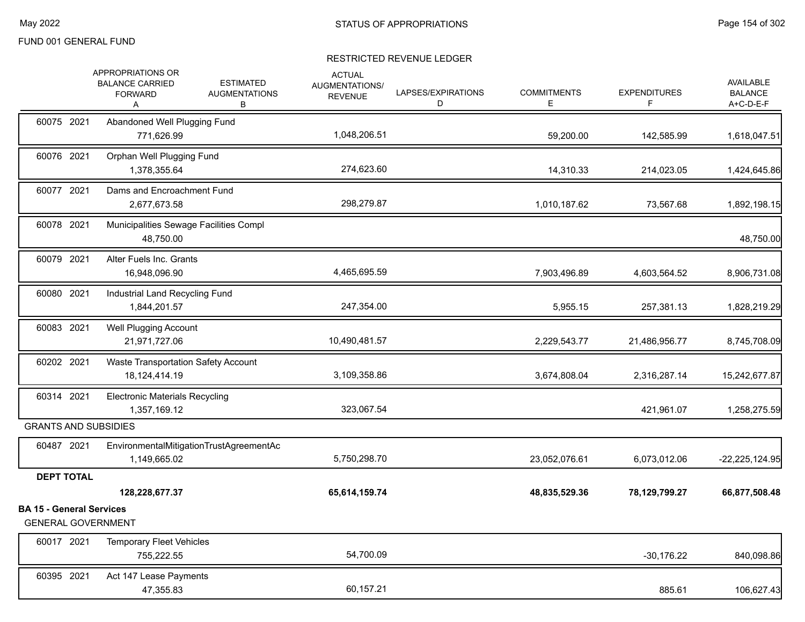|                                                              | APPROPRIATIONS OR<br><b>BALANCE CARRIED</b><br><b>FORWARD</b><br>Α | <b>ESTIMATED</b><br><b>AUGMENTATIONS</b><br>В | <b>ACTUAL</b><br><b>AUGMENTATIONS/</b><br><b>REVENUE</b> | LAPSES/EXPIRATIONS<br>D | <b>COMMITMENTS</b><br>E | <b>EXPENDITURES</b><br>F | <b>AVAILABLE</b><br><b>BALANCE</b><br>A+C-D-E-F |
|--------------------------------------------------------------|--------------------------------------------------------------------|-----------------------------------------------|----------------------------------------------------------|-------------------------|-------------------------|--------------------------|-------------------------------------------------|
| 60075 2021                                                   | Abandoned Well Plugging Fund<br>771,626.99                         |                                               | 1,048,206.51                                             |                         | 59,200.00               | 142,585.99               | 1,618,047.51                                    |
| 60076 2021                                                   | Orphan Well Plugging Fund<br>1,378,355.64                          |                                               | 274,623.60                                               |                         | 14,310.33               | 214,023.05               | 1,424,645.86                                    |
| 60077 2021                                                   | Dams and Encroachment Fund<br>2,677,673.58                         |                                               | 298,279.87                                               |                         | 1,010,187.62            | 73,567.68                | 1,892,198.15                                    |
| 60078 2021                                                   | Municipalities Sewage Facilities Compl<br>48,750.00                |                                               |                                                          |                         |                         |                          | 48,750.00                                       |
| 60079 2021                                                   | Alter Fuels Inc. Grants<br>16,948,096.90                           |                                               | 4,465,695.59                                             |                         | 7,903,496.89            | 4,603,564.52             | 8,906,731.08                                    |
| 60080 2021                                                   | Industrial Land Recycling Fund<br>1,844,201.57                     |                                               | 247,354.00                                               |                         | 5,955.15                | 257,381.13               | 1,828,219.29                                    |
| 60083 2021                                                   | Well Plugging Account<br>21,971,727.06                             |                                               | 10,490,481.57                                            |                         | 2,229,543.77            | 21,486,956.77            | 8,745,708.09                                    |
| 60202 2021                                                   | Waste Transportation Safety Account<br>18,124,414.19               |                                               | 3,109,358.86                                             |                         | 3,674,808.04            | 2,316,287.14             | 15,242,677.87                                   |
| 60314 2021                                                   | <b>Electronic Materials Recycling</b><br>1,357,169.12              |                                               | 323,067.54                                               |                         |                         | 421,961.07               | 1,258,275.59                                    |
| <b>GRANTS AND SUBSIDIES</b>                                  |                                                                    |                                               |                                                          |                         |                         |                          |                                                 |
| 60487 2021                                                   | 1,149,665.02                                                       | EnvironmentalMitigationTrustAgreementAc       | 5,750,298.70                                             |                         | 23,052,076.61           | 6,073,012.06             | $-22,225,124.95$                                |
| <b>DEPT TOTAL</b>                                            |                                                                    |                                               |                                                          |                         |                         |                          |                                                 |
|                                                              | 128,228,677.37                                                     |                                               | 65,614,159.74                                            |                         | 48,835,529.36           | 78,129,799.27            | 66,877,508.48                                   |
| <b>BA 15 - General Services</b><br><b>GENERAL GOVERNMENT</b> |                                                                    |                                               |                                                          |                         |                         |                          |                                                 |
| 60017 2021                                                   | <b>Temporary Fleet Vehicles</b><br>755,222.55                      |                                               | 54,700.09                                                |                         |                         | $-30,176.22$             | 840,098.86                                      |
| 60395 2021                                                   | Act 147 Lease Payments<br>47,355.83                                |                                               | 60,157.21                                                |                         |                         | 885.61                   | 106,627.43                                      |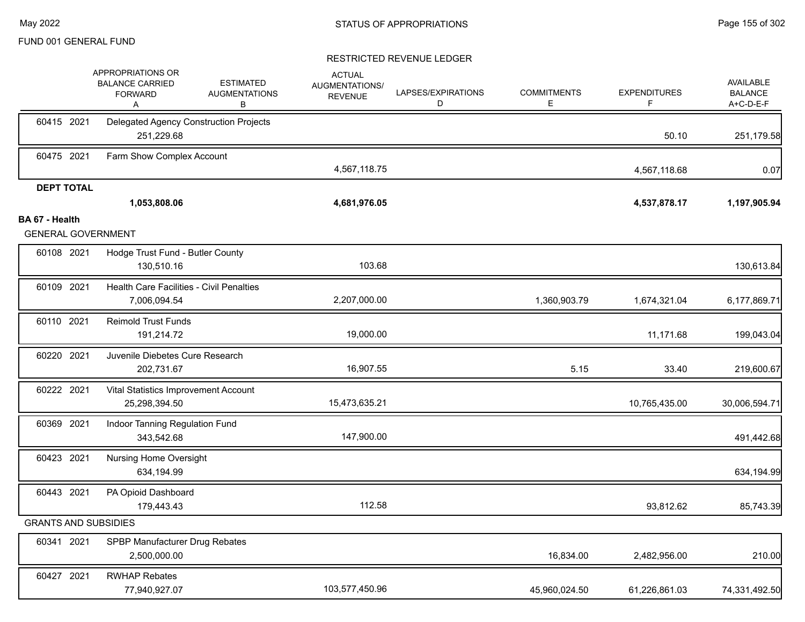|                                             | APPROPRIATIONS OR<br><b>BALANCE CARRIED</b><br><b>ESTIMATED</b><br><b>FORWARD</b><br><b>AUGMENTATIONS</b><br>В<br>A | <b>ACTUAL</b><br>AUGMENTATIONS/<br><b>REVENUE</b> | LAPSES/EXPIRATIONS<br>D | <b>COMMITMENTS</b><br>Ε | <b>EXPENDITURES</b><br>F | <b>AVAILABLE</b><br><b>BALANCE</b><br>$A+C-D-E-F$ |
|---------------------------------------------|---------------------------------------------------------------------------------------------------------------------|---------------------------------------------------|-------------------------|-------------------------|--------------------------|---------------------------------------------------|
| 60415 2021                                  | Delegated Agency Construction Projects<br>251,229.68                                                                |                                                   |                         |                         | 50.10                    | 251,179.58                                        |
| 60475 2021                                  | Farm Show Complex Account                                                                                           | 4,567,118.75                                      |                         |                         | 4,567,118.68             | 0.07                                              |
| <b>DEPT TOTAL</b>                           | 1,053,808.06                                                                                                        | 4,681,976.05                                      |                         |                         | 4,537,878.17             | 1,197,905.94                                      |
| BA 67 - Health<br><b>GENERAL GOVERNMENT</b> |                                                                                                                     |                                                   |                         |                         |                          |                                                   |
| 60108 2021                                  | Hodge Trust Fund - Butler County<br>130,510.16                                                                      | 103.68                                            |                         |                         |                          | 130,613.84                                        |
| 60109 2021                                  | <b>Health Care Facilities - Civil Penalties</b><br>7,006,094.54                                                     | 2,207,000.00                                      |                         | 1,360,903.79            | 1,674,321.04             | 6,177,869.71                                      |
| 60110 2021                                  | Reimold Trust Funds<br>191,214.72                                                                                   | 19,000.00                                         |                         |                         | 11,171.68                | 199,043.04                                        |
| 60220 2021                                  | Juvenile Diebetes Cure Research<br>202,731.67                                                                       | 16,907.55                                         |                         | 5.15                    | 33.40                    | 219,600.67                                        |
| 60222 2021                                  | Vital Statistics Improvement Account<br>25,298,394.50                                                               | 15,473,635.21                                     |                         |                         | 10,765,435.00            | 30,006,594.71                                     |
| 60369 2021                                  | Indoor Tanning Regulation Fund<br>343,542.68                                                                        | 147,900.00                                        |                         |                         |                          | 491,442.68                                        |
| 60423 2021                                  | <b>Nursing Home Oversight</b><br>634,194.99                                                                         |                                                   |                         |                         |                          | 634,194.99                                        |
| 60443 2021                                  | PA Opioid Dashboard<br>179,443.43                                                                                   | 112.58                                            |                         |                         | 93,812.62                | 85,743.39                                         |
| <b>GRANTS AND SUBSIDIES</b>                 |                                                                                                                     |                                                   |                         |                         |                          |                                                   |
| 60341 2021                                  | SPBP Manufacturer Drug Rebates<br>2,500,000.00                                                                      |                                                   |                         | 16,834.00               | 2,482,956.00             | 210.00                                            |
| 60427 2021                                  | <b>RWHAP Rebates</b><br>77,940,927.07                                                                               | 103,577,450.96                                    |                         | 45,960,024.50           | 61,226,861.03            | 74,331,492.50                                     |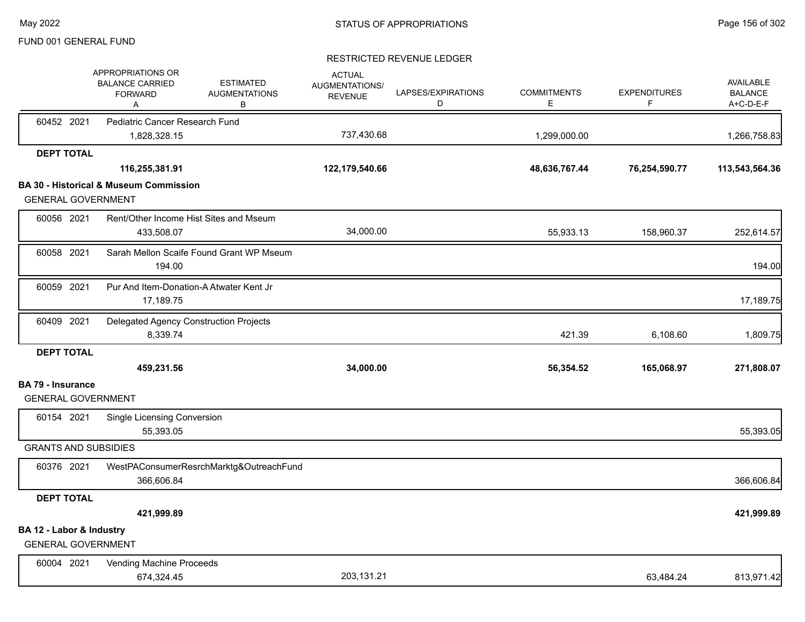# FUND 001 GENERAL FUND

|                                                       |                                                                    |                                               |                                                   | RESTRICTED REVENUE LEDGER |                         |                          |                                                 |
|-------------------------------------------------------|--------------------------------------------------------------------|-----------------------------------------------|---------------------------------------------------|---------------------------|-------------------------|--------------------------|-------------------------------------------------|
|                                                       | APPROPRIATIONS OR<br><b>BALANCE CARRIED</b><br><b>FORWARD</b><br>Α | <b>ESTIMATED</b><br><b>AUGMENTATIONS</b><br>В | <b>ACTUAL</b><br>AUGMENTATIONS/<br><b>REVENUE</b> | LAPSES/EXPIRATIONS<br>D   | <b>COMMITMENTS</b><br>Е | <b>EXPENDITURES</b><br>F | <b>AVAILABLE</b><br><b>BALANCE</b><br>A+C-D-E-F |
| 60452 2021                                            | Pediatric Cancer Research Fund                                     |                                               |                                                   |                           |                         |                          |                                                 |
|                                                       | 1,828,328.15                                                       |                                               | 737,430.68                                        |                           | 1,299,000.00            |                          | 1,266,758.83                                    |
| <b>DEPT TOTAL</b>                                     |                                                                    |                                               |                                                   |                           |                         |                          |                                                 |
|                                                       | 116,255,381.91                                                     |                                               | 122,179,540.66                                    |                           | 48,636,767.44           | 76,254,590.77            | 113,543,564.36                                  |
|                                                       | <b>BA 30 - Historical &amp; Museum Commission</b>                  |                                               |                                                   |                           |                         |                          |                                                 |
| <b>GENERAL GOVERNMENT</b>                             |                                                                    |                                               |                                                   |                           |                         |                          |                                                 |
| 60056 2021                                            | Rent/Other Income Hist Sites and Mseum<br>433,508.07               |                                               | 34,000.00                                         |                           | 55,933.13               | 158,960.37               | 252,614.57                                      |
| 60058 2021                                            | 194.00                                                             | Sarah Mellon Scaife Found Grant WP Mseum      |                                                   |                           |                         |                          | 194.00                                          |
| 60059 2021                                            | Pur And Item-Donation-A Atwater Kent Jr<br>17,189.75               |                                               |                                                   |                           |                         |                          | 17,189.75                                       |
| 60409 2021                                            | Delegated Agency Construction Projects<br>8,339.74                 |                                               |                                                   |                           | 421.39                  | 6,108.60                 | 1,809.75                                        |
| <b>DEPT TOTAL</b>                                     |                                                                    |                                               |                                                   |                           |                         |                          |                                                 |
|                                                       | 459,231.56                                                         |                                               | 34,000.00                                         |                           | 56,354.52               | 165,068.97               | 271,808.07                                      |
| <b>BA 79 - Insurance</b>                              |                                                                    |                                               |                                                   |                           |                         |                          |                                                 |
| <b>GENERAL GOVERNMENT</b>                             |                                                                    |                                               |                                                   |                           |                         |                          |                                                 |
| 60154 2021                                            | <b>Single Licensing Conversion</b><br>55,393.05                    |                                               |                                                   |                           |                         |                          | 55,393.05                                       |
| <b>GRANTS AND SUBSIDIES</b>                           |                                                                    |                                               |                                                   |                           |                         |                          |                                                 |
| 60376 2021                                            | 366,606.84                                                         | WestPAConsumerResrchMarktg&OutreachFund       |                                                   |                           |                         |                          | 366,606.84                                      |
| <b>DEPT TOTAL</b>                                     |                                                                    |                                               |                                                   |                           |                         |                          |                                                 |
|                                                       | 421,999.89                                                         |                                               |                                                   |                           |                         |                          | 421,999.89                                      |
| BA 12 - Labor & Industry<br><b>GENERAL GOVERNMENT</b> |                                                                    |                                               |                                                   |                           |                         |                          |                                                 |
| 60004 2021                                            | Vending Machine Proceeds<br>674,324.45                             |                                               | 203,131.21                                        |                           |                         | 63,484.24                | 813,971.42                                      |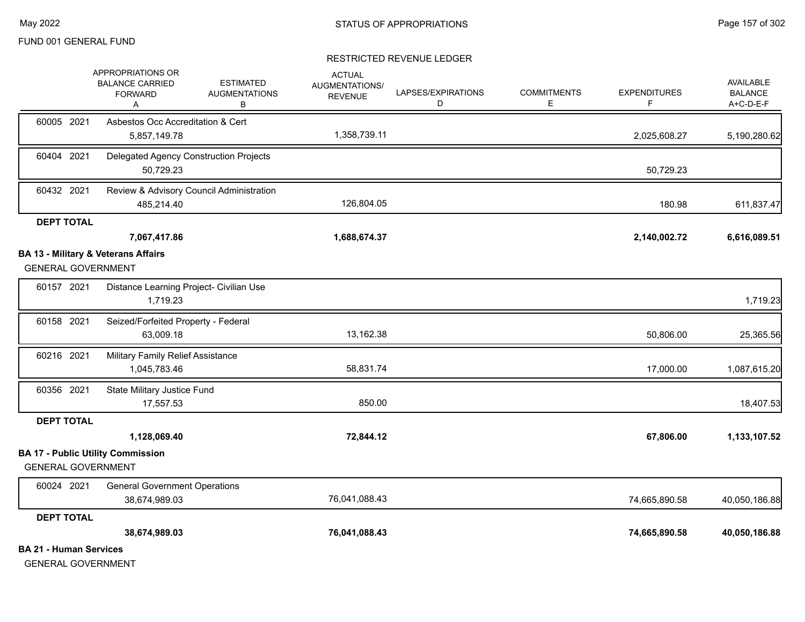#### RESTRICTED REVENUE LEDGER

|                               | APPROPRIATIONS OR<br><b>BALANCE CARRIED</b><br><b>FORWARD</b><br>Α | <b>ESTIMATED</b><br><b>AUGMENTATIONS</b><br>в | <b>ACTUAL</b><br>AUGMENTATIONS/<br><b>REVENUE</b> | LAPSES/EXPIRATIONS<br>D | <b>COMMITMENTS</b><br>E. | <b>EXPENDITURES</b><br>F. | <b>AVAILABLE</b><br><b>BALANCE</b><br>A+C-D-E-F |
|-------------------------------|--------------------------------------------------------------------|-----------------------------------------------|---------------------------------------------------|-------------------------|--------------------------|---------------------------|-------------------------------------------------|
| 60005 2021                    | Asbestos Occ Accreditation & Cert<br>5,857,149.78                  |                                               | 1,358,739.11                                      |                         |                          | 2,025,608.27              | 5,190,280.62                                    |
| 60404 2021                    | 50,729.23                                                          | Delegated Agency Construction Projects        |                                                   |                         |                          | 50,729.23                 |                                                 |
| 60432 2021                    | 485,214.40                                                         | Review & Advisory Council Administration      | 126,804.05                                        |                         |                          | 180.98                    | 611,837.47                                      |
| <b>DEPT TOTAL</b>             |                                                                    |                                               |                                                   |                         |                          |                           |                                                 |
|                               | 7,067,417.86                                                       |                                               | 1,688,674.37                                      |                         |                          | 2,140,002.72              | 6,616,089.51                                    |
| <b>GENERAL GOVERNMENT</b>     | <b>BA 13 - Military &amp; Veterans Affairs</b>                     |                                               |                                                   |                         |                          |                           |                                                 |
| 60157 2021                    | 1,719.23                                                           | Distance Learning Project- Civilian Use       |                                                   |                         |                          |                           | 1,719.23                                        |
| 60158 2021                    | Seized/Forfeited Property - Federal<br>63,009.18                   |                                               | 13,162.38                                         |                         |                          | 50,806.00                 | 25,365.56                                       |
| 60216 2021                    | Military Family Relief Assistance<br>1,045,783.46                  |                                               | 58,831.74                                         |                         |                          | 17,000.00                 | 1,087,615.20                                    |
| 60356 2021                    | State Military Justice Fund<br>17,557.53                           |                                               | 850.00                                            |                         |                          |                           | 18,407.53                                       |
| <b>DEPT TOTAL</b>             |                                                                    |                                               |                                                   |                         |                          |                           |                                                 |
|                               | 1,128,069.40                                                       |                                               | 72,844.12                                         |                         |                          | 67,806.00                 | 1,133,107.52                                    |
|                               | <b>BA 17 - Public Utility Commission</b>                           |                                               |                                                   |                         |                          |                           |                                                 |
| <b>GENERAL GOVERNMENT</b>     |                                                                    |                                               |                                                   |                         |                          |                           |                                                 |
| 60024 2021                    | <b>General Government Operations</b><br>38,674,989.03              |                                               | 76,041,088.43                                     |                         |                          | 74,665,890.58             | 40,050,186.88                                   |
| <b>DEPT TOTAL</b>             |                                                                    |                                               |                                                   |                         |                          |                           |                                                 |
|                               | 38,674,989.03                                                      |                                               | 76,041,088.43                                     |                         |                          | 74,665,890.58             | 40,050,186.88                                   |
| <b>BA 21 - Human Services</b> |                                                                    |                                               |                                                   |                         |                          |                           |                                                 |

GENERAL GOVERNMENT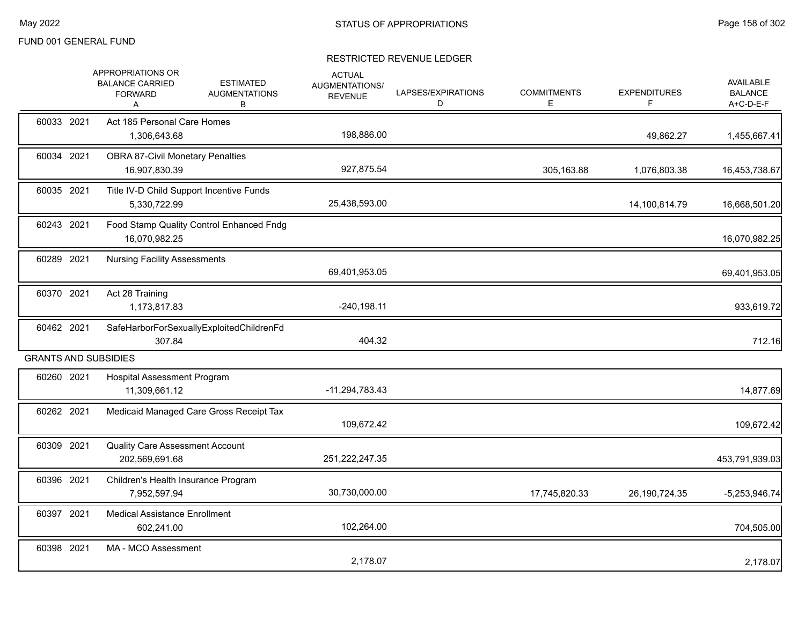|            | APPROPRIATIONS OR<br><b>BALANCE CARRIED</b><br><b>FORWARD</b><br>A | <b>ESTIMATED</b><br><b>AUGMENTATIONS</b><br>B | <b>ACTUAL</b><br>AUGMENTATIONS/<br><b>REVENUE</b> | LAPSES/EXPIRATIONS<br>D | <b>COMMITMENTS</b><br>Е | <b>EXPENDITURES</b><br>F | AVAILABLE<br><b>BALANCE</b><br>A+C-D-E-F |
|------------|--------------------------------------------------------------------|-----------------------------------------------|---------------------------------------------------|-------------------------|-------------------------|--------------------------|------------------------------------------|
| 60033 2021 | Act 185 Personal Care Homes<br>1,306,643.68                        |                                               | 198,886.00                                        |                         |                         | 49,862.27                | 1,455,667.41                             |
| 60034 2021 | <b>OBRA 87-Civil Monetary Penalties</b><br>16,907,830.39           |                                               | 927,875.54                                        |                         | 305,163.88              | 1,076,803.38             | 16,453,738.67                            |
| 60035 2021 | 5,330,722.99                                                       | Title IV-D Child Support Incentive Funds      | 25,438,593.00                                     |                         |                         | 14,100,814.79            | 16,668,501.20                            |
| 60243 2021 | 16,070,982.25                                                      | Food Stamp Quality Control Enhanced Fndg      |                                                   |                         |                         |                          | 16,070,982.25                            |
| 60289 2021 | <b>Nursing Facility Assessments</b>                                |                                               | 69,401,953.05                                     |                         |                         |                          | 69,401,953.05                            |
| 60370 2021 | Act 28 Training<br>1,173,817.83                                    |                                               | $-240,198.11$                                     |                         |                         |                          | 933,619.72                               |
| 60462 2021 | 307.84                                                             | SafeHarborForSexuallyExploitedChildrenFd      | 404.32                                            |                         |                         |                          | 712.16                                   |
|            | <b>GRANTS AND SUBSIDIES</b>                                        |                                               |                                                   |                         |                         |                          |                                          |
| 60260 2021 | <b>Hospital Assessment Program</b><br>11,309,661.12                |                                               | -11,294,783.43                                    |                         |                         |                          | 14,877.69                                |
| 60262 2021 |                                                                    | Medicaid Managed Care Gross Receipt Tax       | 109,672.42                                        |                         |                         |                          | 109,672.42                               |
| 60309 2021 | <b>Quality Care Assessment Account</b><br>202,569,691.68           |                                               | 251,222,247.35                                    |                         |                         |                          | 453,791,939.03                           |
| 60396 2021 | Children's Health Insurance Program<br>7,952,597.94                |                                               | 30,730,000.00                                     |                         | 17,745,820.33           | 26, 190, 724. 35         | $-5,253,946.74$                          |
| 60397 2021 | <b>Medical Assistance Enrollment</b><br>602,241.00                 |                                               | 102,264.00                                        |                         |                         |                          | 704,505.00                               |
| 60398 2021 | MA - MCO Assessment                                                |                                               | 2,178.07                                          |                         |                         |                          | 2,178.07                                 |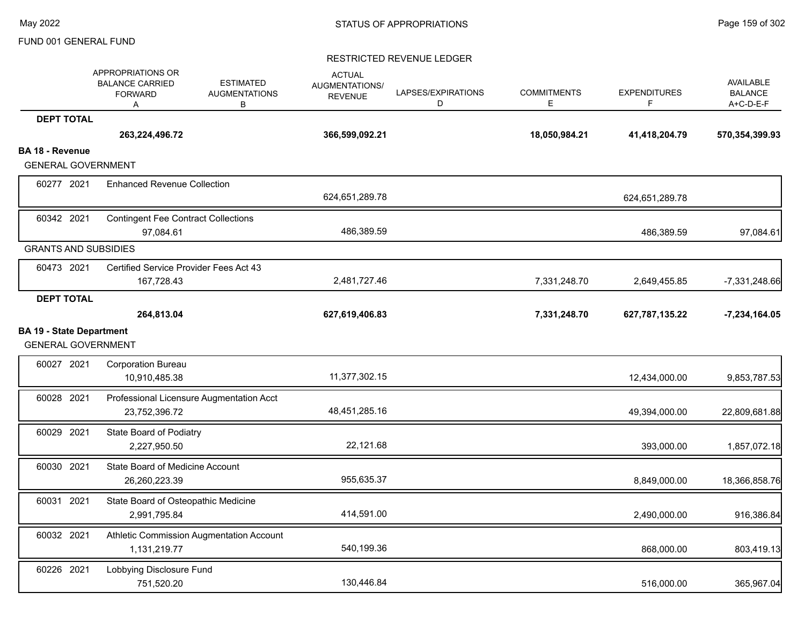|                                                              | APPROPRIATIONS OR<br><b>ESTIMATED</b><br><b>BALANCE CARRIED</b><br><b>AUGMENTATIONS</b><br><b>FORWARD</b><br>В<br>Α | <b>ACTUAL</b><br>AUGMENTATIONS/<br><b>REVENUE</b> | LAPSES/EXPIRATIONS<br>D | <b>COMMITMENTS</b><br>E | <b>EXPENDITURES</b><br>F | AVAILABLE<br><b>BALANCE</b><br>A+C-D-E-F |
|--------------------------------------------------------------|---------------------------------------------------------------------------------------------------------------------|---------------------------------------------------|-------------------------|-------------------------|--------------------------|------------------------------------------|
| <b>DEPT TOTAL</b>                                            |                                                                                                                     |                                                   |                         |                         |                          |                                          |
|                                                              | 263,224,496.72                                                                                                      | 366,599,092.21                                    |                         | 18,050,984.21           | 41,418,204.79            | 570,354,399.93                           |
| <b>BA 18 - Revenue</b>                                       |                                                                                                                     |                                                   |                         |                         |                          |                                          |
| <b>GENERAL GOVERNMENT</b>                                    |                                                                                                                     |                                                   |                         |                         |                          |                                          |
| 60277 2021                                                   | <b>Enhanced Revenue Collection</b>                                                                                  | 624,651,289.78                                    |                         |                         | 624,651,289.78           |                                          |
| 60342 2021                                                   | <b>Contingent Fee Contract Collections</b>                                                                          |                                                   |                         |                         |                          |                                          |
|                                                              | 97,084.61                                                                                                           | 486,389.59                                        |                         |                         | 486,389.59               | 97,084.61                                |
| <b>GRANTS AND SUBSIDIES</b>                                  |                                                                                                                     |                                                   |                         |                         |                          |                                          |
| 60473 2021                                                   | Certified Service Provider Fees Act 43                                                                              |                                                   |                         |                         |                          |                                          |
|                                                              | 167,728.43                                                                                                          | 2,481,727.46                                      |                         | 7,331,248.70            | 2,649,455.85             | $-7,331,248.66$                          |
| <b>DEPT TOTAL</b>                                            |                                                                                                                     |                                                   |                         |                         |                          |                                          |
|                                                              | 264,813.04                                                                                                          | 627,619,406.83                                    |                         | 7,331,248.70            | 627,787,135.22           | $-7,234,164.05$                          |
| <b>BA 19 - State Department</b><br><b>GENERAL GOVERNMENT</b> |                                                                                                                     |                                                   |                         |                         |                          |                                          |
| 60027 2021                                                   | <b>Corporation Bureau</b><br>10,910,485.38                                                                          | 11,377,302.15                                     |                         |                         | 12,434,000.00            | 9,853,787.53                             |
| 60028 2021                                                   | Professional Licensure Augmentation Acct<br>23,752,396.72                                                           | 48,451,285.16                                     |                         |                         | 49,394,000.00            | 22,809,681.88                            |
| 60029 2021                                                   | State Board of Podiatry<br>2,227,950.50                                                                             | 22,121.68                                         |                         |                         | 393,000.00               | 1,857,072.18                             |
| 60030 2021                                                   | State Board of Medicine Account<br>26,260,223.39                                                                    | 955,635.37                                        |                         |                         | 8,849,000.00             | 18,366,858.76                            |
| 60031 2021                                                   | State Board of Osteopathic Medicine<br>2,991,795.84                                                                 | 414,591.00                                        |                         |                         | 2,490,000.00             | 916,386.84                               |
| 60032 2021                                                   | Athletic Commission Augmentation Account<br>1,131,219.77                                                            | 540,199.36                                        |                         |                         | 868,000.00               | 803,419.13                               |
| 60226 2021                                                   | Lobbying Disclosure Fund<br>751,520.20                                                                              | 130,446.84                                        |                         |                         | 516,000.00               | 365,967.04                               |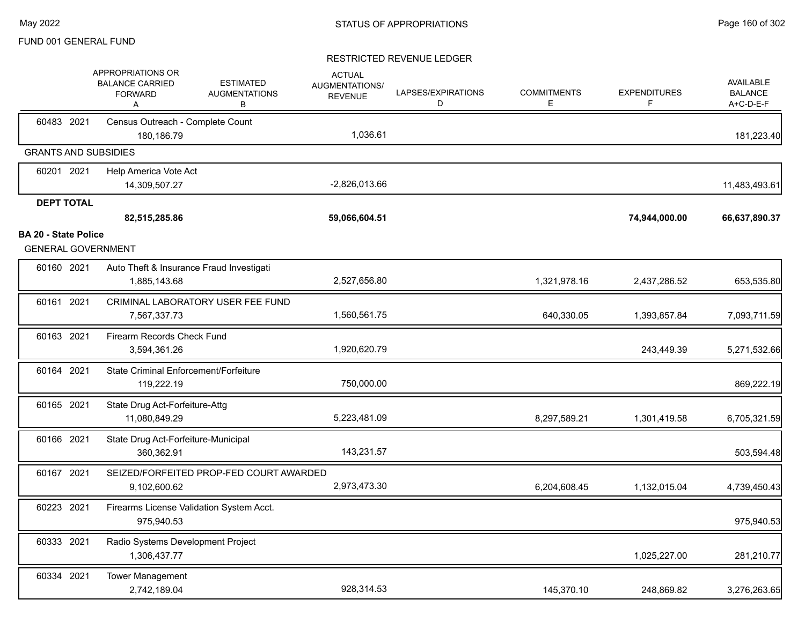|                             | APPROPRIATIONS OR<br><b>BALANCE CARRIED</b><br><b>FORWARD</b><br>A | <b>ESTIMATED</b><br><b>AUGMENTATIONS</b><br>В | <b>ACTUAL</b><br>AUGMENTATIONS/<br><b>REVENUE</b> | LAPSES/EXPIRATIONS<br>D | <b>COMMITMENTS</b><br>Е | <b>EXPENDITURES</b><br>F | <b>AVAILABLE</b><br><b>BALANCE</b><br>A+C-D-E-F |
|-----------------------------|--------------------------------------------------------------------|-----------------------------------------------|---------------------------------------------------|-------------------------|-------------------------|--------------------------|-------------------------------------------------|
| 60483 2021                  | Census Outreach - Complete Count                                   |                                               |                                                   |                         |                         |                          |                                                 |
|                             | 180,186.79<br><b>GRANTS AND SUBSIDIES</b>                          |                                               | 1,036.61                                          |                         |                         |                          | 181,223.40                                      |
|                             |                                                                    |                                               |                                                   |                         |                         |                          |                                                 |
| 60201 2021                  | Help America Vote Act<br>14,309,507.27                             |                                               | $-2,826,013.66$                                   |                         |                         |                          | 11,483,493.61                                   |
| <b>DEPT TOTAL</b>           |                                                                    |                                               |                                                   |                         |                         |                          |                                                 |
|                             | 82,515,285.86                                                      |                                               | 59,066,604.51                                     |                         |                         | 74,944,000.00            | 66,637,890.37                                   |
| <b>BA 20 - State Police</b> | <b>GENERAL GOVERNMENT</b>                                          |                                               |                                                   |                         |                         |                          |                                                 |
| 60160 2021                  | Auto Theft & Insurance Fraud Investigati<br>1,885,143.68           |                                               | 2,527,656.80                                      |                         | 1,321,978.16            | 2,437,286.52             | 653,535.80                                      |
| 60161 2021                  | CRIMINAL LABORATORY USER FEE FUND<br>7,567,337.73                  |                                               | 1,560,561.75                                      |                         | 640,330.05              | 1,393,857.84             | 7,093,711.59                                    |
| 60163 2021                  | Firearm Records Check Fund<br>3,594,361.26                         |                                               | 1,920,620.79                                      |                         |                         | 243,449.39               | 5,271,532.66                                    |
| 60164 2021                  | State Criminal Enforcement/Forfeiture<br>119,222.19                |                                               | 750,000.00                                        |                         |                         |                          | 869,222.19                                      |
| 60165 2021                  | State Drug Act-Forfeiture-Attg<br>11,080,849.29                    |                                               | 5,223,481.09                                      |                         | 8,297,589.21            | 1,301,419.58             | 6,705,321.59                                    |
| 60166 2021                  | State Drug Act-Forfeiture-Municipal<br>360,362.91                  |                                               | 143,231.57                                        |                         |                         |                          | 503,594.48                                      |
| 60167 2021                  | SEIZED/FORFEITED PROP-FED COURT AWARDED<br>9,102,600.62            |                                               | 2,973,473.30                                      |                         | 6,204,608.45            | 1,132,015.04             | 4,739,450.43                                    |
| 60223 2021                  | Firearms License Validation System Acct.<br>975,940.53             |                                               |                                                   |                         |                         |                          | 975,940.53                                      |
| 60333 2021                  | Radio Systems Development Project<br>1,306,437.77                  |                                               |                                                   |                         |                         | 1,025,227.00             | 281,210.77                                      |
| 60334 2021                  | <b>Tower Management</b><br>2,742,189.04                            |                                               | 928,314.53                                        |                         | 145,370.10              | 248,869.82               | 3,276,263.65                                    |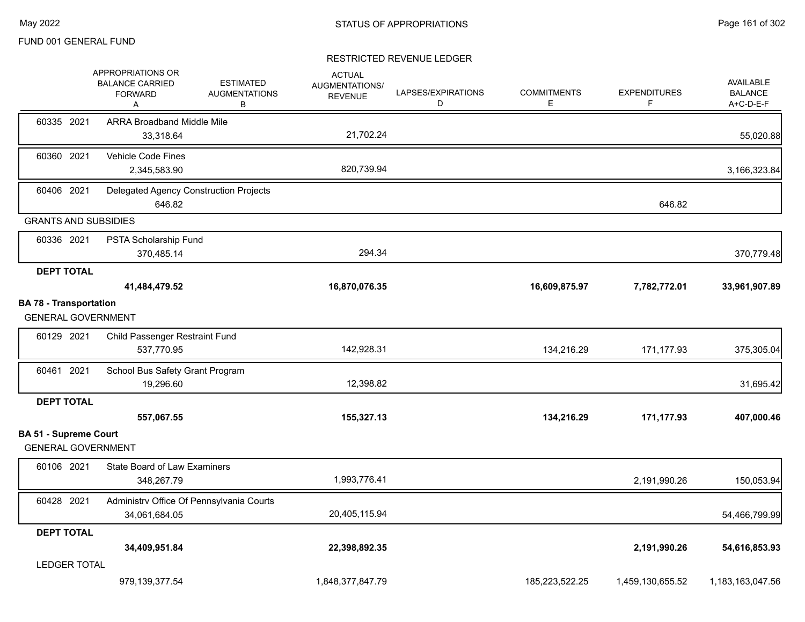|                                                            | APPROPRIATIONS OR<br><b>BALANCE CARRIED</b><br><b>FORWARD</b><br>Α | <b>ESTIMATED</b><br><b>AUGMENTATIONS</b><br>В | <b>ACTUAL</b><br>AUGMENTATIONS/<br><b>REVENUE</b> | LAPSES/EXPIRATIONS<br>D | <b>COMMITMENTS</b><br>E. | <b>EXPENDITURES</b><br>F | <b>AVAILABLE</b><br><b>BALANCE</b><br>A+C-D-E-F |
|------------------------------------------------------------|--------------------------------------------------------------------|-----------------------------------------------|---------------------------------------------------|-------------------------|--------------------------|--------------------------|-------------------------------------------------|
| 60335 2021                                                 | <b>ARRA Broadband Middle Mile</b><br>33,318.64                     |                                               | 21,702.24                                         |                         |                          |                          | 55,020.88                                       |
| 60360 2021                                                 | Vehicle Code Fines<br>2,345,583.90                                 |                                               | 820,739.94                                        |                         |                          |                          | 3,166,323.84                                    |
| 60406 2021                                                 | Delegated Agency Construction Projects<br>646.82                   |                                               |                                                   |                         |                          | 646.82                   |                                                 |
| <b>GRANTS AND SUBSIDIES</b>                                |                                                                    |                                               |                                                   |                         |                          |                          |                                                 |
| 60336 2021                                                 | PSTA Scholarship Fund<br>370,485.14                                |                                               | 294.34                                            |                         |                          |                          | 370,779.48                                      |
| <b>DEPT TOTAL</b>                                          |                                                                    |                                               |                                                   |                         |                          |                          |                                                 |
|                                                            | 41,484,479.52                                                      |                                               | 16,870,076.35                                     |                         | 16,609,875.97            | 7,782,772.01             | 33,961,907.89                                   |
| <b>BA 78 - Transportation</b><br><b>GENERAL GOVERNMENT</b> |                                                                    |                                               |                                                   |                         |                          |                          |                                                 |
| 60129 2021                                                 | Child Passenger Restraint Fund<br>537,770.95                       |                                               | 142,928.31                                        |                         | 134,216.29               | 171,177.93               | 375,305.04                                      |
| 60461 2021                                                 | School Bus Safety Grant Program<br>19.296.60                       |                                               | 12,398.82                                         |                         |                          |                          | 31,695.42                                       |
| <b>DEPT TOTAL</b>                                          | 557,067.55                                                         |                                               | 155,327.13                                        |                         | 134,216.29               | 171,177.93               | 407,000.46                                      |
| <b>BA 51 - Supreme Court</b>                               |                                                                    |                                               |                                                   |                         |                          |                          |                                                 |
| <b>GENERAL GOVERNMENT</b>                                  |                                                                    |                                               |                                                   |                         |                          |                          |                                                 |
| 60106 2021                                                 | <b>State Board of Law Examiners</b><br>348,267.79                  |                                               | 1,993,776.41                                      |                         |                          | 2,191,990.26             | 150,053.94                                      |
| 60428 2021                                                 | Administrv Office Of Pennsylvania Courts<br>34,061,684.05          |                                               | 20,405,115.94                                     |                         |                          |                          | 54,466,799.99                                   |
| <b>DEPT TOTAL</b>                                          |                                                                    |                                               |                                                   |                         |                          |                          |                                                 |
|                                                            | 34,409,951.84                                                      |                                               | 22,398,892.35                                     |                         |                          | 2,191,990.26             | 54,616,853.93                                   |
| <b>LEDGER TOTAL</b>                                        |                                                                    |                                               |                                                   |                         |                          |                          |                                                 |
|                                                            | 979,139,377.54                                                     |                                               | 1,848,377,847.79                                  |                         | 185,223,522.25           | 1,459,130,655.52         | 1,183,163,047.56                                |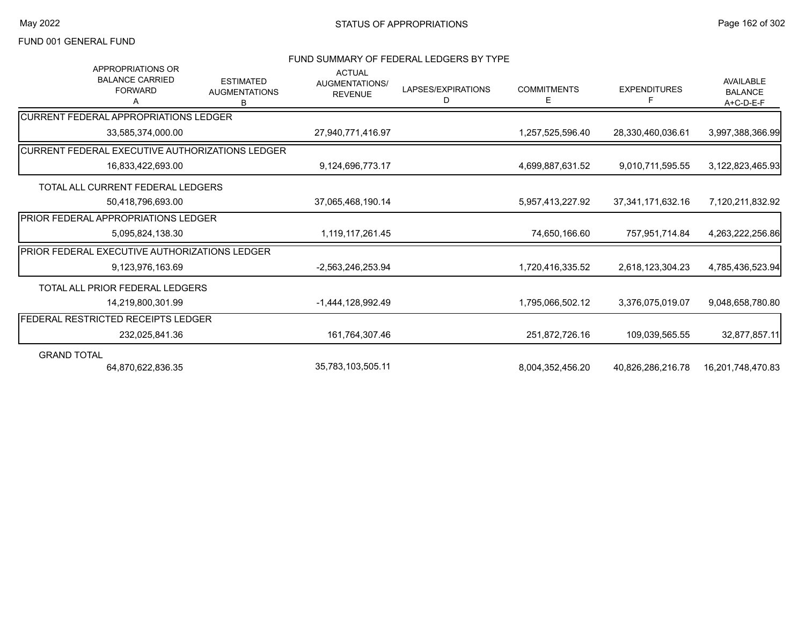## FUND SUMMARY OF FEDERAL LEDGERS BY TYPE

| <b>APPROPRIATIONS OR</b><br><b>BALANCE CARRIED</b><br><b>FORWARD</b><br>А | <b>ESTIMATED</b><br><b>AUGMENTATIONS</b><br>B | <b>ACTUAL</b><br>AUGMENTATIONS/<br><b>REVENUE</b> | LAPSES/EXPIRATIONS<br>D | <b>COMMITMENTS</b><br>E. | <b>EXPENDITURES</b><br>F | <b>AVAILABLE</b><br><b>BALANCE</b><br>A+C-D-E-F |
|---------------------------------------------------------------------------|-----------------------------------------------|---------------------------------------------------|-------------------------|--------------------------|--------------------------|-------------------------------------------------|
| ICURRENT FEDERAL APPROPRIATIONS LEDGER                                    |                                               |                                                   |                         |                          |                          |                                                 |
| 33,585,374,000.00                                                         |                                               | 27,940,771,416.97                                 |                         | 1,257,525,596.40         | 28,330,460,036.61        | 3,997,388,366.99                                |
| ICURRENT FEDERAL EXECUTIVE AUTHORIZATIONS LEDGER                          |                                               |                                                   |                         |                          |                          |                                                 |
| 16,833,422,693.00                                                         |                                               | 9,124,696,773.17                                  |                         | 4,699,887,631.52         | 9,010,711,595.55         | 3,122,823,465.93                                |
| TOTAL ALL CURRENT FEDERAL LEDGERS                                         |                                               |                                                   |                         |                          |                          |                                                 |
| 50,418,796,693.00                                                         |                                               | 37,065,468,190.14                                 |                         | 5,957,413,227.92         | 37, 341, 171, 632. 16    | 7,120,211,832.92                                |
| <b>PRIOR FEDERAL APPROPRIATIONS LEDGER</b>                                |                                               |                                                   |                         |                          |                          |                                                 |
| 5,095,824,138.30                                                          |                                               | 1,119,117,261.45                                  |                         | 74,650,166.60            | 757,951,714.84           | 4,263,222,256.86                                |
| <b>PRIOR FEDERAL EXECUTIVE AUTHORIZATIONS LEDGER</b>                      |                                               |                                                   |                         |                          |                          |                                                 |
| 9,123,976,163.69                                                          |                                               | -2,563,246,253.94                                 |                         | 1,720,416,335.52         | 2,618,123,304.23         | 4,785,436,523.94                                |
| TOTAL ALL PRIOR FEDERAL LEDGERS                                           |                                               |                                                   |                         |                          |                          |                                                 |
| 14.219.800.301.99                                                         |                                               | -1,444,128,992.49                                 |                         | 1,795,066,502.12         | 3,376,075,019.07         | 9,048,658,780.80                                |
| <b>FEDERAL RESTRICTED RECEIPTS LEDGER</b>                                 |                                               |                                                   |                         |                          |                          |                                                 |
| 232,025,841.36                                                            |                                               | 161,764,307.46                                    |                         | 251,872,726.16           | 109,039,565.55           | 32,877,857.11                                   |
| <b>GRAND TOTAL</b>                                                        |                                               |                                                   |                         |                          |                          |                                                 |
| 64,870,622,836.35                                                         |                                               | 35,783,103,505.11                                 |                         | 8,004,352,456.20         | 40,826,286,216.78        | 16,201,748,470.83                               |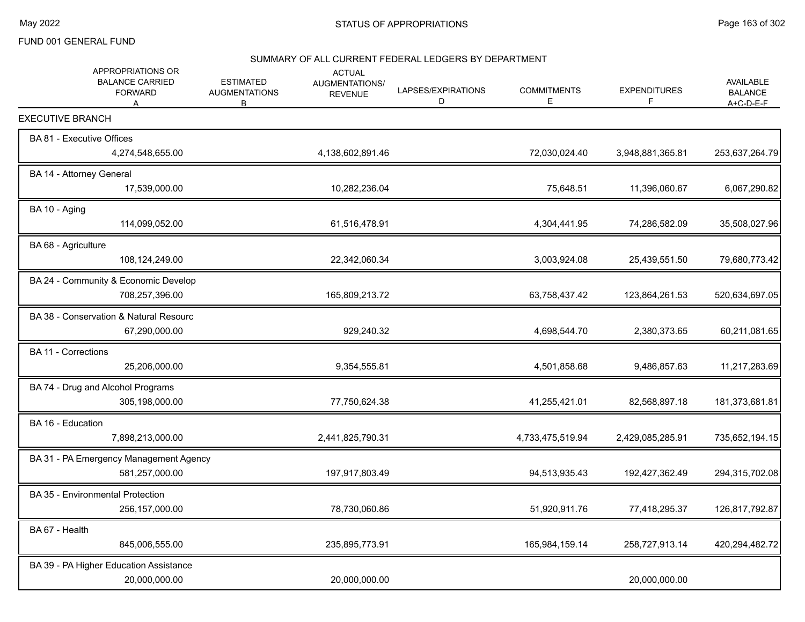#### SUMMARY OF ALL CURRENT FEDERAL LEDGERS BY DEPARTMENT

| APPROPRIATIONS OR<br><b>BALANCE CARRIED</b><br><b>FORWARD</b><br>A | <b>ESTIMATED</b><br><b>AUGMENTATIONS</b><br>B | <b>ACTUAL</b><br>AUGMENTATIONS/<br><b>REVENUE</b> | LAPSES/EXPIRATIONS<br>D | <b>COMMITMENTS</b><br>E | <b>EXPENDITURES</b><br>F | <b>AVAILABLE</b><br><b>BALANCE</b><br>$A + C - D - F - F$ |
|--------------------------------------------------------------------|-----------------------------------------------|---------------------------------------------------|-------------------------|-------------------------|--------------------------|-----------------------------------------------------------|
| <b>EXECUTIVE BRANCH</b>                                            |                                               |                                                   |                         |                         |                          |                                                           |
| BA 81 - Executive Offices<br>4,274,548,655.00                      |                                               | 4,138,602,891.46                                  |                         | 72,030,024.40           | 3,948,881,365.81         | 253,637,264.79                                            |
| BA 14 - Attorney General<br>17,539,000.00                          |                                               | 10,282,236.04                                     |                         | 75,648.51               | 11,396,060.67            | 6,067,290.82                                              |
| BA 10 - Aging<br>114,099,052.00                                    |                                               | 61,516,478.91                                     |                         | 4,304,441.95            | 74,286,582.09            | 35,508,027.96                                             |
| BA 68 - Agriculture<br>108,124,249.00                              |                                               | 22,342,060.34                                     |                         | 3,003,924.08            | 25,439,551.50            | 79,680,773.42                                             |
| BA 24 - Community & Economic Develop<br>708,257,396.00             |                                               | 165,809,213.72                                    |                         | 63,758,437.42           | 123,864,261.53           | 520,634,697.05                                            |
| BA 38 - Conservation & Natural Resourc<br>67,290,000.00            |                                               | 929,240.32                                        |                         | 4,698,544.70            | 2,380,373.65             | 60,211,081.65                                             |
| <b>BA 11 - Corrections</b><br>25,206,000.00                        |                                               | 9,354,555.81                                      |                         | 4,501,858.68            | 9,486,857.63             | 11,217,283.69                                             |
| BA 74 - Drug and Alcohol Programs<br>305,198,000.00                |                                               | 77,750,624.38                                     |                         | 41,255,421.01           | 82,568,897.18            | 181,373,681.81                                            |
| BA 16 - Education<br>7,898,213,000.00                              |                                               | 2,441,825,790.31                                  |                         | 4,733,475,519.94        | 2,429,085,285.91         | 735,652,194.15                                            |
| BA 31 - PA Emergency Management Agency<br>581,257,000.00           |                                               | 197,917,803.49                                    |                         | 94,513,935.43           | 192,427,362.49           | 294,315,702.08                                            |
| <b>BA 35 - Environmental Protection</b><br>256,157,000.00          |                                               | 78,730,060.86                                     |                         | 51,920,911.76           | 77,418,295.37            | 126,817,792.87                                            |
| BA 67 - Health<br>845,006,555.00                                   |                                               | 235,895,773.91                                    |                         | 165,984,159.14          | 258,727,913.14           | 420,294,482.72                                            |
| BA 39 - PA Higher Education Assistance<br>20,000,000.00            |                                               | 20,000,000.00                                     |                         |                         | 20,000,000.00            |                                                           |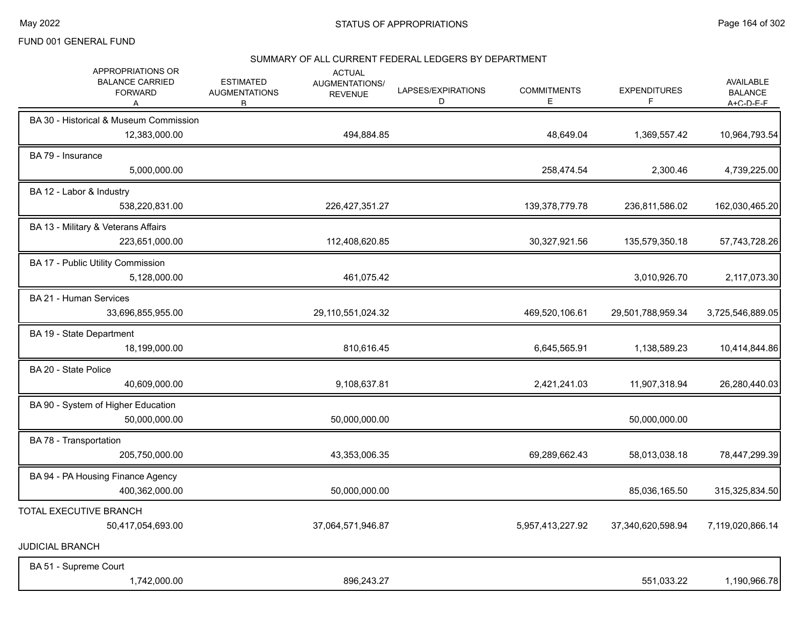#### SUMMARY OF ALL CURRENT FEDERAL LEDGERS BY DEPARTMENT

| APPROPRIATIONS OR<br><b>BALANCE CARRIED</b><br><b>FORWARD</b><br>А | <b>ESTIMATED</b><br><b>AUGMENTATIONS</b><br>B. | <b>ACTUAL</b><br><b>AUGMENTATIONS/</b><br><b>REVENUE</b> | LAPSES/EXPIRATIONS<br>D | <b>COMMITMENTS</b><br>Е | <b>EXPENDITURES</b><br>F | AVAILABLE<br><b>BALANCE</b><br>$A + C - D - F - F$ |
|--------------------------------------------------------------------|------------------------------------------------|----------------------------------------------------------|-------------------------|-------------------------|--------------------------|----------------------------------------------------|
| BA 30 - Historical & Museum Commission<br>12,383,000.00            |                                                | 494,884.85                                               |                         | 48,649.04               | 1,369,557.42             | 10,964,793.54                                      |
| BA 79 - Insurance<br>5,000,000.00                                  |                                                |                                                          |                         | 258,474.54              | 2,300.46                 | 4,739,225.00                                       |
| BA 12 - Labor & Industry<br>538,220,831.00                         |                                                | 226,427,351.27                                           |                         | 139,378,779.78          | 236,811,586.02           | 162,030,465.20                                     |
| BA 13 - Military & Veterans Affairs<br>223,651,000.00              |                                                | 112,408,620.85                                           |                         | 30,327,921.56           | 135,579,350.18           | 57,743,728.26                                      |
| BA 17 - Public Utility Commission<br>5,128,000.00                  |                                                | 461,075.42                                               |                         |                         | 3,010,926.70             | 2,117,073.30                                       |
| BA 21 - Human Services<br>33,696,855,955.00                        |                                                | 29,110,551,024.32                                        |                         | 469,520,106.61          | 29,501,788,959.34        | 3,725,546,889.05                                   |
| BA 19 - State Department<br>18,199,000.00                          |                                                | 810,616.45                                               |                         | 6,645,565.91            | 1,138,589.23             | 10,414,844.86                                      |
| BA 20 - State Police<br>40,609,000.00                              |                                                | 9,108,637.81                                             |                         | 2,421,241.03            | 11,907,318.94            | 26,280,440.03                                      |
| BA 90 - System of Higher Education<br>50,000,000.00                |                                                | 50,000,000.00                                            |                         |                         | 50,000,000.00            |                                                    |
| BA 78 - Transportation<br>205,750,000.00                           |                                                | 43,353,006.35                                            |                         | 69,289,662.43           | 58,013,038.18            | 78,447,299.39                                      |
| BA 94 - PA Housing Finance Agency<br>400,362,000.00                |                                                | 50,000,000.00                                            |                         |                         | 85,036,165.50            | 315,325,834.50                                     |
| TOTAL EXECUTIVE BRANCH<br>50,417,054,693.00                        |                                                | 37,064,571,946.87                                        |                         | 5,957,413,227.92        | 37,340,620,598.94        | 7,119,020,866.14                                   |
| <b>JUDICIAL BRANCH</b>                                             |                                                |                                                          |                         |                         |                          |                                                    |
| BA 51 - Supreme Court<br>1,742,000.00                              |                                                | 896,243.27                                               |                         |                         | 551,033.22               | 1,190,966.78                                       |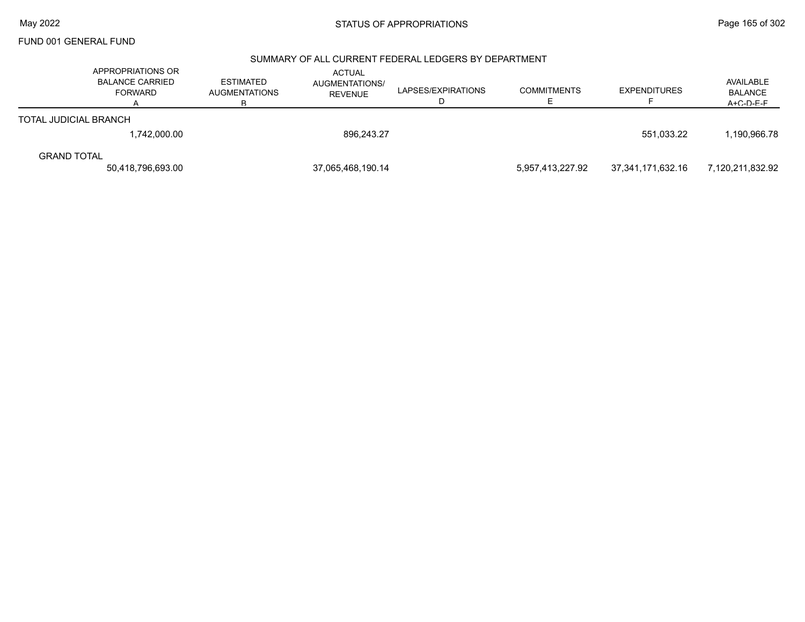# May 2022 **Example 2022** Page 165 of 302

FUND 001 GENERAL FUND

#### SUMMARY OF ALL CURRENT FEDERAL LEDGERS BY DEPARTMENT

|                       | APPROPRIATIONS OR<br><b>BALANCE CARRIED</b><br><b>FORWARD</b> | <b>ESTIMATED</b><br><b>AUGMENTATIONS</b> | <b>ACTUAL</b><br><b>AUGMENTATIONS/</b><br><b>REVENUE</b> | LAPSES/EXPIRATIONS | <b>COMMITMENTS</b> | <b>EXPENDITURES</b> | AVAILABLE<br><b>BALANCE</b><br>$A + C - D - F - F$ |
|-----------------------|---------------------------------------------------------------|------------------------------------------|----------------------------------------------------------|--------------------|--------------------|---------------------|----------------------------------------------------|
| TOTAL JUDICIAL BRANCH |                                                               |                                          |                                                          |                    |                    |                     |                                                    |
|                       | 1,742,000.00                                                  |                                          | 896.243.27                                               |                    |                    | 551.033.22          | 1,190,966.78                                       |
| <b>GRAND TOTAL</b>    |                                                               |                                          |                                                          |                    |                    |                     |                                                    |
|                       | 50,418,796,693.00                                             |                                          | 37,065,468,190.14                                        |                    | 5,957,413,227.92   | 37,341,171,632.16   | 7,120,211,832.92                                   |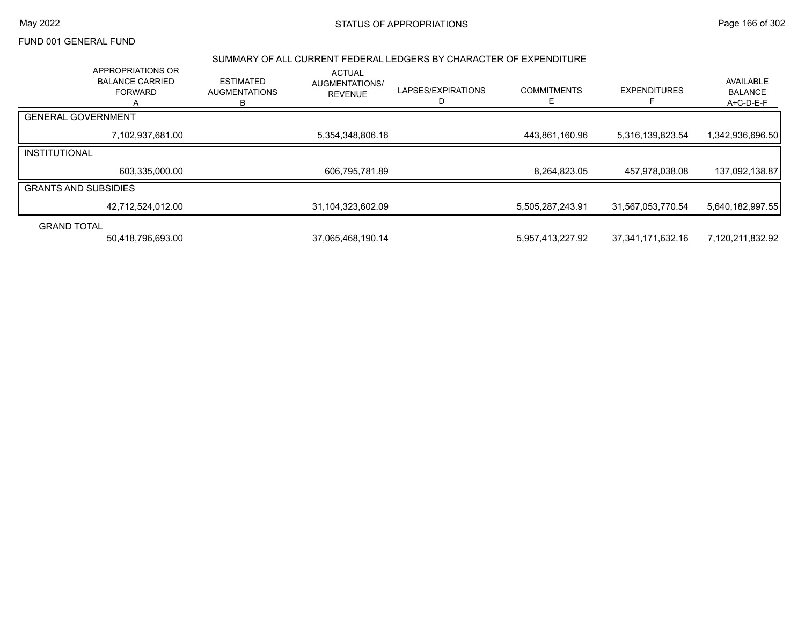## May 2022 **Example 2018** STATUS OF APPROPRIATIONS **Page 166 of 302**

# FUND 001 GENERAL FUND

#### SUMMARY OF ALL CURRENT FEDERAL LEDGERS BY CHARACTER OF EXPENDITURE

|                             | <b>APPROPRIATIONS OR</b><br><b>BALANCE CARRIED</b><br><b>FORWARD</b> | <b>ESTIMATED</b><br><b>AUGMENTATIONS</b><br>в | <b>ACTUAL</b><br><b>AUGMENTATIONS/</b><br><b>REVENUE</b> | LAPSES/EXPIRATIONS | <b>COMMITMENTS</b> | <b>EXPENDITURES</b> | AVAILABLE<br><b>BALANCE</b><br>A+C-D-E-F |
|-----------------------------|----------------------------------------------------------------------|-----------------------------------------------|----------------------------------------------------------|--------------------|--------------------|---------------------|------------------------------------------|
| <b>GENERAL GOVERNMENT</b>   |                                                                      |                                               |                                                          |                    |                    |                     |                                          |
|                             | 7,102,937,681.00                                                     |                                               | 5,354,348,806.16                                         |                    | 443,861,160.96     | 5,316,139,823.54    | 1,342,936,696.50                         |
| <b>INSTITUTIONAL</b>        |                                                                      |                                               |                                                          |                    |                    |                     |                                          |
|                             | 603,335,000.00                                                       |                                               | 606,795,781.89                                           |                    | 8,264,823.05       | 457,978,038.08      | 137,092,138.87                           |
| <b>GRANTS AND SUBSIDIES</b> |                                                                      |                                               |                                                          |                    |                    |                     |                                          |
|                             | 42,712,524,012.00                                                    |                                               | 31,104,323,602.09                                        |                    | 5,505,287,243.91   | 31,567,053,770.54   | 5,640,182,997.55                         |
| <b>GRAND TOTAL</b>          |                                                                      |                                               |                                                          |                    |                    |                     |                                          |
|                             | 50,418,796,693.00                                                    |                                               | 37,065,468,190.14                                        |                    | 5,957,413,227.92   | 37,341,171,632.16   | 7,120,211,832.92                         |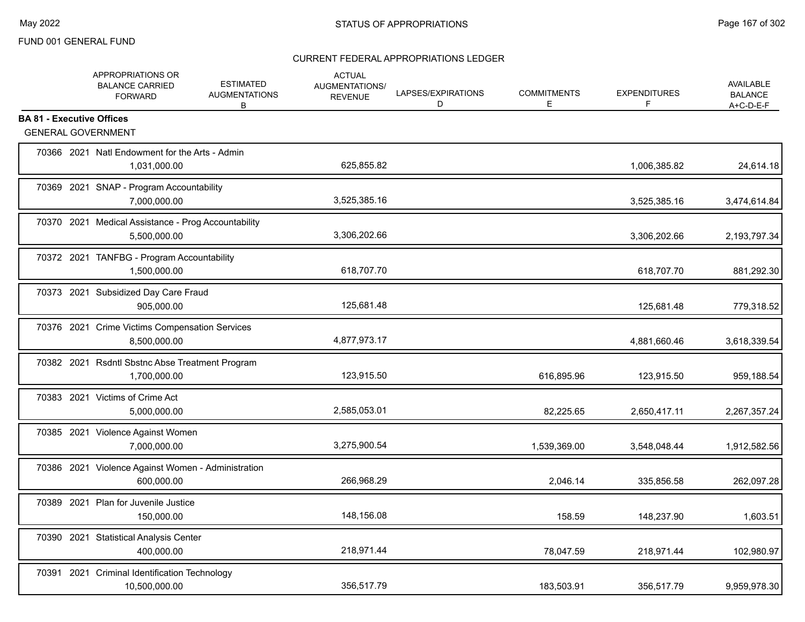|                                  | APPROPRIATIONS OR<br><b>BALANCE CARRIED</b><br><b>FORWARD</b>       | <b>ESTIMATED</b><br><b>AUGMENTATIONS</b><br>В | <b>ACTUAL</b><br>AUGMENTATIONS/<br><b>REVENUE</b> | LAPSES/EXPIRATIONS<br>D | <b>COMMITMENTS</b><br>Е | <b>EXPENDITURES</b><br>F | <b>AVAILABLE</b><br><b>BALANCE</b><br>$A+C-D-E-F$ |
|----------------------------------|---------------------------------------------------------------------|-----------------------------------------------|---------------------------------------------------|-------------------------|-------------------------|--------------------------|---------------------------------------------------|
| <b>BA 81 - Executive Offices</b> | <b>GENERAL GOVERNMENT</b>                                           |                                               |                                                   |                         |                         |                          |                                                   |
|                                  |                                                                     |                                               |                                                   |                         |                         |                          |                                                   |
|                                  | 70366 2021 Natl Endowment for the Arts - Admin<br>1,031,000.00      |                                               | 625,855.82                                        |                         |                         | 1,006,385.82             | 24,614.18                                         |
|                                  | 70369 2021 SNAP - Program Accountability<br>7,000,000.00            |                                               | 3,525,385.16                                      |                         |                         | 3,525,385.16             | 3,474,614.84                                      |
|                                  | 70370 2021 Medical Assistance - Prog Accountability<br>5,500,000.00 |                                               | 3,306,202.66                                      |                         |                         | 3,306,202.66             | 2,193,797.34                                      |
|                                  | 70372 2021 TANFBG - Program Accountability<br>1,500,000.00          |                                               | 618,707.70                                        |                         |                         | 618,707.70               | 881,292.30                                        |
|                                  | 70373 2021 Subsidized Day Care Fraud<br>905,000.00                  |                                               | 125,681.48                                        |                         |                         | 125,681.48               | 779,318.52                                        |
|                                  | 70376 2021 Crime Victims Compensation Services<br>8,500,000.00      |                                               | 4,877,973.17                                      |                         |                         | 4,881,660.46             | 3,618,339.54                                      |
|                                  | 70382 2021 Rsdntl Sbstnc Abse Treatment Program<br>1,700,000.00     |                                               | 123,915.50                                        |                         | 616,895.96              | 123,915.50               | 959,188.54                                        |
|                                  | 70383 2021 Victims of Crime Act<br>5,000,000.00                     |                                               | 2,585,053.01                                      |                         | 82,225.65               | 2,650,417.11             | 2,267,357.24                                      |
|                                  | 70385 2021 Violence Against Women<br>7,000,000.00                   |                                               | 3,275,900.54                                      |                         | 1,539,369.00            | 3,548,048.44             | 1,912,582.56                                      |
|                                  | 70386 2021 Violence Against Women - Administration<br>600,000.00    |                                               | 266,968.29                                        |                         | 2,046.14                | 335,856.58               | 262,097.28                                        |
|                                  | 70389 2021 Plan for Juvenile Justice<br>150,000.00                  |                                               | 148,156.08                                        |                         | 158.59                  | 148,237.90               | 1,603.51                                          |
|                                  | 70390 2021 Statistical Analysis Center<br>400,000.00                |                                               | 218,971.44                                        |                         | 78,047.59               | 218,971.44               | 102,980.97                                        |
|                                  | 70391 2021 Criminal Identification Technology<br>10,500,000.00      |                                               | 356,517.79                                        |                         | 183,503.91              | 356,517.79               | 9,959,978.30                                      |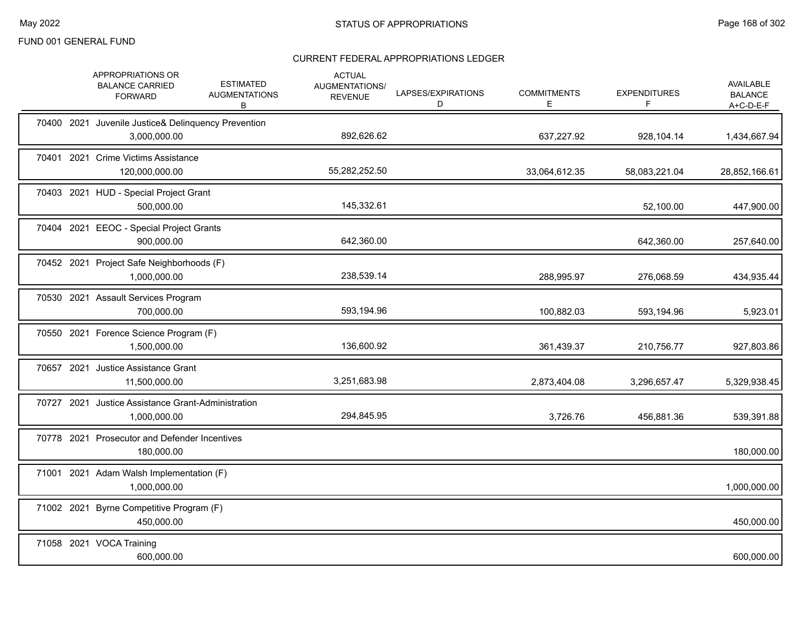|            | APPROPRIATIONS OR<br><b>BALANCE CARRIED</b><br><b>FORWARD</b>       | <b>ESTIMATED</b><br><b>AUGMENTATIONS</b><br>В | <b>ACTUAL</b><br>AUGMENTATIONS/<br><b>REVENUE</b> | LAPSES/EXPIRATIONS<br>D | <b>COMMITMENTS</b><br>Е | <b>EXPENDITURES</b><br>F | <b>AVAILABLE</b><br><b>BALANCE</b><br>$A+C-D-E-F$ |
|------------|---------------------------------------------------------------------|-----------------------------------------------|---------------------------------------------------|-------------------------|-------------------------|--------------------------|---------------------------------------------------|
|            | 70400 2021 Juvenile Justice& Delinquency Prevention<br>3,000,000.00 |                                               | 892,626.62                                        |                         | 637,227.92              | 928,104.14               | 1,434,667.94                                      |
|            | 70401 2021 Crime Victims Assistance<br>120,000,000.00               |                                               | 55,282,252.50                                     |                         | 33,064,612.35           | 58,083,221.04            | 28,852,166.61                                     |
|            | 70403 2021 HUD - Special Project Grant<br>500.000.00                |                                               | 145,332.61                                        |                         |                         | 52,100.00                | 447,900.00                                        |
| 70404 2021 | <b>EEOC</b> - Special Project Grants<br>900,000.00                  |                                               | 642,360.00                                        |                         |                         | 642,360.00               | 257,640.00                                        |
|            | 70452 2021 Project Safe Neighborhoods (F)<br>1,000,000.00           |                                               | 238,539.14                                        |                         | 288,995.97              | 276,068.59               | 434,935.44                                        |
|            | 70530 2021 Assault Services Program<br>700,000.00                   |                                               | 593,194.96                                        |                         | 100,882.03              | 593,194.96               | 5,923.01                                          |
|            | 70550 2021 Forence Science Program (F)<br>1,500,000.00              |                                               | 136,600.92                                        |                         | 361,439.37              | 210,756.77               | 927,803.86                                        |
|            | 70657 2021 Justice Assistance Grant<br>11,500,000.00                |                                               | 3,251,683.98                                      |                         | 2,873,404.08            | 3,296,657.47             | 5,329,938.45                                      |
|            | 70727 2021 Justice Assistance Grant-Administration<br>1,000,000.00  |                                               | 294,845.95                                        |                         | 3,726.76                | 456,881.36               | 539,391.88                                        |
|            | 70778 2021 Prosecutor and Defender Incentives<br>180,000.00         |                                               |                                                   |                         |                         |                          | 180,000.00                                        |
|            | 71001 2021 Adam Walsh Implementation (F)<br>1,000,000.00            |                                               |                                                   |                         |                         |                          | 1,000,000.00                                      |
| 71002 2021 | Byrne Competitive Program (F)<br>450,000.00                         |                                               |                                                   |                         |                         |                          | 450,000.00                                        |
|            | 71058 2021 VOCA Training<br>600,000.00                              |                                               |                                                   |                         |                         |                          | 600,000.00                                        |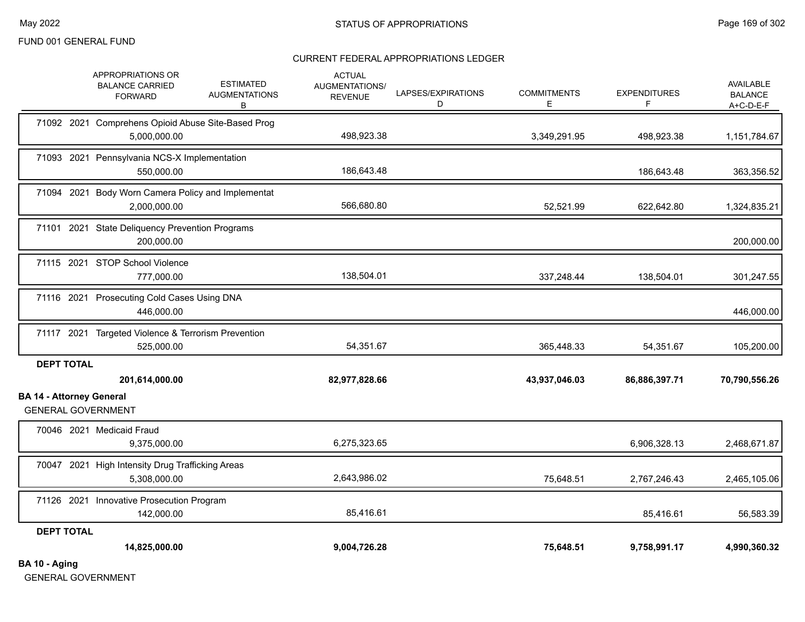## CURRENT FEDERAL APPROPRIATIONS LEDGER

| BA 10 - Aging                   |                                                                    |                                               |                                                   |                         |                         |                          |                                                 |
|---------------------------------|--------------------------------------------------------------------|-----------------------------------------------|---------------------------------------------------|-------------------------|-------------------------|--------------------------|-------------------------------------------------|
| <b>DEPT TOTAL</b>               | 14,825,000.00                                                      |                                               | 9,004,726.28                                      |                         | 75,648.51               | 9,758,991.17             | 4,990,360.32                                    |
|                                 | 142,000.00                                                         |                                               | 85,416.61                                         |                         |                         | 85,416.61                | 56,583.39                                       |
|                                 | 71126 2021 Innovative Prosecution Program                          |                                               |                                                   |                         |                         |                          |                                                 |
|                                 | 70047 2021 High Intensity Drug Trafficking Areas<br>5,308,000.00   |                                               | 2,643,986.02                                      |                         | 75,648.51               | 2,767,246.43             | 2,465,105.06                                    |
|                                 | 70046 2021 Medicaid Fraud<br>9,375,000.00                          |                                               | 6,275,323.65                                      |                         |                         | 6,906,328.13             | 2,468,671.87                                    |
|                                 | <b>GENERAL GOVERNMENT</b>                                          |                                               |                                                   |                         |                         |                          |                                                 |
| <b>BA 14 - Attorney General</b> | 201,614,000.00                                                     |                                               | 82,977,828.66                                     |                         | 43,937,046.03           | 86,886,397.71            | 70,790,556.26                                   |
| <b>DEPT TOTAL</b>               |                                                                    |                                               |                                                   |                         |                         |                          |                                                 |
|                                 | 71117 2021 Targeted Violence & Terrorism Prevention<br>525,000.00  |                                               | 54,351.67                                         |                         | 365,448.33              | 54,351.67                | 105,200.00                                      |
|                                 | 71116 2021 Prosecuting Cold Cases Using DNA<br>446,000.00          |                                               |                                                   |                         |                         |                          | 446,000.00                                      |
|                                 | 71115 2021 STOP School Violence<br>777,000.00                      |                                               | 138,504.01                                        |                         | 337,248.44              | 138,504.01               | 301,247.55                                      |
|                                 | 71101 2021 State Deliquency Prevention Programs<br>200,000.00      |                                               |                                                   |                         |                         |                          | 200,000.00                                      |
|                                 | 71094 2021 Body Worn Camera Policy and Implementat<br>2,000,000.00 |                                               | 566,680.80                                        |                         | 52,521.99               | 622,642.80               | 1,324,835.21                                    |
|                                 | 71093 2021 Pennsylvania NCS-X Implementation<br>550,000.00         |                                               | 186,643.48                                        |                         |                         | 186,643.48               | 363,356.52                                      |
|                                 | 71092 2021 Comprehens Opioid Abuse Site-Based Prog<br>5,000,000.00 |                                               | 498,923.38                                        |                         | 3,349,291.95            | 498,923.38               | 1,151,784.67                                    |
|                                 | APPROPRIATIONS OR<br><b>BALANCE CARRIED</b><br><b>FORWARD</b>      | <b>ESTIMATED</b><br><b>AUGMENTATIONS</b><br>В | <b>ACTUAL</b><br>AUGMENTATIONS/<br><b>REVENUE</b> | LAPSES/EXPIRATIONS<br>D | <b>COMMITMENTS</b><br>Е | <b>EXPENDITURES</b><br>F | <b>AVAILABLE</b><br><b>BALANCE</b><br>A+C-D-E-F |

GENERAL GOVERNMENT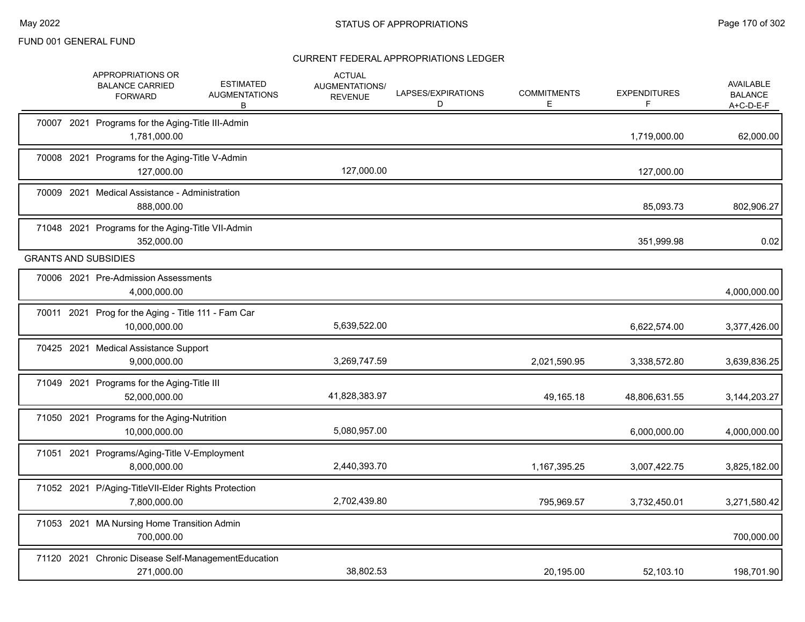|  | APPROPRIATIONS OR<br><b>ESTIMATED</b><br><b>BALANCE CARRIED</b><br><b>AUGMENTATIONS</b><br><b>FORWARD</b><br>В | <b>ACTUAL</b><br>AUGMENTATIONS/<br><b>REVENUE</b> | LAPSES/EXPIRATIONS<br>D | <b>COMMITMENTS</b><br>Е | <b>EXPENDITURES</b><br>F | AVAILABLE<br><b>BALANCE</b><br>$A+C-D-E-F$ |
|--|----------------------------------------------------------------------------------------------------------------|---------------------------------------------------|-------------------------|-------------------------|--------------------------|--------------------------------------------|
|  | 70007 2021 Programs for the Aging-Title III-Admin<br>1,781,000.00                                              |                                                   |                         |                         | 1,719,000.00             | 62,000.00                                  |
|  | 70008 2021 Programs for the Aging-Title V-Admin<br>127.000.00                                                  | 127,000.00                                        |                         |                         | 127,000.00               |                                            |
|  | 70009 2021 Medical Assistance - Administration<br>888,000.00                                                   |                                                   |                         |                         | 85,093.73                | 802,906.27                                 |
|  | 71048 2021 Programs for the Aging-Title VII-Admin<br>352,000.00                                                |                                                   |                         |                         | 351,999.98               | 0.02                                       |
|  | <b>GRANTS AND SUBSIDIES</b>                                                                                    |                                                   |                         |                         |                          |                                            |
|  | 70006 2021 Pre-Admission Assessments<br>4,000,000.00                                                           |                                                   |                         |                         |                          | 4,000,000.00                               |
|  | 70011 2021 Prog for the Aging - Title 111 - Fam Car<br>10,000,000.00                                           | 5,639,522.00                                      |                         |                         | 6,622,574.00             | 3,377,426.00                               |
|  | 70425 2021 Medical Assistance Support<br>9,000,000.00                                                          | 3,269,747.59                                      |                         | 2,021,590.95            | 3,338,572.80             | 3,639,836.25                               |
|  | 71049 2021 Programs for the Aging-Title III<br>52,000,000.00                                                   | 41,828,383.97                                     |                         | 49,165.18               | 48,806,631.55            | 3,144,203.27                               |
|  | 71050 2021 Programs for the Aging-Nutrition<br>10,000,000.00                                                   | 5,080,957.00                                      |                         |                         | 6,000,000.00             | 4,000,000.00                               |
|  | 71051 2021 Programs/Aging-Title V-Employment<br>8,000,000.00                                                   | 2,440,393.70                                      |                         | 1,167,395.25            | 3,007,422.75             | 3,825,182.00                               |
|  | 71052 2021 P/Aging-TitleVII-Elder Rights Protection<br>7,800,000.00                                            | 2,702,439.80                                      |                         | 795,969.57              | 3,732,450.01             | 3,271,580.42                               |
|  | 71053 2021 MA Nursing Home Transition Admin<br>700.000.00                                                      |                                                   |                         |                         |                          | 700,000.00                                 |
|  | 71120 2021 Chronic Disease Self-ManagementEducation<br>271,000.00                                              | 38,802.53                                         |                         | 20,195.00               | 52.103.10                | 198,701.90                                 |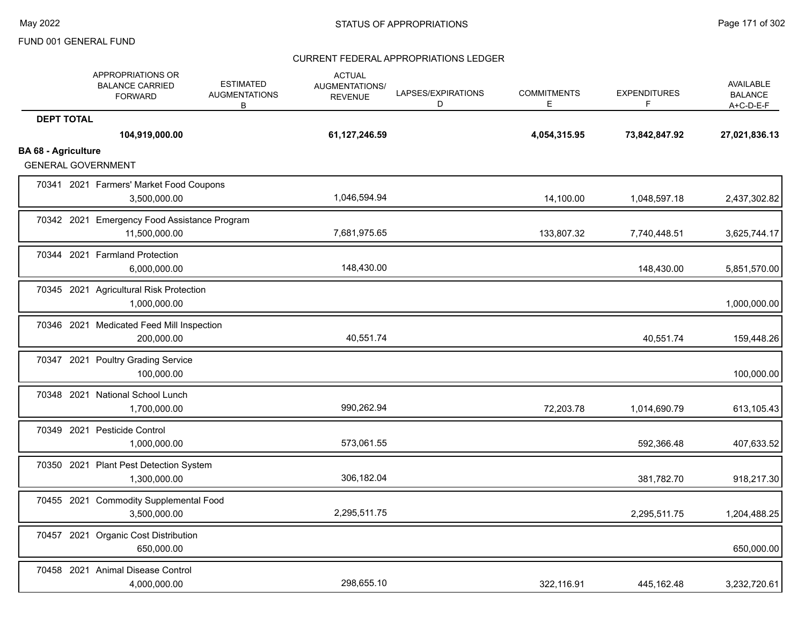|                            | APPROPRIATIONS OR<br><b>BALANCE CARRIED</b><br><b>FORWARD</b> | <b>ESTIMATED</b><br><b>AUGMENTATIONS</b><br>B | <b>ACTUAL</b><br>AUGMENTATIONS/<br><b>REVENUE</b> | LAPSES/EXPIRATIONS<br>D | <b>COMMITMENTS</b><br>Е | <b>EXPENDITURES</b><br>F | <b>AVAILABLE</b><br><b>BALANCE</b><br>$A+C-D-E-F$ |
|----------------------------|---------------------------------------------------------------|-----------------------------------------------|---------------------------------------------------|-------------------------|-------------------------|--------------------------|---------------------------------------------------|
| <b>DEPT TOTAL</b>          | 104,919,000.00                                                |                                               | 61,127,246.59                                     |                         | 4,054,315.95            | 73,842,847.92            | 27,021,836.13                                     |
| <b>BA 68 - Agriculture</b> | <b>GENERAL GOVERNMENT</b>                                     |                                               |                                                   |                         |                         |                          |                                                   |
|                            | 70341 2021 Farmers' Market Food Coupons<br>3,500,000.00       |                                               | 1,046,594.94                                      |                         | 14,100.00               | 1,048,597.18             | 2,437,302.82                                      |
|                            | 70342 2021 Emergency Food Assistance Program<br>11,500,000.00 |                                               | 7,681,975.65                                      |                         | 133,807.32              | 7,740,448.51             | 3,625,744.17                                      |
|                            | 70344 2021 Farmland Protection<br>6,000,000.00                |                                               | 148,430.00                                        |                         |                         | 148,430.00               | 5,851,570.00                                      |
|                            | 70345 2021 Agricultural Risk Protection<br>1,000,000.00       |                                               |                                                   |                         |                         |                          | 1,000,000.00                                      |
|                            | 70346 2021 Medicated Feed Mill Inspection<br>200,000.00       |                                               | 40,551.74                                         |                         |                         | 40,551.74                | 159,448.26                                        |
|                            | 70347 2021 Poultry Grading Service<br>100,000.00              |                                               |                                                   |                         |                         |                          | 100,000.00                                        |
|                            | 70348 2021 National School Lunch<br>1,700,000.00              |                                               | 990,262.94                                        |                         | 72,203.78               | 1,014,690.79             | 613,105.43                                        |
|                            | 70349 2021 Pesticide Control<br>1,000,000.00                  |                                               | 573,061.55                                        |                         |                         | 592,366.48               | 407,633.52                                        |
|                            | 70350 2021 Plant Pest Detection System<br>1,300,000.00        |                                               | 306,182.04                                        |                         |                         | 381,782.70               | 918,217.30                                        |
|                            | 70455 2021 Commodity Supplemental Food<br>3,500,000.00        |                                               | 2,295,511.75                                      |                         |                         | 2,295,511.75             | 1,204,488.25                                      |
|                            | 70457 2021 Organic Cost Distribution<br>650,000.00            |                                               |                                                   |                         |                         |                          | 650,000.00                                        |
|                            | 70458 2021 Animal Disease Control<br>4,000,000.00             |                                               | 298,655.10                                        |                         | 322,116.91              | 445,162.48               | 3,232,720.61                                      |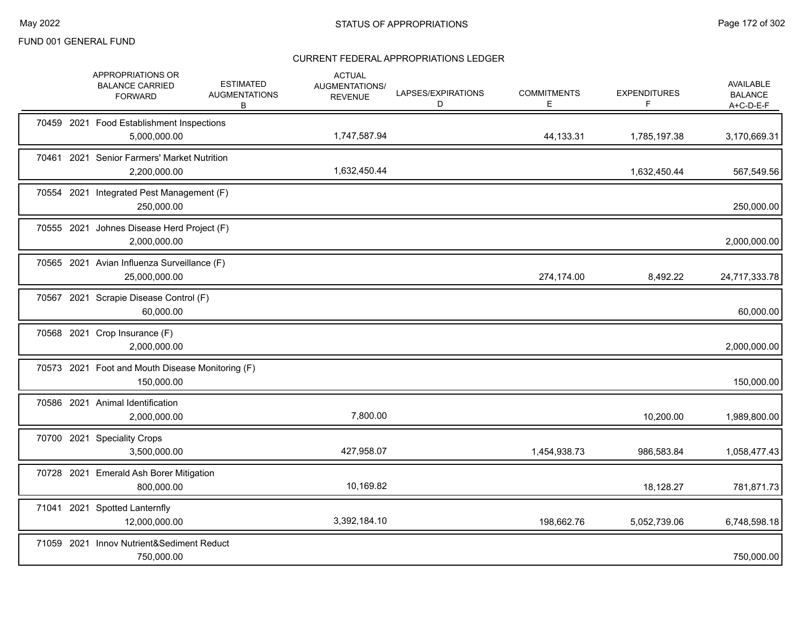|  | APPROPRIATIONS OR<br><b>BALANCE CARRIED</b><br><b>FORWARD</b>  | <b>ESTIMATED</b><br><b>AUGMENTATIONS</b><br>В | <b>ACTUAL</b><br>AUGMENTATIONS/<br><b>REVENUE</b> | LAPSES/EXPIRATIONS<br>D | <b>COMMITMENTS</b><br>Е | <b>EXPENDITURES</b><br>F | AVAILABLE<br><b>BALANCE</b><br>$A+C-D-E-F$ |
|--|----------------------------------------------------------------|-----------------------------------------------|---------------------------------------------------|-------------------------|-------------------------|--------------------------|--------------------------------------------|
|  | 70459 2021 Food Establishment Inspections<br>5,000,000.00      |                                               | 1,747,587.94                                      |                         | 44,133.31               | 1,785,197.38             | 3,170,669.31                               |
|  | 70461 2021 Senior Farmers' Market Nutrition<br>2,200,000.00    |                                               | 1,632,450.44                                      |                         |                         | 1,632,450.44             | 567,549.56                                 |
|  | 70554 2021 Integrated Pest Management (F)<br>250,000.00        |                                               |                                                   |                         |                         |                          | 250,000.00                                 |
|  | 70555 2021 Johnes Disease Herd Project (F)<br>2,000,000.00     |                                               |                                                   |                         |                         |                          | 2,000,000.00                               |
|  | 70565 2021 Avian Influenza Surveillance (F)<br>25,000,000.00   |                                               |                                                   |                         | 274,174.00              | 8,492.22                 | 24,717,333.78                              |
|  | 70567 2021 Scrapie Disease Control (F)<br>60,000.00            |                                               |                                                   |                         |                         |                          | 60,000.00                                  |
|  | 70568 2021 Crop Insurance (F)<br>2,000,000.00                  |                                               |                                                   |                         |                         |                          | 2,000,000.00                               |
|  | 70573 2021 Foot and Mouth Disease Monitoring (F)<br>150,000.00 |                                               |                                                   |                         |                         |                          | 150,000.00                                 |
|  | 70586 2021 Animal Identification<br>2,000,000.00               |                                               | 7,800.00                                          |                         |                         | 10,200.00                | 1,989,800.00                               |
|  | 70700 2021 Speciality Crops<br>3,500,000.00                    |                                               | 427,958.07                                        |                         | 1,454,938.73            | 986,583.84               | 1,058,477.43                               |
|  | 70728 2021 Emerald Ash Borer Mitigation<br>800,000.00          |                                               | 10,169.82                                         |                         |                         | 18,128.27                | 781,871.73                                 |
|  | 71041 2021 Spotted Lanternfly<br>12,000,000.00                 |                                               | 3,392,184.10                                      |                         | 198,662.76              | 5,052,739.06             | 6,748,598.18                               |
|  | 71059 2021 Innov Nutrient&Sediment Reduct<br>750,000.00        |                                               |                                                   |                         |                         |                          | 750,000.00                                 |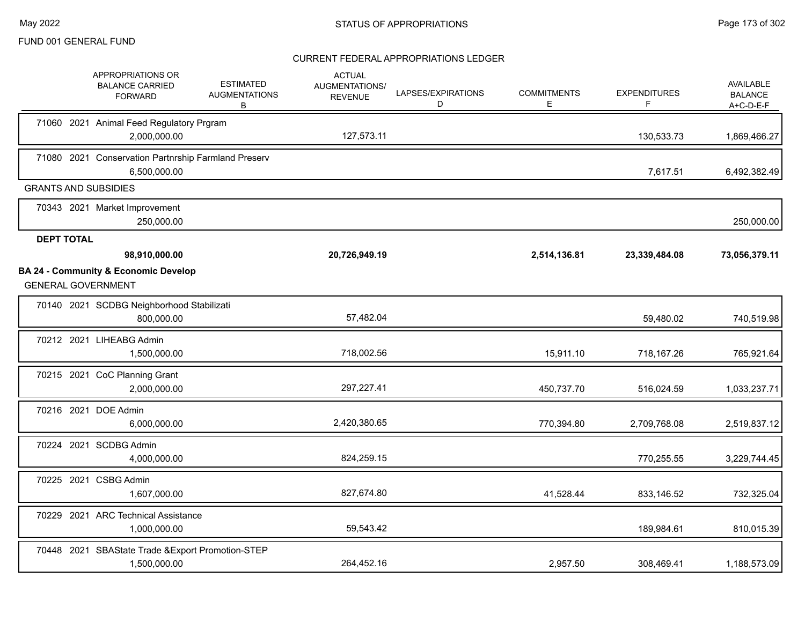| APPROPRIATIONS OR<br><b>BALANCE CARRIED</b><br><b>FORWARD</b>                | <b>ESTIMATED</b><br><b>AUGMENTATIONS</b><br>В | <b>ACTUAL</b><br>AUGMENTATIONS/<br><b>REVENUE</b> | LAPSES/EXPIRATIONS<br>D | <b>COMMITMENTS</b><br>Е | <b>EXPENDITURES</b><br>F | <b>AVAILABLE</b><br><b>BALANCE</b><br>A+C-D-E-F |
|------------------------------------------------------------------------------|-----------------------------------------------|---------------------------------------------------|-------------------------|-------------------------|--------------------------|-------------------------------------------------|
| 71060 2021 Animal Feed Regulatory Prgram<br>2,000,000.00                     |                                               | 127,573.11                                        |                         |                         | 130,533.73               | 1,869,466.27                                    |
| 71080 2021 Conservation Partnrship Farmland Preserv<br>6,500,000.00          |                                               |                                                   |                         |                         | 7,617.51                 | 6,492,382.49                                    |
| <b>GRANTS AND SUBSIDIES</b>                                                  |                                               |                                                   |                         |                         |                          |                                                 |
| 70343 2021 Market Improvement<br>250,000.00                                  |                                               |                                                   |                         |                         |                          | 250,000.00                                      |
| <b>DEPT TOTAL</b>                                                            |                                               |                                                   |                         |                         |                          |                                                 |
| 98,910,000.00                                                                |                                               | 20,726,949.19                                     |                         | 2,514,136.81            | 23,339,484.08            | 73,056,379.11                                   |
| <b>BA 24 - Community &amp; Economic Develop</b><br><b>GENERAL GOVERNMENT</b> |                                               |                                                   |                         |                         |                          |                                                 |
| 70140 2021 SCDBG Neighborhood Stabilizati<br>800,000.00                      |                                               | 57,482.04                                         |                         |                         | 59,480.02                | 740,519.98                                      |
| 70212 2021 LIHEABG Admin<br>1,500,000.00                                     |                                               | 718,002.56                                        |                         | 15,911.10               | 718,167.26               | 765,921.64                                      |
| 70215 2021 CoC Planning Grant<br>2,000,000.00                                |                                               | 297,227.41                                        |                         | 450,737.70              | 516,024.59               | 1,033,237.71                                    |
| 70216 2021 DOE Admin<br>6,000,000.00                                         |                                               | 2,420,380.65                                      |                         | 770,394.80              | 2,709,768.08             | 2,519,837.12                                    |
| 70224 2021 SCDBG Admin<br>4,000,000.00                                       |                                               | 824,259.15                                        |                         |                         | 770,255.55               | 3,229,744.45                                    |
| 70225 2021 CSBG Admin<br>1,607,000.00                                        |                                               | 827,674.80                                        |                         | 41,528.44               | 833,146.52               | 732,325.04                                      |
| 70229 2021 ARC Technical Assistance<br>1,000,000.00                          |                                               | 59,543.42                                         |                         |                         | 189,984.61               | 810,015.39                                      |
| 70448 2021 SBAState Trade & Export Promotion-STEP<br>1,500,000.00            |                                               | 264,452.16                                        |                         | 2,957.50                | 308,469.41               | 1,188,573.09                                    |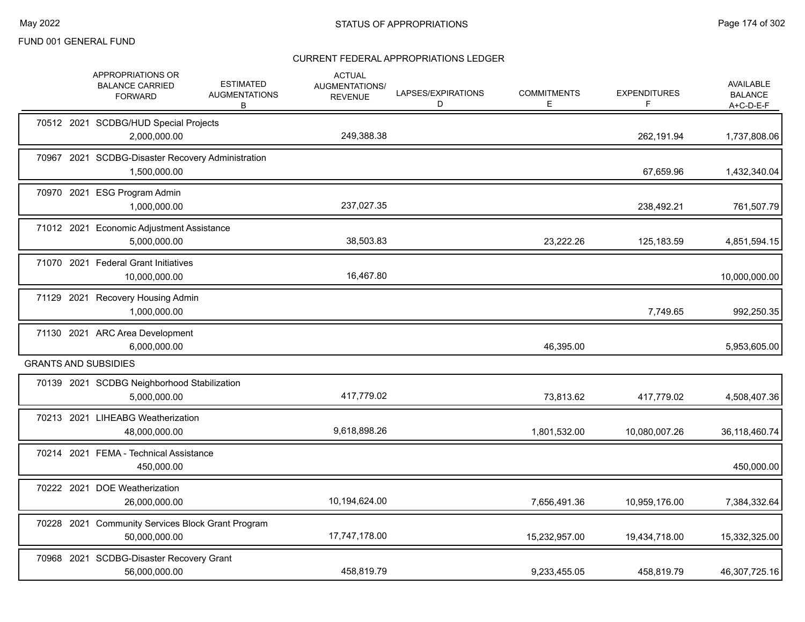|  | APPROPRIATIONS OR<br><b>BALANCE CARRIED</b><br><b>FORWARD</b>      | <b>ESTIMATED</b><br><b>AUGMENTATIONS</b><br>B | <b>ACTUAL</b><br>AUGMENTATIONS/<br><b>REVENUE</b> | LAPSES/EXPIRATIONS<br>D | <b>COMMITMENTS</b><br>Е | <b>EXPENDITURES</b><br>F | <b>AVAILABLE</b><br><b>BALANCE</b><br>$A+C-D-E-F$ |
|--|--------------------------------------------------------------------|-----------------------------------------------|---------------------------------------------------|-------------------------|-------------------------|--------------------------|---------------------------------------------------|
|  | 70512 2021 SCDBG/HUD Special Projects<br>2,000,000.00              |                                               | 249,388.38                                        |                         |                         | 262,191.94               | 1,737,808.06                                      |
|  | 70967 2021 SCDBG-Disaster Recovery Administration<br>1,500,000.00  |                                               |                                                   |                         |                         | 67,659.96                | 1,432,340.04                                      |
|  | 70970 2021 ESG Program Admin<br>1,000,000.00                       |                                               | 237,027.35                                        |                         |                         | 238,492.21               | 761,507.79                                        |
|  | 71012 2021 Economic Adjustment Assistance<br>5,000,000.00          |                                               | 38,503.83                                         |                         | 23,222.26               | 125,183.59               | 4,851,594.15                                      |
|  | 71070 2021 Federal Grant Initiatives<br>10,000,000.00              |                                               | 16,467.80                                         |                         |                         |                          | 10,000,000.00                                     |
|  | 71129 2021 Recovery Housing Admin<br>1,000,000.00                  |                                               |                                                   |                         |                         | 7,749.65                 | 992,250.35                                        |
|  | 71130 2021 ARC Area Development<br>6,000,000.00                    |                                               |                                                   |                         | 46,395.00               |                          | 5,953,605.00                                      |
|  | <b>GRANTS AND SUBSIDIES</b>                                        |                                               |                                                   |                         |                         |                          |                                                   |
|  | 70139 2021 SCDBG Neighborhood Stabilization<br>5,000,000.00        |                                               | 417,779.02                                        |                         | 73,813.62               | 417,779.02               | 4,508,407.36                                      |
|  | 70213 2021 LIHEABG Weatherization<br>48,000,000.00                 |                                               | 9,618,898.26                                      |                         | 1,801,532.00            | 10,080,007.26            | 36,118,460.74                                     |
|  | 70214 2021 FEMA - Technical Assistance<br>450,000.00               |                                               |                                                   |                         |                         |                          | 450,000.00                                        |
|  | 70222 2021 DOE Weatherization<br>26,000,000.00                     |                                               | 10,194,624.00                                     |                         | 7,656,491.36            | 10,959,176.00            | 7,384,332.64                                      |
|  | 70228 2021 Community Services Block Grant Program<br>50,000,000.00 |                                               | 17,747,178.00                                     |                         | 15,232,957.00           | 19,434,718.00            | 15,332,325.00                                     |
|  | 70968 2021 SCDBG-Disaster Recovery Grant<br>56,000,000.00          |                                               | 458,819.79                                        |                         | 9,233,455.05            | 458,819.79               | 46,307,725.16                                     |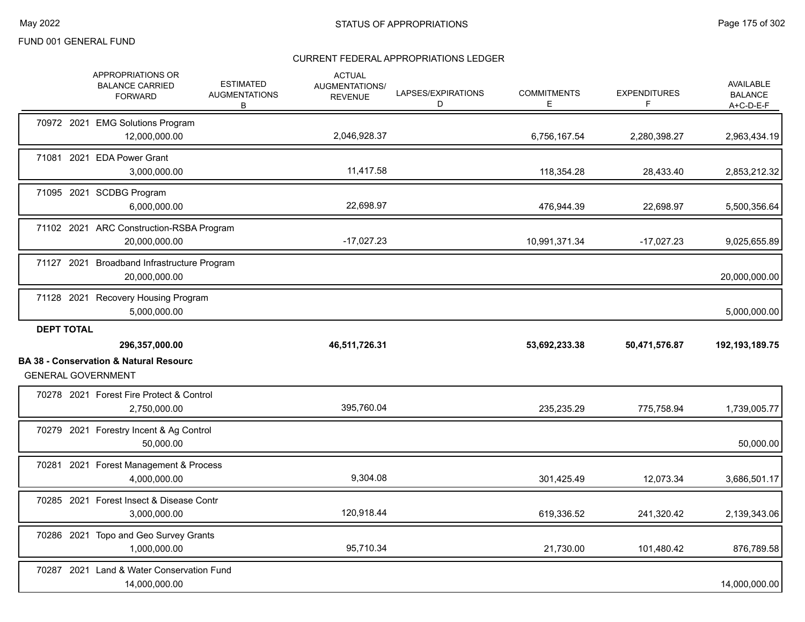|                   | APPROPRIATIONS OR<br><b>BALANCE CARRIED</b><br><b>FORWARD</b>                                    | <b>ESTIMATED</b><br><b>AUGMENTATIONS</b><br>B | <b>ACTUAL</b><br><b>AUGMENTATIONS/</b><br><b>REVENUE</b> | LAPSES/EXPIRATIONS<br>D | <b>COMMITMENTS</b><br>Е | <b>EXPENDITURES</b><br>F | <b>AVAILABLE</b><br><b>BALANCE</b><br>$A+C-D-E-F$ |
|-------------------|--------------------------------------------------------------------------------------------------|-----------------------------------------------|----------------------------------------------------------|-------------------------|-------------------------|--------------------------|---------------------------------------------------|
|                   | 70972 2021 EMG Solutions Program<br>12,000,000.00                                                |                                               | 2,046,928.37                                             |                         | 6,756,167.54            | 2,280,398.27             | 2,963,434.19                                      |
|                   | 71081 2021 EDA Power Grant<br>3,000,000.00                                                       |                                               | 11,417.58                                                |                         | 118,354.28              | 28,433.40                | 2,853,212.32                                      |
|                   | 71095 2021 SCDBG Program<br>6,000,000.00                                                         |                                               | 22,698.97                                                |                         | 476,944.39              | 22,698.97                | 5,500,356.64                                      |
|                   | 71102 2021 ARC Construction-RSBA Program<br>20,000,000.00                                        |                                               | $-17,027.23$                                             |                         | 10,991,371.34           | $-17,027.23$             | 9,025,655.89                                      |
|                   | 71127 2021 Broadband Infrastructure Program<br>20,000,000.00                                     |                                               |                                                          |                         |                         |                          | 20,000,000.00                                     |
|                   | 71128 2021 Recovery Housing Program<br>5,000,000.00                                              |                                               |                                                          |                         |                         |                          | 5,000,000.00                                      |
| <b>DEPT TOTAL</b> |                                                                                                  |                                               |                                                          |                         |                         |                          |                                                   |
|                   |                                                                                                  |                                               |                                                          |                         |                         |                          |                                                   |
|                   | 296,357,000.00<br><b>BA 38 - Conservation &amp; Natural Resourc</b><br><b>GENERAL GOVERNMENT</b> |                                               | 46,511,726.31                                            |                         | 53,692,233.38           | 50,471,576.87            | 192, 193, 189. 75                                 |
|                   | 70278 2021 Forest Fire Protect & Control<br>2,750,000.00                                         |                                               | 395,760.04                                               |                         | 235,235.29              | 775,758.94               |                                                   |
|                   | 70279 2021 Forestry Incent & Ag Control<br>50,000.00                                             |                                               |                                                          |                         |                         |                          | 1,739,005.77<br>50,000.00                         |
|                   | 70281 2021 Forest Management & Process<br>4,000,000.00                                           |                                               | 9,304.08                                                 |                         | 301,425.49              | 12,073.34                | 3,686,501.17                                      |
|                   | 70285 2021 Forest Insect & Disease Contr<br>3,000,000.00                                         |                                               | 120,918.44                                               |                         | 619,336.52              | 241,320.42               | 2,139,343.06                                      |
|                   | 70286 2021 Topo and Geo Survey Grants<br>1,000,000.00                                            |                                               | 95,710.34                                                |                         | 21,730.00               | 101,480.42               | 876,789.58                                        |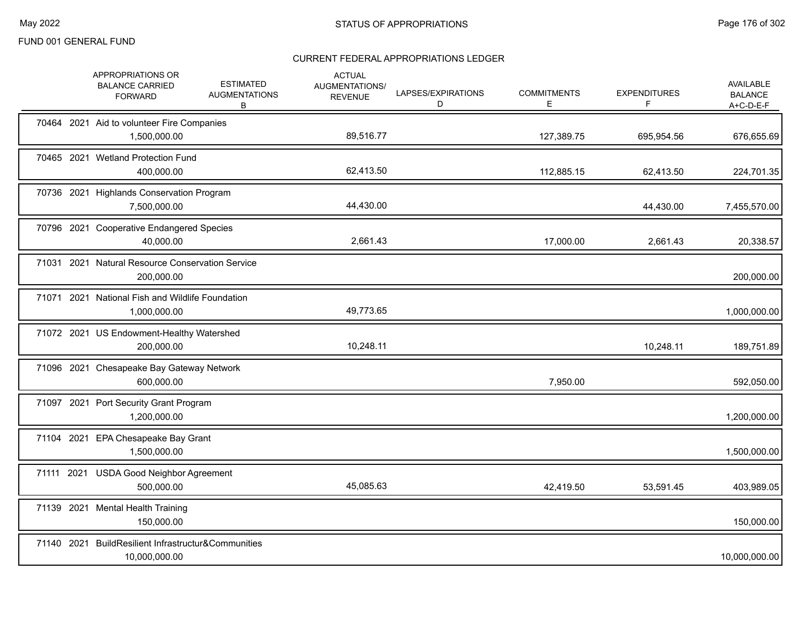|            | APPROPRIATIONS OR<br><b>BALANCE CARRIED</b><br><b>FORWARD</b>        | <b>ESTIMATED</b><br><b>AUGMENTATIONS</b><br>B | <b>ACTUAL</b><br>AUGMENTATIONS/<br><b>REVENUE</b> | LAPSES/EXPIRATIONS<br>D | <b>COMMITMENTS</b><br>Е | <b>EXPENDITURES</b><br>F | <b>AVAILABLE</b><br><b>BALANCE</b><br>$A+C-D-E-F$ |
|------------|----------------------------------------------------------------------|-----------------------------------------------|---------------------------------------------------|-------------------------|-------------------------|--------------------------|---------------------------------------------------|
|            | 70464 2021 Aid to volunteer Fire Companies<br>1,500,000.00           |                                               | 89,516.77                                         |                         | 127,389.75              | 695,954.56               | 676,655.69                                        |
|            | 70465 2021 Wetland Protection Fund<br>400,000.00                     |                                               | 62,413.50                                         |                         | 112,885.15              | 62,413.50                | 224,701.35                                        |
|            | 70736 2021 Highlands Conservation Program<br>7,500,000.00            |                                               | 44,430.00                                         |                         |                         | 44,430.00                | 7,455,570.00                                      |
|            | 70796 2021 Cooperative Endangered Species<br>40,000.00               |                                               | 2,661.43                                          |                         | 17,000.00               | 2,661.43                 | 20,338.57                                         |
|            | 71031 2021 Natural Resource Conservation Service<br>200,000.00       |                                               |                                                   |                         |                         |                          | 200,000.00                                        |
|            | 71071 2021 National Fish and Wildlife Foundation<br>1,000,000.00     |                                               | 49,773.65                                         |                         |                         |                          | 1,000,000.00                                      |
|            | 71072 2021 US Endowment-Healthy Watershed<br>200,000.00              |                                               | 10,248.11                                         |                         |                         | 10,248.11                | 189,751.89                                        |
|            | 71096 2021 Chesapeake Bay Gateway Network<br>600,000.00              |                                               |                                                   |                         | 7,950.00                |                          | 592,050.00                                        |
|            | 71097 2021 Port Security Grant Program<br>1,200,000.00               |                                               |                                                   |                         |                         |                          | 1,200,000.00                                      |
|            | 71104 2021 EPA Chesapeake Bay Grant<br>1,500,000.00                  |                                               |                                                   |                         |                         |                          | 1,500,000.00                                      |
| 71111 2021 | <b>USDA Good Neighbor Agreement</b><br>500,000.00                    |                                               | 45,085.63                                         |                         | 42,419.50               | 53,591.45                | 403,989.05                                        |
|            | 71139 2021 Mental Health Training<br>150,000.00                      |                                               |                                                   |                         |                         |                          | 150,000.00                                        |
|            | 71140 2021 BuildResilient Infrastructur&Communities<br>10,000,000.00 |                                               |                                                   |                         |                         |                          | 10,000,000.00                                     |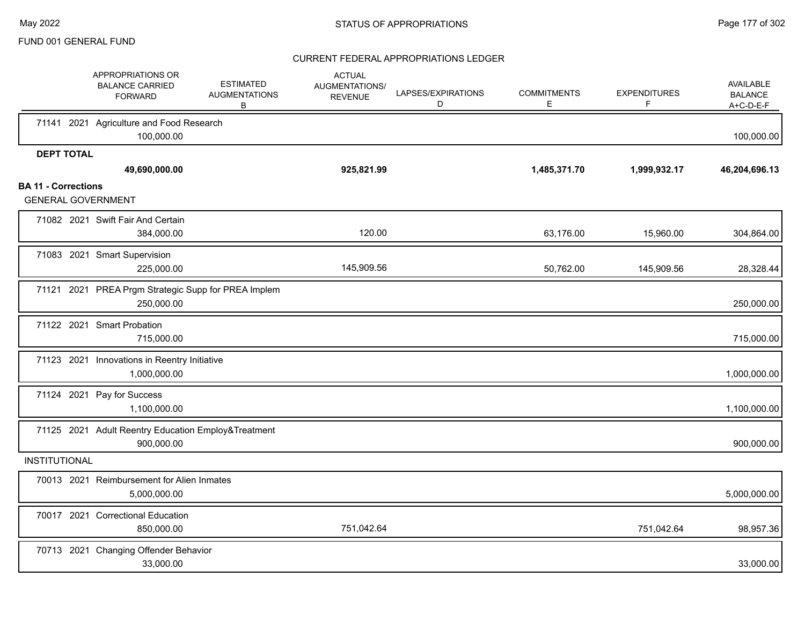|                            | APPROPRIATIONS OR<br><b>BALANCE CARRIED</b><br><b>FORWARD</b>     | <b>ESTIMATED</b><br><b>AUGMENTATIONS</b><br>B | <b>ACTUAL</b><br>AUGMENTATIONS/<br><b>REVENUE</b> | LAPSES/EXPIRATIONS<br>D | <b>COMMITMENTS</b><br>Е | <b>EXPENDITURES</b><br>F | AVAILABLE<br><b>BALANCE</b><br>$A+C-D-E-F$ |
|----------------------------|-------------------------------------------------------------------|-----------------------------------------------|---------------------------------------------------|-------------------------|-------------------------|--------------------------|--------------------------------------------|
|                            | 71141 2021 Agriculture and Food Research<br>100,000.00            |                                               |                                                   |                         |                         |                          | 100,000.00                                 |
| <b>DEPT TOTAL</b>          | 49,690,000.00                                                     |                                               | 925,821.99                                        |                         | 1,485,371.70            | 1,999,932.17             | 46,204,696.13                              |
| <b>BA 11 - Corrections</b> | <b>GENERAL GOVERNMENT</b>                                         |                                               |                                                   |                         |                         |                          |                                            |
|                            | 71082 2021 Swift Fair And Certain<br>384,000.00                   |                                               | 120.00                                            |                         | 63,176.00               | 15,960.00                | 304,864.00                                 |
|                            | 71083 2021 Smart Supervision<br>225,000.00                        |                                               | 145,909.56                                        |                         | 50,762.00               | 145,909.56               | 28,328.44                                  |
|                            | 71121 2021 PREA Prgm Strategic Supp for PREA Implem<br>250,000.00 |                                               |                                                   |                         |                         |                          | 250,000.00                                 |
|                            | 71122 2021 Smart Probation<br>715,000.00                          |                                               |                                                   |                         |                         |                          | 715,000.00                                 |
|                            | 71123 2021 Innovations in Reentry Initiative<br>1,000,000.00      |                                               |                                                   |                         |                         |                          | 1,000,000.00                               |
|                            | 71124 2021 Pay for Success<br>1,100,000.00                        |                                               |                                                   |                         |                         |                          | 1,100,000.00                               |
|                            | 71125 2021 Adult Reentry Education Employ&Treatment<br>900,000.00 |                                               |                                                   |                         |                         |                          | 900,000.00                                 |
| <b>INSTITUTIONAL</b>       |                                                                   |                                               |                                                   |                         |                         |                          |                                            |
|                            | 70013 2021 Reimbursement for Alien Inmates<br>5,000,000.00        |                                               |                                                   |                         |                         |                          | 5,000,000.00                               |
|                            | 70017 2021 Correctional Education<br>850,000.00                   |                                               | 751,042.64                                        |                         |                         | 751,042.64               | 98,957.36                                  |
|                            | 70713 2021 Changing Offender Behavior<br>33,000.00                |                                               |                                                   |                         |                         |                          | 33,000.00                                  |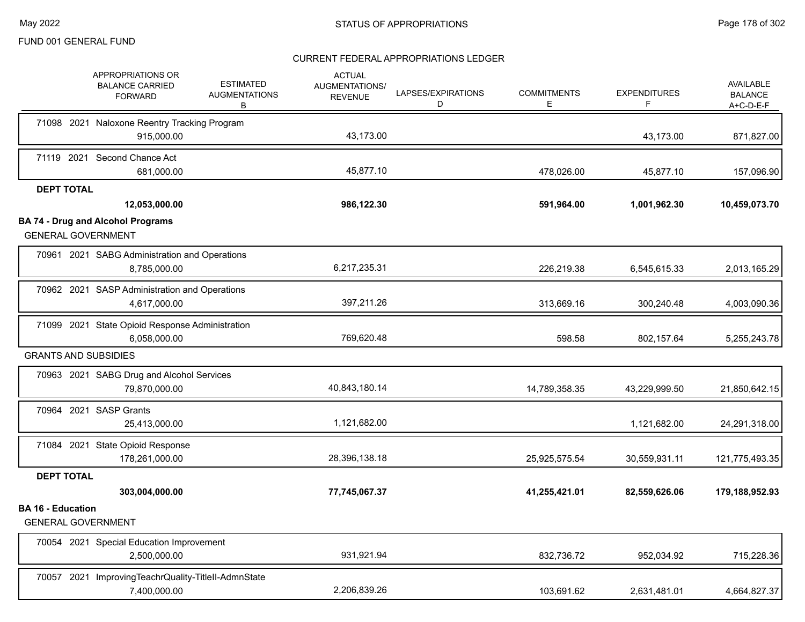|                          | <b>APPROPRIATIONS OR</b><br><b>BALANCE CARRIED</b><br><b>FORWARD</b> | <b>ESTIMATED</b><br><b>AUGMENTATIONS</b><br>B | <b>ACTUAL</b><br>AUGMENTATIONS/<br><b>REVENUE</b> | LAPSES/EXPIRATIONS<br>D | <b>COMMITMENTS</b><br>Е | <b>EXPENDITURES</b><br>F. | <b>AVAILABLE</b><br><b>BALANCE</b><br>$A+C-D-E-F$ |
|--------------------------|----------------------------------------------------------------------|-----------------------------------------------|---------------------------------------------------|-------------------------|-------------------------|---------------------------|---------------------------------------------------|
|                          | 71098 2021 Naloxone Reentry Tracking Program                         |                                               |                                                   |                         |                         |                           |                                                   |
|                          | 915,000.00                                                           |                                               | 43,173.00                                         |                         |                         | 43,173.00                 | 871,827.00                                        |
|                          | 71119 2021 Second Chance Act                                         |                                               |                                                   |                         |                         |                           |                                                   |
|                          | 681,000.00                                                           |                                               | 45,877.10                                         |                         | 478,026.00              | 45,877.10                 | 157,096.90                                        |
| <b>DEPT TOTAL</b>        | 12,053,000.00                                                        |                                               | 986,122.30                                        |                         | 591,964.00              | 1,001,962.30              | 10,459,073.70                                     |
|                          | <b>BA 74 - Drug and Alcohol Programs</b>                             |                                               |                                                   |                         |                         |                           |                                                   |
|                          | <b>GENERAL GOVERNMENT</b>                                            |                                               |                                                   |                         |                         |                           |                                                   |
|                          | 70961 2021 SABG Administration and Operations                        |                                               |                                                   |                         |                         |                           |                                                   |
|                          | 8,785,000.00                                                         |                                               | 6,217,235.31                                      |                         | 226,219.38              | 6,545,615.33              | 2,013,165.29                                      |
|                          | 70962 2021 SASP Administration and Operations                        |                                               |                                                   |                         |                         |                           |                                                   |
|                          | 4,617,000.00                                                         |                                               | 397,211.26                                        |                         | 313,669.16              | 300,240.48                | 4,003,090.36                                      |
|                          | 71099 2021 State Opioid Response Administration                      |                                               |                                                   |                         |                         |                           |                                                   |
|                          | 6.058.000.00                                                         |                                               | 769,620.48                                        |                         | 598.58                  | 802,157.64                | 5,255,243.78                                      |
|                          | <b>GRANTS AND SUBSIDIES</b>                                          |                                               |                                                   |                         |                         |                           |                                                   |
|                          | 70963 2021 SABG Drug and Alcohol Services                            |                                               |                                                   |                         |                         |                           |                                                   |
|                          | 79,870,000.00                                                        |                                               | 40,843,180.14                                     |                         | 14,789,358.35           | 43,229,999.50             | 21,850,642.15                                     |
|                          | 70964 2021 SASP Grants                                               |                                               |                                                   |                         |                         |                           |                                                   |
|                          | 25,413,000.00                                                        |                                               | 1,121,682.00                                      |                         |                         | 1,121,682.00              | 24,291,318.00                                     |
|                          | 71084 2021 State Opioid Response                                     |                                               |                                                   |                         |                         |                           |                                                   |
|                          | 178,261,000.00                                                       |                                               | 28,396,138.18                                     |                         | 25,925,575.54           | 30,559,931.11             | 121,775,493.35                                    |
| <b>DEPT TOTAL</b>        |                                                                      |                                               |                                                   |                         |                         |                           |                                                   |
| <b>BA 16 - Education</b> | 303,004,000.00                                                       |                                               | 77,745,067.37                                     |                         | 41,255,421.01           | 82,559,626.06             | 179,188,952.93                                    |
|                          | <b>GENERAL GOVERNMENT</b>                                            |                                               |                                                   |                         |                         |                           |                                                   |
|                          | 70054 2021 Special Education Improvement                             |                                               |                                                   |                         |                         |                           |                                                   |
|                          | 2,500,000.00                                                         |                                               | 931,921.94                                        |                         | 832,736.72              | 952,034.92                | 715,228.36                                        |
|                          | 70057 2021 ImprovingTeachrQuality-TitleII-AdmnState                  |                                               |                                                   |                         |                         |                           |                                                   |
|                          | 7,400,000.00                                                         |                                               | 2,206,839.26                                      |                         | 103,691.62              | 2,631,481.01              | 4,664,827.37                                      |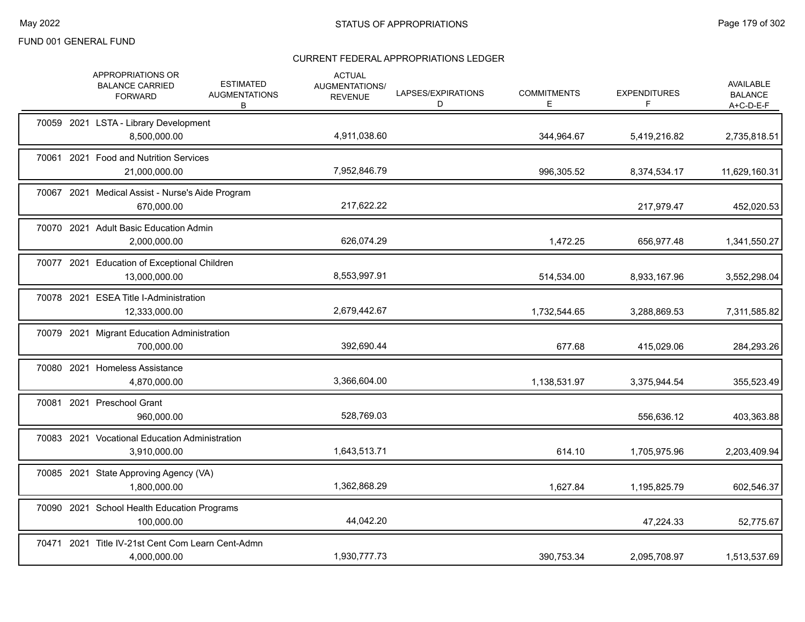| APPROPRIATIONS OR<br><b>ESTIMATED</b><br><b>BALANCE CARRIED</b><br><b>AUGMENTATIONS</b><br><b>FORWARD</b><br>B | <b>ACTUAL</b><br><b>AUGMENTATIONS/</b><br><b>REVENUE</b> | LAPSES/EXPIRATIONS<br>D | <b>COMMITMENTS</b><br>Е | <b>EXPENDITURES</b><br>F | AVAILABLE<br><b>BALANCE</b><br>$A+C-D-E-F$ |
|----------------------------------------------------------------------------------------------------------------|----------------------------------------------------------|-------------------------|-------------------------|--------------------------|--------------------------------------------|
| 70059 2021 LSTA - Library Development<br>8,500,000.00                                                          | 4,911,038.60                                             |                         | 344,964.67              | 5,419,216.82             | 2,735,818.51                               |
| 70061 2021 Food and Nutrition Services<br>21,000,000.00                                                        | 7,952,846.79                                             |                         | 996,305.52              | 8,374,534.17             | 11,629,160.31                              |
| 70067 2021 Medical Assist - Nurse's Aide Program<br>670,000.00                                                 | 217,622.22                                               |                         |                         | 217,979.47               | 452,020.53                                 |
| 70070 2021 Adult Basic Education Admin<br>2,000,000.00                                                         | 626,074.29                                               |                         | 1,472.25                | 656,977.48               | 1,341,550.27                               |
| 70077 2021 Education of Exceptional Children<br>13,000,000.00                                                  | 8,553,997.91                                             |                         | 514,534.00              | 8,933,167.96             | 3,552,298.04                               |
| 70078 2021 ESEA Title I-Administration<br>12,333,000.00                                                        | 2,679,442.67                                             |                         | 1,732,544.65            | 3,288,869.53             | 7,311,585.82                               |
| 70079 2021 Migrant Education Administration<br>700,000.00                                                      | 392,690.44                                               |                         | 677.68                  | 415,029.06               | 284,293.26                                 |
| 70080 2021 Homeless Assistance<br>4,870,000.00                                                                 | 3,366,604.00                                             |                         | 1,138,531.97            | 3,375,944.54             | 355,523.49                                 |
| 70081 2021 Preschool Grant<br>960,000.00                                                                       | 528,769.03                                               |                         |                         | 556,636.12               | 403,363.88                                 |
| 70083 2021 Vocational Education Administration<br>3,910,000.00                                                 | 1,643,513.71                                             |                         | 614.10                  | 1,705,975.96             | 2,203,409.94                               |
| 70085 2021 State Approving Agency (VA)<br>1,800,000.00                                                         | 1,362,868.29                                             |                         | 1,627.84                | 1,195,825.79             | 602,546.37                                 |
| 70090 2021 School Health Education Programs<br>100,000.00                                                      | 44,042.20                                                |                         |                         | 47,224.33                | 52,775.67                                  |
| 70471 2021 Title IV-21st Cent Com Learn Cent-Admn<br>4,000,000.00                                              | 1,930,777.73                                             |                         | 390,753.34              | 2,095,708.97             | 1,513,537.69                               |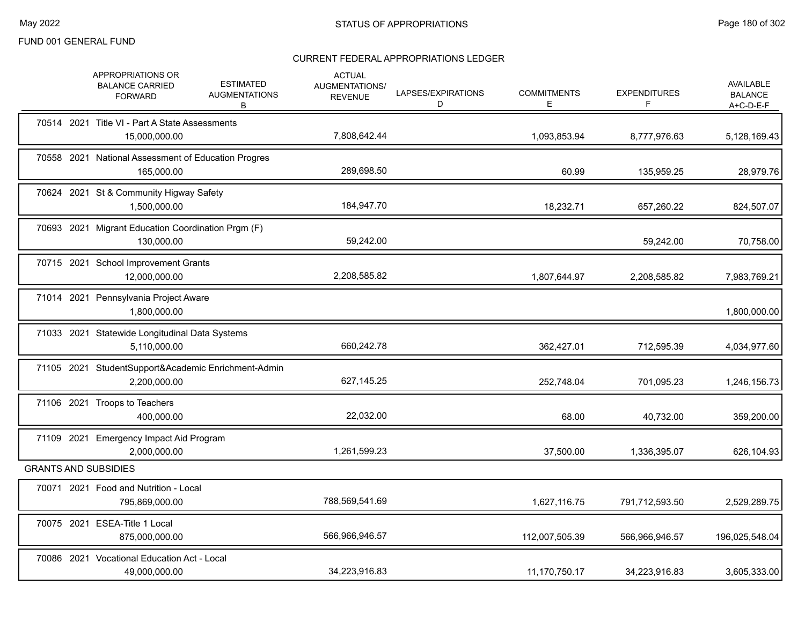|  | APPROPRIATIONS OR<br><b>BALANCE CARRIED</b><br><b>FORWARD</b>       | <b>ESTIMATED</b><br><b>AUGMENTATIONS</b><br>B | <b>ACTUAL</b><br>AUGMENTATIONS/<br><b>REVENUE</b> | LAPSES/EXPIRATIONS<br>D | <b>COMMITMENTS</b><br>Ε | <b>EXPENDITURES</b><br>F | <b>AVAILABLE</b><br><b>BALANCE</b><br>$A+C-D-E-F$ |
|--|---------------------------------------------------------------------|-----------------------------------------------|---------------------------------------------------|-------------------------|-------------------------|--------------------------|---------------------------------------------------|
|  | 70514 2021 Title VI - Part A State Assessments<br>15,000,000.00     |                                               | 7,808,642.44                                      |                         | 1,093,853.94            | 8,777,976.63             | 5,128,169.43                                      |
|  | 70558 2021 National Assessment of Education Progres<br>165,000.00   |                                               | 289,698.50                                        |                         | 60.99                   | 135,959.25               | 28,979.76                                         |
|  | 70624 2021 St & Community Higway Safety<br>1,500,000.00             |                                               | 184,947.70                                        |                         | 18,232.71               | 657,260.22               | 824,507.07                                        |
|  | 70693 2021 Migrant Education Coordination Prgm (F)<br>130,000.00    |                                               | 59.242.00                                         |                         |                         | 59,242.00                | 70,758.00                                         |
|  | 70715 2021 School Improvement Grants<br>12,000,000.00               |                                               | 2,208,585.82                                      |                         | 1,807,644.97            | 2,208,585.82             | 7,983,769.21                                      |
|  | 71014 2021 Pennsylvania Project Aware<br>1,800,000.00               |                                               |                                                   |                         |                         |                          | 1,800,000.00                                      |
|  | 71033 2021 Statewide Longitudinal Data Systems<br>5,110,000.00      |                                               | 660,242.78                                        |                         | 362,427.01              | 712,595.39               | 4,034,977.60                                      |
|  | 71105 2021 StudentSupport&Academic Enrichment-Admin<br>2,200,000.00 |                                               | 627,145.25                                        |                         | 252,748.04              | 701,095.23               | 1,246,156.73                                      |
|  | 71106 2021 Troops to Teachers<br>400,000.00                         |                                               | 22,032.00                                         |                         | 68.00                   | 40,732.00                | 359,200.00                                        |
|  | 71109 2021 Emergency Impact Aid Program<br>2,000,000.00             |                                               | 1,261,599.23                                      |                         | 37,500.00               | 1,336,395.07             | 626,104.93                                        |
|  | <b>GRANTS AND SUBSIDIES</b>                                         |                                               |                                                   |                         |                         |                          |                                                   |
|  | 70071 2021 Food and Nutrition - Local<br>795,869,000.00             |                                               | 788,569,541.69                                    |                         | 1,627,116.75            | 791,712,593.50           | 2,529,289.75                                      |
|  | 70075 2021 ESEA-Title 1 Local<br>875,000,000.00                     |                                               | 566,966,946.57                                    |                         | 112,007,505.39          | 566,966,946.57           | 196,025,548.04                                    |
|  | 70086 2021 Vocational Education Act - Local<br>49,000,000.00        |                                               | 34,223,916.83                                     |                         | 11,170,750.17           | 34,223,916.83            | 3,605,333.00                                      |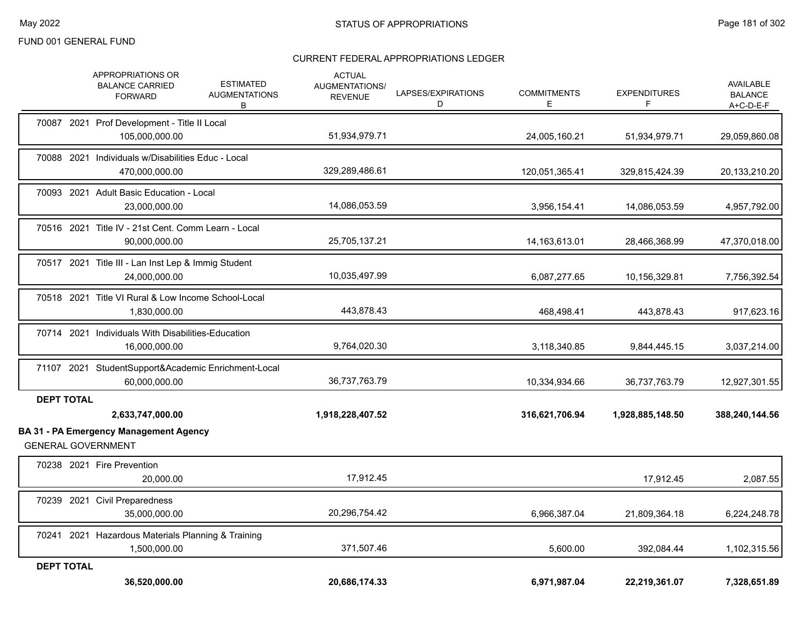|                   | APPROPRIATIONS OR<br><b>BALANCE CARRIED</b><br><b>FORWARD</b>        | <b>ESTIMATED</b><br><b>AUGMENTATIONS</b><br>В | <b>ACTUAL</b><br>AUGMENTATIONS/<br><b>REVENUE</b> | LAPSES/EXPIRATIONS<br>D | <b>COMMITMENTS</b><br>E | <b>EXPENDITURES</b><br>F | AVAILABLE<br><b>BALANCE</b><br>A+C-D-E-F |
|-------------------|----------------------------------------------------------------------|-----------------------------------------------|---------------------------------------------------|-------------------------|-------------------------|--------------------------|------------------------------------------|
|                   | 70087 2021 Prof Development - Title II Local<br>105,000,000.00       |                                               | 51,934,979.71                                     |                         | 24,005,160.21           | 51,934,979.71            | 29,059,860.08                            |
|                   | 70088 2021 Individuals w/Disabilities Educ - Local<br>470,000,000.00 |                                               | 329,289,486.61                                    |                         | 120,051,365.41          | 329,815,424.39           | 20,133,210.20                            |
|                   | 70093 2021 Adult Basic Education - Local<br>23,000,000.00            |                                               | 14,086,053.59                                     |                         | 3,956,154.41            | 14,086,053.59            | 4,957,792.00                             |
|                   | 70516 2021 Title IV - 21st Cent. Comm Learn - Local<br>90,000,000.00 |                                               | 25,705,137.21                                     |                         | 14, 163, 613. 01        | 28,466,368.99            | 47,370,018.00                            |
|                   | 70517 2021 Title III - Lan Inst Lep & Immig Student<br>24,000,000.00 |                                               | 10,035,497.99                                     |                         | 6,087,277.65            | 10,156,329.81            | 7,756,392.54                             |
|                   | 70518 2021 Title VI Rural & Low Income School-Local<br>1,830,000.00  |                                               | 443,878.43                                        |                         | 468,498.41              | 443,878.43               | 917,623.16                               |
|                   | 70714 2021 Individuals With Disabilities-Education<br>16,000,000.00  |                                               | 9,764,020.30                                      |                         | 3,118,340.85            | 9,844,445.15             | 3,037,214.00                             |
|                   | 71107 2021 StudentSupport&Academic Enrichment-Local<br>60,000,000.00 |                                               | 36,737,763.79                                     |                         | 10,334,934.66           | 36,737,763.79            | 12,927,301.55                            |
| <b>DEPT TOTAL</b> | 2,633,747,000.00<br>BA 31 - PA Emergency Management Agency           |                                               | 1,918,228,407.52                                  |                         | 316,621,706.94          | 1,928,885,148.50         | 388,240,144.56                           |
|                   | <b>GENERAL GOVERNMENT</b><br>70238 2021 Fire Prevention<br>20,000.00 |                                               | 17,912.45                                         |                         |                         | 17,912.45                | 2,087.55                                 |
|                   | 70239 2021 Civil Preparedness<br>35,000,000.00                       |                                               | 20,296,754.42                                     |                         | 6,966,387.04            | 21,809,364.18            | 6,224,248.78                             |
|                   | 70241 2021 Hazardous Materials Planning & Training<br>1,500,000.00   |                                               | 371,507.46                                        |                         | 5,600.00                | 392,084.44               | 1,102,315.56                             |
| <b>DEPT TOTAL</b> | 36,520,000.00                                                        |                                               | 20,686,174.33                                     |                         | 6,971,987.04            | 22,219,361.07            | 7,328,651.89                             |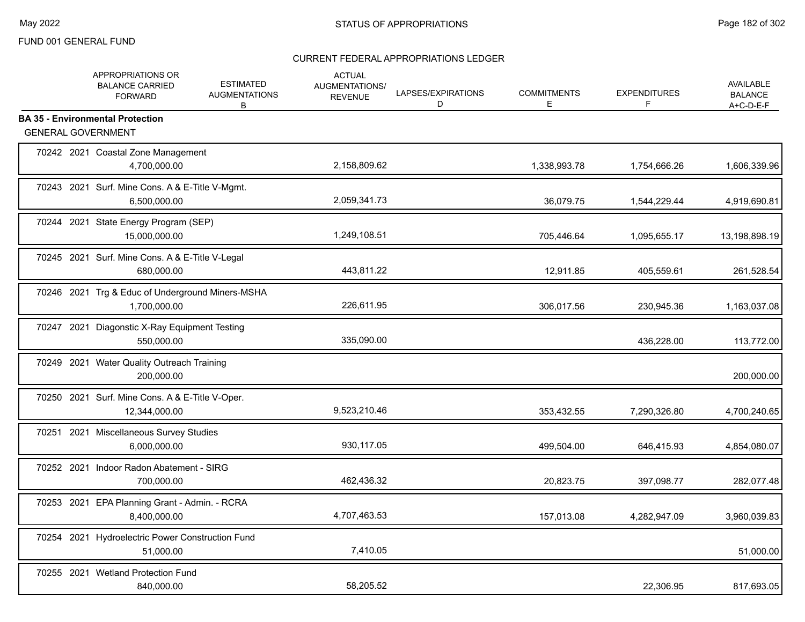|            | APPROPRIATIONS OR<br><b>BALANCE CARRIED</b><br><b>FORWARD</b>        | <b>ESTIMATED</b><br><b>AUGMENTATIONS</b><br>В | <b>ACTUAL</b><br>AUGMENTATIONS/<br><b>REVENUE</b> | LAPSES/EXPIRATIONS<br>D | <b>COMMITMENTS</b><br>E | <b>EXPENDITURES</b><br>F | <b>AVAILABLE</b><br><b>BALANCE</b><br>$A+C-D-E-F$ |
|------------|----------------------------------------------------------------------|-----------------------------------------------|---------------------------------------------------|-------------------------|-------------------------|--------------------------|---------------------------------------------------|
|            | <b>BA 35 - Environmental Protection</b><br><b>GENERAL GOVERNMENT</b> |                                               |                                                   |                         |                         |                          |                                                   |
|            | 70242 2021 Coastal Zone Management<br>4,700,000.00                   |                                               | 2,158,809.62                                      |                         | 1,338,993.78            | 1,754,666.26             | 1,606,339.96                                      |
|            | 70243 2021 Surf. Mine Cons. A & E-Title V-Mgmt.<br>6,500,000.00      |                                               | 2,059,341.73                                      |                         | 36,079.75               | 1,544,229.44             | 4,919,690.81                                      |
|            | 70244 2021 State Energy Program (SEP)<br>15,000,000.00               |                                               | 1,249,108.51                                      |                         | 705,446.64              | 1,095,655.17             | 13,198,898.19                                     |
|            | 70245 2021 Surf. Mine Cons. A & E-Title V-Legal<br>680,000.00        |                                               | 443,811.22                                        |                         | 12,911.85               | 405,559.61               | 261,528.54                                        |
|            | 70246 2021 Trg & Educ of Underground Miners-MSHA<br>1,700,000.00     |                                               | 226,611.95                                        |                         | 306,017.56              | 230,945.36               | 1,163,037.08                                      |
|            | 70247 2021 Diagonstic X-Ray Equipment Testing<br>550.000.00          |                                               | 335,090.00                                        |                         |                         | 436,228.00               | 113,772.00                                        |
|            | 70249 2021 Water Quality Outreach Training<br>200,000.00             |                                               |                                                   |                         |                         |                          | 200,000.00                                        |
|            | 70250 2021 Surf. Mine Cons. A & E-Title V-Oper.<br>12,344,000.00     |                                               | 9,523,210.46                                      |                         | 353,432.55              | 7,290,326.80             | 4,700,240.65                                      |
|            | 70251 2021 Miscellaneous Survey Studies<br>6,000,000.00              |                                               | 930, 117.05                                       |                         | 499,504.00              | 646,415.93               | 4,854,080.07                                      |
|            | 70252 2021 Indoor Radon Abatement - SIRG<br>700,000.00               |                                               | 462,436.32                                        |                         | 20,823.75               | 397,098.77               | 282,077.48                                        |
| 70253 2021 | EPA Planning Grant - Admin. - RCRA<br>8,400,000.00                   |                                               | 4,707,463.53                                      |                         | 157,013.08              | 4,282,947.09             | 3,960,039.83                                      |
|            | 70254 2021 Hydroelectric Power Construction Fund<br>51,000.00        |                                               | 7,410.05                                          |                         |                         |                          | 51,000.00                                         |
|            | 70255 2021 Wetland Protection Fund<br>840,000.00                     |                                               | 58,205.52                                         |                         |                         | 22,306.95                | 817,693.05                                        |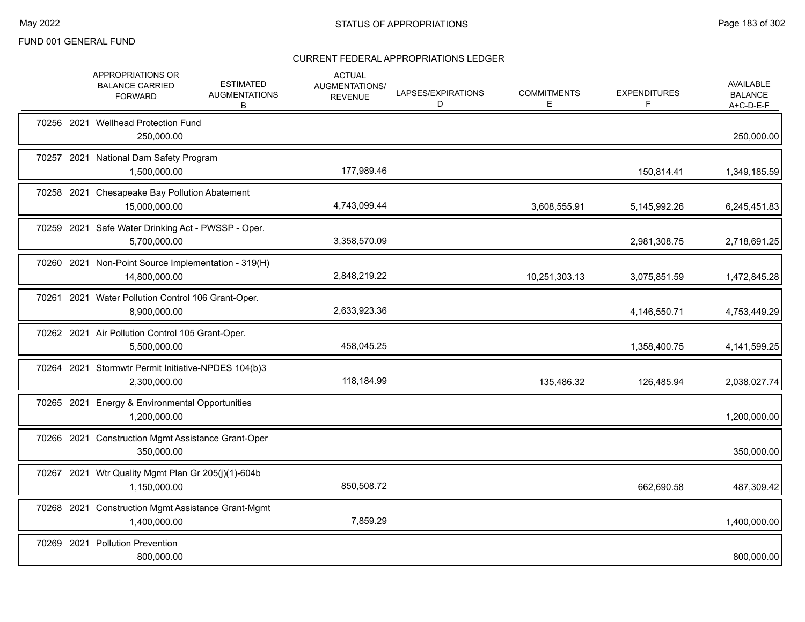|  | APPROPRIATIONS OR<br><b>BALANCE CARRIED</b><br><b>FORWARD</b>        | <b>ESTIMATED</b><br><b>AUGMENTATIONS</b><br>В | <b>ACTUAL</b><br>AUGMENTATIONS/<br><b>REVENUE</b> | LAPSES/EXPIRATIONS<br>D | <b>COMMITMENTS</b><br>Е | <b>EXPENDITURES</b><br>F | <b>AVAILABLE</b><br><b>BALANCE</b><br>A+C-D-E-F |
|--|----------------------------------------------------------------------|-----------------------------------------------|---------------------------------------------------|-------------------------|-------------------------|--------------------------|-------------------------------------------------|
|  | 70256 2021 Wellhead Protection Fund<br>250,000.00                    |                                               |                                                   |                         |                         |                          | 250,000.00                                      |
|  | 70257 2021 National Dam Safety Program<br>1,500,000.00               |                                               | 177,989.46                                        |                         |                         | 150,814.41               | 1,349,185.59                                    |
|  | 70258 2021 Chesapeake Bay Pollution Abatement<br>15.000.000.00       |                                               | 4,743,099.44                                      |                         | 3,608,555.91            | 5,145,992.26             | 6,245,451.83                                    |
|  | 70259 2021 Safe Water Drinking Act - PWSSP - Oper.<br>5,700,000.00   |                                               | 3,358,570.09                                      |                         |                         | 2,981,308.75             | 2,718,691.25                                    |
|  | 70260 2021 Non-Point Source Implementation - 319(H)<br>14,800,000.00 |                                               | 2,848,219.22                                      |                         | 10,251,303.13           | 3,075,851.59             | 1,472,845.28                                    |
|  | 70261 2021 Water Pollution Control 106 Grant-Oper.<br>8,900,000.00   |                                               | 2,633,923.36                                      |                         |                         | 4,146,550.71             | 4,753,449.29                                    |
|  | 70262 2021 Air Pollution Control 105 Grant-Oper.<br>5,500,000.00     |                                               | 458,045.25                                        |                         |                         | 1,358,400.75             | 4, 141, 599. 25                                 |
|  | 70264 2021 Stormwtr Permit Initiative-NPDES 104(b)3<br>2,300,000.00  |                                               | 118,184.99                                        |                         | 135,486.32              | 126,485.94               | 2,038,027.74                                    |
|  | 70265 2021 Energy & Environmental Opportunities<br>1,200,000.00      |                                               |                                                   |                         |                         |                          | 1,200,000.00                                    |
|  | 70266 2021 Construction Mgmt Assistance Grant-Oper<br>350,000.00     |                                               |                                                   |                         |                         |                          | 350,000.00                                      |
|  | 70267 2021 Wtr Quality Mgmt Plan Gr 205(j)(1)-604b<br>1,150,000.00   |                                               | 850,508.72                                        |                         |                         | 662,690.58               | 487,309.42                                      |
|  | 70268 2021 Construction Mgmt Assistance Grant-Mgmt<br>1,400,000.00   |                                               | 7,859.29                                          |                         |                         |                          | 1,400,000.00                                    |
|  | 70269 2021 Pollution Prevention<br>800,000.00                        |                                               |                                                   |                         |                         |                          | 800,000.00                                      |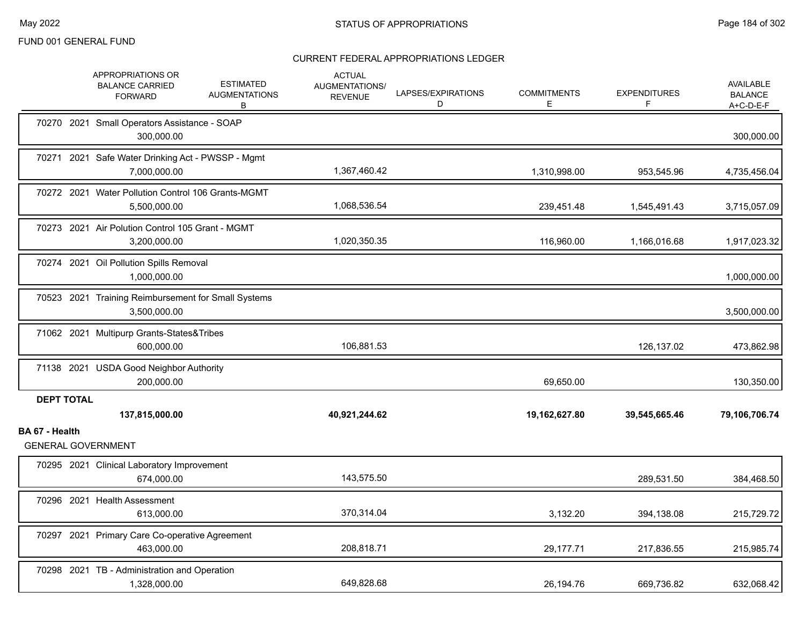|                |                   | APPROPRIATIONS OR<br><b>BALANCE CARRIED</b><br><b>FORWARD</b>       | <b>ESTIMATED</b><br><b>AUGMENTATIONS</b><br>В | <b>ACTUAL</b><br><b>AUGMENTATIONS/</b><br><b>REVENUE</b> | LAPSES/EXPIRATIONS<br>D | <b>COMMITMENTS</b><br>Е | <b>EXPENDITURES</b><br>F | AVAILABLE<br><b>BALANCE</b><br>A+C-D-E-F |
|----------------|-------------------|---------------------------------------------------------------------|-----------------------------------------------|----------------------------------------------------------|-------------------------|-------------------------|--------------------------|------------------------------------------|
|                |                   | 70270 2021 Small Operators Assistance - SOAP<br>300,000.00          |                                               |                                                          |                         |                         |                          | 300,000.00                               |
|                |                   | 70271 2021 Safe Water Drinking Act - PWSSP - Mgmt<br>7,000,000.00   |                                               | 1,367,460.42                                             |                         | 1,310,998.00            | 953,545.96               | 4,735,456.04                             |
|                |                   | 70272 2021 Water Pollution Control 106 Grants-MGMT<br>5,500,000.00  |                                               | 1,068,536.54                                             |                         | 239,451.48              | 1,545,491.43             | 3,715,057.09                             |
|                |                   | 70273 2021 Air Polution Control 105 Grant - MGMT<br>3,200,000.00    |                                               | 1,020,350.35                                             |                         | 116,960.00              | 1,166,016.68             | 1,917,023.32                             |
|                |                   | 70274 2021 Oil Pollution Spills Removal<br>1,000,000.00             |                                               |                                                          |                         |                         |                          | 1,000,000.00                             |
|                |                   | 70523 2021 Training Reimbursement for Small Systems<br>3,500,000.00 |                                               |                                                          |                         |                         |                          | 3,500,000.00                             |
|                |                   | 71062 2021 Multipurp Grants-States&Tribes<br>600.000.00             |                                               | 106,881.53                                               |                         |                         | 126,137.02               | 473,862.98                               |
|                |                   | 71138 2021 USDA Good Neighbor Authority<br>200,000.00               |                                               |                                                          |                         | 69,650.00               |                          | 130,350.00                               |
|                | <b>DEPT TOTAL</b> | 137,815,000.00                                                      |                                               | 40,921,244.62                                            |                         | 19,162,627.80           | 39,545,665.46            | 79,106,706.74                            |
| BA 67 - Health |                   | <b>GENERAL GOVERNMENT</b>                                           |                                               |                                                          |                         |                         |                          |                                          |
|                |                   | 70295 2021 Clinical Laboratory Improvement<br>674,000.00            |                                               | 143,575.50                                               |                         |                         | 289,531.50               | 384,468.50                               |
|                |                   | 70296 2021 Health Assessment<br>613,000.00                          |                                               | 370,314.04                                               |                         | 3,132.20                | 394,138.08               | 215,729.72                               |
|                |                   | 70297 2021 Primary Care Co-operative Agreement<br>463,000.00        |                                               | 208,818.71                                               |                         | 29,177.71               | 217,836.55               | 215,985.74                               |
|                |                   | 70298 2021 TB - Administration and Operation<br>1,328,000.00        |                                               | 649,828.68                                               |                         | 26,194.76               | 669,736.82               | 632,068.42                               |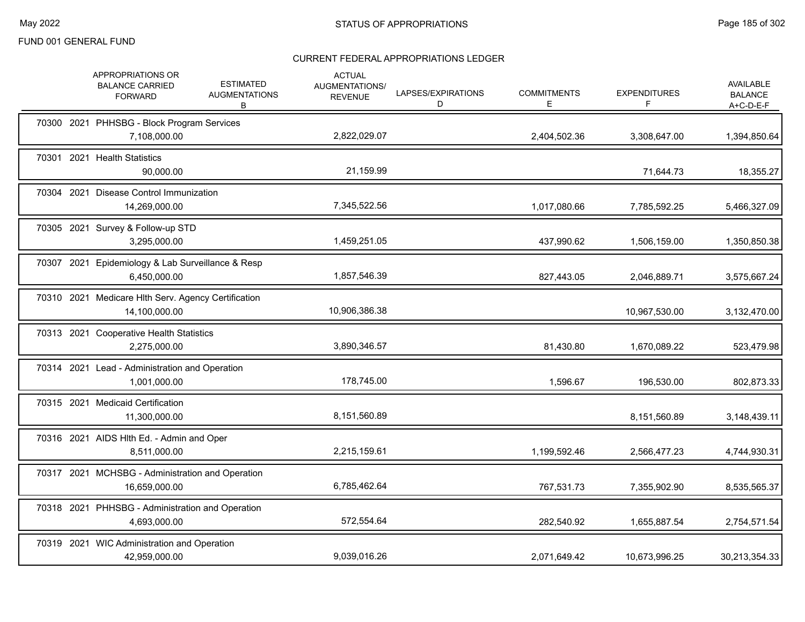|  | APPROPRIATIONS OR<br><b>BALANCE CARRIED</b><br><b>FORWARD</b>        | <b>ESTIMATED</b><br><b>AUGMENTATIONS</b><br>В | <b>ACTUAL</b><br>AUGMENTATIONS/<br><b>REVENUE</b> | LAPSES/EXPIRATIONS<br>D | <b>COMMITMENTS</b><br>E. | <b>EXPENDITURES</b><br>F | <b>AVAILABLE</b><br><b>BALANCE</b><br>$A+C-D-E-F$ |
|--|----------------------------------------------------------------------|-----------------------------------------------|---------------------------------------------------|-------------------------|--------------------------|--------------------------|---------------------------------------------------|
|  | 70300 2021 PHHSBG - Block Program Services<br>7,108,000.00           |                                               | 2,822,029.07                                      |                         | 2,404,502.36             | 3,308,647.00             | 1,394,850.64                                      |
|  | 70301 2021 Health Statistics<br>90,000.00                            |                                               | 21,159.99                                         |                         |                          | 71,644.73                | 18,355.27                                         |
|  | 70304 2021 Disease Control Immunization<br>14,269,000.00             |                                               | 7,345,522.56                                      |                         | 1,017,080.66             | 7,785,592.25             | 5,466,327.09                                      |
|  | 70305 2021 Survey & Follow-up STD<br>3,295,000.00                    |                                               | 1,459,251.05                                      |                         | 437,990.62               | 1,506,159.00             | 1,350,850.38                                      |
|  | 70307 2021 Epidemiology & Lab Surveillance & Resp<br>6,450,000.00    |                                               | 1,857,546.39                                      |                         | 827,443.05               | 2,046,889.71             | 3,575,667.24                                      |
|  | 70310 2021 Medicare Hlth Serv. Agency Certification<br>14,100,000.00 |                                               | 10,906,386.38                                     |                         |                          | 10,967,530.00            | 3,132,470.00                                      |
|  | 70313 2021 Cooperative Health Statistics<br>2,275,000.00             |                                               | 3,890,346.57                                      |                         | 81,430.80                | 1,670,089.22             | 523,479.98                                        |
|  | 70314 2021 Lead - Administration and Operation<br>1,001,000.00       |                                               | 178,745.00                                        |                         | 1,596.67                 | 196,530.00               | 802,873.33                                        |
|  | 70315 2021 Medicaid Certification<br>11,300,000.00                   |                                               | 8,151,560.89                                      |                         |                          | 8,151,560.89             | 3,148,439.11                                      |
|  | 70316 2021 AIDS HIth Ed. - Admin and Oper<br>8,511,000.00            |                                               | 2,215,159.61                                      |                         | 1,199,592.46             | 2,566,477.23             | 4,744,930.31                                      |
|  | 70317 2021 MCHSBG - Administration and Operation<br>16,659,000.00    |                                               | 6,785,462.64                                      |                         | 767,531.73               | 7,355,902.90             | 8,535,565.37                                      |
|  | 70318 2021 PHHSBG - Administration and Operation<br>4,693,000.00     |                                               | 572,554.64                                        |                         | 282,540.92               | 1,655,887.54             | 2,754,571.54                                      |
|  | 70319 2021 WIC Administration and Operation<br>42,959,000.00         |                                               | 9,039,016.26                                      |                         | 2.071.649.42             | 10,673,996.25            | 30,213,354.33                                     |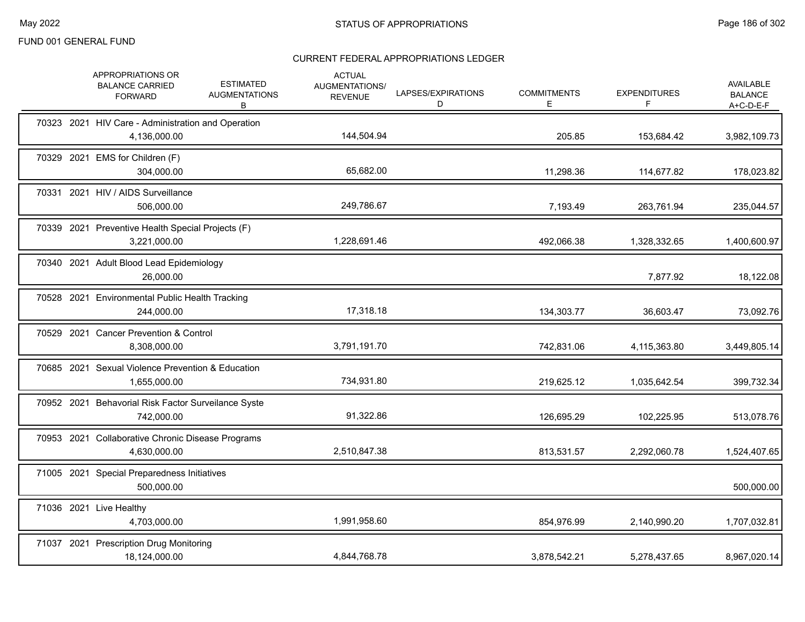|  | APPROPRIATIONS OR<br><b>BALANCE CARRIED</b><br><b>FORWARD</b>      | <b>ESTIMATED</b><br><b>AUGMENTATIONS</b><br>B | <b>ACTUAL</b><br>AUGMENTATIONS/<br><b>REVENUE</b> | LAPSES/EXPIRATIONS<br>D | <b>COMMITMENTS</b><br>Е | <b>EXPENDITURES</b><br>F | AVAILABLE<br><b>BALANCE</b><br>A+C-D-E-F |
|--|--------------------------------------------------------------------|-----------------------------------------------|---------------------------------------------------|-------------------------|-------------------------|--------------------------|------------------------------------------|
|  | 70323 2021 HIV Care - Administration and Operation<br>4,136,000.00 |                                               | 144,504.94                                        |                         | 205.85                  | 153,684.42               | 3,982,109.73                             |
|  | 70329 2021 EMS for Children (F)<br>304,000.00                      |                                               | 65,682.00                                         |                         | 11,298.36               | 114,677.82               | 178,023.82                               |
|  | 70331 2021 HIV / AIDS Surveillance<br>506,000.00                   |                                               | 249,786.67                                        |                         | 7,193.49                | 263,761.94               | 235,044.57                               |
|  | 70339 2021 Preventive Health Special Projects (F)<br>3,221,000.00  |                                               | 1,228,691.46                                      |                         | 492,066.38              | 1,328,332.65             | 1,400,600.97                             |
|  | 70340 2021 Adult Blood Lead Epidemiology<br>26,000.00              |                                               |                                                   |                         |                         | 7,877.92                 | 18,122.08                                |
|  | 70528 2021 Environmental Public Health Tracking<br>244,000.00      |                                               | 17,318.18                                         |                         | 134,303.77              | 36,603.47                | 73,092.76                                |
|  | 70529 2021 Cancer Prevention & Control<br>8,308,000.00             |                                               | 3,791,191.70                                      |                         | 742,831.06              | 4,115,363.80             | 3,449,805.14                             |
|  | 70685 2021 Sexual Violence Prevention & Education<br>1,655,000.00  |                                               | 734,931.80                                        |                         | 219,625.12              | 1,035,642.54             | 399,732.34                               |
|  | 70952 2021 Behavorial Risk Factor Surveilance Syste<br>742,000.00  |                                               | 91,322.86                                         |                         | 126,695.29              | 102,225.95               | 513,078.76                               |
|  | 70953 2021 Collaborative Chronic Disease Programs<br>4,630,000.00  |                                               | 2,510,847.38                                      |                         | 813,531.57              | 2,292,060.78             | 1,524,407.65                             |
|  | 71005 2021 Special Preparedness Initiatives<br>500,000.00          |                                               |                                                   |                         |                         |                          | 500,000.00                               |
|  | 71036 2021 Live Healthy<br>4,703,000.00                            |                                               | 1,991,958.60                                      |                         | 854,976.99              | 2,140,990.20             | 1,707,032.81                             |
|  | 71037 2021 Prescription Drug Monitoring<br>18,124,000.00           |                                               | 4,844,768.78                                      |                         | 3,878,542.21            | 5,278,437.65             | 8,967,020.14                             |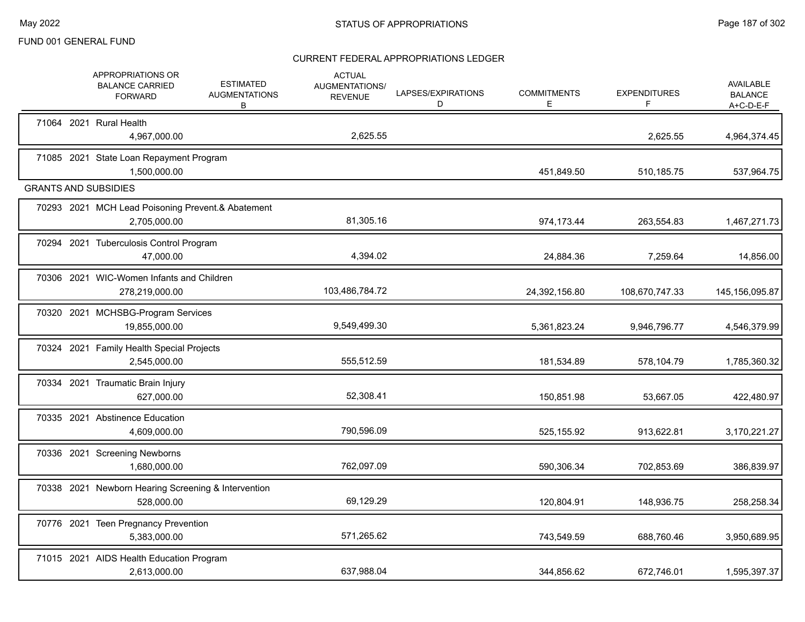|  | <b>APPROPRIATIONS OR</b><br><b>BALANCE CARRIED</b><br><b>FORWARD</b> | <b>ESTIMATED</b><br><b>AUGMENTATIONS</b><br>В | <b>ACTUAL</b><br>AUGMENTATIONS/<br><b>REVENUE</b> | LAPSES/EXPIRATIONS<br>D | <b>COMMITMENTS</b><br>Ε | <b>EXPENDITURES</b><br>F | <b>AVAILABLE</b><br><b>BALANCE</b><br>$A+C-D-E-F$ |
|--|----------------------------------------------------------------------|-----------------------------------------------|---------------------------------------------------|-------------------------|-------------------------|--------------------------|---------------------------------------------------|
|  | 71064 2021 Rural Health<br>4,967,000.00                              |                                               | 2,625.55                                          |                         |                         | 2,625.55                 | 4,964,374.45                                      |
|  | 71085 2021 State Loan Repayment Program<br>1,500,000.00              |                                               |                                                   |                         | 451,849.50              | 510,185.75               | 537,964.75                                        |
|  | <b>GRANTS AND SUBSIDIES</b>                                          |                                               |                                                   |                         |                         |                          |                                                   |
|  | 70293 2021 MCH Lead Poisoning Prevent.& Abatement<br>2,705,000.00    |                                               | 81,305.16                                         |                         | 974,173.44              | 263,554.83               | 1,467,271.73                                      |
|  | 70294 2021 Tuberculosis Control Program<br>47,000.00                 |                                               | 4,394.02                                          |                         | 24,884.36               | 7,259.64                 | 14,856.00                                         |
|  | 70306 2021 WIC-Women Infants and Children<br>278,219,000.00          |                                               | 103,486,784.72                                    |                         | 24,392,156.80           | 108,670,747.33           | 145,156,095.87                                    |
|  | 70320 2021 MCHSBG-Program Services<br>19,855,000.00                  |                                               | 9,549,499.30                                      |                         | 5,361,823.24            | 9,946,796.77             | 4,546,379.99                                      |
|  | 70324 2021 Family Health Special Projects<br>2,545,000.00            |                                               | 555,512.59                                        |                         | 181,534.89              | 578,104.79               | 1,785,360.32                                      |
|  | 70334 2021 Traumatic Brain Injury<br>627,000.00                      |                                               | 52,308.41                                         |                         | 150,851.98              | 53,667.05                | 422,480.97                                        |
|  | 70335 2021 Abstinence Education<br>4,609,000.00                      |                                               | 790,596.09                                        |                         | 525,155.92              | 913,622.81               | 3,170,221.27                                      |
|  | 70336 2021 Screening Newborns<br>1,680,000.00                        |                                               | 762,097.09                                        |                         | 590,306.34              | 702,853.69               | 386,839.97                                        |
|  | 70338 2021 Newborn Hearing Screening & Intervention<br>528,000.00    |                                               | 69,129.29                                         |                         | 120,804.91              | 148,936.75               | 258,258.34                                        |
|  | 70776 2021 Teen Pregnancy Prevention<br>5,383,000.00                 |                                               | 571,265.62                                        |                         | 743,549.59              | 688,760.46               | 3,950,689.95                                      |
|  | 71015 2021 AIDS Health Education Program<br>2,613,000.00             |                                               | 637,988.04                                        |                         | 344,856.62              | 672,746.01               | 1,595,397.37                                      |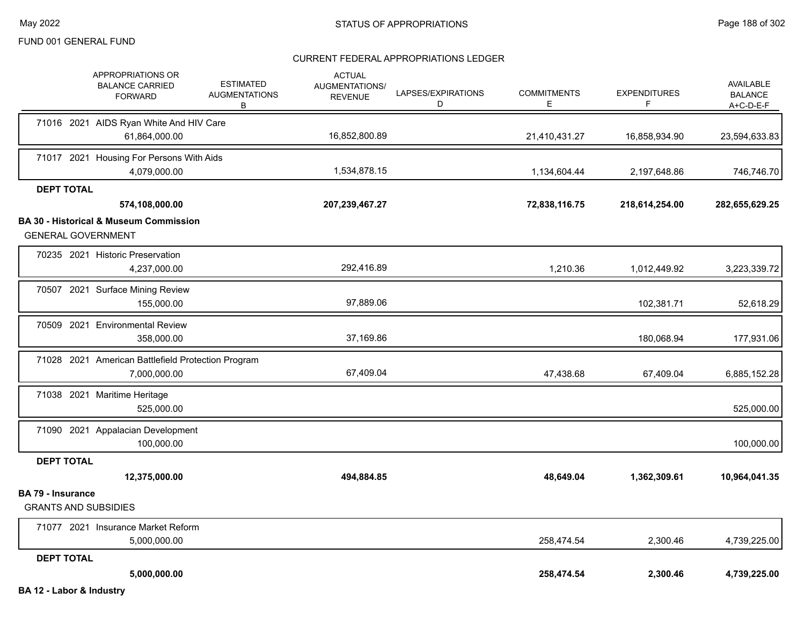|                          | APPROPRIATIONS OR<br><b>BALANCE CARRIED</b><br><b>FORWARD</b>                  | <b>ESTIMATED</b><br><b>AUGMENTATIONS</b><br>B | <b>ACTUAL</b><br>AUGMENTATIONS/<br><b>REVENUE</b> | LAPSES/EXPIRATIONS<br>D | <b>COMMITMENTS</b><br>Е | <b>EXPENDITURES</b><br>F | AVAILABLE<br><b>BALANCE</b><br>$A+C-D-E-F$ |
|--------------------------|--------------------------------------------------------------------------------|-----------------------------------------------|---------------------------------------------------|-------------------------|-------------------------|--------------------------|--------------------------------------------|
|                          | 71016 2021 AIDS Ryan White And HIV Care<br>61,864,000.00                       |                                               | 16,852,800.89                                     |                         |                         |                          |                                            |
|                          |                                                                                |                                               |                                                   |                         | 21,410,431.27           | 16,858,934.90            | 23,594,633.83                              |
|                          | 71017 2021 Housing For Persons With Aids<br>4,079,000.00                       |                                               | 1,534,878.15                                      |                         | 1,134,604.44            | 2,197,648.86             | 746,746.70                                 |
| <b>DEPT TOTAL</b>        |                                                                                |                                               |                                                   |                         |                         |                          |                                            |
|                          | 574,108,000.00                                                                 |                                               | 207,239,467.27                                    |                         | 72,838,116.75           | 218,614,254.00           | 282,655,629.25                             |
|                          | <b>BA 30 - Historical &amp; Museum Commission</b><br><b>GENERAL GOVERNMENT</b> |                                               |                                                   |                         |                         |                          |                                            |
|                          | 70235 2021 Historic Preservation<br>4,237,000.00                               |                                               | 292,416.89                                        |                         | 1,210.36                | 1,012,449.92             | 3,223,339.72                               |
|                          | 70507 2021 Surface Mining Review<br>155,000.00                                 |                                               | 97,889.06                                         |                         |                         | 102,381.71               | 52,618.29                                  |
|                          | 70509 2021 Environmental Review<br>358,000.00                                  |                                               | 37,169.86                                         |                         |                         | 180,068.94               | 177,931.06                                 |
|                          |                                                                                |                                               |                                                   |                         |                         |                          |                                            |
|                          | 71028 2021 American Battlefield Protection Program<br>7,000,000.00             |                                               | 67,409.04                                         |                         | 47,438.68               | 67,409.04                | 6,885,152.28                               |
|                          | 71038 2021 Maritime Heritage<br>525,000.00                                     |                                               |                                                   |                         |                         |                          | 525,000.00                                 |
|                          | 71090 2021 Appalacian Development<br>100,000.00                                |                                               |                                                   |                         |                         |                          | 100,000.00                                 |
| <b>DEPT TOTAL</b>        |                                                                                |                                               |                                                   |                         |                         |                          |                                            |
|                          | 12,375,000.00                                                                  |                                               | 494,884.85                                        |                         | 48,649.04               | 1,362,309.61             | 10,964,041.35                              |
| <b>BA 79 - Insurance</b> | <b>GRANTS AND SUBSIDIES</b>                                                    |                                               |                                                   |                         |                         |                          |                                            |
|                          | 71077 2021 Insurance Market Reform<br>5,000,000.00                             |                                               |                                                   |                         | 258,474.54              | 2,300.46                 | 4,739,225.00                               |
| <b>DEPT TOTAL</b>        |                                                                                |                                               |                                                   |                         |                         |                          |                                            |
|                          | 5,000,000.00                                                                   |                                               |                                                   |                         | 258,474.54              | 2,300.46                 | 4,739,225.00                               |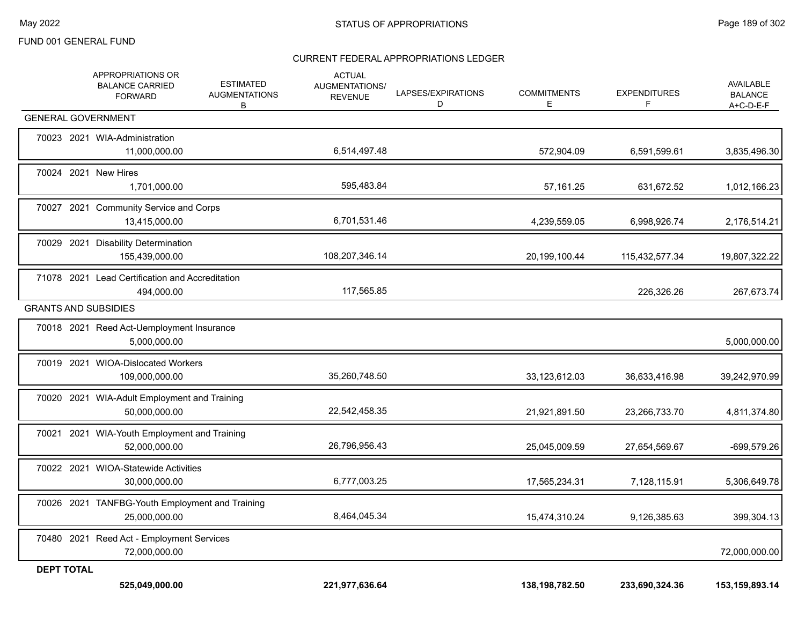|                   | APPROPRIATIONS OR<br><b>BALANCE CARRIED</b><br><b>FORWARD</b>    | <b>ESTIMATED</b><br><b>AUGMENTATIONS</b><br>B | <b>ACTUAL</b><br>AUGMENTATIONS/<br><b>REVENUE</b> | LAPSES/EXPIRATIONS<br>D | <b>COMMITMENTS</b><br>E | <b>EXPENDITURES</b><br>F | AVAILABLE<br><b>BALANCE</b><br>A+C-D-E-F |
|-------------------|------------------------------------------------------------------|-----------------------------------------------|---------------------------------------------------|-------------------------|-------------------------|--------------------------|------------------------------------------|
|                   | <b>GENERAL GOVERNMENT</b>                                        |                                               |                                                   |                         |                         |                          |                                          |
|                   | 70023 2021 WIA-Administration<br>11,000,000.00                   |                                               | 6,514,497.48                                      |                         | 572,904.09              | 6,591,599.61             | 3,835,496.30                             |
|                   | 70024 2021 New Hires<br>1,701,000.00                             |                                               | 595,483.84                                        |                         | 57,161.25               | 631,672.52               | 1,012,166.23                             |
|                   | 70027 2021 Community Service and Corps<br>13,415,000.00          |                                               | 6,701,531.46                                      |                         | 4,239,559.05            | 6,998,926.74             | 2,176,514.21                             |
|                   | 70029 2021 Disability Determination<br>155,439,000.00            |                                               | 108,207,346.14                                    |                         | 20,199,100.44           | 115,432,577.34           | 19,807,322.22                            |
|                   | 71078 2021 Lead Certification and Accreditation<br>494,000.00    |                                               | 117,565.85                                        |                         |                         | 226,326.26               | 267,673.74                               |
|                   | <b>GRANTS AND SUBSIDIES</b>                                      |                                               |                                                   |                         |                         |                          |                                          |
|                   | 70018 2021 Reed Act-Uemployment Insurance<br>5,000,000.00        |                                               |                                                   |                         |                         |                          | 5,000,000.00                             |
|                   | 70019 2021 WIOA-Dislocated Workers<br>109,000,000.00             |                                               | 35,260,748.50                                     |                         | 33,123,612.03           | 36,633,416.98            | 39,242,970.99                            |
|                   | 70020 2021 WIA-Adult Employment and Training<br>50,000,000.00    |                                               | 22,542,458.35                                     |                         | 21,921,891.50           | 23,266,733.70            | 4,811,374.80                             |
|                   | 70021 2021 WIA-Youth Employment and Training<br>52,000,000.00    |                                               | 26,796,956.43                                     |                         | 25,045,009.59           | 27,654,569.67            | $-699,579.26$                            |
|                   | 70022 2021 WIOA-Statewide Activities<br>30,000,000.00            |                                               | 6,777,003.25                                      |                         | 17,565,234.31           | 7,128,115.91             | 5,306,649.78                             |
|                   | 70026 2021 TANFBG-Youth Employment and Training<br>25,000,000.00 |                                               | 8,464,045.34                                      |                         | 15,474,310.24           | 9,126,385.63             | 399,304.13                               |
|                   | 70480 2021 Reed Act - Employment Services<br>72,000,000.00       |                                               |                                                   |                         |                         |                          | 72,000,000.00                            |
| <b>DEPT TOTAL</b> | 525,049,000.00                                                   |                                               | 221,977,636.64                                    |                         | 138, 198, 782.50        | 233,690,324.36           | 153, 159, 893. 14                        |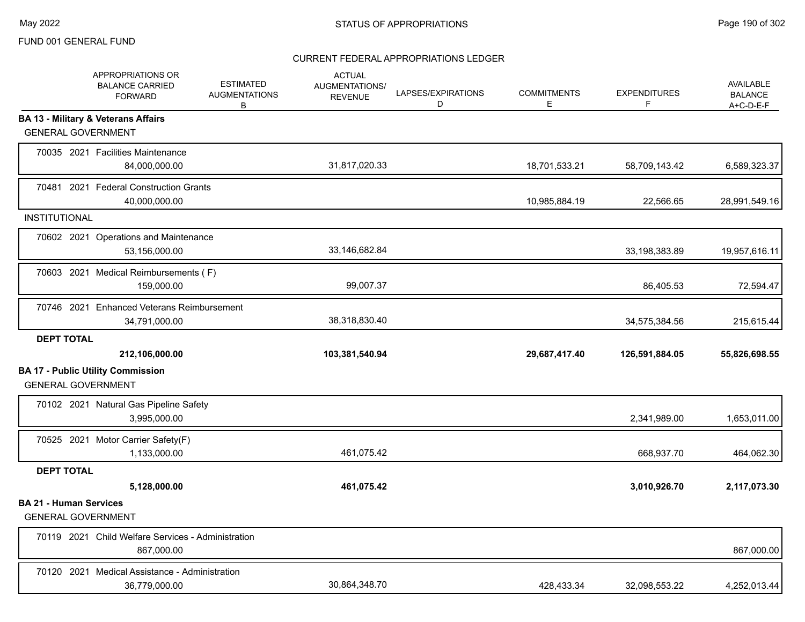|                                                            | APPROPRIATIONS OR<br><b>BALANCE CARRIED</b><br><b>FORWARD</b>    | <b>ESTIMATED</b><br><b>AUGMENTATIONS</b><br>В | <b>ACTUAL</b><br>AUGMENTATIONS/<br><b>REVENUE</b> | LAPSES/EXPIRATIONS<br>D | <b>COMMITMENTS</b><br>E. | <b>EXPENDITURES</b><br>F | AVAILABLE<br><b>BALANCE</b><br>A+C-D-E-F |
|------------------------------------------------------------|------------------------------------------------------------------|-----------------------------------------------|---------------------------------------------------|-------------------------|--------------------------|--------------------------|------------------------------------------|
| <b>GENERAL GOVERNMENT</b>                                  | <b>BA 13 - Military &amp; Veterans Affairs</b>                   |                                               |                                                   |                         |                          |                          |                                          |
|                                                            | 70035 2021 Facilities Maintenance<br>84,000,000.00               |                                               | 31,817,020.33                                     |                         | 18,701,533.21            | 58,709,143.42            | 6,589,323.37                             |
|                                                            | 70481 2021 Federal Construction Grants<br>40,000,000.00          |                                               |                                                   |                         | 10,985,884.19            | 22,566.65                | 28,991,549.16                            |
| <b>INSTITUTIONAL</b>                                       |                                                                  |                                               |                                                   |                         |                          |                          |                                          |
|                                                            | 70602 2021 Operations and Maintenance<br>53,156,000.00           |                                               | 33,146,682.84                                     |                         |                          | 33,198,383.89            | 19,957,616.11                            |
|                                                            | 70603 2021 Medical Reimbursements (F)<br>159,000.00              |                                               | 99,007.37                                         |                         |                          | 86,405.53                | 72,594.47                                |
|                                                            | 70746 2021 Enhanced Veterans Reimbursement<br>34,791,000.00      |                                               | 38,318,830.40                                     |                         |                          | 34,575,384.56            | 215,615.44                               |
| <b>DEPT TOTAL</b>                                          |                                                                  |                                               |                                                   |                         |                          |                          |                                          |
|                                                            | 212,106,000.00                                                   |                                               | 103,381,540.94                                    |                         | 29,687,417.40            | 126,591,884.05           | 55,826,698.55                            |
| <b>GENERAL GOVERNMENT</b>                                  | <b>BA 17 - Public Utility Commission</b>                         |                                               |                                                   |                         |                          |                          |                                          |
|                                                            | 70102 2021 Natural Gas Pipeline Safety<br>3,995,000.00           |                                               |                                                   |                         |                          | 2,341,989.00             | 1,653,011.00                             |
|                                                            | 70525 2021 Motor Carrier Safety(F)<br>1,133,000.00               |                                               | 461.075.42                                        |                         |                          | 668,937.70               | 464,062.30                               |
| <b>DEPT TOTAL</b>                                          |                                                                  |                                               |                                                   |                         |                          |                          |                                          |
|                                                            | 5,128,000.00                                                     |                                               | 461,075.42                                        |                         |                          | 3,010,926.70             | 2,117,073.30                             |
| <b>BA 21 - Human Services</b><br><b>GENERAL GOVERNMENT</b> |                                                                  |                                               |                                                   |                         |                          |                          |                                          |
|                                                            | 70119 2021 Child Welfare Services - Administration<br>867,000.00 |                                               |                                                   |                         |                          |                          | 867,000.00                               |
|                                                            | 70120 2021 Medical Assistance - Administration<br>36,779,000.00  |                                               | 30,864,348.70                                     |                         | 428,433.34               | 32,098,553.22            | 4,252,013.44                             |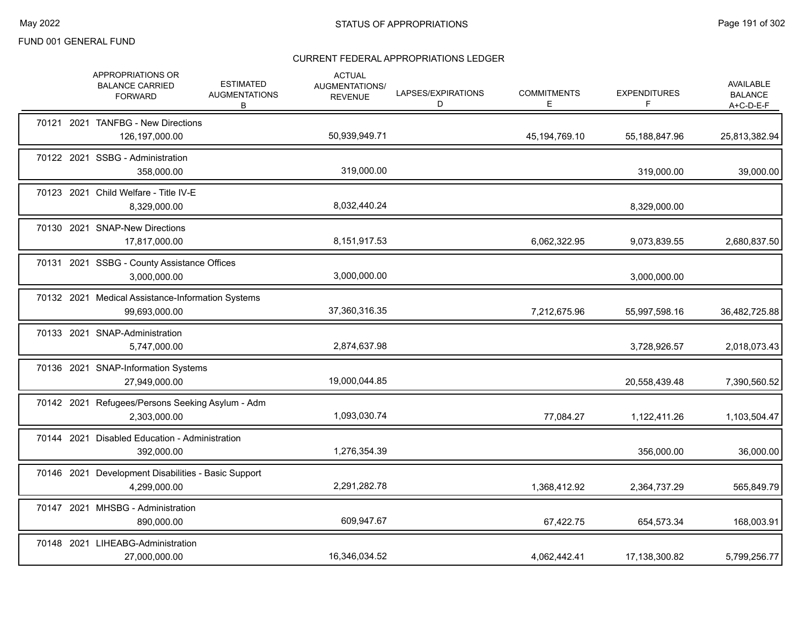|  | APPROPRIATIONS OR<br><b>BALANCE CARRIED</b><br><b>FORWARD</b>       | <b>ESTIMATED</b><br><b>AUGMENTATIONS</b><br>B | <b>ACTUAL</b><br>AUGMENTATIONS/<br><b>REVENUE</b> | LAPSES/EXPIRATIONS<br>D | <b>COMMITMENTS</b><br>E. | <b>EXPENDITURES</b><br>F | AVAILABLE<br><b>BALANCE</b><br>$A+C-D-E-F$ |
|--|---------------------------------------------------------------------|-----------------------------------------------|---------------------------------------------------|-------------------------|--------------------------|--------------------------|--------------------------------------------|
|  | 70121 2021 TANFBG - New Directions<br>126,197,000.00                |                                               | 50,939,949.71                                     |                         | 45,194,769.10            | 55,188,847.96            | 25,813,382.94                              |
|  | 70122 2021 SSBG - Administration<br>358,000.00                      |                                               | 319,000.00                                        |                         |                          | 319,000.00               | 39,000.00                                  |
|  | 70123 2021 Child Welfare - Title IV-E<br>8,329,000.00               |                                               | 8,032,440.24                                      |                         |                          | 8,329,000.00             |                                            |
|  | 70130 2021 SNAP-New Directions<br>17,817,000.00                     |                                               | 8,151,917.53                                      |                         | 6,062,322.95             | 9,073,839.55             | 2,680,837.50                               |
|  | 70131 2021 SSBG - County Assistance Offices<br>3,000,000.00         |                                               | 3,000,000.00                                      |                         |                          | 3,000,000.00             |                                            |
|  | 70132 2021 Medical Assistance-Information Systems<br>99,693,000.00  |                                               | 37,360,316.35                                     |                         | 7,212,675.96             | 55,997,598.16            | 36,482,725.88                              |
|  | 70133 2021 SNAP-Administration<br>5,747,000.00                      |                                               | 2,874,637.98                                      |                         |                          | 3,728,926.57             | 2,018,073.43                               |
|  | 70136 2021 SNAP-Information Systems<br>27,949,000.00                |                                               | 19,000,044.85                                     |                         |                          | 20,558,439.48            | 7,390,560.52                               |
|  | 70142 2021 Refugees/Persons Seeking Asylum - Adm<br>2,303,000.00    |                                               | 1,093,030.74                                      |                         | 77,084.27                | 1,122,411.26             | 1,103,504.47                               |
|  | 70144 2021 Disabled Education - Administration<br>392,000.00        |                                               | 1,276,354.39                                      |                         |                          | 356,000.00               | 36,000.00                                  |
|  | 70146 2021 Development Disabilities - Basic Support<br>4,299,000.00 |                                               | 2,291,282.78                                      |                         | 1,368,412.92             | 2,364,737.29             | 565,849.79                                 |
|  | 70147 2021 MHSBG - Administration<br>890,000.00                     |                                               | 609,947.67                                        |                         | 67,422.75                | 654.573.34               | 168,003.91                                 |
|  | 70148 2021 LIHEABG-Administration<br>27,000,000.00                  |                                               | 16,346,034.52                                     |                         | 4,062,442.41             | 17,138,300.82            | 5,799,256.77                               |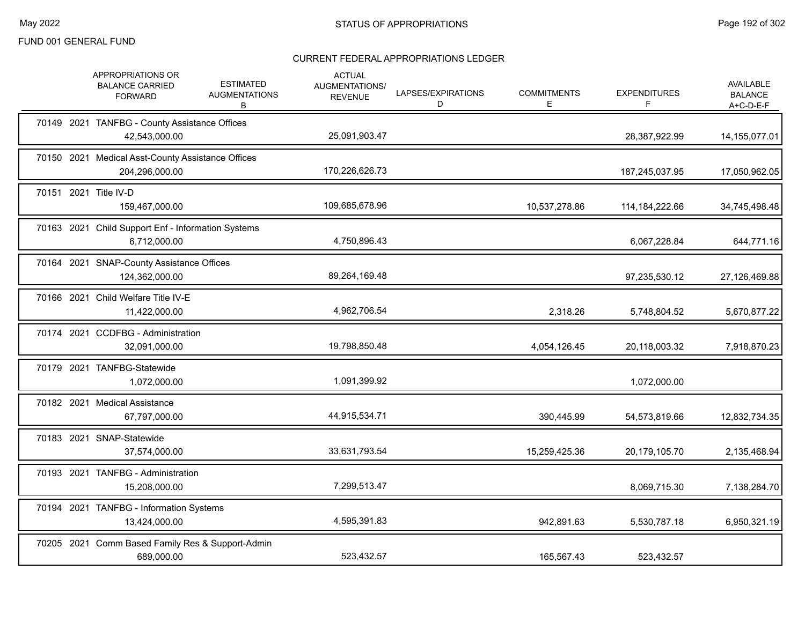|  | <b>APPROPRIATIONS OR</b><br><b>BALANCE CARRIED</b><br><b>FORWARD</b> | <b>ESTIMATED</b><br><b>AUGMENTATIONS</b><br>В | <b>ACTUAL</b><br>AUGMENTATIONS/<br><b>REVENUE</b> | LAPSES/EXPIRATIONS<br>D | <b>COMMITMENTS</b><br>Е. | <b>EXPENDITURES</b><br>F | AVAILABLE<br><b>BALANCE</b><br>$A+C-D-E-F$ |
|--|----------------------------------------------------------------------|-----------------------------------------------|---------------------------------------------------|-------------------------|--------------------------|--------------------------|--------------------------------------------|
|  | 70149 2021 TANFBG - County Assistance Offices<br>42,543,000.00       |                                               | 25,091,903.47                                     |                         |                          | 28,387,922.99            | 14, 155, 077.01                            |
|  | 70150 2021 Medical Asst-County Assistance Offices<br>204,296,000.00  |                                               | 170,226,626.73                                    |                         |                          | 187,245,037.95           | 17,050,962.05                              |
|  | 70151 2021 Title IV-D<br>159,467,000.00                              |                                               | 109,685,678.96                                    |                         | 10,537,278.86            | 114, 184, 222.66         | 34,745,498.48                              |
|  | 70163 2021 Child Support Enf - Information Systems<br>6.712.000.00   |                                               | 4,750,896.43                                      |                         |                          | 6,067,228.84             | 644,771.16                                 |
|  | 70164 2021 SNAP-County Assistance Offices<br>124,362,000.00          |                                               | 89,264,169.48                                     |                         |                          | 97,235,530.12            | 27,126,469.88                              |
|  | 70166 2021 Child Welfare Title IV-E<br>11,422,000.00                 |                                               | 4,962,706.54                                      |                         | 2,318.26                 | 5,748,804.52             | 5,670,877.22                               |
|  | 70174 2021 CCDFBG - Administration<br>32,091,000.00                  |                                               | 19,798,850.48                                     |                         | 4,054,126.45             | 20,118,003.32            | 7,918,870.23                               |
|  | 70179 2021 TANFBG-Statewide<br>1,072,000.00                          |                                               | 1,091,399.92                                      |                         |                          | 1,072,000.00             |                                            |
|  | 70182 2021 Medical Assistance<br>67,797,000.00                       |                                               | 44,915,534.71                                     |                         | 390,445.99               | 54,573,819.66            | 12,832,734.35                              |
|  | 70183 2021 SNAP-Statewide<br>37,574,000.00                           |                                               | 33,631,793.54                                     |                         | 15,259,425.36            | 20,179,105.70            | 2,135,468.94                               |
|  | 70193 2021 TANFBG - Administration<br>15,208,000.00                  |                                               | 7,299,513.47                                      |                         |                          | 8,069,715.30             | 7,138,284.70                               |
|  | 70194 2021 TANFBG - Information Systems<br>13,424,000.00             |                                               | 4,595,391.83                                      |                         | 942,891.63               | 5,530,787.18             | 6,950,321.19                               |
|  | 70205 2021 Comm Based Family Res & Support-Admin<br>689,000.00       |                                               | 523,432.57                                        |                         | 165,567.43               | 523,432.57               |                                            |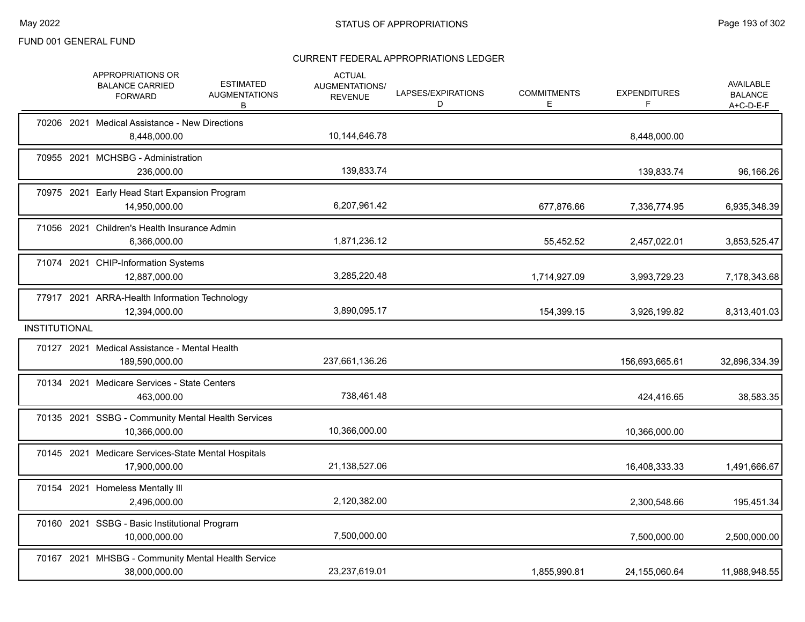|                      | APPROPRIATIONS OR<br><b>BALANCE CARRIED</b><br><b>FORWARD</b>        | <b>ESTIMATED</b><br><b>AUGMENTATIONS</b><br>В | <b>ACTUAL</b><br><b>AUGMENTATIONS/</b><br><b>REVENUE</b> | LAPSES/EXPIRATIONS<br>D | <b>COMMITMENTS</b><br>E. | <b>EXPENDITURES</b> | <b>AVAILABLE</b><br><b>BALANCE</b><br>A+C-D-E-F |
|----------------------|----------------------------------------------------------------------|-----------------------------------------------|----------------------------------------------------------|-------------------------|--------------------------|---------------------|-------------------------------------------------|
|                      | 70206 2021 Medical Assistance - New Directions<br>8,448,000.00       |                                               | 10,144,646.78                                            |                         |                          | 8,448,000.00        |                                                 |
|                      | 70955 2021 MCHSBG - Administration<br>236.000.00                     |                                               | 139,833.74                                               |                         |                          | 139,833.74          | 96,166.26                                       |
|                      | 70975 2021 Early Head Start Expansion Program<br>14,950,000.00       |                                               | 6,207,961.42                                             |                         | 677,876.66               | 7,336,774.95        | 6,935,348.39                                    |
|                      | 71056 2021 Children's Health Insurance Admin<br>6,366,000.00         |                                               | 1,871,236.12                                             |                         | 55,452.52                | 2,457,022.01        | 3,853,525.47                                    |
|                      | 71074 2021 CHIP-Information Systems<br>12,887,000.00                 |                                               | 3,285,220.48                                             |                         | 1,714,927.09             | 3,993,729.23        | 7,178,343.68                                    |
|                      | 77917 2021 ARRA-Health Information Technology<br>12,394,000.00       |                                               | 3,890,095.17                                             |                         | 154,399.15               | 3,926,199.82        | 8,313,401.03                                    |
| <b>INSTITUTIONAL</b> |                                                                      |                                               |                                                          |                         |                          |                     |                                                 |
|                      | 70127 2021 Medical Assistance - Mental Health<br>189,590,000.00      |                                               | 237,661,136.26                                           |                         |                          | 156,693,665.61      | 32,896,334.39                                   |
|                      | 70134 2021 Medicare Services - State Centers<br>463,000.00           |                                               | 738,461.48                                               |                         |                          | 424,416.65          | 38,583.35                                       |
|                      | 70135 2021 SSBG - Community Mental Health Services<br>10,366,000.00  |                                               | 10,366,000.00                                            |                         |                          | 10,366,000.00       |                                                 |
|                      | 70145 2021 Medicare Services-State Mental Hospitals<br>17,900,000.00 |                                               | 21,138,527.06                                            |                         |                          | 16,408,333.33       | 1,491,666.67                                    |
|                      | 70154 2021 Homeless Mentally III<br>2,496,000.00                     |                                               | 2,120,382.00                                             |                         |                          | 2,300,548.66        | 195,451.34                                      |
|                      | 70160 2021 SSBG - Basic Institutional Program<br>10,000,000.00       |                                               | 7,500,000.00                                             |                         |                          | 7,500,000.00        | 2,500,000.00                                    |
|                      | 70167 2021 MHSBG - Community Mental Health Service<br>38,000,000.00  |                                               | 23,237,619.01                                            |                         | 1,855,990.81             | 24,155,060.64       | 11,988,948.55                                   |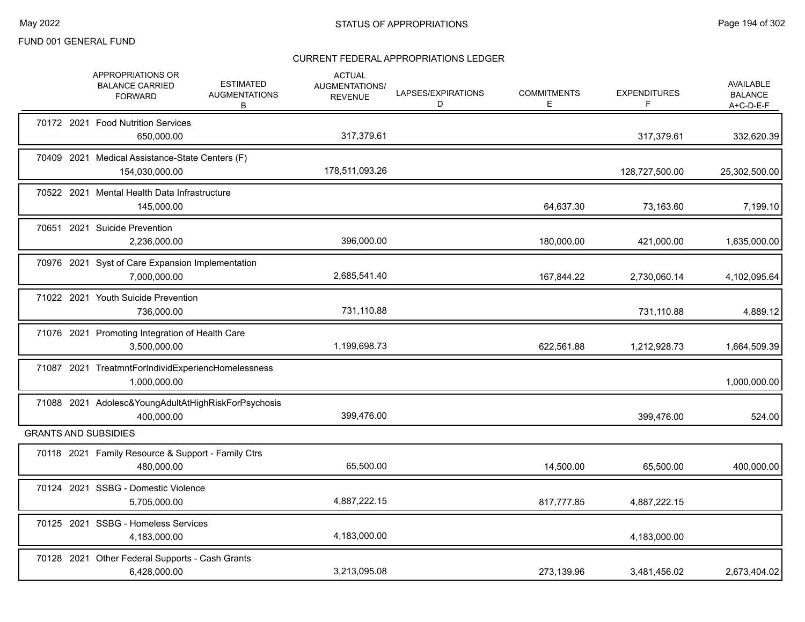|  | APPROPRIATIONS OR<br><b>BALANCE CARRIED</b><br><b>FORWARD</b>      | <b>ESTIMATED</b><br><b>AUGMENTATIONS</b><br>B | <b>ACTUAL</b><br>AUGMENTATIONS/<br><b>REVENUE</b> | LAPSES/EXPIRATIONS<br>D | <b>COMMITMENTS</b><br>Е | <b>EXPENDITURES</b><br>F. | <b>AVAILABLE</b><br><b>BALANCE</b><br>$A+C-D-E-F$ |
|--|--------------------------------------------------------------------|-----------------------------------------------|---------------------------------------------------|-------------------------|-------------------------|---------------------------|---------------------------------------------------|
|  | 70172 2021 Food Nutrition Services<br>650,000.00                   |                                               | 317,379.61                                        |                         |                         | 317,379.61                | 332,620.39                                        |
|  | 70409 2021 Medical Assistance-State Centers (F)<br>154,030,000.00  |                                               | 178,511,093.26                                    |                         |                         | 128,727,500.00            | 25,302,500.00                                     |
|  | 70522 2021 Mental Health Data Infrastructure<br>145,000.00         |                                               |                                                   |                         | 64,637.30               | 73,163.60                 | 7,199.10                                          |
|  | 70651 2021 Suicide Prevention<br>2,236,000.00                      |                                               | 396.000.00                                        |                         | 180,000.00              | 421,000.00                | 1,635,000.00                                      |
|  | 70976 2021 Syst of Care Expansion Implementation<br>7,000,000.00   |                                               | 2,685,541.40                                      |                         | 167,844.22              | 2,730,060.14              | 4,102,095.64                                      |
|  | 71022 2021 Youth Suicide Prevention<br>736,000.00                  |                                               | 731,110.88                                        |                         |                         | 731,110.88                | 4,889.12                                          |
|  | 71076 2021 Promoting Integration of Health Care<br>3,500,000.00    |                                               | 1,199,698.73                                      |                         | 622,561.88              | 1,212,928.73              | 1,664,509.39                                      |
|  | 71087 2021 TreatmntForIndividExperiencHomelessness<br>1,000,000.00 |                                               |                                                   |                         |                         |                           | 1,000,000.00                                      |
|  | 71088 2021 Adolesc&YoungAdultAtHighRiskForPsychosis<br>400,000.00  |                                               | 399,476.00                                        |                         |                         | 399,476.00                | 524.00                                            |
|  | <b>GRANTS AND SUBSIDIES</b>                                        |                                               |                                                   |                         |                         |                           |                                                   |
|  | 70118 2021 Family Resource & Support - Family Ctrs<br>480,000.00   |                                               | 65,500.00                                         |                         | 14,500.00               | 65,500.00                 | 400,000.00                                        |
|  | 70124 2021 SSBG - Domestic Violence<br>5,705,000.00                |                                               | 4,887,222.15                                      |                         | 817,777.85              | 4,887,222.15              |                                                   |
|  | 70125 2021 SSBG - Homeless Services<br>4,183,000.00                |                                               | 4,183,000.00                                      |                         |                         | 4,183,000.00              |                                                   |
|  | 70128 2021 Other Federal Supports - Cash Grants<br>6,428,000.00    |                                               | 3,213,095.08                                      |                         | 273,139.96              | 3,481,456.02              | 2,673,404.02                                      |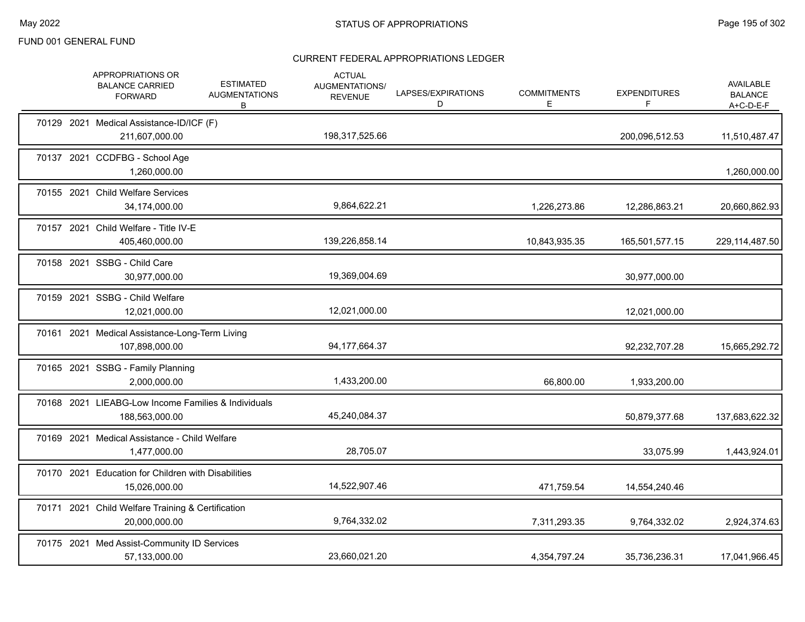|  | <b>APPROPRIATIONS OR</b><br><b>BALANCE CARRIED</b><br><b>FORWARD</b>  | <b>ESTIMATED</b><br><b>AUGMENTATIONS</b><br>B | <b>ACTUAL</b><br><b>AUGMENTATIONS/</b><br><b>REVENUE</b> | LAPSES/EXPIRATIONS<br>D | <b>COMMITMENTS</b><br>Е. | <b>EXPENDITURES</b><br>F | <b>AVAILABLE</b><br><b>BALANCE</b><br>A+C-D-E-F |
|--|-----------------------------------------------------------------------|-----------------------------------------------|----------------------------------------------------------|-------------------------|--------------------------|--------------------------|-------------------------------------------------|
|  | 70129 2021 Medical Assistance-ID/ICF (F)<br>211,607,000.00            |                                               | 198,317,525.66                                           |                         |                          | 200,096,512.53           | 11,510,487.47                                   |
|  | 70137 2021 CCDFBG - School Age<br>1,260,000.00                        |                                               |                                                          |                         |                          |                          | 1,260,000.00                                    |
|  | 70155 2021 Child Welfare Services<br>34,174,000.00                    |                                               | 9,864,622.21                                             |                         | 1,226,273.86             | 12,286,863.21            | 20,660,862.93                                   |
|  | 70157 2021 Child Welfare - Title IV-E<br>405,460,000.00               |                                               | 139,226,858.14                                           |                         | 10,843,935.35            | 165,501,577.15           | 229, 114, 487.50                                |
|  | 70158 2021 SSBG - Child Care<br>30,977,000.00                         |                                               | 19,369,004.69                                            |                         |                          | 30,977,000.00            |                                                 |
|  | 70159 2021 SSBG - Child Welfare<br>12,021,000.00                      |                                               | 12,021,000.00                                            |                         |                          | 12,021,000.00            |                                                 |
|  | 70161 2021 Medical Assistance-Long-Term Living<br>107,898,000.00      |                                               | 94,177,664.37                                            |                         |                          | 92,232,707.28            | 15,665,292.72                                   |
|  | 70165 2021 SSBG - Family Planning<br>2,000,000.00                     |                                               | 1,433,200.00                                             |                         | 66,800.00                | 1,933,200.00             |                                                 |
|  | 70168 2021 LIEABG-Low Income Families & Individuals<br>188,563,000.00 |                                               | 45,240,084.37                                            |                         |                          | 50,879,377.68            | 137,683,622.32                                  |
|  | 70169 2021 Medical Assistance - Child Welfare<br>1,477,000.00         |                                               | 28,705.07                                                |                         |                          | 33,075.99                | 1,443,924.01                                    |
|  | 70170 2021 Education for Children with Disabilities<br>15,026,000.00  |                                               | 14,522,907.46                                            |                         | 471,759.54               | 14,554,240.46            |                                                 |
|  | 70171 2021 Child Welfare Training & Certification<br>20,000,000.00    |                                               | 9,764,332.02                                             |                         | 7,311,293.35             | 9,764,332.02             | 2,924,374.63                                    |
|  | 70175 2021 Med Assist-Community ID Services<br>57,133,000.00          |                                               | 23,660,021.20                                            |                         | 4,354,797.24             | 35,736,236.31            | 17,041,966.45                                   |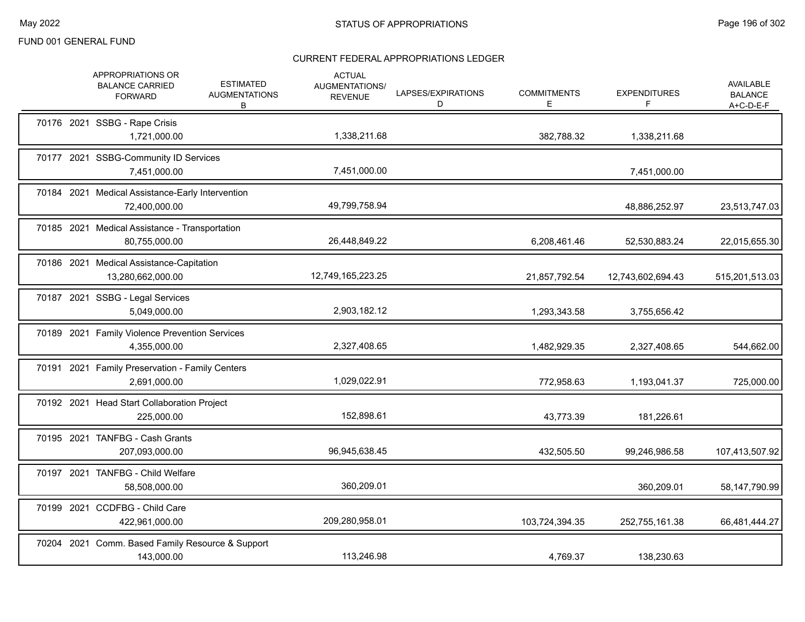| APPROPRIATIONS OR<br><b>BALANCE CARRIED</b><br><b>FORWARD</b>     | <b>ESTIMATED</b><br><b>AUGMENTATIONS</b><br>B | <b>ACTUAL</b><br>AUGMENTATIONS/<br><b>REVENUE</b> | LAPSES/EXPIRATIONS<br>D | <b>COMMITMENTS</b><br>E. | <b>EXPENDITURES</b><br>F | AVAILABLE<br><b>BALANCE</b><br>$A+C-D-E-F$ |
|-------------------------------------------------------------------|-----------------------------------------------|---------------------------------------------------|-------------------------|--------------------------|--------------------------|--------------------------------------------|
| 70176 2021 SSBG - Rape Crisis<br>1,721,000.00                     |                                               | 1,338,211.68                                      |                         | 382,788.32               | 1,338,211.68             |                                            |
| 70177 2021 SSBG-Community ID Services<br>7,451,000.00             |                                               | 7,451,000.00                                      |                         |                          | 7,451,000.00             |                                            |
| 70184 2021 Medical Assistance-Early Intervention<br>72,400,000.00 |                                               | 49,799,758.94                                     |                         |                          | 48,886,252.97            | 23,513,747.03                              |
| 70185 2021 Medical Assistance - Transportation<br>80,755,000.00   |                                               | 26,448,849.22                                     |                         | 6,208,461.46             | 52,530,883.24            | 22,015,655.30                              |
| 70186 2021 Medical Assistance-Capitation<br>13,280,662,000.00     |                                               | 12,749,165,223.25                                 |                         | 21,857,792.54            | 12,743,602,694.43        | 515,201,513.03                             |
| 70187 2021 SSBG - Legal Services<br>5,049,000.00                  |                                               | 2,903,182.12                                      |                         | 1,293,343.58             | 3,755,656.42             |                                            |
| 70189 2021 Family Violence Prevention Services<br>4,355,000.00    |                                               | 2,327,408.65                                      |                         | 1,482,929.35             | 2,327,408.65             | 544,662.00                                 |
| 70191 2021 Family Preservation - Family Centers<br>2,691,000.00   |                                               | 1,029,022.91                                      |                         | 772,958.63               | 1,193,041.37             | 725,000.00                                 |
| 70192 2021 Head Start Collaboration Project<br>225,000.00         |                                               | 152,898.61                                        |                         | 43,773.39                | 181,226.61               |                                            |
| 70195 2021 TANFBG - Cash Grants<br>207,093,000.00                 |                                               | 96,945,638.45                                     |                         | 432,505.50               | 99,246,986.58            | 107,413,507.92                             |
| 70197 2021 TANFBG - Child Welfare<br>58,508,000.00                |                                               | 360,209.01                                        |                         |                          | 360,209.01               | 58,147,790.99                              |
| 70199 2021 CCDFBG - Child Care<br>422,961,000.00                  |                                               | 209,280,958.01                                    |                         | 103,724,394.35           | 252,755,161.38           | 66,481,444.27                              |
| 70204 2021 Comm. Based Family Resource & Support<br>143,000.00    |                                               | 113,246.98                                        |                         | 4,769.37                 | 138,230.63               |                                            |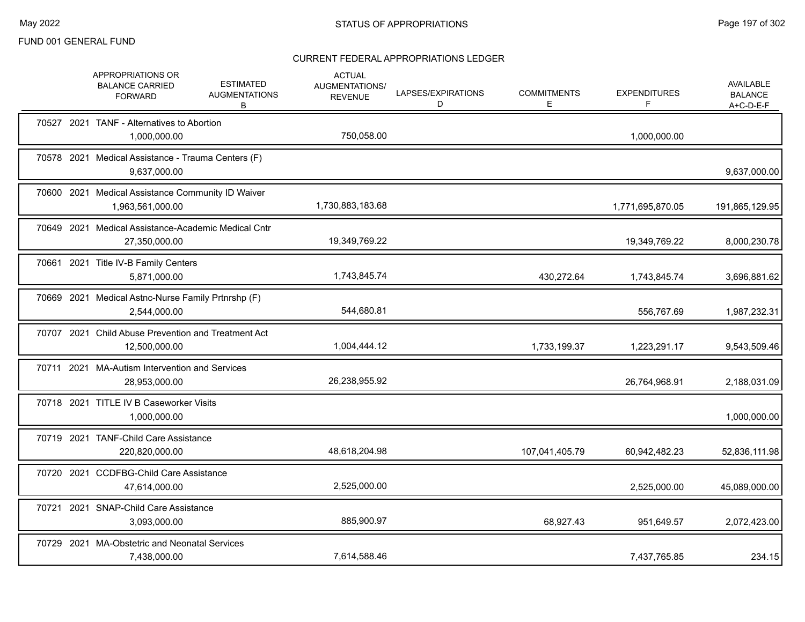|  | APPROPRIATIONS OR<br><b>BALANCE CARRIED</b><br><b>FORWARD</b>         | <b>ESTIMATED</b><br><b>AUGMENTATIONS</b><br>В | <b>ACTUAL</b><br>AUGMENTATIONS/<br><b>REVENUE</b> | LAPSES/EXPIRATIONS<br>D | <b>COMMITMENTS</b><br>Е | <b>EXPENDITURES</b><br>F | <b>AVAILABLE</b><br><b>BALANCE</b><br>$A+C-D-E-F$ |
|--|-----------------------------------------------------------------------|-----------------------------------------------|---------------------------------------------------|-------------------------|-------------------------|--------------------------|---------------------------------------------------|
|  | 70527 2021 TANF - Alternatives to Abortion<br>1,000,000.00            |                                               | 750,058.00                                        |                         |                         | 1,000,000.00             |                                                   |
|  | 70578 2021 Medical Assistance - Trauma Centers (F)<br>9,637,000.00    |                                               |                                                   |                         |                         |                          | 9,637,000.00                                      |
|  | 70600 2021 Medical Assistance Community ID Waiver<br>1,963,561,000.00 |                                               | 1,730,883,183.68                                  |                         |                         | 1,771,695,870.05         | 191,865,129.95                                    |
|  | 70649 2021 Medical Assistance-Academic Medical Cntr<br>27,350,000.00  |                                               | 19,349,769.22                                     |                         |                         | 19,349,769.22            | 8,000,230.78                                      |
|  | 70661 2021 Title IV-B Family Centers<br>5,871,000.00                  |                                               | 1,743,845.74                                      |                         | 430,272.64              | 1,743,845.74             | 3,696,881.62                                      |
|  | 70669 2021 Medical Astnc-Nurse Family Prtnrshp (F)<br>2,544,000.00    |                                               | 544,680.81                                        |                         |                         | 556,767.69               | 1,987,232.31                                      |
|  | 70707 2021 Child Abuse Prevention and Treatment Act<br>12,500,000.00  |                                               | 1,004,444.12                                      |                         | 1,733,199.37            | 1,223,291.17             | 9,543,509.46                                      |
|  | 70711 2021 MA-Autism Intervention and Services<br>28,953,000.00       |                                               | 26,238,955.92                                     |                         |                         | 26,764,968.91            | 2,188,031.09                                      |
|  | 70718 2021 TITLE IV B Caseworker Visits<br>1,000,000.00               |                                               |                                                   |                         |                         |                          | 1,000,000.00                                      |
|  | 70719 2021 TANF-Child Care Assistance<br>220,820,000.00               |                                               | 48,618,204.98                                     |                         | 107,041,405.79          | 60,942,482.23            | 52,836,111.98                                     |
|  | 70720 2021 CCDFBG-Child Care Assistance<br>47,614,000.00              |                                               | 2,525,000.00                                      |                         |                         | 2,525,000.00             | 45,089,000.00                                     |
|  | 70721 2021 SNAP-Child Care Assistance<br>3,093,000.00                 |                                               | 885,900.97                                        |                         | 68,927.43               | 951,649.57               | 2,072,423.00                                      |
|  | 70729 2021 MA-Obstetric and Neonatal Services<br>7,438,000.00         |                                               | 7,614,588.46                                      |                         |                         | 7,437,765.85             | 234.15                                            |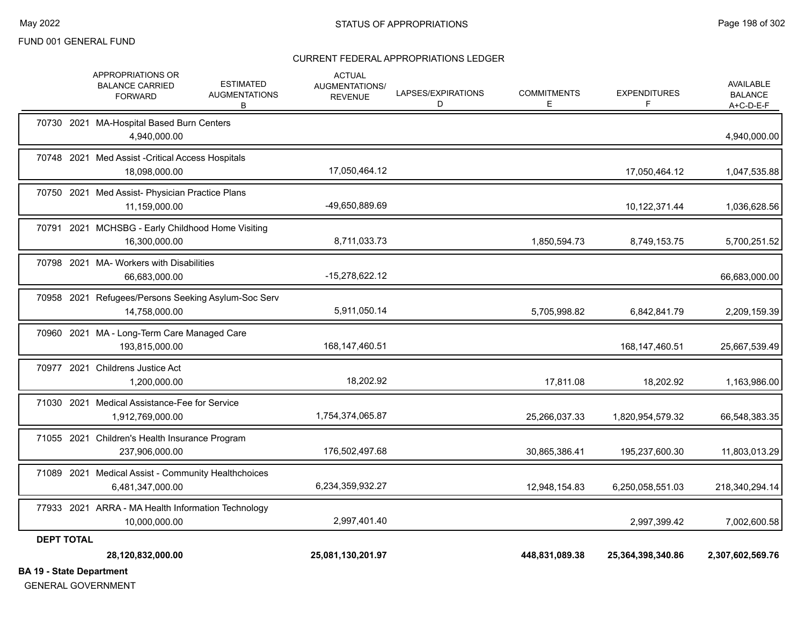#### CURRENT FEDERAL APPROPRIATIONS LEDGER

| 40 Otata Damantonaut | 28,120,832,000.00                                                                                              | 25,081,130,201.97                                 |                         | 448,831,089.38          | 25,364,398,340.86        | 2,307,602,569.76                         |
|----------------------|----------------------------------------------------------------------------------------------------------------|---------------------------------------------------|-------------------------|-------------------------|--------------------------|------------------------------------------|
| <b>DEPT TOTAL</b>    |                                                                                                                |                                                   |                         |                         |                          |                                          |
|                      | 77933 2021 ARRA - MA Health Information Technology<br>10,000,000.00                                            | 2,997,401.40                                      |                         |                         | 2,997,399.42             | 7,002,600.58                             |
|                      | 71089 2021 Medical Assist - Community Healthchoices<br>6,481,347,000.00                                        | 6,234,359,932.27                                  |                         | 12,948,154.83           | 6,250,058,551.03         | 218,340,294.14                           |
|                      | 71055 2021 Children's Health Insurance Program<br>237.906.000.00                                               | 176,502,497.68                                    |                         | 30,865,386.41           | 195,237,600.30           | 11,803,013.29                            |
|                      | 71030 2021 Medical Assistance-Fee for Service<br>1,912,769,000.00                                              | 1,754,374,065.87                                  |                         | 25,266,037.33           | 1,820,954,579.32         | 66,548,383.35                            |
| 70977                | 2021 Childrens Justice Act<br>1,200,000.00                                                                     | 18,202.92                                         |                         | 17,811.08               | 18,202.92                | 1,163,986.00                             |
|                      | 70960 2021 MA - Long-Term Care Managed Care<br>193,815,000.00                                                  | 168, 147, 460. 51                                 |                         |                         | 168, 147, 460. 51        | 25,667,539.49                            |
|                      | 70958 2021 Refugees/Persons Seeking Asylum-Soc Serv<br>14,758,000.00                                           | 5,911,050.14                                      |                         | 5,705,998.82            | 6,842,841.79             | 2,209,159.39                             |
|                      | 70798 2021 MA- Workers with Disabilities<br>66,683,000.00                                                      | -15,278,622.12                                    |                         |                         |                          | 66,683,000.00                            |
|                      | 70791 2021 MCHSBG - Early Childhood Home Visiting<br>16,300,000.00                                             | 8,711,033.73                                      |                         | 1,850,594.73            | 8,749,153.75             | 5,700,251.52                             |
|                      | 70750 2021 Med Assist- Physician Practice Plans<br>11,159,000.00                                               | -49,650,889.69                                    |                         |                         | 10,122,371.44            | 1,036,628.56                             |
|                      | 70748 2021 Med Assist - Critical Access Hospitals<br>18,098,000.00                                             | 17,050,464.12                                     |                         |                         | 17,050,464.12            | 1,047,535.88                             |
|                      | 70730 2021 MA-Hospital Based Burn Centers<br>4,940,000.00                                                      |                                                   |                         |                         |                          | 4,940,000.00                             |
|                      | APPROPRIATIONS OR<br><b>ESTIMATED</b><br><b>BALANCE CARRIED</b><br><b>AUGMENTATIONS</b><br><b>FORWARD</b><br>В | <b>ACTUAL</b><br>AUGMENTATIONS/<br><b>REVENUE</b> | LAPSES/EXPIRATIONS<br>D | <b>COMMITMENTS</b><br>Е | <b>EXPENDITURES</b><br>F | AVAILABLE<br><b>BALANCE</b><br>A+C-D-E-F |

**BA 19 - State Department**

GENERAL GOVERNMENT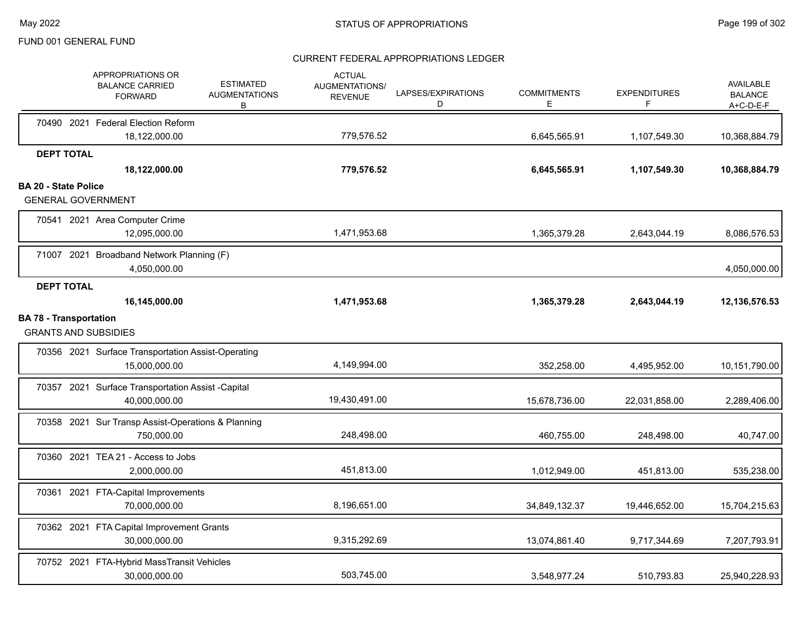|                             | APPROPRIATIONS OR<br><b>BALANCE CARRIED</b><br><b>FORWARD</b>       | <b>ESTIMATED</b><br><b>AUGMENTATIONS</b><br>В | <b>ACTUAL</b><br>AUGMENTATIONS/<br><b>REVENUE</b> | LAPSES/EXPIRATIONS<br>D | <b>COMMITMENTS</b><br>Е | <b>EXPENDITURES</b><br>F | <b>AVAILABLE</b><br><b>BALANCE</b><br>$A+C-D-E-F$ |
|-----------------------------|---------------------------------------------------------------------|-----------------------------------------------|---------------------------------------------------|-------------------------|-------------------------|--------------------------|---------------------------------------------------|
|                             | 70490 2021 Federal Election Reform                                  |                                               |                                                   |                         |                         |                          |                                                   |
|                             | 18,122,000.00                                                       |                                               | 779,576.52                                        |                         | 6,645,565.91            | 1,107,549.30             | 10,368,884.79                                     |
|                             | <b>DEPT TOTAL</b><br>18,122,000.00                                  |                                               | 779,576.52                                        |                         | 6,645,565.91            | 1,107,549.30             | 10,368,884.79                                     |
| <b>BA 20 - State Police</b> |                                                                     |                                               |                                                   |                         |                         |                          |                                                   |
|                             | <b>GENERAL GOVERNMENT</b>                                           |                                               |                                                   |                         |                         |                          |                                                   |
|                             | 70541 2021 Area Computer Crime<br>12,095,000.00                     |                                               | 1,471,953.68                                      |                         | 1,365,379.28            | 2,643,044.19             | 8,086,576.53                                      |
|                             | 71007 2021 Broadband Network Planning (F)<br>4,050,000.00           |                                               |                                                   |                         |                         |                          | 4,050,000.00                                      |
|                             | <b>DEPT TOTAL</b>                                                   |                                               |                                                   |                         |                         |                          |                                                   |
|                             | 16,145,000.00                                                       |                                               | 1,471,953.68                                      |                         | 1,365,379.28            | 2,643,044.19             | 12,136,576.53                                     |
|                             | <b>BA 78 - Transportation</b><br><b>GRANTS AND SUBSIDIES</b>        |                                               |                                                   |                         |                         |                          |                                                   |
|                             | 70356 2021 Surface Transportation Assist-Operating<br>15,000,000.00 |                                               | 4,149,994.00                                      |                         | 352,258.00              | 4,495,952.00             | 10,151,790.00                                     |
|                             | 70357 2021 Surface Transportation Assist -Capital<br>40,000,000.00  |                                               | 19,430,491.00                                     |                         | 15,678,736.00           | 22,031,858.00            | 2,289,406.00                                      |
|                             | 70358 2021 Sur Transp Assist-Operations & Planning<br>750,000.00    |                                               | 248,498.00                                        |                         | 460,755.00              | 248,498.00               | 40,747.00                                         |
|                             | 70360 2021 TEA 21 - Access to Jobs<br>2,000,000.00                  |                                               | 451,813.00                                        |                         | 1,012,949.00            | 451,813.00               | 535,238.00                                        |
|                             | 70361 2021 FTA-Capital Improvements<br>70,000,000.00                |                                               | 8,196,651.00                                      |                         | 34,849,132.37           | 19,446,652.00            | 15,704,215.63                                     |
|                             | 70362 2021 FTA Capital Improvement Grants<br>30,000,000.00          |                                               | 9,315,292.69                                      |                         | 13,074,861.40           | 9,717,344.69             | 7,207,793.91                                      |
|                             | 70752 2021 FTA-Hybrid MassTransit Vehicles<br>30,000,000.00         |                                               | 503.745.00                                        |                         | 3,548,977.24            | 510,793.83               | 25,940,228.93                                     |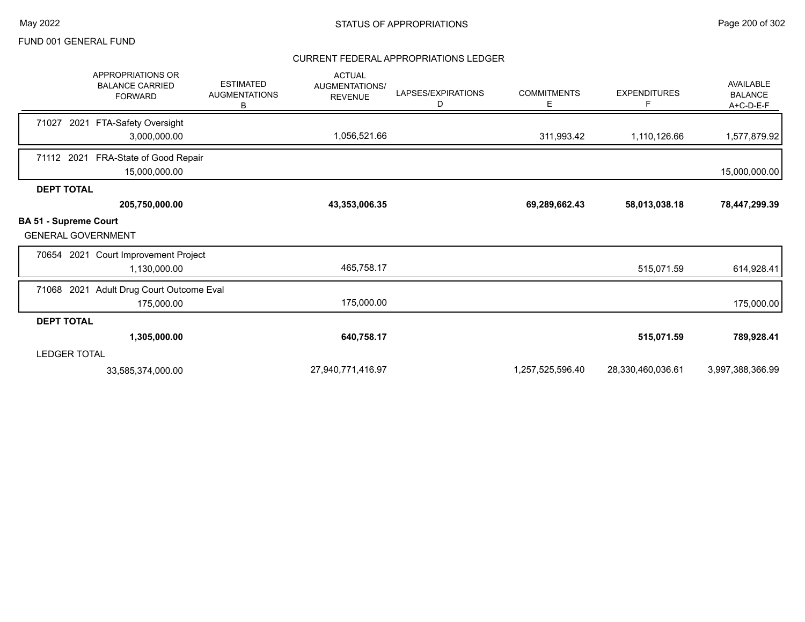|                                                           | <b>APPROPRIATIONS OR</b><br><b>BALANCE CARRIED</b><br><b>FORWARD</b> | <b>ESTIMATED</b><br><b>AUGMENTATIONS</b><br>В | <b>ACTUAL</b><br>AUGMENTATIONS/<br><b>REVENUE</b> | LAPSES/EXPIRATIONS<br>D | <b>COMMITMENTS</b><br>Е | <b>EXPENDITURES</b><br>F | AVAILABLE<br><b>BALANCE</b><br>A+C-D-E-F |
|-----------------------------------------------------------|----------------------------------------------------------------------|-----------------------------------------------|---------------------------------------------------|-------------------------|-------------------------|--------------------------|------------------------------------------|
| 71027                                                     | 2021 FTA-Safety Oversight                                            |                                               |                                                   |                         |                         |                          |                                          |
|                                                           | 3,000,000.00                                                         |                                               | 1,056,521.66                                      |                         | 311,993.42              | 1,110,126.66             | 1,577,879.92                             |
| 71112 2021                                                | FRA-State of Good Repair<br>15,000,000.00                            |                                               |                                                   |                         |                         |                          | 15,000,000.00                            |
| <b>DEPT TOTAL</b>                                         |                                                                      |                                               |                                                   |                         |                         |                          |                                          |
|                                                           | 205,750,000.00                                                       |                                               | 43,353,006.35                                     |                         | 69,289,662.43           | 58,013,038.18            | 78,447,299.39                            |
| <b>BA 51 - Supreme Court</b><br><b>GENERAL GOVERNMENT</b> |                                                                      |                                               |                                                   |                         |                         |                          |                                          |
|                                                           | 70654 2021 Court Improvement Project                                 |                                               |                                                   |                         |                         |                          |                                          |
|                                                           | 1,130,000.00                                                         |                                               | 465,758.17                                        |                         |                         | 515,071.59               | 614,928.41                               |
| 71068 2021                                                | Adult Drug Court Outcome Eval                                        |                                               |                                                   |                         |                         |                          |                                          |
|                                                           | 175,000.00                                                           |                                               | 175,000.00                                        |                         |                         |                          | 175,000.00                               |
| <b>DEPT TOTAL</b>                                         |                                                                      |                                               |                                                   |                         |                         |                          |                                          |
|                                                           | 1,305,000.00                                                         |                                               | 640,758.17                                        |                         |                         | 515,071.59               | 789,928.41                               |
| LEDGER TOTAL                                              |                                                                      |                                               |                                                   |                         |                         |                          |                                          |
|                                                           | 33,585,374,000.00                                                    |                                               | 27,940,771,416.97                                 |                         | 1,257,525,596.40        | 28,330,460,036.61        | 3,997,388,366.99                         |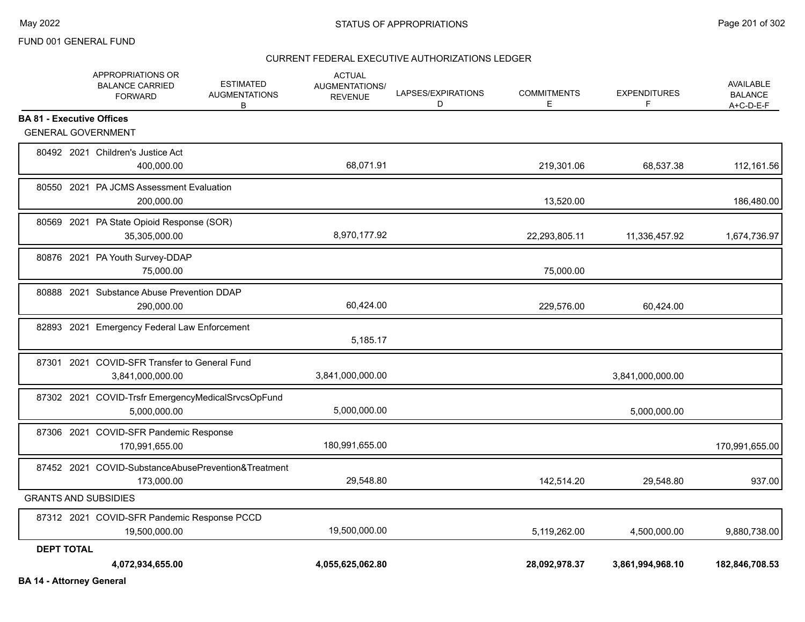|                                  | APPROPRIATIONS OR<br><b>BALANCE CARRIED</b><br><b>FORWARD</b>      | <b>ACTUAL</b><br>ESTIMATED<br><b>AUGMENTATIONS/</b><br><b>AUGMENTATIONS</b><br><b>REVENUE</b><br>В | LAPSES/EXPIRATIONS<br>D | <b>COMMITMENTS</b><br>Е | <b>EXPENDITURES</b><br>F | AVAILABLE<br><b>BALANCE</b><br>$A+C-D-E-F$ |
|----------------------------------|--------------------------------------------------------------------|----------------------------------------------------------------------------------------------------|-------------------------|-------------------------|--------------------------|--------------------------------------------|
| <b>BA 81 - Executive Offices</b> |                                                                    |                                                                                                    |                         |                         |                          |                                            |
|                                  | <b>GENERAL GOVERNMENT</b>                                          |                                                                                                    |                         |                         |                          |                                            |
|                                  | 80492 2021 Children's Justice Act<br>400,000.00                    | 68,071.91                                                                                          |                         | 219,301.06              | 68,537.38                | 112,161.56                                 |
|                                  | 80550 2021 PA JCMS Assessment Evaluation<br>200,000.00             |                                                                                                    |                         | 13,520.00               |                          | 186,480.00                                 |
|                                  | 80569 2021 PA State Opioid Response (SOR)<br>35,305,000.00         | 8,970,177.92                                                                                       |                         | 22,293,805.11           | 11,336,457.92            | 1,674,736.97                               |
|                                  | 80876 2021 PA Youth Survey-DDAP<br>75,000.00                       |                                                                                                    |                         | 75,000.00               |                          |                                            |
|                                  | 80888 2021 Substance Abuse Prevention DDAP<br>290,000.00           | 60,424.00                                                                                          |                         | 229,576.00              | 60,424.00                |                                            |
|                                  | 82893 2021 Emergency Federal Law Enforcement                       | 5,185.17                                                                                           |                         |                         |                          |                                            |
|                                  | 87301 2021 COVID-SFR Transfer to General Fund<br>3,841,000,000.00  | 3,841,000,000.00                                                                                   |                         |                         | 3,841,000,000.00         |                                            |
|                                  | 87302 2021 COVID-Trsfr EmergencyMedicalSrvcsOpFund<br>5,000,000.00 | 5,000,000.00                                                                                       |                         |                         | 5,000,000.00             |                                            |
|                                  | 87306 2021 COVID-SFR Pandemic Response<br>170,991,655.00           | 180,991,655.00                                                                                     |                         |                         |                          | 170,991,655.00                             |
|                                  | 87452 2021 COVID-SubstanceAbusePrevention&Treatment<br>173,000.00  | 29,548.80                                                                                          |                         | 142,514.20              | 29,548.80                | 937.00                                     |
|                                  | <b>GRANTS AND SUBSIDIES</b>                                        |                                                                                                    |                         |                         |                          |                                            |
|                                  | 87312 2021 COVID-SFR Pandemic Response PCCD<br>19,500,000.00       | 19,500,000.00                                                                                      |                         | 5,119,262.00            | 4,500,000.00             | 9,880,738.00                               |
| <b>DEPT TOTAL</b>                | 4,072,934,655.00                                                   | 4,055,625,062.80                                                                                   |                         | 28,092,978.37           | 3,861,994,968.10         | 182,846,708.53                             |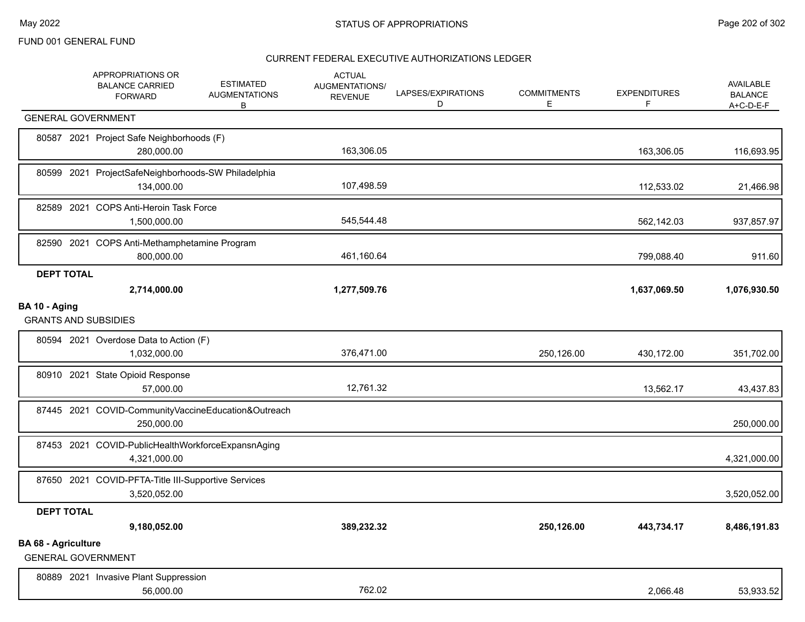|                            | APPROPRIATIONS OR<br><b>BALANCE CARRIED</b><br><b>FORWARD</b>       | <b>ESTIMATED</b><br><b>AUGMENTATIONS</b><br>B | <b>ACTUAL</b><br><b>AUGMENTATIONS/</b><br><b>REVENUE</b> | LAPSES/EXPIRATIONS<br>D | <b>COMMITMENTS</b><br>E | <b>EXPENDITURES</b><br>F | AVAILABLE<br><b>BALANCE</b><br>$A+C-D-E-F$ |
|----------------------------|---------------------------------------------------------------------|-----------------------------------------------|----------------------------------------------------------|-------------------------|-------------------------|--------------------------|--------------------------------------------|
|                            | <b>GENERAL GOVERNMENT</b>                                           |                                               |                                                          |                         |                         |                          |                                            |
|                            | 80587 2021 Project Safe Neighborhoods (F)<br>280,000.00             |                                               | 163,306.05                                               |                         |                         | 163,306.05               | 116,693.95                                 |
|                            | 80599 2021 ProjectSafeNeighborhoods-SW Philadelphia<br>134,000.00   |                                               | 107,498.59                                               |                         |                         | 112,533.02               | 21,466.98                                  |
|                            | 82589 2021 COPS Anti-Heroin Task Force<br>1,500,000.00              |                                               | 545,544.48                                               |                         |                         | 562,142.03               | 937,857.97                                 |
|                            | 82590 2021 COPS Anti-Methamphetamine Program<br>800,000.00          |                                               | 461,160.64                                               |                         |                         | 799,088.40               | 911.60                                     |
| <b>DEPT TOTAL</b>          | 2,714,000.00                                                        |                                               | 1,277,509.76                                             |                         |                         | 1,637,069.50             | 1,076,930.50                               |
| BA 10 - Aging              | <b>GRANTS AND SUBSIDIES</b>                                         |                                               |                                                          |                         |                         |                          |                                            |
|                            | 80594 2021 Overdose Data to Action (F)<br>1,032,000.00              |                                               | 376,471.00                                               |                         | 250,126.00              | 430,172.00               | 351,702.00                                 |
|                            | 80910 2021 State Opioid Response<br>57,000.00                       |                                               | 12,761.32                                                |                         |                         | 13,562.17                | 43,437.83                                  |
|                            | 87445 2021 COVID-CommunityVaccineEducation&Outreach<br>250,000.00   |                                               |                                                          |                         |                         |                          | 250,000.00                                 |
|                            | 87453 2021 COVID-PublicHealthWorkforceExpansnAging<br>4,321,000.00  |                                               |                                                          |                         |                         |                          | 4,321,000.00                               |
|                            | 87650 2021 COVID-PFTA-Title III-Supportive Services<br>3,520,052.00 |                                               |                                                          |                         |                         |                          | 3,520,052.00                               |
| <b>DEPT TOTAL</b>          |                                                                     |                                               |                                                          |                         |                         |                          |                                            |
|                            | 9,180,052.00                                                        |                                               | 389,232.32                                               |                         | 250,126.00              | 443,734.17               | 8,486,191.83                               |
| <b>BA 68 - Agriculture</b> | <b>GENERAL GOVERNMENT</b>                                           |                                               |                                                          |                         |                         |                          |                                            |
|                            | 80889 2021 Invasive Plant Suppression<br>56,000.00                  |                                               | 762.02                                                   |                         |                         | 2.066.48                 | 53,933.52                                  |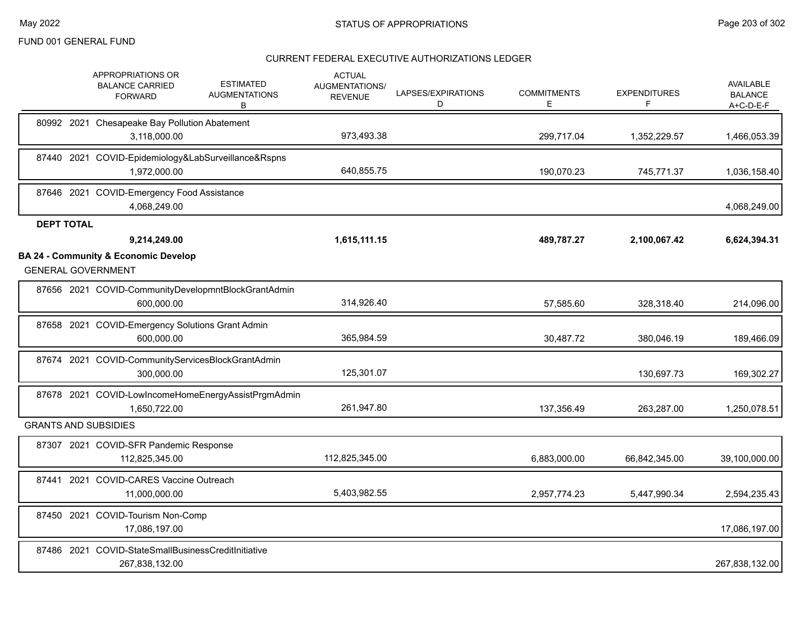|                   | APPROPRIATIONS OR<br><b>ESTIMATED</b><br><b>BALANCE CARRIED</b><br><b>AUGMENTATIONS</b><br><b>FORWARD</b><br>В | <b>ACTUAL</b><br>AUGMENTATIONS/<br><b>REVENUE</b> | LAPSES/EXPIRATIONS<br>D | <b>COMMITMENTS</b><br>Е | <b>EXPENDITURES</b><br>F | <b>AVAILABLE</b><br><b>BALANCE</b><br>$A+C-D-E-F$ |
|-------------------|----------------------------------------------------------------------------------------------------------------|---------------------------------------------------|-------------------------|-------------------------|--------------------------|---------------------------------------------------|
|                   | 80992 2021 Chesapeake Bay Pollution Abatement<br>3,118,000.00                                                  | 973,493.38                                        |                         | 299,717.04              | 1,352,229.57             | 1,466,053.39                                      |
|                   | 87440 2021 COVID-Epidemiology&LabSurveillance&Rspns<br>1,972,000.00                                            | 640,855.75                                        |                         | 190,070.23              | 745,771.37               | 1,036,158.40                                      |
|                   | 87646 2021 COVID-Emergency Food Assistance<br>4,068,249.00                                                     |                                                   |                         |                         |                          | 4,068,249.00                                      |
| <b>DEPT TOTAL</b> |                                                                                                                |                                                   |                         |                         |                          |                                                   |
|                   | 9,214,249.00                                                                                                   | 1,615,111.15                                      |                         | 489,787.27              | 2,100,067.42             | 6,624,394.31                                      |
|                   | <b>BA 24 - Community &amp; Economic Develop</b><br><b>GENERAL GOVERNMENT</b>                                   |                                                   |                         |                         |                          |                                                   |
|                   | 87656 2021 COVID-CommunityDevelopmntBlockGrantAdmin<br>600,000.00                                              | 314,926.40                                        |                         | 57,585.60               | 328,318.40               | 214,096.00                                        |
|                   | 87658 2021 COVID-Emergency Solutions Grant Admin<br>600,000.00                                                 | 365,984.59                                        |                         | 30,487.72               | 380,046.19               | 189,466.09                                        |
|                   | 87674 2021 COVID-CommunityServicesBlockGrantAdmin<br>300,000.00                                                | 125,301.07                                        |                         |                         | 130,697.73               | 169,302.27                                        |
|                   | 87678 2021 COVID-LowIncomeHomeEnergyAssistPrgmAdmin<br>1,650,722.00                                            | 261,947.80                                        |                         | 137,356.49              | 263,287.00               | 1,250,078.51                                      |
|                   | <b>GRANTS AND SUBSIDIES</b>                                                                                    |                                                   |                         |                         |                          |                                                   |
|                   | 87307 2021 COVID-SFR Pandemic Response<br>112,825,345.00                                                       | 112,825,345.00                                    |                         | 6,883,000.00            | 66,842,345.00            | 39,100,000.00                                     |
|                   | 87441 2021 COVID-CARES Vaccine Outreach<br>11,000,000.00                                                       | 5,403,982.55                                      |                         | 2,957,774.23            | 5,447,990.34             | 2,594,235.43                                      |
|                   | 87450 2021 COVID-Tourism Non-Comp<br>17,086,197.00                                                             |                                                   |                         |                         |                          | 17,086,197.00                                     |
|                   | 87486 2021 COVID-StateSmallBusinessCreditInitiative<br>267,838,132.00                                          |                                                   |                         |                         |                          | 267,838,132.00                                    |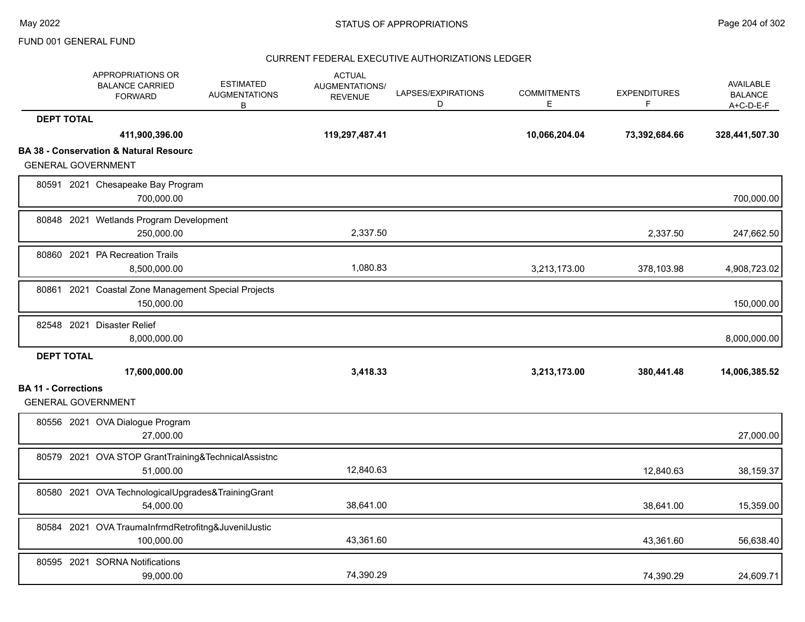|                            | APPROPRIATIONS OR<br><b>BALANCE CARRIED</b><br><b>FORWARD</b>                  | <b>ESTIMATED</b><br><b>AUGMENTATIONS</b><br>B | <b>ACTUAL</b><br><b>AUGMENTATIONS/</b><br><b>REVENUE</b> | LAPSES/EXPIRATIONS<br>D | <b>COMMITMENTS</b><br>E | <b>EXPENDITURES</b><br>F | AVAILABLE<br><b>BALANCE</b><br>$A+C-D-E-F$ |
|----------------------------|--------------------------------------------------------------------------------|-----------------------------------------------|----------------------------------------------------------|-------------------------|-------------------------|--------------------------|--------------------------------------------|
| <b>DEPT TOTAL</b>          |                                                                                |                                               |                                                          |                         |                         |                          |                                            |
|                            | 411,900,396.00                                                                 |                                               | 119,297,487.41                                           |                         | 10,066,204.04           | 73,392,684.66            | 328,441,507.30                             |
|                            | <b>BA 38 - Conservation &amp; Natural Resourc</b><br><b>GENERAL GOVERNMENT</b> |                                               |                                                          |                         |                         |                          |                                            |
|                            | 80591 2021 Chesapeake Bay Program<br>700,000.00                                |                                               |                                                          |                         |                         |                          | 700,000.00                                 |
|                            | 80848 2021 Wetlands Program Development<br>250,000.00                          |                                               | 2,337.50                                                 |                         |                         | 2,337.50                 | 247,662.50                                 |
|                            | 80860 2021 PA Recreation Trails<br>8,500,000.00                                |                                               | 1,080.83                                                 |                         | 3,213,173.00            | 378,103.98               | 4,908,723.02                               |
|                            | 80861 2021 Coastal Zone Management Special Projects<br>150,000.00              |                                               |                                                          |                         |                         |                          | 150,000.00                                 |
|                            | 82548 2021 Disaster Relief<br>8,000,000.00                                     |                                               |                                                          |                         |                         |                          | 8,000,000.00                               |
| <b>DEPT TOTAL</b>          | 17,600,000.00                                                                  |                                               | 3,418.33                                                 |                         | 3,213,173.00            | 380,441.48               | 14,006,385.52                              |
| <b>BA 11 - Corrections</b> |                                                                                |                                               |                                                          |                         |                         |                          |                                            |
|                            | <b>GENERAL GOVERNMENT</b>                                                      |                                               |                                                          |                         |                         |                          |                                            |
|                            | 80556 2021 OVA Dialogue Program<br>27,000.00                                   |                                               |                                                          |                         |                         |                          | 27,000.00                                  |
|                            | 80579 2021 OVA STOP GrantTraining&TechnicalAssistnc<br>51,000.00               |                                               | 12,840.63                                                |                         |                         | 12,840.63                | 38,159.37                                  |
|                            | 80580 2021 OVA TechnologicalUpgrades&TrainingGrant<br>54,000.00                |                                               | 38,641.00                                                |                         |                         | 38,641.00                | 15,359.00                                  |
|                            | 80584 2021 OVA TraumaInfrmdRetrofitng&JuvenilJustic<br>100,000.00              |                                               | 43,361.60                                                |                         |                         | 43,361.60                | 56,638.40                                  |
|                            | 80595 2021 SORNA Notifications<br>99,000.00                                    |                                               | 74,390.29                                                |                         |                         | 74,390.29                | 24,609.71                                  |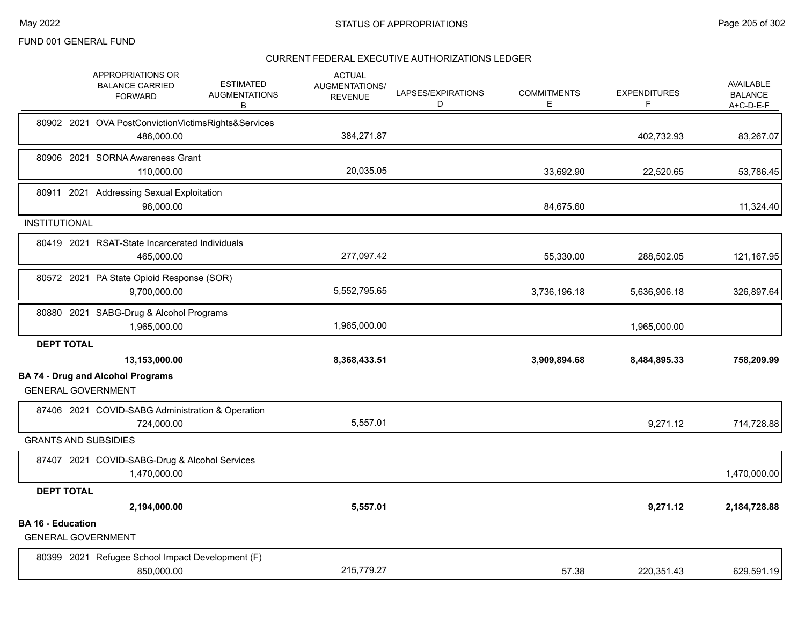|                                                       | APPROPRIATIONS OR<br><b>BALANCE CARRIED</b><br><b>FORWARD</b>     | <b>ESTIMATED</b><br><b>AUGMENTATIONS</b><br>В | <b>ACTUAL</b><br><b>AUGMENTATIONS/</b><br><b>REVENUE</b> | LAPSES/EXPIRATIONS<br>D | <b>COMMITMENTS</b><br>Е | <b>EXPENDITURES</b><br>F | <b>AVAILABLE</b><br><b>BALANCE</b><br>$A+C-D-E-F$ |
|-------------------------------------------------------|-------------------------------------------------------------------|-----------------------------------------------|----------------------------------------------------------|-------------------------|-------------------------|--------------------------|---------------------------------------------------|
|                                                       | 80902 2021 OVA PostConvictionVictimsRights&Services<br>486,000.00 |                                               | 384,271.87                                               |                         |                         | 402,732.93               | 83,267.07                                         |
|                                                       | 80906 2021 SORNA Awareness Grant<br>110,000.00                    |                                               | 20,035.05                                                |                         | 33,692.90               | 22,520.65                | 53,786.45                                         |
|                                                       | 80911 2021 Addressing Sexual Exploitation<br>96,000.00            |                                               |                                                          |                         | 84,675.60               |                          | 11,324.40                                         |
| <b>INSTITUTIONAL</b>                                  |                                                                   |                                               |                                                          |                         |                         |                          |                                                   |
|                                                       | 80419 2021 RSAT-State Incarcerated Individuals<br>465,000.00      |                                               | 277,097.42                                               |                         | 55,330.00               | 288,502.05               | 121,167.95                                        |
|                                                       | 80572 2021 PA State Opioid Response (SOR)<br>9,700,000.00         |                                               | 5,552,795.65                                             |                         | 3,736,196.18            | 5,636,906.18             | 326,897.64                                        |
|                                                       | 80880 2021 SABG-Drug & Alcohol Programs<br>1,965,000.00           |                                               | 1,965,000.00                                             |                         |                         | 1,965,000.00             |                                                   |
| <b>DEPT TOTAL</b>                                     |                                                                   |                                               |                                                          |                         |                         |                          |                                                   |
|                                                       | 13,153,000.00                                                     |                                               | 8,368,433.51                                             |                         | 3,909,894.68            | 8,484,895.33             | 758,209.99                                        |
| <b>GENERAL GOVERNMENT</b>                             | <b>BA 74 - Drug and Alcohol Programs</b>                          |                                               |                                                          |                         |                         |                          |                                                   |
|                                                       | 87406 2021 COVID-SABG Administration & Operation<br>724,000.00    |                                               | 5,557.01                                                 |                         |                         | 9,271.12                 | 714,728.88                                        |
| <b>GRANTS AND SUBSIDIES</b>                           |                                                                   |                                               |                                                          |                         |                         |                          |                                                   |
|                                                       | 87407 2021 COVID-SABG-Drug & Alcohol Services<br>1,470,000.00     |                                               |                                                          |                         |                         |                          | 1,470,000.00                                      |
| <b>DEPT TOTAL</b>                                     |                                                                   |                                               |                                                          |                         |                         |                          |                                                   |
|                                                       | 2,194,000.00                                                      |                                               | 5,557.01                                                 |                         |                         | 9,271.12                 | 2,184,728.88                                      |
| <b>BA 16 - Education</b><br><b>GENERAL GOVERNMENT</b> |                                                                   |                                               |                                                          |                         |                         |                          |                                                   |
|                                                       | 80399 2021 Refugee School Impact Development (F)<br>850,000.00    |                                               | 215,779.27                                               |                         | 57.38                   | 220,351.43               | 629,591.19                                        |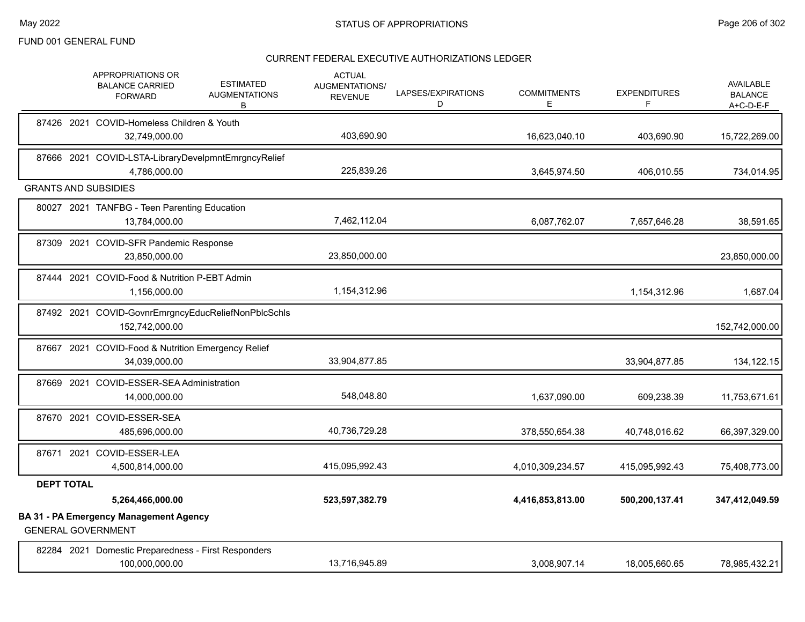|                   | <b>APPROPRIATIONS OR</b><br><b>BALANCE CARRIED</b><br><b>FORWARD</b>       | <b>ESTIMATED</b><br><b>AUGMENTATIONS</b><br>B | <b>ACTUAL</b><br><b>AUGMENTATIONS/</b><br><b>REVENUE</b> | LAPSES/EXPIRATIONS<br>D | <b>COMMITMENTS</b><br>Е | <b>EXPENDITURES</b><br>F | <b>AVAILABLE</b><br><b>BALANCE</b><br>A+C-D-E-F |
|-------------------|----------------------------------------------------------------------------|-----------------------------------------------|----------------------------------------------------------|-------------------------|-------------------------|--------------------------|-------------------------------------------------|
|                   | 87426 2021 COVID-Homeless Children & Youth<br>32,749,000.00                |                                               | 403,690.90                                               |                         | 16,623,040.10           | 403,690.90               | 15,722,269.00                                   |
|                   | 87666 2021 COVID-LSTA-LibraryDevelpmntEmrgncyRelief<br>4,786,000.00        |                                               | 225,839.26                                               |                         | 3,645,974.50            | 406,010.55               | 734,014.95                                      |
|                   | <b>GRANTS AND SUBSIDIES</b>                                                |                                               |                                                          |                         |                         |                          |                                                 |
|                   | 80027 2021 TANFBG - Teen Parenting Education<br>13,784,000.00              |                                               | 7,462,112.04                                             |                         | 6,087,762.07            | 7,657,646.28             | 38,591.65                                       |
|                   | 87309 2021 COVID-SFR Pandemic Response<br>23,850,000.00                    |                                               | 23,850,000.00                                            |                         |                         |                          | 23,850,000.00                                   |
|                   | 87444 2021 COVID-Food & Nutrition P-EBT Admin<br>1,156,000.00              |                                               | 1,154,312.96                                             |                         |                         | 1,154,312.96             | 1,687.04                                        |
|                   | 87492 2021 COVID-GovnrEmrgncyEducReliefNonPblcSchls<br>152,742,000.00      |                                               |                                                          |                         |                         |                          | 152,742,000.00                                  |
|                   | 87667 2021 COVID-Food & Nutrition Emergency Relief<br>34,039,000.00        |                                               | 33,904,877.85                                            |                         |                         | 33,904,877.85            | 134,122.15                                      |
|                   | 87669 2021 COVID-ESSER-SEA Administration<br>14,000,000.00                 |                                               | 548,048.80                                               |                         | 1,637,090.00            | 609,238.39               | 11,753,671.61                                   |
|                   | 87670 2021 COVID-ESSER-SEA<br>485,696,000.00                               |                                               | 40,736,729.28                                            |                         | 378,550,654.38          | 40,748,016.62            | 66,397,329.00                                   |
|                   | 87671 2021 COVID-ESSER-LEA<br>4,500,814,000.00                             |                                               | 415,095,992.43                                           |                         | 4,010,309,234.57        | 415,095,992.43           | 75,408,773.00                                   |
| <b>DEPT TOTAL</b> |                                                                            |                                               |                                                          |                         |                         |                          |                                                 |
|                   | 5,264,466,000.00                                                           |                                               | 523,597,382.79                                           |                         | 4,416,853,813.00        | 500,200,137.41           | 347,412,049.59                                  |
|                   | <b>BA 31 - PA Emergency Management Agency</b><br><b>GENERAL GOVERNMENT</b> |                                               |                                                          |                         |                         |                          |                                                 |
|                   | 82284 2021 Domestic Preparedness - First Responders<br>100,000,000.00      |                                               | 13,716,945.89                                            |                         | 3,008,907.14            | 18,005,660.65            | 78,985,432.21                                   |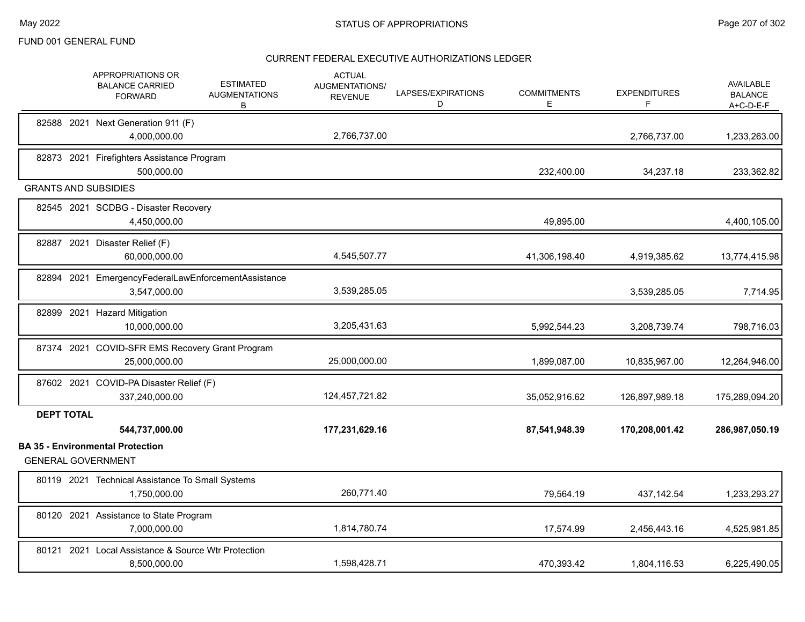|                   | APPROPRIATIONS OR<br><b>BALANCE CARRIED</b><br><b>FORWARD</b>                          | <b>ESTIMATED</b><br><b>AUGMENTATIONS</b><br>В | <b>ACTUAL</b><br>AUGMENTATIONS/<br><b>REVENUE</b> | LAPSES/EXPIRATIONS<br>D | <b>COMMITMENTS</b><br>E | <b>EXPENDITURES</b><br>F | <b>AVAILABLE</b><br><b>BALANCE</b><br>A+C-D-E-F |
|-------------------|----------------------------------------------------------------------------------------|-----------------------------------------------|---------------------------------------------------|-------------------------|-------------------------|--------------------------|-------------------------------------------------|
|                   | 82588 2021 Next Generation 911 (F)<br>4,000,000.00                                     |                                               | 2,766,737.00                                      |                         |                         | 2,766,737.00             | 1,233,263.00                                    |
|                   | 82873 2021 Firefighters Assistance Program<br>500,000.00                               |                                               |                                                   |                         | 232,400.00              | 34,237.18                | 233,362.82                                      |
|                   | <b>GRANTS AND SUBSIDIES</b>                                                            |                                               |                                                   |                         |                         |                          |                                                 |
|                   | 82545 2021 SCDBG - Disaster Recovery<br>4,450,000.00                                   |                                               |                                                   |                         | 49,895.00               |                          | 4,400,105.00                                    |
|                   | 82887 2021 Disaster Relief (F)<br>60,000,000.00                                        |                                               | 4,545,507.77                                      |                         | 41,306,198.40           | 4,919,385.62             | 13,774,415.98                                   |
|                   | 82894 2021 EmergencyFederalLawEnforcementAssistance<br>3,547,000.00                    |                                               | 3,539,285.05                                      |                         |                         | 3,539,285.05             | 7,714.95                                        |
|                   | 82899 2021 Hazard Mitigation<br>10,000,000.00                                          |                                               | 3,205,431.63                                      |                         | 5,992,544.23            | 3,208,739.74             | 798,716.03                                      |
|                   | 87374 2021 COVID-SFR EMS Recovery Grant Program<br>25,000,000.00                       |                                               | 25,000,000.00                                     |                         | 1,899,087.00            | 10,835,967.00            | 12,264,946.00                                   |
|                   | 87602 2021 COVID-PA Disaster Relief (F)<br>337,240,000.00                              |                                               | 124,457,721.82                                    |                         | 35,052,916.62           | 126,897,989.18           | 175,289,094.20                                  |
| <b>DEPT TOTAL</b> |                                                                                        |                                               |                                                   |                         |                         |                          |                                                 |
|                   | 544,737,000.00<br><b>BA 35 - Environmental Protection</b><br><b>GENERAL GOVERNMENT</b> |                                               | 177,231,629.16                                    |                         | 87,541,948.39           | 170,208,001.42           | 286,987,050.19                                  |
|                   | 80119 2021 Technical Assistance To Small Systems<br>1,750,000.00                       |                                               | 260,771.40                                        |                         | 79,564.19               | 437, 142.54              | 1,233,293.27                                    |
|                   | 80120 2021 Assistance to State Program<br>7,000,000.00                                 |                                               | 1,814,780.74                                      |                         | 17,574.99               | 2,456,443.16             | 4,525,981.85                                    |
| 80121             | 2021 Local Assistance & Source Wtr Protection<br>8,500,000.00                          |                                               | 1,598,428.71                                      |                         | 470.393.42              | 1,804,116.53             | 6,225,490.05                                    |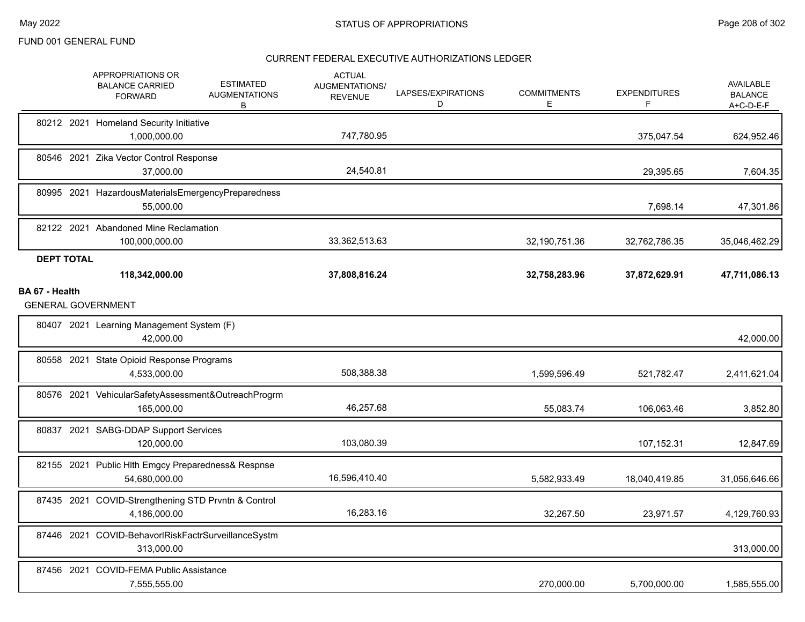|                   | APPROPRIATIONS OR<br><b>BALANCE CARRIED</b><br><b>FORWARD</b>       | <b>ESTIMATED</b><br><b>AUGMENTATIONS</b><br>B | <b>ACTUAL</b><br>AUGMENTATIONS/<br><b>REVENUE</b> | LAPSES/EXPIRATIONS<br>D | <b>COMMITMENTS</b><br>E | <b>EXPENDITURES</b><br>F | <b>AVAILABLE</b><br><b>BALANCE</b><br>$A+C-D-E-F$ |
|-------------------|---------------------------------------------------------------------|-----------------------------------------------|---------------------------------------------------|-------------------------|-------------------------|--------------------------|---------------------------------------------------|
|                   | 80212 2021 Homeland Security Initiative<br>1,000,000.00             |                                               | 747,780.95                                        |                         |                         | 375,047.54               | 624,952.46                                        |
|                   | 80546 2021 Zika Vector Control Response<br>37,000.00                |                                               | 24,540.81                                         |                         |                         | 29,395.65                | 7,604.35                                          |
|                   | 80995 2021 HazardousMaterialsEmergencyPreparedness<br>55,000.00     |                                               |                                                   |                         |                         | 7,698.14                 | 47,301.86                                         |
|                   | 82122 2021 Abandoned Mine Reclamation<br>100,000,000.00             |                                               | 33,362,513.63                                     |                         | 32,190,751.36           | 32,762,786.35            | 35,046,462.29                                     |
| <b>DEPT TOTAL</b> | 118,342,000.00                                                      |                                               | 37,808,816.24                                     |                         | 32,758,283.96           | 37,872,629.91            | 47,711,086.13                                     |
| BA 67 - Health    |                                                                     |                                               |                                                   |                         |                         |                          |                                                   |
|                   | <b>GENERAL GOVERNMENT</b>                                           |                                               |                                                   |                         |                         |                          |                                                   |
|                   | 80407 2021 Learning Management System (F)<br>42,000.00              |                                               |                                                   |                         |                         |                          | 42,000.00                                         |
|                   | 80558 2021 State Opioid Response Programs<br>4,533,000.00           |                                               | 508,388.38                                        |                         | 1,599,596.49            | 521,782.47               | 2,411,621.04                                      |
|                   | 80576 2021 VehicularSafetyAssessment&OutreachProgrm<br>165,000.00   |                                               | 46,257.68                                         |                         | 55,083.74               | 106,063.46               | 3,852.80                                          |
|                   | 80837 2021 SABG-DDAP Support Services<br>120,000.00                 |                                               | 103,080.39                                        |                         |                         | 107,152.31               | 12,847.69                                         |
|                   | 82155 2021 Public Hlth Emgcy Preparedness& Respnse<br>54,680,000.00 |                                               | 16,596,410.40                                     |                         | 5,582,933.49            | 18,040,419.85            | 31,056,646.66                                     |
|                   | 87435 2021 COVID-Strengthening STD Prvntn & Control<br>4,186,000.00 |                                               | 16,283.16                                         |                         | 32,267.50               | 23,971.57                | 4,129,760.93                                      |
|                   | 87446 2021 COVID-BehavorlRiskFactrSurveillanceSystm<br>313,000.00   |                                               |                                                   |                         |                         |                          | 313,000.00                                        |
|                   | 87456 2021 COVID-FEMA Public Assistance<br>7,555,555.00             |                                               |                                                   |                         | 270,000.00              | 5,700,000.00             | 1,585,555.00                                      |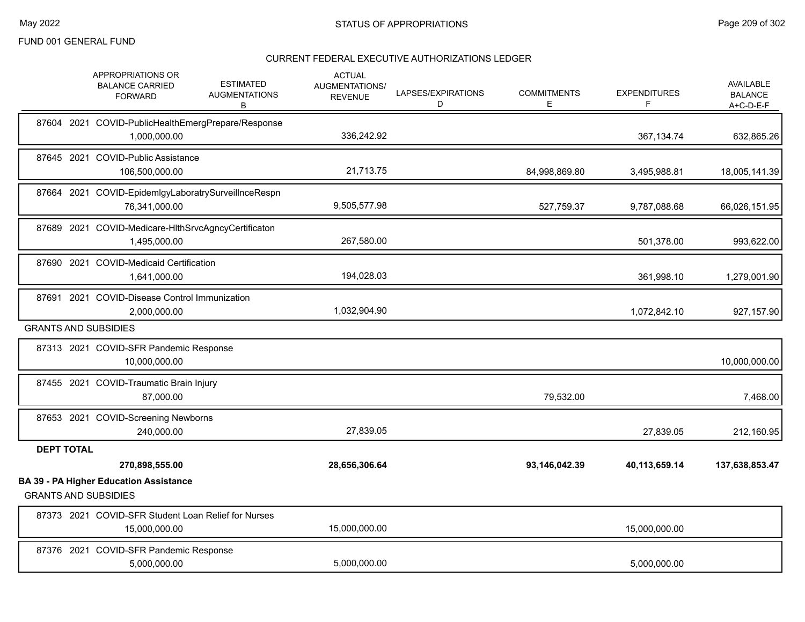|                   | <b>APPROPRIATIONS OR</b><br><b>BALANCE CARRIED</b><br><b>FORWARD</b>         | <b>ESTIMATED</b><br><b>AUGMENTATIONS</b><br>В | <b>ACTUAL</b><br>AUGMENTATIONS/<br><b>REVENUE</b> | LAPSES/EXPIRATIONS<br>D | <b>COMMITMENTS</b><br>Е | <b>EXPENDITURES</b><br>F | <b>AVAILABLE</b><br><b>BALANCE</b><br>$A+C-D-E-F$ |
|-------------------|------------------------------------------------------------------------------|-----------------------------------------------|---------------------------------------------------|-------------------------|-------------------------|--------------------------|---------------------------------------------------|
|                   | 87604 2021 COVID-PublicHealthEmergPrepare/Response<br>1,000,000.00           |                                               | 336,242.92                                        |                         |                         | 367,134.74               | 632,865.26                                        |
|                   | 87645 2021 COVID-Public Assistance<br>106,500,000.00                         |                                               | 21,713.75                                         |                         | 84,998,869.80           | 3,495,988.81             | 18,005,141.39                                     |
|                   | 87664 2021 COVID-EpidemIgyLaboratrySurveilInceRespn<br>76,341,000.00         |                                               | 9,505,577.98                                      |                         | 527,759.37              | 9,787,088.68             | 66,026,151.95                                     |
|                   | 87689 2021 COVID-Medicare-HIthSrvcAgncyCertificaton<br>1,495,000.00          |                                               | 267,580.00                                        |                         |                         | 501,378.00               | 993,622.00                                        |
|                   | 87690 2021 COVID-Medicaid Certification<br>1,641,000.00                      |                                               | 194,028.03                                        |                         |                         | 361,998.10               | 1,279,001.90                                      |
| 87691             | 2021 COVID-Disease Control Immunization<br>2,000,000.00                      |                                               | 1,032,904.90                                      |                         |                         | 1,072,842.10             | 927,157.90                                        |
|                   | <b>GRANTS AND SUBSIDIES</b>                                                  |                                               |                                                   |                         |                         |                          |                                                   |
|                   | 87313 2021 COVID-SFR Pandemic Response<br>10,000,000.00                      |                                               |                                                   |                         |                         |                          | 10,000,000.00                                     |
|                   | 87455 2021 COVID-Traumatic Brain Injury<br>87,000.00                         |                                               |                                                   |                         | 79,532.00               |                          | 7,468.00                                          |
|                   | 87653 2021 COVID-Screening Newborns<br>240,000.00                            |                                               | 27,839.05                                         |                         |                         | 27,839.05                | 212,160.95                                        |
| <b>DEPT TOTAL</b> |                                                                              |                                               |                                                   |                         |                         |                          |                                                   |
|                   | 270,898,555.00                                                               |                                               | 28,656,306.64                                     |                         | 93,146,042.39           | 40,113,659.14            | 137,638,853.47                                    |
|                   | <b>BA 39 - PA Higher Education Assistance</b><br><b>GRANTS AND SUBSIDIES</b> |                                               |                                                   |                         |                         |                          |                                                   |
|                   | 87373 2021 COVID-SFR Student Loan Relief for Nurses<br>15,000,000.00         |                                               | 15,000,000.00                                     |                         |                         | 15,000,000.00            |                                                   |
|                   | 87376 2021 COVID-SFR Pandemic Response<br>5.000.000.00                       |                                               | 5,000,000.00                                      |                         |                         | 5.000.000.00             |                                                   |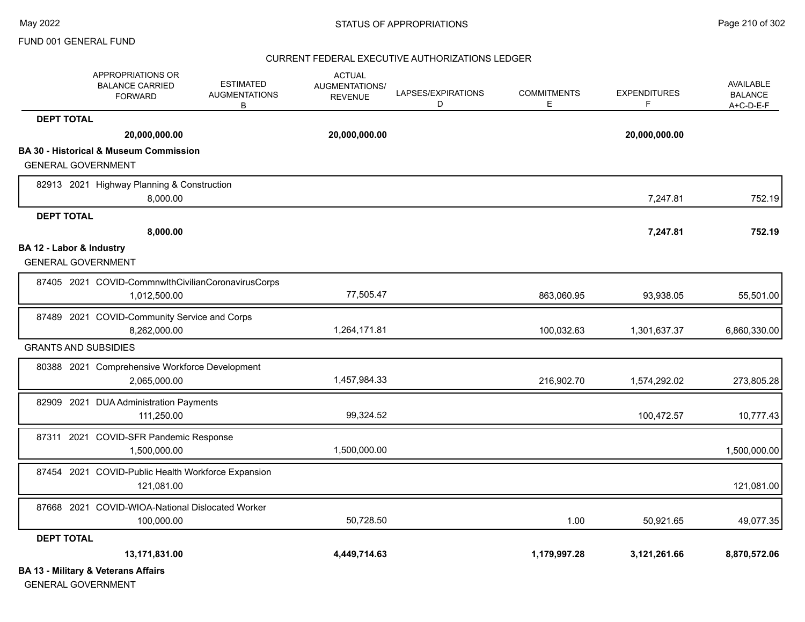#### CURRENT FEDERAL EXECUTIVE AUTHORIZATIONS LEDGER

|                                                       | <b>APPROPRIATIONS OR</b><br><b>BALANCE CARRIED</b><br><b>FORWARD</b> | <b>ESTIMATED</b><br><b>AUGMENTATIONS</b><br>В | <b>ACTUAL</b><br><b>AUGMENTATIONS/</b><br><b>REVENUE</b> | LAPSES/EXPIRATIONS<br>D | <b>COMMITMENTS</b><br>Е | <b>EXPENDITURES</b><br>F. | AVAILABLE<br><b>BALANCE</b><br>$A+C-D-E-F$ |
|-------------------------------------------------------|----------------------------------------------------------------------|-----------------------------------------------|----------------------------------------------------------|-------------------------|-------------------------|---------------------------|--------------------------------------------|
| <b>DEPT TOTAL</b>                                     |                                                                      |                                               |                                                          |                         |                         |                           |                                            |
|                                                       | 20,000,000.00                                                        |                                               | 20,000,000.00                                            |                         |                         | 20,000,000.00             |                                            |
|                                                       | <b>BA 30 - Historical &amp; Museum Commission</b>                    |                                               |                                                          |                         |                         |                           |                                            |
| <b>GENERAL GOVERNMENT</b>                             |                                                                      |                                               |                                                          |                         |                         |                           |                                            |
|                                                       | 82913 2021 Highway Planning & Construction<br>8,000.00               |                                               |                                                          |                         |                         | 7,247.81                  | 752.19                                     |
| <b>DEPT TOTAL</b>                                     |                                                                      |                                               |                                                          |                         |                         |                           |                                            |
|                                                       | 8,000.00                                                             |                                               |                                                          |                         |                         | 7,247.81                  | 752.19                                     |
| BA 12 - Labor & Industry<br><b>GENERAL GOVERNMENT</b> |                                                                      |                                               |                                                          |                         |                         |                           |                                            |
|                                                       | 87405 2021 COVID-CommnwlthCivilianCoronavirusCorps<br>1,012,500.00   |                                               | 77,505.47                                                |                         | 863,060.95              | 93,938.05                 | 55,501.00                                  |
|                                                       | 87489 2021 COVID-Community Service and Corps<br>8,262,000.00         |                                               | 1,264,171.81                                             |                         | 100,032.63              | 1,301,637.37              | 6,860,330.00                               |
| <b>GRANTS AND SUBSIDIES</b>                           |                                                                      |                                               |                                                          |                         |                         |                           |                                            |
|                                                       | 80388 2021 Comprehensive Workforce Development<br>2,065,000.00       |                                               | 1,457,984.33                                             |                         | 216,902.70              | 1,574,292.02              | 273,805.28                                 |
|                                                       | 82909 2021 DUA Administration Payments<br>111,250.00                 |                                               | 99,324.52                                                |                         |                         | 100,472.57                | 10,777.43                                  |
|                                                       | 87311 2021 COVID-SFR Pandemic Response<br>1,500,000.00               |                                               | 1,500,000.00                                             |                         |                         |                           | 1,500,000.00                               |
|                                                       | 87454 2021 COVID-Public Health Workforce Expansion<br>121,081.00     |                                               |                                                          |                         |                         |                           | 121,081.00                                 |
|                                                       | 87668 2021 COVID-WIOA-National Dislocated Worker<br>100,000.00       |                                               | 50,728.50                                                |                         | 1.00                    | 50,921.65                 | 49,077.35                                  |
| <b>DEPT TOTAL</b>                                     |                                                                      |                                               |                                                          |                         |                         |                           |                                            |
|                                                       | 13,171,831.00                                                        |                                               | 4,449,714.63                                             |                         | 1,179,997.28            | 3,121,261.66              | 8,870,572.06                               |
|                                                       | <b>BA 13 - Military &amp; Veterans Affairs</b>                       |                                               |                                                          |                         |                         |                           |                                            |

GENERAL GOVERNMENT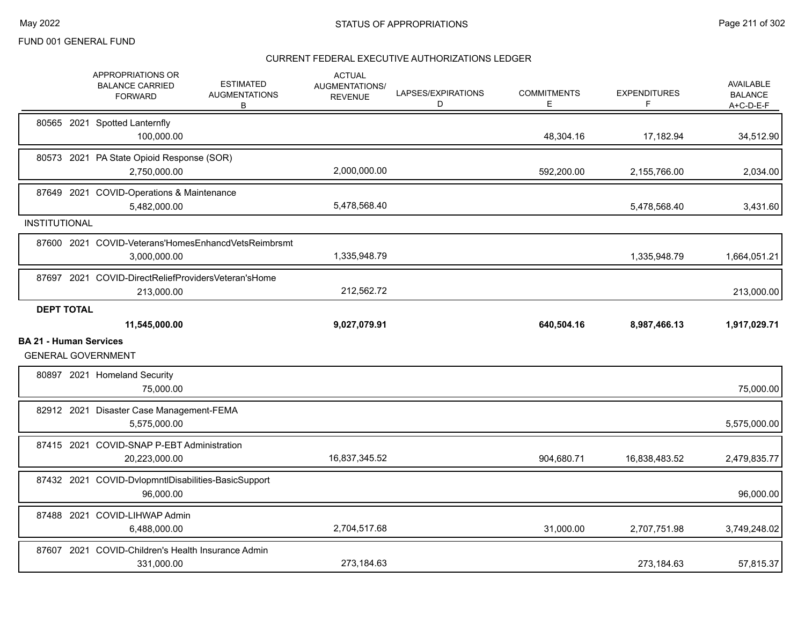|                               | APPROPRIATIONS OR<br><b>BALANCE CARRIED</b><br><b>FORWARD</b>       | <b>ESTIMATED</b><br><b>AUGMENTATIONS</b><br>В | <b>ACTUAL</b><br>AUGMENTATIONS/<br><b>REVENUE</b> | LAPSES/EXPIRATIONS<br>D | <b>COMMITMENTS</b><br>Е. | <b>EXPENDITURES</b><br>F | <b>AVAILABLE</b><br><b>BALANCE</b><br>A+C-D-E-F |
|-------------------------------|---------------------------------------------------------------------|-----------------------------------------------|---------------------------------------------------|-------------------------|--------------------------|--------------------------|-------------------------------------------------|
|                               | 80565 2021 Spotted Lanternfly<br>100,000.00                         |                                               |                                                   |                         | 48,304.16                | 17,182.94                | 34,512.90                                       |
|                               | 80573 2021 PA State Opioid Response (SOR)<br>2,750,000.00           |                                               | 2,000,000.00                                      |                         | 592,200.00               | 2,155,766.00             | 2,034.00                                        |
|                               | 87649 2021 COVID-Operations & Maintenance<br>5,482,000.00           |                                               | 5,478,568.40                                      |                         |                          | 5,478,568.40             | 3,431.60                                        |
| <b>INSTITUTIONAL</b>          |                                                                     |                                               |                                                   |                         |                          |                          |                                                 |
|                               | 87600 2021 COVID-Veterans'HomesEnhancdVetsReimbrsmt<br>3,000,000.00 |                                               | 1,335,948.79                                      |                         |                          | 1,335,948.79             | 1,664,051.21                                    |
|                               | 87697 2021 COVID-DirectReliefProvidersVeteran'sHome<br>213,000.00   |                                               | 212,562.72                                        |                         |                          |                          | 213,000.00                                      |
| <b>DEPT TOTAL</b>             |                                                                     |                                               |                                                   |                         |                          |                          |                                                 |
|                               | 11,545,000.00                                                       |                                               | 9,027,079.91                                      |                         | 640,504.16               | 8,987,466.13             | 1,917,029.71                                    |
| <b>BA 21 - Human Services</b> | <b>GENERAL GOVERNMENT</b>                                           |                                               |                                                   |                         |                          |                          |                                                 |
|                               | 80897 2021 Homeland Security<br>75,000.00                           |                                               |                                                   |                         |                          |                          | 75,000.00                                       |
|                               | 82912 2021 Disaster Case Management-FEMA<br>5,575,000.00            |                                               |                                                   |                         |                          |                          | 5,575,000.00                                    |
|                               | 87415 2021 COVID-SNAP P-EBT Administration<br>20,223,000.00         |                                               | 16,837,345.52                                     |                         | 904,680.71               | 16,838,483.52            | 2,479,835.77                                    |
|                               | 87432 2021 COVID-DvlopmntIDisabilities-BasicSupport<br>96,000.00    |                                               |                                                   |                         |                          |                          | 96,000.00                                       |
|                               | 87488 2021 COVID-LIHWAP Admin<br>6,488,000.00                       |                                               | 2,704,517.68                                      |                         | 31,000.00                | 2,707,751.98             | 3,749,248.02                                    |
|                               | 87607 2021 COVID-Children's Health Insurance Admin<br>331,000.00    |                                               | 273,184.63                                        |                         |                          | 273,184.63               | 57,815.37                                       |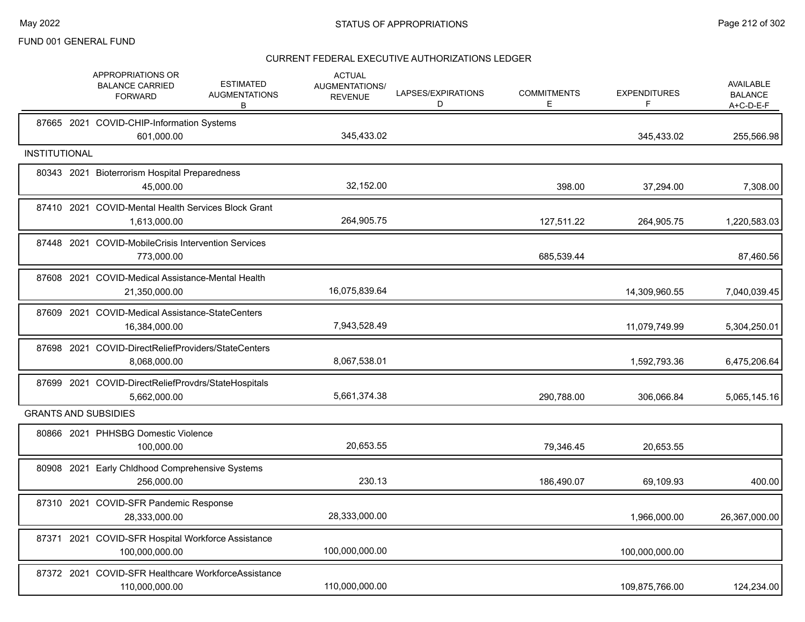|                      | APPROPRIATIONS OR<br><b>ESTIMATED</b><br><b>BALANCE CARRIED</b><br><b>AUGMENTATIONS</b><br><b>FORWARD</b><br>B | <b>ACTUAL</b><br>AUGMENTATIONS/<br><b>REVENUE</b> | LAPSES/EXPIRATIONS<br>D | <b>COMMITMENTS</b><br>Е | <b>EXPENDITURES</b><br>F | <b>AVAILABLE</b><br><b>BALANCE</b><br>A+C-D-E-F |
|----------------------|----------------------------------------------------------------------------------------------------------------|---------------------------------------------------|-------------------------|-------------------------|--------------------------|-------------------------------------------------|
|                      | 87665 2021 COVID-CHIP-Information Systems<br>601,000.00                                                        | 345,433.02                                        |                         |                         | 345,433.02               | 255,566.98                                      |
| <b>INSTITUTIONAL</b> |                                                                                                                |                                                   |                         |                         |                          |                                                 |
|                      | 80343 2021 Bioterrorism Hospital Preparedness<br>45,000.00                                                     | 32,152.00                                         |                         | 398.00                  | 37,294.00                | 7,308.00                                        |
|                      | 87410 2021 COVID-Mental Health Services Block Grant<br>1,613,000.00                                            | 264,905.75                                        |                         | 127,511.22              | 264,905.75               | 1,220,583.03                                    |
|                      | 87448 2021 COVID-MobileCrisis Intervention Services<br>773,000.00                                              |                                                   |                         | 685,539.44              |                          | 87,460.56                                       |
|                      | 87608 2021 COVID-Medical Assistance-Mental Health<br>21,350,000.00                                             | 16,075,839.64                                     |                         |                         | 14,309,960.55            | 7,040,039.45                                    |
|                      | 87609 2021 COVID-Medical Assistance-StateCenters<br>16,384,000.00                                              | 7,943,528.49                                      |                         |                         | 11,079,749.99            | 5,304,250.01                                    |
|                      | 87698 2021 COVID-DirectReliefProviders/StateCenters<br>8,068,000.00                                            | 8,067,538.01                                      |                         |                         | 1,592,793.36             | 6,475,206.64                                    |
|                      | 87699 2021 COVID-DirectReliefProvdrs/StateHospitals<br>5,662,000.00                                            | 5,661,374.38                                      |                         | 290,788.00              | 306,066.84               | 5,065,145.16                                    |
|                      | <b>GRANTS AND SUBSIDIES</b>                                                                                    |                                                   |                         |                         |                          |                                                 |
|                      | 80866 2021 PHHSBG Domestic Violence<br>100,000.00                                                              | 20,653.55                                         |                         | 79,346.45               | 20,653.55                |                                                 |
|                      | 80908 2021 Early Chldhood Comprehensive Systems<br>256,000.00                                                  | 230.13                                            |                         | 186,490.07              | 69,109.93                | 400.00                                          |
|                      | 87310 2021 COVID-SFR Pandemic Response<br>28,333,000.00                                                        | 28,333,000.00                                     |                         |                         | 1,966,000.00             | 26,367,000.00                                   |
|                      | 87371 2021 COVID-SFR Hospital Workforce Assistance<br>100,000,000.00                                           | 100,000,000.00                                    |                         |                         | 100,000,000.00           |                                                 |
|                      | 87372 2021 COVID-SFR Healthcare WorkforceAssistance<br>110,000,000.00                                          | 110,000,000.00                                    |                         |                         | 109,875,766.00           | 124,234.00                                      |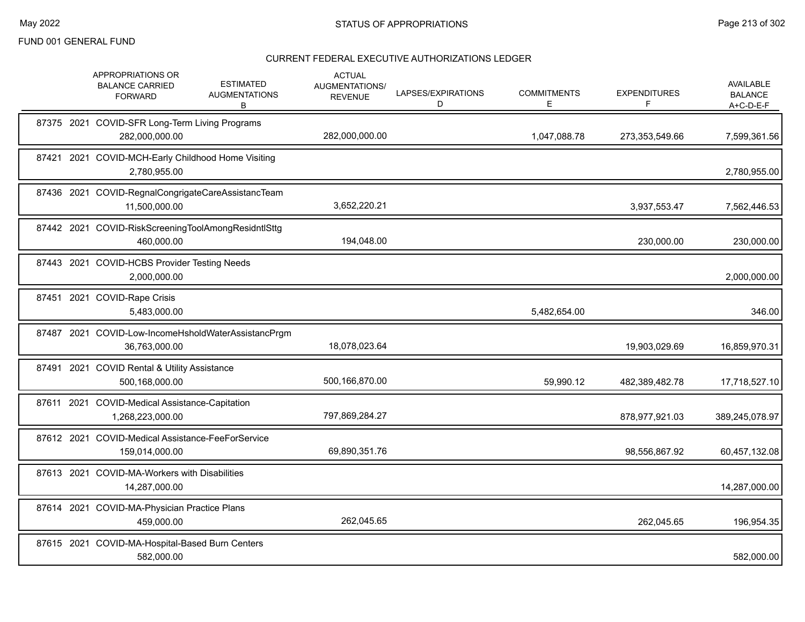|  | APPROPRIATIONS OR<br><b>BALANCE CARRIED</b><br><b>FORWARD</b>        | <b>ESTIMATED</b><br><b>AUGMENTATIONS</b><br>В | <b>ACTUAL</b><br>AUGMENTATIONS/<br><b>REVENUE</b> | LAPSES/EXPIRATIONS<br>D | <b>COMMITMENTS</b><br>E. | <b>EXPENDITURES</b><br>F | AVAILABLE<br><b>BALANCE</b><br>$A+C-D-E-F$ |
|--|----------------------------------------------------------------------|-----------------------------------------------|---------------------------------------------------|-------------------------|--------------------------|--------------------------|--------------------------------------------|
|  | 87375 2021 COVID-SFR Long-Term Living Programs<br>282,000,000.00     |                                               | 282,000,000.00                                    |                         | 1,047,088.78             | 273,353,549.66           | 7,599,361.56                               |
|  | 87421 2021 COVID-MCH-Early Childhood Home Visiting<br>2,780,955.00   |                                               |                                                   |                         |                          |                          | 2,780,955.00                               |
|  | 87436 2021 COVID-RegnalCongrigateCareAssistancTeam<br>11,500,000.00  |                                               | 3,652,220.21                                      |                         |                          | 3,937,553.47             | 7,562,446.53                               |
|  | 87442 2021 COVID-RiskScreeningToolAmongResidntlSttg<br>460,000.00    |                                               | 194,048.00                                        |                         |                          | 230,000.00               | 230,000.00                                 |
|  | 87443 2021 COVID-HCBS Provider Testing Needs<br>2,000,000.00         |                                               |                                                   |                         |                          |                          | 2,000,000.00                               |
|  | 87451 2021 COVID-Rape Crisis<br>5,483,000.00                         |                                               |                                                   |                         | 5,482,654.00             |                          | 346.00                                     |
|  | 87487 2021 COVID-Low-IncomeHsholdWaterAssistancPrgm<br>36,763,000.00 |                                               | 18,078,023.64                                     |                         |                          | 19,903,029.69            | 16,859,970.31                              |
|  | 87491 2021 COVID Rental & Utility Assistance<br>500,168,000.00       |                                               | 500,166,870.00                                    |                         | 59,990.12                | 482,389,482.78           | 17,718,527.10                              |
|  | 87611 2021 COVID-Medical Assistance-Capitation<br>1,268,223,000.00   |                                               | 797,869,284.27                                    |                         |                          | 878,977,921.03           | 389,245,078.97                             |
|  | 87612 2021 COVID-Medical Assistance-FeeForService<br>159,014,000.00  |                                               | 69,890,351.76                                     |                         |                          | 98,556,867.92            | 60,457,132.08                              |
|  | 87613 2021 COVID-MA-Workers with Disabilities<br>14,287,000.00       |                                               |                                                   |                         |                          |                          | 14,287,000.00                              |
|  | 87614 2021 COVID-MA-Physician Practice Plans<br>459,000.00           |                                               | 262,045.65                                        |                         |                          | 262,045.65               | 196,954.35                                 |
|  | 87615 2021 COVID-MA-Hospital-Based Burn Centers<br>582,000.00        |                                               |                                                   |                         |                          |                          | 582,000.00                                 |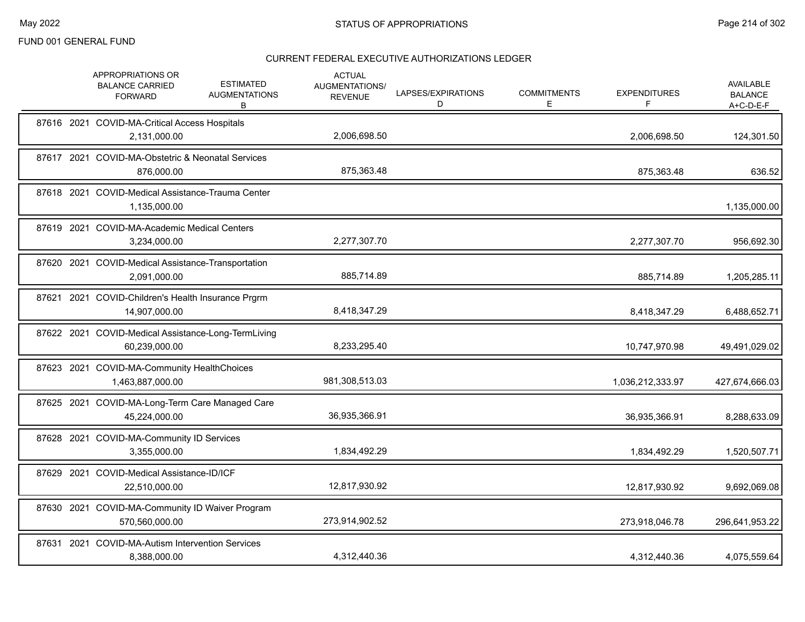|       | APPROPRIATIONS OR<br><b>ESTIMATED</b><br><b>BALANCE CARRIED</b><br><b>AUGMENTATIONS</b><br><b>FORWARD</b><br>В | <b>ACTUAL</b><br>AUGMENTATIONS/<br><b>REVENUE</b> | LAPSES/EXPIRATIONS<br>D | <b>COMMITMENTS</b><br>E. | <b>EXPENDITURES</b><br>F | AVAILABLE<br><b>BALANCE</b><br>$A+C-D-E-F$ |
|-------|----------------------------------------------------------------------------------------------------------------|---------------------------------------------------|-------------------------|--------------------------|--------------------------|--------------------------------------------|
|       | 87616 2021 COVID-MA-Critical Access Hospitals<br>2,131,000.00                                                  | 2,006,698.50                                      |                         |                          | 2,006,698.50             | 124,301.50                                 |
|       | 87617 2021 COVID-MA-Obstetric & Neonatal Services<br>876,000.00                                                | 875,363.48                                        |                         |                          | 875,363.48               | 636.52                                     |
|       | 87618 2021 COVID-Medical Assistance-Trauma Center<br>1,135,000.00                                              |                                                   |                         |                          |                          | 1,135,000.00                               |
|       | 87619 2021 COVID-MA-Academic Medical Centers<br>3,234,000.00                                                   | 2,277,307.70                                      |                         |                          | 2,277,307.70             | 956,692.30                                 |
|       | 87620 2021 COVID-Medical Assistance-Transportation<br>2,091,000.00                                             | 885,714.89                                        |                         |                          | 885,714.89               | 1,205,285.11                               |
| 87621 | 2021 COVID-Children's Health Insurance Prgrm<br>14,907,000.00                                                  | 8,418,347.29                                      |                         |                          | 8,418,347.29             | 6,488,652.71                               |
|       | 87622 2021 COVID-Medical Assistance-Long-TermLiving<br>60,239,000.00                                           | 8,233,295.40                                      |                         |                          | 10,747,970.98            | 49,491,029.02                              |
|       | 87623 2021 COVID-MA-Community HealthChoices<br>1,463,887,000.00                                                | 981,308,513.03                                    |                         |                          | 1,036,212,333.97         | 427,674,666.03                             |
|       | 87625 2021 COVID-MA-Long-Term Care Managed Care<br>45,224,000.00                                               | 36,935,366.91                                     |                         |                          | 36,935,366.91            | 8,288,633.09                               |
|       | 87628 2021 COVID-MA-Community ID Services<br>3,355,000.00                                                      | 1,834,492.29                                      |                         |                          | 1,834,492.29             | 1,520,507.71                               |
| 87629 | 2021 COVID-Medical Assistance-ID/ICF<br>22,510,000.00                                                          | 12,817,930.92                                     |                         |                          | 12,817,930.92            | 9,692,069.08                               |
|       | 87630 2021 COVID-MA-Community ID Waiver Program<br>570,560,000.00                                              | 273,914,902.52                                    |                         |                          | 273,918,046.78           | 296,641,953.22                             |
|       | 87631 2021 COVID-MA-Autism Intervention Services<br>8,388,000.00                                               | 4,312,440.36                                      |                         |                          | 4,312,440.36             | 4,075,559.64                               |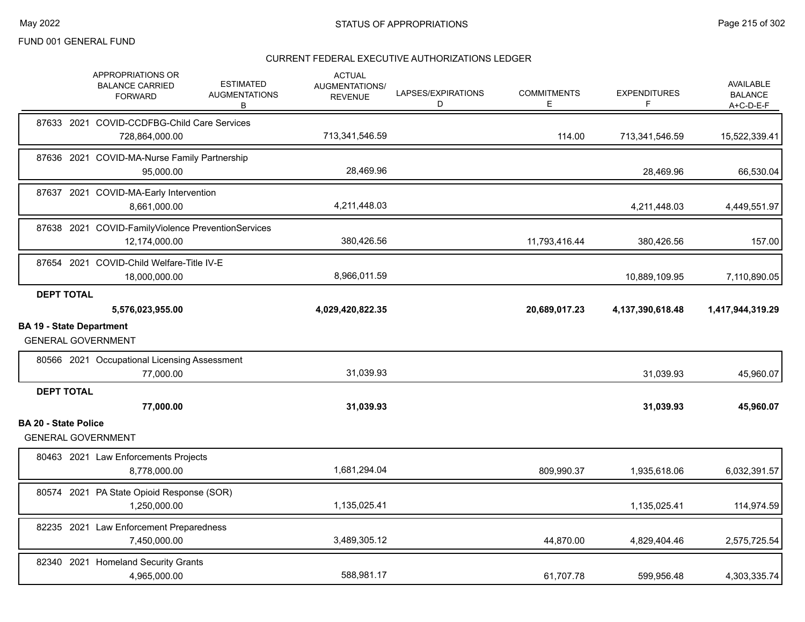|                                 |                   | APPROPRIATIONS OR<br><b>BALANCE CARRIED</b><br><b>FORWARD</b>       | <b>ESTIMATED</b><br><b>AUGMENTATIONS</b><br>B | <b>ACTUAL</b><br><b>AUGMENTATIONS/</b><br><b>REVENUE</b> | LAPSES/EXPIRATIONS<br>D | <b>COMMITMENTS</b><br>E. | <b>EXPENDITURES</b> | <b>AVAILABLE</b><br><b>BALANCE</b><br>$A+C-D-E-F$ |
|---------------------------------|-------------------|---------------------------------------------------------------------|-----------------------------------------------|----------------------------------------------------------|-------------------------|--------------------------|---------------------|---------------------------------------------------|
|                                 |                   | 87633 2021 COVID-CCDFBG-Child Care Services<br>728,864,000.00       |                                               | 713,341,546.59                                           |                         | 114.00                   | 713,341,546.59      | 15,522,339.41                                     |
|                                 |                   | 87636 2021 COVID-MA-Nurse Family Partnership<br>95,000.00           |                                               | 28,469.96                                                |                         |                          | 28,469.96           | 66,530.04                                         |
|                                 |                   | 87637 2021 COVID-MA-Early Intervention<br>8,661,000.00              |                                               | 4,211,448.03                                             |                         |                          | 4,211,448.03        | 4,449,551.97                                      |
|                                 |                   | 87638 2021 COVID-FamilyViolence PreventionServices<br>12,174,000.00 |                                               | 380,426.56                                               |                         | 11,793,416.44            | 380,426.56          | 157.00                                            |
|                                 |                   | 87654 2021 COVID-Child Welfare-Title IV-E<br>18,000,000.00          |                                               | 8,966,011.59                                             |                         |                          | 10,889,109.95       | 7,110,890.05                                      |
|                                 | <b>DEPT TOTAL</b> | 5,576,023,955.00                                                    |                                               | 4,029,420,822.35                                         |                         | 20,689,017.23            | 4,137,390,618.48    | 1,417,944,319.29                                  |
| <b>BA 19 - State Department</b> |                   | <b>GENERAL GOVERNMENT</b>                                           |                                               |                                                          |                         |                          |                     |                                                   |
|                                 |                   | 80566 2021 Occupational Licensing Assessment<br>77,000.00           |                                               | 31,039.93                                                |                         |                          | 31,039.93           | 45,960.07                                         |
|                                 | <b>DEPT TOTAL</b> | 77,000.00                                                           |                                               | 31,039.93                                                |                         |                          | 31,039.93           | 45,960.07                                         |
| <b>BA 20 - State Police</b>     |                   | <b>GENERAL GOVERNMENT</b>                                           |                                               |                                                          |                         |                          |                     |                                                   |
|                                 |                   | 80463 2021 Law Enforcements Projects<br>8,778,000.00                |                                               | 1,681,294.04                                             |                         | 809,990.37               | 1,935,618.06        | 6,032,391.57                                      |
|                                 |                   | 80574 2021 PA State Opioid Response (SOR)<br>1,250,000.00           |                                               | 1,135,025.41                                             |                         |                          | 1,135,025.41        | 114,974.59                                        |
|                                 |                   | 82235 2021 Law Enforcement Preparedness<br>7,450,000.00             |                                               | 3,489,305.12                                             |                         | 44,870.00                | 4,829,404.46        | 2,575,725.54                                      |
|                                 |                   | 82340 2021 Homeland Security Grants<br>4,965,000.00                 |                                               | 588.981.17                                               |                         | 61.707.78                | 599,956.48          | 4,303,335.74                                      |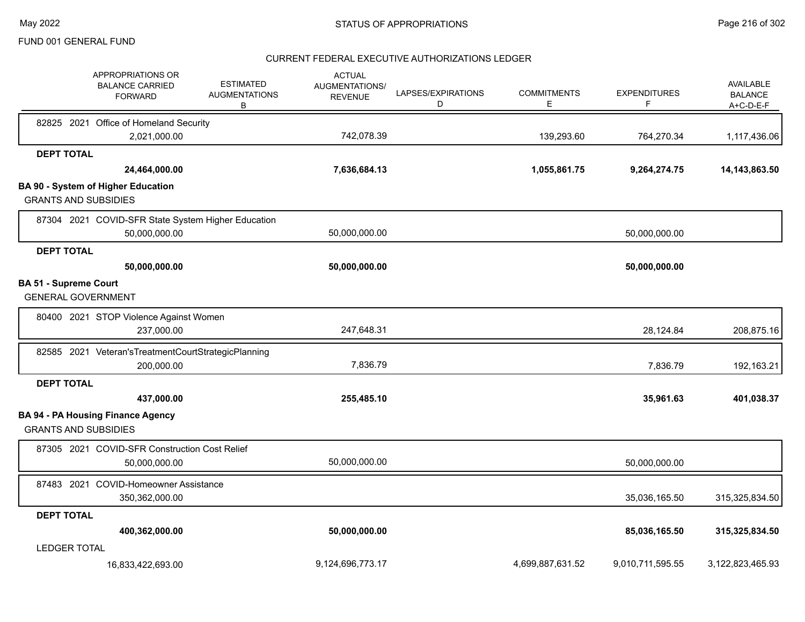|                                                           | <b>APPROPRIATIONS OR</b><br><b>BALANCE CARRIED</b><br><b>FORWARD</b>  | <b>ESTIMATED</b><br><b>AUGMENTATIONS</b><br>В | <b>ACTUAL</b><br>AUGMENTATIONS/<br><b>REVENUE</b> | LAPSES/EXPIRATIONS<br>D | <b>COMMITMENTS</b><br>E | <b>EXPENDITURES</b><br>F | <b>AVAILABLE</b><br><b>BALANCE</b><br>$A+C-D-E-F$ |
|-----------------------------------------------------------|-----------------------------------------------------------------------|-----------------------------------------------|---------------------------------------------------|-------------------------|-------------------------|--------------------------|---------------------------------------------------|
|                                                           | 82825 2021 Office of Homeland Security                                |                                               |                                                   |                         |                         |                          |                                                   |
|                                                           | 2,021,000.00                                                          |                                               | 742,078.39                                        |                         | 139,293.60              | 764,270.34               | 1,117,436.06                                      |
| <b>DEPT TOTAL</b>                                         |                                                                       |                                               |                                                   |                         |                         |                          |                                                   |
|                                                           | 24,464,000.00                                                         |                                               | 7,636,684.13                                      |                         | 1,055,861.75            | 9,264,274.75             | 14,143,863.50                                     |
|                                                           | <b>BA 90 - System of Higher Education</b>                             |                                               |                                                   |                         |                         |                          |                                                   |
| <b>GRANTS AND SUBSIDIES</b>                               |                                                                       |                                               |                                                   |                         |                         |                          |                                                   |
|                                                           | 87304 2021 COVID-SFR State System Higher Education                    |                                               |                                                   |                         |                         |                          |                                                   |
|                                                           | 50,000,000.00                                                         |                                               | 50,000,000.00                                     |                         |                         | 50,000,000.00            |                                                   |
| <b>DEPT TOTAL</b>                                         |                                                                       |                                               |                                                   |                         |                         |                          |                                                   |
|                                                           | 50,000,000.00                                                         |                                               | 50,000,000.00                                     |                         |                         | 50,000,000.00            |                                                   |
| <b>BA 51 - Supreme Court</b><br><b>GENERAL GOVERNMENT</b> |                                                                       |                                               |                                                   |                         |                         |                          |                                                   |
|                                                           | 80400 2021 STOP Violence Against Women                                |                                               |                                                   |                         |                         |                          |                                                   |
|                                                           | 237,000.00                                                            |                                               | 247,648.31                                        |                         |                         | 28,124.84                | 208,875.16                                        |
|                                                           | 82585 2021 Veteran's Treatment Court Strategic Planning<br>200,000.00 |                                               | 7,836.79                                          |                         |                         | 7,836.79                 | 192,163.21                                        |
| <b>DEPT TOTAL</b>                                         |                                                                       |                                               |                                                   |                         |                         |                          |                                                   |
|                                                           | 437,000.00                                                            |                                               | 255,485.10                                        |                         |                         | 35,961.63                | 401,038.37                                        |
| <b>GRANTS AND SUBSIDIES</b>                               | <b>BA 94 - PA Housing Finance Agency</b>                              |                                               |                                                   |                         |                         |                          |                                                   |
|                                                           | 87305 2021 COVID-SFR Construction Cost Relief<br>50,000,000.00        |                                               | 50,000,000.00                                     |                         |                         | 50,000,000.00            |                                                   |
|                                                           | 87483 2021 COVID-Homeowner Assistance<br>350,362,000.00               |                                               |                                                   |                         |                         | 35,036,165.50            | 315,325,834.50                                    |
| <b>DEPT TOTAL</b>                                         |                                                                       |                                               |                                                   |                         |                         |                          |                                                   |
|                                                           | 400,362,000.00                                                        |                                               | 50,000,000.00                                     |                         |                         | 85,036,165.50            | 315,325,834.50                                    |
| <b>LEDGER TOTAL</b>                                       |                                                                       |                                               |                                                   |                         |                         |                          |                                                   |
|                                                           | 16,833,422,693.00                                                     |                                               | 9,124,696,773.17                                  |                         | 4,699,887,631.52        | 9,010,711,595.55         | 3,122,823,465.93                                  |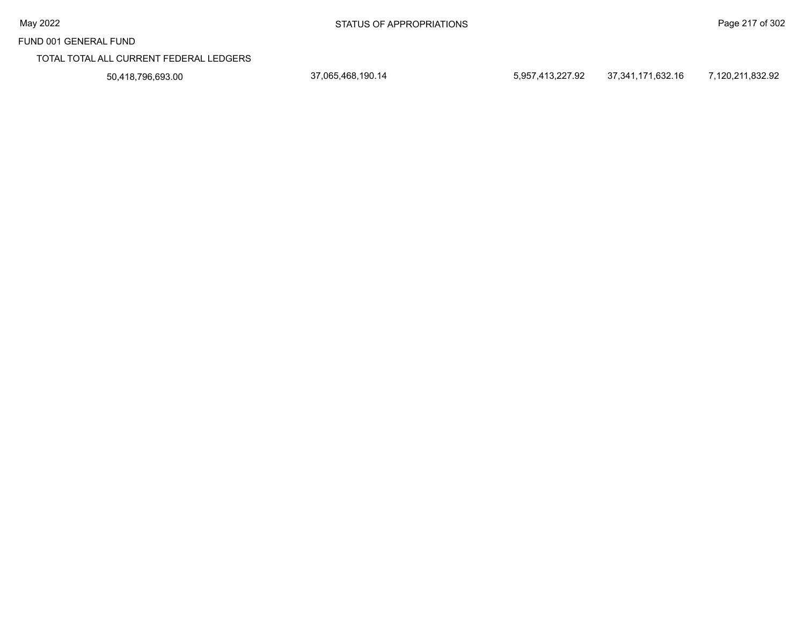TOTAL TOTAL ALL CURRENT FEDERAL LEDGERS

50,418,796,693.00 37,065,468,190.14 5,957,413,227.92 37,341,171,632.16 7,120,211,832.92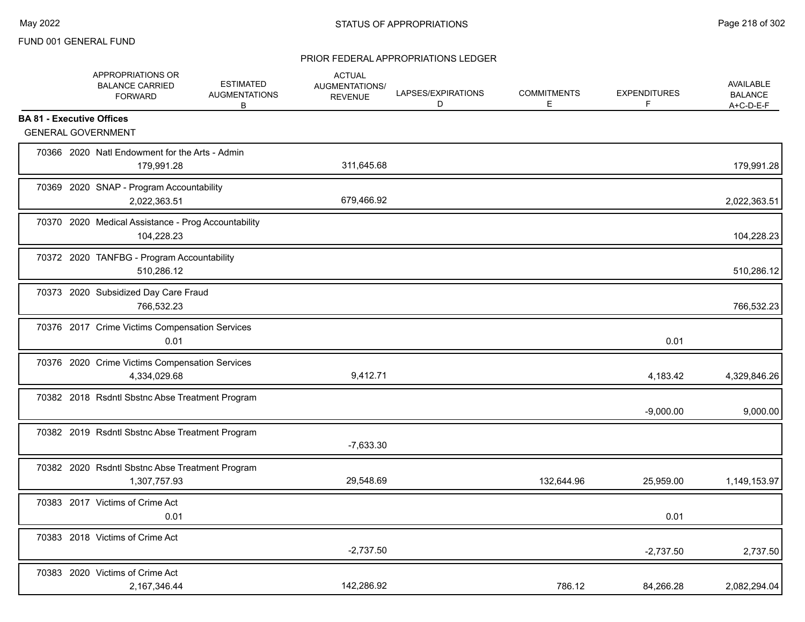| APPROPRIATIONS OR<br><b>BALANCE CARRIED</b><br><b>FORWARD</b>     | <b>ESTIMATED</b><br><b>AUGMENTATIONS</b><br>В | <b>ACTUAL</b><br>AUGMENTATIONS/<br><b>REVENUE</b> | LAPSES/EXPIRATIONS<br>D | <b>COMMITMENTS</b><br>E | <b>EXPENDITURES</b><br>F | <b>AVAILABLE</b><br><b>BALANCE</b><br>A+C-D-E-F |
|-------------------------------------------------------------------|-----------------------------------------------|---------------------------------------------------|-------------------------|-------------------------|--------------------------|-------------------------------------------------|
| <b>BA 81 - Executive Offices</b>                                  |                                               |                                                   |                         |                         |                          |                                                 |
| <b>GENERAL GOVERNMENT</b>                                         |                                               |                                                   |                         |                         |                          |                                                 |
| 70366 2020 Natl Endowment for the Arts - Admin<br>179,991.28      |                                               | 311,645.68                                        |                         |                         |                          | 179,991.28                                      |
| 70369 2020 SNAP - Program Accountability<br>2,022,363.51          |                                               | 679,466.92                                        |                         |                         |                          | 2,022,363.51                                    |
| 70370 2020 Medical Assistance - Prog Accountability<br>104,228.23 |                                               |                                                   |                         |                         |                          | 104,228.23                                      |
| 70372 2020 TANFBG - Program Accountability<br>510,286.12          |                                               |                                                   |                         |                         |                          | 510,286.12                                      |
| 70373 2020 Subsidized Day Care Fraud<br>766,532.23                |                                               |                                                   |                         |                         |                          | 766,532.23                                      |
| 70376 2017 Crime Victims Compensation Services<br>0.01            |                                               |                                                   |                         |                         | 0.01                     |                                                 |
| 70376 2020 Crime Victims Compensation Services<br>4,334,029.68    |                                               | 9,412.71                                          |                         |                         | 4,183.42                 | 4,329,846.26                                    |
| 70382 2018 Rsdntl Sbstnc Abse Treatment Program                   |                                               |                                                   |                         |                         | $-9,000.00$              | 9,000.00                                        |
| 70382 2019 Rsdntl Sbstnc Abse Treatment Program                   |                                               | $-7,633.30$                                       |                         |                         |                          |                                                 |
| 70382 2020 Rsdntl Sbstnc Abse Treatment Program<br>1,307,757.93   |                                               | 29,548.69                                         |                         | 132,644.96              | 25,959.00                | 1,149,153.97                                    |
| 70383 2017 Victims of Crime Act<br>0.01                           |                                               |                                                   |                         |                         | 0.01                     |                                                 |
| 70383 2018 Victims of Crime Act                                   |                                               | $-2,737.50$                                       |                         |                         | $-2,737.50$              | 2,737.50                                        |
| 70383 2020 Victims of Crime Act<br>2,167,346.44                   |                                               | 142,286.92                                        |                         | 786.12                  | 84,266.28                | 2,082,294.04                                    |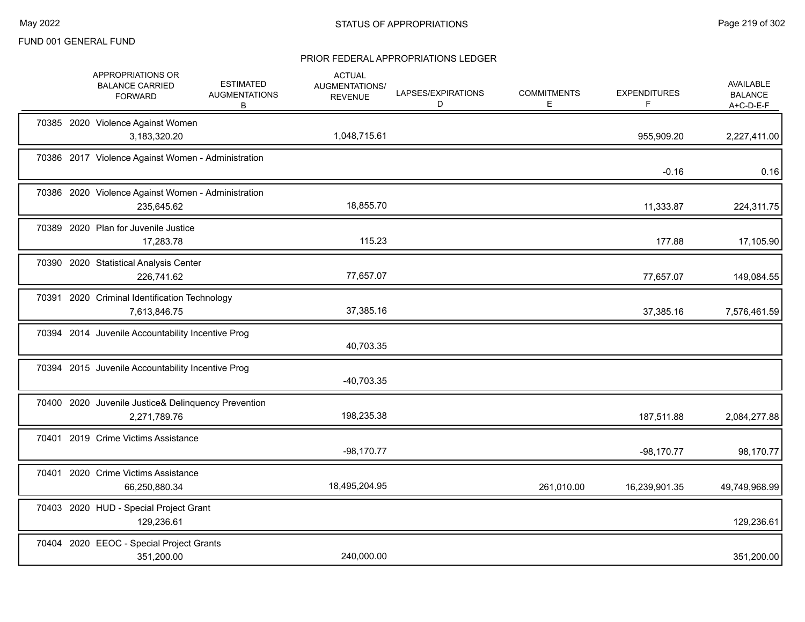|       | APPROPRIATIONS OR<br><b>BALANCE CARRIED</b><br><b>FORWARD</b>       | <b>ESTIMATED</b><br><b>AUGMENTATIONS</b><br>B | <b>ACTUAL</b><br>AUGMENTATIONS/<br><b>REVENUE</b> | LAPSES/EXPIRATIONS<br>D | <b>COMMITMENTS</b><br>E. | <b>EXPENDITURES</b> | AVAILABLE<br><b>BALANCE</b><br>$A+C-D-E-F$ |
|-------|---------------------------------------------------------------------|-----------------------------------------------|---------------------------------------------------|-------------------------|--------------------------|---------------------|--------------------------------------------|
|       | 70385 2020 Violence Against Women<br>3,183,320.20                   |                                               | 1,048,715.61                                      |                         |                          | 955,909.20          | 2,227,411.00                               |
|       | 70386 2017 Violence Against Women - Administration                  |                                               |                                                   |                         |                          | $-0.16$             | 0.16                                       |
|       | 70386 2020 Violence Against Women - Administration<br>235,645.62    |                                               | 18,855.70                                         |                         |                          | 11,333.87           | 224,311.75                                 |
|       | 70389 2020 Plan for Juvenile Justice<br>17,283.78                   |                                               | 115.23                                            |                         |                          | 177.88              | 17,105.90                                  |
|       | 70390 2020 Statistical Analysis Center<br>226,741.62                |                                               | 77,657.07                                         |                         |                          | 77,657.07           | 149,084.55                                 |
|       | 70391 2020 Criminal Identification Technology<br>7,613,846.75       |                                               | 37,385.16                                         |                         |                          | 37,385.16           | 7,576,461.59                               |
|       | 70394 2014 Juvenile Accountability Incentive Prog                   |                                               | 40,703.35                                         |                         |                          |                     |                                            |
|       | 70394 2015 Juvenile Accountability Incentive Prog                   |                                               | $-40,703.35$                                      |                         |                          |                     |                                            |
|       | 70400 2020 Juvenile Justice& Delinquency Prevention<br>2,271,789.76 |                                               | 198,235.38                                        |                         |                          | 187,511.88          | 2,084,277.88                               |
| 70401 | 2019 Crime Victims Assistance                                       |                                               | $-98,170.77$                                      |                         |                          | $-98,170.77$        | 98,170.77                                  |
|       | 70401 2020 Crime Victims Assistance<br>66,250,880.34                |                                               | 18,495,204.95                                     |                         | 261,010.00               | 16,239,901.35       | 49,749,968.99                              |
|       | 70403 2020 HUD - Special Project Grant<br>129,236.61                |                                               |                                                   |                         |                          |                     | 129,236.61                                 |
|       | 70404 2020 EEOC - Special Project Grants<br>351,200.00              |                                               | 240,000.00                                        |                         |                          |                     | 351,200.00                                 |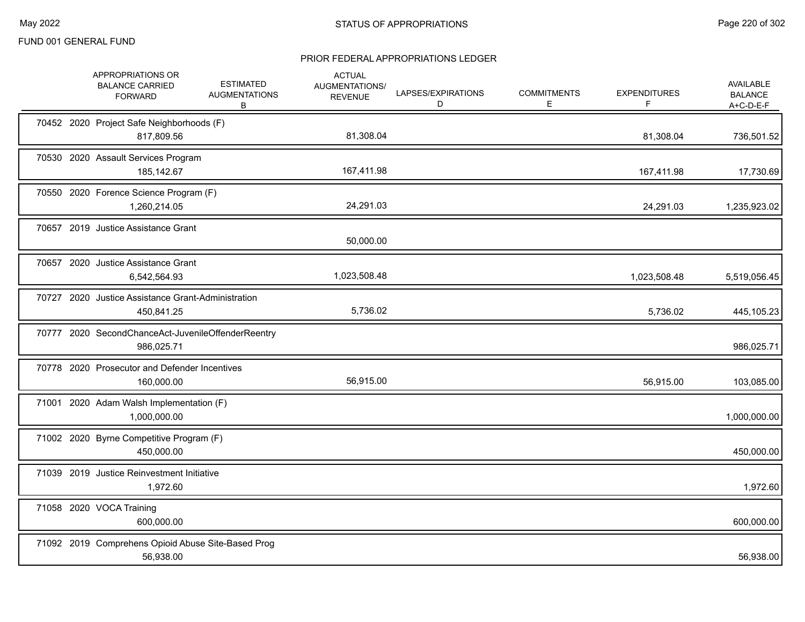|  | APPROPRIATIONS OR<br><b>BALANCE CARRIED</b><br><b>FORWARD</b>    | <b>ESTIMATED</b><br><b>AUGMENTATIONS</b><br>В | <b>ACTUAL</b><br>AUGMENTATIONS/<br><b>REVENUE</b> | LAPSES/EXPIRATIONS<br>D | <b>COMMITMENTS</b><br>Е | <b>EXPENDITURES</b><br>F | <b>AVAILABLE</b><br><b>BALANCE</b><br>$A+C-D-E-F$ |
|--|------------------------------------------------------------------|-----------------------------------------------|---------------------------------------------------|-------------------------|-------------------------|--------------------------|---------------------------------------------------|
|  | 70452 2020 Project Safe Neighborhoods (F)<br>817,809.56          |                                               | 81,308.04                                         |                         |                         | 81,308.04                | 736,501.52                                        |
|  | 70530 2020 Assault Services Program<br>185,142.67                |                                               | 167,411.98                                        |                         |                         | 167,411.98               | 17,730.69                                         |
|  | 70550 2020 Forence Science Program (F)<br>1,260,214.05           |                                               | 24,291.03                                         |                         |                         | 24,291.03                | 1,235,923.02                                      |
|  | 70657 2019 Justice Assistance Grant                              |                                               | 50,000.00                                         |                         |                         |                          |                                                   |
|  | 70657 2020 Justice Assistance Grant<br>6,542,564.93              |                                               | 1,023,508.48                                      |                         |                         | 1,023,508.48             | 5,519,056.45                                      |
|  | 70727 2020 Justice Assistance Grant-Administration<br>450,841.25 |                                               | 5,736.02                                          |                         |                         | 5,736.02                 | 445,105.23                                        |
|  | 70777 2020 SecondChanceAct-JuvenileOffenderReentry<br>986,025.71 |                                               |                                                   |                         |                         |                          | 986,025.71                                        |
|  | 70778 2020 Prosecutor and Defender Incentives<br>160,000.00      |                                               | 56,915.00                                         |                         |                         | 56,915.00                | 103,085.00                                        |
|  | 71001 2020 Adam Walsh Implementation (F)<br>1,000,000.00         |                                               |                                                   |                         |                         |                          | 1,000,000.00                                      |
|  | 71002 2020 Byrne Competitive Program (F)<br>450,000.00           |                                               |                                                   |                         |                         |                          | 450,000.00                                        |
|  | 71039 2019 Justice Reinvestment Initiative<br>1,972.60           |                                               |                                                   |                         |                         |                          | 1,972.60                                          |
|  | 71058 2020 VOCA Training<br>600,000.00                           |                                               |                                                   |                         |                         |                          | 600,000.00                                        |
|  | 71092 2019 Comprehens Opioid Abuse Site-Based Prog<br>56,938.00  |                                               |                                                   |                         |                         |                          | 56,938.00                                         |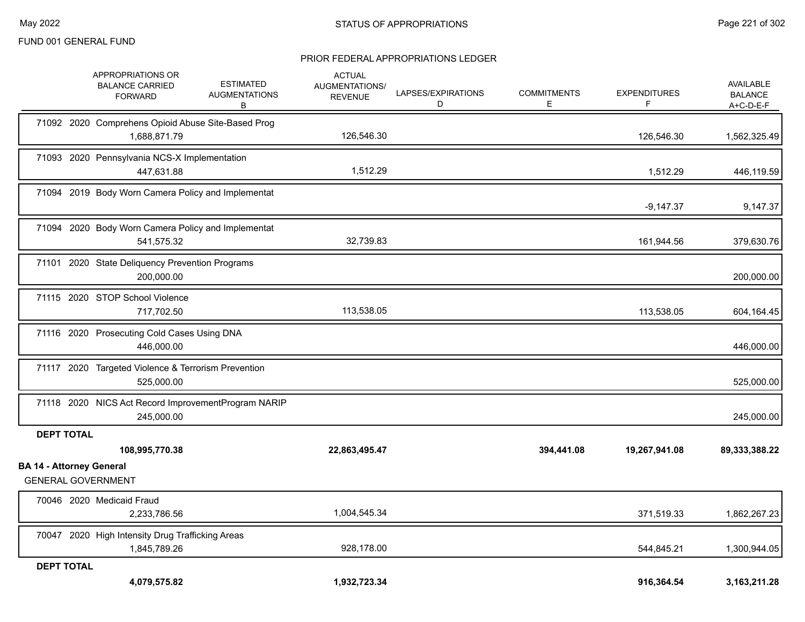|                                 | APPROPRIATIONS OR<br><b>BALANCE CARRIED</b><br><b>FORWARD</b>      | <b>ESTIMATED</b><br><b>AUGMENTATIONS</b><br>В | <b>ACTUAL</b><br><b>AUGMENTATIONS/</b><br><b>REVENUE</b> | LAPSES/EXPIRATIONS<br>D | <b>COMMITMENTS</b><br>E. | <b>EXPENDITURES</b><br>F | <b>AVAILABLE</b><br><b>BALANCE</b><br>A+C-D-E-F |
|---------------------------------|--------------------------------------------------------------------|-----------------------------------------------|----------------------------------------------------------|-------------------------|--------------------------|--------------------------|-------------------------------------------------|
|                                 | 71092 2020 Comprehens Opioid Abuse Site-Based Prog<br>1,688,871.79 |                                               | 126,546.30                                               |                         |                          | 126,546.30               | 1,562,325.49                                    |
|                                 | 71093 2020 Pennsylvania NCS-X Implementation<br>447,631.88         |                                               | 1,512.29                                                 |                         |                          | 1,512.29                 | 446,119.59                                      |
|                                 | 71094 2019 Body Worn Camera Policy and Implementat                 |                                               |                                                          |                         |                          | $-9,147.37$              | 9,147.37                                        |
|                                 | 71094 2020 Body Worn Camera Policy and Implementat<br>541,575.32   |                                               | 32,739.83                                                |                         |                          | 161,944.56               | 379,630.76                                      |
|                                 | 71101 2020 State Deliquency Prevention Programs<br>200,000.00      |                                               |                                                          |                         |                          |                          | 200,000.00                                      |
|                                 | 71115 2020 STOP School Violence<br>717,702.50                      |                                               | 113,538.05                                               |                         |                          | 113,538.05               | 604,164.45                                      |
|                                 | 71116 2020 Prosecuting Cold Cases Using DNA<br>446,000.00          |                                               |                                                          |                         |                          |                          | 446,000.00                                      |
|                                 | 71117 2020 Targeted Violence & Terrorism Prevention<br>525,000.00  |                                               |                                                          |                         |                          |                          | 525,000.00                                      |
|                                 | 71118 2020 NICS Act Record ImprovementProgram NARIP<br>245,000.00  |                                               |                                                          |                         |                          |                          | 245,000.00                                      |
| <b>DEPT TOTAL</b>               |                                                                    |                                               |                                                          |                         |                          |                          |                                                 |
|                                 | 108,995,770.38                                                     |                                               | 22,863,495.47                                            |                         | 394,441.08               | 19,267,941.08            | 89,333,388.22                                   |
| <b>BA 14 - Attorney General</b> | <b>GENERAL GOVERNMENT</b>                                          |                                               |                                                          |                         |                          |                          |                                                 |
|                                 | 70046 2020 Medicaid Fraud<br>2,233,786.56                          |                                               | 1,004,545.34                                             |                         |                          | 371,519.33               | 1,862,267.23                                    |
|                                 | 70047 2020 High Intensity Drug Trafficking Areas<br>1,845,789.26   |                                               | 928,178.00                                               |                         |                          | 544,845.21               | 1,300,944.05                                    |
| <b>DEPT TOTAL</b>               | 4,079,575.82                                                       |                                               | 1,932,723.34                                             |                         |                          | 916,364.54               | 3,163,211.28                                    |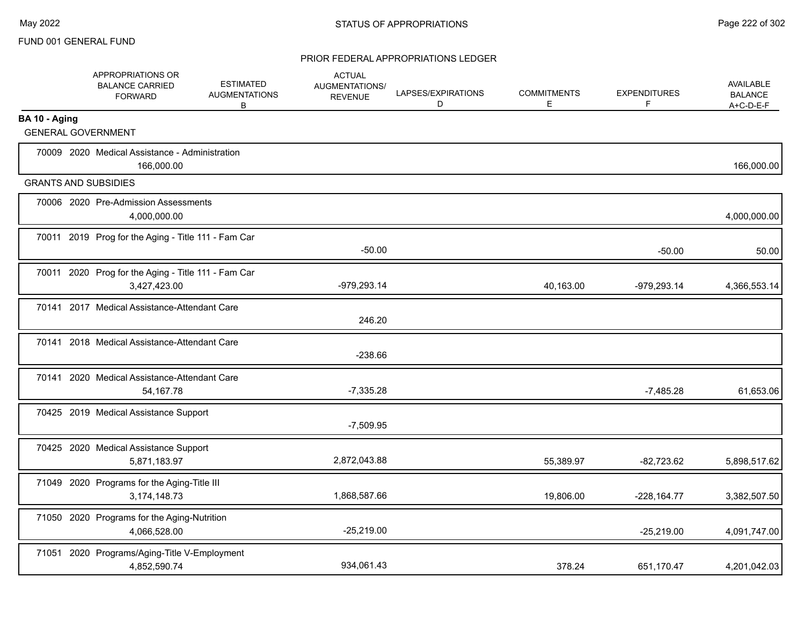|               | APPROPRIATIONS OR<br><b>BALANCE CARRIED</b><br><b>FORWARD</b>       | <b>ESTIMATED</b><br><b>AUGMENTATIONS</b><br>В | <b>ACTUAL</b><br><b>AUGMENTATIONS/</b><br><b>REVENUE</b> | LAPSES/EXPIRATIONS<br>D | <b>COMMITMENTS</b><br>E | <b>EXPENDITURES</b><br>F | AVAILABLE<br><b>BALANCE</b><br>$A+C-D-E-F$ |
|---------------|---------------------------------------------------------------------|-----------------------------------------------|----------------------------------------------------------|-------------------------|-------------------------|--------------------------|--------------------------------------------|
| BA 10 - Aging |                                                                     |                                               |                                                          |                         |                         |                          |                                            |
|               | <b>GENERAL GOVERNMENT</b>                                           |                                               |                                                          |                         |                         |                          |                                            |
|               | 70009 2020 Medical Assistance - Administration<br>166,000.00        |                                               |                                                          |                         |                         |                          | 166,000.00                                 |
|               | <b>GRANTS AND SUBSIDIES</b>                                         |                                               |                                                          |                         |                         |                          |                                            |
|               | 70006 2020 Pre-Admission Assessments<br>4,000,000.00                |                                               |                                                          |                         |                         |                          | 4,000,000.00                               |
|               | 70011 2019 Prog for the Aging - Title 111 - Fam Car                 |                                               | $-50.00$                                                 |                         |                         | $-50.00$                 | 50.00                                      |
|               | 70011 2020 Prog for the Aging - Title 111 - Fam Car<br>3,427,423.00 |                                               | -979,293.14                                              |                         | 40,163.00               | $-979,293.14$            | 4,366,553.14                               |
|               | 70141 2017 Medical Assistance-Attendant Care                        |                                               | 246.20                                                   |                         |                         |                          |                                            |
|               | 70141 2018 Medical Assistance-Attendant Care                        |                                               | $-238.66$                                                |                         |                         |                          |                                            |
|               | 70141 2020 Medical Assistance-Attendant Care<br>54, 167. 78         |                                               | $-7,335.28$                                              |                         |                         | $-7,485.28$              | 61,653.06                                  |
|               | 70425 2019 Medical Assistance Support                               |                                               | $-7,509.95$                                              |                         |                         |                          |                                            |
|               | 70425 2020 Medical Assistance Support<br>5,871,183.97               |                                               | 2,872,043.88                                             |                         | 55,389.97               | $-82,723.62$             | 5,898,517.62                               |
|               | 71049 2020 Programs for the Aging-Title III<br>3,174,148.73         |                                               | 1,868,587.66                                             |                         | 19,806.00               | $-228, 164.77$           | 3,382,507.50                               |
|               | 71050 2020 Programs for the Aging-Nutrition<br>4,066,528.00         |                                               | $-25,219.00$                                             |                         |                         | $-25,219.00$             | 4,091,747.00                               |
| 71051         | 2020 Programs/Aging-Title V-Employment<br>4,852,590.74              |                                               | 934,061.43                                               |                         | 378.24                  | 651,170.47               | 4,201,042.03                               |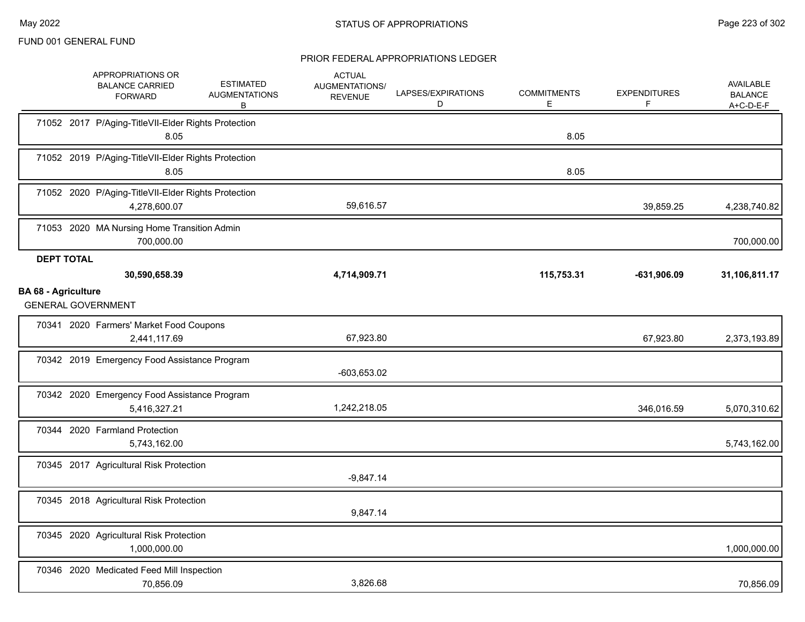|                                                 | APPROPRIATIONS OR<br><b>BALANCE CARRIED</b><br><b>FORWARD</b>       | <b>ESTIMATED</b><br><b>AUGMENTATIONS</b><br>В | <b>ACTUAL</b><br>AUGMENTATIONS/<br><b>REVENUE</b> | LAPSES/EXPIRATIONS<br>D | <b>COMMITMENTS</b><br>Е | <b>EXPENDITURES</b> | <b>AVAILABLE</b><br><b>BALANCE</b><br>A+C-D-E-F |
|-------------------------------------------------|---------------------------------------------------------------------|-----------------------------------------------|---------------------------------------------------|-------------------------|-------------------------|---------------------|-------------------------------------------------|
|                                                 | 71052 2017 P/Aging-TitleVII-Elder Rights Protection<br>8.05         |                                               |                                                   |                         | 8.05                    |                     |                                                 |
|                                                 | 71052 2019 P/Aging-TitleVII-Elder Rights Protection<br>8.05         |                                               |                                                   |                         | 8.05                    |                     |                                                 |
|                                                 | 71052 2020 P/Aging-TitleVII-Elder Rights Protection<br>4,278,600.07 |                                               | 59,616.57                                         |                         |                         | 39,859.25           | 4,238,740.82                                    |
|                                                 | 71053 2020 MA Nursing Home Transition Admin<br>700,000.00           |                                               |                                                   |                         |                         |                     | 700,000.00                                      |
| <b>DEPT TOTAL</b><br><b>BA 68 - Agriculture</b> | 30,590,658.39<br><b>GENERAL GOVERNMENT</b>                          |                                               | 4,714,909.71                                      |                         | 115,753.31              | $-631,906.09$       | 31,106,811.17                                   |
|                                                 | 70341 2020 Farmers' Market Food Coupons<br>2,441,117.69             |                                               | 67,923.80                                         |                         |                         | 67,923.80           | 2,373,193.89                                    |
|                                                 | 70342 2019 Emergency Food Assistance Program                        |                                               | $-603,653.02$                                     |                         |                         |                     |                                                 |
|                                                 | 70342 2020 Emergency Food Assistance Program<br>5,416,327.21        |                                               | 1,242,218.05                                      |                         |                         | 346,016.59          | 5,070,310.62                                    |
|                                                 | 70344 2020 Farmland Protection<br>5,743,162.00                      |                                               |                                                   |                         |                         |                     | 5,743,162.00                                    |
|                                                 | 70345 2017 Agricultural Risk Protection                             |                                               | $-9,847.14$                                       |                         |                         |                     |                                                 |
|                                                 | 70345 2018 Agricultural Risk Protection                             |                                               | 9,847.14                                          |                         |                         |                     |                                                 |
|                                                 | 70345 2020 Agricultural Risk Protection<br>1,000,000.00             |                                               |                                                   |                         |                         |                     | 1,000,000.00                                    |
|                                                 | 70346 2020 Medicated Feed Mill Inspection<br>70.856.09              |                                               | 3,826.68                                          |                         |                         |                     | 70,856.09                                       |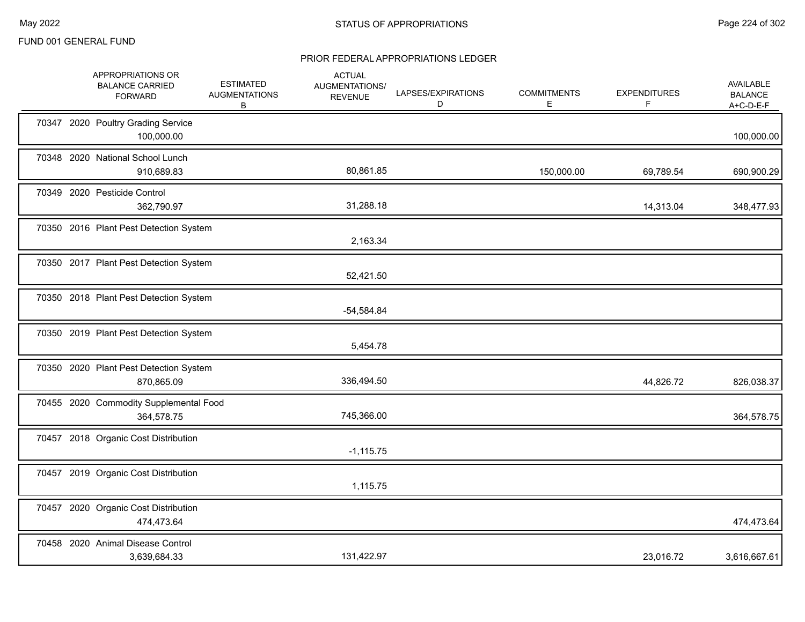|  | APPROPRIATIONS OR<br><b>BALANCE CARRIED</b><br><b>FORWARD</b> | <b>ESTIMATED</b><br><b>AUGMENTATIONS</b><br>В | <b>ACTUAL</b><br>AUGMENTATIONS/<br><b>REVENUE</b> | LAPSES/EXPIRATIONS<br>D | <b>COMMITMENTS</b><br>E. | <b>EXPENDITURES</b><br>F | AVAILABLE<br><b>BALANCE</b><br>A+C-D-E-F |
|--|---------------------------------------------------------------|-----------------------------------------------|---------------------------------------------------|-------------------------|--------------------------|--------------------------|------------------------------------------|
|  | 70347 2020 Poultry Grading Service<br>100,000.00              |                                               |                                                   |                         |                          |                          | 100,000.00                               |
|  | 70348 2020 National School Lunch<br>910,689.83                |                                               | 80,861.85                                         |                         | 150,000.00               | 69,789.54                | 690,900.29                               |
|  | 70349 2020 Pesticide Control<br>362,790.97                    |                                               | 31,288.18                                         |                         |                          | 14,313.04                | 348,477.93                               |
|  | 70350 2016 Plant Pest Detection System                        |                                               | 2,163.34                                          |                         |                          |                          |                                          |
|  | 70350 2017 Plant Pest Detection System                        |                                               | 52,421.50                                         |                         |                          |                          |                                          |
|  | 70350 2018 Plant Pest Detection System                        |                                               | $-54,584.84$                                      |                         |                          |                          |                                          |
|  | 70350 2019 Plant Pest Detection System                        |                                               | 5,454.78                                          |                         |                          |                          |                                          |
|  | 70350 2020 Plant Pest Detection System<br>870,865.09          |                                               | 336,494.50                                        |                         |                          | 44,826.72                | 826,038.37                               |
|  | 70455 2020 Commodity Supplemental Food<br>364,578.75          |                                               | 745,366.00                                        |                         |                          |                          | 364,578.75                               |
|  | 70457 2018 Organic Cost Distribution                          |                                               | $-1,115.75$                                       |                         |                          |                          |                                          |
|  | 70457 2019 Organic Cost Distribution                          |                                               | 1,115.75                                          |                         |                          |                          |                                          |
|  | 70457 2020 Organic Cost Distribution<br>474,473.64            |                                               |                                                   |                         |                          |                          | 474,473.64                               |
|  | 70458 2020 Animal Disease Control<br>3,639,684.33             |                                               | 131,422.97                                        |                         |                          | 23,016.72                | 3,616,667.61                             |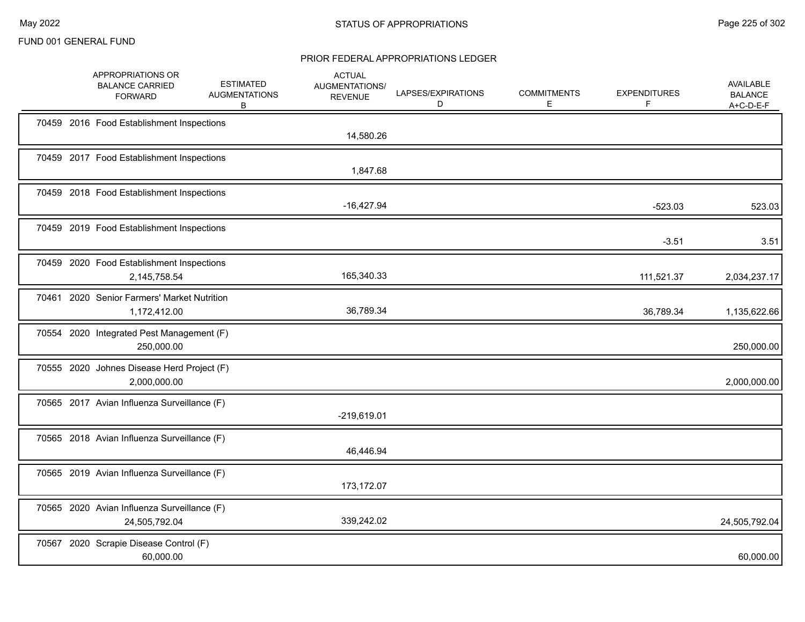|  | APPROPRIATIONS OR<br><b>BALANCE CARRIED</b><br><b>FORWARD</b> | <b>ESTIMATED</b><br><b>AUGMENTATIONS</b><br>B | <b>ACTUAL</b><br><b>AUGMENTATIONS/</b><br><b>REVENUE</b> | LAPSES/EXPIRATIONS<br>D | <b>COMMITMENTS</b><br>E. | <b>EXPENDITURES</b><br>F | <b>AVAILABLE</b><br><b>BALANCE</b><br>$A+C-D-E-F$ |
|--|---------------------------------------------------------------|-----------------------------------------------|----------------------------------------------------------|-------------------------|--------------------------|--------------------------|---------------------------------------------------|
|  | 70459 2016 Food Establishment Inspections                     |                                               | 14,580.26                                                |                         |                          |                          |                                                   |
|  | 70459 2017 Food Establishment Inspections                     |                                               | 1,847.68                                                 |                         |                          |                          |                                                   |
|  | 70459 2018 Food Establishment Inspections                     |                                               | $-16,427.94$                                             |                         |                          | $-523.03$                | 523.03                                            |
|  | 70459 2019 Food Establishment Inspections                     |                                               |                                                          |                         |                          | $-3.51$                  | 3.51                                              |
|  | 70459 2020 Food Establishment Inspections<br>2,145,758.54     |                                               | 165,340.33                                               |                         |                          | 111,521.37               | 2,034,237.17                                      |
|  | 70461 2020 Senior Farmers' Market Nutrition<br>1,172,412.00   |                                               | 36,789.34                                                |                         |                          | 36,789.34                | 1,135,622.66                                      |
|  | 70554 2020 Integrated Pest Management (F)<br>250,000.00       |                                               |                                                          |                         |                          |                          | 250,000.00                                        |
|  | 70555 2020 Johnes Disease Herd Project (F)<br>2,000,000.00    |                                               |                                                          |                         |                          |                          | 2,000,000.00                                      |
|  | 70565 2017 Avian Influenza Surveillance (F)                   |                                               | $-219,619.01$                                            |                         |                          |                          |                                                   |
|  | 70565 2018 Avian Influenza Surveillance (F)                   |                                               | 46,446.94                                                |                         |                          |                          |                                                   |
|  | 70565 2019 Avian Influenza Surveillance (F)                   |                                               | 173,172.07                                               |                         |                          |                          |                                                   |
|  | 70565 2020 Avian Influenza Surveillance (F)<br>24,505,792.04  |                                               | 339,242.02                                               |                         |                          |                          | 24,505,792.04                                     |
|  | 70567 2020 Scrapie Disease Control (F)<br>60,000.00           |                                               |                                                          |                         |                          |                          | 60,000.00                                         |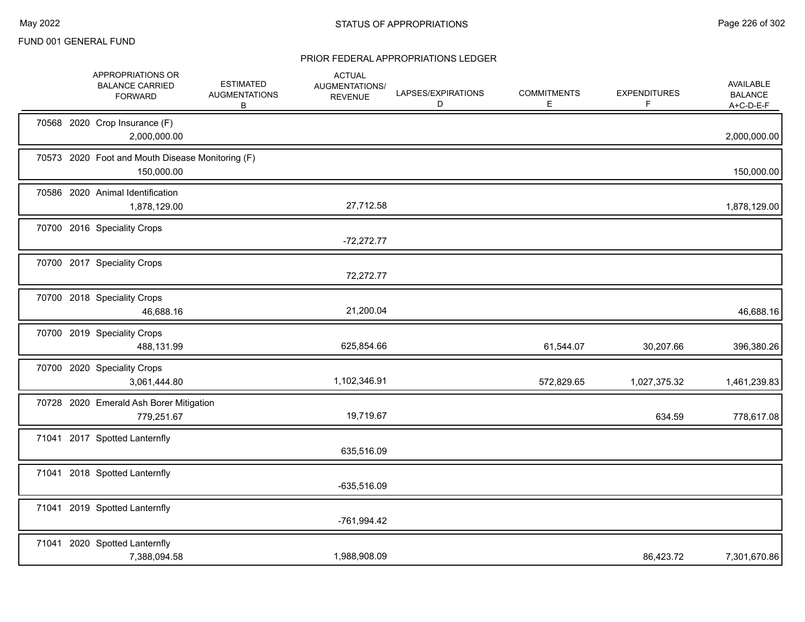|  | APPROPRIATIONS OR<br><b>BALANCE CARRIED</b><br><b>FORWARD</b>  | <b>ESTIMATED</b><br><b>AUGMENTATIONS</b><br>B | <b>ACTUAL</b><br>AUGMENTATIONS/<br><b>REVENUE</b> | LAPSES/EXPIRATIONS<br>D | <b>COMMITMENTS</b><br>Е | <b>EXPENDITURES</b><br>F | AVAILABLE<br><b>BALANCE</b><br>$A+C-D-E-F$ |
|--|----------------------------------------------------------------|-----------------------------------------------|---------------------------------------------------|-------------------------|-------------------------|--------------------------|--------------------------------------------|
|  | 70568 2020 Crop Insurance (F)<br>2,000,000.00                  |                                               |                                                   |                         |                         |                          | 2,000,000.00                               |
|  | 70573 2020 Foot and Mouth Disease Monitoring (F)<br>150,000.00 |                                               |                                                   |                         |                         |                          | 150,000.00                                 |
|  | 70586 2020 Animal Identification<br>1,878,129.00               |                                               | 27,712.58                                         |                         |                         |                          | 1,878,129.00                               |
|  | 70700 2016 Speciality Crops                                    |                                               | $-72,272.77$                                      |                         |                         |                          |                                            |
|  | 70700 2017 Speciality Crops                                    |                                               | 72,272.77                                         |                         |                         |                          |                                            |
|  | 70700 2018 Speciality Crops<br>46,688.16                       |                                               | 21,200.04                                         |                         |                         |                          | 46,688.16                                  |
|  | 70700 2019 Speciality Crops<br>488,131.99                      |                                               | 625,854.66                                        |                         | 61,544.07               | 30,207.66                | 396,380.26                                 |
|  | 70700 2020 Speciality Crops<br>3,061,444.80                    |                                               | 1,102,346.91                                      |                         | 572,829.65              | 1,027,375.32             | 1,461,239.83                               |
|  | 70728 2020 Emerald Ash Borer Mitigation<br>779,251.67          |                                               | 19,719.67                                         |                         |                         | 634.59                   | 778,617.08                                 |
|  | 71041 2017 Spotted Lanternfly                                  |                                               | 635,516.09                                        |                         |                         |                          |                                            |
|  | 71041 2018 Spotted Lanternfly                                  |                                               | $-635,516.09$                                     |                         |                         |                          |                                            |
|  | 71041 2019 Spotted Lanternfly                                  |                                               | -761,994.42                                       |                         |                         |                          |                                            |
|  | 71041 2020 Spotted Lanternfly<br>7,388,094.58                  |                                               | 1,988,908.09                                      |                         |                         | 86,423.72                | 7,301,670.86                               |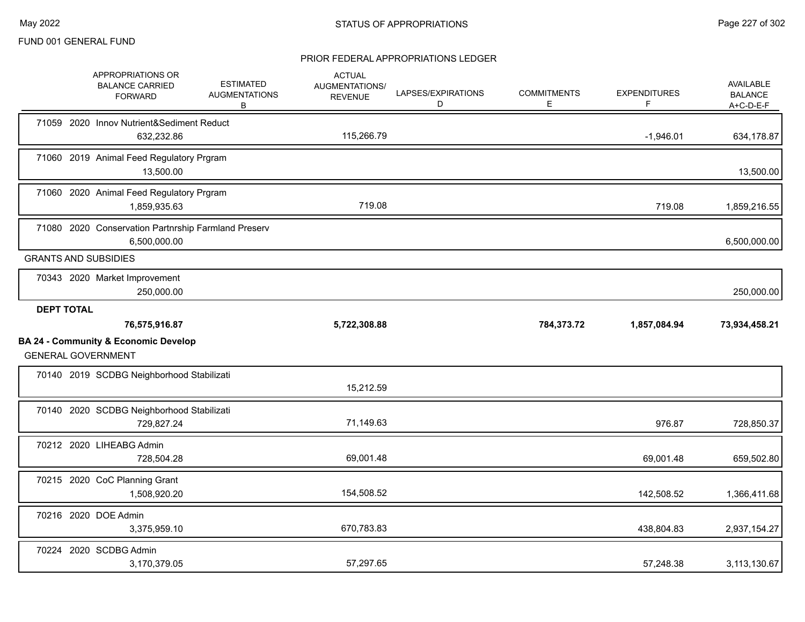|                   | APPROPRIATIONS OR<br><b>BALANCE CARRIED</b><br><b>FORWARD</b>                | <b>ESTIMATED</b><br><b>AUGMENTATIONS</b><br>В | <b>ACTUAL</b><br>AUGMENTATIONS/<br><b>REVENUE</b> | LAPSES/EXPIRATIONS<br>D | <b>COMMITMENTS</b><br>E. | <b>EXPENDITURES</b><br>F. | <b>AVAILABLE</b><br><b>BALANCE</b><br>A+C-D-E-F |
|-------------------|------------------------------------------------------------------------------|-----------------------------------------------|---------------------------------------------------|-------------------------|--------------------------|---------------------------|-------------------------------------------------|
|                   | 71059 2020 Innov Nutrient&Sediment Reduct<br>632,232.86                      |                                               | 115,266.79                                        |                         |                          | $-1,946.01$               | 634,178.87                                      |
|                   | 71060 2019 Animal Feed Regulatory Prgram<br>13,500.00                        |                                               |                                                   |                         |                          |                           | 13,500.00                                       |
|                   | 71060 2020 Animal Feed Regulatory Prgram<br>1,859,935.63                     |                                               | 719.08                                            |                         |                          | 719.08                    | 1,859,216.55                                    |
|                   | 71080 2020 Conservation Partnrship Farmland Preserv<br>6,500,000.00          |                                               |                                                   |                         |                          |                           | 6,500,000.00                                    |
|                   | <b>GRANTS AND SUBSIDIES</b>                                                  |                                               |                                                   |                         |                          |                           |                                                 |
|                   | 70343 2020 Market Improvement<br>250,000.00                                  |                                               |                                                   |                         |                          |                           | 250,000.00                                      |
| <b>DEPT TOTAL</b> |                                                                              |                                               |                                                   |                         |                          |                           |                                                 |
|                   | 76,575,916.87                                                                |                                               | 5,722,308.88                                      |                         | 784,373.72               | 1,857,084.94              | 73,934,458.21                                   |
|                   | <b>BA 24 - Community &amp; Economic Develop</b><br><b>GENERAL GOVERNMENT</b> |                                               |                                                   |                         |                          |                           |                                                 |
|                   | 70140 2019 SCDBG Neighborhood Stabilizati                                    |                                               | 15,212.59                                         |                         |                          |                           |                                                 |
|                   | 70140 2020 SCDBG Neighborhood Stabilizati<br>729,827.24                      |                                               | 71,149.63                                         |                         |                          | 976.87                    | 728,850.37                                      |
|                   | 70212 2020 LIHEABG Admin<br>728,504.28                                       |                                               | 69,001.48                                         |                         |                          | 69,001.48                 | 659,502.80                                      |
|                   | 70215 2020 CoC Planning Grant<br>1,508,920.20                                |                                               | 154,508.52                                        |                         |                          | 142,508.52                | 1,366,411.68                                    |
|                   | 70216 2020 DOE Admin<br>3,375,959.10                                         |                                               | 670,783.83                                        |                         |                          | 438,804.83                | 2,937,154.27                                    |
|                   | 70224 2020 SCDBG Admin<br>3,170,379.05                                       |                                               | 57,297.65                                         |                         |                          | 57.248.38                 | 3,113,130.67                                    |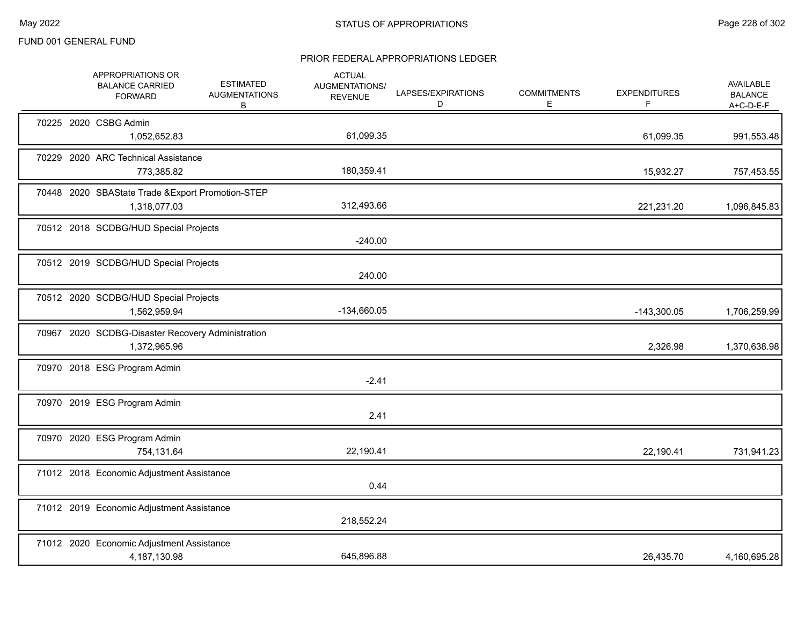|  | APPROPRIATIONS OR<br><b>BALANCE CARRIED</b><br><b>FORWARD</b>     | <b>ESTIMATED</b><br><b>AUGMENTATIONS</b><br>В | <b>ACTUAL</b><br>AUGMENTATIONS/<br><b>REVENUE</b> | LAPSES/EXPIRATIONS<br>D | <b>COMMITMENTS</b><br>Е | <b>EXPENDITURES</b><br>F | <b>AVAILABLE</b><br><b>BALANCE</b><br>$A+C-D-E-F$ |
|--|-------------------------------------------------------------------|-----------------------------------------------|---------------------------------------------------|-------------------------|-------------------------|--------------------------|---------------------------------------------------|
|  | 70225 2020 CSBG Admin<br>1,052,652.83                             |                                               | 61,099.35                                         |                         |                         | 61,099.35                | 991,553.48                                        |
|  | 70229 2020 ARC Technical Assistance<br>773,385.82                 |                                               | 180,359.41                                        |                         |                         | 15,932.27                | 757,453.55                                        |
|  | 70448 2020 SBAState Trade & Export Promotion-STEP<br>1,318,077.03 |                                               | 312,493.66                                        |                         |                         | 221,231.20               | 1,096,845.83                                      |
|  | 70512 2018 SCDBG/HUD Special Projects                             |                                               | $-240.00$                                         |                         |                         |                          |                                                   |
|  | 70512 2019 SCDBG/HUD Special Projects                             |                                               | 240.00                                            |                         |                         |                          |                                                   |
|  | 70512 2020 SCDBG/HUD Special Projects<br>1,562,959.94             |                                               | -134,660.05                                       |                         |                         | $-143,300.05$            | 1,706,259.99                                      |
|  | 70967 2020 SCDBG-Disaster Recovery Administration<br>1,372,965.96 |                                               |                                                   |                         |                         | 2,326.98                 | 1,370,638.98                                      |
|  | 70970 2018 ESG Program Admin                                      |                                               | $-2.41$                                           |                         |                         |                          |                                                   |
|  | 70970 2019 ESG Program Admin                                      |                                               | 2.41                                              |                         |                         |                          |                                                   |
|  | 70970 2020 ESG Program Admin<br>754,131.64                        |                                               | 22,190.41                                         |                         |                         | 22,190.41                | 731,941.23                                        |
|  | 71012 2018 Economic Adjustment Assistance                         |                                               | 0.44                                              |                         |                         |                          |                                                   |
|  | 71012 2019 Economic Adjustment Assistance                         |                                               | 218,552.24                                        |                         |                         |                          |                                                   |
|  | 71012 2020 Economic Adjustment Assistance<br>4,187,130.98         |                                               | 645,896.88                                        |                         |                         | 26,435.70                | 4,160,695.28                                      |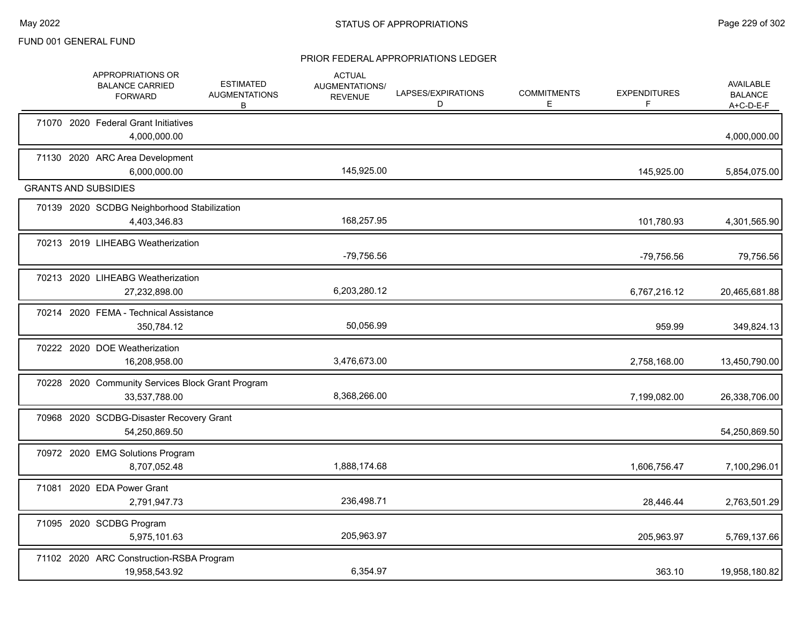|  | APPROPRIATIONS OR<br><b>BALANCE CARRIED</b><br><b>FORWARD</b>      | <b>ESTIMATED</b><br><b>AUGMENTATIONS</b><br>B | <b>ACTUAL</b><br><b>AUGMENTATIONS/</b><br><b>REVENUE</b> | LAPSES/EXPIRATIONS<br>D | <b>COMMITMENTS</b><br>E. | <b>EXPENDITURES</b><br>F | <b>AVAILABLE</b><br><b>BALANCE</b><br>A+C-D-E-F |
|--|--------------------------------------------------------------------|-----------------------------------------------|----------------------------------------------------------|-------------------------|--------------------------|--------------------------|-------------------------------------------------|
|  | 71070 2020 Federal Grant Initiatives<br>4,000,000.00               |                                               |                                                          |                         |                          |                          | 4,000,000.00                                    |
|  | 71130 2020 ARC Area Development<br>6,000,000.00                    |                                               | 145,925.00                                               |                         |                          | 145,925.00               | 5,854,075.00                                    |
|  | <b>GRANTS AND SUBSIDIES</b>                                        |                                               |                                                          |                         |                          |                          |                                                 |
|  | 70139 2020 SCDBG Neighborhood Stabilization<br>4,403,346.83        |                                               | 168,257.95                                               |                         |                          | 101,780.93               | 4,301,565.90                                    |
|  | 70213 2019 LIHEABG Weatherization                                  |                                               | -79,756.56                                               |                         |                          | -79,756.56               | 79,756.56                                       |
|  | 70213 2020 LIHEABG Weatherization<br>27,232,898.00                 |                                               | 6,203,280.12                                             |                         |                          | 6,767,216.12             | 20,465,681.88                                   |
|  | 70214 2020 FEMA - Technical Assistance<br>350,784.12               |                                               | 50,056.99                                                |                         |                          | 959.99                   | 349,824.13                                      |
|  | 70222 2020 DOE Weatherization<br>16,208,958.00                     |                                               | 3,476,673.00                                             |                         |                          | 2,758,168.00             | 13,450,790.00                                   |
|  | 70228 2020 Community Services Block Grant Program<br>33,537,788.00 |                                               | 8,368,266.00                                             |                         |                          | 7,199,082.00             | 26,338,706.00                                   |
|  | 70968 2020 SCDBG-Disaster Recovery Grant<br>54,250,869.50          |                                               |                                                          |                         |                          |                          | 54,250,869.50                                   |
|  | 70972 2020 EMG Solutions Program<br>8,707,052.48                   |                                               | 1,888,174.68                                             |                         |                          | 1,606,756.47             | 7,100,296.01                                    |
|  | 71081 2020 EDA Power Grant<br>2,791,947.73                         |                                               | 236,498.71                                               |                         |                          | 28,446.44                | 2,763,501.29                                    |
|  | 71095 2020 SCDBG Program<br>5,975,101.63                           |                                               | 205,963.97                                               |                         |                          | 205,963.97               | 5,769,137.66                                    |
|  | 71102 2020 ARC Construction-RSBA Program<br>19,958,543.92          |                                               | 6,354.97                                                 |                         |                          | 363.10                   | 19,958,180.82                                   |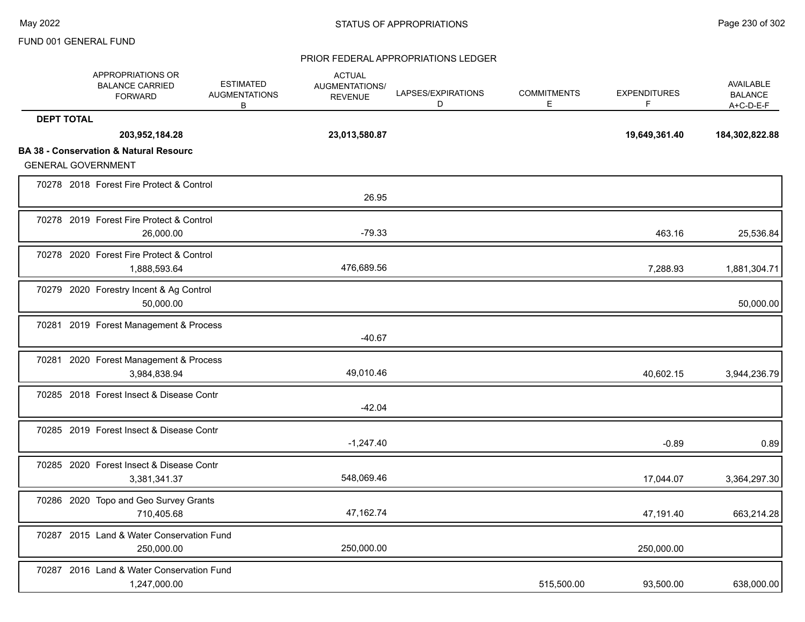|                   | APPROPRIATIONS OR<br><b>BALANCE CARRIED</b><br><b>FORWARD</b>                  | <b>ESTIMATED</b><br><b>AUGMENTATIONS</b><br>В | <b>ACTUAL</b><br>AUGMENTATIONS/<br><b>REVENUE</b> | LAPSES/EXPIRATIONS<br>D | <b>COMMITMENTS</b><br>E | <b>EXPENDITURES</b><br>F | AVAILABLE<br><b>BALANCE</b><br>$A+C-D-E-F$ |
|-------------------|--------------------------------------------------------------------------------|-----------------------------------------------|---------------------------------------------------|-------------------------|-------------------------|--------------------------|--------------------------------------------|
| <b>DEPT TOTAL</b> | 203,952,184.28                                                                 |                                               | 23,013,580.87                                     |                         |                         | 19,649,361.40            | 184,302,822.88                             |
|                   | <b>BA 38 - Conservation &amp; Natural Resourc</b><br><b>GENERAL GOVERNMENT</b> |                                               |                                                   |                         |                         |                          |                                            |
|                   | 70278 2018 Forest Fire Protect & Control                                       |                                               | 26.95                                             |                         |                         |                          |                                            |
|                   | 70278 2019 Forest Fire Protect & Control<br>26,000.00                          |                                               | $-79.33$                                          |                         |                         | 463.16                   | 25,536.84                                  |
|                   | 70278 2020 Forest Fire Protect & Control<br>1,888,593.64                       |                                               | 476,689.56                                        |                         |                         | 7,288.93                 | 1,881,304.71                               |
|                   | 70279 2020 Forestry Incent & Ag Control<br>50,000.00                           |                                               |                                                   |                         |                         |                          | 50,000.00                                  |
|                   | 70281 2019 Forest Management & Process                                         |                                               | $-40.67$                                          |                         |                         |                          |                                            |
|                   | 70281 2020 Forest Management & Process<br>3,984,838.94                         |                                               | 49,010.46                                         |                         |                         | 40,602.15                | 3,944,236.79                               |
|                   | 70285 2018 Forest Insect & Disease Contr                                       |                                               | $-42.04$                                          |                         |                         |                          |                                            |
|                   | 70285 2019 Forest Insect & Disease Contr                                       |                                               | $-1,247.40$                                       |                         |                         | $-0.89$                  | 0.89                                       |
|                   | 70285 2020 Forest Insect & Disease Contr<br>3,381,341.37                       |                                               | 548,069.46                                        |                         |                         | 17,044.07                | 3,364,297.30                               |
|                   | 70286 2020 Topo and Geo Survey Grants<br>710,405.68                            |                                               | 47,162.74                                         |                         |                         | 47,191.40                | 663,214.28                                 |
|                   | 70287 2015 Land & Water Conservation Fund<br>250,000.00                        |                                               | 250,000.00                                        |                         |                         | 250,000.00               |                                            |
|                   | 70287 2016 Land & Water Conservation Fund<br>1,247,000.00                      |                                               |                                                   |                         | 515,500.00              | 93,500.00                | 638,000.00                                 |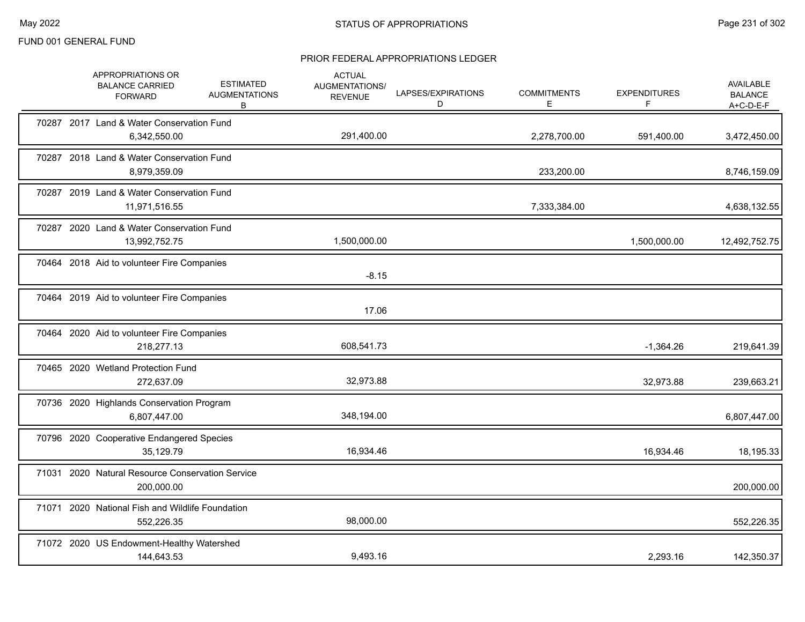|       | APPROPRIATIONS OR<br><b>BALANCE CARRIED</b><br><b>FORWARD</b>  | <b>ESTIMATED</b><br><b>AUGMENTATIONS</b><br>B | <b>ACTUAL</b><br>AUGMENTATIONS/<br><b>REVENUE</b> | LAPSES/EXPIRATIONS<br>D | <b>COMMITMENTS</b><br>Е | <b>EXPENDITURES</b><br>F | AVAILABLE<br><b>BALANCE</b><br>A+C-D-E-F |
|-------|----------------------------------------------------------------|-----------------------------------------------|---------------------------------------------------|-------------------------|-------------------------|--------------------------|------------------------------------------|
|       | 70287 2017 Land & Water Conservation Fund<br>6,342,550.00      |                                               | 291,400.00                                        |                         | 2,278,700.00            | 591,400.00               | 3,472,450.00                             |
|       | 70287 2018 Land & Water Conservation Fund<br>8,979,359.09      |                                               |                                                   |                         | 233,200.00              |                          | 8,746,159.09                             |
|       | 70287 2019 Land & Water Conservation Fund<br>11,971,516.55     |                                               |                                                   |                         | 7,333,384.00            |                          | 4,638,132.55                             |
|       | 70287 2020 Land & Water Conservation Fund<br>13,992,752.75     |                                               | 1,500,000.00                                      |                         |                         | 1,500,000.00             | 12,492,752.75                            |
|       | 70464 2018 Aid to volunteer Fire Companies                     |                                               | $-8.15$                                           |                         |                         |                          |                                          |
|       | 70464 2019 Aid to volunteer Fire Companies                     |                                               | 17.06                                             |                         |                         |                          |                                          |
|       | 70464 2020 Aid to volunteer Fire Companies<br>218,277.13       |                                               | 608,541.73                                        |                         |                         | $-1,364.26$              | 219,641.39                               |
|       | 70465 2020 Wetland Protection Fund<br>272,637.09               |                                               | 32,973.88                                         |                         |                         | 32,973.88                | 239,663.21                               |
|       | 70736 2020 Highlands Conservation Program<br>6,807,447.00      |                                               | 348,194.00                                        |                         |                         |                          | 6,807,447.00                             |
|       | 70796 2020 Cooperative Endangered Species<br>35,129.79         |                                               | 16,934.46                                         |                         |                         | 16,934.46                | 18,195.33                                |
|       | 71031 2020 Natural Resource Conservation Service<br>200,000.00 |                                               |                                                   |                         |                         |                          | 200,000.00                               |
| 71071 | 2020 National Fish and Wildlife Foundation<br>552,226.35       |                                               | 98,000.00                                         |                         |                         |                          | 552,226.35                               |
|       | 71072 2020 US Endowment-Healthy Watershed<br>144,643.53        |                                               | 9,493.16                                          |                         |                         | 2,293.16                 | 142,350.37                               |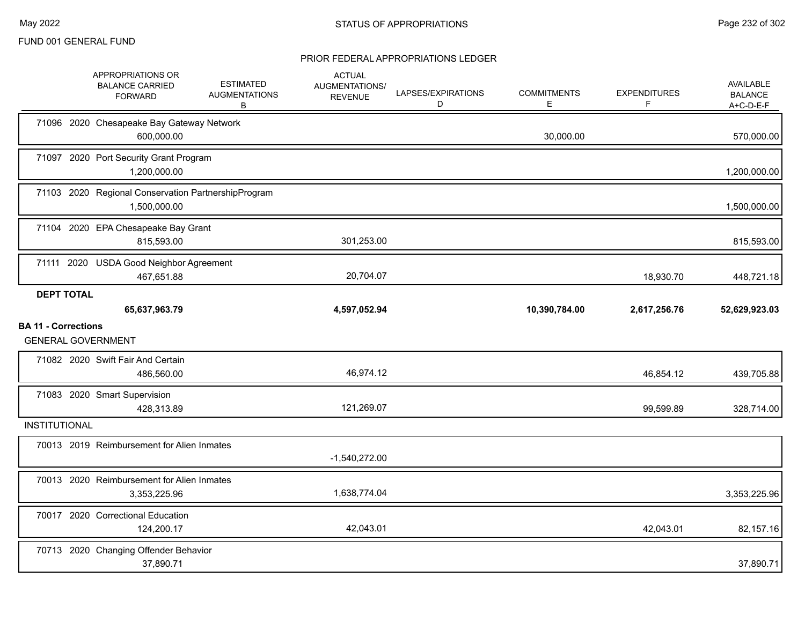|                            |                   | APPROPRIATIONS OR<br><b>BALANCE CARRIED</b><br><b>FORWARD</b>       | <b>ESTIMATED</b><br><b>AUGMENTATIONS</b><br>В | <b>ACTUAL</b><br>AUGMENTATIONS/<br><b>REVENUE</b> | LAPSES/EXPIRATIONS<br>D | <b>COMMITMENTS</b><br>E | <b>EXPENDITURES</b><br>F | AVAILABLE<br><b>BALANCE</b><br>$A+C-D-E-F$ |
|----------------------------|-------------------|---------------------------------------------------------------------|-----------------------------------------------|---------------------------------------------------|-------------------------|-------------------------|--------------------------|--------------------------------------------|
|                            |                   | 71096 2020 Chesapeake Bay Gateway Network<br>600,000.00             |                                               |                                                   |                         | 30,000.00               |                          | 570,000.00                                 |
|                            |                   | 71097 2020 Port Security Grant Program<br>1,200,000.00              |                                               |                                                   |                         |                         |                          | 1,200,000.00                               |
|                            |                   | 71103 2020 Regional Conservation PartnershipProgram<br>1,500,000.00 |                                               |                                                   |                         |                         |                          | 1,500,000.00                               |
|                            |                   | 71104 2020 EPA Chesapeake Bay Grant<br>815,593.00                   |                                               | 301,253.00                                        |                         |                         |                          | 815,593.00                                 |
|                            |                   | 71111 2020 USDA Good Neighbor Agreement<br>467,651.88               |                                               | 20,704.07                                         |                         |                         | 18,930.70                | 448,721.18                                 |
|                            | <b>DEPT TOTAL</b> | 65,637,963.79                                                       |                                               | 4,597,052.94                                      |                         | 10,390,784.00           | 2,617,256.76             | 52,629,923.03                              |
| <b>BA 11 - Corrections</b> |                   | <b>GENERAL GOVERNMENT</b>                                           |                                               |                                                   |                         |                         |                          |                                            |
|                            |                   | 71082 2020 Swift Fair And Certain<br>486,560.00                     |                                               | 46,974.12                                         |                         |                         | 46,854.12                | 439,705.88                                 |
|                            |                   | 71083 2020 Smart Supervision<br>428,313.89                          |                                               | 121,269.07                                        |                         |                         | 99,599.89                | 328,714.00                                 |
| <b>INSTITUTIONAL</b>       |                   |                                                                     |                                               |                                                   |                         |                         |                          |                                            |
|                            |                   | 70013 2019 Reimbursement for Alien Inmates                          |                                               | $-1,540,272.00$                                   |                         |                         |                          |                                            |
|                            |                   | 70013 2020 Reimbursement for Alien Inmates<br>3,353,225.96          |                                               | 1,638,774.04                                      |                         |                         |                          | 3,353,225.96                               |
|                            |                   | 70017 2020 Correctional Education<br>124,200.17                     |                                               | 42,043.01                                         |                         |                         | 42,043.01                | 82,157.16                                  |
|                            |                   | 70713 2020 Changing Offender Behavior<br>37,890.71                  |                                               |                                                   |                         |                         |                          | 37,890.71                                  |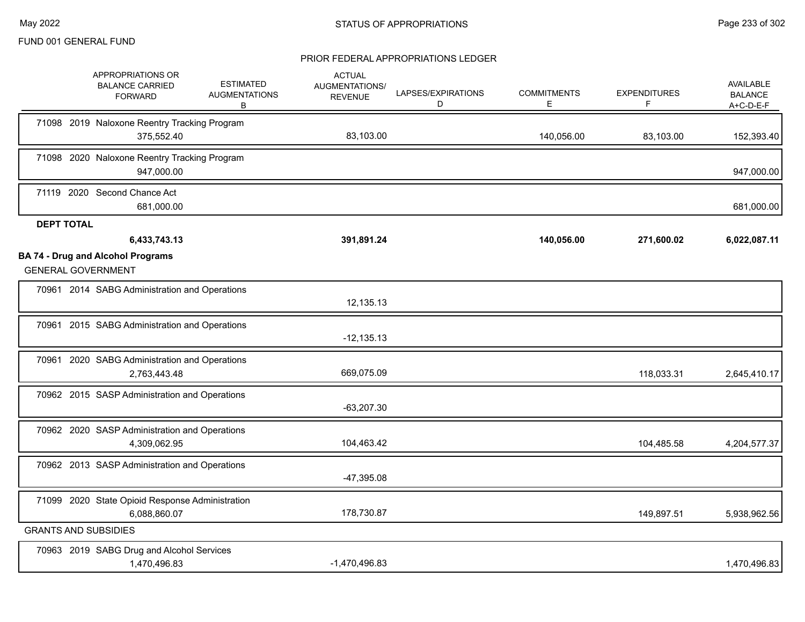|                   | APPROPRIATIONS OR<br><b>BALANCE CARRIED</b><br><b>FORWARD</b>         | <b>ESTIMATED</b><br><b>AUGMENTATIONS</b><br>В | <b>ACTUAL</b><br>AUGMENTATIONS/<br><b>REVENUE</b> | LAPSES/EXPIRATIONS<br>D | <b>COMMITMENTS</b><br>E. | <b>EXPENDITURES</b><br>F | AVAILABLE<br><b>BALANCE</b><br>A+C-D-E-F |
|-------------------|-----------------------------------------------------------------------|-----------------------------------------------|---------------------------------------------------|-------------------------|--------------------------|--------------------------|------------------------------------------|
|                   | 71098 2019 Naloxone Reentry Tracking Program<br>375,552.40            |                                               | 83,103.00                                         |                         | 140,056.00               | 83,103.00                | 152,393.40                               |
|                   | 71098 2020 Naloxone Reentry Tracking Program<br>947,000.00            |                                               |                                                   |                         |                          |                          | 947,000.00                               |
|                   | 71119 2020 Second Chance Act<br>681,000.00                            |                                               |                                                   |                         |                          |                          | 681,000.00                               |
| <b>DEPT TOTAL</b> |                                                                       |                                               |                                                   |                         |                          |                          |                                          |
|                   | 6,433,743.13                                                          |                                               | 391,891.24                                        |                         | 140,056.00               | 271,600.02               | 6,022,087.11                             |
|                   | <b>BA 74 - Drug and Alcohol Programs</b><br><b>GENERAL GOVERNMENT</b> |                                               |                                                   |                         |                          |                          |                                          |
|                   | 70961 2014 SABG Administration and Operations                         |                                               | 12,135.13                                         |                         |                          |                          |                                          |
|                   | 70961 2015 SABG Administration and Operations                         |                                               | $-12,135.13$                                      |                         |                          |                          |                                          |
|                   | 70961 2020 SABG Administration and Operations<br>2,763,443.48         |                                               | 669,075.09                                        |                         |                          | 118,033.31               | 2,645,410.17                             |
|                   | 70962 2015 SASP Administration and Operations                         |                                               | $-63,207.30$                                      |                         |                          |                          |                                          |
|                   | 70962 2020 SASP Administration and Operations<br>4,309,062.95         |                                               | 104,463.42                                        |                         |                          | 104,485.58               | 4,204,577.37                             |
|                   | 70962 2013 SASP Administration and Operations                         |                                               | $-47,395.08$                                      |                         |                          |                          |                                          |
|                   | 71099 2020 State Opioid Response Administration<br>6,088,860.07       |                                               | 178,730.87                                        |                         |                          | 149,897.51               | 5,938,962.56                             |
|                   | <b>GRANTS AND SUBSIDIES</b>                                           |                                               |                                                   |                         |                          |                          |                                          |
|                   | 70963 2019 SABG Drug and Alcohol Services<br>1,470,496.83             |                                               | $-1,470,496.83$                                   |                         |                          |                          | 1,470,496.83                             |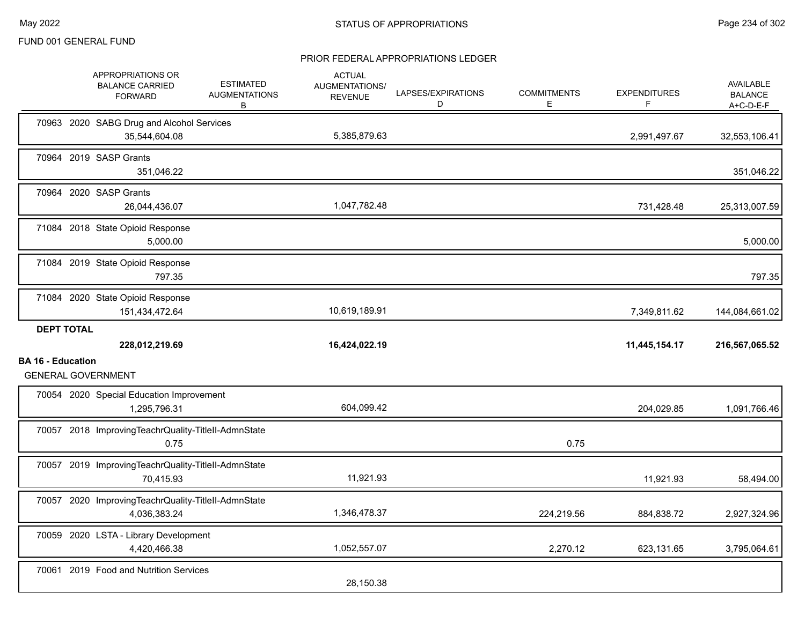|                          |                   | APPROPRIATIONS OR<br><b>BALANCE CARRIED</b><br><b>FORWARD</b>       | <b>ESTIMATED</b><br><b>AUGMENTATIONS</b><br>B | <b>ACTUAL</b><br><b>AUGMENTATIONS/</b><br><b>REVENUE</b> | LAPSES/EXPIRATIONS<br>D | <b>COMMITMENTS</b><br>Е | <b>EXPENDITURES</b><br>F | <b>AVAILABLE</b><br><b>BALANCE</b><br>$A+C-D-E-F$ |
|--------------------------|-------------------|---------------------------------------------------------------------|-----------------------------------------------|----------------------------------------------------------|-------------------------|-------------------------|--------------------------|---------------------------------------------------|
|                          |                   | 70963 2020 SABG Drug and Alcohol Services<br>35,544,604.08          |                                               | 5,385,879.63                                             |                         |                         | 2,991,497.67             | 32,553,106.41                                     |
|                          |                   | 70964 2019 SASP Grants<br>351,046.22                                |                                               |                                                          |                         |                         |                          | 351,046.22                                        |
|                          |                   | 70964 2020 SASP Grants<br>26,044,436.07                             |                                               | 1,047,782.48                                             |                         |                         | 731,428.48               | 25,313,007.59                                     |
|                          |                   | 71084 2018 State Opioid Response<br>5,000.00                        |                                               |                                                          |                         |                         |                          | 5,000.00                                          |
|                          |                   | 71084 2019 State Opioid Response<br>797.35                          |                                               |                                                          |                         |                         |                          | 797.35                                            |
|                          |                   | 71084 2020 State Opioid Response<br>151,434,472.64                  |                                               | 10,619,189.91                                            |                         |                         | 7,349,811.62             | 144,084,661.02                                    |
|                          | <b>DEPT TOTAL</b> |                                                                     |                                               |                                                          |                         |                         |                          |                                                   |
|                          |                   | 228,012,219.69                                                      |                                               | 16,424,022.19                                            |                         |                         | 11,445,154.17            | 216,567,065.52                                    |
| <b>BA 16 - Education</b> |                   | <b>GENERAL GOVERNMENT</b>                                           |                                               |                                                          |                         |                         |                          |                                                   |
|                          |                   | 70054 2020 Special Education Improvement<br>1,295,796.31            |                                               | 604,099.42                                               |                         |                         | 204,029.85               | 1,091,766.46                                      |
|                          |                   | 70057 2018 ImprovingTeachrQuality-TitleII-AdmnState<br>0.75         |                                               |                                                          |                         | 0.75                    |                          |                                                   |
|                          |                   | 70057 2019 ImprovingTeachrQuality-TitleII-AdmnState<br>70,415.93    |                                               | 11,921.93                                                |                         |                         | 11,921.93                | 58,494.00                                         |
|                          |                   | 70057 2020 ImprovingTeachrQuality-TitleII-AdmnState<br>4,036,383.24 |                                               | 1,346,478.37                                             |                         | 224,219.56              | 884,838.72               | 2,927,324.96                                      |
|                          |                   | 70059 2020 LSTA - Library Development<br>4,420,466.38               |                                               | 1,052,557.07                                             |                         | 2,270.12                | 623,131.65               | 3,795,064.61                                      |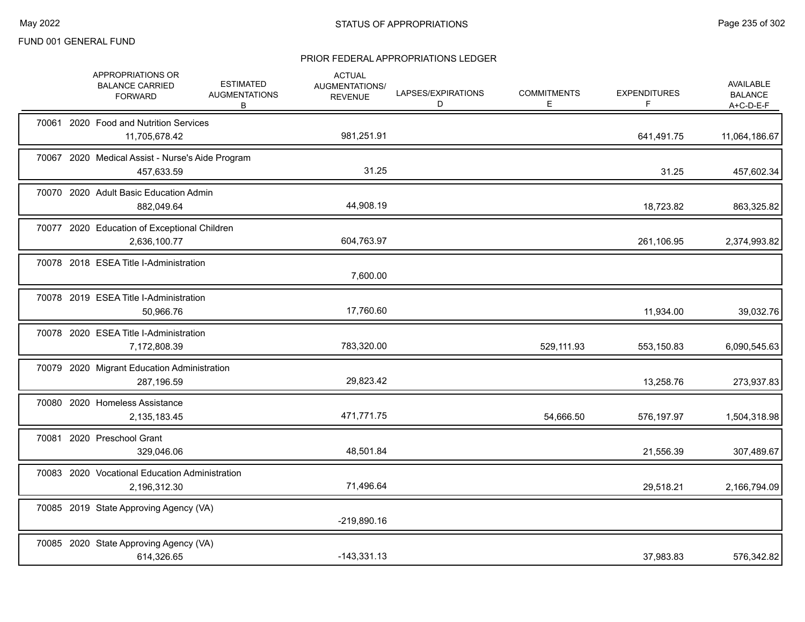|  | APPROPRIATIONS OR<br><b>BALANCE CARRIED</b><br><b>FORWARD</b>  | <b>ESTIMATED</b><br><b>AUGMENTATIONS</b><br>B | <b>ACTUAL</b><br>AUGMENTATIONS/<br><b>REVENUE</b> | LAPSES/EXPIRATIONS<br>D | <b>COMMITMENTS</b><br>E. | <b>EXPENDITURES</b><br>F | AVAILABLE<br><b>BALANCE</b><br>$A+C-D-E-F$ |
|--|----------------------------------------------------------------|-----------------------------------------------|---------------------------------------------------|-------------------------|--------------------------|--------------------------|--------------------------------------------|
|  | 70061 2020 Food and Nutrition Services<br>11,705,678.42        |                                               | 981,251.91                                        |                         |                          | 641,491.75               | 11,064,186.67                              |
|  | 70067 2020 Medical Assist - Nurse's Aide Program<br>457,633.59 |                                               | 31.25                                             |                         |                          | 31.25                    | 457,602.34                                 |
|  | 70070 2020 Adult Basic Education Admin<br>882,049.64           |                                               | 44,908.19                                         |                         |                          | 18,723.82                | 863,325.82                                 |
|  | 70077 2020 Education of Exceptional Children<br>2,636,100.77   |                                               | 604,763.97                                        |                         |                          | 261,106.95               | 2,374,993.82                               |
|  | 70078 2018 ESEA Title I-Administration                         |                                               | 7,600.00                                          |                         |                          |                          |                                            |
|  | 70078 2019 ESEA Title I-Administration<br>50,966.76            |                                               | 17,760.60                                         |                         |                          | 11,934.00                | 39,032.76                                  |
|  | 70078 2020 ESEA Title I-Administration<br>7,172,808.39         |                                               | 783,320.00                                        |                         | 529,111.93               | 553,150.83               | 6,090,545.63                               |
|  | 70079 2020 Migrant Education Administration<br>287,196.59      |                                               | 29,823.42                                         |                         |                          | 13,258.76                | 273,937.83                                 |
|  | 70080 2020 Homeless Assistance<br>2,135,183.45                 |                                               | 471,771.75                                        |                         | 54,666.50                | 576,197.97               | 1,504,318.98                               |
|  | 70081 2020 Preschool Grant<br>329,046.06                       |                                               | 48,501.84                                         |                         |                          | 21,556.39                | 307,489.67                                 |
|  | 70083 2020 Vocational Education Administration<br>2,196,312.30 |                                               | 71,496.64                                         |                         |                          | 29,518.21                | 2,166,794.09                               |
|  | 70085 2019 State Approving Agency (VA)                         |                                               | $-219,890.16$                                     |                         |                          |                          |                                            |
|  | 70085 2020 State Approving Agency (VA)<br>614,326.65           |                                               | $-143,331.13$                                     |                         |                          | 37,983.83                | 576,342.82                                 |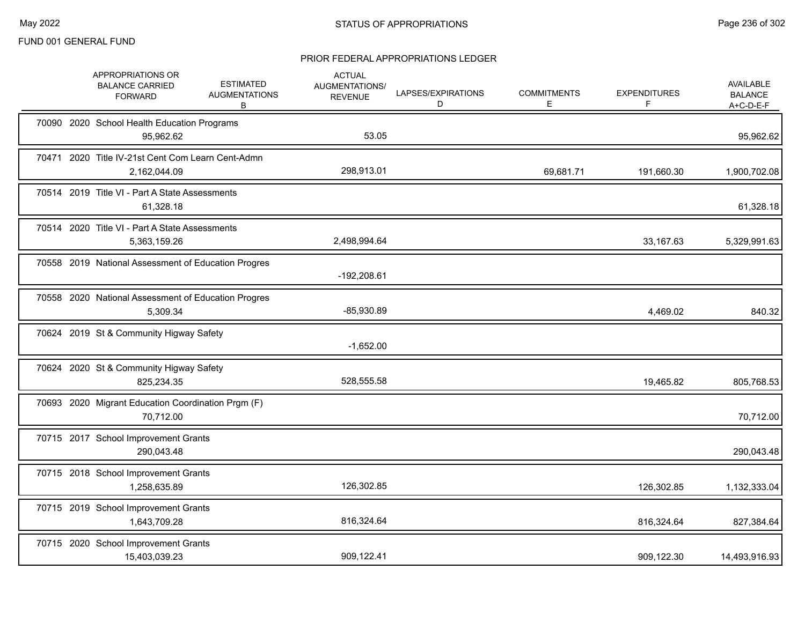|  | APPROPRIATIONS OR<br><b>BALANCE CARRIED</b><br><b>FORWARD</b>     | <b>ESTIMATED</b><br><b>AUGMENTATIONS</b><br>В | <b>ACTUAL</b><br>AUGMENTATIONS/<br><b>REVENUE</b> | LAPSES/EXPIRATIONS<br>D | <b>COMMITMENTS</b><br>E. | <b>EXPENDITURES</b><br>F | AVAILABLE<br><b>BALANCE</b><br>$A+C-D-E-F$ |
|--|-------------------------------------------------------------------|-----------------------------------------------|---------------------------------------------------|-------------------------|--------------------------|--------------------------|--------------------------------------------|
|  | 70090 2020 School Health Education Programs<br>95,962.62          |                                               | 53.05                                             |                         |                          |                          | 95,962.62                                  |
|  | 70471 2020 Title IV-21st Cent Com Learn Cent-Admn<br>2,162,044.09 |                                               | 298,913.01                                        |                         | 69,681.71                | 191,660.30               | 1,900,702.08                               |
|  | 70514 2019 Title VI - Part A State Assessments<br>61,328.18       |                                               |                                                   |                         |                          |                          | 61,328.18                                  |
|  | 70514 2020 Title VI - Part A State Assessments<br>5,363,159.26    |                                               | 2,498,994.64                                      |                         |                          | 33,167.63                | 5,329,991.63                               |
|  | 70558 2019 National Assessment of Education Progres               |                                               | -192,208.61                                       |                         |                          |                          |                                            |
|  | 70558 2020 National Assessment of Education Progres<br>5,309.34   |                                               | $-85,930.89$                                      |                         |                          | 4,469.02                 | 840.32                                     |
|  | 70624 2019 St & Community Higway Safety                           |                                               | $-1,652.00$                                       |                         |                          |                          |                                            |
|  | 70624 2020 St & Community Higway Safety<br>825,234.35             |                                               | 528,555.58                                        |                         |                          | 19,465.82                | 805,768.53                                 |
|  | 70693 2020 Migrant Education Coordination Prgm (F)<br>70,712.00   |                                               |                                                   |                         |                          |                          | 70,712.00                                  |
|  | 70715 2017 School Improvement Grants<br>290,043.48                |                                               |                                                   |                         |                          |                          | 290,043.48                                 |
|  | 70715 2018 School Improvement Grants<br>1,258,635.89              |                                               | 126,302.85                                        |                         |                          | 126,302.85               | 1,132,333.04                               |
|  | 70715 2019 School Improvement Grants<br>1,643,709.28              |                                               | 816,324.64                                        |                         |                          | 816,324.64               | 827,384.64                                 |
|  | 70715 2020 School Improvement Grants<br>15,403,039.23             |                                               | 909,122.41                                        |                         |                          | 909,122.30               | 14,493,916.93                              |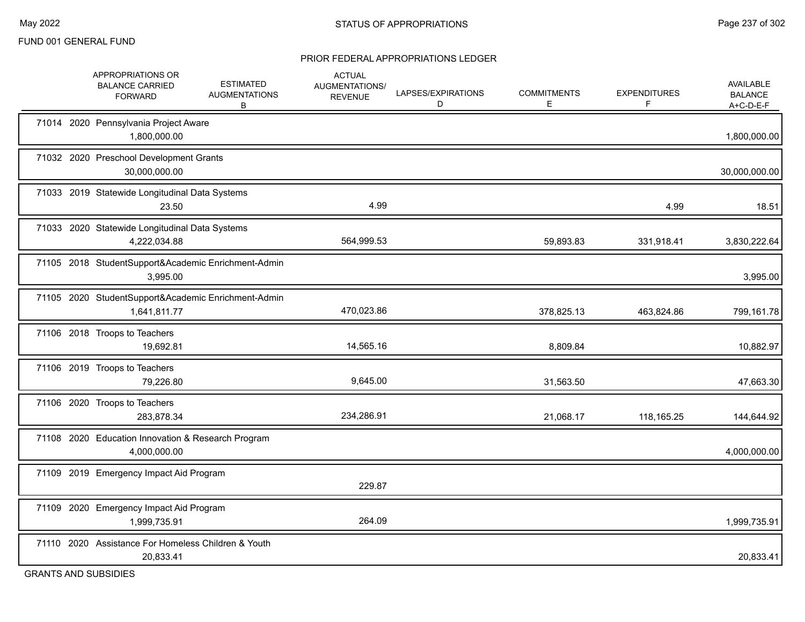#### PRIOR FEDERAL APPROPRIATIONS LEDGER

|       | APPROPRIATIONS OR<br><b>BALANCE CARRIED</b><br><b>FORWARD</b>       | <b>ESTIMATED</b><br><b>AUGMENTATIONS</b><br>В | <b>ACTUAL</b><br><b>AUGMENTATIONS/</b><br><b>REVENUE</b> | LAPSES/EXPIRATIONS<br>D | <b>COMMITMENTS</b><br>E | <b>EXPENDITURES</b> | <b>AVAILABLE</b><br><b>BALANCE</b><br>A+C-D-E-F |
|-------|---------------------------------------------------------------------|-----------------------------------------------|----------------------------------------------------------|-------------------------|-------------------------|---------------------|-------------------------------------------------|
|       | 71014 2020 Pennsylvania Project Aware<br>1,800,000.00               |                                               |                                                          |                         |                         |                     | 1,800,000.00                                    |
|       | 71032 2020 Preschool Development Grants<br>30,000,000.00            |                                               |                                                          |                         |                         |                     | 30,000,000.00                                   |
|       | 71033 2019 Statewide Longitudinal Data Systems<br>23.50             |                                               | 4.99                                                     |                         |                         | 4.99                | 18.51                                           |
|       | 71033 2020 Statewide Longitudinal Data Systems<br>4,222,034.88      |                                               | 564,999.53                                               |                         | 59,893.83               | 331,918.41          | 3,830,222.64                                    |
|       | 71105 2018 StudentSupport&Academic Enrichment-Admin<br>3,995.00     |                                               |                                                          |                         |                         |                     | 3,995.00                                        |
|       | 71105 2020 StudentSupport&Academic Enrichment-Admin<br>1,641,811.77 |                                               | 470,023.86                                               |                         | 378,825.13              | 463,824.86          | 799,161.78                                      |
|       | 71106 2018 Troops to Teachers<br>19,692.81                          |                                               | 14,565.16                                                |                         | 8,809.84                |                     | 10,882.97                                       |
|       | 71106 2019 Troops to Teachers<br>79,226.80                          |                                               | 9,645.00                                                 |                         | 31,563.50               |                     | 47,663.30                                       |
|       | 71106 2020 Troops to Teachers<br>283,878.34                         |                                               | 234,286.91                                               |                         | 21,068.17               | 118,165.25          | 144,644.92                                      |
|       | 71108 2020 Education Innovation & Research Program<br>4,000,000.00  |                                               |                                                          |                         |                         |                     | 4,000,000.00                                    |
|       | 71109 2019 Emergency Impact Aid Program                             |                                               | 229.87                                                   |                         |                         |                     |                                                 |
| 71109 | 2020 Emergency Impact Aid Program<br>1,999,735.91                   |                                               | 264.09                                                   |                         |                         |                     | 1,999,735.91                                    |
|       | 71110 2020 Assistance For Homeless Children & Youth<br>20,833.41    |                                               |                                                          |                         |                         |                     | 20,833.41                                       |

GRANTS AND SUBSIDIES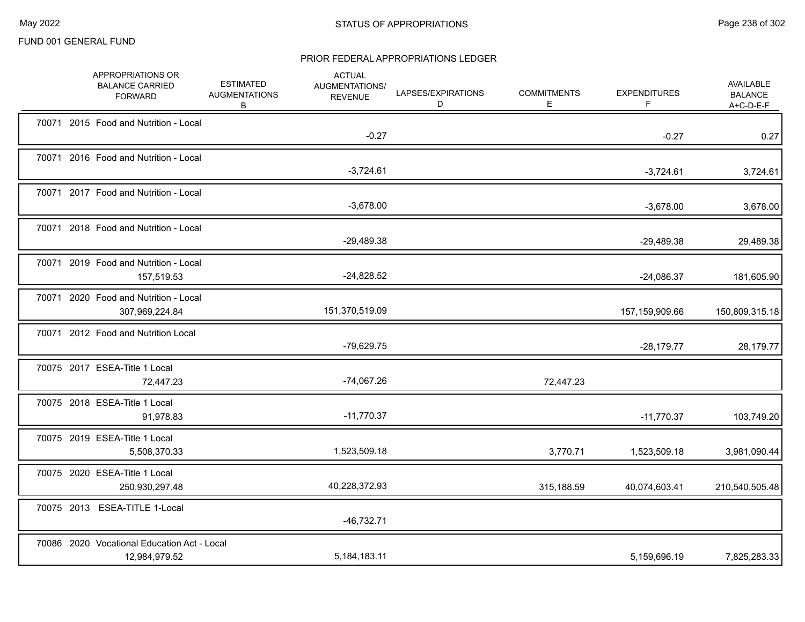|  | APPROPRIATIONS OR<br><b>BALANCE CARRIED</b><br><b>FORWARD</b> | <b>ESTIMATED</b><br><b>AUGMENTATIONS</b><br>B | <b>ACTUAL</b><br><b>AUGMENTATIONS/</b><br><b>REVENUE</b> | LAPSES/EXPIRATIONS<br>D | <b>COMMITMENTS</b><br>Е | <b>EXPENDITURES</b><br>F | AVAILABLE<br><b>BALANCE</b><br>A+C-D-E-F |
|--|---------------------------------------------------------------|-----------------------------------------------|----------------------------------------------------------|-------------------------|-------------------------|--------------------------|------------------------------------------|
|  | 70071 2015 Food and Nutrition - Local                         |                                               | $-0.27$                                                  |                         |                         | $-0.27$                  | 0.27                                     |
|  | 70071 2016 Food and Nutrition - Local                         |                                               | $-3,724.61$                                              |                         |                         | $-3,724.61$              | 3,724.61                                 |
|  | 70071 2017 Food and Nutrition - Local                         |                                               | $-3,678.00$                                              |                         |                         | $-3,678.00$              | 3,678.00                                 |
|  | 70071 2018 Food and Nutrition - Local                         |                                               | $-29,489.38$                                             |                         |                         | $-29,489.38$             | 29,489.38                                |
|  | 70071 2019 Food and Nutrition - Local<br>157,519.53           |                                               | $-24,828.52$                                             |                         |                         | $-24,086.37$             | 181,605.90                               |
|  | 70071 2020 Food and Nutrition - Local<br>307,969,224.84       |                                               | 151,370,519.09                                           |                         |                         | 157,159,909.66           | 150,809,315.18                           |
|  | 70071 2012 Food and Nutrition Local                           |                                               | $-79,629.75$                                             |                         |                         | $-28,179.77$             | 28,179.77                                |
|  | 70075 2017 ESEA-Title 1 Local<br>72,447.23                    |                                               | $-74,067.26$                                             |                         | 72,447.23               |                          |                                          |
|  | 70075 2018 ESEA-Title 1 Local<br>91,978.83                    |                                               | $-11,770.37$                                             |                         |                         | $-11,770.37$             | 103,749.20                               |
|  | 70075 2019 ESEA-Title 1 Local<br>5,508,370.33                 |                                               | 1,523,509.18                                             |                         | 3,770.71                | 1,523,509.18             | 3,981,090.44                             |
|  | 70075 2020 ESEA-Title 1 Local<br>250,930,297.48               |                                               | 40,228,372.93                                            |                         | 315,188.59              | 40,074,603.41            | 210,540,505.48                           |
|  | 70075 2013 ESEA-TITLE 1-Local                                 |                                               | $-46,732.71$                                             |                         |                         |                          |                                          |
|  | 70086 2020 Vocational Education Act - Local<br>12,984,979.52  |                                               | 5,184,183.11                                             |                         |                         | 5,159,696.19             | 7,825,283.33                             |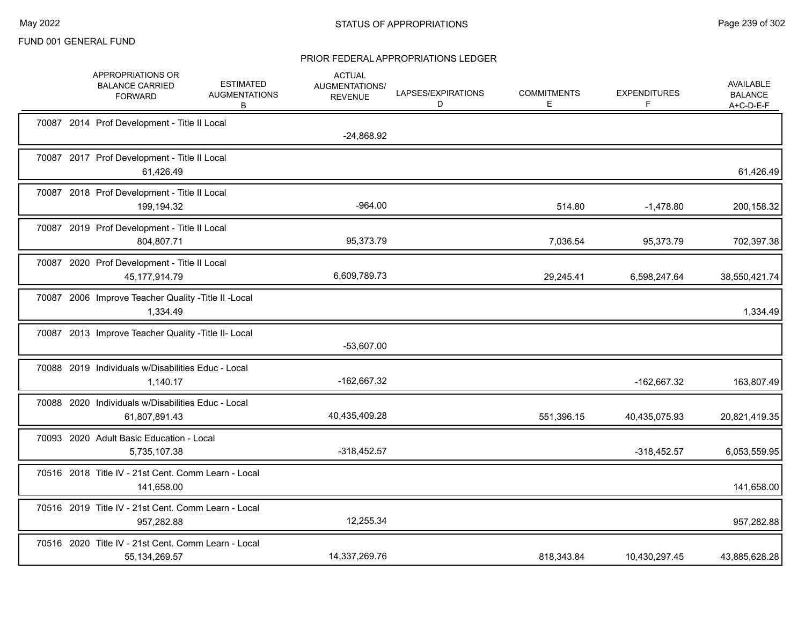|  | APPROPRIATIONS OR<br><b>BALANCE CARRIED</b><br><b>FORWARD</b>           | <b>ESTIMATED</b><br><b>AUGMENTATIONS</b><br>B | <b>ACTUAL</b><br>AUGMENTATIONS/<br><b>REVENUE</b> | LAPSES/EXPIRATIONS<br>D | <b>COMMITMENTS</b><br>Е | <b>EXPENDITURES</b><br>F | AVAILABLE<br><b>BALANCE</b><br>A+C-D-E-F |
|--|-------------------------------------------------------------------------|-----------------------------------------------|---------------------------------------------------|-------------------------|-------------------------|--------------------------|------------------------------------------|
|  | 70087 2014 Prof Development - Title II Local                            |                                               | $-24,868.92$                                      |                         |                         |                          |                                          |
|  | 70087 2017 Prof Development - Title II Local<br>61,426.49               |                                               |                                                   |                         |                         |                          | 61,426.49                                |
|  | 70087 2018 Prof Development - Title II Local<br>199,194.32              |                                               | $-964.00$                                         |                         | 514.80                  | $-1,478.80$              | 200,158.32                               |
|  | 70087 2019 Prof Development - Title II Local<br>804,807.71              |                                               | 95,373.79                                         |                         | 7,036.54                | 95,373.79                | 702,397.38                               |
|  | 70087 2020 Prof Development - Title II Local<br>45, 177, 914. 79        |                                               | 6,609,789.73                                      |                         | 29,245.41               | 6,598,247.64             | 38,550,421.74                            |
|  | 70087 2006 Improve Teacher Quality - Title II - Local<br>1,334.49       |                                               |                                                   |                         |                         |                          | 1,334.49                                 |
|  | 70087 2013 Improve Teacher Quality - Title II- Local                    |                                               | $-53,607.00$                                      |                         |                         |                          |                                          |
|  | 70088 2019 Individuals w/Disabilities Educ - Local<br>1,140.17          |                                               | -162,667.32                                       |                         |                         | -162,667.32              | 163,807.49                               |
|  | 70088 2020 Individuals w/Disabilities Educ - Local<br>61,807,891.43     |                                               | 40,435,409.28                                     |                         | 551,396.15              | 40,435,075.93            | 20,821,419.35                            |
|  | 70093 2020 Adult Basic Education - Local<br>5,735,107.38                |                                               | $-318,452.57$                                     |                         |                         | $-318,452.57$            | 6,053,559.95                             |
|  | 70516 2018 Title IV - 21st Cent. Comm Learn - Local<br>141,658.00       |                                               |                                                   |                         |                         |                          | 141,658.00                               |
|  | 70516 2019 Title IV - 21st Cent. Comm Learn - Local<br>957,282.88       |                                               | 12,255.34                                         |                         |                         |                          | 957,282.88                               |
|  | 70516 2020 Title IV - 21st Cent. Comm Learn - Local<br>55, 134, 269. 57 |                                               | 14,337,269.76                                     |                         | 818,343.84              | 10,430,297.45            | 43,885,628.28                            |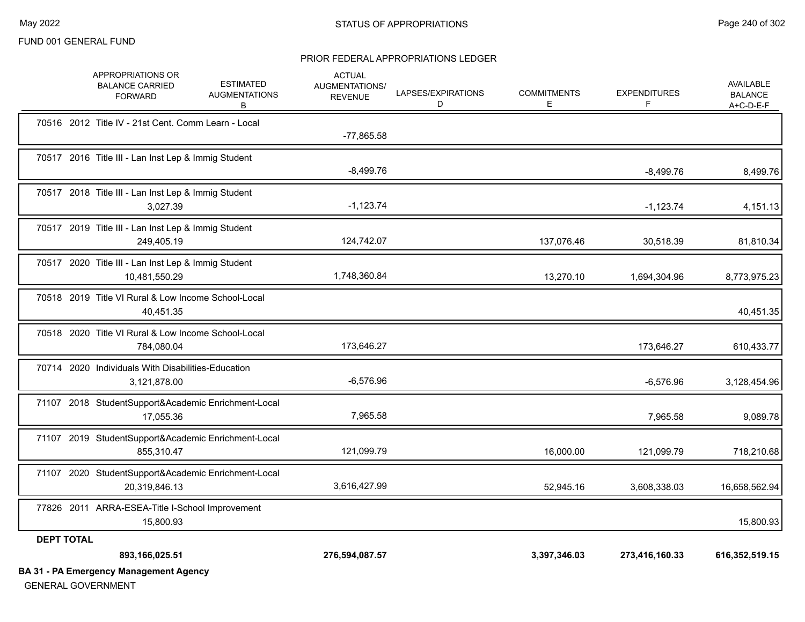#### PRIOR FEDERAL APPROPRIATIONS LEDGER

|                   | APPROPRIATIONS OR<br><b>BALANCE CARRIED</b><br><b>FORWARD</b>        | <b>ESTIMATED</b><br><b>AUGMENTATIONS</b><br>В | <b>ACTUAL</b><br>AUGMENTATIONS/<br><b>REVENUE</b> | LAPSES/EXPIRATIONS<br>D | <b>COMMITMENTS</b><br>E | <b>EXPENDITURES</b><br>F | <b>AVAILABLE</b><br><b>BALANCE</b><br>$A+C-D-E-F$ |
|-------------------|----------------------------------------------------------------------|-----------------------------------------------|---------------------------------------------------|-------------------------|-------------------------|--------------------------|---------------------------------------------------|
|                   | 70516 2012 Title IV - 21st Cent. Comm Learn - Local                  |                                               | $-77,865.58$                                      |                         |                         |                          |                                                   |
|                   | 70517 2016 Title III - Lan Inst Lep & Immig Student                  |                                               | $-8,499.76$                                       |                         |                         | $-8,499.76$              | 8,499.76                                          |
|                   | 70517 2018 Title III - Lan Inst Lep & Immig Student<br>3,027.39      |                                               | $-1,123.74$                                       |                         |                         | $-1,123.74$              | 4,151.13                                          |
|                   | 70517 2019 Title III - Lan Inst Lep & Immig Student<br>249,405.19    |                                               | 124,742.07                                        |                         | 137,076.46              | 30,518.39                | 81,810.34                                         |
|                   | 70517 2020 Title III - Lan Inst Lep & Immig Student<br>10,481,550.29 |                                               | 1,748,360.84                                      |                         | 13,270.10               | 1,694,304.96             | 8,773,975.23                                      |
|                   | 70518 2019 Title VI Rural & Low Income School-Local<br>40,451.35     |                                               |                                                   |                         |                         |                          | 40,451.35                                         |
|                   | 70518 2020 Title VI Rural & Low Income School-Local<br>784,080.04    |                                               | 173,646.27                                        |                         |                         | 173,646.27               | 610,433.77                                        |
|                   | 70714 2020 Individuals With Disabilities-Education<br>3,121,878.00   |                                               | $-6,576.96$                                       |                         |                         | $-6,576.96$              | 3,128,454.96                                      |
|                   | 71107 2018 StudentSupport&Academic Enrichment-Local<br>17,055.36     |                                               | 7,965.58                                          |                         |                         | 7,965.58                 | 9,089.78                                          |
|                   | 71107 2019 StudentSupport&Academic Enrichment-Local<br>855,310.47    |                                               | 121,099.79                                        |                         | 16,000.00               | 121,099.79               | 718,210.68                                        |
|                   | 71107 2020 StudentSupport&Academic Enrichment-Local<br>20,319,846.13 |                                               | 3,616,427.99                                      |                         | 52,945.16               | 3,608,338.03             | 16,658,562.94                                     |
|                   | 77826 2011 ARRA-ESEA-Title I-School Improvement<br>15,800.93         |                                               |                                                   |                         |                         |                          | 15,800.93                                         |
| <b>DEPT TOTAL</b> |                                                                      |                                               |                                                   |                         |                         |                          |                                                   |
|                   | 893,166,025.51                                                       |                                               | 276,594,087.57                                    |                         | 3,397,346.03            | 273,416,160.33           | 616,352,519.15                                    |
|                   | <b>BA 31 - PA Emergency Management Agency</b>                        |                                               |                                                   |                         |                         |                          |                                                   |

GENERAL GOVERNMENT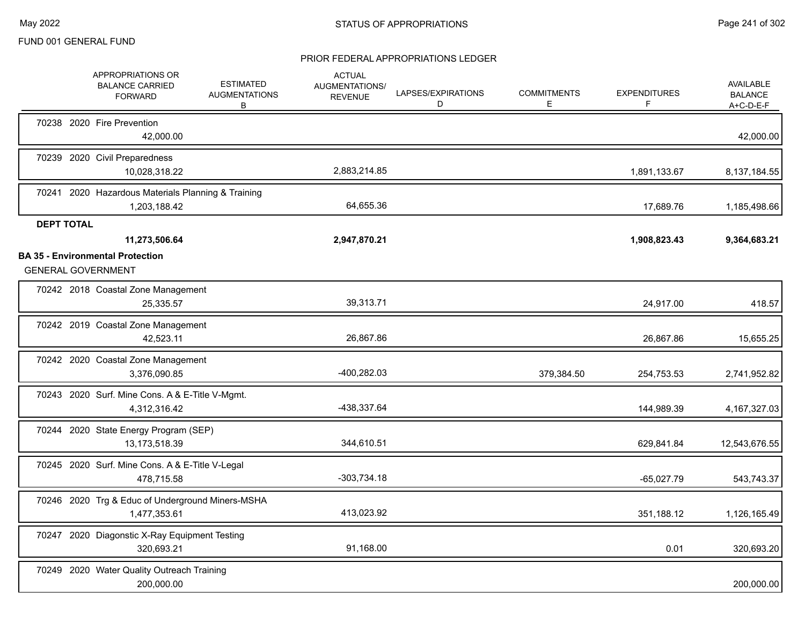|                   | APPROPRIATIONS OR<br><b>BALANCE CARRIED</b><br><b>FORWARD</b>      | <b>ESTIMATED</b><br><b>AUGMENTATIONS</b><br>В | <b>ACTUAL</b><br>AUGMENTATIONS/<br><b>REVENUE</b> | LAPSES/EXPIRATIONS<br>D | <b>COMMITMENTS</b><br>Е | <b>EXPENDITURES</b><br>F | <b>AVAILABLE</b><br><b>BALANCE</b><br>$A+C-D-E-F$ |
|-------------------|--------------------------------------------------------------------|-----------------------------------------------|---------------------------------------------------|-------------------------|-------------------------|--------------------------|---------------------------------------------------|
|                   | 70238 2020 Fire Prevention<br>42,000.00                            |                                               |                                                   |                         |                         |                          | 42,000.00                                         |
|                   | 70239 2020 Civil Preparedness<br>10,028,318.22                     |                                               | 2,883,214.85                                      |                         |                         | 1,891,133.67             | 8,137,184.55                                      |
|                   | 70241 2020 Hazardous Materials Planning & Training<br>1,203,188.42 |                                               | 64,655.36                                         |                         |                         | 17,689.76                | 1,185,498.66                                      |
| <b>DEPT TOTAL</b> | 11,273,506.64<br><b>BA 35 - Environmental Protection</b>           |                                               | 2,947,870.21                                      |                         |                         | 1,908,823.43             | 9,364,683.21                                      |
|                   | <b>GENERAL GOVERNMENT</b>                                          |                                               |                                                   |                         |                         |                          |                                                   |
|                   | 70242 2018 Coastal Zone Management<br>25,335.57                    |                                               | 39,313.71                                         |                         |                         | 24,917.00                | 418.57                                            |
|                   | 70242 2019 Coastal Zone Management<br>42,523.11                    |                                               | 26,867.86                                         |                         |                         | 26,867.86                | 15,655.25                                         |
|                   | 70242 2020 Coastal Zone Management<br>3,376,090.85                 |                                               | -400,282.03                                       |                         | 379,384.50              | 254,753.53               | 2,741,952.82                                      |
|                   | 70243 2020 Surf. Mine Cons. A & E-Title V-Mgmt.<br>4,312,316.42    |                                               | -438,337.64                                       |                         |                         | 144,989.39               | 4, 167, 327.03                                    |
|                   | 70244 2020 State Energy Program (SEP)<br>13,173,518.39             |                                               | 344,610.51                                        |                         |                         | 629,841.84               | 12,543,676.55                                     |
|                   | 70245 2020 Surf. Mine Cons. A & E-Title V-Legal<br>478,715.58      |                                               | $-303,734.18$                                     |                         |                         | $-65,027.79$             | 543,743.37                                        |
|                   | 70246 2020 Trg & Educ of Underground Miners-MSHA<br>1.477.353.61   |                                               | 413,023.92                                        |                         |                         | 351,188.12               | 1,126,165.49                                      |
|                   | 70247 2020 Diagonstic X-Ray Equipment Testing<br>320,693.21        |                                               | 91,168.00                                         |                         |                         | 0.01                     | 320,693.20                                        |
|                   | 70249 2020 Water Quality Outreach Training<br>200,000.00           |                                               |                                                   |                         |                         |                          | 200,000.00                                        |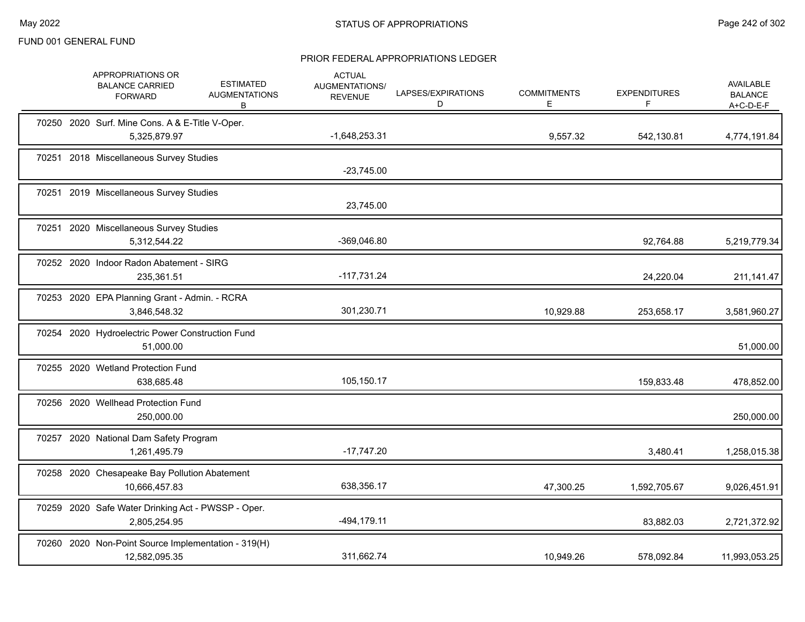|  | APPROPRIATIONS OR<br><b>BALANCE CARRIED</b><br><b>FORWARD</b>        | <b>ESTIMATED</b><br><b>AUGMENTATIONS</b><br>B | <b>ACTUAL</b><br>AUGMENTATIONS/<br><b>REVENUE</b> | LAPSES/EXPIRATIONS<br>D | <b>COMMITMENTS</b><br>Е | <b>EXPENDITURES</b><br>F | AVAILABLE<br><b>BALANCE</b><br>$A+C-D-E-F$ |
|--|----------------------------------------------------------------------|-----------------------------------------------|---------------------------------------------------|-------------------------|-------------------------|--------------------------|--------------------------------------------|
|  | 70250 2020 Surf. Mine Cons. A & E-Title V-Oper.<br>5,325,879.97      |                                               | $-1,648,253.31$                                   |                         | 9,557.32                | 542,130.81               | 4,774,191.84                               |
|  | 70251 2018 Miscellaneous Survey Studies                              |                                               | $-23,745.00$                                      |                         |                         |                          |                                            |
|  | 70251 2019 Miscellaneous Survey Studies                              |                                               | 23,745.00                                         |                         |                         |                          |                                            |
|  | 70251 2020 Miscellaneous Survey Studies<br>5,312,544.22              |                                               | -369,046.80                                       |                         |                         | 92,764.88                | 5,219,779.34                               |
|  | 70252 2020 Indoor Radon Abatement - SIRG<br>235,361.51               |                                               | $-117,731.24$                                     |                         |                         | 24,220.04                | 211, 141. 47                               |
|  | 70253 2020 EPA Planning Grant - Admin. - RCRA<br>3,846,548.32        |                                               | 301,230.71                                        |                         | 10,929.88               | 253,658.17               | 3,581,960.27                               |
|  | 70254 2020 Hydroelectric Power Construction Fund<br>51,000.00        |                                               |                                                   |                         |                         |                          | 51,000.00                                  |
|  | 70255 2020 Wetland Protection Fund<br>638,685.48                     |                                               | 105,150.17                                        |                         |                         | 159,833.48               | 478,852.00                                 |
|  | 70256 2020 Wellhead Protection Fund<br>250,000.00                    |                                               |                                                   |                         |                         |                          | 250,000.00                                 |
|  | 70257 2020 National Dam Safety Program<br>1,261,495.79               |                                               | $-17,747.20$                                      |                         |                         | 3,480.41                 | 1,258,015.38                               |
|  | 70258 2020 Chesapeake Bay Pollution Abatement<br>10,666,457.83       |                                               | 638,356.17                                        |                         | 47,300.25               | 1,592,705.67             | 9,026,451.91                               |
|  | 70259 2020 Safe Water Drinking Act - PWSSP - Oper.<br>2,805,254.95   |                                               | $-494, 179.11$                                    |                         |                         | 83,882.03                | 2,721,372.92                               |
|  | 70260 2020 Non-Point Source Implementation - 319(H)<br>12,582,095.35 |                                               | 311,662.74                                        |                         | 10,949.26               | 578,092.84               | 11,993,053.25                              |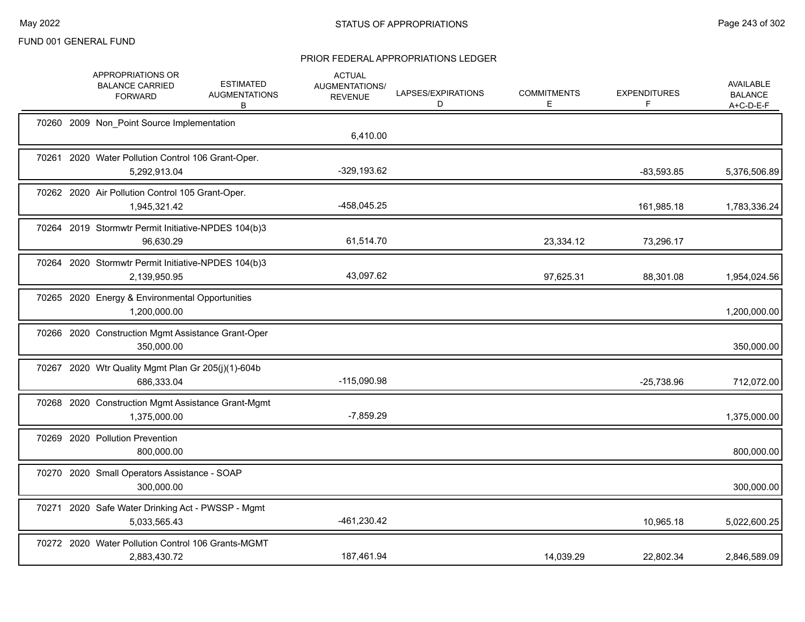|  | APPROPRIATIONS OR<br><b>BALANCE CARRIED</b><br><b>FORWARD</b>       | <b>ESTIMATED</b><br><b>AUGMENTATIONS</b><br>B | <b>ACTUAL</b><br>AUGMENTATIONS/<br><b>REVENUE</b> | LAPSES/EXPIRATIONS<br>D | <b>COMMITMENTS</b><br>Е | <b>EXPENDITURES</b><br>F | <b>AVAILABLE</b><br><b>BALANCE</b><br>A+C-D-E-F |
|--|---------------------------------------------------------------------|-----------------------------------------------|---------------------------------------------------|-------------------------|-------------------------|--------------------------|-------------------------------------------------|
|  | 70260 2009 Non_Point Source Implementation                          |                                               | 6,410.00                                          |                         |                         |                          |                                                 |
|  | 70261 2020 Water Pollution Control 106 Grant-Oper.<br>5,292,913.04  |                                               | $-329,193.62$                                     |                         |                         | $-83,593.85$             | 5,376,506.89                                    |
|  | 70262 2020 Air Pollution Control 105 Grant-Oper.<br>1,945,321.42    |                                               | -458,045.25                                       |                         |                         | 161,985.18               | 1,783,336.24                                    |
|  | 70264 2019 Stormwtr Permit Initiative-NPDES 104(b)3<br>96,630.29    |                                               | 61,514.70                                         |                         | 23,334.12               | 73,296.17                |                                                 |
|  | 70264 2020 Stormwtr Permit Initiative-NPDES 104(b)3<br>2,139,950.95 |                                               | 43,097.62                                         |                         | 97,625.31               | 88,301.08                | 1,954,024.56                                    |
|  | 70265 2020 Energy & Environmental Opportunities<br>1,200,000.00     |                                               |                                                   |                         |                         |                          | 1,200,000.00                                    |
|  | 70266 2020 Construction Mgmt Assistance Grant-Oper<br>350,000.00    |                                               |                                                   |                         |                         |                          | 350,000.00                                      |
|  | 70267 2020 Wtr Quality Mgmt Plan Gr 205(j)(1)-604b<br>686,333.04    |                                               | $-115,090.98$                                     |                         |                         | $-25,738.96$             | 712,072.00                                      |
|  | 70268 2020 Construction Mgmt Assistance Grant-Mgmt<br>1,375,000.00  |                                               | $-7,859.29$                                       |                         |                         |                          | 1,375,000.00                                    |
|  | 70269 2020 Pollution Prevention<br>800,000.00                       |                                               |                                                   |                         |                         |                          | 800,000.00                                      |
|  | 70270 2020 Small Operators Assistance - SOAP<br>300,000.00          |                                               |                                                   |                         |                         |                          | 300,000.00                                      |
|  | 70271 2020 Safe Water Drinking Act - PWSSP - Mgmt<br>5,033,565.43   |                                               | $-461,230.42$                                     |                         |                         | 10,965.18                | 5,022,600.25                                    |
|  | 70272 2020 Water Pollution Control 106 Grants-MGMT<br>2,883,430.72  |                                               | 187,461.94                                        |                         | 14,039.29               | 22,802.34                | 2,846,589.09                                    |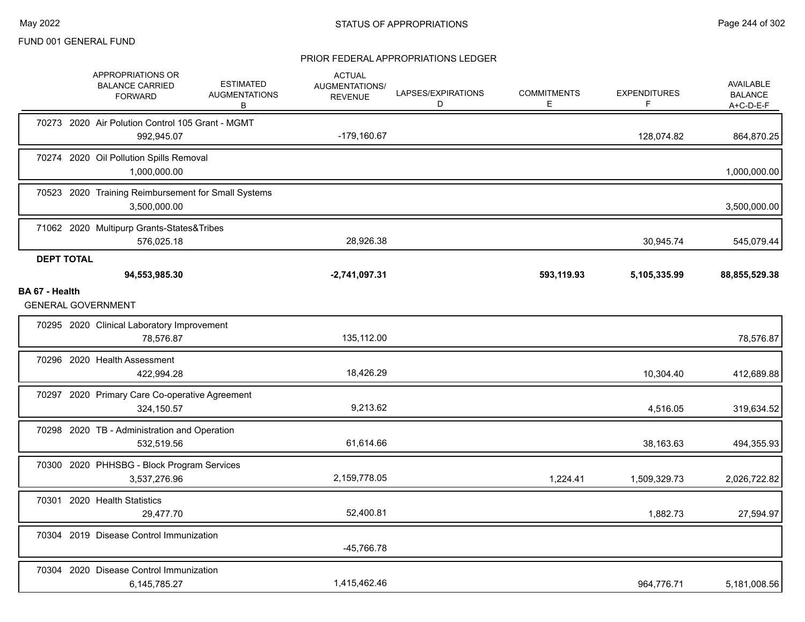|                                     | APPROPRIATIONS OR<br><b>BALANCE CARRIED</b><br><b>FORWARD</b>       | <b>ESTIMATED</b><br><b>AUGMENTATIONS</b><br>В | <b>ACTUAL</b><br><b>AUGMENTATIONS/</b><br><b>REVENUE</b> | LAPSES/EXPIRATIONS<br>D | <b>COMMITMENTS</b><br>Е | <b>EXPENDITURES</b><br>F | <b>AVAILABLE</b><br><b>BALANCE</b><br>$A+C-D-E-F$ |
|-------------------------------------|---------------------------------------------------------------------|-----------------------------------------------|----------------------------------------------------------|-------------------------|-------------------------|--------------------------|---------------------------------------------------|
|                                     | 70273 2020 Air Polution Control 105 Grant - MGMT<br>992,945.07      |                                               | -179,160.67                                              |                         |                         | 128,074.82               | 864,870.25                                        |
|                                     | 70274 2020 Oil Pollution Spills Removal<br>1,000,000.00             |                                               |                                                          |                         |                         |                          | 1,000,000.00                                      |
|                                     | 70523 2020 Training Reimbursement for Small Systems<br>3,500,000.00 |                                               |                                                          |                         |                         |                          | 3,500,000.00                                      |
|                                     | 71062 2020 Multipurp Grants-States&Tribes<br>576,025.18             |                                               | 28,926.38                                                |                         |                         | 30,945.74                | 545,079.44                                        |
| <b>DEPT TOTAL</b><br>BA 67 - Health | 94,553,985.30<br><b>GENERAL GOVERNMENT</b>                          |                                               | $-2,741,097.31$                                          |                         | 593,119.93              | 5,105,335.99             | 88,855,529.38                                     |
|                                     | 70295 2020 Clinical Laboratory Improvement<br>78,576.87             |                                               | 135,112.00                                               |                         |                         |                          | 78,576.87                                         |
|                                     | 70296 2020 Health Assessment<br>422,994.28                          |                                               | 18,426.29                                                |                         |                         | 10,304.40                | 412,689.88                                        |
|                                     | 70297 2020 Primary Care Co-operative Agreement<br>324,150.57        |                                               | 9,213.62                                                 |                         |                         | 4,516.05                 | 319,634.52                                        |
|                                     | 70298 2020 TB - Administration and Operation<br>532,519.56          |                                               | 61,614.66                                                |                         |                         | 38,163.63                | 494,355.93                                        |
|                                     | 70300 2020 PHHSBG - Block Program Services<br>3,537,276.96          |                                               | 2,159,778.05                                             |                         | 1,224.41                | 1,509,329.73             | 2,026,722.82                                      |
|                                     | 70301 2020 Health Statistics<br>29,477.70                           |                                               | 52,400.81                                                |                         |                         | 1,882.73                 | 27,594.97                                         |
|                                     | 70304 2019 Disease Control Immunization                             |                                               | -45,766.78                                               |                         |                         |                          |                                                   |
|                                     | 70304 2020 Disease Control Immunization<br>6,145,785.27             |                                               | 1,415,462.46                                             |                         |                         | 964,776.71               | 5,181,008.56                                      |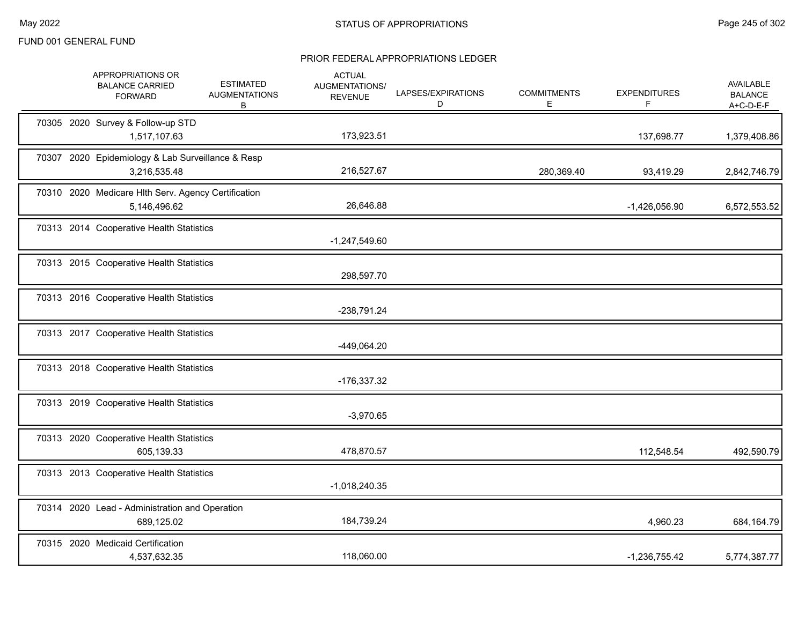|  | APPROPRIATIONS OR<br><b>BALANCE CARRIED</b><br><b>FORWARD</b>       | <b>ESTIMATED</b><br><b>AUGMENTATIONS</b><br>В | <b>ACTUAL</b><br>AUGMENTATIONS/<br><b>REVENUE</b> | LAPSES/EXPIRATIONS<br>D | <b>COMMITMENTS</b><br>Е | <b>EXPENDITURES</b><br>F. | AVAILABLE<br><b>BALANCE</b><br>$A+C-D-E-F$ |
|--|---------------------------------------------------------------------|-----------------------------------------------|---------------------------------------------------|-------------------------|-------------------------|---------------------------|--------------------------------------------|
|  | 70305 2020 Survey & Follow-up STD<br>1,517,107.63                   |                                               | 173,923.51                                        |                         |                         | 137,698.77                | 1,379,408.86                               |
|  | 70307 2020 Epidemiology & Lab Surveillance & Resp<br>3,216,535.48   |                                               | 216,527.67                                        |                         | 280,369.40              | 93,419.29                 | 2,842,746.79                               |
|  | 70310 2020 Medicare Hlth Serv. Agency Certification<br>5,146,496.62 |                                               | 26,646.88                                         |                         |                         | -1,426,056.90             | 6,572,553.52                               |
|  | 70313 2014 Cooperative Health Statistics                            |                                               | $-1,247,549.60$                                   |                         |                         |                           |                                            |
|  | 70313 2015 Cooperative Health Statistics                            |                                               | 298,597.70                                        |                         |                         |                           |                                            |
|  | 70313 2016 Cooperative Health Statistics                            |                                               | -238,791.24                                       |                         |                         |                           |                                            |
|  | 70313 2017 Cooperative Health Statistics                            |                                               | -449,064.20                                       |                         |                         |                           |                                            |
|  | 70313 2018 Cooperative Health Statistics                            |                                               | -176,337.32                                       |                         |                         |                           |                                            |
|  | 70313 2019 Cooperative Health Statistics                            |                                               | $-3,970.65$                                       |                         |                         |                           |                                            |
|  | 70313 2020 Cooperative Health Statistics<br>605,139.33              |                                               | 478,870.57                                        |                         |                         | 112,548.54                | 492,590.79                                 |
|  | 70313 2013 Cooperative Health Statistics                            |                                               | $-1,018,240.35$                                   |                         |                         |                           |                                            |
|  | 70314 2020 Lead - Administration and Operation<br>689,125.02        |                                               | 184,739.24                                        |                         |                         | 4,960.23                  | 684,164.79                                 |
|  | 70315 2020 Medicaid Certification<br>4,537,632.35                   |                                               | 118,060.00                                        |                         |                         | $-1,236,755.42$           | 5,774,387.77                               |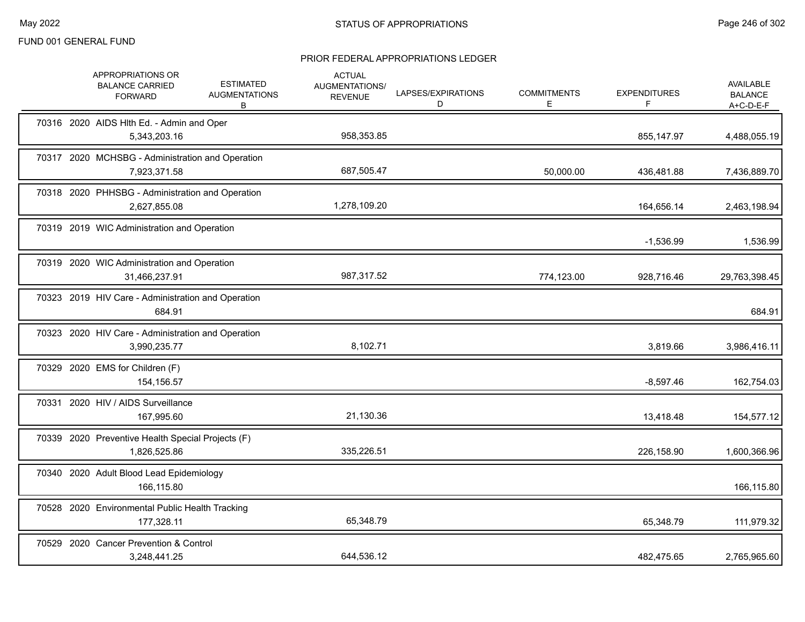| APPROPRIATIONS OR<br><b>BALANCE CARRIED</b><br><b>FORWARD</b>      | <b>ESTIMATED</b><br><b>AUGMENTATIONS</b><br>В | <b>ACTUAL</b><br><b>AUGMENTATIONS/</b><br><b>REVENUE</b> | LAPSES/EXPIRATIONS<br>D | <b>COMMITMENTS</b><br>E. | <b>EXPENDITURES</b><br>F | <b>AVAILABLE</b><br><b>BALANCE</b><br>$A+C-D-E-F$ |
|--------------------------------------------------------------------|-----------------------------------------------|----------------------------------------------------------|-------------------------|--------------------------|--------------------------|---------------------------------------------------|
| 70316 2020 AIDS HIth Ed. - Admin and Oper<br>5,343,203.16          |                                               | 958,353.85                                               |                         |                          | 855,147.97               | 4,488,055.19                                      |
| 70317 2020 MCHSBG - Administration and Operation<br>7,923,371.58   |                                               | 687,505.47                                               |                         | 50,000.00                | 436,481.88               | 7,436,889.70                                      |
| 70318 2020 PHHSBG - Administration and Operation<br>2,627,855.08   |                                               | 1,278,109.20                                             |                         |                          | 164,656.14               | 2,463,198.94                                      |
| 70319 2019 WIC Administration and Operation                        |                                               |                                                          |                         |                          | $-1,536.99$              | 1,536.99                                          |
| 70319 2020 WIC Administration and Operation<br>31,466,237.91       |                                               | 987,317.52                                               |                         | 774,123.00               | 928.716.46               | 29,763,398.45                                     |
| 70323 2019 HIV Care - Administration and Operation<br>684.91       |                                               |                                                          |                         |                          |                          | 684.91                                            |
| 70323 2020 HIV Care - Administration and Operation<br>3,990,235.77 |                                               | 8,102.71                                                 |                         |                          | 3,819.66                 | 3,986,416.11                                      |
| 70329 2020 EMS for Children (F)<br>154,156.57                      |                                               |                                                          |                         |                          | $-8,597.46$              | 162,754.03                                        |
| 70331 2020 HIV / AIDS Surveillance<br>167,995.60                   |                                               | 21,130.36                                                |                         |                          | 13,418.48                | 154,577.12                                        |
| 70339 2020 Preventive Health Special Projects (F)<br>1,826,525.86  |                                               | 335,226.51                                               |                         |                          | 226,158.90               | 1,600,366.96                                      |
| 70340 2020 Adult Blood Lead Epidemiology<br>166,115.80             |                                               |                                                          |                         |                          |                          | 166,115.80                                        |
| 70528 2020 Environmental Public Health Tracking<br>177,328.11      |                                               | 65,348.79                                                |                         |                          | 65,348.79                | 111,979.32                                        |
| 70529 2020 Cancer Prevention & Control<br>3,248,441.25             |                                               | 644,536.12                                               |                         |                          | 482,475.65               | 2,765,965.60                                      |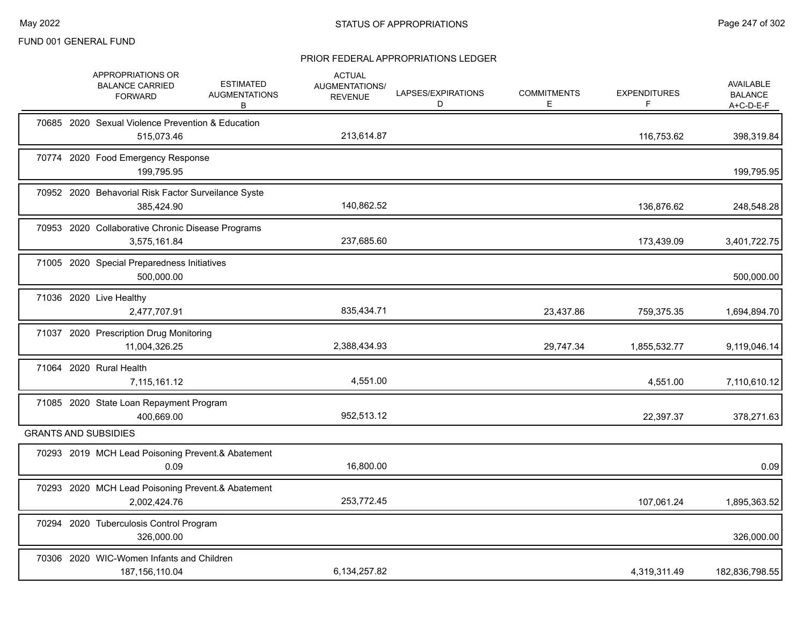|  | APPROPRIATIONS OR<br><b>BALANCE CARRIED</b><br><b>FORWARD</b>     | <b>ESTIMATED</b><br><b>AUGMENTATIONS</b><br>B | <b>ACTUAL</b><br><b>AUGMENTATIONS/</b><br><b>REVENUE</b> | LAPSES/EXPIRATIONS<br>D | <b>COMMITMENTS</b><br>E. | <b>EXPENDITURES</b><br>F. | <b>AVAILABLE</b><br><b>BALANCE</b><br>$A+C-D-E-F$ |
|--|-------------------------------------------------------------------|-----------------------------------------------|----------------------------------------------------------|-------------------------|--------------------------|---------------------------|---------------------------------------------------|
|  | 70685 2020 Sexual Violence Prevention & Education<br>515,073.46   |                                               | 213,614.87                                               |                         |                          | 116,753.62                | 398,319.84                                        |
|  | 70774 2020 Food Emergency Response<br>199,795.95                  |                                               |                                                          |                         |                          |                           | 199,795.95                                        |
|  | 70952 2020 Behavorial Risk Factor Surveilance Syste<br>385.424.90 |                                               | 140,862.52                                               |                         |                          | 136,876.62                | 248,548.28                                        |
|  | 70953 2020 Collaborative Chronic Disease Programs<br>3,575,161.84 |                                               | 237,685.60                                               |                         |                          | 173,439.09                | 3,401,722.75                                      |
|  | 71005 2020 Special Preparedness Initiatives<br>500.000.00         |                                               |                                                          |                         |                          |                           | 500,000.00                                        |
|  | 71036 2020 Live Healthy<br>2,477,707.91                           |                                               | 835,434.71                                               |                         | 23,437.86                | 759,375.35                | 1,694,894.70                                      |
|  | 71037 2020 Prescription Drug Monitoring<br>11,004,326.25          |                                               | 2,388,434.93                                             |                         | 29,747.34                | 1,855,532.77              | 9,119,046.14                                      |
|  | 71064 2020 Rural Health<br>7,115,161.12                           |                                               | 4,551.00                                                 |                         |                          | 4,551.00                  | 7,110,610.12                                      |
|  | 71085 2020 State Loan Repayment Program<br>400,669.00             |                                               | 952,513.12                                               |                         |                          | 22,397.37                 | 378,271.63                                        |
|  | <b>GRANTS AND SUBSIDIES</b>                                       |                                               |                                                          |                         |                          |                           |                                                   |
|  | 70293 2019 MCH Lead Poisoning Prevent.& Abatement<br>0.09         |                                               | 16,800.00                                                |                         |                          |                           | 0.09                                              |
|  | 70293 2020 MCH Lead Poisoning Prevent.& Abatement<br>2,002,424.76 |                                               | 253,772.45                                               |                         |                          | 107,061.24                | 1,895,363.52                                      |
|  | 70294 2020 Tuberculosis Control Program<br>326,000.00             |                                               |                                                          |                         |                          |                           | 326,000.00                                        |
|  | 70306 2020 WIC-Women Infants and Children<br>187, 156, 110.04     |                                               | 6,134,257.82                                             |                         |                          | 4,319,311.49              | 182,836,798.55                                    |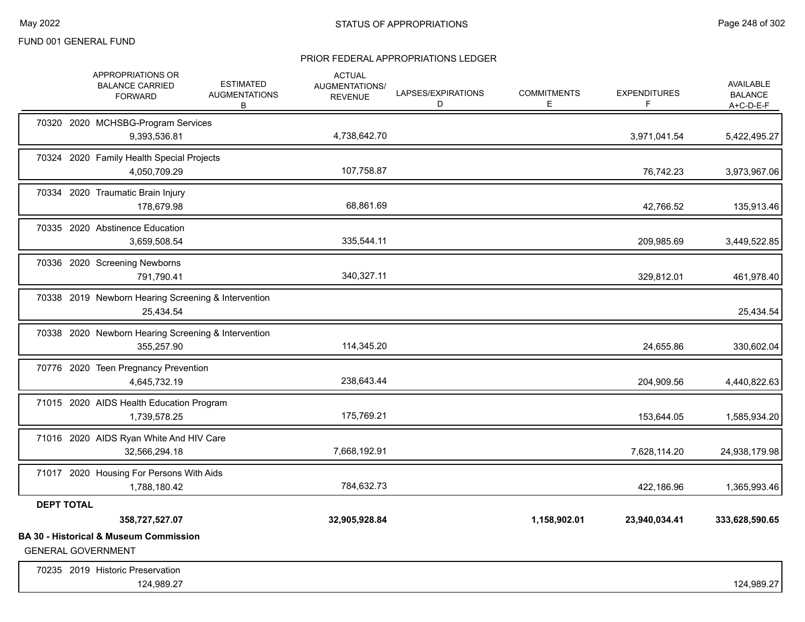|                   | APPROPRIATIONS OR<br><b>BALANCE CARRIED</b><br><b>FORWARD</b>                  | <b>ESTIMATED</b><br><b>AUGMENTATIONS</b><br>B | <b>ACTUAL</b><br><b>AUGMENTATIONS/</b><br><b>REVENUE</b> | LAPSES/EXPIRATIONS<br>D | <b>COMMITMENTS</b><br>E. | <b>EXPENDITURES</b> | <b>AVAILABLE</b><br><b>BALANCE</b><br>$A+C-D-E-F$ |
|-------------------|--------------------------------------------------------------------------------|-----------------------------------------------|----------------------------------------------------------|-------------------------|--------------------------|---------------------|---------------------------------------------------|
|                   | 70320 2020 MCHSBG-Program Services<br>9,393,536.81                             |                                               | 4,738,642.70                                             |                         |                          | 3,971,041.54        | 5,422,495.27                                      |
|                   | 70324 2020 Family Health Special Projects<br>4,050,709.29                      |                                               | 107,758.87                                               |                         |                          | 76,742.23           | 3,973,967.06                                      |
|                   | 70334 2020 Traumatic Brain Injury<br>178,679.98                                |                                               | 68,861.69                                                |                         |                          | 42,766.52           | 135,913.46                                        |
|                   | 70335 2020 Abstinence Education<br>3,659,508.54                                |                                               | 335,544.11                                               |                         |                          | 209,985.69          | 3,449,522.85                                      |
|                   | 70336 2020 Screening Newborns<br>791,790.41                                    |                                               | 340,327.11                                               |                         |                          | 329,812.01          | 461,978.40                                        |
|                   | 70338 2019 Newborn Hearing Screening & Intervention<br>25,434.54               |                                               |                                                          |                         |                          |                     | 25,434.54                                         |
|                   | 70338 2020 Newborn Hearing Screening & Intervention<br>355,257.90              |                                               | 114,345.20                                               |                         |                          | 24,655.86           | 330,602.04                                        |
|                   | 70776 2020 Teen Pregnancy Prevention<br>4,645,732.19                           |                                               | 238,643.44                                               |                         |                          | 204,909.56          | 4,440,822.63                                      |
|                   | 71015 2020 AIDS Health Education Program<br>1,739,578.25                       |                                               | 175,769.21                                               |                         |                          | 153,644.05          | 1,585,934.20                                      |
|                   | 71016 2020 AIDS Ryan White And HIV Care<br>32,566,294.18                       |                                               | 7,668,192.91                                             |                         |                          | 7,628,114.20        | 24,938,179.98                                     |
|                   | 71017 2020 Housing For Persons With Aids<br>1,788,180.42                       |                                               | 784,632.73                                               |                         |                          | 422,186.96          | 1,365,993.46                                      |
| <b>DEPT TOTAL</b> |                                                                                |                                               |                                                          |                         |                          |                     |                                                   |
|                   | 358,727,527.07                                                                 |                                               | 32,905,928.84                                            |                         | 1,158,902.01             | 23,940,034.41       | 333,628,590.65                                    |
|                   | <b>BA 30 - Historical &amp; Museum Commission</b><br><b>GENERAL GOVERNMENT</b> |                                               |                                                          |                         |                          |                     |                                                   |
|                   | 70235 2019 Historic Preservation<br>124,989.27                                 |                                               |                                                          |                         |                          |                     | 124,989.27                                        |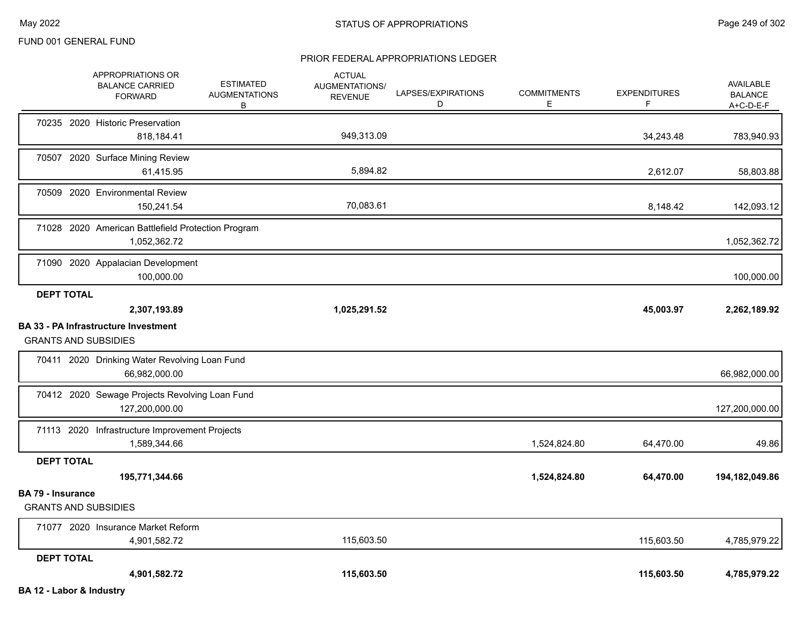|                                                         | APPROPRIATIONS OR<br><b>BALANCE CARRIED</b><br><b>FORWARD</b>      | ESTIMATED<br><b>AUGMENTATIONS</b><br>B | <b>ACTUAL</b><br><b>AUGMENTATIONS/</b><br><b>REVENUE</b> | LAPSES/EXPIRATIONS<br>D | <b>COMMITMENTS</b><br>Е | <b>EXPENDITURES</b><br>F | AVAILABLE<br><b>BALANCE</b><br>A+C-D-E-F |
|---------------------------------------------------------|--------------------------------------------------------------------|----------------------------------------|----------------------------------------------------------|-------------------------|-------------------------|--------------------------|------------------------------------------|
|                                                         | 70235 2020 Historic Preservation<br>818,184.41                     |                                        | 949,313.09                                               |                         |                         | 34,243.48                | 783,940.93                               |
|                                                         | 70507 2020 Surface Mining Review<br>61,415.95                      |                                        | 5,894.82                                                 |                         |                         | 2,612.07                 | 58,803.88                                |
|                                                         | 70509 2020 Environmental Review<br>150,241.54                      |                                        | 70,083.61                                                |                         |                         | 8,148.42                 | 142,093.12                               |
|                                                         | 71028 2020 American Battlefield Protection Program<br>1,052,362.72 |                                        |                                                          |                         |                         |                          | 1,052,362.72                             |
|                                                         | 71090 2020 Appalacian Development<br>100,000.00                    |                                        |                                                          |                         |                         |                          | 100,000.00                               |
| <b>DEPT TOTAL</b>                                       | 2,307,193.89                                                       |                                        | 1,025,291.52                                             |                         |                         | 45,003.97                | 2,262,189.92                             |
| <b>GRANTS AND SUBSIDIES</b>                             | <b>BA 33 - PA Infrastructure Investment</b>                        |                                        |                                                          |                         |                         |                          |                                          |
|                                                         | 70411 2020 Drinking Water Revolving Loan Fund<br>66,982,000.00     |                                        |                                                          |                         |                         |                          | 66,982,000.00                            |
|                                                         | 70412 2020 Sewage Projects Revolving Loan Fund<br>127,200,000.00   |                                        |                                                          |                         |                         |                          | 127,200,000.00                           |
|                                                         | 71113 2020 Infrastructure Improvement Projects<br>1,589,344.66     |                                        |                                                          |                         | 1,524,824.80            | 64,470.00                | 49.86                                    |
| <b>DEPT TOTAL</b>                                       | 195,771,344.66                                                     |                                        |                                                          |                         | 1,524,824.80            | 64,470.00                | 194,182,049.86                           |
| <b>BA 79 - Insurance</b><br><b>GRANTS AND SUBSIDIES</b> |                                                                    |                                        |                                                          |                         |                         |                          |                                          |
|                                                         | 71077 2020 Insurance Market Reform<br>4,901,582.72                 |                                        | 115,603.50                                               |                         |                         | 115,603.50               | 4,785,979.22                             |
| <b>DEPT TOTAL</b>                                       | 4,901,582.72                                                       |                                        | 115,603.50                                               |                         |                         | 115,603.50               | 4,785,979.22                             |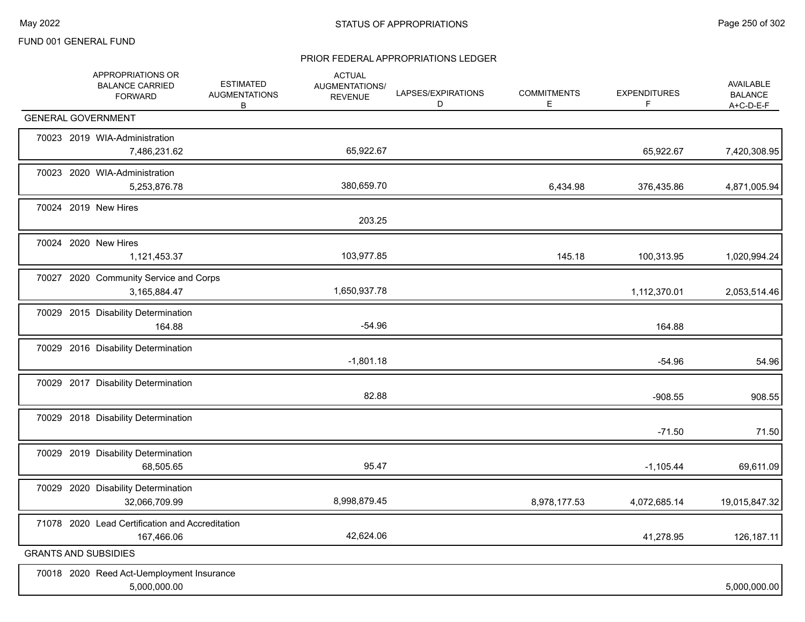|  | APPROPRIATIONS OR<br><b>BALANCE CARRIED</b><br><b>FORWARD</b> | <b>ESTIMATED</b><br><b>AUGMENTATIONS</b><br>B | <b>ACTUAL</b><br>AUGMENTATIONS/<br><b>REVENUE</b> | LAPSES/EXPIRATIONS<br>D | <b>COMMITMENTS</b><br>Е | <b>EXPENDITURES</b><br>F | AVAILABLE<br><b>BALANCE</b><br>$A+C-D-E-F$ |
|--|---------------------------------------------------------------|-----------------------------------------------|---------------------------------------------------|-------------------------|-------------------------|--------------------------|--------------------------------------------|
|  | <b>GENERAL GOVERNMENT</b>                                     |                                               |                                                   |                         |                         |                          |                                            |
|  | 70023 2019 WIA-Administration<br>7,486,231.62                 |                                               | 65,922.67                                         |                         |                         | 65,922.67                | 7,420,308.95                               |
|  | 70023 2020 WIA-Administration<br>5,253,876.78                 |                                               | 380,659.70                                        |                         | 6,434.98                | 376,435.86               | 4,871,005.94                               |
|  | 70024 2019 New Hires                                          |                                               | 203.25                                            |                         |                         |                          |                                            |
|  | 70024 2020 New Hires<br>1,121,453.37                          |                                               | 103,977.85                                        |                         | 145.18                  | 100,313.95               | 1,020,994.24                               |
|  | 70027 2020 Community Service and Corps<br>3,165,884.47        |                                               | 1,650,937.78                                      |                         |                         | 1,112,370.01             | 2,053,514.46                               |
|  | 70029 2015 Disability Determination<br>164.88                 |                                               | $-54.96$                                          |                         |                         | 164.88                   |                                            |
|  | 70029 2016 Disability Determination                           |                                               | $-1,801.18$                                       |                         |                         | $-54.96$                 | 54.96                                      |
|  | 70029 2017 Disability Determination                           |                                               | 82.88                                             |                         |                         | $-908.55$                | 908.55                                     |
|  | 70029 2018 Disability Determination                           |                                               |                                                   |                         |                         | $-71.50$                 | 71.50                                      |
|  | 70029 2019 Disability Determination<br>68,505.65              |                                               | 95.47                                             |                         |                         | $-1,105.44$              | 69,611.09                                  |
|  | 70029 2020 Disability Determination<br>32,066,709.99          |                                               | 8,998,879.45                                      |                         | 8,978,177.53            | 4,072,685.14             | 19,015,847.32                              |
|  | 71078 2020 Lead Certification and Accreditation<br>167,466.06 |                                               | 42,624.06                                         |                         |                         | 41,278.95                | 126, 187. 11                               |
|  | <b>GRANTS AND SUBSIDIES</b>                                   |                                               |                                                   |                         |                         |                          |                                            |
|  | 70018 2020 Reed Act-Uemployment Insurance<br>5,000,000.00     |                                               |                                                   |                         |                         |                          | 5,000,000.00                               |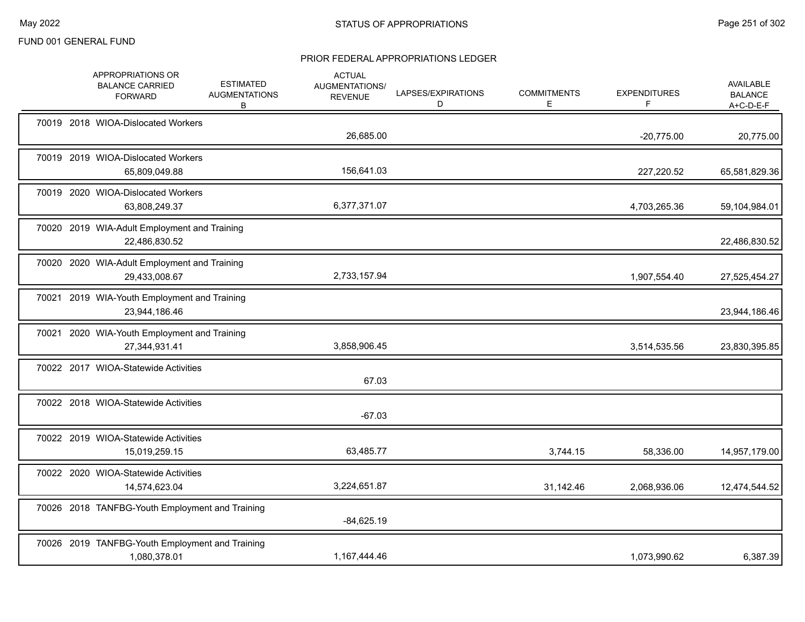|  | APPROPRIATIONS OR<br><b>BALANCE CARRIED</b><br><b>FORWARD</b>   | <b>ESTIMATED</b><br><b>AUGMENTATIONS</b><br>В | <b>ACTUAL</b><br>AUGMENTATIONS/<br><b>REVENUE</b> | LAPSES/EXPIRATIONS<br>D | <b>COMMITMENTS</b><br>E. | <b>EXPENDITURES</b><br>F. | AVAILABLE<br><b>BALANCE</b><br>A+C-D-E-F |
|--|-----------------------------------------------------------------|-----------------------------------------------|---------------------------------------------------|-------------------------|--------------------------|---------------------------|------------------------------------------|
|  | 70019 2018 WIOA-Dislocated Workers                              |                                               | 26,685.00                                         |                         |                          | $-20,775.00$              | 20,775.00                                |
|  | 70019 2019 WIOA-Dislocated Workers<br>65,809,049.88             |                                               | 156,641.03                                        |                         |                          | 227,220.52                | 65,581,829.36                            |
|  | 70019 2020 WIOA-Dislocated Workers<br>63,808,249.37             |                                               | 6,377,371.07                                      |                         |                          | 4,703,265.36              | 59,104,984.01                            |
|  | 70020 2019 WIA-Adult Employment and Training<br>22,486,830.52   |                                               |                                                   |                         |                          |                           | 22,486,830.52                            |
|  | 70020 2020 WIA-Adult Employment and Training<br>29,433,008.67   |                                               | 2,733,157.94                                      |                         |                          | 1,907,554.40              | 27,525,454.27                            |
|  | 70021 2019 WIA-Youth Employment and Training<br>23,944,186.46   |                                               |                                                   |                         |                          |                           | 23,944,186.46                            |
|  | 70021 2020 WIA-Youth Employment and Training<br>27,344,931.41   |                                               | 3,858,906.45                                      |                         |                          | 3,514,535.56              | 23,830,395.85                            |
|  | 70022 2017 WIOA-Statewide Activities                            |                                               | 67.03                                             |                         |                          |                           |                                          |
|  | 70022 2018 WIOA-Statewide Activities                            |                                               | $-67.03$                                          |                         |                          |                           |                                          |
|  | 70022 2019 WIOA-Statewide Activities<br>15,019,259.15           |                                               | 63,485.77                                         |                         | 3,744.15                 | 58,336.00                 | 14,957,179.00                            |
|  | 70022 2020 WIOA-Statewide Activities<br>14,574,623.04           |                                               | 3,224,651.87                                      |                         | 31,142.46                | 2,068,936.06              | 12,474,544.52                            |
|  | 70026 2018 TANFBG-Youth Employment and Training                 |                                               | $-84,625.19$                                      |                         |                          |                           |                                          |
|  | 70026 2019 TANFBG-Youth Employment and Training<br>1,080,378.01 |                                               | 1,167,444.46                                      |                         |                          | 1,073,990.62              | 6,387.39                                 |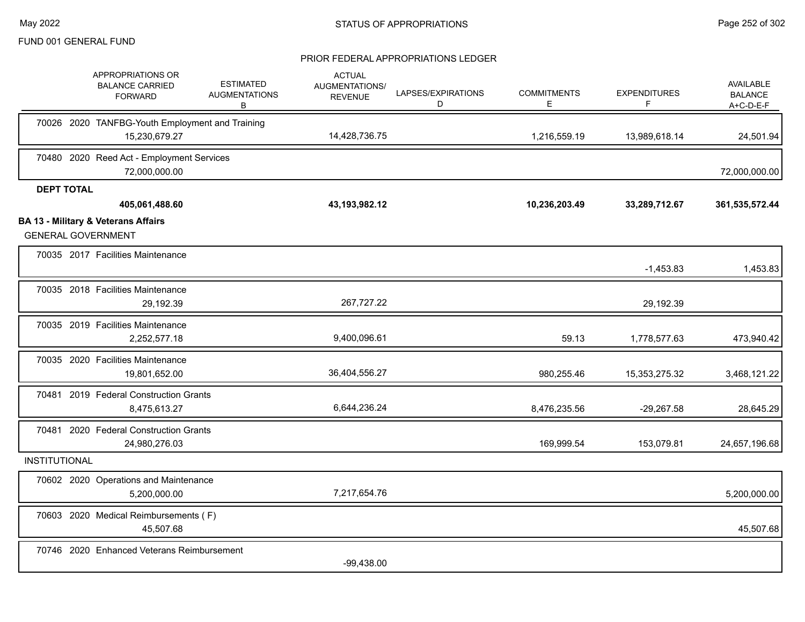|                      | APPROPRIATIONS OR<br><b>BALANCE CARRIED</b><br><b>FORWARD</b>               | <b>ESTIMATED</b><br><b>AUGMENTATIONS</b><br>В | <b>ACTUAL</b><br>AUGMENTATIONS/<br><b>REVENUE</b> | LAPSES/EXPIRATIONS<br>D | <b>COMMITMENTS</b><br>E | <b>EXPENDITURES</b><br>F. | AVAILABLE<br><b>BALANCE</b><br>$A+C-D-E-F$ |
|----------------------|-----------------------------------------------------------------------------|-----------------------------------------------|---------------------------------------------------|-------------------------|-------------------------|---------------------------|--------------------------------------------|
|                      | 70026 2020 TANFBG-Youth Employment and Training<br>15,230,679.27            |                                               | 14,428,736.75                                     |                         | 1,216,559.19            | 13,989,618.14             | 24,501.94                                  |
|                      | 70480 2020 Reed Act - Employment Services<br>72,000,000.00                  |                                               |                                                   |                         |                         |                           | 72,000,000.00                              |
| <b>DEPT TOTAL</b>    | 405,061,488.60                                                              |                                               | 43, 193, 982. 12                                  |                         | 10,236,203.49           | 33,289,712.67             | 361,535,572.44                             |
|                      | <b>BA 13 - Military &amp; Veterans Affairs</b><br><b>GENERAL GOVERNMENT</b> |                                               |                                                   |                         |                         |                           |                                            |
|                      | 70035 2017 Facilities Maintenance                                           |                                               |                                                   |                         |                         | $-1,453.83$               | 1,453.83                                   |
|                      | 70035 2018 Facilities Maintenance<br>29,192.39                              |                                               | 267,727.22                                        |                         |                         | 29,192.39                 |                                            |
|                      | 70035 2019 Facilities Maintenance<br>2,252,577.18                           |                                               | 9,400,096.61                                      |                         | 59.13                   | 1,778,577.63              | 473,940.42                                 |
|                      | 70035 2020 Facilities Maintenance<br>19,801,652.00                          |                                               | 36,404,556.27                                     |                         | 980,255.46              | 15,353,275.32             | 3,468,121.22                               |
|                      | 70481 2019 Federal Construction Grants<br>8,475,613.27                      |                                               | 6,644,236.24                                      |                         | 8,476,235.56            | $-29,267.58$              | 28,645.29                                  |
| 70481                | 2020 Federal Construction Grants<br>24,980,276.03                           |                                               |                                                   |                         | 169,999.54              | 153,079.81                | 24,657,196.68                              |
| <b>INSTITUTIONAL</b> |                                                                             |                                               |                                                   |                         |                         |                           |                                            |
|                      | 70602 2020 Operations and Maintenance<br>5,200,000.00                       |                                               | 7,217,654.76                                      |                         |                         |                           | 5,200,000.00                               |
|                      | 70603 2020 Medical Reimbursements (F)<br>45,507.68                          |                                               |                                                   |                         |                         |                           | 45,507.68                                  |
|                      | 70746 2020 Enhanced Veterans Reimbursement                                  |                                               | $-99,438.00$                                      |                         |                         |                           |                                            |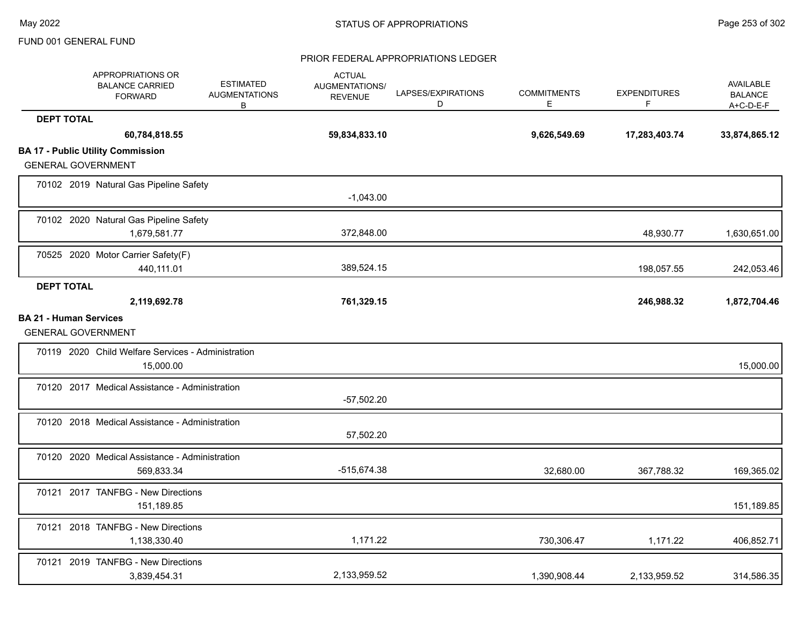|                   | APPROPRIATIONS OR<br><b>BALANCE CARRIED</b><br><b>FORWARD</b>   | <b>ESTIMATED</b><br><b>AUGMENTATIONS</b><br>B | <b>ACTUAL</b><br>AUGMENTATIONS/<br><b>REVENUE</b> | LAPSES/EXPIRATIONS<br>D | <b>COMMITMENTS</b><br>E | <b>EXPENDITURES</b><br>F | AVAILABLE<br><b>BALANCE</b><br>$A+C-D-E-F$ |
|-------------------|-----------------------------------------------------------------|-----------------------------------------------|---------------------------------------------------|-------------------------|-------------------------|--------------------------|--------------------------------------------|
| <b>DEPT TOTAL</b> |                                                                 |                                               |                                                   |                         |                         |                          |                                            |
|                   | 60,784,818.55                                                   |                                               | 59,834,833.10                                     |                         | 9,626,549.69            | 17,283,403.74            | 33,874,865.12                              |
|                   | <b>BA 17 - Public Utility Commission</b>                        |                                               |                                                   |                         |                         |                          |                                            |
|                   | <b>GENERAL GOVERNMENT</b>                                       |                                               |                                                   |                         |                         |                          |                                            |
|                   | 70102 2019 Natural Gas Pipeline Safety                          |                                               | $-1,043.00$                                       |                         |                         |                          |                                            |
|                   | 70102 2020 Natural Gas Pipeline Safety                          |                                               |                                                   |                         |                         |                          |                                            |
|                   | 1,679,581.77                                                    |                                               | 372,848.00                                        |                         |                         | 48,930.77                | 1,630,651.00                               |
|                   | 70525 2020 Motor Carrier Safety(F)                              |                                               |                                                   |                         |                         |                          |                                            |
|                   | 440,111.01                                                      |                                               | 389,524.15                                        |                         |                         | 198,057.55               | 242,053.46                                 |
| <b>DEPT TOTAL</b> |                                                                 |                                               |                                                   |                         |                         |                          |                                            |
|                   | 2,119,692.78                                                    |                                               | 761,329.15                                        |                         |                         | 246,988.32               | 1,872,704.46                               |
|                   | <b>BA 21 - Human Services</b><br><b>GENERAL GOVERNMENT</b>      |                                               |                                                   |                         |                         |                          |                                            |
|                   | 70119 2020 Child Welfare Services - Administration<br>15,000.00 |                                               |                                                   |                         |                         |                          | 15,000.00                                  |
|                   | 70120 2017 Medical Assistance - Administration                  |                                               |                                                   |                         |                         |                          |                                            |
|                   |                                                                 |                                               | $-57,502.20$                                      |                         |                         |                          |                                            |
|                   | 70120 2018 Medical Assistance - Administration                  |                                               |                                                   |                         |                         |                          |                                            |
|                   |                                                                 |                                               | 57,502.20                                         |                         |                         |                          |                                            |
|                   | 70120 2020 Medical Assistance - Administration<br>569,833.34    |                                               | -515,674.38                                       |                         | 32,680.00               | 367,788.32               | 169,365.02                                 |
|                   | 70121 2017 TANFBG - New Directions<br>151,189.85                |                                               |                                                   |                         |                         |                          | 151,189.85                                 |
|                   | 70121 2018 TANFBG - New Directions<br>1,138,330.40              |                                               | 1,171.22                                          |                         | 730,306.47              | 1,171.22                 | 406,852.71                                 |
|                   | 70121 2019 TANFBG - New Directions<br>3,839,454.31              |                                               | 2,133,959.52                                      |                         | 1,390,908.44            | 2,133,959.52             | 314,586.35                                 |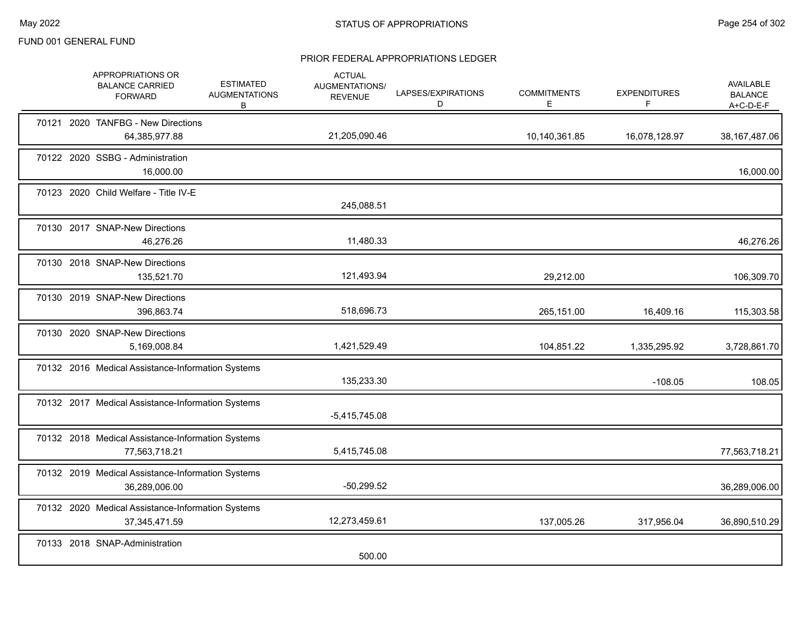|  | APPROPRIATIONS OR<br><b>BALANCE CARRIED</b><br><b>FORWARD</b>        | <b>ESTIMATED</b><br><b>AUGMENTATIONS</b><br>B | <b>ACTUAL</b><br>AUGMENTATIONS/<br><b>REVENUE</b> | LAPSES/EXPIRATIONS<br>D | <b>COMMITMENTS</b><br>Е, | <b>EXPENDITURES</b><br>F | AVAILABLE<br><b>BALANCE</b><br>A+C-D-E-F |
|--|----------------------------------------------------------------------|-----------------------------------------------|---------------------------------------------------|-------------------------|--------------------------|--------------------------|------------------------------------------|
|  | 70121 2020 TANFBG - New Directions<br>64,385,977.88                  |                                               | 21,205,090.46                                     |                         | 10,140,361.85            | 16,078,128.97            | 38, 167, 487.06                          |
|  | 70122 2020 SSBG - Administration<br>16,000.00                        |                                               |                                                   |                         |                          |                          | 16,000.00                                |
|  | 70123 2020 Child Welfare - Title IV-E                                |                                               | 245,088.51                                        |                         |                          |                          |                                          |
|  | 70130 2017 SNAP-New Directions<br>46,276.26                          |                                               | 11,480.33                                         |                         |                          |                          | 46,276.26                                |
|  | 70130 2018 SNAP-New Directions<br>135,521.70                         |                                               | 121,493.94                                        |                         | 29,212.00                |                          | 106,309.70                               |
|  | 70130 2019 SNAP-New Directions<br>396,863.74                         |                                               | 518,696.73                                        |                         | 265,151.00               | 16,409.16                | 115,303.58                               |
|  | 70130 2020 SNAP-New Directions<br>5,169,008.84                       |                                               | 1,421,529.49                                      |                         | 104,851.22               | 1,335,295.92             | 3,728,861.70                             |
|  | 70132 2016 Medical Assistance-Information Systems                    |                                               | 135,233.30                                        |                         |                          | $-108.05$                | 108.05                                   |
|  | 70132 2017 Medical Assistance-Information Systems                    |                                               | $-5,415,745.08$                                   |                         |                          |                          |                                          |
|  | 70132 2018 Medical Assistance-Information Systems<br>77,563,718.21   |                                               | 5,415,745.08                                      |                         |                          |                          | 77,563,718.21                            |
|  | 70132 2019 Medical Assistance-Information Systems<br>36,289,006.00   |                                               | $-50,299.52$                                      |                         |                          |                          | 36,289,006.00                            |
|  | 70132 2020 Medical Assistance-Information Systems<br>37, 345, 471.59 |                                               | 12,273,459.61                                     |                         | 137,005.26               | 317,956.04               | 36,890,510.29                            |
|  | 70133 2018 SNAP-Administration                                       |                                               | 500.00                                            |                         |                          |                          |                                          |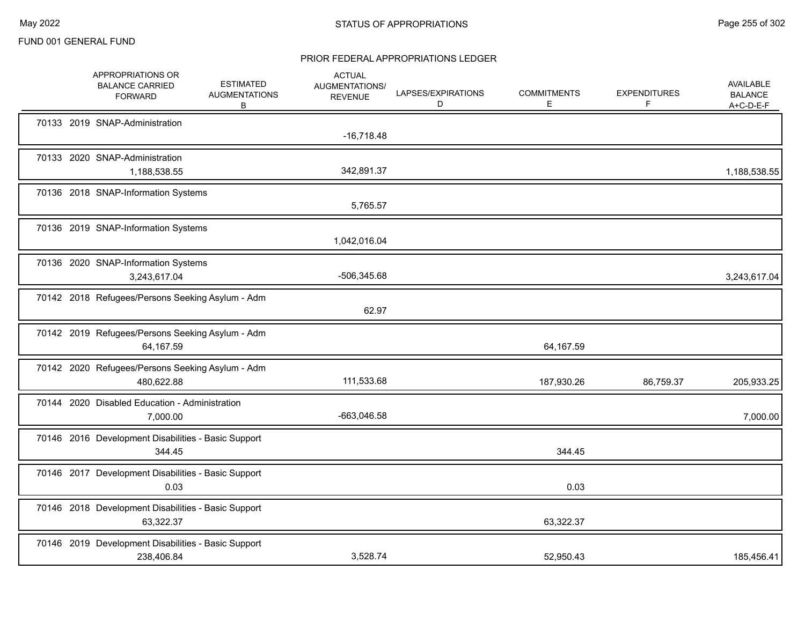|  | APPROPRIATIONS OR<br><b>BALANCE CARRIED</b><br><b>FORWARD</b>     | <b>ESTIMATED</b><br><b>AUGMENTATIONS</b><br>B | <b>ACTUAL</b><br>AUGMENTATIONS/<br><b>REVENUE</b> | LAPSES/EXPIRATIONS<br>D | <b>COMMITMENTS</b><br>E | <b>EXPENDITURES</b><br>F | <b>AVAILABLE</b><br><b>BALANCE</b><br>$A+C-D-E-F$ |
|--|-------------------------------------------------------------------|-----------------------------------------------|---------------------------------------------------|-------------------------|-------------------------|--------------------------|---------------------------------------------------|
|  | 70133 2019 SNAP-Administration                                    |                                               | $-16,718.48$                                      |                         |                         |                          |                                                   |
|  | 70133 2020 SNAP-Administration<br>1,188,538.55                    |                                               | 342,891.37                                        |                         |                         |                          | 1,188,538.55                                      |
|  | 70136 2018 SNAP-Information Systems                               |                                               | 5,765.57                                          |                         |                         |                          |                                                   |
|  | 70136 2019 SNAP-Information Systems                               |                                               | 1,042,016.04                                      |                         |                         |                          |                                                   |
|  | 70136 2020 SNAP-Information Systems<br>3,243,617.04               |                                               | -506,345.68                                       |                         |                         |                          | 3,243,617.04                                      |
|  | 70142 2018 Refugees/Persons Seeking Asylum - Adm                  |                                               | 62.97                                             |                         |                         |                          |                                                   |
|  | 70142 2019 Refugees/Persons Seeking Asylum - Adm<br>64,167.59     |                                               |                                                   |                         | 64,167.59               |                          |                                                   |
|  | 70142 2020 Refugees/Persons Seeking Asylum - Adm<br>480,622.88    |                                               | 111,533.68                                        |                         | 187,930.26              | 86,759.37                | 205,933.25                                        |
|  | 70144 2020 Disabled Education - Administration<br>7,000.00        |                                               | -663,046.58                                       |                         |                         |                          | 7,000.00                                          |
|  | 70146 2016 Development Disabilities - Basic Support<br>344.45     |                                               |                                                   |                         | 344.45                  |                          |                                                   |
|  | 70146 2017 Development Disabilities - Basic Support<br>0.03       |                                               |                                                   |                         | 0.03                    |                          |                                                   |
|  | 70146 2018 Development Disabilities - Basic Support<br>63,322.37  |                                               |                                                   |                         | 63,322.37               |                          |                                                   |
|  | 70146 2019 Development Disabilities - Basic Support<br>238,406.84 |                                               | 3,528.74                                          |                         | 52,950.43               |                          | 185,456.41                                        |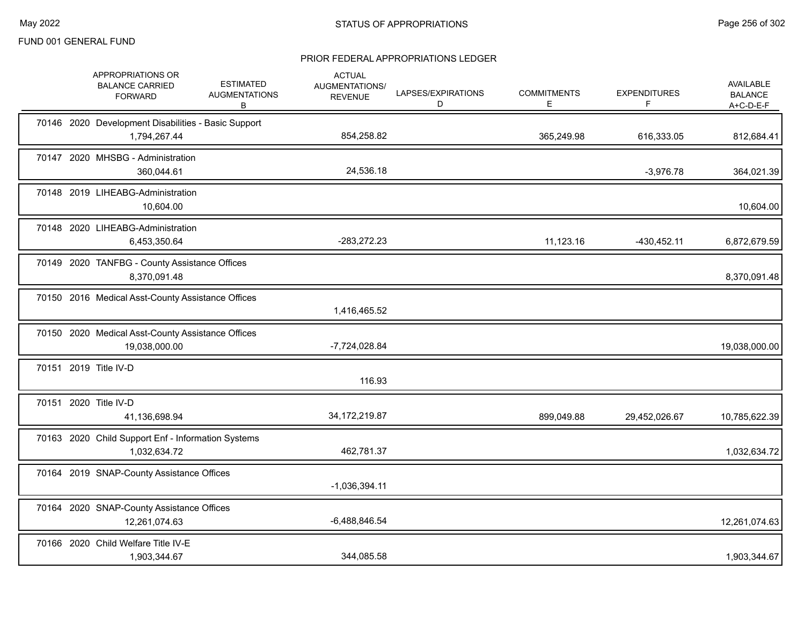|  | APPROPRIATIONS OR<br><b>BALANCE CARRIED</b><br><b>FORWARD</b>       | <b>ESTIMATED</b><br><b>AUGMENTATIONS</b><br>В | <b>ACTUAL</b><br>AUGMENTATIONS/<br><b>REVENUE</b> | LAPSES/EXPIRATIONS<br>D | <b>COMMITMENTS</b><br>E | <b>EXPENDITURES</b><br>F. | AVAILABLE<br><b>BALANCE</b><br>$A+C-D-E-F$ |
|--|---------------------------------------------------------------------|-----------------------------------------------|---------------------------------------------------|-------------------------|-------------------------|---------------------------|--------------------------------------------|
|  | 70146 2020 Development Disabilities - Basic Support<br>1,794,267.44 |                                               | 854,258.82                                        |                         | 365,249.98              | 616,333.05                | 812,684.41                                 |
|  | 70147 2020 MHSBG - Administration<br>360,044.61                     |                                               | 24,536.18                                         |                         |                         | $-3,976.78$               | 364,021.39                                 |
|  | 70148 2019 LIHEABG-Administration<br>10,604.00                      |                                               |                                                   |                         |                         |                           | 10,604.00                                  |
|  | 70148 2020 LIHEABG-Administration<br>6,453,350.64                   |                                               | -283,272.23                                       |                         | 11,123.16               | -430,452.11               | 6,872,679.59                               |
|  | 70149 2020 TANFBG - County Assistance Offices<br>8,370,091.48       |                                               |                                                   |                         |                         |                           | 8,370,091.48                               |
|  | 70150 2016 Medical Asst-County Assistance Offices                   |                                               | 1,416,465.52                                      |                         |                         |                           |                                            |
|  | 70150 2020 Medical Asst-County Assistance Offices<br>19,038,000.00  |                                               | -7,724,028.84                                     |                         |                         |                           | 19,038,000.00                              |
|  | 70151 2019 Title IV-D                                               |                                               | 116.93                                            |                         |                         |                           |                                            |
|  | 70151 2020 Title IV-D<br>41,136,698.94                              |                                               | 34, 172, 219.87                                   |                         | 899,049.88              | 29,452,026.67             | 10,785,622.39                              |
|  | 70163 2020 Child Support Enf - Information Systems<br>1,032,634.72  |                                               | 462,781.37                                        |                         |                         |                           | 1,032,634.72                               |
|  | 70164 2019 SNAP-County Assistance Offices                           |                                               | $-1,036,394.11$                                   |                         |                         |                           |                                            |
|  | 70164 2020 SNAP-County Assistance Offices<br>12,261,074.63          |                                               | $-6,488,846.54$                                   |                         |                         |                           | 12,261,074.63                              |
|  | 70166 2020 Child Welfare Title IV-E<br>1,903,344.67                 |                                               | 344,085.58                                        |                         |                         |                           | 1,903,344.67                               |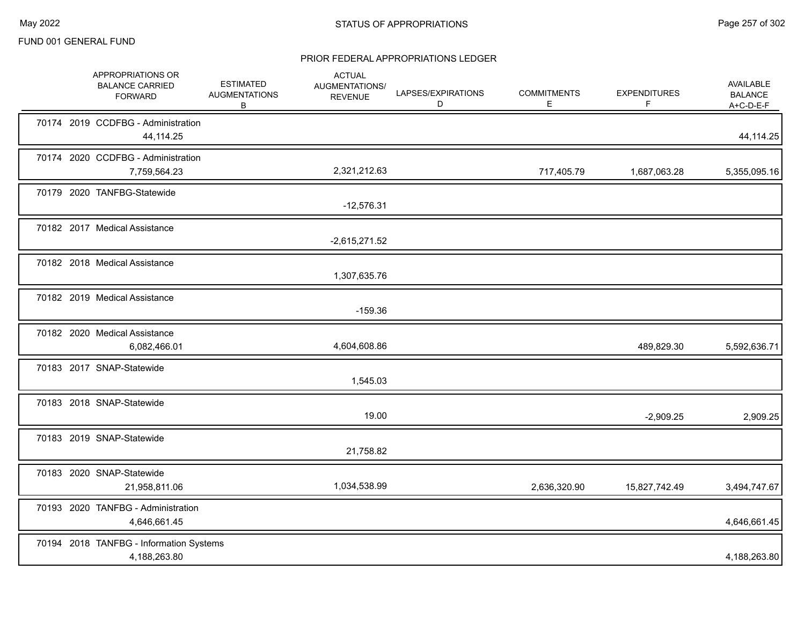|  | APPROPRIATIONS OR<br><b>BALANCE CARRIED</b><br><b>FORWARD</b> | <b>ESTIMATED</b><br><b>AUGMENTATIONS</b><br>B | <b>ACTUAL</b><br>AUGMENTATIONS/<br><b>REVENUE</b> | LAPSES/EXPIRATIONS<br>D | <b>COMMITMENTS</b><br>E. | <b>EXPENDITURES</b><br>F | AVAILABLE<br><b>BALANCE</b><br>$A+C-D-E-F$ |
|--|---------------------------------------------------------------|-----------------------------------------------|---------------------------------------------------|-------------------------|--------------------------|--------------------------|--------------------------------------------|
|  | 70174 2019 CCDFBG - Administration<br>44,114.25               |                                               |                                                   |                         |                          |                          | 44,114.25                                  |
|  | 70174 2020 CCDFBG - Administration<br>7,759,564.23            |                                               | 2,321,212.63                                      |                         | 717,405.79               | 1,687,063.28             | 5,355,095.16                               |
|  | 70179 2020 TANFBG-Statewide                                   |                                               | $-12,576.31$                                      |                         |                          |                          |                                            |
|  | 70182 2017 Medical Assistance                                 |                                               | $-2,615,271.52$                                   |                         |                          |                          |                                            |
|  | 70182 2018 Medical Assistance                                 |                                               | 1,307,635.76                                      |                         |                          |                          |                                            |
|  | 70182 2019 Medical Assistance                                 |                                               | $-159.36$                                         |                         |                          |                          |                                            |
|  | 70182 2020 Medical Assistance<br>6,082,466.01                 |                                               | 4,604,608.86                                      |                         |                          | 489,829.30               | 5,592,636.71                               |
|  | 70183 2017 SNAP-Statewide                                     |                                               | 1,545.03                                          |                         |                          |                          |                                            |
|  | 70183 2018 SNAP-Statewide                                     |                                               | 19.00                                             |                         |                          | $-2,909.25$              | 2,909.25                                   |
|  | 70183 2019 SNAP-Statewide                                     |                                               | 21,758.82                                         |                         |                          |                          |                                            |
|  | 70183 2020 SNAP-Statewide<br>21,958,811.06                    |                                               | 1,034,538.99                                      |                         | 2,636,320.90             | 15,827,742.49            | 3,494,747.67                               |
|  | 70193 2020 TANFBG - Administration<br>4,646,661.45            |                                               |                                                   |                         |                          |                          | 4,646,661.45                               |
|  | 70194 2018 TANFBG - Information Systems<br>4,188,263.80       |                                               |                                                   |                         |                          |                          | 4,188,263.80                               |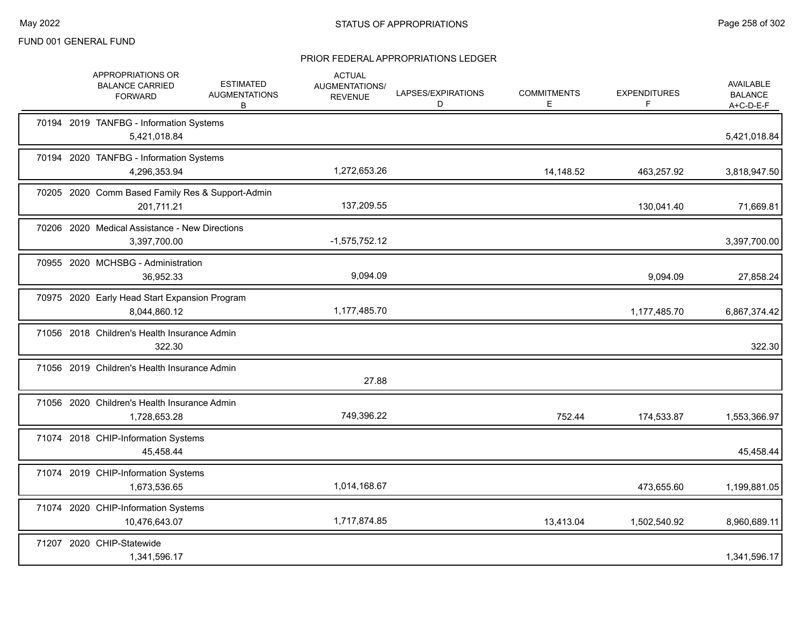|  | APPROPRIATIONS OR<br><b>BALANCE CARRIED</b><br><b>FORWARD</b>  | <b>ESTIMATED</b><br><b>AUGMENTATIONS</b><br>B | <b>ACTUAL</b><br>AUGMENTATIONS/<br><b>REVENUE</b> | LAPSES/EXPIRATIONS<br>D | <b>COMMITMENTS</b><br>Е | <b>EXPENDITURES</b><br>F. | <b>AVAILABLE</b><br><b>BALANCE</b><br>A+C-D-E-F |
|--|----------------------------------------------------------------|-----------------------------------------------|---------------------------------------------------|-------------------------|-------------------------|---------------------------|-------------------------------------------------|
|  | 70194 2019 TANFBG - Information Systems<br>5,421,018.84        |                                               |                                                   |                         |                         |                           | 5,421,018.84                                    |
|  | 70194 2020 TANFBG - Information Systems<br>4,296,353.94        |                                               | 1,272,653.26                                      |                         | 14,148.52               | 463,257.92                | 3,818,947.50                                    |
|  | 70205 2020 Comm Based Family Res & Support-Admin<br>201,711.21 |                                               | 137,209.55                                        |                         |                         | 130,041.40                | 71,669.81                                       |
|  | 70206 2020 Medical Assistance - New Directions<br>3,397,700.00 |                                               | $-1,575,752.12$                                   |                         |                         |                           | 3,397,700.00                                    |
|  | 70955 2020 MCHSBG - Administration<br>36,952.33                |                                               | 9,094.09                                          |                         |                         | 9,094.09                  | 27,858.24                                       |
|  | 70975 2020 Early Head Start Expansion Program<br>8,044,860.12  |                                               | 1,177,485.70                                      |                         |                         | 1,177,485.70              | 6,867,374.42                                    |
|  | 71056 2018 Children's Health Insurance Admin<br>322.30         |                                               |                                                   |                         |                         |                           | 322.30                                          |
|  | 71056 2019 Children's Health Insurance Admin                   |                                               | 27.88                                             |                         |                         |                           |                                                 |
|  | 71056 2020 Children's Health Insurance Admin<br>1,728,653.28   |                                               | 749,396.22                                        |                         | 752.44                  | 174,533.87                | 1,553,366.97                                    |
|  | 71074 2018 CHIP-Information Systems<br>45,458.44               |                                               |                                                   |                         |                         |                           | 45,458.44                                       |
|  | 71074 2019 CHIP-Information Systems<br>1,673,536.65            |                                               | 1,014,168.67                                      |                         |                         | 473,655.60                | 1,199,881.05                                    |
|  | 71074 2020 CHIP-Information Systems<br>10,476,643.07           |                                               | 1,717,874.85                                      |                         | 13,413.04               | 1,502,540.92              | 8,960,689.11                                    |
|  | 71207 2020 CHIP-Statewide<br>1,341,596.17                      |                                               |                                                   |                         |                         |                           | 1,341,596.17                                    |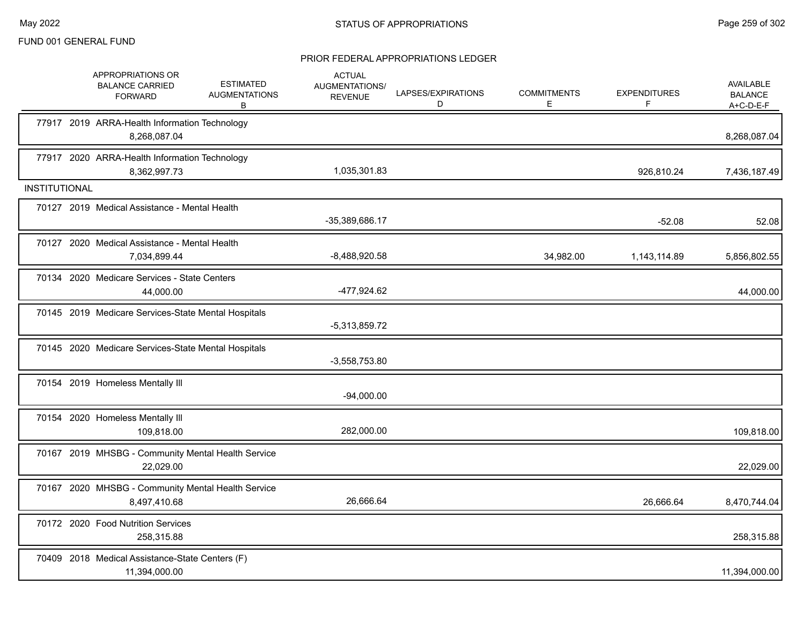|                      | APPROPRIATIONS OR<br><b>BALANCE CARRIED</b><br><b>FORWARD</b>      | <b>ESTIMATED</b><br><b>AUGMENTATIONS</b><br>в | <b>ACTUAL</b><br><b>AUGMENTATIONS/</b><br><b>REVENUE</b> | LAPSES/EXPIRATIONS<br>D | <b>COMMITMENTS</b><br>E. | <b>EXPENDITURES</b> | AVAILABLE<br><b>BALANCE</b><br>A+C-D-E-F |
|----------------------|--------------------------------------------------------------------|-----------------------------------------------|----------------------------------------------------------|-------------------------|--------------------------|---------------------|------------------------------------------|
|                      | 77917 2019 ARRA-Health Information Technology<br>8,268,087.04      |                                               |                                                          |                         |                          |                     | 8,268,087.04                             |
|                      | 77917 2020 ARRA-Health Information Technology<br>8,362,997.73      |                                               | 1,035,301.83                                             |                         |                          | 926.810.24          | 7,436,187.49                             |
| <b>INSTITUTIONAL</b> |                                                                    |                                               |                                                          |                         |                          |                     |                                          |
|                      | 70127 2019 Medical Assistance - Mental Health                      |                                               | -35,389,686.17                                           |                         |                          | $-52.08$            | 52.08                                    |
|                      | 70127 2020 Medical Assistance - Mental Health<br>7,034,899.44      |                                               | $-8,488,920.58$                                          |                         | 34,982.00                | 1,143,114.89        | 5,856,802.55                             |
|                      | 70134 2020 Medicare Services - State Centers<br>44,000.00          |                                               | -477,924.62                                              |                         |                          |                     | 44,000.00                                |
|                      | 70145 2019 Medicare Services-State Mental Hospitals                |                                               | $-5,313,859.72$                                          |                         |                          |                     |                                          |
|                      | 70145 2020 Medicare Services-State Mental Hospitals                |                                               | $-3,558,753.80$                                          |                         |                          |                     |                                          |
|                      | 70154 2019 Homeless Mentally III                                   |                                               | $-94,000.00$                                             |                         |                          |                     |                                          |
|                      | 70154 2020 Homeless Mentally III<br>109,818.00                     |                                               | 282,000.00                                               |                         |                          |                     | 109,818.00                               |
|                      | 70167 2019 MHSBG - Community Mental Health Service<br>22,029.00    |                                               |                                                          |                         |                          |                     | 22,029.00                                |
|                      | 70167 2020 MHSBG - Community Mental Health Service<br>8,497,410.68 |                                               | 26,666.64                                                |                         |                          | 26,666.64           | 8,470,744.04                             |
|                      | 70172 2020 Food Nutrition Services<br>258,315.88                   |                                               |                                                          |                         |                          |                     | 258,315.88                               |
|                      | 70409 2018 Medical Assistance-State Centers (F)<br>11,394,000.00   |                                               |                                                          |                         |                          |                     | 11,394,000.00                            |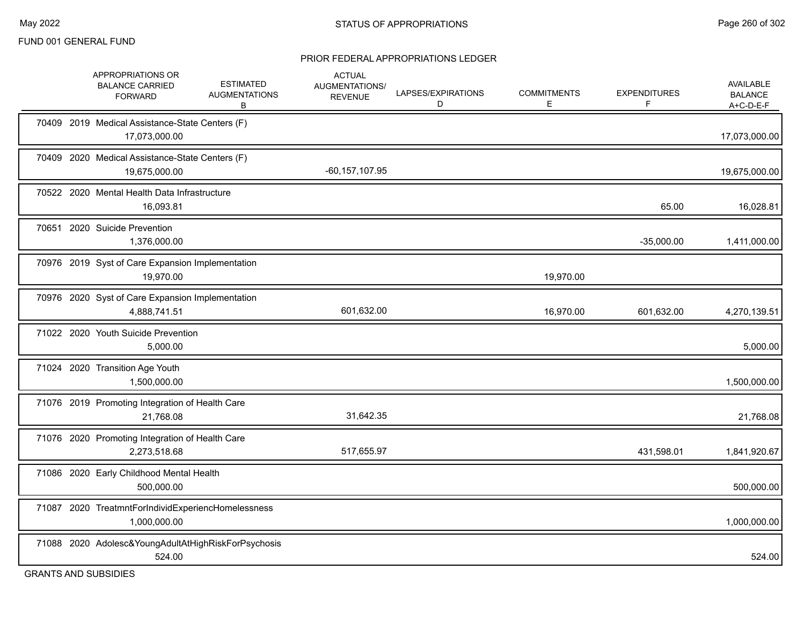#### PRIOR FEDERAL APPROPRIATIONS LEDGER

|       | APPROPRIATIONS OR<br><b>BALANCE CARRIED</b><br><b>FORWARD</b>        | <b>ESTIMATED</b><br><b>AUGMENTATIONS</b><br>B | <b>ACTUAL</b><br>AUGMENTATIONS/<br><b>REVENUE</b> | LAPSES/EXPIRATIONS<br>D | <b>COMMITMENTS</b><br>Е | <b>EXPENDITURES</b><br>F | AVAILABLE<br><b>BALANCE</b><br>A+C-D-E-F |
|-------|----------------------------------------------------------------------|-----------------------------------------------|---------------------------------------------------|-------------------------|-------------------------|--------------------------|------------------------------------------|
|       | 70409 2019 Medical Assistance-State Centers (F)<br>17,073,000.00     |                                               |                                                   |                         |                         |                          | 17,073,000.00                            |
|       | 70409 2020 Medical Assistance-State Centers (F)<br>19,675,000.00     |                                               | $-60, 157, 107.95$                                |                         |                         |                          | 19,675,000.00                            |
|       | 70522 2020 Mental Health Data Infrastructure<br>16,093.81            |                                               |                                                   |                         |                         | 65.00                    | 16,028.81                                |
|       | 70651 2020 Suicide Prevention<br>1,376,000.00                        |                                               |                                                   |                         |                         | $-35,000.00$             | 1,411,000.00                             |
|       | 70976 2019 Syst of Care Expansion Implementation<br>19,970.00        |                                               |                                                   |                         | 19,970.00               |                          |                                          |
|       | 70976 2020 Syst of Care Expansion Implementation<br>4,888,741.51     |                                               | 601,632.00                                        |                         | 16,970.00               | 601,632.00               | 4,270,139.51                             |
|       | 71022 2020 Youth Suicide Prevention<br>5,000.00                      |                                               |                                                   |                         |                         |                          | 5,000.00                                 |
|       | 71024 2020 Transition Age Youth<br>1,500,000.00                      |                                               |                                                   |                         |                         |                          | 1,500,000.00                             |
|       | 71076 2019 Promoting Integration of Health Care<br>21,768.08         |                                               | 31,642.35                                         |                         |                         |                          | 21,768.08                                |
|       | 71076 2020 Promoting Integration of Health Care<br>2,273,518.68      |                                               | 517,655.97                                        |                         |                         | 431,598.01               | 1,841,920.67                             |
|       | 71086 2020 Early Childhood Mental Health<br>500,000.00               |                                               |                                                   |                         |                         |                          | 500,000.00                               |
| 71087 | 2020 TreatmntForIndividExperiencHomelessness<br>1,000,000.00         |                                               |                                                   |                         |                         |                          | 1,000,000.00                             |
|       | 71088 2020 Adolesc& Young Adult At High Risk For Psychosis<br>524.00 |                                               |                                                   |                         |                         |                          | 524.00                                   |

GRANTS AND SUBSIDIES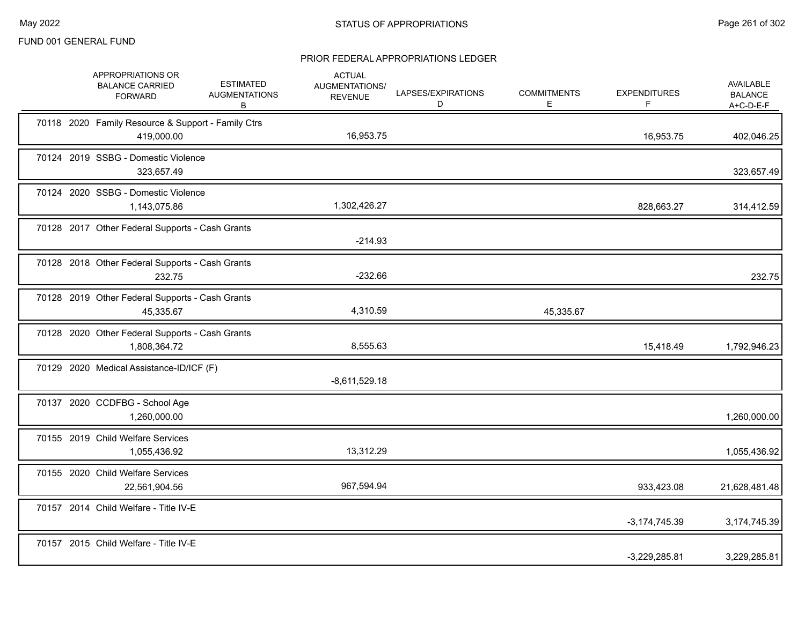|  | APPROPRIATIONS OR<br><b>BALANCE CARRIED</b><br><b>FORWARD</b>    | <b>ESTIMATED</b><br><b>AUGMENTATIONS</b><br>B | <b>ACTUAL</b><br>AUGMENTATIONS/<br><b>REVENUE</b> | LAPSES/EXPIRATIONS<br>D | <b>COMMITMENTS</b><br>E | <b>EXPENDITURES</b><br>F | AVAILABLE<br><b>BALANCE</b><br>$A+C-D-E-F$ |
|--|------------------------------------------------------------------|-----------------------------------------------|---------------------------------------------------|-------------------------|-------------------------|--------------------------|--------------------------------------------|
|  | 70118 2020 Family Resource & Support - Family Ctrs<br>419,000.00 |                                               | 16,953.75                                         |                         |                         | 16,953.75                | 402,046.25                                 |
|  | 70124 2019 SSBG - Domestic Violence<br>323,657.49                |                                               |                                                   |                         |                         |                          | 323,657.49                                 |
|  | 70124 2020 SSBG - Domestic Violence<br>1,143,075.86              |                                               | 1,302,426.27                                      |                         |                         | 828,663.27               | 314,412.59                                 |
|  | 70128 2017 Other Federal Supports - Cash Grants                  |                                               | $-214.93$                                         |                         |                         |                          |                                            |
|  | 70128 2018 Other Federal Supports - Cash Grants<br>232.75        |                                               | $-232.66$                                         |                         |                         |                          | 232.75                                     |
|  | 70128 2019 Other Federal Supports - Cash Grants<br>45,335.67     |                                               | 4,310.59                                          |                         | 45,335.67               |                          |                                            |
|  | 70128 2020 Other Federal Supports - Cash Grants<br>1,808,364.72  |                                               | 8,555.63                                          |                         |                         | 15,418.49                | 1,792,946.23                               |
|  | 70129 2020 Medical Assistance-ID/ICF (F)                         |                                               | $-8,611,529.18$                                   |                         |                         |                          |                                            |
|  | 70137 2020 CCDFBG - School Age<br>1,260,000.00                   |                                               |                                                   |                         |                         |                          | 1,260,000.00                               |
|  | 70155 2019 Child Welfare Services<br>1,055,436.92                |                                               | 13,312.29                                         |                         |                         |                          | 1,055,436.92                               |
|  | 70155 2020 Child Welfare Services<br>22,561,904.56               |                                               | 967,594.94                                        |                         |                         | 933,423.08               | 21,628,481.48                              |
|  | 70157 2014 Child Welfare - Title IV-E                            |                                               |                                                   |                         |                         | $-3,174,745.39$          | 3,174,745.39                               |
|  | 70157 2015 Child Welfare - Title IV-E                            |                                               |                                                   |                         |                         | $-3,229,285.81$          | 3,229,285.81                               |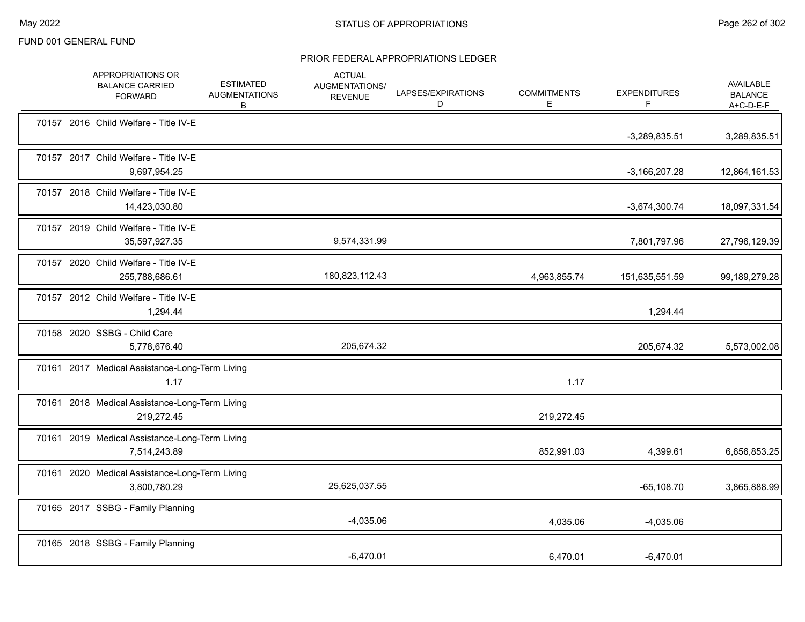|  | APPROPRIATIONS OR<br><b>BALANCE CARRIED</b><br><b>FORWARD</b>  | <b>ESTIMATED</b><br><b>AUGMENTATIONS</b><br>В | <b>ACTUAL</b><br><b>AUGMENTATIONS/</b><br><b>REVENUE</b> | LAPSES/EXPIRATIONS<br>D | <b>COMMITMENTS</b><br>E. | <b>EXPENDITURES</b><br>F | AVAILABLE<br><b>BALANCE</b><br>A+C-D-E-F |
|--|----------------------------------------------------------------|-----------------------------------------------|----------------------------------------------------------|-------------------------|--------------------------|--------------------------|------------------------------------------|
|  | 70157 2016 Child Welfare - Title IV-E                          |                                               |                                                          |                         |                          | $-3,289,835.51$          | 3,289,835.51                             |
|  | 70157 2017 Child Welfare - Title IV-E<br>9,697,954.25          |                                               |                                                          |                         |                          | $-3,166,207.28$          | 12,864,161.53                            |
|  | 70157 2018 Child Welfare - Title IV-E<br>14,423,030.80         |                                               |                                                          |                         |                          | $-3,674,300.74$          | 18,097,331.54                            |
|  | 70157 2019 Child Welfare - Title IV-E<br>35,597,927.35         |                                               | 9,574,331.99                                             |                         |                          | 7,801,797.96             | 27,796,129.39                            |
|  | 70157 2020 Child Welfare - Title IV-E<br>255,788,686.61        |                                               | 180,823,112.43                                           |                         | 4,963,855.74             | 151,635,551.59           | 99,189,279.28                            |
|  | 70157 2012 Child Welfare - Title IV-E<br>1,294.44              |                                               |                                                          |                         |                          | 1,294.44                 |                                          |
|  | 70158 2020 SSBG - Child Care<br>5,778,676.40                   |                                               | 205,674.32                                               |                         |                          | 205,674.32               | 5,573,002.08                             |
|  | 70161 2017 Medical Assistance-Long-Term Living<br>1.17         |                                               |                                                          |                         | 1.17                     |                          |                                          |
|  | 70161 2018 Medical Assistance-Long-Term Living<br>219,272.45   |                                               |                                                          |                         | 219,272.45               |                          |                                          |
|  | 70161 2019 Medical Assistance-Long-Term Living<br>7,514,243.89 |                                               |                                                          |                         | 852,991.03               | 4,399.61                 | 6,656,853.25                             |
|  | 70161 2020 Medical Assistance-Long-Term Living<br>3,800,780.29 |                                               | 25,625,037.55                                            |                         |                          | $-65,108.70$             | 3,865,888.99                             |
|  | 70165 2017 SSBG - Family Planning                              |                                               | $-4,035.06$                                              |                         | 4,035.06                 | $-4,035.06$              |                                          |
|  | 70165 2018 SSBG - Family Planning                              |                                               | $-6,470.01$                                              |                         | 6,470.01                 | $-6,470.01$              |                                          |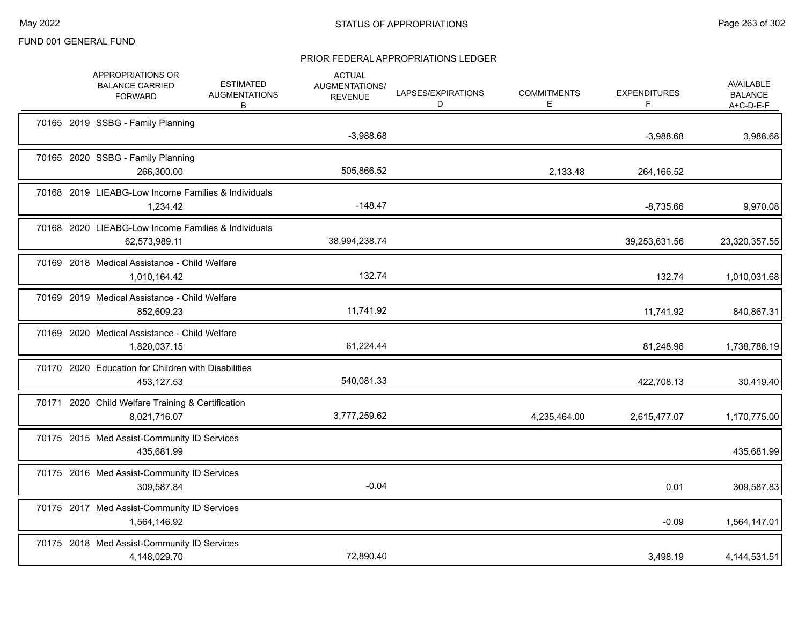|  | APPROPRIATIONS OR<br><b>BALANCE CARRIED</b><br><b>FORWARD</b>        | <b>ESTIMATED</b><br><b>AUGMENTATIONS</b><br>В | <b>ACTUAL</b><br>AUGMENTATIONS/<br><b>REVENUE</b> | LAPSES/EXPIRATIONS<br>D | <b>COMMITMENTS</b><br>Е | <b>EXPENDITURES</b><br>F | <b>AVAILABLE</b><br><b>BALANCE</b><br>$A+C-D-E-F$ |
|--|----------------------------------------------------------------------|-----------------------------------------------|---------------------------------------------------|-------------------------|-------------------------|--------------------------|---------------------------------------------------|
|  | 70165 2019 SSBG - Family Planning                                    |                                               | $-3,988.68$                                       |                         |                         | $-3,988.68$              | 3,988.68                                          |
|  | 70165 2020 SSBG - Family Planning<br>266,300.00                      |                                               | 505,866.52                                        |                         | 2,133.48                | 264,166.52               |                                                   |
|  | 70168 2019 LIEABG-Low Income Families & Individuals<br>1,234.42      |                                               | $-148.47$                                         |                         |                         | $-8,735.66$              | 9,970.08                                          |
|  | 70168 2020 LIEABG-Low Income Families & Individuals<br>62,573,989.11 |                                               | 38,994,238.74                                     |                         |                         | 39,253,631.56            | 23,320,357.55                                     |
|  | 70169 2018 Medical Assistance - Child Welfare<br>1,010,164.42        |                                               | 132.74                                            |                         |                         | 132.74                   | 1,010,031.68                                      |
|  | 70169 2019 Medical Assistance - Child Welfare<br>852,609.23          |                                               | 11,741.92                                         |                         |                         | 11,741.92                | 840,867.31                                        |
|  | 70169 2020 Medical Assistance - Child Welfare<br>1,820,037.15        |                                               | 61,224.44                                         |                         |                         | 81,248.96                | 1,738,788.19                                      |
|  | 70170 2020 Education for Children with Disabilities<br>453,127.53    |                                               | 540,081.33                                        |                         |                         | 422,708.13               | 30,419.40                                         |
|  | 70171 2020 Child Welfare Training & Certification<br>8,021,716.07    |                                               | 3,777,259.62                                      |                         | 4,235,464.00            | 2,615,477.07             | 1,170,775.00                                      |
|  | 70175 2015 Med Assist-Community ID Services<br>435,681.99            |                                               |                                                   |                         |                         |                          | 435,681.99                                        |
|  | 70175 2016 Med Assist-Community ID Services<br>309,587.84            |                                               | $-0.04$                                           |                         |                         | 0.01                     | 309,587.83                                        |
|  | 70175 2017 Med Assist-Community ID Services<br>1,564,146.92          |                                               |                                                   |                         |                         | $-0.09$                  | 1,564,147.01                                      |
|  | 70175 2018 Med Assist-Community ID Services<br>4,148,029.70          |                                               | 72,890.40                                         |                         |                         | 3,498.19                 | 4, 144, 531. 51                                   |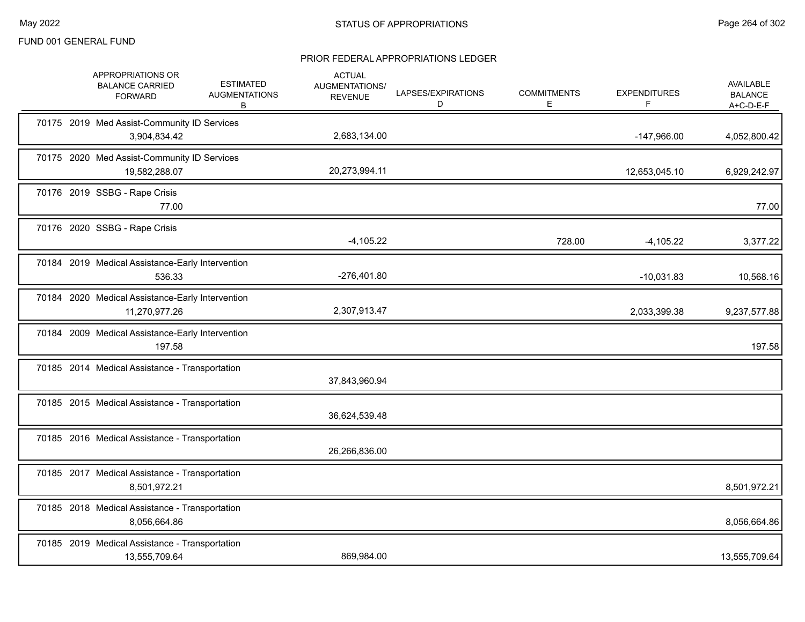|  | APPROPRIATIONS OR<br><b>BALANCE CARRIED</b><br><b>FORWARD</b>     | <b>ESTIMATED</b><br><b>AUGMENTATIONS</b><br>В | <b>ACTUAL</b><br>AUGMENTATIONS/<br><b>REVENUE</b> | LAPSES/EXPIRATIONS<br>D | <b>COMMITMENTS</b><br>Е | <b>EXPENDITURES</b><br>F | <b>AVAILABLE</b><br><b>BALANCE</b><br>$A+C-D-E-F$ |
|--|-------------------------------------------------------------------|-----------------------------------------------|---------------------------------------------------|-------------------------|-------------------------|--------------------------|---------------------------------------------------|
|  | 70175 2019 Med Assist-Community ID Services<br>3,904,834.42       |                                               | 2,683,134.00                                      |                         |                         | -147,966.00              | 4,052,800.42                                      |
|  | 70175 2020 Med Assist-Community ID Services<br>19,582,288.07      |                                               | 20,273,994.11                                     |                         |                         | 12,653,045.10            | 6,929,242.97                                      |
|  | 70176 2019 SSBG - Rape Crisis<br>77.00                            |                                               |                                                   |                         |                         |                          | 77.00                                             |
|  | 70176 2020 SSBG - Rape Crisis                                     |                                               | $-4,105.22$                                       |                         | 728.00                  | $-4,105.22$              | 3,377.22                                          |
|  | 70184 2019 Medical Assistance-Early Intervention<br>536.33        |                                               | $-276,401.80$                                     |                         |                         | $-10,031.83$             | 10,568.16                                         |
|  | 70184 2020 Medical Assistance-Early Intervention<br>11,270,977.26 |                                               | 2,307,913.47                                      |                         |                         | 2,033,399.38             | 9,237,577.88                                      |
|  | 70184 2009 Medical Assistance-Early Intervention<br>197.58        |                                               |                                                   |                         |                         |                          | 197.58                                            |
|  | 70185 2014 Medical Assistance - Transportation                    |                                               | 37,843,960.94                                     |                         |                         |                          |                                                   |
|  | 70185 2015 Medical Assistance - Transportation                    |                                               | 36,624,539.48                                     |                         |                         |                          |                                                   |
|  | 70185 2016 Medical Assistance - Transportation                    |                                               | 26,266,836.00                                     |                         |                         |                          |                                                   |
|  | 70185 2017 Medical Assistance - Transportation<br>8,501,972.21    |                                               |                                                   |                         |                         |                          | 8,501,972.21                                      |
|  | 70185 2018 Medical Assistance - Transportation<br>8,056,664.86    |                                               |                                                   |                         |                         |                          | 8,056,664.86                                      |
|  | 70185 2019 Medical Assistance - Transportation<br>13,555,709.64   |                                               | 869,984.00                                        |                         |                         |                          | 13,555,709.64                                     |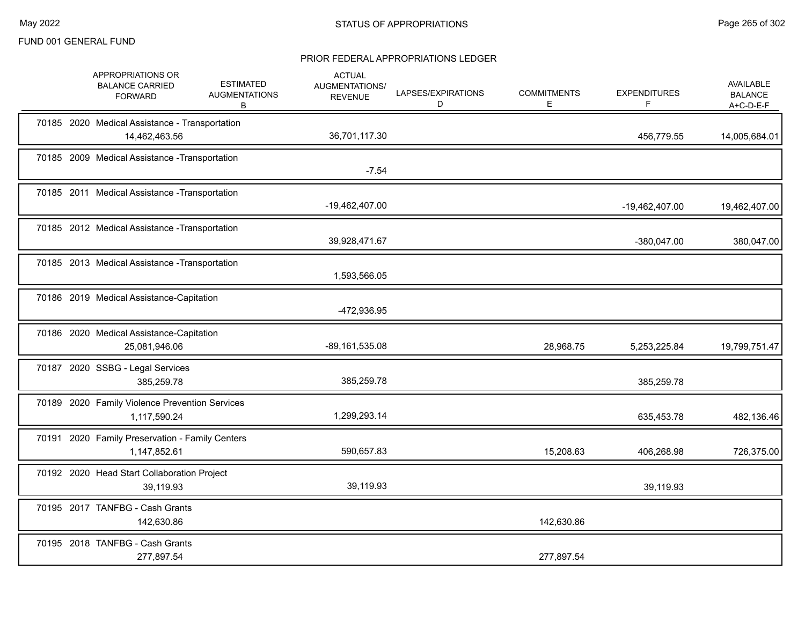|  | APPROPRIATIONS OR<br><b>BALANCE CARRIED</b><br><b>FORWARD</b>   | <b>ESTIMATED</b><br><b>AUGMENTATIONS</b><br>В | <b>ACTUAL</b><br>AUGMENTATIONS/<br><b>REVENUE</b> | LAPSES/EXPIRATIONS<br>D | <b>COMMITMENTS</b><br>Е | <b>EXPENDITURES</b><br>F | <b>AVAILABLE</b><br><b>BALANCE</b><br>$A+C-D-E-F$ |
|--|-----------------------------------------------------------------|-----------------------------------------------|---------------------------------------------------|-------------------------|-------------------------|--------------------------|---------------------------------------------------|
|  | 70185 2020 Medical Assistance - Transportation<br>14,462,463.56 |                                               | 36,701,117.30                                     |                         |                         | 456,779.55               | 14,005,684.01                                     |
|  | 70185 2009 Medical Assistance - Transportation                  |                                               | $-7.54$                                           |                         |                         |                          |                                                   |
|  | 70185 2011 Medical Assistance - Transportation                  |                                               | -19,462,407.00                                    |                         |                         | -19,462,407.00           | 19,462,407.00                                     |
|  | 70185 2012 Medical Assistance - Transportation                  |                                               | 39,928,471.67                                     |                         |                         | -380,047.00              | 380,047.00                                        |
|  | 70185 2013 Medical Assistance - Transportation                  |                                               | 1,593,566.05                                      |                         |                         |                          |                                                   |
|  | 70186 2019 Medical Assistance-Capitation                        |                                               | -472,936.95                                       |                         |                         |                          |                                                   |
|  | 70186 2020 Medical Assistance-Capitation<br>25,081,946.06       |                                               | $-89,161,535.08$                                  |                         | 28,968.75               | 5,253,225.84             | 19,799,751.47                                     |
|  | 70187 2020 SSBG - Legal Services<br>385,259.78                  |                                               | 385,259.78                                        |                         |                         | 385,259.78               |                                                   |
|  | 70189 2020 Family Violence Prevention Services<br>1,117,590.24  |                                               | 1,299,293.14                                      |                         |                         | 635,453.78               | 482,136.46                                        |
|  | 70191 2020 Family Preservation - Family Centers<br>1,147,852.61 |                                               | 590,657.83                                        |                         | 15,208.63               | 406,268.98               | 726,375.00                                        |
|  | 70192 2020 Head Start Collaboration Project<br>39,119.93        |                                               | 39,119.93                                         |                         |                         | 39,119.93                |                                                   |
|  | 70195 2017 TANFBG - Cash Grants<br>142,630.86                   |                                               |                                                   |                         | 142,630.86              |                          |                                                   |
|  | 70195 2018 TANFBG - Cash Grants<br>277,897.54                   |                                               |                                                   |                         | 277,897.54              |                          |                                                   |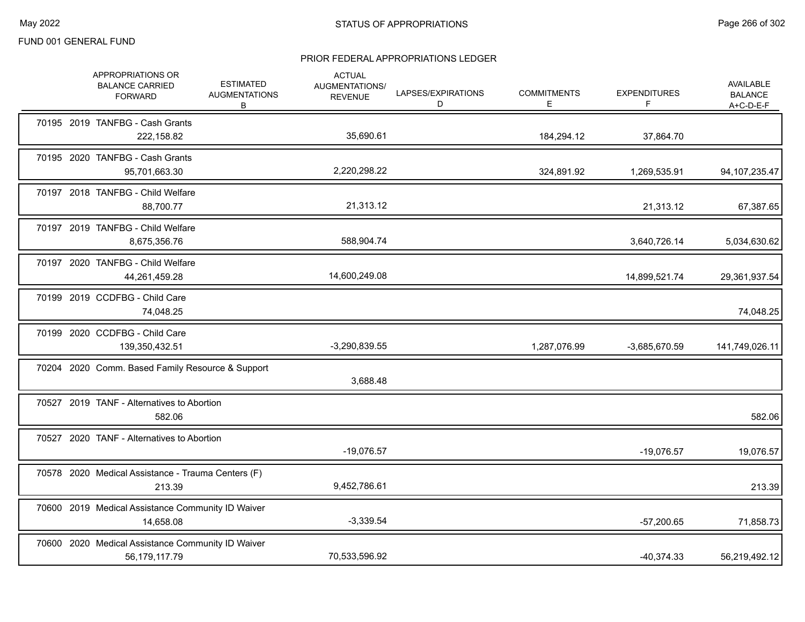|  | APPROPRIATIONS OR<br><b>BALANCE CARRIED</b><br><b>FORWARD</b>      | <b>ESTIMATED</b><br><b>AUGMENTATIONS</b><br>B | <b>ACTUAL</b><br>AUGMENTATIONS/<br><b>REVENUE</b> | LAPSES/EXPIRATIONS<br>D | <b>COMMITMENTS</b><br>Е. | <b>EXPENDITURES</b><br>F | <b>AVAILABLE</b><br><b>BALANCE</b><br>A+C-D-E-F |
|--|--------------------------------------------------------------------|-----------------------------------------------|---------------------------------------------------|-------------------------|--------------------------|--------------------------|-------------------------------------------------|
|  | 70195 2019 TANFBG - Cash Grants<br>222,158.82                      |                                               | 35,690.61                                         |                         | 184,294.12               | 37,864.70                |                                                 |
|  | 70195 2020 TANFBG - Cash Grants<br>95,701,663.30                   |                                               | 2,220,298.22                                      |                         | 324,891.92               | 1,269,535.91             | 94, 107, 235. 47                                |
|  | 70197 2018 TANFBG - Child Welfare<br>88,700.77                     |                                               | 21,313.12                                         |                         |                          | 21,313.12                | 67,387.65                                       |
|  | 70197 2019 TANFBG - Child Welfare<br>8,675,356.76                  |                                               | 588,904.74                                        |                         |                          | 3,640,726.14             | 5,034,630.62                                    |
|  | 70197 2020 TANFBG - Child Welfare<br>44,261,459.28                 |                                               | 14,600,249.08                                     |                         |                          | 14,899,521.74            | 29,361,937.54                                   |
|  | 70199 2019 CCDFBG - Child Care<br>74,048.25                        |                                               |                                                   |                         |                          |                          | 74,048.25                                       |
|  | 70199 2020 CCDFBG - Child Care<br>139,350,432.51                   |                                               | $-3,290,839.55$                                   |                         | 1,287,076.99             | -3,685,670.59            | 141,749,026.11                                  |
|  | 70204 2020 Comm. Based Family Resource & Support                   |                                               | 3,688.48                                          |                         |                          |                          |                                                 |
|  | 70527 2019 TANF - Alternatives to Abortion<br>582.06               |                                               |                                                   |                         |                          |                          | 582.06                                          |
|  | 70527 2020 TANF - Alternatives to Abortion                         |                                               | $-19,076.57$                                      |                         |                          | $-19,076.57$             | 19,076.57                                       |
|  | 70578 2020 Medical Assistance - Trauma Centers (F)<br>213.39       |                                               | 9,452,786.61                                      |                         |                          |                          | 213.39                                          |
|  | 70600 2019 Medical Assistance Community ID Waiver<br>14,658.08     |                                               | $-3,339.54$                                       |                         |                          | $-57,200.65$             | 71,858.73                                       |
|  | 70600 2020 Medical Assistance Community ID Waiver<br>56,179,117.79 |                                               | 70,533,596.92                                     |                         |                          | $-40,374.33$             | 56,219,492.12                                   |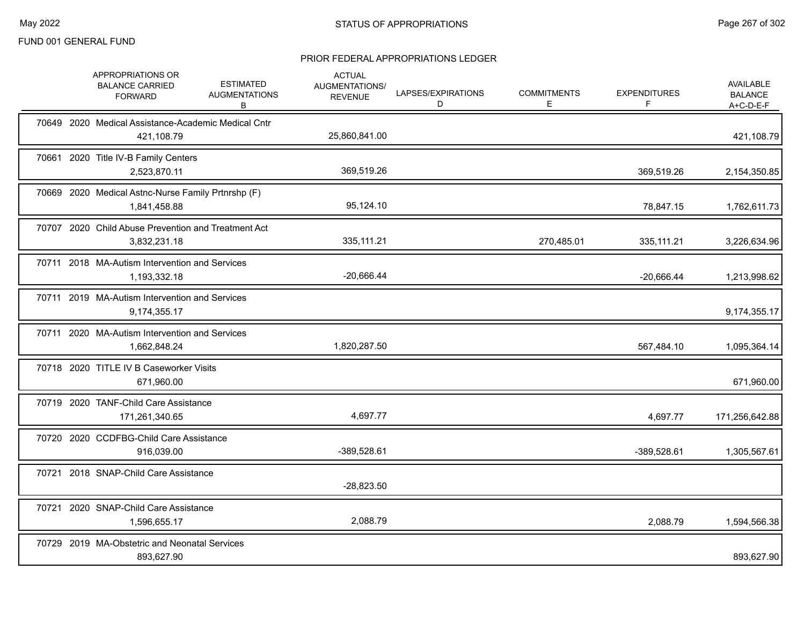|  | APPROPRIATIONS OR<br><b>BALANCE CARRIED</b><br><b>FORWARD</b>       | <b>ESTIMATED</b><br><b>AUGMENTATIONS</b><br>В | <b>ACTUAL</b><br>AUGMENTATIONS/<br><b>REVENUE</b> | LAPSES/EXPIRATIONS<br>D | <b>COMMITMENTS</b><br>E. | <b>EXPENDITURES</b> | <b>AVAILABLE</b><br><b>BALANCE</b><br>A+C-D-E-F |
|--|---------------------------------------------------------------------|-----------------------------------------------|---------------------------------------------------|-------------------------|--------------------------|---------------------|-------------------------------------------------|
|  | 70649 2020 Medical Assistance-Academic Medical Cntr<br>421,108.79   |                                               | 25,860,841.00                                     |                         |                          |                     | 421,108.79                                      |
|  | 70661 2020 Title IV-B Family Centers<br>2,523,870.11                |                                               | 369,519.26                                        |                         |                          | 369,519.26          | 2,154,350.85                                    |
|  | 70669 2020 Medical Astnc-Nurse Family Prtnrshp (F)<br>1,841,458.88  |                                               | 95,124.10                                         |                         |                          | 78,847.15           | 1,762,611.73                                    |
|  | 70707 2020 Child Abuse Prevention and Treatment Act<br>3,832,231.18 |                                               | 335, 111.21                                       |                         | 270,485.01               | 335,111.21          | 3,226,634.96                                    |
|  | 70711 2018 MA-Autism Intervention and Services<br>1,193,332.18      |                                               | $-20,666.44$                                      |                         |                          | $-20,666.44$        | 1,213,998.62                                    |
|  | 70711 2019 MA-Autism Intervention and Services<br>9,174,355.17      |                                               |                                                   |                         |                          |                     | 9,174,355.17                                    |
|  | 70711 2020 MA-Autism Intervention and Services<br>1,662,848.24      |                                               | 1,820,287.50                                      |                         |                          | 567,484.10          | 1,095,364.14                                    |
|  | 70718 2020 TITLE IV B Caseworker Visits<br>671,960.00               |                                               |                                                   |                         |                          |                     | 671,960.00                                      |
|  | 70719 2020 TANF-Child Care Assistance<br>171,261,340.65             |                                               | 4,697.77                                          |                         |                          | 4,697.77            | 171,256,642.88                                  |
|  | 70720 2020 CCDFBG-Child Care Assistance<br>916,039.00               |                                               | -389,528.61                                       |                         |                          | -389,528.61         | 1,305,567.61                                    |
|  | 70721 2018 SNAP-Child Care Assistance                               |                                               | $-28,823.50$                                      |                         |                          |                     |                                                 |
|  | 70721 2020 SNAP-Child Care Assistance<br>1,596,655.17               |                                               | 2,088.79                                          |                         |                          | 2,088.79            | 1,594,566.38                                    |
|  | 70729 2019 MA-Obstetric and Neonatal Services<br>893,627.90         |                                               |                                                   |                         |                          |                     | 893,627.90                                      |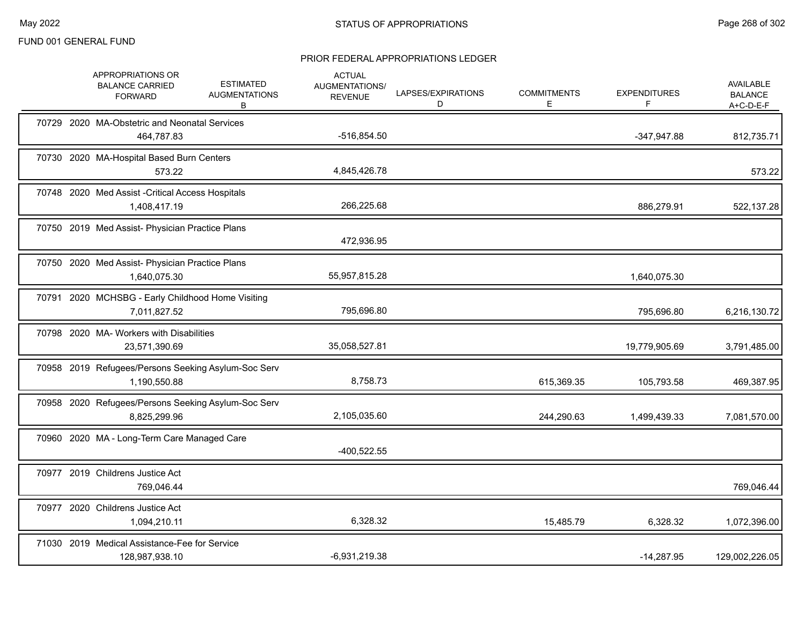|  | APPROPRIATIONS OR<br><b>BALANCE CARRIED</b><br><b>FORWARD</b>       | <b>ESTIMATED</b><br><b>AUGMENTATIONS</b><br>В | <b>ACTUAL</b><br>AUGMENTATIONS/<br><b>REVENUE</b> | LAPSES/EXPIRATIONS<br>D | <b>COMMITMENTS</b><br>Е. | <b>EXPENDITURES</b><br>F | AVAILABLE<br><b>BALANCE</b><br>A+C-D-E-F |
|--|---------------------------------------------------------------------|-----------------------------------------------|---------------------------------------------------|-------------------------|--------------------------|--------------------------|------------------------------------------|
|  | 70729 2020 MA-Obstetric and Neonatal Services<br>464,787.83         |                                               | $-516,854.50$                                     |                         |                          | $-347,947.88$            | 812,735.71                               |
|  | 70730 2020 MA-Hospital Based Burn Centers<br>573.22                 |                                               | 4,845,426.78                                      |                         |                          |                          | 573.22                                   |
|  | 70748 2020 Med Assist - Critical Access Hospitals<br>1,408,417.19   |                                               | 266,225.68                                        |                         |                          | 886,279.91               | 522,137.28                               |
|  | 70750 2019 Med Assist- Physician Practice Plans                     |                                               | 472,936.95                                        |                         |                          |                          |                                          |
|  | 70750 2020 Med Assist- Physician Practice Plans<br>1,640,075.30     |                                               | 55,957,815.28                                     |                         |                          | 1,640,075.30             |                                          |
|  | 70791 2020 MCHSBG - Early Childhood Home Visiting<br>7,011,827.52   |                                               | 795,696.80                                        |                         |                          | 795,696.80               | 6,216,130.72                             |
|  | 70798 2020 MA- Workers with Disabilities<br>23,571,390.69           |                                               | 35,058,527.81                                     |                         |                          | 19,779,905.69            | 3,791,485.00                             |
|  | 70958 2019 Refugees/Persons Seeking Asylum-Soc Serv<br>1,190,550.88 |                                               | 8,758.73                                          |                         | 615,369.35               | 105,793.58               | 469,387.95                               |
|  | 70958 2020 Refugees/Persons Seeking Asylum-Soc Serv<br>8,825,299.96 |                                               | 2,105,035.60                                      |                         | 244,290.63               | 1,499,439.33             | 7,081,570.00                             |
|  | 70960 2020 MA - Long-Term Care Managed Care                         |                                               | $-400,522.55$                                     |                         |                          |                          |                                          |
|  | 70977 2019 Childrens Justice Act<br>769.046.44                      |                                               |                                                   |                         |                          |                          | 769,046.44                               |
|  | 70977 2020 Childrens Justice Act<br>1,094,210.11                    |                                               | 6,328.32                                          |                         | 15,485.79                | 6,328.32                 | 1,072,396.00                             |
|  | 71030 2019 Medical Assistance-Fee for Service<br>128,987,938.10     |                                               | $-6,931,219.38$                                   |                         |                          | $-14,287.95$             | 129,002,226.05                           |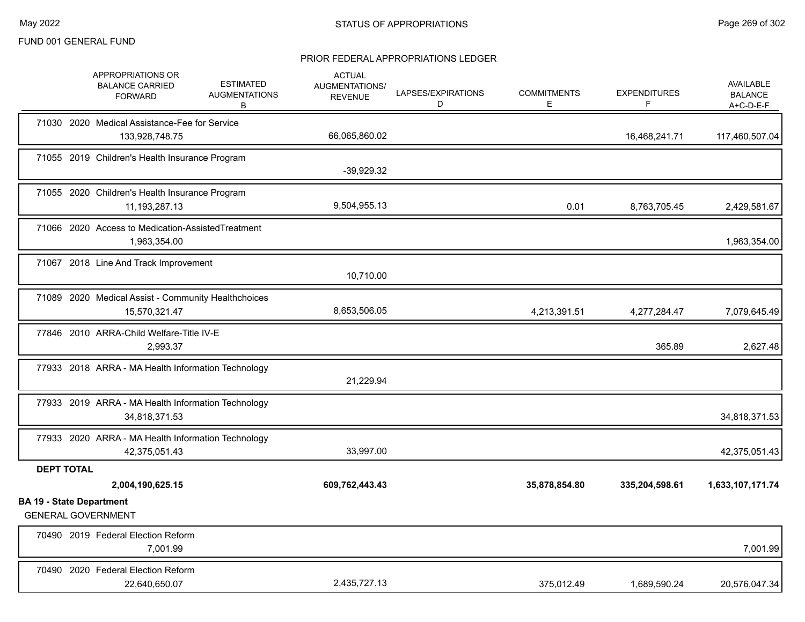|                                                              | APPROPRIATIONS OR<br><b>BALANCE CARRIED</b><br><b>FORWARD</b>      | <b>ESTIMATED</b><br><b>AUGMENTATIONS</b><br>В       | <b>ACTUAL</b><br><b>AUGMENTATIONS/</b><br><b>REVENUE</b> | LAPSES/EXPIRATIONS<br>D | <b>COMMITMENTS</b><br>Е. | <b>EXPENDITURES</b><br>F | <b>AVAILABLE</b><br><b>BALANCE</b><br>A+C-D-E-F |
|--------------------------------------------------------------|--------------------------------------------------------------------|-----------------------------------------------------|----------------------------------------------------------|-------------------------|--------------------------|--------------------------|-------------------------------------------------|
|                                                              | 71030 2020 Medical Assistance-Fee for Service<br>133,928,748.75    |                                                     | 66,065,860.02                                            |                         |                          | 16,468,241.71            | 117,460,507.04                                  |
|                                                              | 71055 2019 Children's Health Insurance Program                     |                                                     | $-39,929.32$                                             |                         |                          |                          |                                                 |
|                                                              | 71055 2020 Children's Health Insurance Program<br>11, 193, 287. 13 |                                                     | 9,504,955.13                                             |                         | 0.01                     | 8,763,705.45             | 2,429,581.67                                    |
|                                                              | 71066 2020 Access to Medication-AssistedTreatment<br>1,963,354.00  |                                                     |                                                          |                         |                          |                          | 1,963,354.00                                    |
|                                                              | 71067 2018 Line And Track Improvement                              |                                                     | 10,710.00                                                |                         |                          |                          |                                                 |
|                                                              | 15,570,321.47                                                      | 71089 2020 Medical Assist - Community Healthchoices | 8,653,506.05                                             |                         | 4,213,391.51             | 4,277,284.47             | 7,079,645.49                                    |
|                                                              | 77846 2010 ARRA-Child Welfare-Title IV-E<br>2,993.37               |                                                     |                                                          |                         |                          | 365.89                   | 2,627.48                                        |
|                                                              |                                                                    | 77933 2018 ARRA - MA Health Information Technology  | 21,229.94                                                |                         |                          |                          |                                                 |
|                                                              | 34,818,371.53                                                      | 77933 2019 ARRA - MA Health Information Technology  |                                                          |                         |                          |                          | 34,818,371.53                                   |
|                                                              | 42,375,051.43                                                      | 77933 2020 ARRA - MA Health Information Technology  | 33,997.00                                                |                         |                          |                          | 42,375,051.43                                   |
| <b>DEPT TOTAL</b>                                            |                                                                    |                                                     |                                                          |                         |                          |                          |                                                 |
| <b>BA 19 - State Department</b><br><b>GENERAL GOVERNMENT</b> | 2,004,190,625.15                                                   |                                                     | 609,762,443.43                                           |                         | 35,878,854.80            | 335,204,598.61           | 1,633,107,171.74                                |
|                                                              | 70490 2019 Federal Election Reform<br>7,001.99                     |                                                     |                                                          |                         |                          |                          | 7,001.99                                        |
|                                                              | 70490 2020 Federal Election Reform<br>22,640,650.07                |                                                     | 2,435,727.13                                             |                         | 375,012.49               | 1,689,590.24             | 20,576,047.34                                   |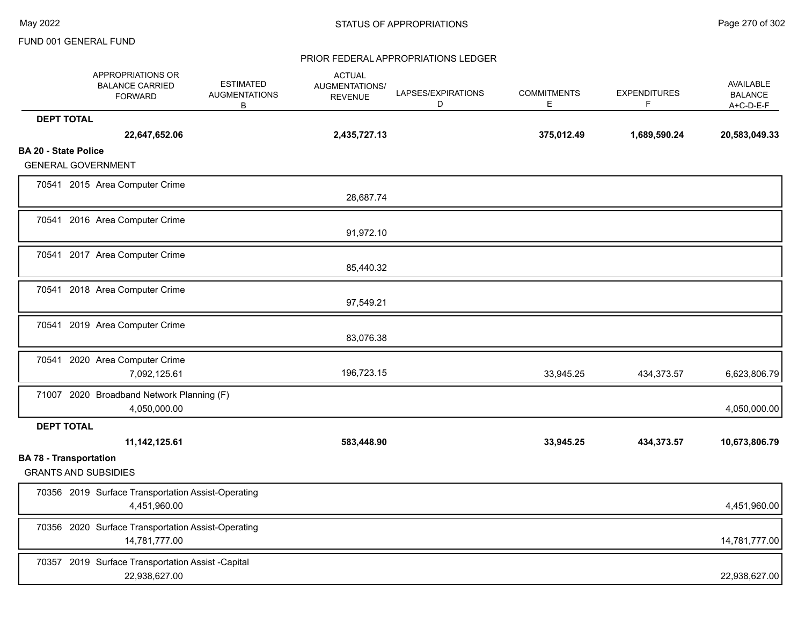|                             | APPROPRIATIONS OR<br><b>BALANCE CARRIED</b><br><b>FORWARD</b>       | <b>ESTIMATED</b><br><b>AUGMENTATIONS</b><br>B | <b>ACTUAL</b><br>AUGMENTATIONS/<br><b>REVENUE</b> | LAPSES/EXPIRATIONS<br>D | <b>COMMITMENTS</b><br>Е | <b>EXPENDITURES</b><br>F | <b>AVAILABLE</b><br><b>BALANCE</b><br>A+C-D-E-F |
|-----------------------------|---------------------------------------------------------------------|-----------------------------------------------|---------------------------------------------------|-------------------------|-------------------------|--------------------------|-------------------------------------------------|
| <b>DEPT TOTAL</b>           |                                                                     |                                               |                                                   |                         |                         |                          |                                                 |
|                             | 22,647,652.06                                                       |                                               | 2,435,727.13                                      |                         | 375,012.49              | 1,689,590.24             | 20,583,049.33                                   |
| <b>BA 20 - State Police</b> |                                                                     |                                               |                                                   |                         |                         |                          |                                                 |
|                             | <b>GENERAL GOVERNMENT</b>                                           |                                               |                                                   |                         |                         |                          |                                                 |
|                             | 70541 2015 Area Computer Crime                                      |                                               | 28,687.74                                         |                         |                         |                          |                                                 |
|                             | 70541 2016 Area Computer Crime                                      |                                               | 91,972.10                                         |                         |                         |                          |                                                 |
|                             | 70541 2017 Area Computer Crime                                      |                                               | 85,440.32                                         |                         |                         |                          |                                                 |
|                             | 70541 2018 Area Computer Crime                                      |                                               | 97,549.21                                         |                         |                         |                          |                                                 |
|                             | 70541 2019 Area Computer Crime                                      |                                               | 83,076.38                                         |                         |                         |                          |                                                 |
|                             | 70541 2020 Area Computer Crime<br>7,092,125.61                      |                                               | 196,723.15                                        |                         | 33,945.25               | 434,373.57               | 6,623,806.79                                    |
|                             | 71007 2020 Broadband Network Planning (F)<br>4,050,000.00           |                                               |                                                   |                         |                         |                          | 4,050,000.00                                    |
| <b>DEPT TOTAL</b>           |                                                                     |                                               |                                                   |                         |                         |                          |                                                 |
|                             | 11, 142, 125.61                                                     |                                               | 583,448.90                                        |                         | 33,945.25               | 434,373.57               | 10,673,806.79                                   |
|                             | <b>BA 78 - Transportation</b><br><b>GRANTS AND SUBSIDIES</b>        |                                               |                                                   |                         |                         |                          |                                                 |
|                             | 70356 2019 Surface Transportation Assist-Operating<br>4,451,960.00  |                                               |                                                   |                         |                         |                          | 4,451,960.00                                    |
|                             | 70356 2020 Surface Transportation Assist-Operating<br>14,781,777.00 |                                               |                                                   |                         |                         |                          | 14,781,777.00                                   |
|                             | 70357 2019 Surface Transportation Assist -Capital<br>22,938,627.00  |                                               |                                                   |                         |                         |                          | 22,938,627.00                                   |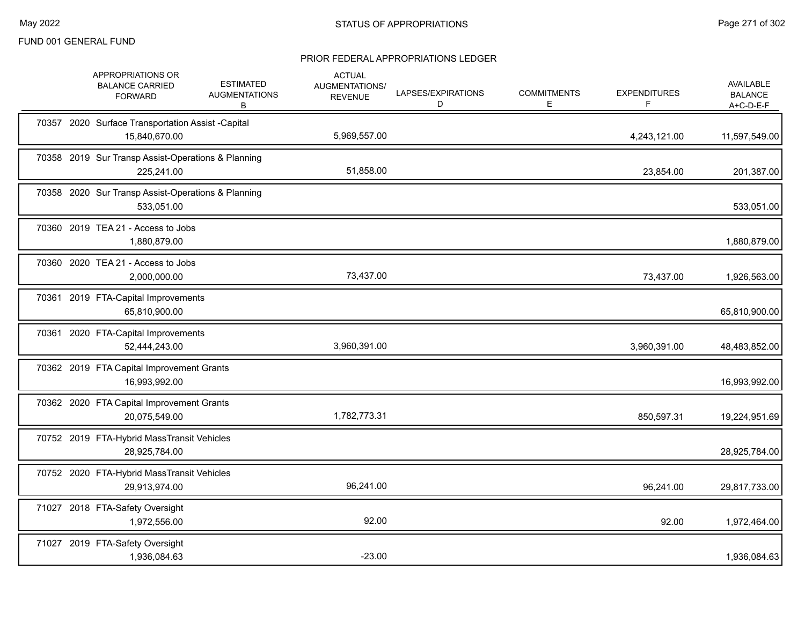|  | APPROPRIATIONS OR<br><b>BALANCE CARRIED</b><br><b>FORWARD</b>      | <b>ESTIMATED</b><br><b>AUGMENTATIONS</b><br>B | <b>ACTUAL</b><br>AUGMENTATIONS/<br><b>REVENUE</b> | LAPSES/EXPIRATIONS<br>D | <b>COMMITMENTS</b><br>Е | <b>EXPENDITURES</b><br>F | AVAILABLE<br><b>BALANCE</b><br>$A+C-D-E-F$ |
|--|--------------------------------------------------------------------|-----------------------------------------------|---------------------------------------------------|-------------------------|-------------------------|--------------------------|--------------------------------------------|
|  | 70357 2020 Surface Transportation Assist -Capital<br>15,840,670.00 |                                               | 5,969,557.00                                      |                         |                         | 4,243,121.00             | 11,597,549.00                              |
|  | 70358 2019 Sur Transp Assist-Operations & Planning<br>225,241.00   |                                               | 51,858.00                                         |                         |                         | 23,854.00                | 201,387.00                                 |
|  | 70358 2020 Sur Transp Assist-Operations & Planning<br>533,051.00   |                                               |                                                   |                         |                         |                          | 533,051.00                                 |
|  | 70360 2019 TEA 21 - Access to Jobs<br>1,880,879.00                 |                                               |                                                   |                         |                         |                          | 1,880,879.00                               |
|  | 70360 2020 TEA 21 - Access to Jobs<br>2,000,000.00                 |                                               | 73,437.00                                         |                         |                         | 73,437.00                | 1,926,563.00                               |
|  | 70361 2019 FTA-Capital Improvements<br>65,810,900.00               |                                               |                                                   |                         |                         |                          | 65,810,900.00                              |
|  | 70361 2020 FTA-Capital Improvements<br>52,444,243.00               |                                               | 3,960,391.00                                      |                         |                         | 3,960,391.00             | 48,483,852.00                              |
|  | 70362 2019 FTA Capital Improvement Grants<br>16,993,992.00         |                                               |                                                   |                         |                         |                          | 16,993,992.00                              |
|  | 70362 2020 FTA Capital Improvement Grants<br>20,075,549.00         |                                               | 1,782,773.31                                      |                         |                         | 850,597.31               | 19,224,951.69                              |
|  | 70752 2019 FTA-Hybrid MassTransit Vehicles<br>28,925,784.00        |                                               |                                                   |                         |                         |                          | 28,925,784.00                              |
|  | 70752 2020 FTA-Hybrid MassTransit Vehicles<br>29,913,974.00        |                                               | 96,241.00                                         |                         |                         | 96,241.00                | 29,817,733.00                              |
|  | 71027 2018 FTA-Safety Oversight<br>1,972,556.00                    |                                               | 92.00                                             |                         |                         | 92.00                    | 1,972,464.00                               |
|  | 71027 2019 FTA-Safety Oversight<br>1,936,084.63                    |                                               | $-23.00$                                          |                         |                         |                          | 1,936,084.63                               |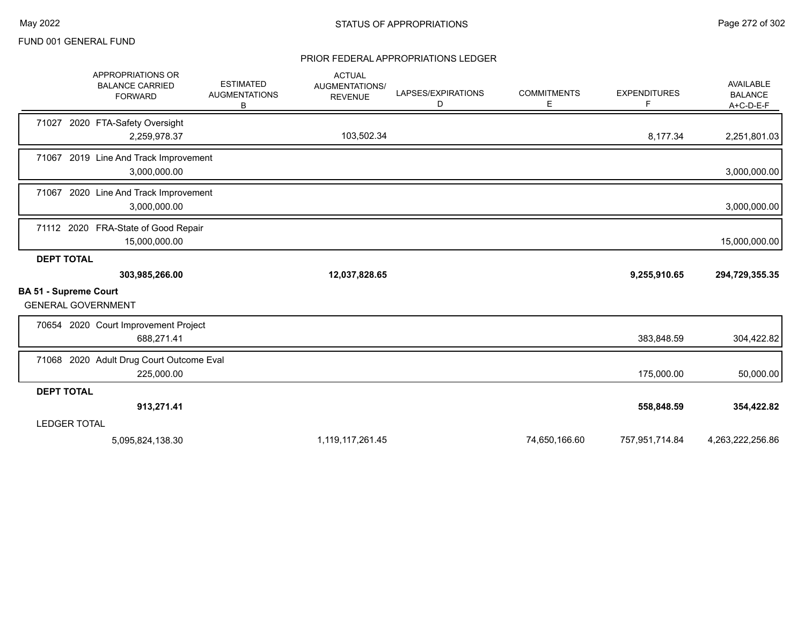|                   | APPROPRIATIONS OR<br><b>BALANCE CARRIED</b><br><b>FORWARD</b> | <b>ESTIMATED</b><br><b>AUGMENTATIONS</b><br>В | <b>ACTUAL</b><br>AUGMENTATIONS/<br><b>REVENUE</b> | LAPSES/EXPIRATIONS<br>D | <b>COMMITMENTS</b><br>Е | <b>EXPENDITURES</b> | AVAILABLE<br><b>BALANCE</b><br>$A+C-D-E-F$ |
|-------------------|---------------------------------------------------------------|-----------------------------------------------|---------------------------------------------------|-------------------------|-------------------------|---------------------|--------------------------------------------|
| 71027             | 2020 FTA-Safety Oversight<br>2,259,978.37                     |                                               | 103,502.34                                        |                         |                         | 8,177.34            | 2,251,801.03                               |
|                   | 71067 2019 Line And Track Improvement<br>3,000,000.00         |                                               |                                                   |                         |                         |                     | 3,000,000.00                               |
| 71067             | 2020 Line And Track Improvement<br>3,000,000.00               |                                               |                                                   |                         |                         |                     | 3,000,000.00                               |
|                   | 71112 2020 FRA-State of Good Repair<br>15,000,000.00          |                                               |                                                   |                         |                         |                     | 15,000,000.00                              |
| <b>DEPT TOTAL</b> |                                                               |                                               |                                                   |                         |                         |                     |                                            |
|                   | 303,985,266.00                                                |                                               | 12,037,828.65                                     |                         |                         | 9,255,910.65        | 294,729,355.35                             |
|                   | <b>BA 51 - Supreme Court</b><br><b>GENERAL GOVERNMENT</b>     |                                               |                                                   |                         |                         |                     |                                            |
|                   | 70654 2020 Court Improvement Project<br>688,271.41            |                                               |                                                   |                         |                         | 383,848.59          | 304,422.82                                 |
|                   | 71068 2020 Adult Drug Court Outcome Eval<br>225,000.00        |                                               |                                                   |                         |                         | 175,000.00          | 50,000.00                                  |
| <b>DEPT TOTAL</b> |                                                               |                                               |                                                   |                         |                         |                     |                                            |
|                   | 913,271.41                                                    |                                               |                                                   |                         |                         | 558,848.59          | 354,422.82                                 |
|                   | <b>LEDGER TOTAL</b>                                           |                                               |                                                   |                         |                         |                     |                                            |
|                   | 5,095,824,138.30                                              |                                               | 1,119,117,261.45                                  |                         | 74,650,166.60           | 757,951,714.84      | 4,263,222,256.86                           |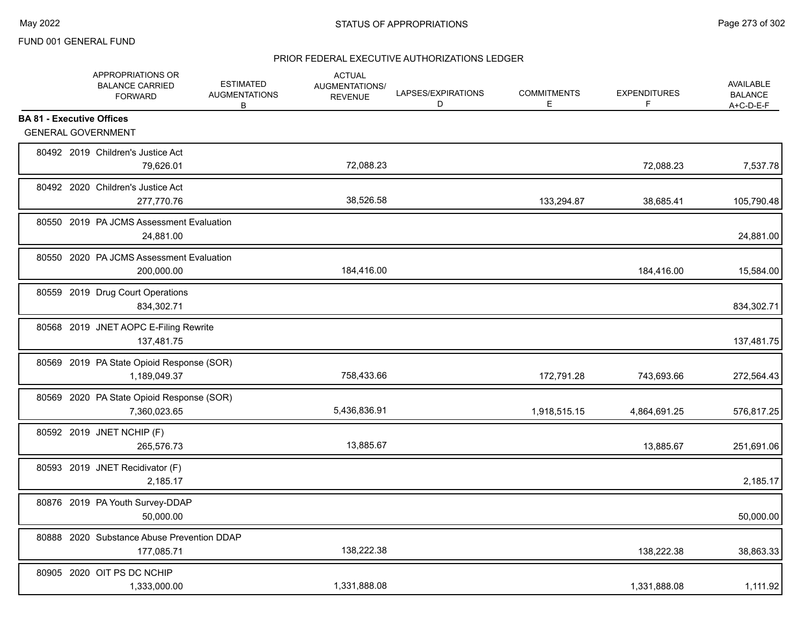| APPROPRIATIONS OR<br><b>BALANCE CARRIED</b><br><b>FORWARD</b> |              | <b>ESTIMATED</b><br><b>AUGMENTATIONS</b><br>В | <b>ACTUAL</b><br>AUGMENTATIONS/<br><b>REVENUE</b> | LAPSES/EXPIRATIONS<br>D | <b>COMMITMENTS</b><br>Е | <b>EXPENDITURES</b><br>F | <b>AVAILABLE</b><br><b>BALANCE</b><br>$A+C-D-E-F$ |
|---------------------------------------------------------------|--------------|-----------------------------------------------|---------------------------------------------------|-------------------------|-------------------------|--------------------------|---------------------------------------------------|
| <b>BA 81 - Executive Offices</b>                              |              |                                               |                                                   |                         |                         |                          |                                                   |
| <b>GENERAL GOVERNMENT</b>                                     |              |                                               |                                                   |                         |                         |                          |                                                   |
| 80492 2019 Children's Justice Act                             | 79,626.01    |                                               | 72,088.23                                         |                         |                         | 72,088.23                | 7,537.78                                          |
| 80492 2020 Children's Justice Act                             | 277,770.76   |                                               | 38,526.58                                         |                         | 133,294.87              | 38,685.41                | 105,790.48                                        |
| 80550 2019 PA JCMS Assessment Evaluation                      | 24,881.00    |                                               |                                                   |                         |                         |                          | 24,881.00                                         |
| 80550 2020 PA JCMS Assessment Evaluation                      | 200,000.00   |                                               | 184,416.00                                        |                         |                         | 184,416.00               | 15,584.00                                         |
| 80559 2019 Drug Court Operations                              | 834,302.71   |                                               |                                                   |                         |                         |                          | 834,302.71                                        |
| 80568 2019 JNET AOPC E-Filing Rewrite                         | 137,481.75   |                                               |                                                   |                         |                         |                          | 137,481.75                                        |
| 80569 2019 PA State Opioid Response (SOR)                     | 1,189,049.37 |                                               | 758,433.66                                        |                         | 172,791.28              | 743,693.66               | 272,564.43                                        |
| 80569 2020 PA State Opioid Response (SOR)                     | 7,360,023.65 |                                               | 5,436,836.91                                      |                         | 1,918,515.15            | 4,864,691.25             | 576,817.25                                        |
| 80592 2019 JNET NCHIP (F)                                     | 265,576.73   |                                               | 13,885.67                                         |                         |                         | 13,885.67                | 251,691.06                                        |
| 80593 2019 JNET Recidivator (F)                               | 2,185.17     |                                               |                                                   |                         |                         |                          | 2,185.17                                          |
| 80876 2019 PA Youth Survey-DDAP                               | 50,000.00    |                                               |                                                   |                         |                         |                          | 50,000.00                                         |
| 80888 2020 Substance Abuse Prevention DDAP                    | 177,085.71   |                                               | 138,222.38                                        |                         |                         | 138,222.38               | 38,863.33                                         |
| 80905 2020 OIT PS DC NCHIP                                    | 1,333,000.00 |                                               | 1,331,888.08                                      |                         |                         | 1,331,888.08             | 1,111.92                                          |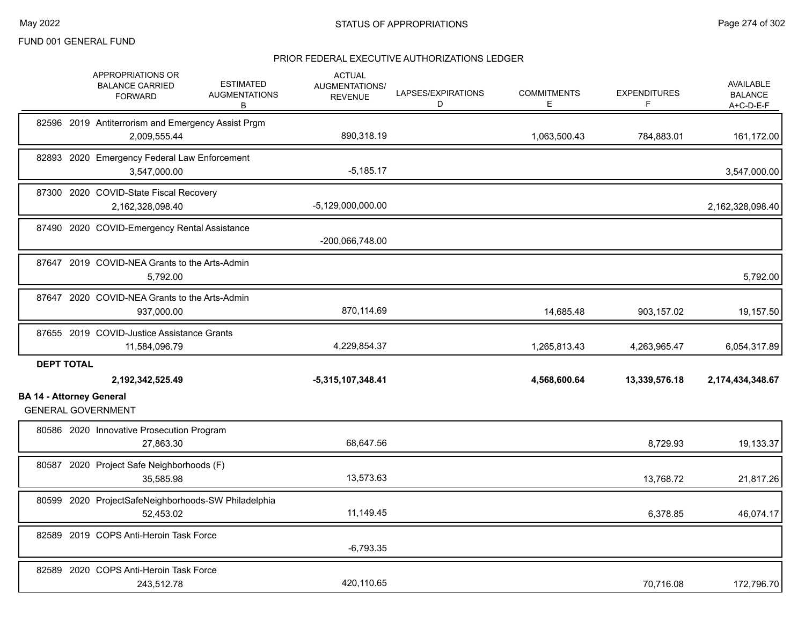|                                 | APPROPRIATIONS OR<br><b>BALANCE CARRIED</b><br><b>FORWARD</b>      | <b>ESTIMATED</b><br><b>AUGMENTATIONS</b><br>B | <b>ACTUAL</b><br>AUGMENTATIONS/<br><b>REVENUE</b> | LAPSES/EXPIRATIONS<br>D | <b>COMMITMENTS</b><br>Е | <b>EXPENDITURES</b><br>F | <b>AVAILABLE</b><br><b>BALANCE</b><br>$A+C-D-E-F$ |
|---------------------------------|--------------------------------------------------------------------|-----------------------------------------------|---------------------------------------------------|-------------------------|-------------------------|--------------------------|---------------------------------------------------|
|                                 | 82596 2019 Antiterrorism and Emergency Assist Prgm<br>2,009,555.44 |                                               | 890,318.19                                        |                         | 1,063,500.43            | 784,883.01               | 161,172.00                                        |
|                                 | 82893 2020 Emergency Federal Law Enforcement<br>3.547.000.00       |                                               | $-5,185.17$                                       |                         |                         |                          | 3,547,000.00                                      |
|                                 | 87300 2020 COVID-State Fiscal Recovery<br>2,162,328,098.40         |                                               | $-5,129,000,000.00$                               |                         |                         |                          | 2,162,328,098.40                                  |
|                                 | 87490 2020 COVID-Emergency Rental Assistance                       |                                               | -200,066,748.00                                   |                         |                         |                          |                                                   |
|                                 | 87647 2019 COVID-NEA Grants to the Arts-Admin<br>5,792.00          |                                               |                                                   |                         |                         |                          | 5,792.00                                          |
|                                 | 87647 2020 COVID-NEA Grants to the Arts-Admin<br>937,000.00        |                                               | 870,114.69                                        |                         | 14,685.48               | 903,157.02               | 19,157.50                                         |
|                                 | 87655 2019 COVID-Justice Assistance Grants<br>11,584,096.79        |                                               | 4,229,854.37                                      |                         | 1,265,813.43            | 4,263,965.47             | 6,054,317.89                                      |
| <b>DEPT TOTAL</b>               | 2,192,342,525.49                                                   |                                               | $-5,315,107,348.41$                               |                         | 4,568,600.64            | 13,339,576.18            | 2,174,434,348.67                                  |
| <b>BA 14 - Attorney General</b> | <b>GENERAL GOVERNMENT</b>                                          |                                               |                                                   |                         |                         |                          |                                                   |
|                                 | 80586 2020 Innovative Prosecution Program<br>27,863.30             |                                               | 68,647.56                                         |                         |                         | 8,729.93                 | 19,133.37                                         |
|                                 | 80587 2020 Project Safe Neighborhoods (F)<br>35.585.98             |                                               | 13,573.63                                         |                         |                         | 13,768.72                | 21,817.26                                         |
|                                 | 80599 2020 ProjectSafeNeighborhoods-SW Philadelphia<br>52,453.02   |                                               | 11,149.45                                         |                         |                         | 6,378.85                 | 46,074.17                                         |
|                                 | 82589 2019 COPS Anti-Heroin Task Force                             |                                               | $-6,793.35$                                       |                         |                         |                          |                                                   |
|                                 | 82589 2020 COPS Anti-Heroin Task Force<br>243,512.78               |                                               | 420,110.65                                        |                         |                         | 70,716.08                | 172,796.70                                        |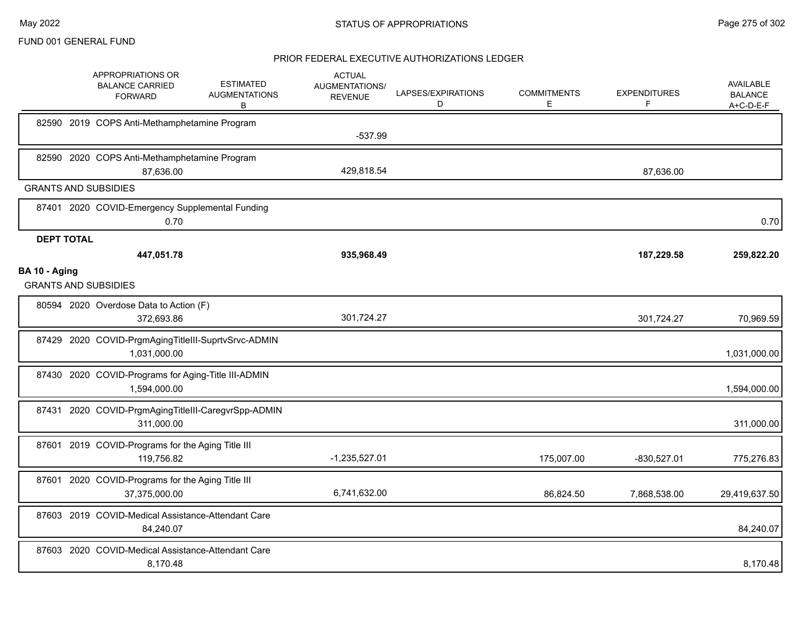|                   | APPROPRIATIONS OR<br><b>BALANCE CARRIED</b><br><b>FORWARD</b>       | <b>ESTIMATED</b><br><b>AUGMENTATIONS</b><br>B | <b>ACTUAL</b><br><b>AUGMENTATIONS/</b><br><b>REVENUE</b> | LAPSES/EXPIRATIONS<br>D | <b>COMMITMENTS</b><br>E | <b>EXPENDITURES</b><br>F | AVAILABLE<br><b>BALANCE</b><br>$A+C-D-E-F$ |
|-------------------|---------------------------------------------------------------------|-----------------------------------------------|----------------------------------------------------------|-------------------------|-------------------------|--------------------------|--------------------------------------------|
|                   | 82590 2019 COPS Anti-Methamphetamine Program                        |                                               | $-537.99$                                                |                         |                         |                          |                                            |
|                   | 82590 2020 COPS Anti-Methamphetamine Program<br>87,636.00           |                                               | 429,818.54                                               |                         |                         | 87,636.00                |                                            |
|                   | <b>GRANTS AND SUBSIDIES</b>                                         |                                               |                                                          |                         |                         |                          |                                            |
|                   | 87401 2020 COVID-Emergency Supplemental Funding<br>0.70             |                                               |                                                          |                         |                         |                          | 0.70                                       |
| <b>DEPT TOTAL</b> |                                                                     |                                               |                                                          |                         |                         |                          |                                            |
|                   | 447,051.78                                                          |                                               | 935,968.49                                               |                         |                         | 187,229.58               | 259,822.20                                 |
| BA 10 - Aging     | <b>GRANTS AND SUBSIDIES</b>                                         |                                               |                                                          |                         |                         |                          |                                            |
|                   | 80594 2020 Overdose Data to Action (F)<br>372,693.86                |                                               | 301,724.27                                               |                         |                         | 301,724.27               | 70,969.59                                  |
|                   | 87429 2020 COVID-PrgmAgingTitleIII-SuprtvSrvc-ADMIN<br>1,031,000.00 |                                               |                                                          |                         |                         |                          | 1,031,000.00                               |
|                   | 87430 2020 COVID-Programs for Aging-Title III-ADMIN<br>1,594,000.00 |                                               |                                                          |                         |                         |                          | 1,594,000.00                               |
|                   | 87431 2020 COVID-PrgmAgingTitleIII-CaregvrSpp-ADMIN<br>311,000.00   |                                               |                                                          |                         |                         |                          | 311,000.00                                 |
|                   | 87601 2019 COVID-Programs for the Aging Title III<br>119,756.82     |                                               | $-1,235,527.01$                                          |                         | 175,007.00              | $-830,527.01$            | 775,276.83                                 |
|                   | 87601 2020 COVID-Programs for the Aging Title III<br>37,375,000.00  |                                               | 6,741,632.00                                             |                         | 86,824.50               | 7,868,538.00             | 29,419,637.50                              |
|                   | 87603 2019 COVID-Medical Assistance-Attendant Care<br>84,240.07     |                                               |                                                          |                         |                         |                          | 84,240.07                                  |
|                   | 87603 2020 COVID-Medical Assistance-Attendant Care<br>8,170.48      |                                               |                                                          |                         |                         |                          | 8,170.48                                   |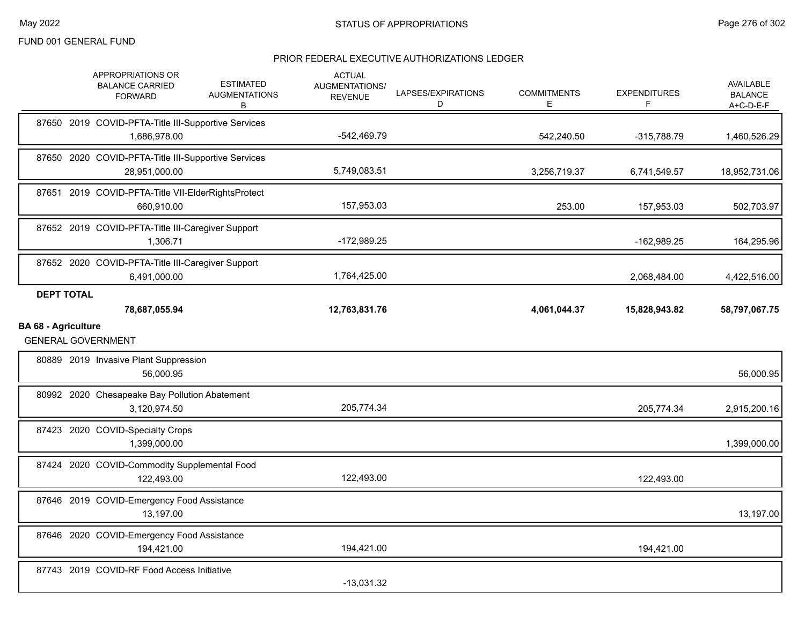|                            | APPROPRIATIONS OR<br><b>BALANCE CARRIED</b><br><b>FORWARD</b>        | <b>ESTIMATED</b><br><b>AUGMENTATIONS</b><br>В | <b>ACTUAL</b><br>AUGMENTATIONS/<br><b>REVENUE</b> | LAPSES/EXPIRATIONS<br>D | <b>COMMITMENTS</b><br>Е | <b>EXPENDITURES</b><br>F | AVAILABLE<br><b>BALANCE</b><br>A+C-D-E-F  |
|----------------------------|----------------------------------------------------------------------|-----------------------------------------------|---------------------------------------------------|-------------------------|-------------------------|--------------------------|-------------------------------------------|
|                            | 87650 2019 COVID-PFTA-Title III-Supportive Services<br>1,686,978.00  |                                               | $-542,469.79$                                     |                         | 542,240.50              | -315,788.79              | 1,460,526.29                              |
|                            | 87650 2020 COVID-PFTA-Title III-Supportive Services<br>28,951,000.00 |                                               | 5,749,083.51                                      |                         | 3,256,719.37            | 6,741,549.57             | 18,952,731.06                             |
|                            | 87651 2019 COVID-PFTA-Title VII-ElderRightsProtect<br>660,910.00     |                                               | 157,953.03                                        |                         | 253.00                  | 157,953.03               | 502,703.97                                |
|                            | 87652 2019 COVID-PFTA-Title III-Caregiver Support<br>1,306.71        |                                               | $-172,989.25$                                     |                         |                         | -162,989.25              | 164,295.96                                |
|                            | 87652 2020 COVID-PFTA-Title III-Caregiver Support<br>6,491,000.00    |                                               | 1,764,425.00                                      |                         |                         | 2,068,484.00             | 4,422,516.00                              |
| <b>DEPT TOTAL</b>          | 78,687,055.94                                                        |                                               | 12,763,831.76                                     |                         | 4,061,044.37            | 15,828,943.82            | 58,797,067.75                             |
| <b>BA 68 - Agriculture</b> | <b>GENERAL GOVERNMENT</b>                                            |                                               |                                                   |                         |                         |                          |                                           |
|                            |                                                                      |                                               |                                                   |                         |                         |                          |                                           |
|                            | 80889 2019 Invasive Plant Suppression<br>56,000.95                   |                                               |                                                   |                         |                         |                          |                                           |
|                            | 80992 2020 Chesapeake Bay Pollution Abatement<br>3,120,974.50        |                                               | 205,774.34                                        |                         |                         | 205,774.34               |                                           |
|                            | 87423 2020 COVID-Specialty Crops<br>1,399,000.00                     |                                               |                                                   |                         |                         |                          | 56,000.95<br>2,915,200.16<br>1,399,000.00 |
|                            | 87424 2020 COVID-Commodity Supplemental Food<br>122,493.00           |                                               | 122,493.00                                        |                         |                         | 122,493.00               |                                           |
|                            | 87646 2019 COVID-Emergency Food Assistance<br>13,197.00              |                                               |                                                   |                         |                         |                          | 13,197.00                                 |
|                            | 87646 2020 COVID-Emergency Food Assistance<br>194,421.00             |                                               | 194,421.00                                        |                         |                         | 194,421.00               |                                           |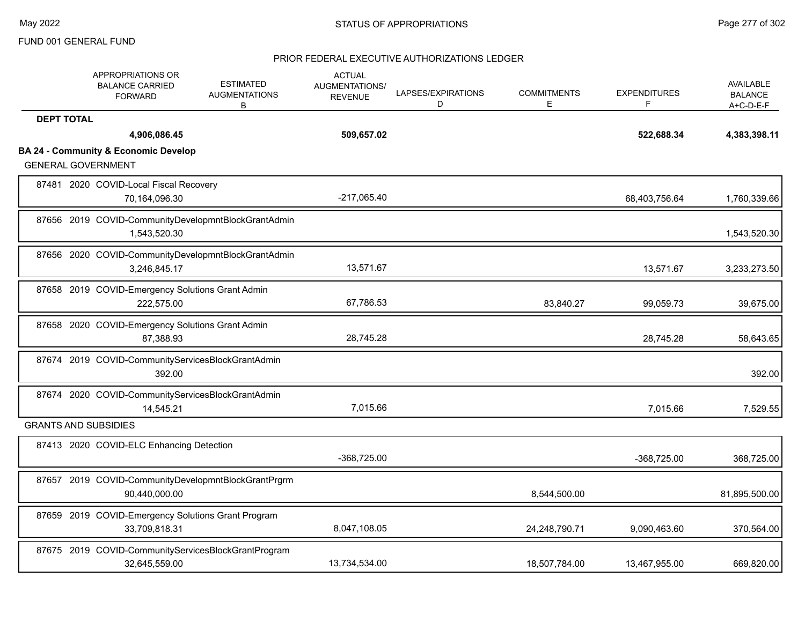| APPROPRIATIONS OR<br><b>BALANCE CARRIED</b><br><b>FORWARD</b> |               | <b>ESTIMATED</b><br><b>AUGMENTATIONS</b><br>В       | <b>ACTUAL</b><br><b>AUGMENTATIONS/</b><br><b>REVENUE</b> | LAPSES/EXPIRATIONS<br>D | <b>COMMITMENTS</b><br>Е | <b>EXPENDITURES</b><br>F | AVAILABLE<br><b>BALANCE</b><br>$A+C-D-E-F$ |
|---------------------------------------------------------------|---------------|-----------------------------------------------------|----------------------------------------------------------|-------------------------|-------------------------|--------------------------|--------------------------------------------|
| <b>DEPT TOTAL</b>                                             |               |                                                     |                                                          |                         |                         |                          |                                            |
|                                                               | 4,906,086.45  |                                                     | 509,657.02                                               |                         |                         | 522,688.34               | 4,383,398.11                               |
| <b>BA 24 - Community &amp; Economic Develop</b>               |               |                                                     |                                                          |                         |                         |                          |                                            |
| <b>GENERAL GOVERNMENT</b>                                     |               |                                                     |                                                          |                         |                         |                          |                                            |
| 87481 2020 COVID-Local Fiscal Recovery                        | 70,164,096.30 |                                                     | $-217,065.40$                                            |                         |                         | 68,403,756.64            | 1,760,339.66                               |
|                                                               | 1,543,520.30  | 87656 2019 COVID-CommunityDevelopmntBlockGrantAdmin |                                                          |                         |                         |                          | 1,543,520.30                               |
|                                                               | 3,246,845.17  | 87656 2020 COVID-CommunityDevelopmntBlockGrantAdmin | 13,571.67                                                |                         |                         | 13,571.67                | 3,233,273.50                               |
| 87658 2019 COVID-Emergency Solutions Grant Admin              | 222,575.00    |                                                     | 67,786.53                                                |                         | 83,840.27               | 99,059.73                | 39,675.00                                  |
| 87658 2020 COVID-Emergency Solutions Grant Admin              | 87,388.93     |                                                     | 28,745.28                                                |                         |                         | 28,745.28                | 58,643.65                                  |
|                                                               | 392.00        | 87674 2019 COVID-CommunityServicesBlockGrantAdmin   |                                                          |                         |                         |                          | 392.00                                     |
|                                                               | 14,545.21     | 87674 2020 COVID-CommunityServicesBlockGrantAdmin   | 7,015.66                                                 |                         |                         | 7,015.66                 | 7,529.55                                   |
| <b>GRANTS AND SUBSIDIES</b>                                   |               |                                                     |                                                          |                         |                         |                          |                                            |
| 87413 2020 COVID-ELC Enhancing Detection                      |               |                                                     | -368,725.00                                              |                         |                         | -368,725.00              | 368,725.00                                 |
|                                                               | 90,440,000.00 | 87657 2019 COVID-CommunityDevelopmntBlockGrantPrgrm |                                                          |                         | 8,544,500.00            |                          | 81,895,500.00                              |
|                                                               | 33,709,818.31 | 87659 2019 COVID-Emergency Solutions Grant Program  | 8,047,108.05                                             |                         | 24,248,790.71           | 9,090,463.60             | 370,564.00                                 |
|                                                               | 32,645,559.00 | 87675 2019 COVID-CommunityServicesBlockGrantProgram | 13,734,534.00                                            |                         | 18,507,784.00           | 13,467,955.00            | 669,820.00                                 |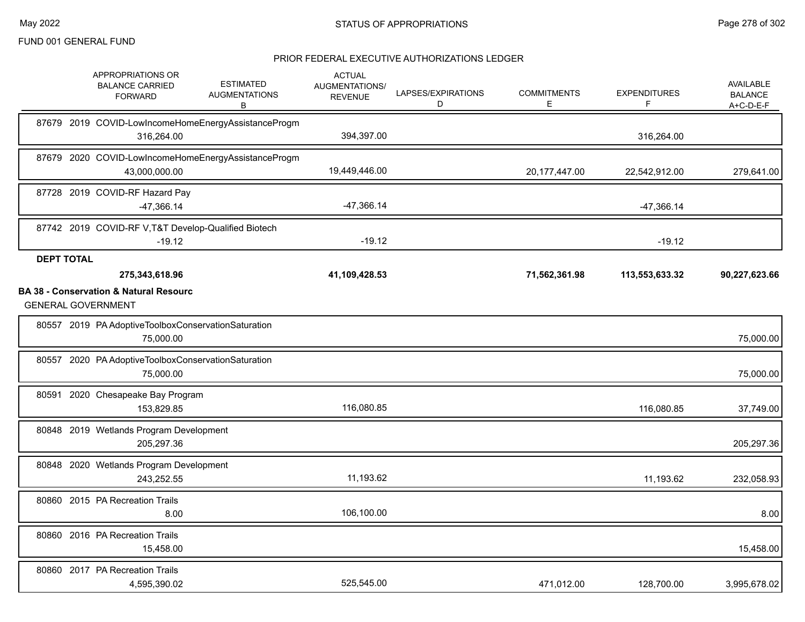|                   | APPROPRIATIONS OR<br><b>BALANCE CARRIED</b><br><b>FORWARD</b>                                    | <b>ESTIMATED</b><br><b>AUGMENTATIONS</b><br>в       | <b>ACTUAL</b><br>AUGMENTATIONS/<br><b>REVENUE</b> | LAPSES/EXPIRATIONS<br>D | <b>COMMITMENTS</b><br>E | <b>EXPENDITURES</b><br>F | AVAILABLE<br><b>BALANCE</b><br>A+C-D-E-F |
|-------------------|--------------------------------------------------------------------------------------------------|-----------------------------------------------------|---------------------------------------------------|-------------------------|-------------------------|--------------------------|------------------------------------------|
|                   | 316,264.00                                                                                       | 87679 2019 COVID-LowIncomeHomeEnergyAssistanceProgm | 394,397.00                                        |                         |                         | 316,264.00               |                                          |
|                   | 43,000,000.00                                                                                    | 87679 2020 COVID-LowIncomeHomeEnergyAssistanceProgm | 19,449,446.00                                     |                         | 20, 177, 447.00         | 22,542,912.00            | 279,641.00                               |
|                   | 87728 2019 COVID-RF Hazard Pay<br>$-47,366.14$                                                   |                                                     | $-47,366.14$                                      |                         |                         | -47,366.14               |                                          |
|                   | 87742 2019 COVID-RF V, T&T Develop-Qualified Biotech<br>$-19.12$                                 |                                                     | $-19.12$                                          |                         |                         | $-19.12$                 |                                          |
| <b>DEPT TOTAL</b> | 275,343,618.96<br><b>BA 38 - Conservation &amp; Natural Resourc</b><br><b>GENERAL GOVERNMENT</b> |                                                     | 41,109,428.53                                     |                         | 71,562,361.98           | 113,553,633.32           | 90,227,623.66                            |
|                   | 80557 2019 PA Adoptive Toolbox Conservation Saturation<br>75,000.00                              |                                                     |                                                   |                         |                         |                          | 75,000.00                                |
| 80557             | 2020 PA Adoptive Toolbox Conservation Saturation<br>75,000.00                                    |                                                     |                                                   |                         |                         |                          | 75,000.00                                |
| 80591             | 2020 Chesapeake Bay Program<br>153,829.85                                                        |                                                     | 116,080.85                                        |                         |                         | 116,080.85               | 37,749.00                                |
|                   | 80848 2019 Wetlands Program Development<br>205,297.36                                            |                                                     |                                                   |                         |                         |                          | 205,297.36                               |
|                   | 80848 2020 Wetlands Program Development<br>243,252.55                                            |                                                     | 11,193.62                                         |                         |                         | 11,193.62                | 232,058.93                               |
|                   | 80860 2015 PA Recreation Trails<br>8.00                                                          |                                                     | 106,100.00                                        |                         |                         |                          | 8.00                                     |
|                   | 80860 2016 PA Recreation Trails<br>15,458.00                                                     |                                                     |                                                   |                         |                         |                          | 15,458.00                                |
|                   | 80860 2017 PA Recreation Trails<br>4,595,390.02                                                  |                                                     | 525,545.00                                        |                         | 471,012.00              | 128,700.00               | 3,995,678.02                             |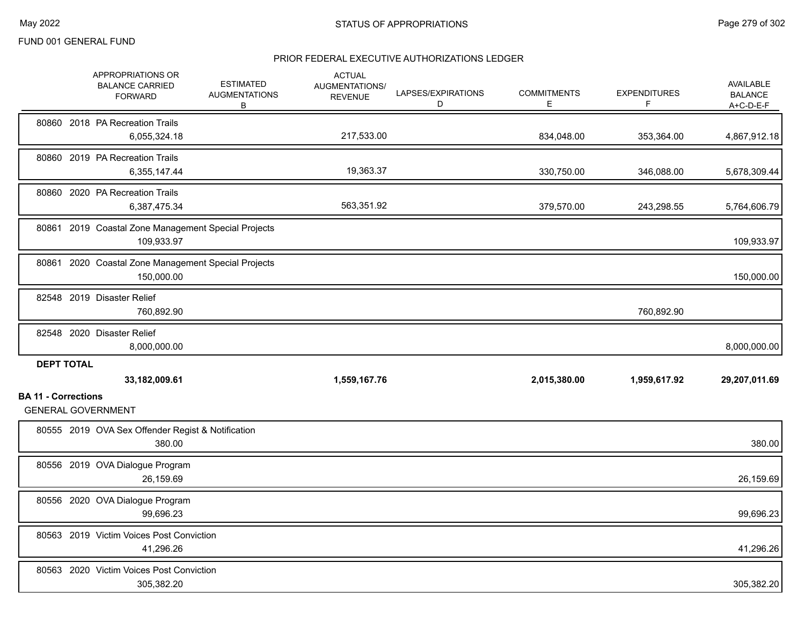|                            | APPROPRIATIONS OR<br><b>BALANCE CARRIED</b><br><b>FORWARD</b>     | <b>ESTIMATED</b><br><b>AUGMENTATIONS</b><br>В | <b>ACTUAL</b><br>AUGMENTATIONS/<br><b>REVENUE</b> | LAPSES/EXPIRATIONS<br>D | <b>COMMITMENTS</b><br>Е | <b>EXPENDITURES</b><br>F | <b>AVAILABLE</b><br><b>BALANCE</b><br>A+C-D-E-F |
|----------------------------|-------------------------------------------------------------------|-----------------------------------------------|---------------------------------------------------|-------------------------|-------------------------|--------------------------|-------------------------------------------------|
|                            | 80860 2018 PA Recreation Trails<br>6,055,324.18                   |                                               | 217,533.00                                        |                         | 834,048.00              | 353,364.00               | 4,867,912.18                                    |
|                            | 80860 2019 PA Recreation Trails<br>6,355,147.44                   |                                               | 19,363.37                                         |                         | 330,750.00              | 346,088.00               | 5,678,309.44                                    |
|                            | 80860 2020 PA Recreation Trails<br>6,387,475.34                   |                                               | 563,351.92                                        |                         | 379,570.00              | 243,298.55               | 5,764,606.79                                    |
| 80861                      | 2019 Coastal Zone Management Special Projects<br>109,933.97       |                                               |                                                   |                         |                         |                          | 109,933.97                                      |
|                            | 80861 2020 Coastal Zone Management Special Projects<br>150,000.00 |                                               |                                                   |                         |                         |                          | 150,000.00                                      |
|                            | 82548 2019 Disaster Relief<br>760,892.90                          |                                               |                                                   |                         |                         | 760,892.90               |                                                 |
|                            | 82548 2020 Disaster Relief<br>8,000,000.00                        |                                               |                                                   |                         |                         |                          | 8,000,000.00                                    |
| <b>DEPT TOTAL</b>          | 33,182,009.61                                                     |                                               | 1,559,167.76                                      |                         | 2,015,380.00            | 1,959,617.92             | 29,207,011.69                                   |
| <b>BA 11 - Corrections</b> | <b>GENERAL GOVERNMENT</b>                                         |                                               |                                                   |                         |                         |                          |                                                 |
|                            | 80555 2019 OVA Sex Offender Regist & Notification<br>380.00       |                                               |                                                   |                         |                         |                          | 380.00                                          |
|                            | 80556 2019 OVA Dialogue Program<br>26,159.69                      |                                               |                                                   |                         |                         |                          | 26,159.69                                       |
|                            | 80556 2020 OVA Dialogue Program<br>99,696.23                      |                                               |                                                   |                         |                         |                          | 99,696.23                                       |
|                            | 80563 2019 Victim Voices Post Conviction<br>41,296.26             |                                               |                                                   |                         |                         |                          | 41,296.26                                       |
|                            | 80563 2020 Victim Voices Post Conviction<br>305,382.20            |                                               |                                                   |                         |                         |                          | 305,382.20                                      |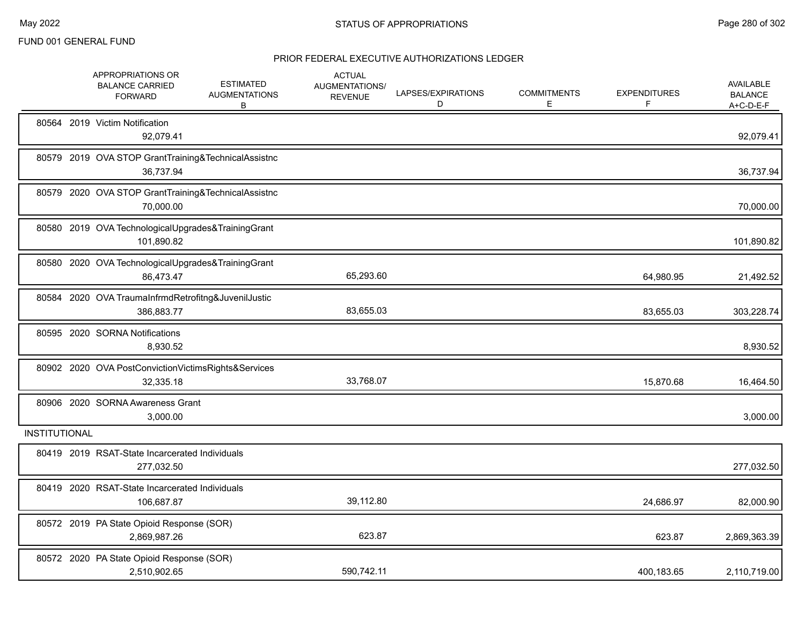|                      | APPROPRIATIONS OR<br><b>BALANCE CARRIED</b><br><b>FORWARD</b>     | <b>ESTIMATED</b><br><b>AUGMENTATIONS</b><br>В | <b>ACTUAL</b><br>AUGMENTATIONS/<br><b>REVENUE</b> | LAPSES/EXPIRATIONS<br>D | <b>COMMITMENTS</b><br>E | <b>EXPENDITURES</b><br>F | AVAILABLE<br><b>BALANCE</b><br>$A+C-D-E-F$ |
|----------------------|-------------------------------------------------------------------|-----------------------------------------------|---------------------------------------------------|-------------------------|-------------------------|--------------------------|--------------------------------------------|
|                      | 80564 2019 Victim Notification<br>92,079.41                       |                                               |                                                   |                         |                         |                          | 92,079.41                                  |
|                      | 80579 2019 OVA STOP GrantTraining&TechnicalAssistnc<br>36,737.94  |                                               |                                                   |                         |                         |                          | 36,737.94                                  |
|                      | 80579 2020 OVA STOP GrantTraining&TechnicalAssistnc<br>70,000.00  |                                               |                                                   |                         |                         |                          | 70,000.00                                  |
|                      | 80580 2019 OVA TechnologicalUpgrades&TrainingGrant<br>101,890.82  |                                               |                                                   |                         |                         |                          | 101,890.82                                 |
|                      | 80580 2020 OVA TechnologicalUpgrades&TrainingGrant<br>86,473.47   |                                               | 65,293.60                                         |                         |                         | 64,980.95                | 21,492.52                                  |
|                      | 80584 2020 OVA TraumaInfrmdRetrofitng&JuvenilJustic<br>386,883.77 |                                               | 83,655.03                                         |                         |                         | 83,655.03                | 303,228.74                                 |
|                      | 80595 2020 SORNA Notifications<br>8,930.52                        |                                               |                                                   |                         |                         |                          | 8,930.52                                   |
|                      | 80902 2020 OVA PostConvictionVictimsRights&Services<br>32,335.18  |                                               | 33,768.07                                         |                         |                         | 15,870.68                | 16,464.50                                  |
|                      | 80906 2020 SORNA Awareness Grant<br>3,000.00                      |                                               |                                                   |                         |                         |                          | 3,000.00                                   |
| <b>INSTITUTIONAL</b> |                                                                   |                                               |                                                   |                         |                         |                          |                                            |
|                      | 80419 2019 RSAT-State Incarcerated Individuals<br>277,032.50      |                                               |                                                   |                         |                         |                          | 277,032.50                                 |
|                      | 80419 2020 RSAT-State Incarcerated Individuals<br>106,687.87      |                                               | 39,112.80                                         |                         |                         | 24,686.97                | 82,000.90                                  |
|                      | 80572 2019 PA State Opioid Response (SOR)<br>2,869,987.26         |                                               | 623.87                                            |                         |                         | 623.87                   | 2,869,363.39                               |
|                      | 80572 2020 PA State Opioid Response (SOR)<br>2,510,902.65         |                                               | 590,742.11                                        |                         |                         | 400,183.65               | 2,110,719.00                               |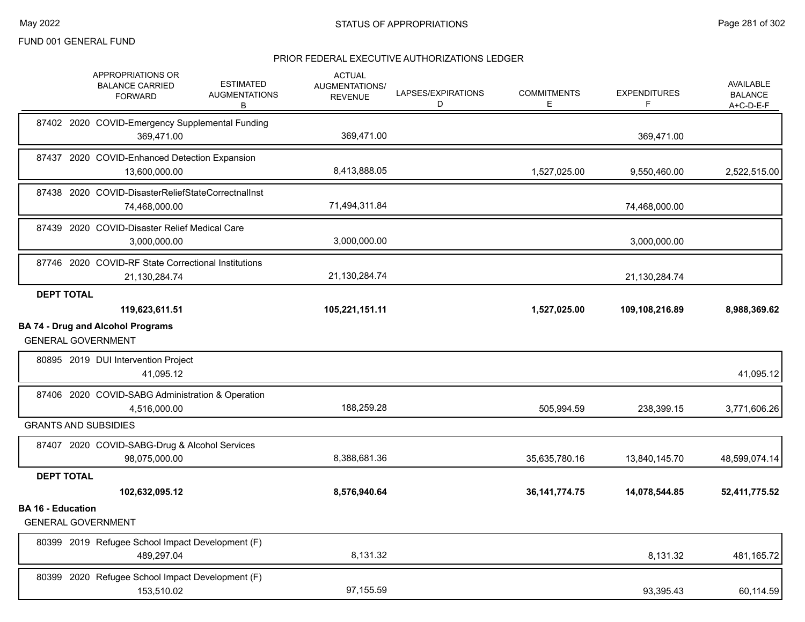|                          | APPROPRIATIONS OR<br><b>BALANCE CARRIED</b><br><b>FORWARD</b>         | <b>ESTIMATED</b><br><b>AUGMENTATIONS</b><br>В | <b>ACTUAL</b><br><b>AUGMENTATIONS/</b><br><b>REVENUE</b> | LAPSES/EXPIRATIONS<br>D | <b>COMMITMENTS</b><br>Е | <b>EXPENDITURES</b><br>F | <b>AVAILABLE</b><br><b>BALANCE</b><br>$A+C-D-E-F$ |
|--------------------------|-----------------------------------------------------------------------|-----------------------------------------------|----------------------------------------------------------|-------------------------|-------------------------|--------------------------|---------------------------------------------------|
|                          | 87402 2020 COVID-Emergency Supplemental Funding<br>369,471.00         |                                               | 369,471.00                                               |                         |                         | 369,471.00               |                                                   |
|                          | 87437 2020 COVID-Enhanced Detection Expansion<br>13,600,000.00        |                                               | 8,413,888.05                                             |                         | 1,527,025.00            | 9,550,460.00             | 2,522,515.00                                      |
|                          | 87438 2020 COVID-DisasterReliefStateCorrectnalInst<br>74,468,000.00   |                                               | 71,494,311.84                                            |                         |                         | 74,468,000.00            |                                                   |
|                          | 87439 2020 COVID-Disaster Relief Medical Care<br>3,000,000.00         |                                               | 3,000,000.00                                             |                         |                         | 3,000,000.00             |                                                   |
|                          | 87746 2020 COVID-RF State Correctional Institutions<br>21,130,284.74  |                                               | 21,130,284.74                                            |                         |                         | 21,130,284.74            |                                                   |
| <b>DEPT TOTAL</b>        | 119,623,611.51                                                        |                                               | 105,221,151.11                                           |                         | 1,527,025.00            | 109,108,216.89           | 8,988,369.62                                      |
|                          | <b>BA 74 - Drug and Alcohol Programs</b><br><b>GENERAL GOVERNMENT</b> |                                               |                                                          |                         |                         |                          |                                                   |
|                          | 80895 2019 DUI Intervention Project<br>41,095.12                      |                                               |                                                          |                         |                         |                          | 41,095.12                                         |
|                          | 87406 2020 COVID-SABG Administration & Operation<br>4,516,000.00      |                                               | 188,259.28                                               |                         | 505,994.59              | 238,399.15               | 3,771,606.26                                      |
|                          | <b>GRANTS AND SUBSIDIES</b>                                           |                                               |                                                          |                         |                         |                          |                                                   |
|                          | 87407 2020 COVID-SABG-Drug & Alcohol Services<br>98,075,000.00        |                                               | 8,388,681.36                                             |                         | 35,635,780.16           | 13,840,145.70            | 48,599,074.14                                     |
| <b>DEPT TOTAL</b>        | 102,632,095.12                                                        |                                               | 8,576,940.64                                             |                         | 36, 141, 774. 75        | 14,078,544.85            | 52,411,775.52                                     |
| <b>BA 16 - Education</b> | <b>GENERAL GOVERNMENT</b>                                             |                                               |                                                          |                         |                         |                          |                                                   |
|                          | 80399 2019 Refugee School Impact Development (F)<br>489,297.04        |                                               | 8.131.32                                                 |                         |                         | 8,131.32                 | 481,165.72                                        |
|                          | 80399 2020 Refugee School Impact Development (F)<br>153,510.02        |                                               | 97,155.59                                                |                         |                         | 93,395.43                | 60,114.59                                         |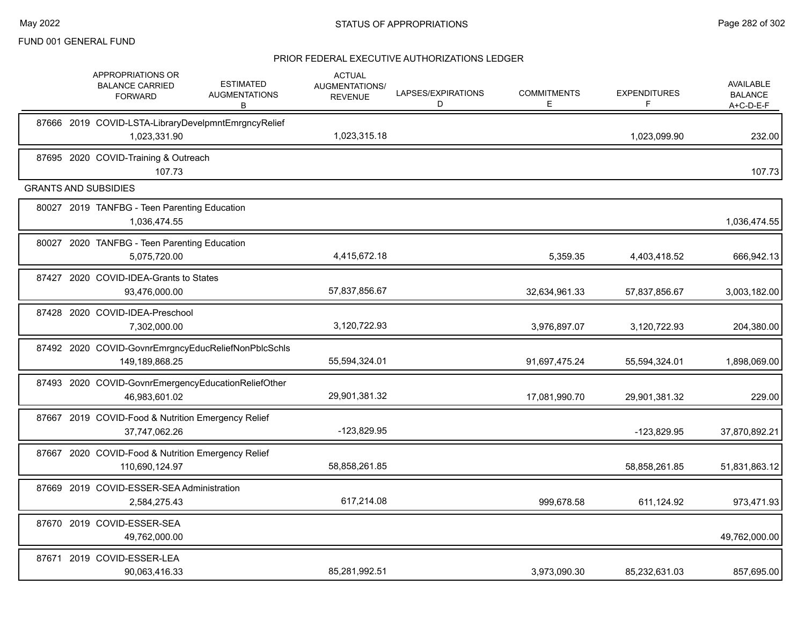|       | APPROPRIATIONS OR<br><b>BALANCE CARRIED</b><br><b>FORWARD</b>         | <b>ESTIMATED</b><br><b>AUGMENTATIONS</b><br>В | <b>ACTUAL</b><br>AUGMENTATIONS/<br><b>REVENUE</b> | LAPSES/EXPIRATIONS<br>D | <b>COMMITMENTS</b><br>E. | <b>EXPENDITURES</b><br>F | <b>AVAILABLE</b><br><b>BALANCE</b><br>A+C-D-E-F |
|-------|-----------------------------------------------------------------------|-----------------------------------------------|---------------------------------------------------|-------------------------|--------------------------|--------------------------|-------------------------------------------------|
|       | 87666 2019 COVID-LSTA-LibraryDevelpmntEmrgncyRelief<br>1,023,331.90   |                                               | 1,023,315.18                                      |                         |                          | 1,023,099.90             | 232.00                                          |
|       | 87695 2020 COVID-Training & Outreach<br>107.73                        |                                               |                                                   |                         |                          |                          | 107.73                                          |
|       | <b>GRANTS AND SUBSIDIES</b>                                           |                                               |                                                   |                         |                          |                          |                                                 |
|       | 80027 2019 TANFBG - Teen Parenting Education<br>1,036,474.55          |                                               |                                                   |                         |                          |                          | 1,036,474.55                                    |
|       | 80027 2020 TANFBG - Teen Parenting Education<br>5,075,720.00          |                                               | 4,415,672.18                                      |                         | 5,359.35                 | 4,403,418.52             | 666,942.13                                      |
| 87427 | 2020 COVID-IDEA-Grants to States<br>93,476,000.00                     |                                               | 57,837,856.67                                     |                         | 32,634,961.33            | 57,837,856.67            | 3,003,182.00                                    |
|       | 87428 2020 COVID-IDEA-Preschool<br>7,302,000.00                       |                                               | 3,120,722.93                                      |                         | 3,976,897.07             | 3,120,722.93             | 204,380.00                                      |
|       | 87492 2020 COVID-GovnrEmrgncyEducReliefNonPblcSchls<br>149,189,868.25 |                                               | 55,594,324.01                                     |                         | 91,697,475.24            | 55,594,324.01            | 1,898,069.00                                    |
|       | 87493 2020 COVID-GovnrEmergencyEducationReliefOther<br>46,983,601.02  |                                               | 29,901,381.32                                     |                         | 17,081,990.70            | 29,901,381.32            | 229.00                                          |
|       | 87667 2019 COVID-Food & Nutrition Emergency Relief<br>37,747,062.26   |                                               | $-123,829.95$                                     |                         |                          | -123,829.95              | 37,870,892.21                                   |
|       | 87667 2020 COVID-Food & Nutrition Emergency Relief<br>110,690,124.97  |                                               | 58,858,261.85                                     |                         |                          | 58,858,261.85            | 51,831,863.12                                   |
|       | 87669 2019 COVID-ESSER-SEA Administration<br>2,584,275.43             |                                               | 617,214.08                                        |                         | 999,678.58               | 611,124.92               | 973,471.93                                      |
|       | 87670 2019 COVID-ESSER-SEA<br>49,762,000.00                           |                                               |                                                   |                         |                          |                          | 49,762,000.00                                   |
|       | 87671 2019 COVID-ESSER-LEA<br>90.063.416.33                           |                                               | 85,281,992.51                                     |                         | 3,973,090.30             | 85,232,631.03            | 857,695.00                                      |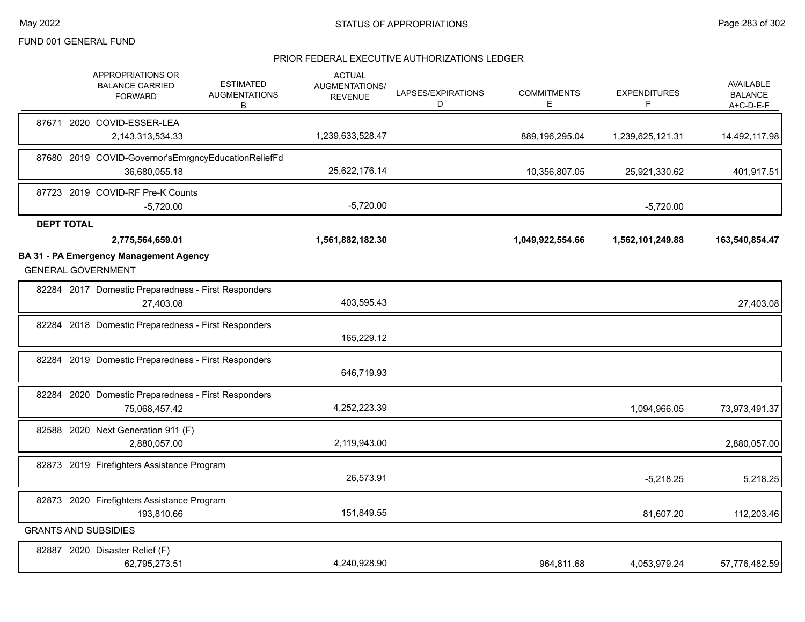|                   | APPROPRIATIONS OR<br><b>BALANCE CARRIED</b><br><b>FORWARD</b>              | <b>ESTIMATED</b><br><b>AUGMENTATIONS</b><br>В | <b>ACTUAL</b><br>AUGMENTATIONS/<br><b>REVENUE</b> | LAPSES/EXPIRATIONS<br>D | <b>COMMITMENTS</b><br>E | <b>EXPENDITURES</b><br>F | <b>AVAILABLE</b><br><b>BALANCE</b><br>$A+C-D-E-F$ |
|-------------------|----------------------------------------------------------------------------|-----------------------------------------------|---------------------------------------------------|-------------------------|-------------------------|--------------------------|---------------------------------------------------|
|                   | 87671 2020 COVID-ESSER-LEA<br>2,143,313,534.33                             |                                               | 1,239,633,528.47                                  |                         | 889,196,295.04          | 1,239,625,121.31         | 14,492,117.98                                     |
|                   | 87680 2019 COVID-Governor'sEmrgncyEducationReliefFd<br>36,680,055.18       |                                               | 25,622,176.14                                     |                         | 10,356,807.05           | 25,921,330.62            | 401,917.51                                        |
|                   | 87723 2019 COVID-RF Pre-K Counts<br>$-5,720.00$                            |                                               | $-5,720.00$                                       |                         |                         | $-5,720.00$              |                                                   |
| <b>DEPT TOTAL</b> |                                                                            |                                               |                                                   |                         |                         |                          |                                                   |
|                   | 2,775,564,659.01                                                           |                                               | 1,561,882,182.30                                  |                         | 1,049,922,554.66        | 1,562,101,249.88         | 163,540,854.47                                    |
|                   | <b>BA 31 - PA Emergency Management Agency</b><br><b>GENERAL GOVERNMENT</b> |                                               |                                                   |                         |                         |                          |                                                   |
|                   | 82284 2017 Domestic Preparedness - First Responders<br>27,403.08           |                                               | 403,595.43                                        |                         |                         |                          | 27,403.08                                         |
|                   | 82284 2018 Domestic Preparedness - First Responders                        |                                               | 165,229.12                                        |                         |                         |                          |                                                   |
|                   | 82284 2019 Domestic Preparedness - First Responders                        |                                               | 646,719.93                                        |                         |                         |                          |                                                   |
|                   | 82284 2020 Domestic Preparedness - First Responders<br>75,068,457.42       |                                               | 4,252,223.39                                      |                         |                         | 1,094,966.05             | 73,973,491.37                                     |
|                   | 82588 2020 Next Generation 911 (F)<br>2,880,057.00                         |                                               | 2,119,943.00                                      |                         |                         |                          | 2,880,057.00                                      |
|                   | 82873 2019 Firefighters Assistance Program                                 |                                               | 26,573.91                                         |                         |                         | $-5,218.25$              | 5,218.25                                          |
|                   | 82873 2020 Firefighters Assistance Program<br>193,810.66                   |                                               | 151,849.55                                        |                         |                         | 81,607.20                | 112,203.46                                        |
|                   | <b>GRANTS AND SUBSIDIES</b>                                                |                                               |                                                   |                         |                         |                          |                                                   |
|                   | 82887 2020 Disaster Relief (F)<br>62,795,273.51                            |                                               | 4,240,928.90                                      |                         | 964,811.68              | 4,053,979.24             | 57,776,482.59                                     |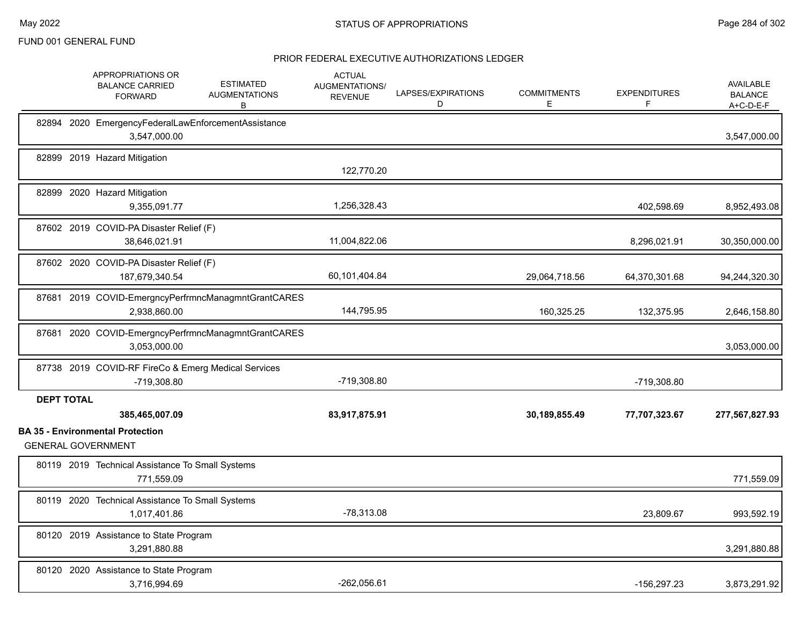|                   | APPROPRIATIONS OR<br><b>ESTIMATED</b><br><b>BALANCE CARRIED</b><br><b>AUGMENTATIONS</b><br><b>FORWARD</b><br>В | <b>ACTUAL</b><br>AUGMENTATIONS/<br><b>REVENUE</b> | LAPSES/EXPIRATIONS<br>D | <b>COMMITMENTS</b><br>E | <b>EXPENDITURES</b><br>F | <b>AVAILABLE</b><br><b>BALANCE</b><br>$A+C-D-E-F$ |
|-------------------|----------------------------------------------------------------------------------------------------------------|---------------------------------------------------|-------------------------|-------------------------|--------------------------|---------------------------------------------------|
|                   | 82894 2020 EmergencyFederalLawEnforcementAssistance<br>3,547,000.00                                            |                                                   |                         |                         |                          | 3,547,000.00                                      |
|                   | 82899 2019 Hazard Mitigation                                                                                   | 122,770.20                                        |                         |                         |                          |                                                   |
|                   | 82899 2020 Hazard Mitigation<br>9,355,091.77                                                                   | 1,256,328.43                                      |                         |                         | 402,598.69               | 8,952,493.08                                      |
|                   | 87602 2019 COVID-PA Disaster Relief (F)<br>38,646,021.91                                                       | 11,004,822.06                                     |                         |                         | 8,296,021.91             | 30,350,000.00                                     |
|                   | 87602 2020 COVID-PA Disaster Relief (F)<br>187,679,340.54                                                      | 60,101,404.84                                     |                         | 29,064,718.56           | 64,370,301.68            | 94,244,320.30                                     |
|                   | 87681 2019 COVID-EmergncyPerfrmncManagmntGrantCARES<br>2,938,860.00                                            | 144,795.95                                        |                         | 160,325.25              | 132,375.95               | 2,646,158.80                                      |
| 87681             | 2020 COVID-EmergncyPerfrmncManagmntGrantCARES<br>3,053,000.00                                                  |                                                   |                         |                         |                          | 3,053,000.00                                      |
|                   | 87738 2019 COVID-RF FireCo & Emerg Medical Services<br>-719,308.80                                             | -719,308.80                                       |                         |                         | -719,308.80              |                                                   |
| <b>DEPT TOTAL</b> | 385,465,007.09                                                                                                 | 83,917,875.91                                     |                         | 30,189,855.49           | 77,707,323.67            | 277,567,827.93                                    |
|                   | <b>BA 35 - Environmental Protection</b><br><b>GENERAL GOVERNMENT</b>                                           |                                                   |                         |                         |                          |                                                   |
|                   | 80119 2019 Technical Assistance To Small Systems<br>771,559.09                                                 |                                                   |                         |                         |                          | 771,559.09                                        |
|                   | 80119 2020 Technical Assistance To Small Systems<br>1,017,401.86                                               | $-78,313.08$                                      |                         |                         | 23,809.67                | 993,592.19                                        |
|                   | 80120 2019 Assistance to State Program<br>3,291,880.88                                                         |                                                   |                         |                         |                          | 3,291,880.88                                      |
|                   | 80120 2020 Assistance to State Program<br>3,716,994.69                                                         | -262,056.61                                       |                         |                         | -156,297.23              | 3,873,291.92                                      |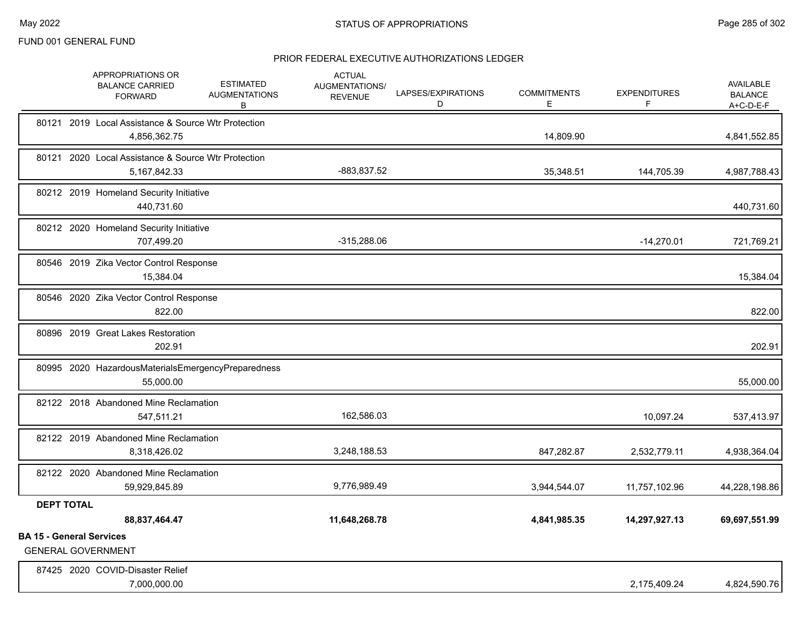|                                 | APPROPRIATIONS OR<br><b>BALANCE CARRIED</b><br><b>FORWARD</b>       | <b>ESTIMATED</b><br><b>AUGMENTATIONS</b><br>В | <b>ACTUAL</b><br>AUGMENTATIONS/<br><b>REVENUE</b> | LAPSES/EXPIRATIONS<br>D | <b>COMMITMENTS</b><br>Ε | <b>EXPENDITURES</b><br>F | AVAILABLE<br><b>BALANCE</b><br>A+C-D-E-F |
|---------------------------------|---------------------------------------------------------------------|-----------------------------------------------|---------------------------------------------------|-------------------------|-------------------------|--------------------------|------------------------------------------|
|                                 | 80121 2019 Local Assistance & Source Wtr Protection<br>4,856,362.75 |                                               |                                                   |                         | 14,809.90               |                          | 4,841,552.85                             |
|                                 | 80121 2020 Local Assistance & Source Wtr Protection<br>5,167,842.33 |                                               | -883,837.52                                       |                         | 35,348.51               | 144,705.39               | 4,987,788.43                             |
|                                 | 80212 2019 Homeland Security Initiative<br>440,731.60               |                                               |                                                   |                         |                         |                          | 440,731.60                               |
|                                 | 80212 2020 Homeland Security Initiative<br>707,499.20               |                                               | $-315,288.06$                                     |                         |                         | $-14,270.01$             | 721,769.21                               |
|                                 | 80546 2019 Zika Vector Control Response<br>15,384.04                |                                               |                                                   |                         |                         |                          | 15,384.04                                |
|                                 | 80546 2020 Zika Vector Control Response<br>822.00                   |                                               |                                                   |                         |                         |                          | 822.00                                   |
|                                 | 80896 2019 Great Lakes Restoration<br>202.91                        |                                               |                                                   |                         |                         |                          | 202.91                                   |
|                                 | 80995 2020 HazardousMaterialsEmergencyPreparedness<br>55.000.00     |                                               |                                                   |                         |                         |                          | 55,000.00                                |
|                                 | 82122 2018 Abandoned Mine Reclamation<br>547,511.21                 |                                               | 162,586.03                                        |                         |                         | 10,097.24                | 537,413.97                               |
|                                 | 82122 2019 Abandoned Mine Reclamation<br>8,318,426.02               |                                               | 3,248,188.53                                      |                         | 847,282.87              | 2,532,779.11             | 4,938,364.04                             |
|                                 | 82122 2020 Abandoned Mine Reclamation<br>59,929,845.89              |                                               | 9,776,989.49                                      |                         | 3,944,544.07            | 11,757,102.96            | 44,228,198.86                            |
| <b>DEPT TOTAL</b>               | 88,837,464.47                                                       |                                               | 11,648,268.78                                     |                         | 4,841,985.35            | 14,297,927.13            | 69,697,551.99                            |
| <b>BA 15 - General Services</b> | <b>GENERAL GOVERNMENT</b>                                           |                                               |                                                   |                         |                         |                          |                                          |
|                                 | 87425 2020 COVID-Disaster Relief<br>7,000,000.00                    |                                               |                                                   |                         |                         | 2,175,409.24             | 4,824,590.76                             |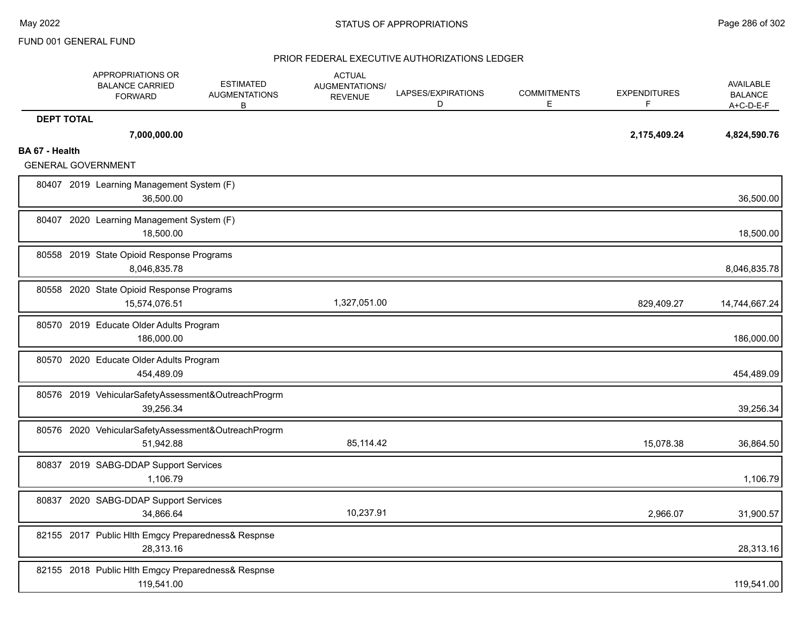|                   | APPROPRIATIONS OR<br><b>BALANCE CARRIED</b><br><b>FORWARD</b>    | <b>ESTIMATED</b><br><b>AUGMENTATIONS</b><br>В | <b>ACTUAL</b><br>AUGMENTATIONS/<br><b>REVENUE</b> | LAPSES/EXPIRATIONS<br>D | <b>COMMITMENTS</b><br>Е | <b>EXPENDITURES</b><br>F | AVAILABLE<br><b>BALANCE</b><br>A+C-D-E-F |
|-------------------|------------------------------------------------------------------|-----------------------------------------------|---------------------------------------------------|-------------------------|-------------------------|--------------------------|------------------------------------------|
| <b>DEPT TOTAL</b> | 7,000,000.00                                                     |                                               |                                                   |                         |                         | 2,175,409.24             | 4,824,590.76                             |
| BA 67 - Health    | <b>GENERAL GOVERNMENT</b>                                        |                                               |                                                   |                         |                         |                          |                                          |
|                   | 80407 2019 Learning Management System (F)<br>36,500.00           |                                               |                                                   |                         |                         |                          | 36,500.00                                |
|                   | 80407 2020 Learning Management System (F)<br>18,500.00           |                                               |                                                   |                         |                         |                          | 18,500.00                                |
|                   | 80558 2019 State Opioid Response Programs<br>8,046,835.78        |                                               |                                                   |                         |                         |                          | 8,046,835.78                             |
|                   | 80558 2020 State Opioid Response Programs<br>15,574,076.51       |                                               | 1,327,051.00                                      |                         |                         | 829,409.27               | 14,744,667.24                            |
|                   | 80570 2019 Educate Older Adults Program<br>186,000.00            |                                               |                                                   |                         |                         |                          | 186,000.00                               |
|                   | 80570 2020 Educate Older Adults Program<br>454,489.09            |                                               |                                                   |                         |                         |                          | 454,489.09                               |
|                   | 80576 2019 VehicularSafetyAssessment&OutreachProgrm<br>39,256.34 |                                               |                                                   |                         |                         |                          | 39,256.34                                |
|                   | 80576 2020 VehicularSafetyAssessment&OutreachProgrm<br>51,942.88 |                                               | 85,114.42                                         |                         |                         | 15,078.38                | 36,864.50                                |
|                   | 80837 2019 SABG-DDAP Support Services<br>1,106.79                |                                               |                                                   |                         |                         |                          | 1,106.79                                 |
|                   | 80837 2020 SABG-DDAP Support Services<br>34,866.64               |                                               | 10,237.91                                         |                         |                         | 2,966.07                 | 31,900.57                                |
|                   | 82155 2017 Public Hlth Emgcy Preparedness& Respnse<br>28,313.16  |                                               |                                                   |                         |                         |                          | 28,313.16                                |
|                   | 82155 2018 Public Hlth Emgcy Preparedness& Respnse<br>119,541.00 |                                               |                                                   |                         |                         |                          | 119,541.00                               |
|                   |                                                                  |                                               |                                                   |                         |                         |                          |                                          |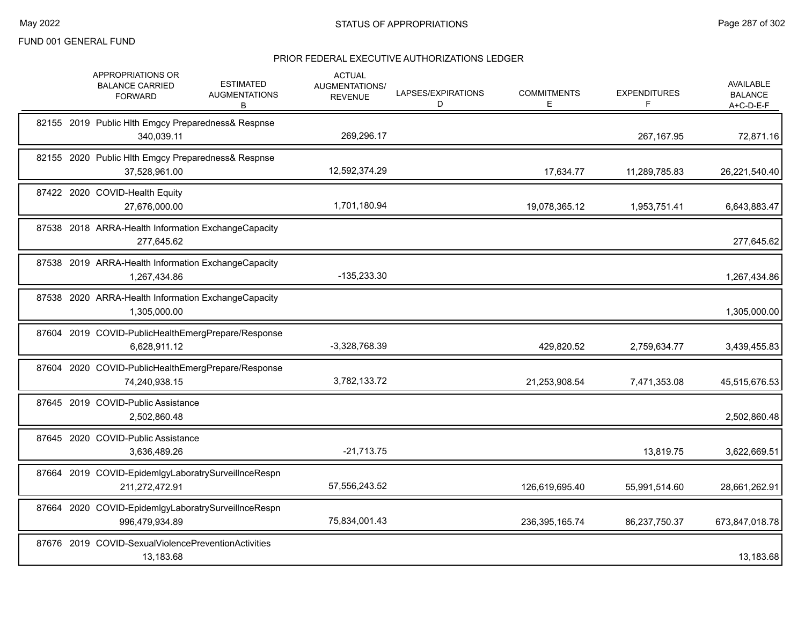| APPROPRIATIONS OR<br><b>BALANCE CARRIED</b><br><b>FORWARD</b>    | <b>ESTIMATED</b><br><b>AUGMENTATIONS</b><br>B       | <b>ACTUAL</b><br>AUGMENTATIONS/<br><b>REVENUE</b> | LAPSES/EXPIRATIONS<br>D | <b>COMMITMENTS</b><br>Ε | <b>EXPENDITURES</b><br>F. | <b>AVAILABLE</b><br><b>BALANCE</b><br>$A+C-D-E-F$ |
|------------------------------------------------------------------|-----------------------------------------------------|---------------------------------------------------|-------------------------|-------------------------|---------------------------|---------------------------------------------------|
| 340,039.11                                                       | 82155 2019 Public Hlth Emgcy Preparedness& Respnse  | 269,296.17                                        |                         |                         | 267,167.95                | 72,871.16                                         |
| 37,528,961.00                                                    | 82155 2020 Public Hlth Emgcy Preparedness& Respnse  | 12,592,374.29                                     |                         | 17,634.77               | 11,289,785.83             | 26,221,540.40                                     |
| 87422 2020 COVID-Health Equity<br>27.676.000.00                  |                                                     | 1,701,180.94                                      |                         | 19,078,365.12           | 1,953,751.41              | 6,643,883.47                                      |
| 277,645.62                                                       | 87538 2018 ARRA-Health Information ExchangeCapacity |                                                   |                         |                         |                           | 277,645.62                                        |
| 1,267,434.86                                                     | 87538 2019 ARRA-Health Information ExchangeCapacity | -135,233.30                                       |                         |                         |                           | 1,267,434.86                                      |
| 1,305,000.00                                                     | 87538 2020 ARRA-Health Information ExchangeCapacity |                                                   |                         |                         |                           | 1,305,000.00                                      |
| 6,628,911.12                                                     | 87604 2019 COVID-PublicHealthEmergPrepare/Response  | $-3,328,768.39$                                   |                         | 429,820.52              | 2,759,634.77              | 3,439,455.83                                      |
| 74,240,938.15                                                    | 87604 2020 COVID-PublicHealthEmergPrepare/Response  | 3,782,133.72                                      |                         | 21,253,908.54           | 7,471,353.08              | 45,515,676.53                                     |
| 87645 2019 COVID-Public Assistance<br>2,502,860.48               |                                                     |                                                   |                         |                         |                           | 2,502,860.48                                      |
| 87645 2020 COVID-Public Assistance<br>3,636,489.26               |                                                     | $-21,713.75$                                      |                         |                         | 13,819.75                 | 3,622,669.51                                      |
| 211,272,472.91                                                   | 87664 2019 COVID-EpidemlgyLaboratrySurveilInceRespn | 57,556,243.52                                     |                         | 126,619,695.40          | 55,991,514.60             | 28,661,262.91                                     |
| 996,479,934.89                                                   | 87664 2020 COVID-EpidemIgyLaboratrySurveilInceRespn | 75,834,001.43                                     |                         | 236,395,165.74          | 86,237,750.37             | 673,847,018.78                                    |
| 87676 2019 COVID-SexualViolencePreventionActivities<br>13,183.68 |                                                     |                                                   |                         |                         |                           | 13,183.68                                         |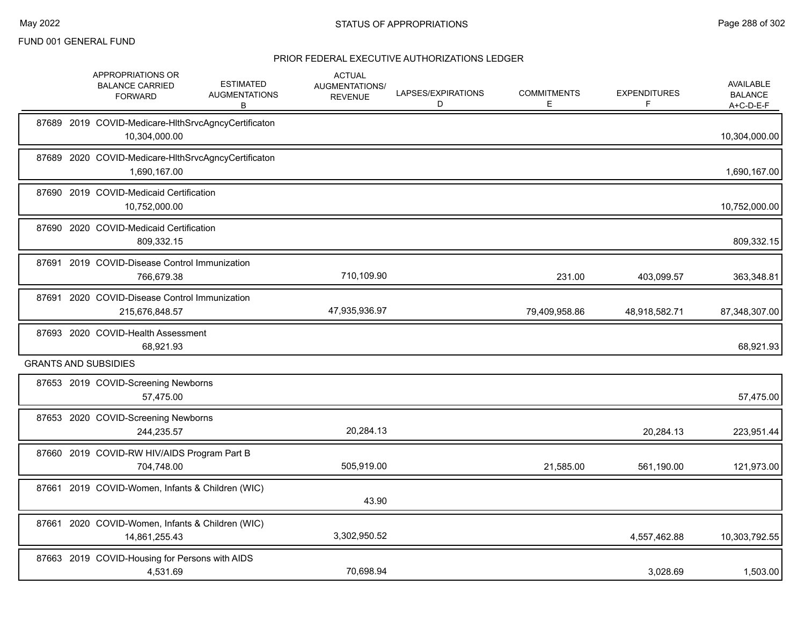|       | APPROPRIATIONS OR<br><b>BALANCE CARRIED</b><br><b>FORWARD</b>        | <b>ESTIMATED</b><br><b>AUGMENTATIONS</b><br>В | <b>ACTUAL</b><br>AUGMENTATIONS/<br><b>REVENUE</b> | LAPSES/EXPIRATIONS<br>D | <b>COMMITMENTS</b><br>Е | <b>EXPENDITURES</b><br>F | AVAILABLE<br><b>BALANCE</b><br>A+C-D-E-F |
|-------|----------------------------------------------------------------------|-----------------------------------------------|---------------------------------------------------|-------------------------|-------------------------|--------------------------|------------------------------------------|
|       | 87689 2019 COVID-Medicare-HIthSrvcAgncyCertificaton<br>10,304,000.00 |                                               |                                                   |                         |                         |                          | 10,304,000.00                            |
| 87689 | 2020 COVID-Medicare-HIthSrvcAgncyCertificaton<br>1,690,167.00        |                                               |                                                   |                         |                         |                          | 1,690,167.00                             |
|       | 87690 2019 COVID-Medicaid Certification<br>10,752,000.00             |                                               |                                                   |                         |                         |                          | 10,752,000.00                            |
|       | 87690 2020 COVID-Medicaid Certification<br>809,332.15                |                                               |                                                   |                         |                         |                          | 809,332.15                               |
|       | 87691 2019 COVID-Disease Control Immunization<br>766,679.38          |                                               | 710,109.90                                        |                         | 231.00                  | 403,099.57               | 363,348.81                               |
|       | 87691 2020 COVID-Disease Control Immunization<br>215,676,848.57      |                                               | 47,935,936.97                                     |                         | 79,409,958.86           | 48,918,582.71            | 87,348,307.00                            |
|       | 87693 2020 COVID-Health Assessment<br>68,921.93                      |                                               |                                                   |                         |                         |                          | 68,921.93                                |
|       | <b>GRANTS AND SUBSIDIES</b>                                          |                                               |                                                   |                         |                         |                          |                                          |
|       | 87653 2019 COVID-Screening Newborns<br>57,475.00                     |                                               |                                                   |                         |                         |                          | 57,475.00                                |
|       | 87653 2020 COVID-Screening Newborns<br>244,235.57                    |                                               | 20,284.13                                         |                         |                         | 20,284.13                | 223,951.44                               |
|       | 87660 2019 COVID-RW HIV/AIDS Program Part B<br>704,748.00            |                                               | 505,919.00                                        |                         | 21,585.00               | 561,190.00               | 121,973.00                               |
|       | 87661 2019 COVID-Women, Infants & Children (WIC)                     |                                               | 43.90                                             |                         |                         |                          |                                          |
|       | 87661 2020 COVID-Women, Infants & Children (WIC)<br>14,861,255.43    |                                               | 3,302,950.52                                      |                         |                         | 4,557,462.88             | 10,303,792.55                            |
|       | 87663 2019 COVID-Housing for Persons with AIDS<br>4,531.69           |                                               | 70,698.94                                         |                         |                         | 3,028.69                 | 1,503.00                                 |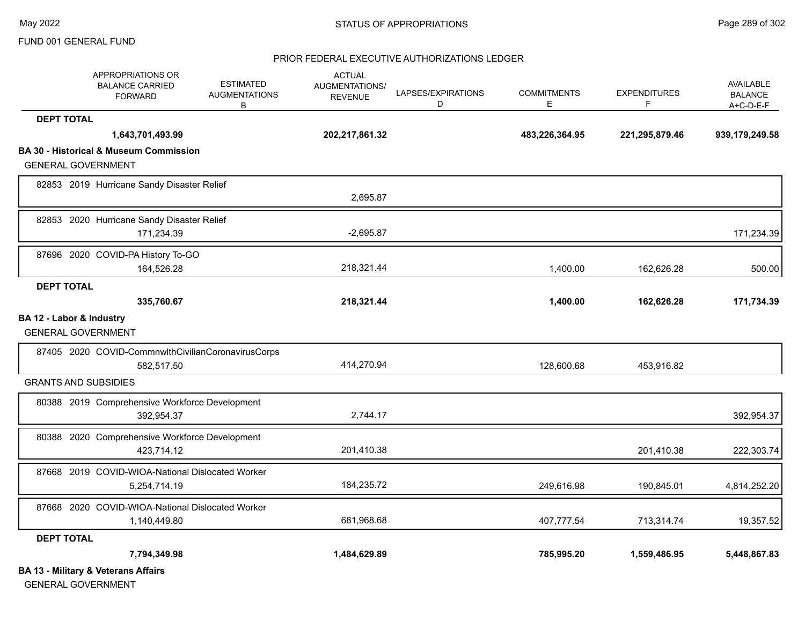## PRIOR FEDERAL EXECUTIVE AUTHORIZATIONS LEDGER

|                          | APPROPRIATIONS OR<br><b>BALANCE CARRIED</b><br><b>FORWARD</b> | <b>ESTIMATED</b><br><b>AUGMENTATIONS</b><br>B | <b>ACTUAL</b><br><b>AUGMENTATIONS/</b><br><b>REVENUE</b> | LAPSES/EXPIRATIONS<br>D | <b>COMMITMENTS</b><br>E | <b>EXPENDITURES</b><br>F | <b>AVAILABLE</b><br><b>BALANCE</b><br>$A+C-D-E-F$ |
|--------------------------|---------------------------------------------------------------|-----------------------------------------------|----------------------------------------------------------|-------------------------|-------------------------|--------------------------|---------------------------------------------------|
| <b>DEPT TOTAL</b>        |                                                               |                                               |                                                          |                         |                         |                          |                                                   |
|                          | 1,643,701,493.99                                              |                                               | 202,217,861.32                                           |                         | 483,226,364.95          | 221,295,879.46           | 939,179,249.58                                    |
|                          | <b>BA 30 - Historical &amp; Museum Commission</b>             |                                               |                                                          |                         |                         |                          |                                                   |
|                          | <b>GENERAL GOVERNMENT</b>                                     |                                               |                                                          |                         |                         |                          |                                                   |
|                          | 82853 2019 Hurricane Sandy Disaster Relief                    |                                               | 2,695.87                                                 |                         |                         |                          |                                                   |
|                          | 82853 2020 Hurricane Sandy Disaster Relief                    |                                               |                                                          |                         |                         |                          |                                                   |
|                          | 171,234.39                                                    |                                               | $-2,695.87$                                              |                         |                         |                          | 171,234.39                                        |
|                          | 87696 2020 COVID-PA History To-GO                             |                                               |                                                          |                         |                         |                          |                                                   |
|                          | 164,526.28                                                    |                                               | 218,321.44                                               |                         | 1,400.00                | 162,626.28               | 500.00                                            |
| <b>DEPT TOTAL</b>        |                                                               |                                               |                                                          |                         |                         |                          |                                                   |
|                          | 335,760.67                                                    |                                               | 218,321.44                                               |                         | 1,400.00                | 162,626.28               | 171,734.39                                        |
| BA 12 - Labor & Industry | <b>GENERAL GOVERNMENT</b>                                     |                                               |                                                          |                         |                         |                          |                                                   |
|                          | 87405 2020 COVID-CommnwlthCivilianCoronavirusCorps            |                                               |                                                          |                         |                         |                          |                                                   |
|                          | 582,517.50                                                    |                                               | 414,270.94                                               |                         | 128,600.68              | 453,916.82               |                                                   |
|                          | <b>GRANTS AND SUBSIDIES</b>                                   |                                               |                                                          |                         |                         |                          |                                                   |
|                          | 80388 2019 Comprehensive Workforce Development                |                                               |                                                          |                         |                         |                          |                                                   |
|                          | 392,954.37                                                    |                                               | 2,744.17                                                 |                         |                         |                          | 392,954.37                                        |
|                          | 80388 2020 Comprehensive Workforce Development                |                                               |                                                          |                         |                         |                          |                                                   |
|                          | 423,714.12                                                    |                                               | 201,410.38                                               |                         |                         | 201,410.38               | 222,303.74                                        |
|                          | 87668 2019 COVID-WIOA-National Dislocated Worker              |                                               |                                                          |                         |                         |                          |                                                   |
|                          | 5,254,714.19                                                  |                                               | 184,235.72                                               |                         | 249,616.98              | 190,845.01               | 4,814,252.20                                      |
|                          | 87668 2020 COVID-WIOA-National Dislocated Worker              |                                               |                                                          |                         |                         |                          |                                                   |
|                          | 1,140,449.80                                                  |                                               | 681,968.68                                               |                         | 407,777.54              | 713,314.74               | 19,357.52                                         |
| <b>DEPT TOTAL</b>        |                                                               |                                               |                                                          |                         |                         |                          |                                                   |
|                          | 7,794,349.98                                                  |                                               | 1,484,629.89                                             |                         | 785,995.20              | 1,559,486.95             | 5,448,867.83                                      |
|                          | <b>BA 13 - Military &amp; Veterans Affairs</b>                |                                               |                                                          |                         |                         |                          |                                                   |

GENERAL GOVERNMENT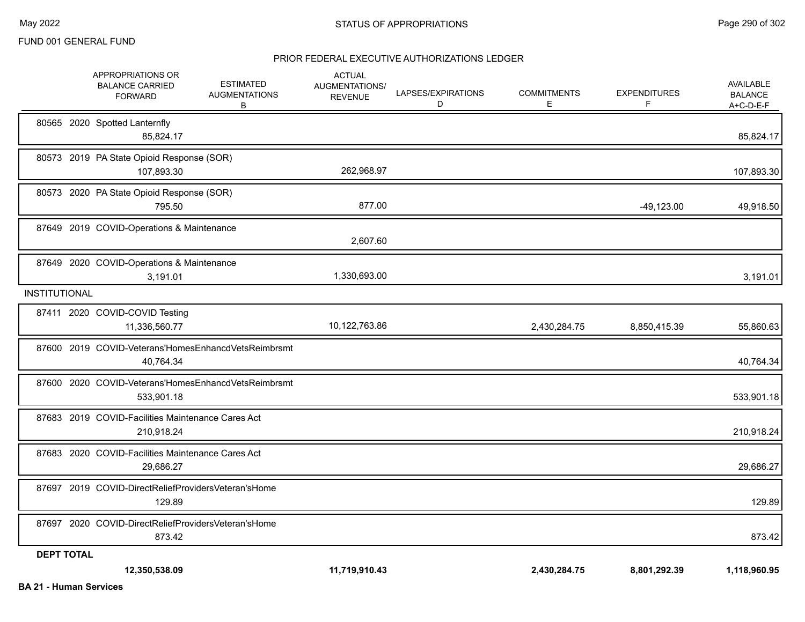|                      | APPROPRIATIONS OR<br><b>BALANCE CARRIED</b><br><b>FORWARD</b>     | <b>ESTIMATED</b><br><b>AUGMENTATIONS</b><br>В | <b>ACTUAL</b><br><b>AUGMENTATIONS/</b><br><b>REVENUE</b> | LAPSES/EXPIRATIONS<br>D | <b>COMMITMENTS</b><br>E | <b>EXPENDITURES</b><br>F | <b>AVAILABLE</b><br><b>BALANCE</b><br>A+C-D-E-F |
|----------------------|-------------------------------------------------------------------|-----------------------------------------------|----------------------------------------------------------|-------------------------|-------------------------|--------------------------|-------------------------------------------------|
|                      | 80565 2020 Spotted Lanternfly<br>85.824.17                        |                                               |                                                          |                         |                         |                          | 85,824.17                                       |
|                      | 80573 2019 PA State Opioid Response (SOR)<br>107,893.30           |                                               | 262,968.97                                               |                         |                         |                          | 107,893.30                                      |
|                      | 80573 2020 PA State Opioid Response (SOR)<br>795.50               |                                               | 877.00                                                   |                         |                         | $-49,123.00$             | 49,918.50                                       |
|                      | 87649 2019 COVID-Operations & Maintenance                         |                                               | 2,607.60                                                 |                         |                         |                          |                                                 |
|                      | 87649 2020 COVID-Operations & Maintenance<br>3,191.01             |                                               | 1,330,693.00                                             |                         |                         |                          | 3,191.01                                        |
| <b>INSTITUTIONAL</b> |                                                                   |                                               |                                                          |                         |                         |                          |                                                 |
|                      | 87411 2020 COVID-COVID Testing<br>11,336,560.77                   |                                               | 10,122,763.86                                            |                         | 2,430,284.75            | 8,850,415.39             | 55,860.63                                       |
|                      | 87600 2019 COVID-Veterans'HomesEnhancdVetsReimbrsmt<br>40.764.34  |                                               |                                                          |                         |                         |                          | 40,764.34                                       |
|                      | 87600 2020 COVID-Veterans'HomesEnhancdVetsReimbrsmt<br>533,901.18 |                                               |                                                          |                         |                         |                          | 533,901.18                                      |
|                      | 87683 2019 COVID-Facilities Maintenance Cares Act<br>210,918.24   |                                               |                                                          |                         |                         |                          | 210,918.24                                      |
|                      | 87683 2020 COVID-Facilities Maintenance Cares Act<br>29.686.27    |                                               |                                                          |                         |                         |                          | 29,686.27                                       |
|                      | 87697 2019 COVID-DirectReliefProvidersVeteran'sHome<br>129.89     |                                               |                                                          |                         |                         |                          | 129.89                                          |
|                      | 87697 2020 COVID-DirectReliefProvidersVeteran'sHome<br>873.42     |                                               |                                                          |                         |                         |                          | 873.42                                          |
| <b>DEPT TOTAL</b>    | 12,350,538.09                                                     |                                               | 11.719.910.43                                            |                         | 2,430,284.75            | 8,801,292.39             | 1.118.960.95                                    |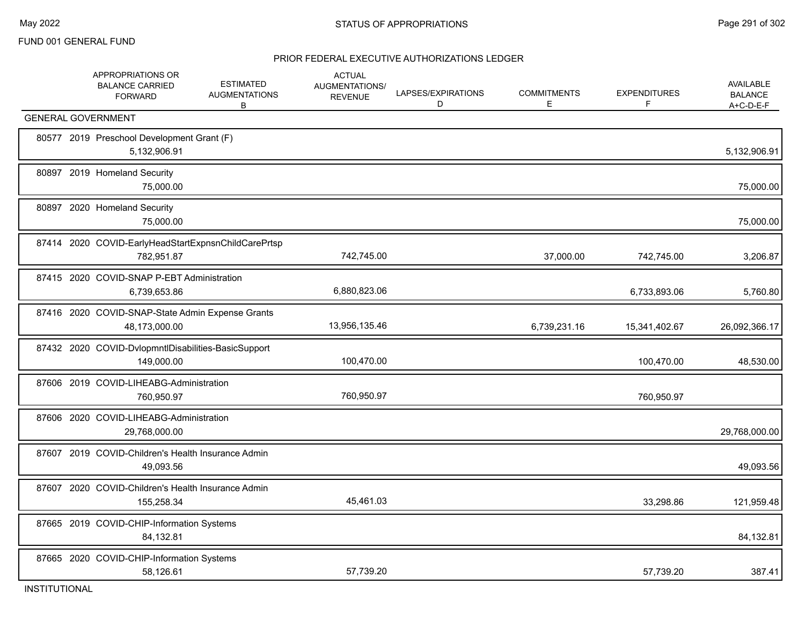|       | APPROPRIATIONS OR<br><b>BALANCE CARRIED</b><br><b>FORWARD</b>     | <b>ESTIMATED</b><br><b>AUGMENTATIONS</b><br>B | <b>ACTUAL</b><br>AUGMENTATIONS/<br><b>REVENUE</b> | LAPSES/EXPIRATIONS<br>D | <b>COMMITMENTS</b><br>E | <b>EXPENDITURES</b><br>F | <b>AVAILABLE</b><br><b>BALANCE</b><br>A+C-D-E-F |
|-------|-------------------------------------------------------------------|-----------------------------------------------|---------------------------------------------------|-------------------------|-------------------------|--------------------------|-------------------------------------------------|
|       | <b>GENERAL GOVERNMENT</b>                                         |                                               |                                                   |                         |                         |                          |                                                 |
|       | 80577 2019 Preschool Development Grant (F)<br>5,132,906.91        |                                               |                                                   |                         |                         |                          | 5,132,906.91                                    |
|       | 80897 2019 Homeland Security<br>75,000.00                         |                                               |                                                   |                         |                         |                          | 75,000.00                                       |
|       | 80897 2020 Homeland Security<br>75,000.00                         |                                               |                                                   |                         |                         |                          | 75,000.00                                       |
|       | 87414 2020 COVID-EarlyHeadStartExpnsnChildCarePrtsp<br>782,951.87 |                                               | 742,745.00                                        |                         | 37,000.00               | 742,745.00               | 3,206.87                                        |
|       | 87415 2020 COVID-SNAP P-EBT Administration<br>6,739,653.86        |                                               | 6,880,823.06                                      |                         |                         | 6,733,893.06             | 5,760.80                                        |
|       | 87416 2020 COVID-SNAP-State Admin Expense Grants<br>48,173,000.00 |                                               | 13,956,135.46                                     |                         | 6,739,231.16            | 15,341,402.67            | 26,092,366.17                                   |
|       | 87432 2020 COVID-DvlopmntIDisabilities-BasicSupport<br>149,000.00 |                                               | 100,470.00                                        |                         |                         | 100,470.00               | 48,530.00                                       |
|       | 87606 2019 COVID-LIHEABG-Administration<br>760,950.97             |                                               | 760,950.97                                        |                         |                         | 760,950.97               |                                                 |
| 87606 | 2020 COVID-LIHEABG-Administration<br>29,768,000.00                |                                               |                                                   |                         |                         |                          | 29,768,000.00                                   |
| 87607 | 2019 COVID-Children's Health Insurance Admin<br>49,093.56         |                                               |                                                   |                         |                         |                          | 49,093.56                                       |
|       | 87607 2020 COVID-Children's Health Insurance Admin<br>155,258.34  |                                               | 45,461.03                                         |                         |                         | 33,298.86                | 121,959.48                                      |
|       | 87665 2019 COVID-CHIP-Information Systems<br>84,132.81            |                                               |                                                   |                         |                         |                          | 84,132.81                                       |
|       | 87665 2020 COVID-CHIP-Information Systems<br>58,126.61            |                                               | 57,739.20                                         |                         |                         | 57,739.20                | 387.41                                          |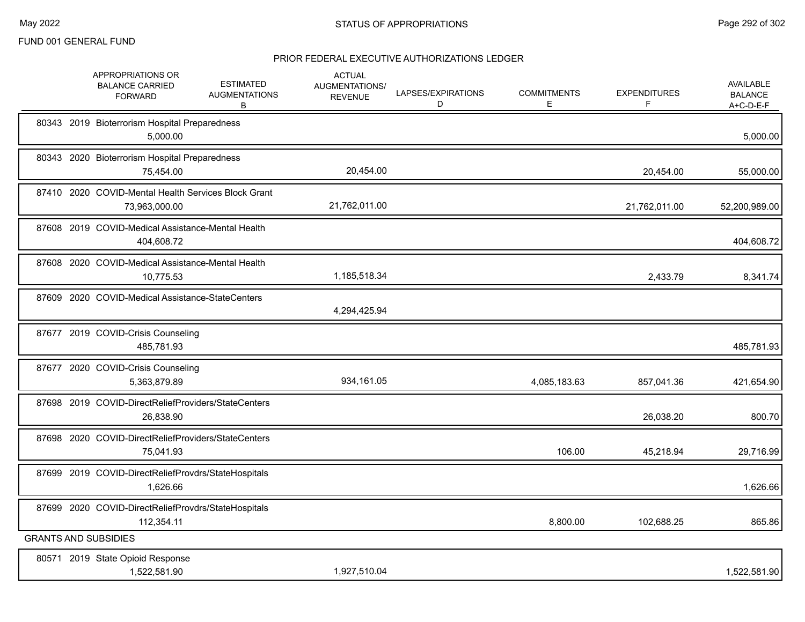|  | APPROPRIATIONS OR<br><b>BALANCE CARRIED</b><br><b>FORWARD</b>        | <b>ESTIMATED</b><br><b>AUGMENTATIONS</b><br>В | <b>ACTUAL</b><br>AUGMENTATIONS/<br><b>REVENUE</b> | LAPSES/EXPIRATIONS<br>D | <b>COMMITMENTS</b><br>E. | <b>EXPENDITURES</b><br>F | <b>AVAILABLE</b><br><b>BALANCE</b><br>$A+C-D-E-F$ |
|--|----------------------------------------------------------------------|-----------------------------------------------|---------------------------------------------------|-------------------------|--------------------------|--------------------------|---------------------------------------------------|
|  | 80343 2019 Bioterrorism Hospital Preparedness<br>5,000.00            |                                               |                                                   |                         |                          |                          | 5,000.00                                          |
|  | 80343 2020 Bioterrorism Hospital Preparedness<br>75,454.00           |                                               | 20,454.00                                         |                         |                          | 20,454.00                | 55,000.00                                         |
|  | 87410 2020 COVID-Mental Health Services Block Grant<br>73,963,000.00 |                                               | 21,762,011.00                                     |                         |                          | 21,762,011.00            | 52,200,989.00                                     |
|  | 87608 2019 COVID-Medical Assistance-Mental Health<br>404,608.72      |                                               |                                                   |                         |                          |                          | 404,608.72                                        |
|  | 87608 2020 COVID-Medical Assistance-Mental Health<br>10,775.53       |                                               | 1,185,518.34                                      |                         |                          | 2,433.79                 | 8,341.74                                          |
|  | 87609 2020 COVID-Medical Assistance-StateCenters                     |                                               | 4,294,425.94                                      |                         |                          |                          |                                                   |
|  | 87677 2019 COVID-Crisis Counseling<br>485,781.93                     |                                               |                                                   |                         |                          |                          | 485,781.93                                        |
|  | 87677 2020 COVID-Crisis Counseling<br>5,363,879.89                   |                                               | 934,161.05                                        |                         | 4,085,183.63             | 857,041.36               | 421,654.90                                        |
|  | 87698 2019 COVID-DirectReliefProviders/StateCenters<br>26,838.90     |                                               |                                                   |                         |                          | 26,038.20                | 800.70                                            |
|  | 87698 2020 COVID-DirectReliefProviders/StateCenters<br>75,041.93     |                                               |                                                   |                         | 106.00                   | 45,218.94                | 29,716.99                                         |
|  | 87699 2019 COVID-DirectReliefProvdrs/StateHospitals<br>1,626.66      |                                               |                                                   |                         |                          |                          | 1,626.66                                          |
|  | 87699 2020 COVID-DirectReliefProvdrs/StateHospitals<br>112,354.11    |                                               |                                                   |                         | 8,800.00                 | 102,688.25               | 865.86                                            |
|  | <b>GRANTS AND SUBSIDIES</b>                                          |                                               |                                                   |                         |                          |                          |                                                   |
|  | 80571 2019 State Opioid Response<br>1,522,581.90                     |                                               | 1,927,510.04                                      |                         |                          |                          | 1,522,581.90                                      |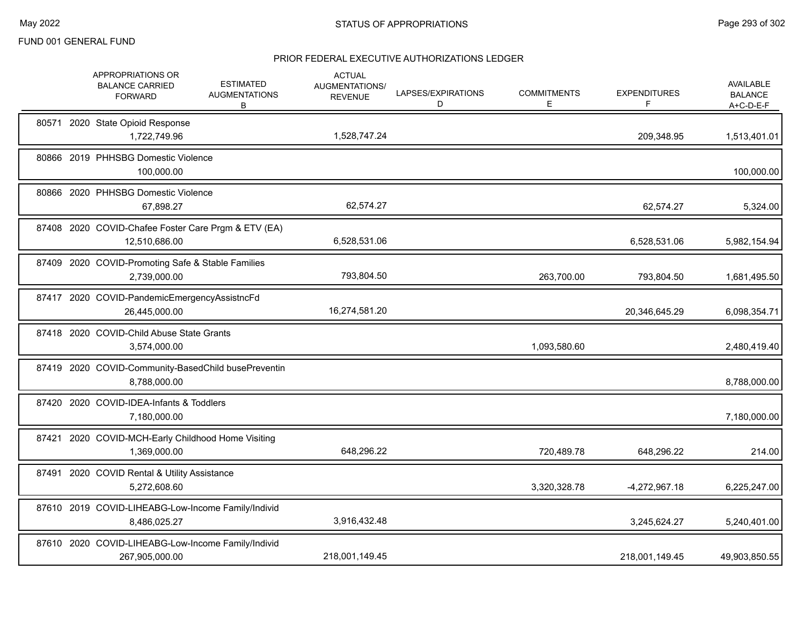|       | APPROPRIATIONS OR<br><b>BALANCE CARRIED</b><br><b>FORWARD</b>        | <b>ESTIMATED</b><br><b>AUGMENTATIONS</b><br>В | <b>ACTUAL</b><br>AUGMENTATIONS/<br><b>REVENUE</b> | LAPSES/EXPIRATIONS<br>D | <b>COMMITMENTS</b><br>Е | <b>EXPENDITURES</b><br>F | <b>AVAILABLE</b><br><b>BALANCE</b><br>A+C-D-E-F |
|-------|----------------------------------------------------------------------|-----------------------------------------------|---------------------------------------------------|-------------------------|-------------------------|--------------------------|-------------------------------------------------|
|       | 80571 2020 State Opioid Response<br>1,722,749.96                     |                                               | 1,528,747.24                                      |                         |                         | 209,348.95               | 1,513,401.01                                    |
|       | 80866 2019 PHHSBG Domestic Violence<br>100,000.00                    |                                               |                                                   |                         |                         |                          | 100,000.00                                      |
|       | 80866 2020 PHHSBG Domestic Violence<br>67,898.27                     |                                               | 62,574.27                                         |                         |                         | 62,574.27                | 5,324.00                                        |
|       | 87408 2020 COVID-Chafee Foster Care Prgm & ETV (EA)<br>12.510.686.00 |                                               | 6,528,531.06                                      |                         |                         | 6,528,531.06             | 5,982,154.94                                    |
|       | 87409 2020 COVID-Promoting Safe & Stable Families<br>2,739,000.00    |                                               | 793,804.50                                        |                         | 263,700.00              | 793,804.50               | 1,681,495.50                                    |
|       | 87417 2020 COVID-PandemicEmergencyAssistncFd<br>26,445,000.00        |                                               | 16,274,581.20                                     |                         |                         | 20,346,645.29            | 6,098,354.71                                    |
|       | 87418 2020 COVID-Child Abuse State Grants<br>3,574,000.00            |                                               |                                                   |                         | 1,093,580.60            |                          | 2,480,419.40                                    |
|       | 87419 2020 COVID-Community-BasedChild busePreventin<br>8,788,000.00  |                                               |                                                   |                         |                         |                          | 8,788,000.00                                    |
| 87420 | 2020 COVID-IDEA-Infants & Toddlers<br>7,180,000.00                   |                                               |                                                   |                         |                         |                          | 7,180,000.00                                    |
|       | 87421 2020 COVID-MCH-Early Childhood Home Visiting<br>1,369,000.00   |                                               | 648,296.22                                        |                         | 720,489.78              | 648,296.22               | 214.00                                          |
|       | 87491 2020 COVID Rental & Utility Assistance<br>5,272,608.60         |                                               |                                                   |                         | 3,320,328.78            | -4,272,967.18            | 6,225,247.00                                    |
|       | 87610 2019 COVID-LIHEABG-Low-Income Family/Individ<br>8,486,025.27   |                                               | 3,916,432.48                                      |                         |                         | 3,245,624.27             | 5,240,401.00                                    |
|       | 87610 2020 COVID-LIHEABG-Low-Income Family/Individ<br>267,905,000.00 |                                               | 218,001,149.45                                    |                         |                         | 218,001,149.45           | 49,903,850.55                                   |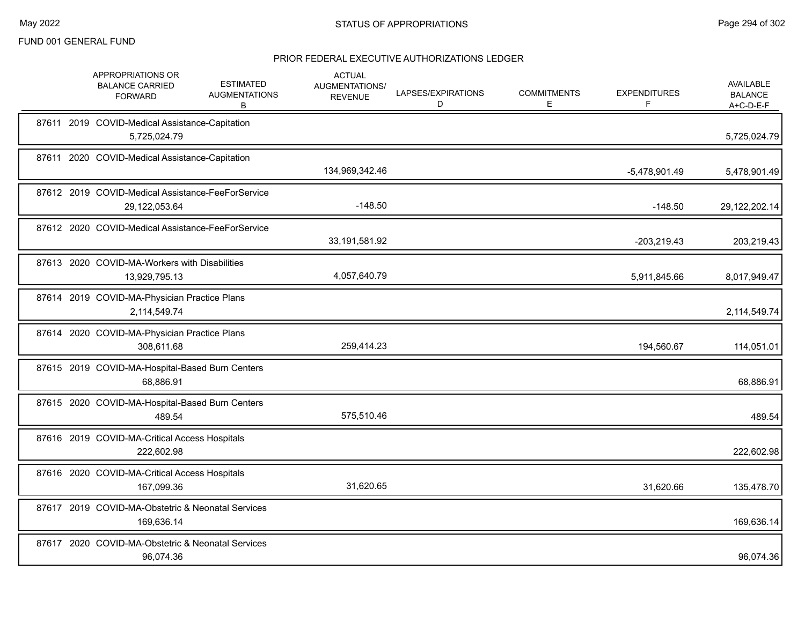|  | APPROPRIATIONS OR<br><b>BALANCE CARRIED</b><br><b>FORWARD</b>      | <b>ESTIMATED</b><br><b>AUGMENTATIONS</b><br>B | <b>ACTUAL</b><br>AUGMENTATIONS/<br><b>REVENUE</b> | LAPSES/EXPIRATIONS<br>D | <b>COMMITMENTS</b><br>Е | <b>EXPENDITURES</b><br>F. | <b>AVAILABLE</b><br><b>BALANCE</b><br>$A+C-D-E-F$ |
|--|--------------------------------------------------------------------|-----------------------------------------------|---------------------------------------------------|-------------------------|-------------------------|---------------------------|---------------------------------------------------|
|  | 87611 2019 COVID-Medical Assistance-Capitation<br>5,725,024.79     |                                               |                                                   |                         |                         |                           | 5,725,024.79                                      |
|  | 87611 2020 COVID-Medical Assistance-Capitation                     |                                               | 134,969,342.46                                    |                         |                         | -5,478,901.49             | 5,478,901.49                                      |
|  | 87612 2019 COVID-Medical Assistance-FeeForService<br>29,122,053.64 |                                               | $-148.50$                                         |                         |                         | $-148.50$                 | 29,122,202.14                                     |
|  | 87612 2020 COVID-Medical Assistance-FeeForService                  |                                               | 33,191,581.92                                     |                         |                         | $-203,219.43$             | 203,219.43                                        |
|  | 87613 2020 COVID-MA-Workers with Disabilities<br>13,929,795.13     |                                               | 4,057,640.79                                      |                         |                         | 5,911,845.66              | 8,017,949.47                                      |
|  | 87614 2019 COVID-MA-Physician Practice Plans<br>2,114,549.74       |                                               |                                                   |                         |                         |                           | 2,114,549.74                                      |
|  | 87614 2020 COVID-MA-Physician Practice Plans<br>308,611.68         |                                               | 259,414.23                                        |                         |                         | 194,560.67                | 114,051.01                                        |
|  | 87615 2019 COVID-MA-Hospital-Based Burn Centers<br>68,886.91       |                                               |                                                   |                         |                         |                           | 68,886.91                                         |
|  | 87615 2020 COVID-MA-Hospital-Based Burn Centers<br>489.54          |                                               | 575,510.46                                        |                         |                         |                           | 489.54                                            |
|  | 87616 2019 COVID-MA-Critical Access Hospitals<br>222,602.98        |                                               |                                                   |                         |                         |                           | 222,602.98                                        |
|  | 87616 2020 COVID-MA-Critical Access Hospitals<br>167,099.36        |                                               | 31,620.65                                         |                         |                         | 31,620.66                 | 135,478.70                                        |
|  | 87617 2019 COVID-MA-Obstetric & Neonatal Services<br>169,636.14    |                                               |                                                   |                         |                         |                           | 169,636.14                                        |
|  | 87617 2020 COVID-MA-Obstetric & Neonatal Services<br>96,074.36     |                                               |                                                   |                         |                         |                           | 96,074.36                                         |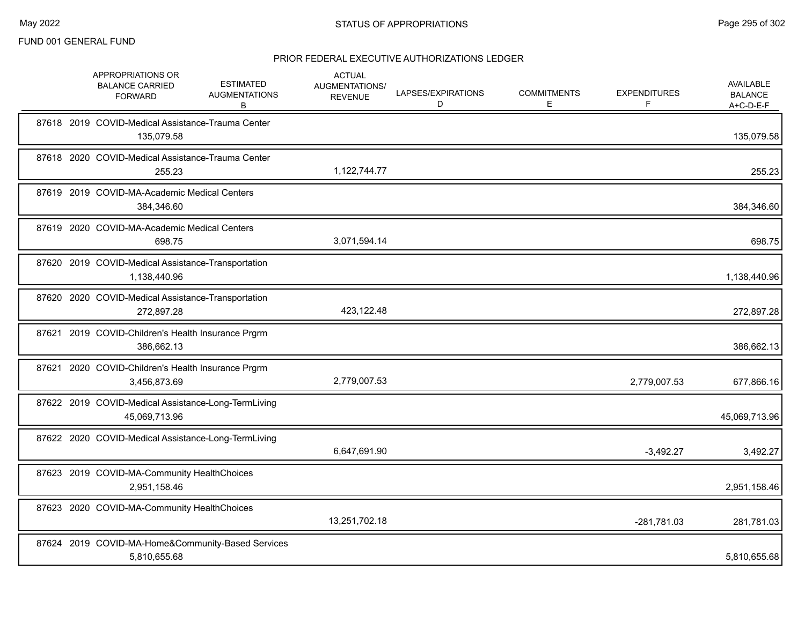|       | APPROPRIATIONS OR<br><b>BALANCE CARRIED</b><br><b>FORWARD</b>        | <b>ESTIMATED</b><br><b>AUGMENTATIONS</b><br>B | <b>ACTUAL</b><br>AUGMENTATIONS/<br><b>REVENUE</b> | LAPSES/EXPIRATIONS<br>D | <b>COMMITMENTS</b><br>E | <b>EXPENDITURES</b><br>F. | AVAILABLE<br><b>BALANCE</b><br>$A+C-D-E-F$ |
|-------|----------------------------------------------------------------------|-----------------------------------------------|---------------------------------------------------|-------------------------|-------------------------|---------------------------|--------------------------------------------|
|       | 87618 2019 COVID-Medical Assistance-Trauma Center<br>135,079.58      |                                               |                                                   |                         |                         |                           | 135,079.58                                 |
|       | 87618 2020 COVID-Medical Assistance-Trauma Center<br>255.23          |                                               | 1,122,744.77                                      |                         |                         |                           | 255.23                                     |
|       | 87619 2019 COVID-MA-Academic Medical Centers<br>384,346.60           |                                               |                                                   |                         |                         |                           | 384,346.60                                 |
|       | 87619 2020 COVID-MA-Academic Medical Centers<br>698.75               |                                               | 3,071,594.14                                      |                         |                         |                           | 698.75                                     |
|       | 87620 2019 COVID-Medical Assistance-Transportation<br>1,138,440.96   |                                               |                                                   |                         |                         |                           | 1,138,440.96                               |
|       | 87620 2020 COVID-Medical Assistance-Transportation<br>272,897.28     |                                               | 423,122.48                                        |                         |                         |                           | 272,897.28                                 |
| 87621 | 2019 COVID-Children's Health Insurance Prgrm<br>386,662.13           |                                               |                                                   |                         |                         |                           | 386,662.13                                 |
| 87621 | 2020 COVID-Children's Health Insurance Prgrm<br>3,456,873.69         |                                               | 2,779,007.53                                      |                         |                         | 2,779,007.53              | 677,866.16                                 |
|       | 87622 2019 COVID-Medical Assistance-Long-TermLiving<br>45,069,713.96 |                                               |                                                   |                         |                         |                           | 45,069,713.96                              |
|       | 87622 2020 COVID-Medical Assistance-Long-TermLiving                  |                                               | 6,647,691.90                                      |                         |                         | $-3,492.27$               | 3,492.27                                   |
|       | 87623 2019 COVID-MA-Community HealthChoices<br>2,951,158.46          |                                               |                                                   |                         |                         |                           | 2,951,158.46                               |
|       | 87623 2020 COVID-MA-Community HealthChoices                          |                                               | 13,251,702.18                                     |                         |                         | -281,781.03               | 281,781.03                                 |
|       | 87624 2019 COVID-MA-Home&Community-Based Services<br>5,810,655.68    |                                               |                                                   |                         |                         |                           | 5,810,655.68                               |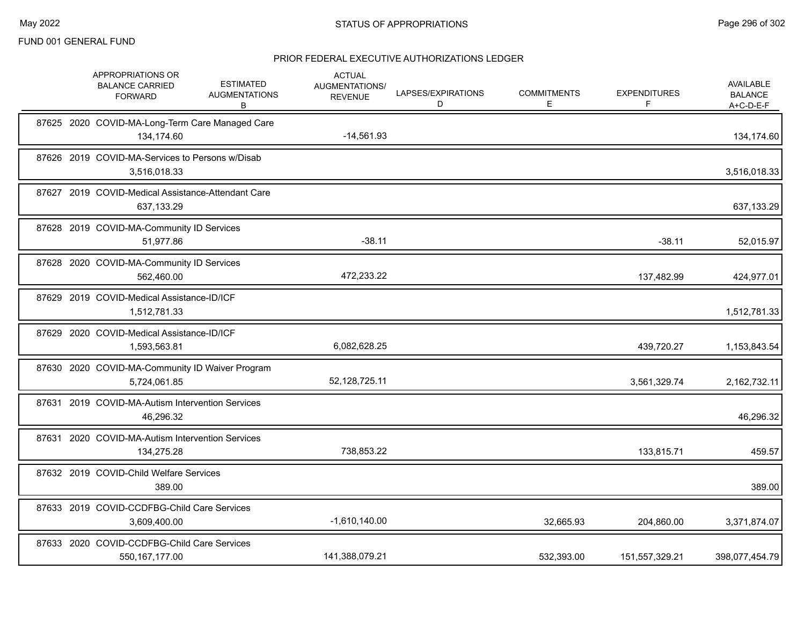| APPROPRIATIONS OR<br><b>BALANCE CARRIED</b><br><b>FORWARD</b>    | <b>ESTIMATED</b><br><b>AUGMENTATIONS</b><br>B | <b>ACTUAL</b><br>AUGMENTATIONS/<br><b>REVENUE</b> | LAPSES/EXPIRATIONS<br>D | <b>COMMITMENTS</b><br>Е | <b>EXPENDITURES</b><br>F | <b>AVAILABLE</b><br><b>BALANCE</b><br>$A+C-D-E-F$ |
|------------------------------------------------------------------|-----------------------------------------------|---------------------------------------------------|-------------------------|-------------------------|--------------------------|---------------------------------------------------|
| 87625 2020 COVID-MA-Long-Term Care Managed Care<br>134,174.60    |                                               | $-14,561.93$                                      |                         |                         |                          | 134,174.60                                        |
| 87626 2019 COVID-MA-Services to Persons w/Disab<br>3,516,018.33  |                                               |                                                   |                         |                         |                          | 3,516,018.33                                      |
| 87627 2019 COVID-Medical Assistance-Attendant Care<br>637,133.29 |                                               |                                                   |                         |                         |                          | 637,133.29                                        |
| 87628 2019 COVID-MA-Community ID Services<br>51,977.86           |                                               | $-38.11$                                          |                         |                         | $-38.11$                 | 52,015.97                                         |
| 87628 2020 COVID-MA-Community ID Services<br>562,460.00          |                                               | 472.233.22                                        |                         |                         | 137,482.99               | 424,977.01                                        |
| 87629 2019 COVID-Medical Assistance-ID/ICF<br>1,512,781.33       |                                               |                                                   |                         |                         |                          | 1,512,781.33                                      |
| 87629 2020 COVID-Medical Assistance-ID/ICF<br>1,593,563.81       |                                               | 6,082,628.25                                      |                         |                         | 439,720.27               | 1,153,843.54                                      |
| 87630 2020 COVID-MA-Community ID Waiver Program<br>5,724,061.85  |                                               | 52, 128, 725. 11                                  |                         |                         | 3,561,329.74             | 2,162,732.11                                      |
| 87631 2019 COVID-MA-Autism Intervention Services<br>46,296.32    |                                               |                                                   |                         |                         |                          | 46,296.32                                         |
| 87631 2020 COVID-MA-Autism Intervention Services<br>134,275.28   |                                               | 738,853.22                                        |                         |                         | 133,815.71               | 459.57                                            |
| 87632 2019 COVID-Child Welfare Services<br>389.00                |                                               |                                                   |                         |                         |                          | 389.00                                            |
| 87633 2019 COVID-CCDFBG-Child Care Services<br>3,609,400.00      |                                               | $-1,610,140.00$                                   |                         | 32,665.93               | 204,860.00               | 3,371,874.07                                      |
| 87633 2020 COVID-CCDFBG-Child Care Services<br>550, 167, 177.00  |                                               | 141,388,079.21                                    |                         | 532,393.00              | 151,557,329.21           | 398,077,454.79                                    |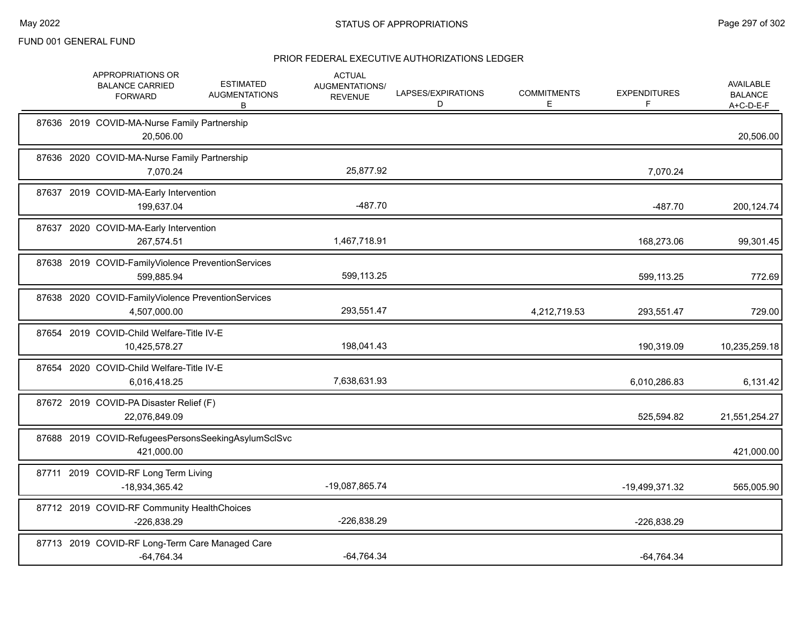|  | APPROPRIATIONS OR<br><b>BALANCE CARRIED</b><br><b>FORWARD</b>      | <b>ESTIMATED</b><br><b>AUGMENTATIONS</b><br>B | <b>ACTUAL</b><br>AUGMENTATIONS/<br><b>REVENUE</b> | LAPSES/EXPIRATIONS<br>D | <b>COMMITMENTS</b><br>E | <b>EXPENDITURES</b><br>F | <b>AVAILABLE</b><br><b>BALANCE</b><br>A+C-D-E-F |
|--|--------------------------------------------------------------------|-----------------------------------------------|---------------------------------------------------|-------------------------|-------------------------|--------------------------|-------------------------------------------------|
|  | 87636 2019 COVID-MA-Nurse Family Partnership<br>20,506.00          |                                               |                                                   |                         |                         |                          | 20,506.00                                       |
|  | 87636 2020 COVID-MA-Nurse Family Partnership<br>7,070.24           |                                               | 25,877.92                                         |                         |                         | 7,070.24                 |                                                 |
|  | 87637 2019 COVID-MA-Early Intervention<br>199,637.04               |                                               | $-487.70$                                         |                         |                         | $-487.70$                | 200,124.74                                      |
|  | 87637 2020 COVID-MA-Early Intervention<br>267,574.51               |                                               | 1,467,718.91                                      |                         |                         | 168,273.06               | 99,301.45                                       |
|  | 87638 2019 COVID-FamilyViolence PreventionServices<br>599,885.94   |                                               | 599,113.25                                        |                         |                         | 599,113.25               | 772.69                                          |
|  | 87638 2020 COVID-FamilyViolence PreventionServices<br>4,507,000.00 |                                               | 293,551.47                                        |                         | 4,212,719.53            | 293,551.47               | 729.00                                          |
|  | 87654 2019 COVID-Child Welfare-Title IV-E<br>10,425,578.27         |                                               | 198,041.43                                        |                         |                         | 190,319.09               | 10,235,259.18                                   |
|  | 87654 2020 COVID-Child Welfare-Title IV-E<br>6,016,418.25          |                                               | 7,638,631.93                                      |                         |                         | 6,010,286.83             | 6,131.42                                        |
|  | 87672 2019 COVID-PA Disaster Relief (F)<br>22,076,849.09           |                                               |                                                   |                         |                         | 525,594.82               | 21,551,254.27                                   |
|  | 87688 2019 COVID-RefugeesPersonsSeekingAsylumSclSvc<br>421,000.00  |                                               |                                                   |                         |                         |                          | 421,000.00                                      |
|  | 87711 2019 COVID-RF Long Term Living<br>-18,934,365.42             |                                               | -19,087,865.74                                    |                         |                         | -19,499,371.32           | 565,005.90                                      |
|  | 87712 2019 COVID-RF Community HealthChoices<br>-226,838.29         |                                               | -226,838.29                                       |                         |                         | -226,838.29              |                                                 |
|  | 87713 2019 COVID-RF Long-Term Care Managed Care<br>$-64,764.34$    |                                               | $-64,764.34$                                      |                         |                         | $-64,764.34$             |                                                 |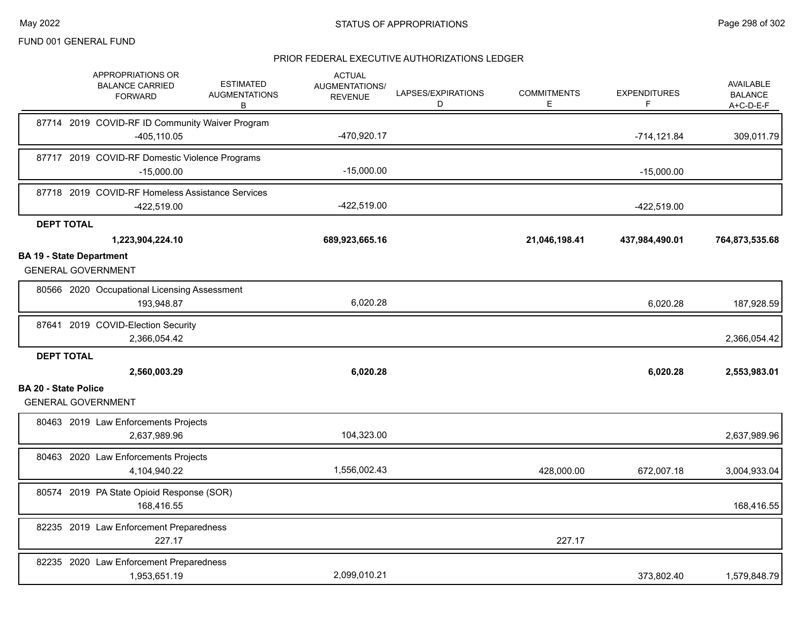|                                 | APPROPRIATIONS OR<br><b>BALANCE CARRIED</b><br><b>FORWARD</b>     | <b>ESTIMATED</b><br><b>AUGMENTATIONS</b><br>В | <b>ACTUAL</b><br>AUGMENTATIONS/<br><b>REVENUE</b> | LAPSES/EXPIRATIONS<br>D | <b>COMMITMENTS</b><br>E | <b>EXPENDITURES</b><br>F | <b>AVAILABLE</b><br><b>BALANCE</b><br>A+C-D-E-F |
|---------------------------------|-------------------------------------------------------------------|-----------------------------------------------|---------------------------------------------------|-------------------------|-------------------------|--------------------------|-------------------------------------------------|
|                                 | 87714 2019 COVID-RF ID Community Waiver Program<br>$-405, 110.05$ |                                               | -470,920.17                                       |                         |                         | $-714, 121.84$           | 309,011.79                                      |
|                                 | 87717 2019 COVID-RF Domestic Violence Programs<br>$-15,000.00$    |                                               | $-15,000.00$                                      |                         |                         | $-15,000.00$             |                                                 |
|                                 | 87718 2019 COVID-RF Homeless Assistance Services<br>-422,519.00   |                                               | -422,519.00                                       |                         |                         | $-422,519.00$            |                                                 |
| <b>DEPT TOTAL</b>               |                                                                   |                                               |                                                   |                         |                         |                          |                                                 |
|                                 | 1,223,904,224.10                                                  |                                               | 689,923,665.16                                    |                         | 21,046,198.41           | 437,984,490.01           | 764,873,535.68                                  |
| <b>BA 19 - State Department</b> | <b>GENERAL GOVERNMENT</b>                                         |                                               |                                                   |                         |                         |                          |                                                 |
|                                 | 80566 2020 Occupational Licensing Assessment<br>193,948.87        |                                               | 6,020.28                                          |                         |                         | 6,020.28                 | 187,928.59                                      |
|                                 | 87641 2019 COVID-Election Security<br>2,366,054.42                |                                               |                                                   |                         |                         |                          | 2,366,054.42                                    |
| <b>DEPT TOTAL</b>               | 2,560,003.29                                                      |                                               | 6,020.28                                          |                         |                         | 6,020.28                 | 2,553,983.01                                    |
| <b>BA 20 - State Police</b>     | <b>GENERAL GOVERNMENT</b>                                         |                                               |                                                   |                         |                         |                          |                                                 |
|                                 | 80463 2019 Law Enforcements Projects<br>2,637,989.96              |                                               | 104,323.00                                        |                         |                         |                          | 2,637,989.96                                    |
|                                 | 80463 2020 Law Enforcements Projects<br>4,104,940.22              |                                               | 1,556,002.43                                      |                         | 428,000.00              | 672,007.18               | 3,004,933.04                                    |
|                                 | 80574 2019 PA State Opioid Response (SOR)<br>168,416.55           |                                               |                                                   |                         |                         |                          | 168,416.55                                      |
|                                 | 82235 2019 Law Enforcement Preparedness<br>227.17                 |                                               |                                                   |                         | 227.17                  |                          |                                                 |
|                                 | 82235 2020 Law Enforcement Preparedness<br>1,953,651.19           |                                               | 2,099,010.21                                      |                         |                         | 373,802.40               | 1,579,848.79                                    |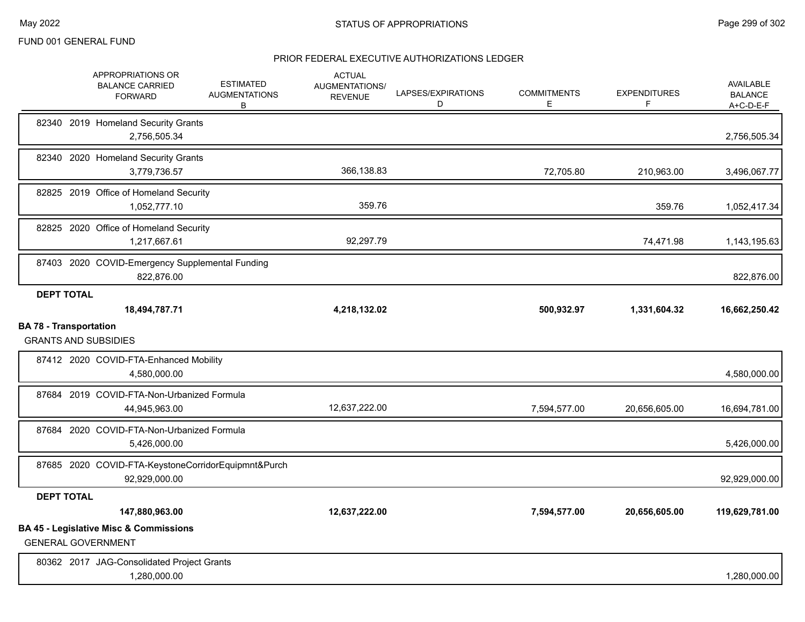|                               | APPROPRIATIONS OR<br><b>BALANCE CARRIED</b><br><b>FORWARD</b>                  | <b>ESTIMATED</b><br><b>AUGMENTATIONS</b><br>В | <b>ACTUAL</b><br>AUGMENTATIONS/<br><b>REVENUE</b> | LAPSES/EXPIRATIONS<br>D | <b>COMMITMENTS</b><br>E | <b>EXPENDITURES</b><br>F | AVAILABLE<br><b>BALANCE</b><br>A+C-D-E-F |
|-------------------------------|--------------------------------------------------------------------------------|-----------------------------------------------|---------------------------------------------------|-------------------------|-------------------------|--------------------------|------------------------------------------|
|                               | 82340 2019 Homeland Security Grants<br>2,756,505.34                            |                                               |                                                   |                         |                         |                          | 2,756,505.34                             |
|                               | 82340 2020 Homeland Security Grants<br>3,779,736.57                            |                                               | 366,138.83                                        |                         | 72,705.80               | 210,963.00               | 3,496,067.77                             |
|                               | 82825 2019 Office of Homeland Security<br>1,052,777.10                         |                                               | 359.76                                            |                         |                         | 359.76                   | 1,052,417.34                             |
|                               | 82825 2020 Office of Homeland Security<br>1,217,667.61                         |                                               | 92,297.79                                         |                         |                         | 74,471.98                | 1,143,195.63                             |
|                               | 87403 2020 COVID-Emergency Supplemental Funding<br>822,876.00                  |                                               |                                                   |                         |                         |                          | 822,876.00                               |
| <b>DEPT TOTAL</b>             | 18,494,787.71                                                                  |                                               | 4,218,132.02                                      |                         | 500,932.97              | 1,331,604.32             | 16,662,250.42                            |
| <b>BA 78 - Transportation</b> | <b>GRANTS AND SUBSIDIES</b>                                                    |                                               |                                                   |                         |                         |                          |                                          |
|                               | 87412 2020 COVID-FTA-Enhanced Mobility<br>4,580,000.00                         |                                               |                                                   |                         |                         |                          | 4,580,000.00                             |
|                               | 87684 2019 COVID-FTA-Non-Urbanized Formula<br>44,945,963.00                    |                                               | 12,637,222.00                                     |                         | 7,594,577.00            | 20,656,605.00            | 16,694,781.00                            |
|                               | 87684 2020 COVID-FTA-Non-Urbanized Formula<br>5.426.000.00                     |                                               |                                                   |                         |                         |                          | 5,426,000.00                             |
|                               | 87685 2020 COVID-FTA-KeystoneCorridorEquipmnt&Purch<br>92,929,000.00           |                                               |                                                   |                         |                         |                          | 92,929,000.00                            |
| <b>DEPT TOTAL</b>             |                                                                                |                                               |                                                   |                         |                         |                          |                                          |
|                               | 147,880,963.00                                                                 |                                               | 12,637,222.00                                     |                         | 7,594,577.00            | 20,656,605.00            | 119,629,781.00                           |
|                               | <b>BA 45 - Legislative Misc &amp; Commissions</b><br><b>GENERAL GOVERNMENT</b> |                                               |                                                   |                         |                         |                          |                                          |
|                               | 80362 2017 JAG-Consolidated Project Grants<br>1,280,000.00                     |                                               |                                                   |                         |                         |                          | 1,280,000.00                             |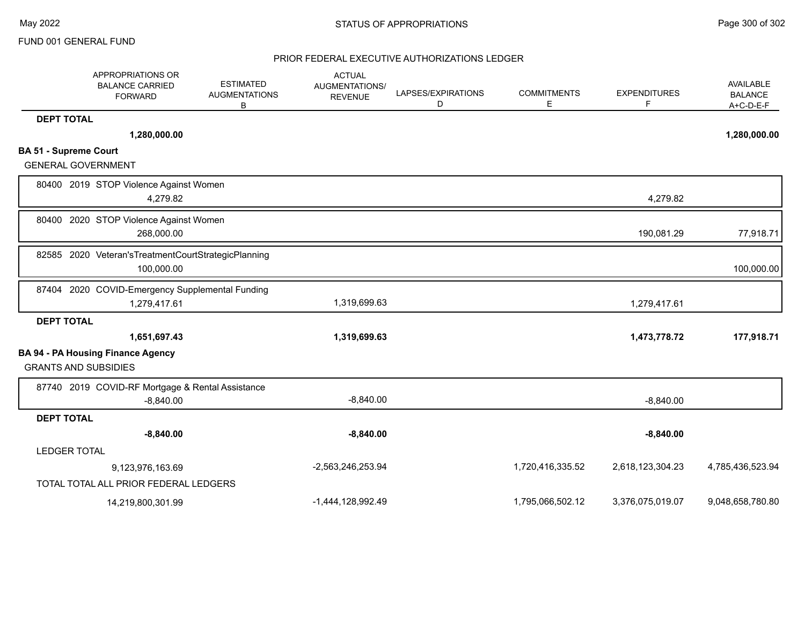|                              | APPROPRIATIONS OR<br><b>BALANCE CARRIED</b><br><b>FORWARD</b>         | <b>ESTIMATED</b><br><b>AUGMENTATIONS</b><br>в | <b>ACTUAL</b><br>AUGMENTATIONS/<br><b>REVENUE</b> | LAPSES/EXPIRATIONS<br>D | <b>COMMITMENTS</b><br>Е | <b>EXPENDITURES</b><br>F | AVAILABLE<br><b>BALANCE</b><br>$A+C-D-E-F$ |
|------------------------------|-----------------------------------------------------------------------|-----------------------------------------------|---------------------------------------------------|-------------------------|-------------------------|--------------------------|--------------------------------------------|
| <b>DEPT TOTAL</b>            |                                                                       |                                               |                                                   |                         |                         |                          |                                            |
|                              | 1,280,000.00                                                          |                                               |                                                   |                         |                         |                          | 1,280,000.00                               |
| <b>BA 51 - Supreme Court</b> |                                                                       |                                               |                                                   |                         |                         |                          |                                            |
| <b>GENERAL GOVERNMENT</b>    |                                                                       |                                               |                                                   |                         |                         |                          |                                            |
|                              | 80400 2019 STOP Violence Against Women<br>4,279.82                    |                                               |                                                   |                         |                         | 4,279.82                 |                                            |
|                              | 80400 2020 STOP Violence Against Women<br>268,000.00                  |                                               |                                                   |                         |                         | 190,081.29               | 77,918.71                                  |
|                              | 82585 2020 Veteran's Treatment Court Strategic Planning<br>100,000.00 |                                               |                                                   |                         |                         |                          | 100,000.00                                 |
| 87404                        | 2020 COVID-Emergency Supplemental Funding<br>1,279,417.61             |                                               | 1,319,699.63                                      |                         |                         | 1,279,417.61             |                                            |
| <b>DEPT TOTAL</b>            |                                                                       |                                               |                                                   |                         |                         |                          |                                            |
|                              | 1,651,697.43                                                          |                                               | 1,319,699.63                                      |                         |                         | 1,473,778.72             | 177,918.71                                 |
| <b>GRANTS AND SUBSIDIES</b>  | <b>BA 94 - PA Housing Finance Agency</b>                              |                                               |                                                   |                         |                         |                          |                                            |
|                              | 87740 2019 COVID-RF Mortgage & Rental Assistance<br>$-8,840.00$       |                                               | $-8,840.00$                                       |                         |                         | $-8,840.00$              |                                            |
| <b>DEPT TOTAL</b>            |                                                                       |                                               |                                                   |                         |                         |                          |                                            |
|                              | $-8,840.00$                                                           |                                               | $-8,840.00$                                       |                         |                         | $-8,840.00$              |                                            |
| <b>LEDGER TOTAL</b>          |                                                                       |                                               |                                                   |                         |                         |                          |                                            |
|                              | 9,123,976,163.69                                                      |                                               | -2,563,246,253.94                                 |                         | 1,720,416,335.52        | 2,618,123,304.23         | 4,785,436,523.94                           |
|                              | TOTAL TOTAL ALL PRIOR FEDERAL LEDGERS                                 |                                               |                                                   |                         |                         |                          |                                            |
|                              | 14,219,800,301.99                                                     |                                               | -1,444,128,992.49                                 |                         | 1,795,066,502.12        | 3,376,075,019.07         | 9,048,658,780.80                           |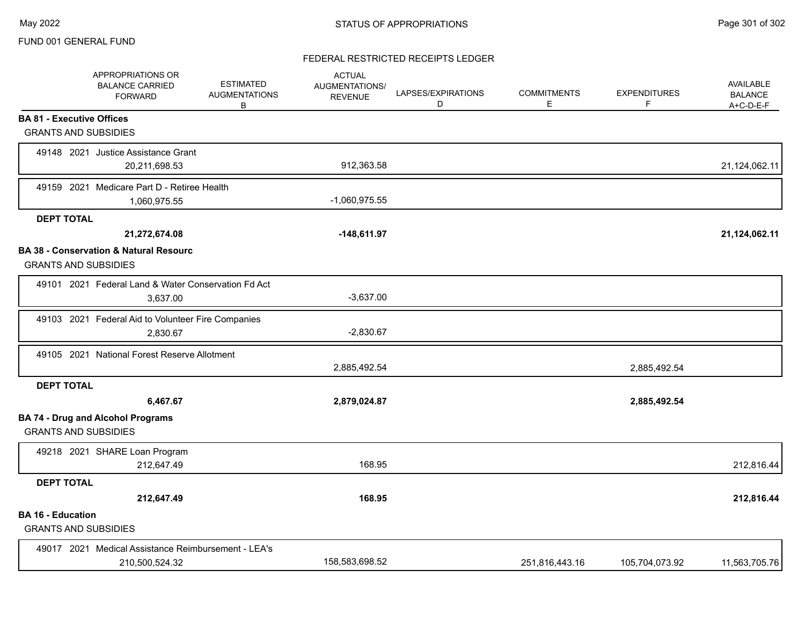# FEDERAL RESTRICTED RECEIPTS LEDGER

|                                                         | APPROPRIATIONS OR<br><b>BALANCE CARRIED</b><br><b>FORWARD</b>         | <b>ESTIMATED</b><br><b>AUGMENTATIONS</b><br>B | <b>ACTUAL</b><br>AUGMENTATIONS/<br><b>REVENUE</b> | LAPSES/EXPIRATIONS<br>D | <b>COMMITMENTS</b><br>E | <b>EXPENDITURES</b><br>F | <b>AVAILABLE</b><br><b>BALANCE</b><br>$A+C-D-E-F$ |
|---------------------------------------------------------|-----------------------------------------------------------------------|-----------------------------------------------|---------------------------------------------------|-------------------------|-------------------------|--------------------------|---------------------------------------------------|
| <b>BA 81 - Executive Offices</b>                        |                                                                       |                                               |                                                   |                         |                         |                          |                                                   |
| <b>GRANTS AND SUBSIDIES</b>                             |                                                                       |                                               |                                                   |                         |                         |                          |                                                   |
|                                                         | 49148 2021 Justice Assistance Grant<br>20,211,698.53                  |                                               | 912,363.58                                        |                         |                         |                          | 21,124,062.11                                     |
|                                                         | 49159 2021 Medicare Part D - Retiree Health<br>1,060,975.55           |                                               | $-1,060,975.55$                                   |                         |                         |                          |                                                   |
| <b>DEPT TOTAL</b>                                       |                                                                       |                                               |                                                   |                         |                         |                          |                                                   |
|                                                         | 21,272,674.08                                                         |                                               | $-148,611.97$                                     |                         |                         |                          | 21,124,062.11                                     |
| <b>GRANTS AND SUBSIDIES</b>                             | <b>BA 38 - Conservation &amp; Natural Resourc</b>                     |                                               |                                                   |                         |                         |                          |                                                   |
|                                                         | 49101 2021 Federal Land & Water Conservation Fd Act<br>3,637.00       |                                               | $-3,637.00$                                       |                         |                         |                          |                                                   |
|                                                         | 49103 2021 Federal Aid to Volunteer Fire Companies<br>2,830.67        |                                               | $-2,830.67$                                       |                         |                         |                          |                                                   |
|                                                         | 49105 2021 National Forest Reserve Allotment                          |                                               | 2,885,492.54                                      |                         |                         | 2,885,492.54             |                                                   |
| <b>DEPT TOTAL</b>                                       |                                                                       |                                               |                                                   |                         |                         |                          |                                                   |
|                                                         | 6,467.67                                                              |                                               | 2,879,024.87                                      |                         |                         | 2,885,492.54             |                                                   |
| <b>GRANTS AND SUBSIDIES</b>                             | <b>BA 74 - Drug and Alcohol Programs</b>                              |                                               |                                                   |                         |                         |                          |                                                   |
|                                                         | 49218 2021 SHARE Loan Program<br>212,647.49                           |                                               | 168.95                                            |                         |                         |                          | 212,816.44                                        |
| <b>DEPT TOTAL</b>                                       |                                                                       |                                               |                                                   |                         |                         |                          |                                                   |
|                                                         | 212,647.49                                                            |                                               | 168.95                                            |                         |                         |                          | 212,816.44                                        |
| <b>BA 16 - Education</b><br><b>GRANTS AND SUBSIDIES</b> |                                                                       |                                               |                                                   |                         |                         |                          |                                                   |
|                                                         | 49017 2021 Medical Assistance Reimbursement - LEA's<br>210,500,524.32 |                                               | 158,583,698.52                                    |                         | 251,816,443.16          | 105,704,073.92           | 11,563,705.76                                     |